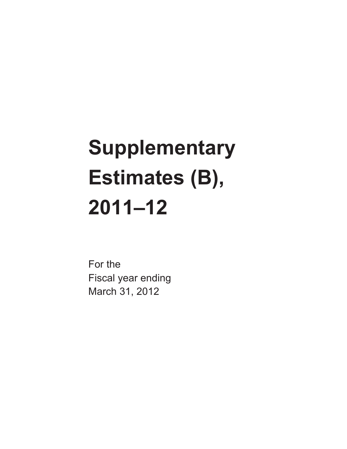# **Supplementary Estimates (B), 2011–12**

For the Fiscal year ending March 31, 2012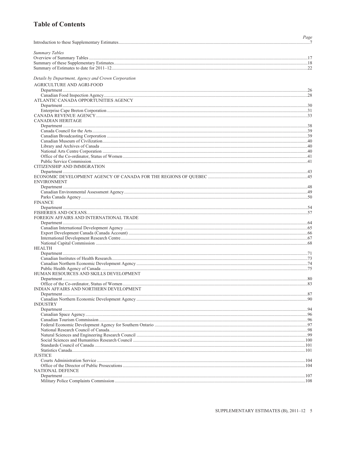## **Table of Contents**

|                                                                                                                                                                                                                                                                                                                                                                                                                                                                                                                                                                                                                                                               | Page |
|---------------------------------------------------------------------------------------------------------------------------------------------------------------------------------------------------------------------------------------------------------------------------------------------------------------------------------------------------------------------------------------------------------------------------------------------------------------------------------------------------------------------------------------------------------------------------------------------------------------------------------------------------------------|------|
|                                                                                                                                                                                                                                                                                                                                                                                                                                                                                                                                                                                                                                                               |      |
| <b>Summary Tables</b>                                                                                                                                                                                                                                                                                                                                                                                                                                                                                                                                                                                                                                         |      |
|                                                                                                                                                                                                                                                                                                                                                                                                                                                                                                                                                                                                                                                               |      |
|                                                                                                                                                                                                                                                                                                                                                                                                                                                                                                                                                                                                                                                               |      |
|                                                                                                                                                                                                                                                                                                                                                                                                                                                                                                                                                                                                                                                               |      |
| Details by Department, Agency and Crown Corporation                                                                                                                                                                                                                                                                                                                                                                                                                                                                                                                                                                                                           |      |
| AGRICULTURE AND AGRI-FOOD                                                                                                                                                                                                                                                                                                                                                                                                                                                                                                                                                                                                                                     |      |
|                                                                                                                                                                                                                                                                                                                                                                                                                                                                                                                                                                                                                                                               |      |
|                                                                                                                                                                                                                                                                                                                                                                                                                                                                                                                                                                                                                                                               |      |
| ATLANTIC CANADA OPPORTUNITIES AGENCY                                                                                                                                                                                                                                                                                                                                                                                                                                                                                                                                                                                                                          |      |
|                                                                                                                                                                                                                                                                                                                                                                                                                                                                                                                                                                                                                                                               |      |
|                                                                                                                                                                                                                                                                                                                                                                                                                                                                                                                                                                                                                                                               |      |
| <b>CANADIAN HERITAGE</b>                                                                                                                                                                                                                                                                                                                                                                                                                                                                                                                                                                                                                                      |      |
|                                                                                                                                                                                                                                                                                                                                                                                                                                                                                                                                                                                                                                                               |      |
|                                                                                                                                                                                                                                                                                                                                                                                                                                                                                                                                                                                                                                                               |      |
|                                                                                                                                                                                                                                                                                                                                                                                                                                                                                                                                                                                                                                                               |      |
|                                                                                                                                                                                                                                                                                                                                                                                                                                                                                                                                                                                                                                                               |      |
|                                                                                                                                                                                                                                                                                                                                                                                                                                                                                                                                                                                                                                                               |      |
|                                                                                                                                                                                                                                                                                                                                                                                                                                                                                                                                                                                                                                                               |      |
|                                                                                                                                                                                                                                                                                                                                                                                                                                                                                                                                                                                                                                                               |      |
| CITIZENSHIP AND IMMIGRATION<br>$\textbf{Department} \textbf{Output} \textbf{Output} \textbf{Output} \textbf{Output} \textbf{Output} \textbf{Output} \textbf{Description} \textbf{Output} \textbf{Description:} \textbf{Output} \textbf{Description:} \textbf{Output} \textbf{Description:} \textbf{Output} \textbf{Output} \textbf{Output} \textbf{Output} \textbf{Output} \textbf{Output} \textbf{Output} \textbf{Output} \textbf{Output} \textbf{Output} \textbf{Output} \textbf{Output} \textbf{Output} \textbf{Output} \textbf{Output} \textbf{Output} \textbf{Output} \textbf{Output} \textbf{Output} \textbf{Output} \textbf{Output} \textbf{Output} \$ |      |
|                                                                                                                                                                                                                                                                                                                                                                                                                                                                                                                                                                                                                                                               |      |
| <b>ENVIRONMENT</b>                                                                                                                                                                                                                                                                                                                                                                                                                                                                                                                                                                                                                                            |      |
|                                                                                                                                                                                                                                                                                                                                                                                                                                                                                                                                                                                                                                                               |      |
|                                                                                                                                                                                                                                                                                                                                                                                                                                                                                                                                                                                                                                                               |      |
| <b>FINANCE</b>                                                                                                                                                                                                                                                                                                                                                                                                                                                                                                                                                                                                                                                |      |
|                                                                                                                                                                                                                                                                                                                                                                                                                                                                                                                                                                                                                                                               |      |
|                                                                                                                                                                                                                                                                                                                                                                                                                                                                                                                                                                                                                                                               |      |
| FOREIGN AFFAIRS AND INTERNATIONAL TRADE                                                                                                                                                                                                                                                                                                                                                                                                                                                                                                                                                                                                                       |      |
|                                                                                                                                                                                                                                                                                                                                                                                                                                                                                                                                                                                                                                                               |      |
|                                                                                                                                                                                                                                                                                                                                                                                                                                                                                                                                                                                                                                                               |      |
|                                                                                                                                                                                                                                                                                                                                                                                                                                                                                                                                                                                                                                                               |      |
|                                                                                                                                                                                                                                                                                                                                                                                                                                                                                                                                                                                                                                                               |      |
| <b>HEALTH</b>                                                                                                                                                                                                                                                                                                                                                                                                                                                                                                                                                                                                                                                 |      |
|                                                                                                                                                                                                                                                                                                                                                                                                                                                                                                                                                                                                                                                               |      |
|                                                                                                                                                                                                                                                                                                                                                                                                                                                                                                                                                                                                                                                               |      |
|                                                                                                                                                                                                                                                                                                                                                                                                                                                                                                                                                                                                                                                               |      |
| HUMAN RESOURCES AND SKILLS DEVELOPMENT                                                                                                                                                                                                                                                                                                                                                                                                                                                                                                                                                                                                                        |      |
|                                                                                                                                                                                                                                                                                                                                                                                                                                                                                                                                                                                                                                                               |      |
|                                                                                                                                                                                                                                                                                                                                                                                                                                                                                                                                                                                                                                                               |      |
| INDIAN AFFAIRS AND NORTHERN DEVELOPMENT                                                                                                                                                                                                                                                                                                                                                                                                                                                                                                                                                                                                                       |      |
|                                                                                                                                                                                                                                                                                                                                                                                                                                                                                                                                                                                                                                                               |      |
| <b>INDUSTRY</b>                                                                                                                                                                                                                                                                                                                                                                                                                                                                                                                                                                                                                                               |      |
|                                                                                                                                                                                                                                                                                                                                                                                                                                                                                                                                                                                                                                                               |      |
|                                                                                                                                                                                                                                                                                                                                                                                                                                                                                                                                                                                                                                                               |      |
|                                                                                                                                                                                                                                                                                                                                                                                                                                                                                                                                                                                                                                                               |      |
|                                                                                                                                                                                                                                                                                                                                                                                                                                                                                                                                                                                                                                                               |      |
|                                                                                                                                                                                                                                                                                                                                                                                                                                                                                                                                                                                                                                                               |      |
|                                                                                                                                                                                                                                                                                                                                                                                                                                                                                                                                                                                                                                                               |      |
|                                                                                                                                                                                                                                                                                                                                                                                                                                                                                                                                                                                                                                                               |      |
|                                                                                                                                                                                                                                                                                                                                                                                                                                                                                                                                                                                                                                                               |      |
| <b>JUSTICE</b>                                                                                                                                                                                                                                                                                                                                                                                                                                                                                                                                                                                                                                                |      |
|                                                                                                                                                                                                                                                                                                                                                                                                                                                                                                                                                                                                                                                               |      |
| NATIONAL DEFENCE                                                                                                                                                                                                                                                                                                                                                                                                                                                                                                                                                                                                                                              |      |
|                                                                                                                                                                                                                                                                                                                                                                                                                                                                                                                                                                                                                                                               |      |
|                                                                                                                                                                                                                                                                                                                                                                                                                                                                                                                                                                                                                                                               |      |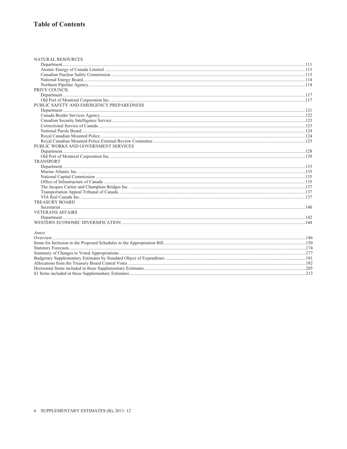## **Table of Contents**

| NATURAL RESOURCES                        |  |
|------------------------------------------|--|
|                                          |  |
|                                          |  |
|                                          |  |
|                                          |  |
|                                          |  |
| PRIVY COUNCIL                            |  |
|                                          |  |
|                                          |  |
| PUBLIC SAFETY AND EMERGENCY PREPAREDNESS |  |
|                                          |  |
|                                          |  |
|                                          |  |
|                                          |  |
|                                          |  |
|                                          |  |
|                                          |  |
| PUBLIC WORKS AND GOVERNMENT SERVICES     |  |
|                                          |  |
|                                          |  |
| <b>TRANSPORT</b>                         |  |
|                                          |  |
|                                          |  |
|                                          |  |
|                                          |  |
|                                          |  |
|                                          |  |
|                                          |  |
| TREASURY BOARD                           |  |
|                                          |  |
| <b>VETERANS AFFAIRS</b>                  |  |
|                                          |  |
|                                          |  |
|                                          |  |
| Annex                                    |  |
|                                          |  |
|                                          |  |
|                                          |  |
|                                          |  |
|                                          |  |
|                                          |  |
|                                          |  |
|                                          |  |
|                                          |  |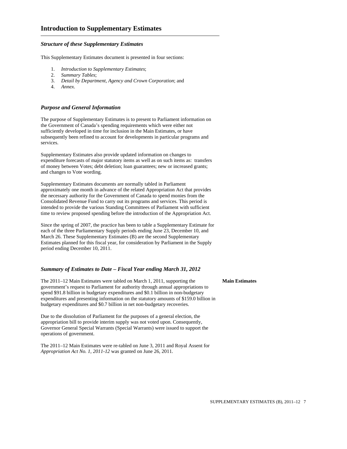### *Structure of these Supplementary Estimates*

This Supplementary Estimates document is presented in four sections:

- 1. *Introduction to Supplementary Estimates*;
- 2. *Summary Tables*;
- 3. *Detail by Department, Agency and Crown Corporation*; and
- 4. *Annex*.

<span id="page-4-0"></span>l

#### *Purpose and General Information*

The purpose of Supplementary Estimates is to present to Parliament information on the Government of Canada's spending requirements which were either not sufficiently developed in time for inclusion in the Main Estimates, or have subsequently been refined to account for developments in particular programs and services.

Supplementary Estimates also provide updated information on changes to expenditure forecasts of major statutory items as well as on such items as: transfers of money between Votes; debt deletion; loan guarantees; new or increased grants; and changes to Vote wording.

Supplementary Estimates documents are normally tabled in Parliament approximately one month in advance of the related Appropriation Act that provides the necessary authority for the Government of Canada to spend monies from the Consolidated Revenue Fund to carry out its programs and services. This period is intended to provide the various Standing Committees of Parliament with sufficient time to review proposed spending before the introduction of the Appropriation Act.

Since the spring of 2007, the practice has been to table a Supplementary Estimate for each of the three Parliamentary Supply periods ending June 23, December 10, and March 26. These Supplementary Estimates (B) are the second Supplementary Estimates planned for this fiscal year, for consideration by Parliament in the Supply period ending December 10, 2011.

#### *Summary of Estimates to Date – Fiscal Year ending March 31, 2012*

The 2011–12 Main Estimates were tabled on March 1, 2011, supporting the government's request to Parliament for authority through annual appropriations to spend \$91.8 billion in budgetary expenditures and \$0.1 billion in non-budgetary expenditures and presenting information on the statutory amounts of \$159.0 billion in budgetary expenditures and \$0.7 billion in net non-budgetary recoveries.

**Main Estimates** 

Due to the dissolution of Parliament for the purposes of a general election, the appropriation bill to provide interim supply was not voted upon. Consequently, Governor General Special Warrants (Special Warrants) were issued to support the operations of government.

The 2011–12 Main Estimates were re-tabled on June 3, 2011 and Royal Assent for *Appropriation Act No. 1, 2011-12* was granted on June 26, 2011.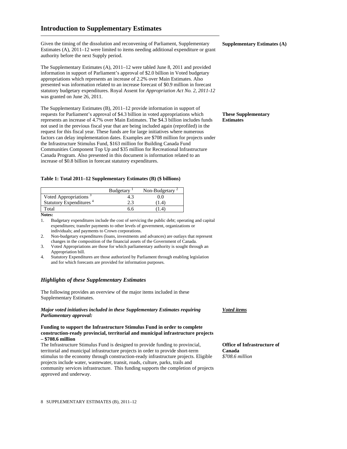## **Introduction to Supplementary Estimates**

Given the timing of the dissolution and reconvening of Parliament, Supplementary Estimates (A), 2011–12 were limited to items needing additional expenditure or grant authority before the next Supply period.

The Supplementary Estimates (A), 2011–12 were tabled June 8, 2011 and provided information in support of Parliament's approval of \$2.0 billion in Voted budgetary appropriations which represents an increase of 2.2% over Main Estimates. Also presented was information related to an increase forecast of \$0.9 million in forecast statutory budgetary expenditures. Royal Assent for *Appropriation Act No. 2, 2011-12* was granted on June 26, 2011.

The Supplementary Estimates (B), 2011–12 provide information in support of requests for Parliament's approval of \$4.3 billion in voted appropriations which represents an increase of 4.7% over Main Estimates. The \$4.3 billion includes funds not used in the previous fiscal year that are being included again (reprofiled) in the request for this fiscal year. These funds are for large initiatives where numerous factors can delay implementation dates. Examples are \$708 million for projects under the Infrastructure Stimulus Fund, \$163 million for Building Canada Fund Communities Component Top Up and \$35 million for Recreational Infrastructure Canada Program. Also presented in this document is information related to an increase of \$0.8 billion in forecast statutory expenditures.

#### **Table 1: Total 2011–12 Supplementary Estimates (B) (\$ billions)**

|                               | Budgetary | Non-Budgetary |
|-------------------------------|-----------|---------------|
| Voted Appropriations          |           |               |
| <b>Statutory Expenditures</b> |           | 1.4           |
| `otal                         | რ.ტ       |               |

**Notes:** 

1. Budgetary expenditures include the cost of servicing the public debt; operating and capital expenditures; transfer payments to other levels of government, organizations or individuals; and payments to Crown corporations.

2. Non-budgetary expenditures (loans, investments and advances) are outlays that represent changes in the composition of the financial assets of the Government of Canada.

- 3. Voted Appropriations are those for which parliamentary authority is sought through an Appropriation bill.
- 4. Statutory Expenditures are those authorized by Parliament through enabling legislation and for which forecasts are provided for information purposes.

## *Highlights of these Supplementary Estimates*

The following provides an overview of the major items included in these Supplementary Estimates.

*Major voted initiatives included in these Supplementary Estimates requiring Parliamentary approval:*

#### **Funding to support the Infrastructure Stimulus Fund in order to complete construction-ready provincial, territorial and municipal infrastructure projects – \$708.6 million**

The Infrastructure Stimulus Fund is designed to provide funding to provincial, territorial and municipal infrastructure projects in order to provide short-term stimulus to the economy through construction-ready infrastructure projects. Eligible projects include water, wastewater, transit, roads, culture, parks, trails and community services infrastructure. This funding supports the completion of projects approved and underway.

**Office of Infrastructure of Canada**  *\$708.6 million* 

*Voted items*

#### **Supplementary Estimates (A)**

**These Supplementary Estimates**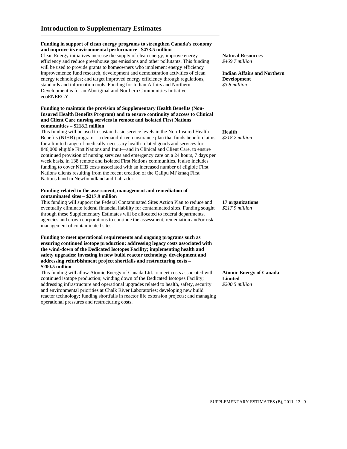l

#### **Funding in support of clean energy programs to strengthen Canada's economy and improve its environmental performance– \$473.5 million**

Clean Energy initiatives increase the supply of clean energy, improve energy efficiency and reduce greenhouse gas emissions and other pollutants. This funding will be used to provide grants to homeowners who implement energy efficiency improvements; fund research, development and demonstration activities of clean energy technologies; and target improved energy efficiency through regulations, standards and information tools. Funding for Indian Affairs and Northern Development is for an Aboriginal and Northern Communities Initiative – ecoENERGY.

#### **Funding to maintain the provision of Supplementary Health Benefits (Non-Insured Health Benefits Program) and to ensure continuity of access to Clinical and Client Care nursing services in remote and isolated First Nations communities – \$218.2 million**

This funding will be used to sustain basic service levels in the Non-Insured Health Benefits (NIHB) program—a demand-driven insurance plan that funds benefit claims for a limited range of medically-necessary health-related goods and services for 846,000 eligible First Nations and Inuit—and in Clinical and Client Care, to ensure continued provision of nursing services and emergency care on a 24 hours, 7 days per week basis, in 138 remote and isolated First Nations communities. It also includes funding to cover NIHB costs associated with an increased number of eligible First Nations clients resulting from the recent creation of the Qalipu Mi'kmaq First Nations band in Newfoundland and Labrador.

#### **Funding related to the assessment, management and remediation of contaminated sites – \$217.9 million**

This funding will support the Federal Contaminated Sites Action Plan to reduce and eventually eliminate federal financial liability for contaminated sites. Funding sought through these Supplementary Estimates will be allocated to federal departments, agencies and crown corporations to continue the assessment, remediation and/or risk management of contaminated sites.

**Funding to meet operational requirements and ongoing programs such as ensuring continued isotope production; addressing legacy costs associated with the wind-down of the Dedicated Isotopes Facility; implementing health and safety upgrades; investing in new build reactor technology development and addressing refurbishment project shortfalls and restructuring costs – \$200.5 million**

This funding will allow Atomic Energy of Canada Ltd. to meet costs associated with continued isotope production; winding down of the Dedicated Isotopes Facility; addressing infrastructure and operational upgrades related to health, safety, security and environmental priorities at Chalk River Laboratories; developing new build reactor technology; funding shortfalls in reactor life extension projects; and managing operational pressures and restructuring costs.

**Natural Resources**  *\$469.7 million* 

**Indian Affairs and Northern Development**  *\$3.8 million* 

**Health**  *\$218.2 million*

**17 organizations**  *\$217.9 million* 

**Atomic Energy of Canada Limited**  *\$200.5 million*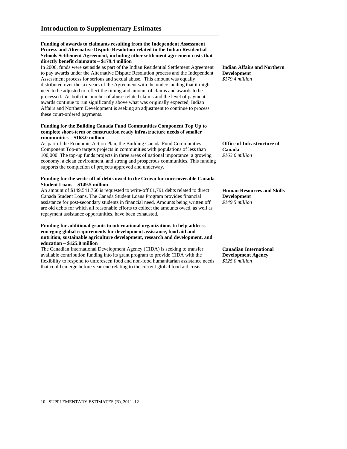#### **Funding of awards to claimants resulting from the Independent Assessment Process and Alternative Dispute Resolution related to the Indian Residential Schools Settlement Agreement, including other settlement agreement costs that directly benefit claimants – \$179.4 million**

In 2006, funds were set aside as part of the Indian Residential Settlement Agreement to pay awards under the Alternative Dispute Resolution process and the Independent Assessment process for serious and sexual abuse. This amount was equally distributed over the six years of the Agreement with the understanding that it might need to be adjusted to reflect the timing and amount of claims and awards to be processed. As both the number of abuse-related claims and the level of payment awards continue to run significantly above what was originally expected, Indian Affairs and Northern Development is seeking an adjustment to continue to process these court-ordered payments.

#### **Funding for the Building Canada Fund Communities Component Top Up to complete short-term or construction ready infrastructure needs of smaller communities – \$163.0 million**

As part of the Economic Action Plan, the Building Canada Fund Communities Component Top-up targets projects in communities with populations of less than 100,000. The top-up funds projects in three areas of national importance: a growing economy, a clean environment, and strong and prosperous communities. This funding supports the completion of projects approved and underway.

#### **Funding for the write-off of debts owed to the Crown for unrecoverable Canada Student Loans – \$149.5 million**

An amount of \$149,541,766 is requested to write-off 61,791 debts related to direct Canada Student Loans. The Canada Student Loans Program provides financial assistance for post-secondary students in financial need. Amounts being written off are old debts for which all reasonable efforts to collect the amounts owed, as well as repayment assistance opportunities, have been exhausted.

#### **Funding for additional grants to international organizations to help address emerging global requirements for development assistance, food aid and nutrition, sustainable agriculture development, research and development, and education – \$125.0 million**

The Canadian International Development Agency (CIDA) is seeking to transfer available contribution funding into its grant program to provide CIDA with the flexibility to respond to unforeseen food and non-food humanitarian assistance needs that could emerge before year-end relating to the current global food aid crisis.

**Indian Affairs and Northern Development**  *\$179.4 million*

**Office of Infrastructure of Canada**  *\$163.0 million*

**Human Resources and Skills Development**  *\$149.5 million*

**Canadian International Development Agency**  *\$125.0 million*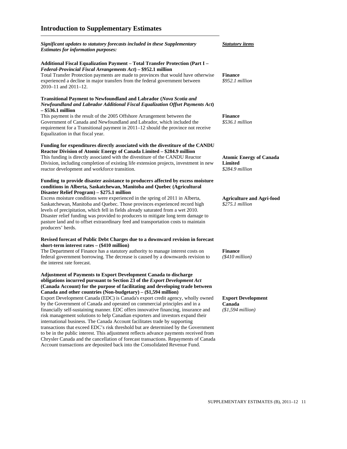## **Introduction to Supplementary Estimates**

Equalization in that fiscal year.

l

| Significant updates to statutory forecasts included in these Supplementary<br><b>Estimates for information purposes:</b>                                                                                                                                                                                                                                    | S       |
|-------------------------------------------------------------------------------------------------------------------------------------------------------------------------------------------------------------------------------------------------------------------------------------------------------------------------------------------------------------|---------|
| <b>Additional Fiscal Equalization Payment - Total Transfer Protection (Part I -</b><br>Federal-Provincial Fiscal Arrangements Act) – \$952.1 million<br>Total Transfer Protection payments are made to provinces that would have otherwise<br>experienced a decline in major transfers from the federal government between<br>$2010 - 11$ and $2011 - 12$ . | F<br>\$ |
| <b>Transitional Payment to Newfoundland and Labrador (Nova Scotia and</b><br>Newfoundland and Labrador Additional Fiscal Equalization Offset Payments Act)<br>$-$ \$536.1 million                                                                                                                                                                           |         |
| This payment is the result of the 2005 Offshore Arrangement between the                                                                                                                                                                                                                                                                                     | F       |
| Government of Canada and Newfoundland and Labrador, which included the<br>requirement for a Transitional payment in $2011-12$ should the province not receive                                                                                                                                                                                               | \$      |

#### **Funding for expenditures directly associated with the divestiture of the CANDU Reactor Division of Atomic Energy of Canada Limited – \$284.9 million**

This funding is directly associated with the divestiture of the CANDU Reactor Division, including completion of existing life extension projects, investment in new reactor development and workforce transition.

#### **Funding to provide disaster assistance to producers affected by excess moisture conditions in Alberta, Saskatchewan, Manitoba and Quebec (Agricultural Disaster Relief Program) – \$275.1 million**

Excess moisture conditions were experienced in the spring of 2011 in Alberta, Saskatchewan, Manitoba and Quebec. Those provinces experienced record high levels of precipitation, which fell in fields already saturated from a wet 2010. Disaster relief funding was provided to producers to mitigate long term damage to pasture land and to offset extraordinary feed and transportation costs to maintain producers' herds.

#### **Revised forecast of Public Debt Charges due to a downward revision in forecast short-term interest rates – (\$410 million)**

The Department of Finance has a statutory authority to manage interest costs on federal government borrowing. The decrease is caused by a downwards revision to the interest rate forecast.

#### **Adjustment of Payments to Export Development Canada to discharge obligations incurred pursuant to Section 23 of the** *Export Development Act* **(Canada Account) for the purpose of facilitating and developing trade between Canada and other countries (Non-budgetary) – (\$1,594 million)**

Export Development Canada (EDC) is Canada's export credit agency, wholly owned by the Government of Canada and operated on commercial principles and in a financially self-sustaining manner. EDC offers innovative financing, insurance and risk management solutions to help Canadian exporters and investors expand their international business. The Canada Account facilitates trade by supporting transactions that exceed EDC's risk threshold but are determined by the Government to be in the public interest. This adjustment reflects advance payments received from Chrysler Canada and the cancellation of forecast transactions. Repayments of Canada Account transactions are deposited back into the Consolidated Revenue Fund.

*<u>statutory</u> items* 

**Finance**  *\$952.1 million*

**Finance**  *\$536.1 million*

**Atomic Energy of Canada Limited**  *\$284.9 million*

**Agriculture and Agri-food**  *\$275.1 million*

**Finance**  *(\$410 million)* 

**Export Development Canada**  *(\$1,594 million)* 

SUPPLEMENTARY ESTIMATES (B), 2011–12 11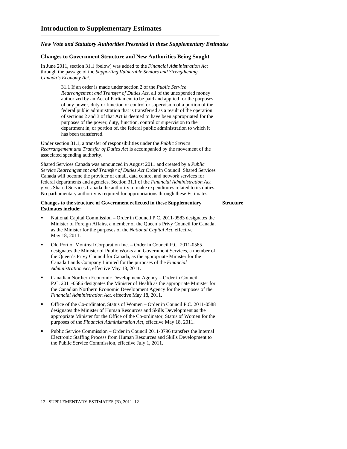## *New Vote and Statutory Authorities Presented in these Supplementary Estimates*

#### **Changes to Government Structure and New Authorities Being Sought**

In June 2011, section 31.1 (below) was added to the *Financial Administration Act* through the passage of the *Supporting Vulnerable Seniors and Strengthening Canada's Economy Act*.

> 31.1 If an order is made under section 2 of the *Public Service Rearrangement and Transfer of Duties Act*, all of the unexpended money authorized by an Act of Parliament to be paid and applied for the purposes of any power, duty or function or control or supervision of a portion of the federal public administration that is transferred as a result of the operation of sections 2 and 3 of that Act is deemed to have been appropriated for the purposes of the power, duty, function, control or supervision to the department in, or portion of, the federal public administration to which it has been transferred.

Under section 31.1, a transfer of responsibilities under the *Public Service Rearrangement and Transfer of Duties Act* is accompanied by the movement of the associated spending authority.

Shared Services Canada was announced in August 2011 and created by a *Public Service Rearrangement and Transfer of Duties Act* Order in Council. Shared Services Canada will become the provider of email, data centre, and network services for federal departments and agencies. Section 31.1 of the *Financial Administration Act* gives Shared Services Canada the authority to make expenditures related to its duties. No parliamentary authority is required for appropriations through these Estimates.

#### **Changes to the structure of Government reflected in these Supplementary Estimates include:**

**Structure** 

- National Capital Commission Order in Council P.C. 2011-0583 designates the Minister of Foreign Affairs, a member of the Queen's Privy Council for Canada, as the Minister for the purposes of the *National Capital Act*, effective May 18, 2011.
- Old Port of Montreal Corporation Inc. Order in Council P.C. 2011-0585 designates the Minister of Public Works and Government Services, a member of the Queen's Privy Council for Canada, as the appropriate Minister for the Canada Lands Company Limited for the purposes of the *Financial Administration Act*, effective May 18, 2011.
- Canadian Northern Economic Development Agency Order in Council P.C. 2011-0586 designates the Minister of Health as the appropriate Minister for the Canadian Northern Economic Development Agency for the purposes of the *Financial Administration Act*, effective May 18, 2011.
- Office of the Co-ordinator, Status of Women Order in Council P.C. 2011-0588 designates the Minister of Human Resources and Skills Development as the appropriate Minister for the Office of the Co-ordinator, Status of Women for the purposes of the *Financial Administration Act*, effective May 18, 2011.
- Public Service Commission Order in Council 2011-0796 transfers the Internal Electronic Staffing Process from Human Resources and Skills Development to the Public Service Commission, effective July 1, 2011.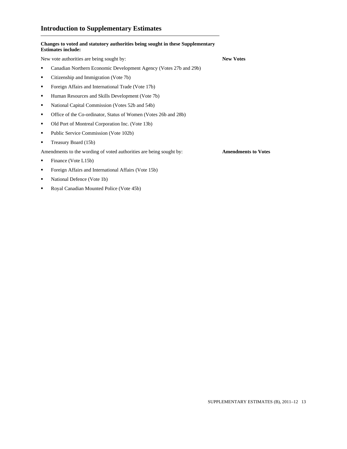## **Introduction to Supplementary Estimates**

#### **Changes to voted and statutory authorities being sought in these Supplementary Estimates include:**

New vote authorities are being sought by:

l

**New Votes** 

**Amendments to Votes** 

- Canadian Northern Economic Development Agency (Votes 27b and 29b)
- Citizenship and Immigration (Vote 7b)
- **Foreign Affairs and International Trade (Vote 17b)**
- **Human Resources and Skills Development (Vote 7b)**
- National Capital Commission (Votes 52b and 54b)
- Office of the Co-ordinator, Status of Women (Votes 26b and 28b)
- Old Port of Montreal Corporation Inc. (Vote 13b)
- **Public Service Commission (Vote 102b)**
- **Treasury Board (15b)**

Amendments to the wording of voted authorities are being sought by:

- Finance (Vote L15b)
- **Foreign Affairs and International Affairs (Vote 15b)**
- National Defence (Vote 1b)
- Royal Canadian Mounted Police (Vote 45b)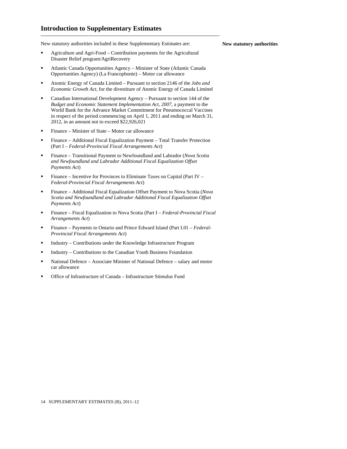New statutory authorities included in these Supplementary Estimates are:

- Agriculture and Agri-Food Contribution payments for the Agricultural Disaster Relief program/AgriRecovery
- Atlantic Canada Opportunities Agency Minister of State (Atlantic Canada Opportunities Agency) (La Francophonie) – Motor car allowance
- Atomic Energy of Canada Limited Pursuant to section 2146 of the *Jobs and Economic Growth Act*, for the divestiture of Atomic Energy of Canada Limited
- Canadian International Development Agency Pursuant to section 144 of the *Budget and Economic Statement Implementation Act, 2007*, a payment to the World Bank for the Advance Market Commitment for Pneumococcal Vaccines in respect of the period commencing on April 1, 2011 and ending on March 31, 2012, in an amount not to exceed \$22,926,021
- Finance Minister of State Motor car allowance
- Finance Additional Fiscal Equalization Payment Total Transfer Protection (Part I – *Federal-Provincial Fiscal Arrangements Act*)
- Finance Transitional Payment to Newfoundland and Labrador (*Nova Scotia and Newfoundland and Labrador Additional Fiscal Equalization Offset Payments Act*)
- Finance Incentive for Provinces to Eliminate Taxes on Capital (Part IV *Federal-Provincial Fiscal Arrangements Act*)
- Finance Additional Fiscal Equalization Offset Payment to Nova Scotia (*Nova Scotia and Newfoundland and Labrador Additional Fiscal Equalization Offset Payments Act*)
- Finance Fiscal Equalization to Nova Scotia (Part I *Federal-Provincial Fiscal Arrangements Act*)
- Finance Payments to Ontario and Prince Edward Island (Part I.01 *Federal-Provincial Fiscal Arrangements Act*)
- Industry Contributions under the Knowledge Infrastructure Program
- Industry Contributions to the Canadian Youth Business Foundation
- National Defence Associate Minister of National Defence salary and motor car allowance
- Office of Infrastructure of Canada Infrastructure Stimulus Fund

#### **New statutory authorities**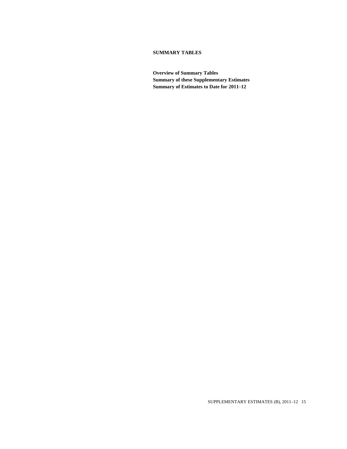## **SUMMARY TABLES**

**Overview of Summary Tables Summary of these Supplementary Estimates Summary of Estimates to Date for 2011–12**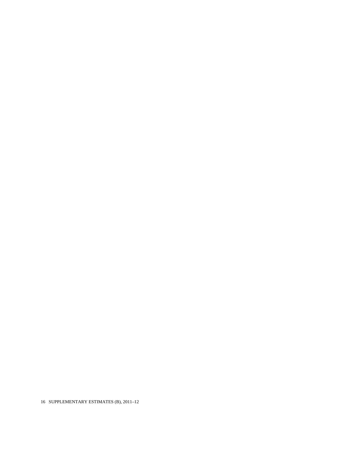16 SUPPLEMENTARY ESTIMATES (B), 2011–12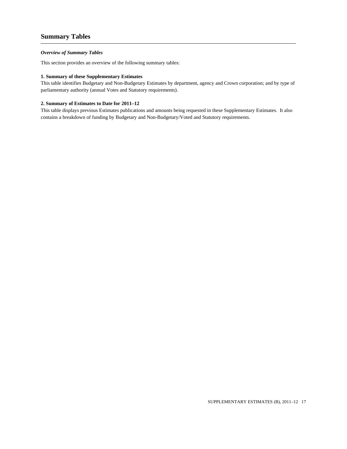## <span id="page-14-0"></span>*Overview of Summary Tables*

This section provides an overview of the following summary tables:

## **1. Summary of these Supplementary Estimates**

This table identifies Budgetary and Non-Budgetary Estimates by department, agency and Crown corporation; and by type of parliamentary authority (annual Votes and Statutory requirements).

## **2. Summary of Estimates to Date for 2011–12**

This table displays previous Estimates publications and amounts being requested in these Supplementary Estimates. It also contains a breakdown of funding by Budgetary and Non-Budgetary/Voted and Statutory requirements.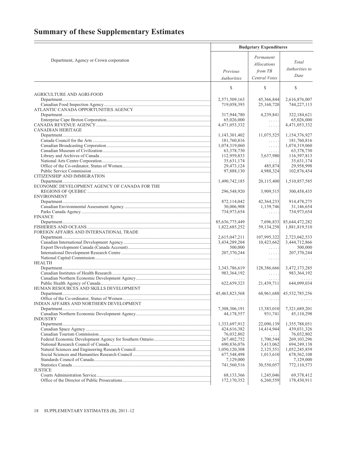## <span id="page-15-0"></span>**Summary of these Supplementary Estimates**

|                                               |                                | <b>Budgetary Expenditures</b>                                                                 |                                                  |
|-----------------------------------------------|--------------------------------|-----------------------------------------------------------------------------------------------|--------------------------------------------------|
| Department, Agency or Crown corporation       | Previous<br><b>Authorities</b> | Permanent<br>Allocations<br>from TB<br>Central Votes                                          | Total<br>Authorities to<br>Date                  |
|                                               |                                | S                                                                                             | \$                                               |
| AGRICULTURE AND AGRI-FOOD                     | \$                             |                                                                                               |                                                  |
|                                               | 2,571,509,163                  | 45,366,844                                                                                    | 2,616,876,007                                    |
|                                               | 719,058,393                    | 25,168,720                                                                                    | 744,227,113                                      |
| ATLANTIC CANADA OPPORTUNITIES AGENCY          |                                |                                                                                               |                                                  |
|                                               | 317,944,780                    | 4,239,841                                                                                     | 322,184,621                                      |
|                                               | 65,026,000                     | $\mathcal{L}(\mathcal{A}^{\prime},\mathcal{A}^{\prime},\mathcal{A}^{\prime})$                 | 65,026,000                                       |
|                                               | 4,471,053,332                  | .                                                                                             | 4,471,053,332                                    |
| <b>CANADIAN HERITAGE</b>                      |                                |                                                                                               |                                                  |
|                                               | 1,143,301,402                  | 11,075,525                                                                                    | 1,154,376,927                                    |
|                                               | 181,760,816<br>1,074,319,060   | $\alpha$ , $\alpha$ , $\alpha$ , $\alpha$<br>$\mathbb{Z}^2$ , $\mathbb{Z}^2$ , $\mathbb{Z}^2$ | 181,760,816<br>1,074,319,060                     |
|                                               | 63,378,730                     | $\cdots$                                                                                      | 63,378,730                                       |
|                                               | 112,959,833                    | 3,637,980                                                                                     | 116,597,813                                      |
|                                               | 35,631,174                     | $\mathcal{L}^{\mathcal{A}}$ . The set of $\mathcal{A}$                                        | 35,631,174                                       |
|                                               | 29,473,124                     | 485,874                                                                                       | 29,958,998                                       |
|                                               | 97,888,130                     | 4,988,324                                                                                     | 102,876,454                                      |
| CITIZENSHIP AND IMMIGRATION                   |                                |                                                                                               |                                                  |
|                                               | 1,490,742,185                  | 20,115,400                                                                                    | 1,510,857,585                                    |
| ECONOMIC DEVELOPMENT AGENCY OF CANADA FOR THE |                                |                                                                                               |                                                  |
|                                               | 296,548,920                    | 3,909,515                                                                                     | 300,458,435                                      |
| <b>ENVIRONMENT</b>                            | 872,114,042                    |                                                                                               |                                                  |
|                                               | 30,006,908                     | 42, 364, 233<br>1,139,746                                                                     | 914,478,275<br>31,146,654                        |
|                                               | 734,973,654                    | $\alpha$ , $\alpha$ , $\alpha$                                                                | 734,973,654                                      |
| <b>FINANCE</b>                                |                                |                                                                                               |                                                  |
|                                               | 85,636,775,449                 | 7,696,833                                                                                     | 85,644,472,282                                   |
|                                               | 1,822,685,252                  | 59, 134, 258                                                                                  | 1,881,819,510                                    |
| FOREIGN AFFAIRS AND INTERNATIONAL TRADE       |                                |                                                                                               |                                                  |
|                                               | 2,615,047,211                  | 107,995,322                                                                                   | 2,723,042,533                                    |
|                                               | 3,434,289,204                  | 10,423,662                                                                                    | 3,444,712,866                                    |
|                                               | 500,000                        | .                                                                                             | 500,000                                          |
|                                               | 207,370,244                    | $\alpha$ , $\alpha$ , $\alpha$                                                                | 207, 370, 244                                    |
| <b>HEALTH</b>                                 | $\ldots$                       | $\alpha$ , $\alpha$ , $\alpha$                                                                | $\mathbb{R}^n$ . In the $\mathbb{R}^n$           |
|                                               | 3, 343, 786, 619               | 128,386,666                                                                                   | 3,472,173,285                                    |
|                                               | 983, 364, 192                  | $\alpha$ , $\alpha$ , $\alpha$                                                                | 983, 364, 192                                    |
|                                               |                                |                                                                                               |                                                  |
|                                               | 622, 659, 323                  | 21,439,711                                                                                    | 644,099,034                                      |
| HUMAN RESOURCES AND SKILLS DEVELOPMENT        |                                |                                                                                               |                                                  |
|                                               | 45,463,823,568                 | 68,961,688                                                                                    | 45, 532, 785, 256                                |
|                                               | $\ldots$                       | $\cdots$                                                                                      | $\mathbb{Z}^n$ . $\mathbb{Z}^n$ , $\mathbb{Z}^n$ |
| INDIAN AFFAIRS AND NORTHERN DEVELOPMENT       |                                |                                                                                               |                                                  |
|                                               | 7,308,306,191                  | 13,383,010                                                                                    | 7,321,689,201                                    |
|                                               | 44,178,557                     | 931,741                                                                                       | 45,110,298                                       |
| <b>INDUSTRY</b>                               | 1,333,697,912                  | 22,090,139                                                                                    | 1,355,788,051                                    |
|                                               | 424,616,382                    | 14,414,944                                                                                    | 439,031,326                                      |
|                                               | 76,032,802                     | $\sim$ $\sim$ $\sim$                                                                          | 76,032,802                                       |
|                                               | 267,402,752                    | 1,700,544                                                                                     | 269, 103, 296                                    |
|                                               | 690,836,076                    | 3,413,062                                                                                     | 694,249,138                                      |
|                                               | 1,050,120,308                  | 2,125,551                                                                                     | 1,052,245,859                                    |
|                                               | 677,548,498                    | 1,013,610                                                                                     | 678, 562, 108                                    |
|                                               | 7,129,000                      |                                                                                               | 7,129,000                                        |
|                                               | 741,560,516                    | 30,550,057                                                                                    | 772,110,573                                      |
| <b>JUSTICE</b>                                |                                |                                                                                               |                                                  |
|                                               | 68,133,366                     | 1,245,046                                                                                     | 69,378,412                                       |
|                                               | 172, 170, 352                  | 6,260,559                                                                                     | 178,430,911                                      |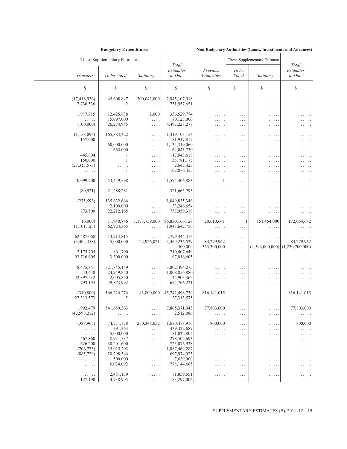| <b>Budgetary Expenditures</b>                                        |                                        |                                                                 |                                            | Non-Budgetary Authorities (Loans, Investments and Advances) |                             |                               |                                                                                                 |
|----------------------------------------------------------------------|----------------------------------------|-----------------------------------------------------------------|--------------------------------------------|-------------------------------------------------------------|-----------------------------|-------------------------------|-------------------------------------------------------------------------------------------------|
|                                                                      | These Supplementary Estimates          |                                                                 |                                            |                                                             |                             | These Supplementary Estimates |                                                                                                 |
| Transfers                                                            | To be Voted                            | Statutory                                                       | Total<br>Estimates<br>to Date              | Previous<br>Authorities                                     | To be<br>Voted              | Statutory                     | Total<br>Estimates<br>to Date                                                                   |
| \$                                                                   | \$                                     | \$                                                              | \$                                         | \$                                                          | \$                          | \$                            | \$                                                                                              |
| (17, 418, 936)                                                       | 45,608,847                             | 300,042,000                                                     | 2,945,107,918                              | $\ldots$                                                    | $\cdots$                    | .                             | .                                                                                               |
| 7,730,536                                                            | 2                                      | .                                                               | 751,957,651                                | .                                                           | .                           | .                             | .                                                                                               |
| 1,917,315<br>$\mathbb{Z}^2$ . The set of $\mathbb{Z}^2$<br>(100,000) | 12,425,838<br>15,097,000<br>26,274,945 | 2,000<br>$\mathbb{R}^n \times \mathbb{R}^n \times \mathbb{R}^n$ | 336,529,774<br>80,123,000<br>4,497,228,277 | .<br>.                                                      | .<br>.                      | .<br>.                        | .                                                                                               |
| (1,158,096)                                                          | 165,884,322                            | $\ldots$<br>$\ldots$                                            | 1,319,103,153                              | .<br>.                                                      | .<br>.                      | .<br>.                        | .<br>.                                                                                          |
| 157,000                                                              | 1                                      | $\mathbb{R}^n$ . In the $\mathbb{R}^n$                          | 181,917,817                                | .                                                           | .                           | .                             | .                                                                                               |
| $\ldots$                                                             | 60,000,000                             | .                                                               | 1,134,319,060                              | .                                                           | .                           | .                             | .                                                                                               |
| $\ldots$                                                             | 665,000                                | $\mathbb{R}^n \times \mathbb{R}^n \times \mathbb{R}^n$          | 64,043,730                                 | .                                                           | .                           | .                             | .                                                                                               |
| 445,804                                                              | 1                                      | $\ldots$                                                        | 117,043,618                                | .                                                           | .                           | .                             | .                                                                                               |
| 150,000                                                              | 1                                      | .                                                               | 35,781,175                                 | .                                                           | .                           | .                             | .                                                                                               |
| (27,313,573)                                                         | .                                      | .                                                               | 2,645,425                                  | .                                                           | .                           | .                             | .                                                                                               |
| $\mathbb{Z}^2$ . The set of $\mathbb{Z}^2$                           | 1                                      | .                                                               | 102,876,455                                | .                                                           | .                           | .                             | .                                                                                               |
| 10,099,700                                                           | 53,449,598                             | $\alpha$ is a second .                                          | 1,574,406,883                              | 1                                                           | .                           | .                             | 1                                                                                               |
| (80, 921)                                                            | 21,288,281                             | $\alpha$ is a second .                                          | 321,665,795                                | .                                                           | .                           | .                             | .                                                                                               |
| (275, 593)                                                           | 135,632,664                            | $\ldots$                                                        | 1,049,835,346                              | .                                                           | .                           | .                             | .                                                                                               |
| $\alpha$ is a second                                                 | 2,100,000                              | $\ldots$                                                        | 33,246,654                                 | .                                                           | .                           | .                             | .                                                                                               |
| 773,500                                                              | 22,212,165                             | $\mathbb{Z}^2$ . $\mathbb{Z}^2$ , $\mathbb{Z}^2$                | 757,959,319                                | $\ldots$                                                    | $\cdots$                    | .                             | .                                                                                               |
| (6,000)                                                              | 11,940,846                             | 1,173,759,000                                                   | 86,830,166,128                             | 20,610,641                                                  | 1                           | 151,454,000                   | 172,064,642                                                                                     |
| (1,101,125)                                                          | 62,924,365                             | .                                                               | 1,943,642,750                              | .                                                           | $\cdots$                    | .                             | .                                                                                               |
| 62,487,068                                                           | 13,914,815                             | .                                                               | 2,799,444,416                              | .                                                           | .                           | $\ldots$                      | .                                                                                               |
| (3,402,358)<br>.<br>2,175,705                                        | 5,000,000<br>.<br>861,700              | 22,926,021<br>.<br>$\ldots$                                     | 3,469,236,529<br>500,000<br>210,407,649    | 84,279,962<br>363,300,000<br>$\ldots$                       | .<br>.<br>.                 | .<br>$\cdots$                 | 84,279,962<br>$(1,594,000,000)$ $(1,230,700,000)$<br>$\mathbb{Z}^2$ . The set of $\mathbb{Z}^2$ |
| 93,716,605<br>8,475,841                                              | 3,300,000<br>321,845,149               | $\alpha$ , $\alpha$ , $\alpha$<br>$\ldots$                      | 97,016,605<br>3,802,494,275                | $\ldots$<br>.                                               | .                           | $\cdots$<br>.                 | .<br>.                                                                                          |
| 543,438<br>42,897,512<br>793,195                                     | 24,949,250<br>2,005,850<br>29,873,992  | .<br>$\ldots$<br>$\ldots$                                       | 1,008,856,880<br>44,903,362<br>674,766,221 | .<br>.<br>$\ldots$                                          | .<br>.<br>.<br>.            | .<br>.<br>.                   | .<br>.<br>.                                                                                     |
| (310, 800)                                                           | 166,224,274                            | 43,800,000                                                      | 45,742,498,730                             | 816, 141, 015                                               | $\cdots$                    | $\ldots$                      | 816, 141, 015                                                                                   |
| 27,313,573                                                           | 2                                      | $\epsilon$ , $\epsilon$ , $\epsilon$ , $\epsilon$               | 27,313,575                                 | $\cdots$                                                    | .                           | .                             | .                                                                                               |
| 1,992,479                                                            | 541,689,363                            | $\cdots$                                                        | 7,865,371,043                              | 77,803,000                                                  | .                           | .                             | 77,803,000                                                                                      |
| (42, 598, 212)                                                       | .                                      | $\cdots$                                                        | 2,512,086                                  | $\ldots$                                                    | $\cdots\cdots\cdots$        | .                             | .                                                                                               |
| (388, 965)                                                           | 74,731,778                             | 250,348,052                                                     | 1,680,478,916                              | 800,000                                                     | .                           | .                             | 800,000                                                                                         |
| $\mathbb{Z}^2$ . The set of $\mathbb{Z}^2$                           | 391,363                                | .                                                               | 439,422,689                                | $\ldots$                                                    | .                           | .                             | .                                                                                               |
| $\ldots$                                                             | 5,000,000                              | .                                                               | 81,032,802                                 | $\sim$ $\sim$ $\sim$ $\sim$ $\sim$                          | $\cdots\cdots\cdots$        | .                             | .                                                                                               |
| 467,860                                                              | 8,931,537                              | .                                                               | 278,502,693                                | $\sim$ $\sim$ $\sim$ $\sim$ $\sim$                          | .                           | .                             | .                                                                                               |
| 626,200                                                              | 30,201,600                             | .                                                               | 725,076,938                                | $\ldots$ .                                                  | .                           | .                             | .                                                                                               |
| (706, 775)                                                           | 35,925,203                             | .                                                               | 1,087,464,287                              | $\cdots\cdots\cdots$                                        | .                           | .                             | .                                                                                               |
| (885, 729)                                                           | 20,298,544                             | $\cdots$                                                        | 697,974,923                                | $\sim$ $\sim$ $\sim$ $\sim$ $\sim$                          | $\cdots\cdots\cdots$        | .                             | .                                                                                               |
| $\ldots$                                                             | 500,000                                | $\cdots$                                                        | 7,629,000                                  | $\cdots\cdots\cdots$                                        | .                           | .                             | .                                                                                               |
| $\mathbb{Z}^2$ . The set of $\mathbb{Z}^2$                           | 6,034,092                              | $\epsilon$ , $\epsilon$ , $\epsilon$ , $\epsilon$               | 778,144,665                                | $\sim$ $\sim$ $\sim$ $\sim$ $\sim$                          | .                           | .                             | .                                                                                               |
| $\ldots$                                                             | 2,481,139                              | $\ldots$                                                        | 71,859,551                                 | $\cdots\cdots\cdots$                                        | $\cdots\cdots\cdots$        | $\cdots\cdots\cdots$          | .                                                                                               |
| 127,190                                                              | 4,738,905                              | .                                                               | 183,297,006                                | $\sim$ $\sim$ $\sim$ $\sim$ $\sim$                          | $\sim$ $\sim$ $\sim$ $\sim$ | $\cdots\cdots$                |                                                                                                 |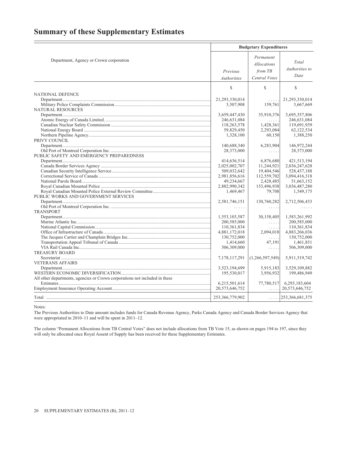## **Summary of these Supplementary Estimates**

|                                                                             | <b>Budgetary Expenditures</b>  |                                                             |                                 |  |
|-----------------------------------------------------------------------------|--------------------------------|-------------------------------------------------------------|---------------------------------|--|
| Department, Agency or Crown corporation                                     | Previous<br><b>Authorities</b> | Permanent<br><b>Allocations</b><br>from TB<br>Central Votes | Total<br>Authorities to<br>Date |  |
|                                                                             | \$                             | $\mathbb{S}$                                                | $\mathcal{S}$                   |  |
| NATIONAL DEFENCE                                                            |                                |                                                             |                                 |  |
|                                                                             | 21,293,330,014                 | .                                                           | 21,293,330,014                  |  |
|                                                                             | 3,507,908                      | 159,761                                                     | 3,667,669                       |  |
| <b>NATURAL RESOURCES</b>                                                    |                                |                                                             |                                 |  |
|                                                                             | 3,659,447,430                  | 35,910,376                                                  | 3,695,357,806                   |  |
|                                                                             | 246,631,084                    | .                                                           | 246.631.084                     |  |
|                                                                             | 118,263,578                    | 1,428,361                                                   | 119,691,939                     |  |
|                                                                             | 59,829,450                     | 2,293,084                                                   | 62,122,534                      |  |
|                                                                             | 1,328,100                      | 60,150                                                      | 1,388,250                       |  |
| PRIVY COUNCIL                                                               |                                |                                                             |                                 |  |
|                                                                             | 140,688,340                    | 6,283,904                                                   | 146,972,244                     |  |
|                                                                             | 28,373,000                     | $\ldots$                                                    | 28,373,000                      |  |
| PUBLIC SAFETY AND EMERGENCY PREPAREDNESS                                    |                                |                                                             |                                 |  |
|                                                                             | 414,636,514                    | 6,876,680                                                   | 421,513,194                     |  |
|                                                                             | 2,025,002,707                  | 11,244,921                                                  | 2,036,247,628                   |  |
|                                                                             | 509,032,642                    | 19,404,546                                                  | 528,437,188                     |  |
|                                                                             | 2,981,856,616                  | 112,559,702                                                 | 3,094,416,318                   |  |
|                                                                             | 49,234,667                     | 2,428,485                                                   | 51,663,152                      |  |
|                                                                             | 2,882,990,342                  | 153,496,938                                                 | 3,036,487,280                   |  |
|                                                                             | 1,469,467                      | 79,708                                                      | 1,549,175                       |  |
| PUBLIC WORKS AND GOVERNMENT SERVICES                                        |                                |                                                             |                                 |  |
|                                                                             | 2,581,746,151                  | 130,760,282                                                 | 2,712,506,433                   |  |
|                                                                             | .                              | .                                                           | .                               |  |
| <b>TRANSPORT</b>                                                            |                                |                                                             |                                 |  |
|                                                                             | 1,553,103,587                  | 30,158,405                                                  | 1,583,261,992                   |  |
|                                                                             | 200,585,000                    | $\ldots$                                                    | 200,585,000                     |  |
|                                                                             | 110,361,834                    | $\ldots$                                                    | 110,361,834                     |  |
|                                                                             | 4,881,172,018                  | 2,094,018                                                   | 4,883,266,036                   |  |
|                                                                             | 130,752,000                    | $\sim 1.1$ , $\sim$                                         | 130,752,000                     |  |
|                                                                             | 1,414,660                      | 47,191                                                      | 1,461,851                       |  |
|                                                                             | 506,309,000                    | $\ldots$                                                    | 506,309,000                     |  |
| TREASURY BOARD                                                              |                                |                                                             |                                 |  |
|                                                                             | 7,178,117,291                  | (1,266,597,549)                                             | 5,911,519,742                   |  |
| <b>VETERANS AFFAIRS</b>                                                     |                                |                                                             |                                 |  |
|                                                                             | 3,523,194,699                  | 5,915,183                                                   | 3,529,109,882                   |  |
|                                                                             | 195,530,017                    | 3,956,932                                                   | 199,486,949                     |  |
| All other departments, agencies or Crown corporations not included in these |                                |                                                             |                                 |  |
|                                                                             | 6,215,501,614                  | 77,780,517                                                  | 6,293,183,604                   |  |
|                                                                             | 20,573,646,752                 | .                                                           | 20,573,646,752                  |  |
|                                                                             |                                |                                                             |                                 |  |
|                                                                             | 253,366,779,902                |                                                             | $\ldots$ 253,366,681,375        |  |

Notes:

The Previous Authorities to Date amount includes funds for Canada Revenue Agency, Parks Canada Agency and Canada Border Services Agency that were appropriated in 2010–11 and will be spent in 2011–12.

The column "Permanent Allocations from TB Central Votes" does not include allocations from TB Vote 15, as shown on pages 194 to 197, since they will only be allocated once Royal Assent of Supply has been received for these Supplementary Estimates.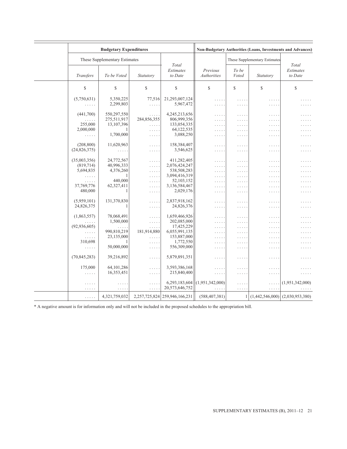|                                                                                                                                                                                                                                                                                                                                                                                                              | <b>Budgetary Expenditures</b>                                                                                                                                                                                                                |                                                                                                                                                                                                                                                                                                                                                         |                                                                                                                                                                                                                                                                                                                                            |                                                                                                                   |                                                                                                                                                                                  |                                                                                                                     | Non-Budgetary Authorities (Loans, Investments and Advances) |  |  |
|--------------------------------------------------------------------------------------------------------------------------------------------------------------------------------------------------------------------------------------------------------------------------------------------------------------------------------------------------------------------------------------------------------------|----------------------------------------------------------------------------------------------------------------------------------------------------------------------------------------------------------------------------------------------|---------------------------------------------------------------------------------------------------------------------------------------------------------------------------------------------------------------------------------------------------------------------------------------------------------------------------------------------------------|--------------------------------------------------------------------------------------------------------------------------------------------------------------------------------------------------------------------------------------------------------------------------------------------------------------------------------------------|-------------------------------------------------------------------------------------------------------------------|----------------------------------------------------------------------------------------------------------------------------------------------------------------------------------|---------------------------------------------------------------------------------------------------------------------|-------------------------------------------------------------|--|--|
|                                                                                                                                                                                                                                                                                                                                                                                                              | These Supplementary Estimates                                                                                                                                                                                                                |                                                                                                                                                                                                                                                                                                                                                         |                                                                                                                                                                                                                                                                                                                                            | These Supplementary Estimates                                                                                     |                                                                                                                                                                                  |                                                                                                                     |                                                             |  |  |
| Transfers                                                                                                                                                                                                                                                                                                                                                                                                    | To be Voted                                                                                                                                                                                                                                  | Statutory                                                                                                                                                                                                                                                                                                                                               | Total<br>Estimates<br>to Date                                                                                                                                                                                                                                                                                                              | Previous<br>Authorities                                                                                           | To be<br>Voted                                                                                                                                                                   | Statutory                                                                                                           | Total<br>Estimates<br>to Date                               |  |  |
| $\mathbb{S}$                                                                                                                                                                                                                                                                                                                                                                                                 | \$                                                                                                                                                                                                                                           | $\mathbb{S}$                                                                                                                                                                                                                                                                                                                                            | $\mathbb{S}$                                                                                                                                                                                                                                                                                                                               | $\mathcal{S}$                                                                                                     | \$                                                                                                                                                                               | \$                                                                                                                  | \$                                                          |  |  |
| (5,750,631)<br>$\alpha$ is a second                                                                                                                                                                                                                                                                                                                                                                          | 5,350,225<br>2,299,803                                                                                                                                                                                                                       | 77,516<br>$\ldots$                                                                                                                                                                                                                                                                                                                                      | 21,293,007,124<br>5,967,472                                                                                                                                                                                                                                                                                                                | .<br>.                                                                                                            | .<br>.                                                                                                                                                                           | .<br>.                                                                                                              |                                                             |  |  |
| (441,700)<br>$\alpha$ is a second .<br>255,000<br>2,000,000<br>$\mathbb{Z}^2$ . The set of $\mathbb{Z}^2$<br>(208, 800)<br>(24,826,375)<br>(35,003,356)<br>(819,714)<br>5,694,835<br>$\mathbb{Z}^2$ . The set of $\mathbb{Z}^2$<br>$\mathbb{Z}^2$ . The set of $\mathbb{Z}^2$<br>37,769,776<br>480,000<br>(5,959,101)<br>24,826,375<br>(1,863,557)<br>.<br>(92, 936, 605)<br>$\ldots$<br>$\ldots$<br>310,698 | 550,297,550<br>275,511,917<br>13,107,396<br>1,700,000<br>11,620,963<br>$\ldots$<br>24,772,567<br>40,996,333<br>4,376,260<br>1<br>440,000<br>62,327,411<br>1<br>131,370,830<br>1<br>78,068,491<br>1,500,000<br>.<br>990,810,219<br>23,135,000 | .<br>284,856,355<br>$\ldots$<br>$\alpha$ is a second .<br>$\mathbb{R}^n$ . In the $\mathbb{R}^n$<br>.<br>$\mathbb{R}^n$ . In the $\mathbb{R}^n$<br>.<br>.<br>$\ldots$<br>$\ldots$<br>$\sim$ $\sim$ $\sim$ $\sim$ $\sim$<br>$\ldots$<br>$\ldots$<br>$\ldots$<br>.<br>.<br>.<br>.<br>181,914,880<br>$\mathbb{R}^2$ . $\mathbb{R}^2$ , $\mathbb{R}^2$<br>. | 4,245,213,656<br>806,999,356<br>133,054,335<br>64, 122, 535<br>3,088,250<br>158,384,407<br>3,546,625<br>411,282,405<br>2,076,424,247<br>538,508,283<br>3,094,416,319<br>52,103,152<br>3,136,584,467<br>2,029,176<br>2,837,918,162<br>24,826,376<br>1,659,466,926<br>202,085,000<br>17,425,229<br>6,055,991,135<br>153,887,000<br>1,772,550 | .<br>.<br>.<br>.<br>.<br>.<br>.<br>.<br>.<br>.<br>.<br>.<br>$\cdots$<br>.<br>.<br>.<br>.<br>.<br>.<br>.<br>.<br>. | .<br>.<br>.<br>.<br>.<br>$\ldots$<br>.<br>.<br>$\ldots$ .<br>$\ldots$<br>$\sim$ $\sim$ $\sim$ $\sim$<br>$\ldots$<br>$\ldots$<br>.<br>.<br>.<br>.<br>$\ldots$<br>.<br>.<br>.<br>. | $\cdots$<br>.<br>.<br>.<br>.<br>.<br>.<br>.<br>.<br>.<br>$\cdots$<br>.<br>.<br>.<br>.<br>.<br>.<br>.<br>.<br>.<br>. | .<br>.<br>.<br>.<br>.<br>.<br>.<br>.<br>.<br>.<br>.         |  |  |
| $\mathbb{Z}^2$ . $\mathbb{Z}^2$ , $\mathbb{Z}^2$<br>(70, 845, 283)                                                                                                                                                                                                                                                                                                                                           | 50,000,000<br>39,216,892                                                                                                                                                                                                                     | $\ldots$<br>$\ldots$                                                                                                                                                                                                                                                                                                                                    | 556,309,000<br>5,879,891,351                                                                                                                                                                                                                                                                                                               | .<br>.                                                                                                            | .<br>.                                                                                                                                                                           | .<br>.                                                                                                              | .<br>.                                                      |  |  |
| 175,000<br>$\mathbb{Z}^2$ . The set of $\mathbb{Z}^2$<br>$\sim$ $\sim$ $\sim$ $\sim$ $\sim$                                                                                                                                                                                                                                                                                                                  | 64, 101, 286<br>16,353,451<br>$\cdots\cdots\cdots$                                                                                                                                                                                           | $\sim$ $\sim$ $\sim$ $\sim$ $\sim$<br>.<br>$\alpha$ , $\alpha$ , $\alpha$                                                                                                                                                                                                                                                                               | 3,593,386,168<br>215,840,400                                                                                                                                                                                                                                                                                                               | .<br>.<br>$6,293,183,604$ (1,951,342,000)                                                                         | .<br>.<br>.                                                                                                                                                                      | .<br>.<br>.                                                                                                         | 1.1.1.1<br>(1,951,342,000)                                  |  |  |
| $\mathbb{Z}^n$ . In the $\mathbb{Z}^n$<br>$\mathbf{r}$ is a set of                                                                                                                                                                                                                                                                                                                                           | $\ldots$<br>4,321,759,032                                                                                                                                                                                                                    | $\ldots$ .                                                                                                                                                                                                                                                                                                                                              | 20,573,646,752<br>2,257,725,824 259,946,166,231                                                                                                                                                                                                                                                                                            | (588, 407, 381)                                                                                                   | $\ldots$                                                                                                                                                                         | $\ldots$<br>1 (1,442,546,000) (2,030,953,380)                                                                       |                                                             |  |  |

\* A negative amount is for information only and will not be included in the proposed schedules to the appropriation bill.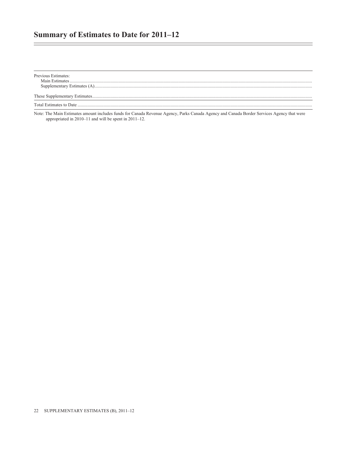## <span id="page-19-0"></span>Summary of Estimates to Date for 2011-12

Previous Estimates: 

 $\overline{\phantom{0}}$ 

Note: The Main Estimates amount includes funds for Canada Revenue Agency, Parks Canada Agency and Canada Border Services Agency that were appropriated in 2010-11 and will be spent in 2011-12.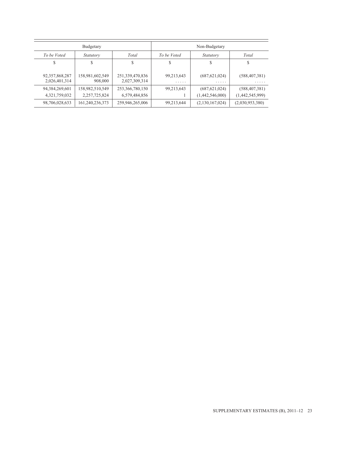|                                    | Budgetary                  |                                  |                 | Non-Budgetary        |                      |
|------------------------------------|----------------------------|----------------------------------|-----------------|----------------------|----------------------|
| To be Voted                        | Statutory                  | Total                            | To be Voted     | Statutory            | Total                |
| \$                                 | \$                         | \$                               | S               | \$                   | \$                   |
| 92, 357, 868, 287<br>2,026,401,314 | 158,981,602,549<br>908,000 | 251,339,470,836<br>2,027,309,314 | 99,213,643<br>. | (687, 621, 024)<br>. | (588, 407, 381)<br>. |
| 94, 384, 269, 601                  | 158,982,510,549            | 253, 366, 780, 150               | 99,213,643      | (687, 621, 024)      | (588, 407, 381)      |
| 4,321,759,032                      | 2,257,725,824              | 6,579,484,856                    |                 | (1,442,546,000)      | (1,442,545,999)      |
| 98,706,028,633                     | 161,240,236,373            | 259,946,265,006                  | 99,213,644      | (2,130,167,024)      | (2,030,953,380)      |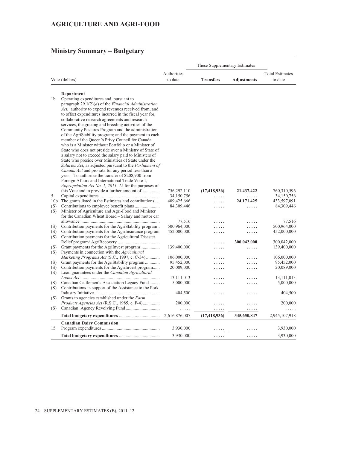|  | <b>Ministry Summary - Budgetary</b> |  |
|--|-------------------------------------|--|
|--|-------------------------------------|--|

| These Supplementary Estimates                                                                                    |               |                  |                    |                        |
|------------------------------------------------------------------------------------------------------------------|---------------|------------------|--------------------|------------------------|
|                                                                                                                  | Authorities   |                  |                    | <b>Total Estimates</b> |
| Vote (dollars)                                                                                                   | to date       | <b>Transfers</b> | <b>Adjustments</b> | to date                |
|                                                                                                                  |               |                  |                    |                        |
|                                                                                                                  |               |                  |                    |                        |
| Department<br>1 <sub>b</sub>                                                                                     |               |                  |                    |                        |
| Operating expenditures and, pursuant to<br>paragraph $29.1(2)(a)$ of the <i>Financial Administration</i>         |               |                  |                    |                        |
| Act, authority to expend revenues received from, and                                                             |               |                  |                    |                        |
| to offset expenditures incurred in the fiscal year for,                                                          |               |                  |                    |                        |
| collaborative research agreements and research                                                                   |               |                  |                    |                        |
| services, the grazing and breeding activities of the                                                             |               |                  |                    |                        |
| Community Pastures Program and the administration                                                                |               |                  |                    |                        |
| of the AgriStability program; and the payment to each                                                            |               |                  |                    |                        |
| member of the Queen's Privy Council for Canada                                                                   |               |                  |                    |                        |
| who is a Minister without Portfolio or a Minister of                                                             |               |                  |                    |                        |
| State who does not preside over a Ministry of State of                                                           |               |                  |                    |                        |
| a salary not to exceed the salary paid to Ministers of<br>State who preside over Ministries of State under the   |               |                  |                    |                        |
| Salaries Act, as adjusted pursuant to the Parliament of                                                          |               |                  |                    |                        |
| <i>Canada Act</i> and pro rata for any period less than a                                                        |               |                  |                    |                        |
| $year - To authorize the transfer of $208,900 from$                                                              |               |                  |                    |                        |
| Foreign Affairs and International Trade Vote 1,                                                                  |               |                  |                    |                        |
| Appropriation Act No. 1, 2011–12 for the purposes of                                                             |               |                  |                    |                        |
|                                                                                                                  | 756,292,110   | (17, 418, 936)   | 21,437,422         | 760,310,596            |
| 5                                                                                                                | 34,150,756    | .                | .                  | 34,150,756             |
| 10 <sub>b</sub><br>The grants listed in the Estimates and contributions                                          | 409,425,666   |                  | 24, 171, 425       | 433,597,091            |
| (S)                                                                                                              | 84,309,446    | .                | .                  | 84,309,446             |
| (S)<br>Minister of Agriculture and Agri-Food and Minister<br>for the Canadian Wheat Board - Salary and motor car |               |                  |                    |                        |
|                                                                                                                  | 77,516        |                  |                    | 77,516                 |
| Contribution payments for the AgriStability program<br>(S)                                                       | 500,964,000   |                  |                    | 500,964,000            |
| Contribution payments for the Agril nsurance program<br>(S)                                                      | 452,000,000   | .                | .                  | 452,000,000            |
| (S)<br>Contribution payments for the Agricultural Disaster                                                       |               |                  |                    |                        |
|                                                                                                                  | .             | .                | 300,042,000        | 300,042,000            |
| (S)                                                                                                              | 139,400,000   | .                | .                  | 139,400,000            |
| Payments in connection with the <i>Agricultural</i><br>(S)                                                       |               |                  |                    |                        |
| <i>Marketing Programs Act</i> (S.C., 1997, c. C-34)                                                              | 106,000,000   |                  |                    | 106,000,000            |
| (S)<br>Grant payments for the AgriStability program                                                              | 95,452,000    | .                | .                  | 95,452,000             |
| (S)<br>Contribution payments for the AgriInvest program                                                          | 20,089,000    | .                | .                  | 20,089,000             |
| Loan guarantees under the Canadian Agricultural<br>(S)                                                           | 13, 111, 013  |                  |                    | 13, 111, 013           |
| Canadian Cattlemen's Association Legacy Fund<br>(S)                                                              | 5,000,000     | .<br>.           | .<br>.             | 5,000,000              |
| Contributions in support of the Assistance to the Pork<br>(S)                                                    |               |                  |                    |                        |
|                                                                                                                  | 404,500       | .                | .                  | 404,500                |
| Grants to agencies established under the Farm<br>(S)                                                             |               |                  |                    |                        |
| Products Agencies Act (R.S.C., 1985, c. F-4)                                                                     | 200,000       | .                | .                  | 200,000                |
| (S)                                                                                                              |               | .                |                    |                        |
|                                                                                                                  | 2,616,876,007 | (17, 418, 936)   | 345,650,847        | 2,945,107,918          |
| <b>Canadian Dairy Commission</b>                                                                                 |               |                  |                    |                        |
| 15                                                                                                               | 3,930,000     |                  |                    | 3,930,000              |
|                                                                                                                  | 3,930,000     | .                | .                  | 3,930,000              |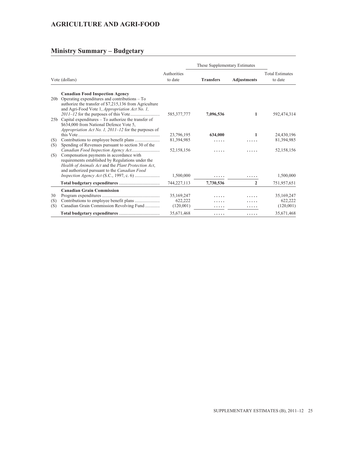## **Ministry Summary – Budgetary**

|                  |                                                                                                                                                                                                      |                                    | These Supplementary Estimates |                    |                                    |
|------------------|------------------------------------------------------------------------------------------------------------------------------------------------------------------------------------------------------|------------------------------------|-------------------------------|--------------------|------------------------------------|
| Vote (dollars)   |                                                                                                                                                                                                      | Authorities<br>to date             | <b>Transfers</b>              | <b>Adjustments</b> | <b>Total Estimates</b><br>to date  |
|                  | <b>Canadian Food Inspection Agency</b><br>$20b$ Operating expenditures and contributions $-$ To<br>authorize the transfer of \$7,215,136 from Agriculture                                            |                                    |                               |                    |                                    |
|                  | and Agri-Food Vote 1, Appropriation Act No. 1,<br>25b Capital expenditures – To authorize the transfer of<br>\$634,000 from National Defence Vote 5,                                                 | 585, 377, 777                      | 7,096,536                     | 1                  | 592,474,314                        |
|                  | <i>Appropriation Act No. 1, 2011–12</i> for the purposes of                                                                                                                                          | 23,796,195                         | 634,000                       | 1                  | 24,430,196                         |
| (S)<br>(S)       | Spending of Revenues pursuant to section 30 of the                                                                                                                                                   | 81,394,985                         |                               |                    | 81,394,985                         |
| (S)              | Compensation payments in accordance with<br>requirements established by Regulations under the<br>Health of Animals Act and the Plant Protection Act,<br>and authorized pursuant to the Canadian Food | 52,158,156                         |                               |                    | 52,158,156                         |
|                  |                                                                                                                                                                                                      | 1,500,000                          |                               |                    | 1,500,000                          |
|                  |                                                                                                                                                                                                      | 744,227,113                        | 7,730,536                     | $\mathbf{2}$       | 751,957,651                        |
| 30<br>(S)<br>(S) | <b>Canadian Grain Commission</b><br>Canadian Grain Commission Revolving Fund                                                                                                                         | 35,169,247<br>622,222<br>(120,001) |                               |                    | 35,169,247<br>622,222<br>(120,001) |
|                  |                                                                                                                                                                                                      | 35,671,468                         | .                             | .                  | 35,671,468                         |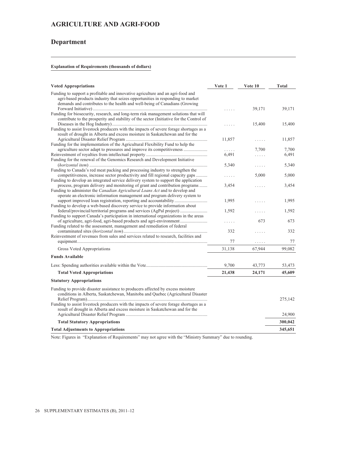## <span id="page-23-0"></span>**Department**

## **Explanation of Requirements (thousands of dollars)**

| <b>Voted Appropriations</b>                                                                                                                                                                                                                     | Vote 1  | Vote 10  | Total   |
|-------------------------------------------------------------------------------------------------------------------------------------------------------------------------------------------------------------------------------------------------|---------|----------|---------|
| Funding to support a profitable and innovative agriculture and an agri-food and<br>agri-based products industry that seizes opportunities in responding to market<br>demands and contributes to the health and well-being of Canadians (Growing |         |          |         |
| Funding for biosecurity, research, and long-term risk management solutions that will                                                                                                                                                            |         | 39,171   | 39,171  |
| contribute to the prosperity and stability of the sector (Initiative for the Control of                                                                                                                                                         | .       | 15,400   | 15,400  |
| Funding to assist livestock producers with the impacts of severe forage shortages as a<br>result of drought in Alberta and excess moisture in Saskatchewan and for the                                                                          |         |          |         |
| Funding for the implementation of the Agricultural Flexibility Fund to help the                                                                                                                                                                 | 11,857  | .        | 11,857  |
| agriculture sector adapt to pressures and improve its competitiveness                                                                                                                                                                           | .       | 7,700    | 7,700   |
|                                                                                                                                                                                                                                                 | 6,491   | .        | 6,491   |
| Funding for the renewal of the Genomics Research and Development Initiative                                                                                                                                                                     |         |          |         |
| Funding to Canada's red meat packing and processing industry to strengthen the                                                                                                                                                                  | 5,340   | .        | 5,340   |
| competitiveness, increase sector productivity and fill regional capacity gaps<br>Funding to develop an integrated service delivery system to support the application                                                                            | 1.1.1.1 | 5,000    | 5,000   |
| process, program delivery and monitoring of grant and contribution programs<br>Funding to administer the <i>Canadian Agricultural Loans Act</i> and to develop and                                                                              | 3,454   | .        | 3,454   |
| operate an electronic information management and program delivery system to<br>Funding to develop a web-based discovery service to provide information about                                                                                    | 1,995   | $\cdots$ | 1,995   |
| federal/provincial/territorial programs and services (AgPal project)<br>Funding to support Canada's participation in international organizations in the areas                                                                                   | 1,592   | .        | 1,592   |
| of agriculture, agri-food, agri-based products and agri-environment<br>Funding related to the assessment, management and remediation of federal                                                                                                 | .       | 673      | 673     |
| Reinvestment of revenues from sales and services related to research, facilities and                                                                                                                                                            | 332     | .        | 332     |
|                                                                                                                                                                                                                                                 | 77      | .        | 77      |
| Gross Voted Appropriations                                                                                                                                                                                                                      | 31,138  | 67,944   | 99,082  |
| <b>Funds Available</b>                                                                                                                                                                                                                          |         |          |         |
|                                                                                                                                                                                                                                                 | 9,700   | 43,773   | 53,473  |
| <b>Total Voted Appropriations</b>                                                                                                                                                                                                               | 21,438  | 24,171   | 45,609  |
| <b>Statutory Appropriations</b>                                                                                                                                                                                                                 |         |          |         |
| Funding to provide disaster assistance to producers affected by excess moisture<br>conditions in Alberta, Saskatchewan, Manitoba and Quebec (Agricultural Disaster                                                                              |         |          |         |
| Funding to assist livestock producers with the impacts of severe forage shortages as a<br>result of drought in Alberta and excess moisture in Saskatchewan and for the                                                                          |         |          | 275,142 |
|                                                                                                                                                                                                                                                 |         |          | 24,900  |
| <b>Total Statutory Appropriations</b>                                                                                                                                                                                                           |         |          | 300,042 |
| <b>Total Adjustments to Appropriations</b>                                                                                                                                                                                                      |         |          | 345,651 |

Note: Figures in "Explanation of Requirements" may not agree with the "Ministry Summary" due to rounding.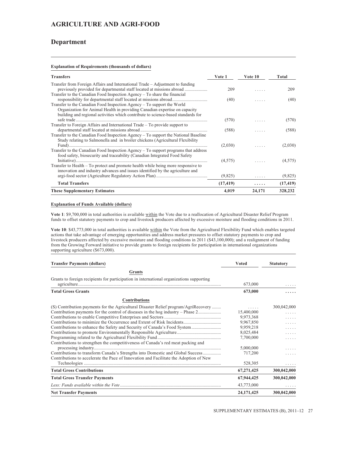## **Department**

#### **Explanation of Requirements (thousands of dollars)**

| <b>Transfers</b>                                                                                                                                                                                                                         | Vote 1    | Vote 10 | Total     |
|------------------------------------------------------------------------------------------------------------------------------------------------------------------------------------------------------------------------------------------|-----------|---------|-----------|
| Transfer from Foreign Affairs and International Trade – Adjustment to funding<br>previously provided for departmental staff located at missions abroad<br>Transfer to the Canadian Food Inspection Agency – To share the financial       | 209       | .       | 209       |
|                                                                                                                                                                                                                                          | (40)      | .       | (40)      |
| Transfer to the Canadian Food Inspection Agency – To support the World<br>Organization for Animal Health in providing Canadian expertise on capacity<br>building and regional activities which contribute to science-based standards for |           |         |           |
|                                                                                                                                                                                                                                          | (570)     |         | (570)     |
| Transfer to Foreign Affairs and International Trade - To provide support to                                                                                                                                                              | (588)     |         | (588)     |
| Transfer to the Canadian Food Inspection Agency – To support the National Baseline<br>Study relating to Salmonella and in broiler chickens (Agricultural Flexibility                                                                     |           |         |           |
| Transfer to the Canadian Food Inspection Agency - To support programs that address                                                                                                                                                       | (2,030)   |         | (2,030)   |
| food safety, biosecurity and traceability (Canadian Integrated Food Safety                                                                                                                                                               |           |         |           |
| Transfer to Health – To protect and promote health while being more responsive to                                                                                                                                                        | (4,575)   | 1.1.1.1 | (4,575)   |
| innovation and industry advances and issues identified by the agriculture and                                                                                                                                                            |           |         |           |
|                                                                                                                                                                                                                                          | (9,825)   |         | (9,825)   |
| <b>Total Transfers</b>                                                                                                                                                                                                                   | (17, 419) | .       | (17, 419) |
| <b>These Supplementary Estimates</b>                                                                                                                                                                                                     | 4,019     | 24,171  | 328,232   |

#### **Explanation of Funds Available (dollars)**

**Vote 1**: \$9,700,000 in total authorities is available within the Vote due to a reallocation of Agricultural Disaster Relief Program funds to offset statutory payments to crop and livestock producers affected by excessive moisture and flooding conditions in 2011.

**Vote 10**: \$43,773,000 in total authorities is available within the Vote from the Agricultural Flexibility Fund which enables targeted actions that take advantage of emerging opportunities and address market pressures to offset statutory payments to crop and livestock producers affected by excessive moisture and flooding conditions in 2011 (\$43,100,000); and a realignment of funding from the Growing Forward initiative to provide grants to foreign recipients for participation in international organizations supporting agriculture (\$673,000).

| <b>Transfer Payments (dollars)</b>                                                       | <b>Voted</b> | <b>Statutory</b> |
|------------------------------------------------------------------------------------------|--------------|------------------|
| <b>Grants</b>                                                                            |              |                  |
| Grants to foreign recipients for participation in international organizations supporting | 673,000      |                  |
| <b>Total Gross Grants</b>                                                                | 673,000      |                  |
| <b>Contributions</b>                                                                     |              |                  |
| (S) Contribution payments for the Agricultural Disaster Relief program/AgriRecovery      | .            | 300,042,000      |
| Contribution payments for the control of diseases in the hog industry – Phase 2          | 15,400,000   |                  |
|                                                                                          | 9,973,368    |                  |
|                                                                                          | 9,967,850    |                  |
| Contributions to enhance the Safety and Security of Canada's Food System                 | 9,959,218    |                  |
|                                                                                          | 8,025,484    | .                |
|                                                                                          | 7,700,000    | .                |
| Contributions to strengthen the competitiveness of Canada's red meat packing and         |              |                  |
|                                                                                          | 5,000,000    |                  |
| Contributions to transform Canada's Strengths into Domestic and Global Success           | 717,200      |                  |
| Contributions to accelerate the Pace of Innovation and Facilitate the Adoption of New    |              |                  |
|                                                                                          | 528,305      |                  |
| <b>Total Gross Contributions</b>                                                         | 67,271,425   | 300,042,000      |
| <b>Total Gross Transfer Payments</b>                                                     | 67,944,425   | 300,042,000      |
|                                                                                          | 43,773,000   | .                |
| <b>Net Transfer Payments</b>                                                             | 24, 171, 425 | 300,042,000      |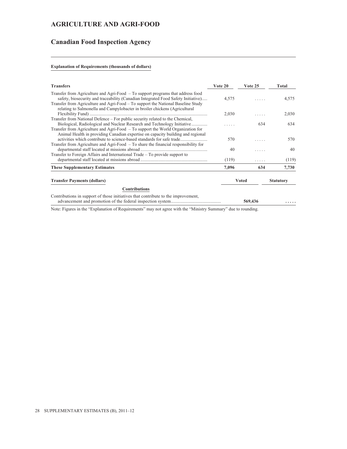## <span id="page-25-0"></span>**Canadian Food Inspection Agency**

## **Explanation of Requirements (thousands of dollars)**

| <b>Transfers</b>                                                                                                                                                     | Vote 20 | Vote 25      | Total            |
|----------------------------------------------------------------------------------------------------------------------------------------------------------------------|---------|--------------|------------------|
| Transfer from Agriculture and Agri-Food – To support programs that address food<br>safety, biosecurity and traceability (Canadian Integrated Food Safety Initiative) | 4,575   | 1.1.1.1      | 4,575            |
| Transfer from Agriculture and Agri-Food – To support the National Baseline Study<br>relating to Salmonella and Campylobacter in broiler chickens (Agricultural       |         |              |                  |
|                                                                                                                                                                      | 2,030   |              | 2,030            |
| Transfer from National Defence - For public security related to the Chemical,                                                                                        |         |              |                  |
| Biological, Radiological and Nuclear Research and Technology Initiative<br>Transfer from Agriculture and Agri-Food – To support the World Organization for           |         | 634          | 634              |
| Animal Health in providing Canadian expertise on capacity building and regional                                                                                      |         |              |                  |
| activities which contribute to science-based standards for safe trade                                                                                                | 570     |              | 570              |
| Transfer from Agriculture and Agri-Food $-$ To share the financial responsibility for                                                                                |         |              | 40               |
| Transfer to Foreign Affairs and International Trade – To provide support to                                                                                          | 40      |              |                  |
|                                                                                                                                                                      | (119)   | .            | (119)            |
| <b>These Supplementary Estimates</b>                                                                                                                                 | 7,096   | 634          | 7,730            |
| <b>Transfer Payments (dollars)</b>                                                                                                                                   |         | <b>Voted</b> | <b>Statutory</b> |
| <b>Contributions</b>                                                                                                                                                 |         |              |                  |
| Contributions in support of those initiatives that contribute to the improvement,                                                                                    |         | 569,436      |                  |

Note: Figures in the "Explanation of Requirements" may not agree with the "Ministry Summary" due to rounding.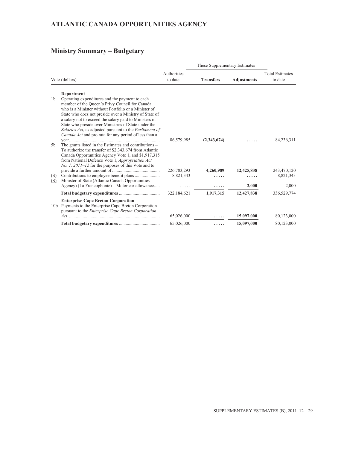## **ATLANTIC CANADA OPPORTUNITIES AGENCY**

|                |                                                                                                                                                                                                                                                                                                                                                                                                                                                          |                        | These Supplementary Estimates |                    |                                   |  |
|----------------|----------------------------------------------------------------------------------------------------------------------------------------------------------------------------------------------------------------------------------------------------------------------------------------------------------------------------------------------------------------------------------------------------------------------------------------------------------|------------------------|-------------------------------|--------------------|-----------------------------------|--|
|                | Vote (dollars)                                                                                                                                                                                                                                                                                                                                                                                                                                           | Authorities<br>to date | <b>Transfers</b>              | <b>Adjustments</b> | <b>Total Estimates</b><br>to date |  |
|                | Department                                                                                                                                                                                                                                                                                                                                                                                                                                               |                        |                               |                    |                                   |  |
| 1 <sub>b</sub> | Operating expenditures and the payment to each<br>member of the Queen's Privy Council for Canada<br>who is a Minister without Portfolio or a Minister of<br>State who does not preside over a Ministry of State of<br>a salary not to exceed the salary paid to Ministers of<br>State who preside over Ministries of State under the<br>Salaries Act, as adjusted pursuant to the Parliament of<br>Canada Act and pro rata for any period of less than a | 86,579,985             | (2,343,674)                   |                    | 84,236,311                        |  |
| 5b             | The grants listed in the Estimates and contributions –<br>To authorize the transfer of \$2,343,674 from Atlantic<br>Canada Opportunities Agency Vote 1, and \$1,917,315<br>from National Defence Vote 1, Appropriation Act<br>No. 1, 2011–12 for the purposes of this Vote and to                                                                                                                                                                        |                        |                               |                    |                                   |  |
|                |                                                                                                                                                                                                                                                                                                                                                                                                                                                          | 226,783,293            | 4,260,989                     | 12,425,838         | 243,470,120                       |  |
| (S)<br>(S)     | Minister of State (Atlantic Canada Opportunities                                                                                                                                                                                                                                                                                                                                                                                                         | 8,821,343              |                               |                    | 8,821,343                         |  |
|                | Agency) (La Francophonie) – Motor car allowance                                                                                                                                                                                                                                                                                                                                                                                                          |                        |                               | 2,000              | 2,000                             |  |
|                |                                                                                                                                                                                                                                                                                                                                                                                                                                                          | 322,184,621            | 1,917,315                     | 12,427,838         | 336,529,774                       |  |
|                | <b>Enterprise Cape Breton Corporation</b><br>10b Payments to the Enterprise Cape Breton Corporation<br>pursuant to the Enterprise Cape Breton Corporation                                                                                                                                                                                                                                                                                                |                        |                               |                    |                                   |  |
|                |                                                                                                                                                                                                                                                                                                                                                                                                                                                          | 65,026,000             |                               | 15,097,000         | 80,123,000                        |  |
|                |                                                                                                                                                                                                                                                                                                                                                                                                                                                          | 65,026,000             | .                             | 15,097,000         | 80,123,000                        |  |

## **Ministry Summary – Budgetary**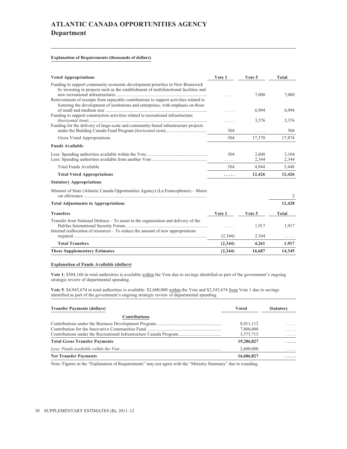## <span id="page-27-0"></span>**ATLANTIC CANADA OPPORTUNITIES AGENCY Department**

#### **Explanation of Requirements (thousands of dollars)**

| <b>Voted Appropriations</b>                                                                                                                                                 | Vote 1   | Vote 5         | Total          |
|-----------------------------------------------------------------------------------------------------------------------------------------------------------------------------|----------|----------------|----------------|
| Funding to support community economic development priorities in New Brunswick<br>by investing in projects such as the establishment of multifunctional facilities and       |          | 7,000          | 7,000          |
| Reinvestment of receipts from repayable contributions to support activities related to<br>fostering the development of institutions and enterprises, with emphasis on those |          | 6,994          | 6,994          |
| Funding to support construction activities related to recreational infrastructure<br>Funding for the delivery of large-scale and community-based infrastructure projects    |          | 3,376          | 3,376          |
|                                                                                                                                                                             | 504      | .              | 504            |
| Gross Voted Appropriations                                                                                                                                                  | 504      | 17,370         | 17,874         |
| <b>Funds Available</b>                                                                                                                                                      |          |                |                |
|                                                                                                                                                                             | 504      | 2.600<br>2,344 | 3.104<br>2,344 |
| <b>Total Funds Available</b>                                                                                                                                                | 504      | 4.944          | 5,448          |
| <b>Total Voted Appropriations</b>                                                                                                                                           | .        | 12,426         | 12,426         |
| <b>Statutory Appropriations</b>                                                                                                                                             |          |                |                |
| Minister of State (Atlantic Canada Opportunities Agency) (La Francophonie) – Motor                                                                                          |          |                | 2              |
| <b>Total Adjustments to Appropriations</b>                                                                                                                                  |          |                | 12,428         |
| <b>Transfers</b>                                                                                                                                                            | Vote 1   | Vote 5         | <b>Total</b>   |
| Transfer from National Defence – To assist in the organization and delivery of the                                                                                          | .        | 1,917          | 1,917          |
| Internal reallocation of resources - To reduce the amount of new appropriations                                                                                             | (2,344)  | 2,344          | .              |
| <b>Total Transfers</b>                                                                                                                                                      | (2,344)  | 4,261          | 1,917          |
| <b>These Supplementary Estimates</b>                                                                                                                                        | (2, 344) | 16,687         | 14,345         |

#### **Explanation of Funds Available (dollars)**

Vote 1: \$504,160 in total authorities is available within the Vote due to savings identified as part of the government's ongoing strategic review of departmental spending.

Vote 5: \$4,943,674 in total authorities is available: \$2,600,000 within the Vote and \$2,343,674 from Vote 1 due to savings identified as part of the government's ongoing strategic review of departmental spending.

| <b>Transfer Payments (dollars)</b>   | Voted      | <b>Statutory</b> |
|--------------------------------------|------------|------------------|
| <b>Contributions</b>                 |            |                  |
|                                      | 8,911,112  | .                |
|                                      | 7,000,000  | .                |
|                                      | 3,375,715  | .                |
| <b>Total Gross Transfer Payments</b> | 19,286,827 | .                |
|                                      | 2,600,000  | .                |
| <b>Net Transfer Payments</b>         | 16,686,827 | .                |

Note: Figures in the "Explanation of Requirements" may not agree with the "Ministry Summary" due to rounding.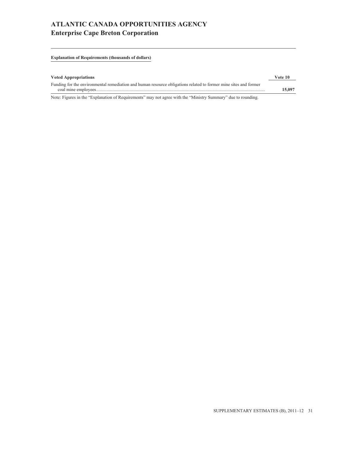## <span id="page-28-0"></span>**ATLANTIC CANADA OPPORTUNITIES AGENCY Enterprise Cape Breton Corporation**

## **Explanation of Requirements (thousands of dollars)**

| <b>Voted Appropriations</b>                                                                                      | Vote 10 |
|------------------------------------------------------------------------------------------------------------------|---------|
| Funding for the environmental remediation and human resource obligations related to former mine sites and former |         |
|                                                                                                                  | 15,097  |

Note: Figures in the "Explanation of Requirements" may not agree with the "Ministry Summary" due to rounding.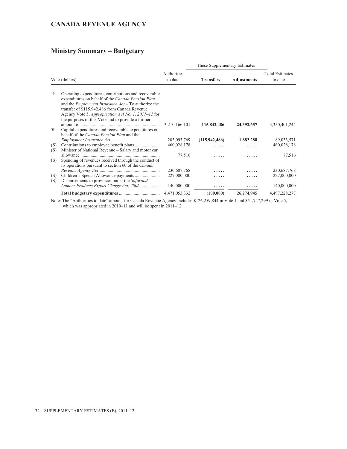## **CANADA REVENUE AGENCY**

## **Ministry Summary – Budgetary**

|                |                                                                                                                                                                                                                                                                                                                                                            |                        | These Supplementary Estimates |                    |                                   |  |
|----------------|------------------------------------------------------------------------------------------------------------------------------------------------------------------------------------------------------------------------------------------------------------------------------------------------------------------------------------------------------------|------------------------|-------------------------------|--------------------|-----------------------------------|--|
|                | Vote (dollars)                                                                                                                                                                                                                                                                                                                                             | Authorities<br>to date | <b>Transfers</b>              | <b>Adjustments</b> | <b>Total Estimates</b><br>to date |  |
|                |                                                                                                                                                                                                                                                                                                                                                            |                        |                               |                    |                                   |  |
| 1 <sub>b</sub> | Operating expenditures, contributions and recoverable<br>expenditures on behalf of the Canada Pension Plan<br>and the <i>Employment Insurance <math>Act - To</math></i> authorize the<br>transfer of \$115,942,486 from Canada Revenue<br>Agency Vote 5, <i>Appropriation Act No. 1, 2011–12</i> for<br>the purposes of this Vote and to provide a further |                        |                               |                    |                                   |  |
|                |                                                                                                                                                                                                                                                                                                                                                            | 3,210,166,101          | 115,842,486                   | 24,392,657         | 3,350,401,244                     |  |
| 5 <sub>b</sub> | Capital expenditures and recoverable expenditures on<br>behalf of the <i>Canada Pension Plan</i> and the                                                                                                                                                                                                                                                   |                        |                               |                    |                                   |  |
|                |                                                                                                                                                                                                                                                                                                                                                            | 203,093,769            | (115, 942, 486)               | 1,882,288          | 89,033,571                        |  |
| (S)<br>(S)     | Minister of National Revenue – Salary and motor car                                                                                                                                                                                                                                                                                                        | 460,028,178            |                               |                    | 460,028,178                       |  |
| (S)            | Spending of revenues received through the conduct of<br>its operations pursuant to section 60 of the Canada                                                                                                                                                                                                                                                | 77,516                 |                               |                    | 77,516                            |  |
|                |                                                                                                                                                                                                                                                                                                                                                            | 230,687,768            |                               |                    | 230,687,768                       |  |
| (S)<br>(S)     | Disbursements to provinces under the Softwood                                                                                                                                                                                                                                                                                                              | 227,000,000            |                               |                    | 227,000,000                       |  |
|                | Lumber Products Export Charge Act, 2006                                                                                                                                                                                                                                                                                                                    | 140,000,000            | .                             |                    | 140,000,000                       |  |
|                |                                                                                                                                                                                                                                                                                                                                                            | 4,471,053,332          | (100,000)                     | 26,274,945         | 4,497,228,277                     |  |

Note: The "Authorities to date" amount for Canada Revenue Agency includes \$126,259,844 in Vote 1 and \$51,747,299 in Vote 5, which was appropriated in 2010–11 and will be spent in 2011–12.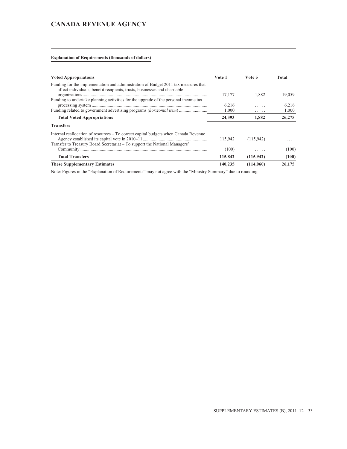## <span id="page-30-0"></span>**CANADA REVENUE AGENCY**

## **Explanation of Requirements (thousands of dollars)**

| <b>Voted Appropriations</b>                                                                                                                                       | Vote 1  | Vote 5     | Total  |
|-------------------------------------------------------------------------------------------------------------------------------------------------------------------|---------|------------|--------|
| Funding for the implementation and administration of Budget 2011 tax measures that<br>affect individuals, benefit recipients, trusts, businesses and charitable   |         |            |        |
| Funding to undertake planning activities for the upgrade of the personal income tax                                                                               | 17,177  | 1.882      | 19,059 |
|                                                                                                                                                                   | 6,216   | .          | 6,216  |
|                                                                                                                                                                   | 1,000   | .          | 1,000  |
| <b>Total Voted Appropriations</b>                                                                                                                                 | 24,393  | 1,882      | 26,275 |
| <b>Transfers</b>                                                                                                                                                  |         |            |        |
| Internal reallocation of resources – To correct capital budgets when Canada Revenue<br>Transfer to Treasury Board Secretariat – To support the National Managers' | 115,942 | (115, 942) |        |
|                                                                                                                                                                   | (100)   | .          | (100)  |
| <b>Total Transfers</b>                                                                                                                                            | 115,842 | (115, 942) | (100)  |
| <b>These Supplementary Estimates</b>                                                                                                                              | 140,235 | (114,060)  | 26,175 |

Note: Figures in the "Explanation of Requirements" may not agree with the "Ministry Summary" due to rounding.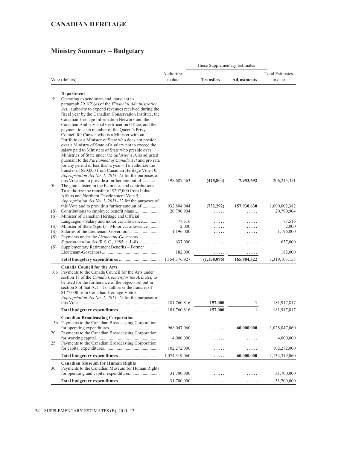|            |                                                                                                                                                                                                                                                                                                                                                                                                                                                                                                                                                                                                                                                                                                                                                                                                                                                                                                                                                                           |                              | These Supplementary Estimates |                    |                                   |
|------------|---------------------------------------------------------------------------------------------------------------------------------------------------------------------------------------------------------------------------------------------------------------------------------------------------------------------------------------------------------------------------------------------------------------------------------------------------------------------------------------------------------------------------------------------------------------------------------------------------------------------------------------------------------------------------------------------------------------------------------------------------------------------------------------------------------------------------------------------------------------------------------------------------------------------------------------------------------------------------|------------------------------|-------------------------------|--------------------|-----------------------------------|
|            | Vote (dollars)                                                                                                                                                                                                                                                                                                                                                                                                                                                                                                                                                                                                                                                                                                                                                                                                                                                                                                                                                            | Authorities<br>to date       | <b>Transfers</b>              | <b>Adjustments</b> | <b>Total Estimates</b><br>to date |
| 1b         | Department<br>Operating expenditures and, pursuant to<br>paragraph $29.1(2)(a)$ of the <i>Financial Administration</i><br>Act, authority to expend revenues received during the<br>fiscal year by the Canadian Conservation Institute, the<br>Canadian Heritage Information Network and the<br>Canadian Audio-Visual Certification Office, and the<br>payment to each member of the Queen's Privy<br>Council for Canada who is a Minister without<br>Portfolio or a Minister of State who does not preside<br>over a Ministry of State of a salary not to exceed the<br>salary paid to Ministers of State who preside over<br>Ministries of State under the Salaries Act, as adjusted<br>pursuant to the Parliament of Canada Act and pro rata<br>for any period of less than a year $-$ To authorize the<br>transfer of \$20,000 from Canadian Heritage Vote 10,<br>Appropriation Act No. 1, 2011–12 for the purposes of<br>this Vote and to provide a further amount of | 198,687,463                  | (425, 804)                    | 7,953,692          | 206, 215, 351                     |
| 5b         | The grants listed in the Estimates and contributions –<br>To authorize the transfer of \$207,000 from Indian<br>Affairs and Northern Development Vote 5,<br>Appropriation Act No. 1, $2011-12$ for the purposes of<br>this Vote and to provide a further amount of                                                                                                                                                                                                                                                                                                                                                                                                                                                                                                                                                                                                                                                                                                        | 932,804,044                  | (732, 292)                    | 157,930,630        | 1,090,002,382                     |
| (S)<br>(S) | Minister of Canadian Heritage and Official                                                                                                                                                                                                                                                                                                                                                                                                                                                                                                                                                                                                                                                                                                                                                                                                                                                                                                                                | 20,790,904                   |                               |                    | 20,790,904                        |
| (S)        | Languages – Salary and motor car allowance<br>Minister of State (Sport) – Motor car allowance                                                                                                                                                                                                                                                                                                                                                                                                                                                                                                                                                                                                                                                                                                                                                                                                                                                                             | 77,516<br>2,000              |                               |                    | 77,516<br>2,000                   |
| (S)<br>(S) | Payments under the Lieutenant-Governors                                                                                                                                                                                                                                                                                                                                                                                                                                                                                                                                                                                                                                                                                                                                                                                                                                                                                                                                   | 1,196,000                    |                               |                    | 1,196,000                         |
| (S)        | Supplementary Retirement Benefits - Former                                                                                                                                                                                                                                                                                                                                                                                                                                                                                                                                                                                                                                                                                                                                                                                                                                                                                                                                | 637,000                      |                               |                    | 637,000                           |
|            |                                                                                                                                                                                                                                                                                                                                                                                                                                                                                                                                                                                                                                                                                                                                                                                                                                                                                                                                                                           | 182,000                      |                               | .                  | 182,000                           |
|            |                                                                                                                                                                                                                                                                                                                                                                                                                                                                                                                                                                                                                                                                                                                                                                                                                                                                                                                                                                           | 1,154,376,927                | (1,158,096)                   | 165,884,322        | 1,319,103,153                     |
|            | <b>Canada Council for the Arts</b><br>10b Payments to the Canada Council for the Arts under<br>section 18 of the Canada Council for the Arts Act, to<br>be used for the furtherance of the objects set out in<br>section 8 of that $Act - To$ authorize the transfer of<br>\$177,000 from Canadian Heritage Vote 5,<br>Appropriation Act No. 1, 2011–12 for the purposes of                                                                                                                                                                                                                                                                                                                                                                                                                                                                                                                                                                                               | 181,760,816                  | 157,000                       | 1                  | 181,917,817                       |
|            |                                                                                                                                                                                                                                                                                                                                                                                                                                                                                                                                                                                                                                                                                                                                                                                                                                                                                                                                                                           | 181,760,816                  | 157,000                       | 1                  | 181,917,817                       |
| 20         | <b>Canadian Broadcasting Corporation</b><br>15b Payments to the Canadian Broadcasting Corporation<br>Payments to the Canadian Broadcasting Corporation                                                                                                                                                                                                                                                                                                                                                                                                                                                                                                                                                                                                                                                                                                                                                                                                                    | 968,047,060<br>4,000,000     |                               | 60,000,000         | 1,028,047,060<br>4,000,000        |
| 25         | Payments to the Canadian Broadcasting Corporation                                                                                                                                                                                                                                                                                                                                                                                                                                                                                                                                                                                                                                                                                                                                                                                                                                                                                                                         |                              | .                             | .                  |                                   |
|            |                                                                                                                                                                                                                                                                                                                                                                                                                                                                                                                                                                                                                                                                                                                                                                                                                                                                                                                                                                           | 102,272,000<br>1,074,319,060 | .<br>.                        | .<br>60,000,000    | 102,272,000<br>1,134,319,060      |
|            | <b>Canadian Museum for Human Rights</b>                                                                                                                                                                                                                                                                                                                                                                                                                                                                                                                                                                                                                                                                                                                                                                                                                                                                                                                                   |                              |                               |                    |                                   |
| 30         | Payments to the Canadian Museum for Human Rights                                                                                                                                                                                                                                                                                                                                                                                                                                                                                                                                                                                                                                                                                                                                                                                                                                                                                                                          | 31,700,000                   |                               |                    | 31,700,000                        |
|            |                                                                                                                                                                                                                                                                                                                                                                                                                                                                                                                                                                                                                                                                                                                                                                                                                                                                                                                                                                           | 31,700,000                   | .                             | .                  | 31,700,000                        |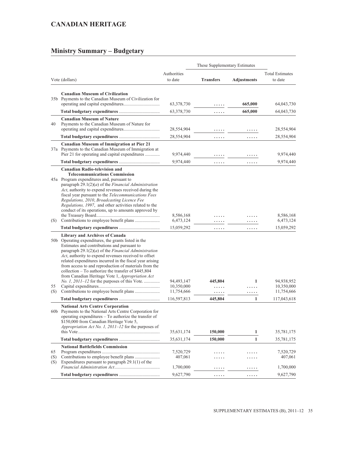## **Ministry Summary – Budgetary**

|                  |                                                                                                                                                                                                                                                                                                                                                                                                                                                                                                                                                 | These Supplementary Estimates          |                    |                    |                                        |
|------------------|-------------------------------------------------------------------------------------------------------------------------------------------------------------------------------------------------------------------------------------------------------------------------------------------------------------------------------------------------------------------------------------------------------------------------------------------------------------------------------------------------------------------------------------------------|----------------------------------------|--------------------|--------------------|----------------------------------------|
|                  | Vote (dollars)                                                                                                                                                                                                                                                                                                                                                                                                                                                                                                                                  | Authorities<br>to date                 | <b>Transfers</b>   | <b>Adjustments</b> | <b>Total Estimates</b><br>to date      |
|                  | <b>Canadian Museum of Civilization</b><br>35b Payments to the Canadian Museum of Civilization for                                                                                                                                                                                                                                                                                                                                                                                                                                               | 63,378,730                             | .                  | 665,000            | 64,043,730                             |
|                  |                                                                                                                                                                                                                                                                                                                                                                                                                                                                                                                                                 | 63,378,730                             | .                  | 665,000            | 64,043,730                             |
| 40               | <b>Canadian Museum of Nature</b><br>Payments to the Canadian Museum of Nature for                                                                                                                                                                                                                                                                                                                                                                                                                                                               | 28,554,904                             |                    |                    | 28,554,904                             |
|                  |                                                                                                                                                                                                                                                                                                                                                                                                                                                                                                                                                 | 28,554,904                             | .                  | .                  | 28,554,904                             |
|                  | <b>Canadian Museum of Immigration at Pier 21</b><br>37a Payments to the Canadian Museum of Immigration at<br>Pier 21 for operating and capital expenditures                                                                                                                                                                                                                                                                                                                                                                                     | 9,974,440                              |                    |                    | 9,974,440                              |
|                  |                                                                                                                                                                                                                                                                                                                                                                                                                                                                                                                                                 | 9,974,440                              | .                  | .                  | 9,974,440                              |
| (S)              | <b>Canadian Radio-television and</b><br><b>Telecommunications Commission</b><br>45a Program expenditures and, pursuant to<br>paragraph $29.1(2)(a)$ of the <i>Financial Administration</i><br>Act, authority to expend revenues received during the<br>fiscal year pursuant to the Telecommunications Fees<br>Regulations, 2010, Broadcasting Licence Fee<br>Regulations, 1997, and other activities related to the<br>conduct of its operations, up to amounts approved by                                                                     | 8,586,168<br>6,473,124                 | .                  | .                  | 8,586,168<br>6,473,124                 |
|                  |                                                                                                                                                                                                                                                                                                                                                                                                                                                                                                                                                 | 15,059,292                             | .                  | .                  | 15,059,292                             |
| 55<br>(S)        | Library and Archives of Canada<br>50b Operating expenditures, the grants listed in the<br>Estimates and contributions and pursuant to<br>paragraph $29.1(2)(a)$ of the <i>Financial Administration</i><br>Act, authority to expend revenues received to offset<br>related expenditures incurred in the fiscal year arising<br>from access to and reproduction of materials from the<br>collection – To authorize the transfer of $$445,804$<br>from Canadian Heritage Vote 1, Appropriation Act<br>No. 1, 2011-12 for the purposes of this Vote | 94,493,147<br>10,350,000<br>11,754,666 | 445,804<br>.<br>.  | 1<br>.<br>.        | 94,938,952<br>10,350,000<br>11,754,666 |
|                  |                                                                                                                                                                                                                                                                                                                                                                                                                                                                                                                                                 | 116,597,813                            | 445,804            | 1                  | 117,043,618                            |
|                  | <b>National Arts Centre Corporation</b><br>60b Payments to the National Arts Centre Corporation for<br>operating expenditures - To authorize the transfer of<br>\$150,000 from Canadian Heritage Vote 5,<br>Appropriation Act No. 1, 2011–12 for the purposes of                                                                                                                                                                                                                                                                                | 35,631,174                             | 150,000<br>150,000 | 1<br>1             | 35,781,175                             |
|                  |                                                                                                                                                                                                                                                                                                                                                                                                                                                                                                                                                 | 35,631,174                             |                    |                    | 35,781,175                             |
| 65<br>(S)<br>(S) | <b>National Battlefields Commission</b><br>Contributions to employee benefit plans<br>Expenditures pursuant to paragraph $29.1(1)$ of the                                                                                                                                                                                                                                                                                                                                                                                                       | 7,520,729<br>407,061                   |                    |                    | 7,520,729<br>407,061<br>1,700,000      |
|                  |                                                                                                                                                                                                                                                                                                                                                                                                                                                                                                                                                 | 1,700,000<br>9,627,790                 |                    |                    | 9,627,790                              |
|                  |                                                                                                                                                                                                                                                                                                                                                                                                                                                                                                                                                 |                                        |                    |                    |                                        |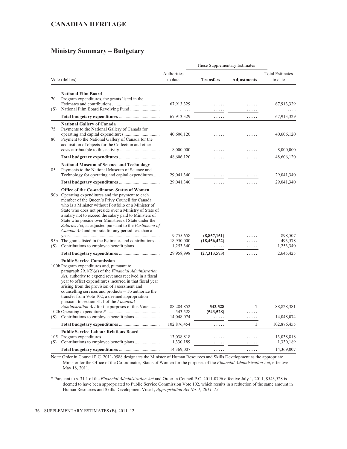## **Ministry Summary – Budgetary**

| Vote (dollars) |                                                                                                                                                                                                                                                                                                                                                                                                                                                                                                                                      | These Supplementary Estimates        |                                    |                        |                                   |
|----------------|--------------------------------------------------------------------------------------------------------------------------------------------------------------------------------------------------------------------------------------------------------------------------------------------------------------------------------------------------------------------------------------------------------------------------------------------------------------------------------------------------------------------------------------|--------------------------------------|------------------------------------|------------------------|-----------------------------------|
|                |                                                                                                                                                                                                                                                                                                                                                                                                                                                                                                                                      | Authorities<br>to date               | <b>Transfers</b>                   | <b>Adjustments</b>     | <b>Total Estimates</b><br>to date |
| 70<br>(S)      | <b>National Film Board</b><br>Program expenditures, the grants listed in the                                                                                                                                                                                                                                                                                                                                                                                                                                                         | 67,913,329<br>.                      | .                                  | .<br>.                 | 67,913,329                        |
|                |                                                                                                                                                                                                                                                                                                                                                                                                                                                                                                                                      | 67,913,329                           | .                                  | .                      | 67,913,329                        |
| 75<br>80       | <b>National Gallery of Canada</b><br>Payments to the National Gallery of Canada for<br>Payment to the National Gallery of Canada for the<br>acquisition of objects for the Collection and other                                                                                                                                                                                                                                                                                                                                      | 40,606,120<br>8,000,000              | .                                  | .                      | 40,606,120<br>8,000,000           |
|                |                                                                                                                                                                                                                                                                                                                                                                                                                                                                                                                                      | 48,606,120                           | .                                  | .                      | 48,606,120                        |
| 85             | <b>National Museum of Science and Technology</b><br>Payments to the National Museum of Science and<br>Technology for operating and capital expenditures                                                                                                                                                                                                                                                                                                                                                                              | 29,041,340                           | .                                  | .                      | 29,041,340                        |
|                | Office of the Co-ordinator, Status of Women                                                                                                                                                                                                                                                                                                                                                                                                                                                                                          | 29,041,340                           | .                                  | .                      | 29,041,340                        |
| (S)            | 90b Operating expenditures and the payment to each<br>member of the Queen's Privy Council for Canada<br>who is a Minister without Portfolio or a Minister of<br>State who does not preside over a Ministry of State of<br>a salary not to exceed the salary paid to Ministers of<br>State who preside over Ministries of State under the<br><i>Salaries Act</i> , as adjusted pursuant to the <i>Parliament of</i><br>Canada Act and pro rata for any period less than a<br>95b The grants listed in the Estimates and contributions | 9,755,658<br>18,950,000<br>1,253,340 | (8,857,151)<br>(18, 456, 422)<br>. | .                      | 898,507<br>493,578<br>1,253,340   |
|                |                                                                                                                                                                                                                                                                                                                                                                                                                                                                                                                                      | 29,958,998                           | (27,313,573)                       | .                      | 2,645,425                         |
| (S)            | <b>Public Service Commission</b><br>100b Program expenditures and, pursuant to<br>paragraph $29.1(2)(a)$ of the Financial Administration<br>Act, authority to expend revenues received in a fiscal<br>year to offset expenditures incurred in that fiscal year<br>arising from the provision of assessment and<br>counselling services and products – To authorize the<br>transfer from Vote 102, a deemed appropriation<br>pursuant to section 31.1 of the Financial<br><i>Administration Act</i> for the purposes of this Vote     | 88,284,852<br>543,528<br>14,048,074  | 543,528<br>(543, 528)<br>.         | $\mathbf{1}$<br>.<br>. | 88,828,381<br>14,048,074          |
|                |                                                                                                                                                                                                                                                                                                                                                                                                                                                                                                                                      | 102,876,454                          | .                                  | $\mathbf{1}$           | 102,876,455                       |
|                | <b>Public Service Labour Relations Board</b>                                                                                                                                                                                                                                                                                                                                                                                                                                                                                         |                                      |                                    |                        |                                   |
| (S)            |                                                                                                                                                                                                                                                                                                                                                                                                                                                                                                                                      | 13,038,818<br>1,330,189              | .<br>.                             | .<br>.                 | 13,038,818<br>1,330,189           |
|                |                                                                                                                                                                                                                                                                                                                                                                                                                                                                                                                                      | 14,369,007                           | .                                  | .                      | 14,369,007                        |

Note: Order in Council P.C. 2011-0588 designates the Minister of Human Resources and Skills Development as the appropriate Minister for the Office of the Co-ordinator, Status of Women for the purposes of the *Financial Administration Act*, effective May 18, 2011.

\* Pursuant to s. 31.1 of the *Financial Administration Act* and Order in Council P.C. 2011-0796 effective July 1, 2011, \$543,528 is deemed to have been appropriated to Public Service Commission Vote 102, which results in a reduction of the same amount in Human Resources and Skills Development Vote 1, *Appropriation Act No. 1, 2011–12.*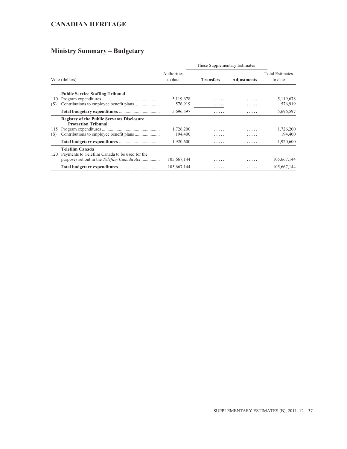## **Ministry Summary – Budgetary**

|                |                                                                                                                  |                        | These Supplementary Estimates |                    | <b>Total Estimates</b><br>to date |
|----------------|------------------------------------------------------------------------------------------------------------------|------------------------|-------------------------------|--------------------|-----------------------------------|
| Vote (dollars) |                                                                                                                  | Authorities<br>to date | <b>Transfers</b>              | <b>Adjustments</b> |                                   |
| 110<br>(S)     | <b>Public Service Staffing Tribunal</b>                                                                          | 5,119,678<br>576,919   | .                             | .<br>.             | 5,119,678<br>576,919              |
|                |                                                                                                                  | 5,696,597              | .                             | .                  | 5,696,597                         |
|                | <b>Registry of the Public Servants Disclosure</b><br><b>Protection Tribunal</b>                                  |                        |                               |                    |                                   |
| 115<br>(S)     |                                                                                                                  | 1,726,200<br>194,400   | .                             | .<br>.             | 1,726,200<br>194,400              |
|                |                                                                                                                  | 1,920,600              | .                             | .                  | 1,920,600                         |
| 120            | Telefilm Canada<br>Payments to Telefilm Canada to be used for the<br>purposes set out in the Telefilm Canada Act | 105,667,144            | .                             | .                  | 105,667,144                       |
|                |                                                                                                                  | 105,667,144            | .                             | .                  | 105,667,144                       |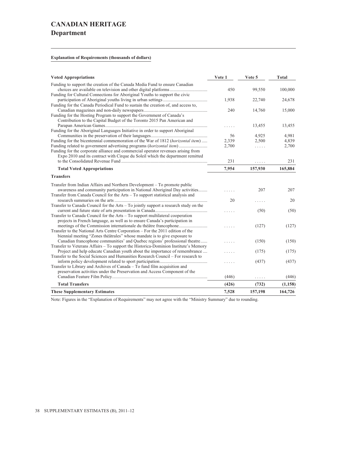## <span id="page-35-0"></span>**Department**

## **Explanation of Requirements (thousands of dollars)**

| Funding to support the creation of the Canada Media Fund to ensure Canadian<br>100,000<br>450<br>99,550<br>Funding for Cultural Connections for Aboriginal Youths to support the civic<br>1,938<br>22,740<br>24,678<br>Funding for the Canada Periodical Fund to sustain the creation of, and access to,<br>240<br>15,000<br>14,760<br>Funding for the Hosting Program to support the Government of Canada's<br>Contribution to the Capital Budget of the Toronto 2015 Pan American and<br>13,455<br>13,455<br>Funding for the Aboriginal Languages Initiative in order to support Aboriginal<br>4,981<br>4,925<br>56<br>Funding for the bicentennial commemoration of the War of 1812 ( <i>horizontal item</i> )<br>2,339<br>2,500<br>4,839<br>Funding related to government advertising programs (horizontal item)<br>2,700<br>2,700<br>.<br>Funding for the corporate alliance and commercial operator revenues arising from<br>Expo 2010 and its contract with Cirque du Soleil which the department remitted<br>231<br>231<br>.<br><b>Total Voted Appropriations</b><br>7,954<br>157,930<br>165,884<br><b>Transfers</b><br>Transfer from Indian Affairs and Northern Development $-$ To promote public<br>awareness and community participation in National Aboriginal Day activities<br>207<br>207<br>Transfer from Canada Council for the Arts $-$ To support statistical analysis and<br>20<br>20<br>.<br>Transfer to Canada Council for the Arts $-$ To jointly support a research study on the<br>(50)<br>Transfer to Canada Council for the Arts – To support multilateral cooperation<br>projects in French language, as well as to ensure Canada's participation in<br>(127)<br>Transfer to the National Arts Centre Corporation – For the 2011 edition of the<br>biennial meeting "Zones théâtrales" whose mandate is to give exposure to<br>Canadian francophone communities' and Quebec regions' professional theatre<br>(150)<br>.<br>Transfer to Veterans Affairs – To support the Historica-Dominion Institute's Memory<br>Project and help educate Canadian youth about the importance of remembrance<br>(175)<br>Transfer to the Social Sciences and Humanities Research Council – For research to<br>(437)<br>Transfer to Library and Archives of Canada - To fund film acquisition and<br>preservation activities under the Preservation and Access Component of the<br>(446)<br>.<br><b>Total Transfers</b><br>(426)<br>(732)<br><b>These Supplementary Estimates</b><br>7,528<br>157,198<br>164,726 | <b>Voted Appropriations</b> | Vote 1 | Vote 5 | <b>Total</b> |
|------------------------------------------------------------------------------------------------------------------------------------------------------------------------------------------------------------------------------------------------------------------------------------------------------------------------------------------------------------------------------------------------------------------------------------------------------------------------------------------------------------------------------------------------------------------------------------------------------------------------------------------------------------------------------------------------------------------------------------------------------------------------------------------------------------------------------------------------------------------------------------------------------------------------------------------------------------------------------------------------------------------------------------------------------------------------------------------------------------------------------------------------------------------------------------------------------------------------------------------------------------------------------------------------------------------------------------------------------------------------------------------------------------------------------------------------------------------------------------------------------------------------------------------------------------------------------------------------------------------------------------------------------------------------------------------------------------------------------------------------------------------------------------------------------------------------------------------------------------------------------------------------------------------------------------------------------------------------------------------------------------------------------------------------------------------------------------------------------------------------------------------------------------------------------------------------------------------------------------------------------------------------------------------------------------------------------------------------------------------------------------------------------------------------------------------------------------------------------------------------------------------------------|-----------------------------|--------|--------|--------------|
|                                                                                                                                                                                                                                                                                                                                                                                                                                                                                                                                                                                                                                                                                                                                                                                                                                                                                                                                                                                                                                                                                                                                                                                                                                                                                                                                                                                                                                                                                                                                                                                                                                                                                                                                                                                                                                                                                                                                                                                                                                                                                                                                                                                                                                                                                                                                                                                                                                                                                                                              |                             |        |        |              |
|                                                                                                                                                                                                                                                                                                                                                                                                                                                                                                                                                                                                                                                                                                                                                                                                                                                                                                                                                                                                                                                                                                                                                                                                                                                                                                                                                                                                                                                                                                                                                                                                                                                                                                                                                                                                                                                                                                                                                                                                                                                                                                                                                                                                                                                                                                                                                                                                                                                                                                                              |                             |        |        |              |
|                                                                                                                                                                                                                                                                                                                                                                                                                                                                                                                                                                                                                                                                                                                                                                                                                                                                                                                                                                                                                                                                                                                                                                                                                                                                                                                                                                                                                                                                                                                                                                                                                                                                                                                                                                                                                                                                                                                                                                                                                                                                                                                                                                                                                                                                                                                                                                                                                                                                                                                              |                             |        |        |              |
|                                                                                                                                                                                                                                                                                                                                                                                                                                                                                                                                                                                                                                                                                                                                                                                                                                                                                                                                                                                                                                                                                                                                                                                                                                                                                                                                                                                                                                                                                                                                                                                                                                                                                                                                                                                                                                                                                                                                                                                                                                                                                                                                                                                                                                                                                                                                                                                                                                                                                                                              |                             |        |        |              |
|                                                                                                                                                                                                                                                                                                                                                                                                                                                                                                                                                                                                                                                                                                                                                                                                                                                                                                                                                                                                                                                                                                                                                                                                                                                                                                                                                                                                                                                                                                                                                                                                                                                                                                                                                                                                                                                                                                                                                                                                                                                                                                                                                                                                                                                                                                                                                                                                                                                                                                                              |                             |        |        |              |
|                                                                                                                                                                                                                                                                                                                                                                                                                                                                                                                                                                                                                                                                                                                                                                                                                                                                                                                                                                                                                                                                                                                                                                                                                                                                                                                                                                                                                                                                                                                                                                                                                                                                                                                                                                                                                                                                                                                                                                                                                                                                                                                                                                                                                                                                                                                                                                                                                                                                                                                              |                             |        |        |              |
|                                                                                                                                                                                                                                                                                                                                                                                                                                                                                                                                                                                                                                                                                                                                                                                                                                                                                                                                                                                                                                                                                                                                                                                                                                                                                                                                                                                                                                                                                                                                                                                                                                                                                                                                                                                                                                                                                                                                                                                                                                                                                                                                                                                                                                                                                                                                                                                                                                                                                                                              |                             |        |        |              |
|                                                                                                                                                                                                                                                                                                                                                                                                                                                                                                                                                                                                                                                                                                                                                                                                                                                                                                                                                                                                                                                                                                                                                                                                                                                                                                                                                                                                                                                                                                                                                                                                                                                                                                                                                                                                                                                                                                                                                                                                                                                                                                                                                                                                                                                                                                                                                                                                                                                                                                                              |                             |        |        |              |
|                                                                                                                                                                                                                                                                                                                                                                                                                                                                                                                                                                                                                                                                                                                                                                                                                                                                                                                                                                                                                                                                                                                                                                                                                                                                                                                                                                                                                                                                                                                                                                                                                                                                                                                                                                                                                                                                                                                                                                                                                                                                                                                                                                                                                                                                                                                                                                                                                                                                                                                              |                             |        |        |              |
|                                                                                                                                                                                                                                                                                                                                                                                                                                                                                                                                                                                                                                                                                                                                                                                                                                                                                                                                                                                                                                                                                                                                                                                                                                                                                                                                                                                                                                                                                                                                                                                                                                                                                                                                                                                                                                                                                                                                                                                                                                                                                                                                                                                                                                                                                                                                                                                                                                                                                                                              |                             |        |        |              |
|                                                                                                                                                                                                                                                                                                                                                                                                                                                                                                                                                                                                                                                                                                                                                                                                                                                                                                                                                                                                                                                                                                                                                                                                                                                                                                                                                                                                                                                                                                                                                                                                                                                                                                                                                                                                                                                                                                                                                                                                                                                                                                                                                                                                                                                                                                                                                                                                                                                                                                                              |                             |        |        |              |
|                                                                                                                                                                                                                                                                                                                                                                                                                                                                                                                                                                                                                                                                                                                                                                                                                                                                                                                                                                                                                                                                                                                                                                                                                                                                                                                                                                                                                                                                                                                                                                                                                                                                                                                                                                                                                                                                                                                                                                                                                                                                                                                                                                                                                                                                                                                                                                                                                                                                                                                              |                             |        |        |              |
|                                                                                                                                                                                                                                                                                                                                                                                                                                                                                                                                                                                                                                                                                                                                                                                                                                                                                                                                                                                                                                                                                                                                                                                                                                                                                                                                                                                                                                                                                                                                                                                                                                                                                                                                                                                                                                                                                                                                                                                                                                                                                                                                                                                                                                                                                                                                                                                                                                                                                                                              |                             |        |        |              |
|                                                                                                                                                                                                                                                                                                                                                                                                                                                                                                                                                                                                                                                                                                                                                                                                                                                                                                                                                                                                                                                                                                                                                                                                                                                                                                                                                                                                                                                                                                                                                                                                                                                                                                                                                                                                                                                                                                                                                                                                                                                                                                                                                                                                                                                                                                                                                                                                                                                                                                                              |                             |        |        | (50)         |
|                                                                                                                                                                                                                                                                                                                                                                                                                                                                                                                                                                                                                                                                                                                                                                                                                                                                                                                                                                                                                                                                                                                                                                                                                                                                                                                                                                                                                                                                                                                                                                                                                                                                                                                                                                                                                                                                                                                                                                                                                                                                                                                                                                                                                                                                                                                                                                                                                                                                                                                              |                             |        |        | (127)        |
|                                                                                                                                                                                                                                                                                                                                                                                                                                                                                                                                                                                                                                                                                                                                                                                                                                                                                                                                                                                                                                                                                                                                                                                                                                                                                                                                                                                                                                                                                                                                                                                                                                                                                                                                                                                                                                                                                                                                                                                                                                                                                                                                                                                                                                                                                                                                                                                                                                                                                                                              |                             |        |        | (150)        |
|                                                                                                                                                                                                                                                                                                                                                                                                                                                                                                                                                                                                                                                                                                                                                                                                                                                                                                                                                                                                                                                                                                                                                                                                                                                                                                                                                                                                                                                                                                                                                                                                                                                                                                                                                                                                                                                                                                                                                                                                                                                                                                                                                                                                                                                                                                                                                                                                                                                                                                                              |                             |        |        | (175)        |
|                                                                                                                                                                                                                                                                                                                                                                                                                                                                                                                                                                                                                                                                                                                                                                                                                                                                                                                                                                                                                                                                                                                                                                                                                                                                                                                                                                                                                                                                                                                                                                                                                                                                                                                                                                                                                                                                                                                                                                                                                                                                                                                                                                                                                                                                                                                                                                                                                                                                                                                              |                             |        |        | (437)        |
|                                                                                                                                                                                                                                                                                                                                                                                                                                                                                                                                                                                                                                                                                                                                                                                                                                                                                                                                                                                                                                                                                                                                                                                                                                                                                                                                                                                                                                                                                                                                                                                                                                                                                                                                                                                                                                                                                                                                                                                                                                                                                                                                                                                                                                                                                                                                                                                                                                                                                                                              |                             |        |        |              |
|                                                                                                                                                                                                                                                                                                                                                                                                                                                                                                                                                                                                                                                                                                                                                                                                                                                                                                                                                                                                                                                                                                                                                                                                                                                                                                                                                                                                                                                                                                                                                                                                                                                                                                                                                                                                                                                                                                                                                                                                                                                                                                                                                                                                                                                                                                                                                                                                                                                                                                                              |                             |        |        | (446)        |
|                                                                                                                                                                                                                                                                                                                                                                                                                                                                                                                                                                                                                                                                                                                                                                                                                                                                                                                                                                                                                                                                                                                                                                                                                                                                                                                                                                                                                                                                                                                                                                                                                                                                                                                                                                                                                                                                                                                                                                                                                                                                                                                                                                                                                                                                                                                                                                                                                                                                                                                              |                             |        |        | (1, 158)     |
|                                                                                                                                                                                                                                                                                                                                                                                                                                                                                                                                                                                                                                                                                                                                                                                                                                                                                                                                                                                                                                                                                                                                                                                                                                                                                                                                                                                                                                                                                                                                                                                                                                                                                                                                                                                                                                                                                                                                                                                                                                                                                                                                                                                                                                                                                                                                                                                                                                                                                                                              |                             |        |        |              |

Note: Figures in the "Explanation of Requirements" may not agree with the "Ministry Summary" due to rounding.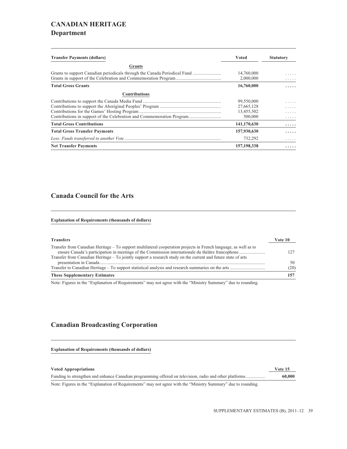## **CANADIAN HERITAGE Department**

| <b>Transfer Payments (dollars)</b>                                        | <b>Voted</b>  | <b>Statutory</b> |
|---------------------------------------------------------------------------|---------------|------------------|
| <b>Grants</b>                                                             |               |                  |
| Grants to support Canadian periodicals through the Canada Periodical Fund | 14,760,000    | .                |
|                                                                           | 2,000,000     | .                |
| <b>Total Gross Grants</b>                                                 | 16,760,000    | .                |
| <b>Contributions</b>                                                      |               |                  |
|                                                                           | 99,550,000    | .                |
|                                                                           | 27,665,128    | .                |
|                                                                           | 13,455,502    | .                |
| Contributions in support of the Celebration and Commemoration Program     | 500,000       | .                |
| <b>Total Gross Contributions</b>                                          | 141,170,630   | .                |
| <b>Total Gross Transfer Payments</b>                                      | 157,930,630   | .                |
|                                                                           | 732,292       | .                |
| <b>Net Transfer Payments</b>                                              | 157, 198, 338 | .                |

### **Canada Council for the Arts**

### **Explanation of Requirements (thousands of dollars)**

| <b>Transfers</b>                                                                                                 | Vote 10 |
|------------------------------------------------------------------------------------------------------------------|---------|
| Transfer from Canadian Heritage – To support multilateral cooperation projects in French language, as well as to |         |
| Transfer from Canadian Heritage – To jointly support a research study on the current and future state of arts    | 50.     |
|                                                                                                                  | 20)     |
| <b>These Supplementary Estimates</b>                                                                             | 157     |

Note: Figures in the "Explanation of Requirements" may not agree with the "Ministry Summary" due to rounding.

### **Canadian Broadcasting Corporation**

### **Explanation of Requirements (thousands of dollars)**

| <b>Voted Appropriations</b>                                                                                   | Vote 15 |
|---------------------------------------------------------------------------------------------------------------|---------|
|                                                                                                               | 60,000  |
| Note: Figures in the "Explanation of Requirements" may not agree with the "Ministry Summary" due to rounding. |         |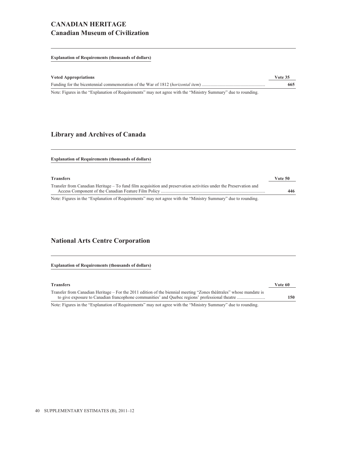## **CANADIAN HERITAGE Canadian Museum of Civilization**

### **Explanation of Requirements (thousands of dollars)**

| <b>Voted Appropriations</b>                     | Vote 35 |
|-------------------------------------------------|---------|
|                                                 | 665     |
| are mind and in one was a find and in the mind. |         |

Note: Figures in the "Explanation of Requirements" may not agree with the "Ministry Summary" due to rounding.

### **Library and Archives of Canada**

**Explanation of Requirements (thousands of dollars)**

| <b>Transfers</b>                                                                                                  | Vote 50 |
|-------------------------------------------------------------------------------------------------------------------|---------|
| Transfer from Canadian Heritage – To fund film acquisition and preservation activities under the Preservation and | 446     |
| Note: Figures in the "Explanation of Requirements" may not agree with the "Ministry Summary" due to rounding.     |         |

**National Arts Centre Corporation**

**Explanation of Requirements (thousands of dollars)**

| <b>Transfers</b>                                                                                                   | Vote 60 |
|--------------------------------------------------------------------------------------------------------------------|---------|
| Transfer from Canadian Heritage – For the 2011 edition of the biennial meeting "Zones théâtrales" whose mandate is |         |
|                                                                                                                    | 150-    |
|                                                                                                                    |         |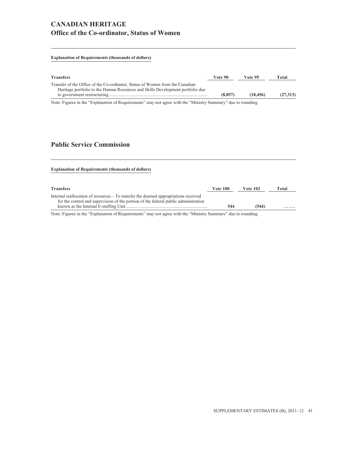## **CANADIAN HERITAGE Office of the Co-ordinator, Status of Women**

### **Explanation of Requirements (thousands of dollars)**

| <b>Transfers</b>                                                                                                                                                | Vote 90 | Vote 95   | Total    |
|-----------------------------------------------------------------------------------------------------------------------------------------------------------------|---------|-----------|----------|
| Transfer of the Office of the Co-ordinator, Status of Women from the Canadian<br>Heritage portfolio to the Human Resources and Skills Development portfolio due |         |           |          |
|                                                                                                                                                                 | (8.857) | (18, 456) | (27.313) |

Note: Figures in the "Explanation of Requirements" may not agree with the "Ministry Summary" due to rounding.

### **Public Service Commission**

| <b>Explanation of Requirements (thousands of dollars)</b>                                                                                                                  |                 |                 |       |
|----------------------------------------------------------------------------------------------------------------------------------------------------------------------------|-----------------|-----------------|-------|
| <b>Transfers</b>                                                                                                                                                           | <b>Vote 100</b> | <b>Vote 102</b> | Total |
| Internal reallocation of resources – To transfer the deemed appropriations received<br>for the control and supervision of the portion of the federal public administration | 544             | (544)           | .     |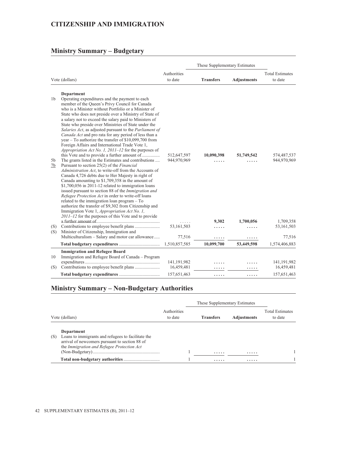# **CITIZENSHIP AND IMMIGRATION**

|  | <b>Ministry Summary - Budgetary</b> |  |
|--|-------------------------------------|--|
|--|-------------------------------------|--|

|                            |                                                                                                                                                                                                                                                                                                                                                                                                                                                                                                                                                                                                                                                                                                                                                                                                                                                                                                                                                                                                                                                                                                                                                                                                                                                                                                                                 |                             | These Supplementary Estimates          |                 |                                   |  |
|----------------------------|---------------------------------------------------------------------------------------------------------------------------------------------------------------------------------------------------------------------------------------------------------------------------------------------------------------------------------------------------------------------------------------------------------------------------------------------------------------------------------------------------------------------------------------------------------------------------------------------------------------------------------------------------------------------------------------------------------------------------------------------------------------------------------------------------------------------------------------------------------------------------------------------------------------------------------------------------------------------------------------------------------------------------------------------------------------------------------------------------------------------------------------------------------------------------------------------------------------------------------------------------------------------------------------------------------------------------------|-----------------------------|----------------------------------------|-----------------|-----------------------------------|--|
| Vote (dollars)             |                                                                                                                                                                                                                                                                                                                                                                                                                                                                                                                                                                                                                                                                                                                                                                                                                                                                                                                                                                                                                                                                                                                                                                                                                                                                                                                                 | Authorities<br>to date      | <b>Transfers</b><br><b>Adjustments</b> |                 | <b>Total Estimates</b><br>to date |  |
| 1 <sub>b</sub><br>5b<br>7b | Department<br>Operating expenditures and the payment to each<br>member of the Queen's Privy Council for Canada<br>who is a Minister without Portfolio or a Minister of<br>State who does not preside over a Ministry of State of<br>a salary not to exceed the salary paid to Ministers of<br>State who preside over Ministries of State under the<br>Salaries Act, as adjusted pursuant to the Parliament of<br>Canada Act and pro rata for any period of less than a<br>year $-$ To authorize the transfer of \$10,099,700 from<br>Foreign Affairs and International Trade Vote 1,<br><i>Appropriation Act No. 1, 2011–12</i> for the purposes of<br>The grants listed in the Estimates and contributions<br>Pursuant to section 25(2) of the Financial<br>Administration Act, to write-off from the Accounts of<br>Canada 4,726 debts due to Her Majesty in right of<br>Canada amounting to \$1,709,358 in the amount of<br>\$1,700,056 in 2011-12 related to immigration loans<br>issued pursuant to section 88 of the Immigration and<br><i>Refugee Protection Act in order to write-off loans</i><br>related to the immigration loan program $-$ To<br>authorize the transfer of \$9,302 from Citizenship and<br>Immigration Vote 1, Appropriation Act No. 1,<br>$2011 - 12$ for the purposes of this Vote and to provide | 512,647,597<br>944,970,969  | 10,090,398                             | 51,749,542      | 574,487,537<br>944,970,969        |  |
| (S)<br>(S)                 | Minister of Citizenship, Immigration and                                                                                                                                                                                                                                                                                                                                                                                                                                                                                                                                                                                                                                                                                                                                                                                                                                                                                                                                                                                                                                                                                                                                                                                                                                                                                        | 53,161,503                  | 9,302<br>.                             | 1,700,056<br>.  | 1,709,358<br>53,161,503           |  |
|                            | Multiculturalism – Salary and motor car allowance                                                                                                                                                                                                                                                                                                                                                                                                                                                                                                                                                                                                                                                                                                                                                                                                                                                                                                                                                                                                                                                                                                                                                                                                                                                                               | 77,516<br>1,510,857,585     | .<br>10,099,700                        | .<br>53,449,598 | 77,516<br>1,574,406,883           |  |
|                            | <b>Immigration and Refugee Board</b>                                                                                                                                                                                                                                                                                                                                                                                                                                                                                                                                                                                                                                                                                                                                                                                                                                                                                                                                                                                                                                                                                                                                                                                                                                                                                            |                             |                                        |                 |                                   |  |
| 10<br>(S)                  | Immigration and Refugee Board of Canada – Program                                                                                                                                                                                                                                                                                                                                                                                                                                                                                                                                                                                                                                                                                                                                                                                                                                                                                                                                                                                                                                                                                                                                                                                                                                                                               | 141, 191, 982<br>16,459,481 |                                        |                 | 141, 191, 982<br>16,459,481       |  |
|                            |                                                                                                                                                                                                                                                                                                                                                                                                                                                                                                                                                                                                                                                                                                                                                                                                                                                                                                                                                                                                                                                                                                                                                                                                                                                                                                                                 | 157,651,463                 | .                                      | .               | 157,651,463                       |  |

# **Ministry Summary – Non-Budgetary Authorities**

|                |                                                                                                                                                                  |                        | These Supplementary Estimates |                    |                                   |
|----------------|------------------------------------------------------------------------------------------------------------------------------------------------------------------|------------------------|-------------------------------|--------------------|-----------------------------------|
| Vote (dollars) |                                                                                                                                                                  | Authorities<br>to date | <b>Transfers</b>              | <b>Adjustments</b> | <b>Total Estimates</b><br>to date |
| (S)            | Department<br>Loans to immigrants and refugees to facilitate the<br>arrival of newcomers pursuant to section 88 of<br>the Immigration and Refugee Protection Act |                        |                               |                    |                                   |
|                |                                                                                                                                                                  |                        | .<br>.                        | .<br>.             |                                   |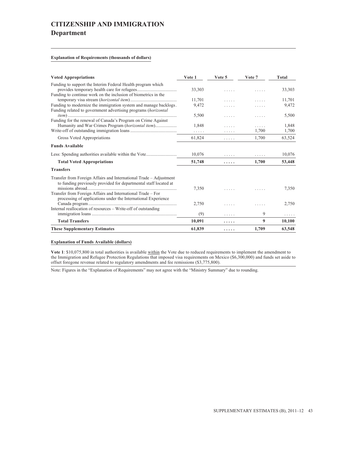# **CITIZENSHIP AND IMMIGRATION Department**

#### **Explanation of Requirements (thousands of dollars)**

| <b>Voted Appropriations</b>                                                                                                            | Vote 1     | Vote 5 | Vote 7     | <b>Total</b>   |
|----------------------------------------------------------------------------------------------------------------------------------------|------------|--------|------------|----------------|
| Funding to support the Interim Federal Health program which<br>Funding to continue work on the inclusion of biometrics in the          | 33,303     | .      | .          | 33,303         |
|                                                                                                                                        | 11,701     |        | .          | 11,701         |
| Funding to modernize the immigration system and manage backlogs.<br>Funding related to government advertising programs (horizontal     | 9,472      |        | .          | 9,472          |
|                                                                                                                                        | 5,500      | .      | .          | 5,500          |
| Funding for the renewal of Canada's Program on Crime Against                                                                           | 1,848<br>. | .<br>. | .<br>1,700 | 1,848<br>1,700 |
| Gross Voted Appropriations                                                                                                             | 61,824     | .      | 1,700      | 63,524         |
| <b>Funds Available</b>                                                                                                                 |            |        |            |                |
|                                                                                                                                        | 10,076     |        | .          | 10,076         |
| <b>Total Voted Appropriations</b>                                                                                                      | 51,748     | .      | 1,700      | 53,448         |
| <b>Transfers</b>                                                                                                                       |            |        |            |                |
| Transfer from Foreign Affairs and International Trade - Adjustment<br>to funding previously provided for departmental staff located at | 7,350      |        |            | 7,350          |
| Transfer from Foreign Affairs and International Trade – For<br>processing of applications under the International Experience           | 2,750      |        |            | 2,750          |
| Internal reallocation of resources – Write-off of outstanding                                                                          |            | .      |            |                |
|                                                                                                                                        | (9)        | .      | 9          | .              |
| <b>Total Transfers</b>                                                                                                                 | 10,091     | .      | 9          | 10,100         |
| <b>These Supplementary Estimates</b>                                                                                                   | 61,839     | .      | 1,709      | 63,548         |

#### **Explanation of Funds Available (dollars)**

Vote 1: \$10,075,800 in total authorities is available within the Vote due to reduced requirements to implement the amendment to the Immigration and Refugee Protection Regulations that imposed visa requirements on Mexico (\$6,300,000) and funds set aside to offset foregone revenue related to regulatory amendments and fee remissions (\$3,775,800).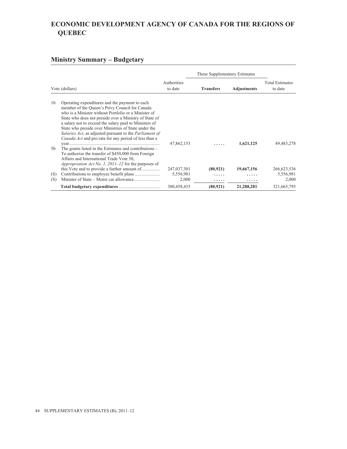# **ECONOMIC DEVELOPMENT AGENCY OF CANADA FOR THE REGIONS OF QUEBEC**

|                |                                                                                                                                                                                                                                                                                                                                                                                                                                                                                |                        | These Supplementary Estimates          |            |                                   |
|----------------|--------------------------------------------------------------------------------------------------------------------------------------------------------------------------------------------------------------------------------------------------------------------------------------------------------------------------------------------------------------------------------------------------------------------------------------------------------------------------------|------------------------|----------------------------------------|------------|-----------------------------------|
| Vote (dollars) |                                                                                                                                                                                                                                                                                                                                                                                                                                                                                | Authorities<br>to date | <b>Transfers</b><br><b>Adjustments</b> |            | <b>Total Estimates</b><br>to date |
| 1 <sub>b</sub> | Operating expenditures and the payment to each<br>member of the Queen's Privy Council for Canada<br>who is a Minister without Portfolio or a Minister of<br>State who does not preside over a Ministry of State of<br>a salary not to exceed the salary paid to Ministers of<br>State who preside over Ministries of State under the<br><i>Salaries Act</i> , as adjusted pursuant to the <i>Parliament of</i><br><i>Canada Act</i> and pro rata for any period of less than a |                        |                                        |            |                                   |
| .5b            | The grants listed in the Estimates and contributions –<br>To authorize the transfer of \$450,000 from Foreign<br>Affairs and International Trade Vote 30,<br><i>Appropriation Act No. 1, 2011–12</i> for the purposes of                                                                                                                                                                                                                                                       | 47,862,153             |                                        | 1,621,125  | 49, 483, 278                      |
|                |                                                                                                                                                                                                                                                                                                                                                                                                                                                                                | 247,037,301            | (80, 921)                              | 19,667,156 | 266, 623, 536                     |
| (S)            |                                                                                                                                                                                                                                                                                                                                                                                                                                                                                | 5,556,981              |                                        |            | 5,556,981                         |
| (S)            |                                                                                                                                                                                                                                                                                                                                                                                                                                                                                | 2,000                  | .                                      | .          | 2,000                             |
|                |                                                                                                                                                                                                                                                                                                                                                                                                                                                                                | 300,458,435            | (80, 921)                              | 21,288,281 | 321,665,795                       |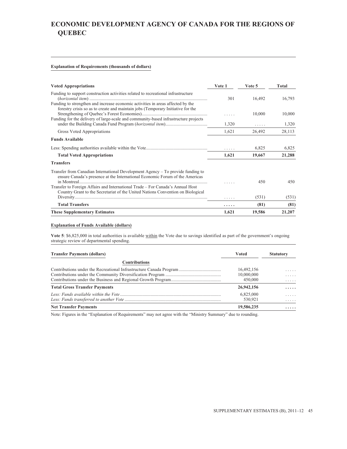## **ECONOMIC DEVELOPMENT AGENCY OF CANADA FOR THE REGIONS OF QUEBEC**

### **Explanation of Requirements (thousands of dollars)**

| <b>Voted Appropriations</b>                                                                                                                                                                                                                       | Vote 1 | Vote 5 | Total  |
|---------------------------------------------------------------------------------------------------------------------------------------------------------------------------------------------------------------------------------------------------|--------|--------|--------|
| Funding to support construction activities related to recreational infrastructure<br>Funding to strengthen and increase economic activities in areas affected by the                                                                              | 301    | 16,492 | 16,793 |
| forestry crisis so as to create and maintain jobs (Temporary Initiative for the<br>Funding for the delivery of large-scale and community-based infrastructure projects                                                                            |        | 10,000 | 10,000 |
|                                                                                                                                                                                                                                                   | 1,320  | .      | 1,320  |
| Gross Voted Appropriations                                                                                                                                                                                                                        | 1,621  | 26,492 | 28,113 |
| <b>Funds Available</b>                                                                                                                                                                                                                            |        |        |        |
|                                                                                                                                                                                                                                                   | .      | 6,825  | 6,825  |
| <b>Total Voted Appropriations</b>                                                                                                                                                                                                                 | 1,621  | 19,667 | 21,288 |
| <b>Transfers</b>                                                                                                                                                                                                                                  |        |        |        |
| Transfer from Canadian International Development Agency – To provide funding to<br>ensure Canada's presence at the International Economic Forum of the Americas<br>Transfer to Foreign Affairs and International Trade – For Canada's Annual Host |        | 450    | 450    |
| Country Grant to the Secretariat of the United Nations Convention on Biological                                                                                                                                                                   |        |        |        |
|                                                                                                                                                                                                                                                   | .      | (531)  | (531)  |
| <b>Total Transfers</b>                                                                                                                                                                                                                            | .      | (81)   | (81)   |
| <b>These Supplementary Estimates</b>                                                                                                                                                                                                              | 1,621  | 19,586 | 21,207 |

#### **Explanation of Funds Available (dollars)**

**Vote 5**: \$6,825,000 in total authorities is available within the Vote due to savings identified as part of the government's ongoing strategic review of departmental spending.

| <b>Transfer Payments (dollars)</b>   | Voted      | <b>Statutory</b> |
|--------------------------------------|------------|------------------|
| <b>Contributions</b>                 |            |                  |
|                                      | 16,492,156 | .                |
|                                      | 10,000,000 | .                |
|                                      | 450,000    | .                |
| <b>Total Gross Transfer Payments</b> | 26,942,156 | .                |
|                                      | 6,825,000  | .                |
|                                      | 530.921    | .                |
| <b>Net Transfer Payments</b>         | 19,586,235 | .                |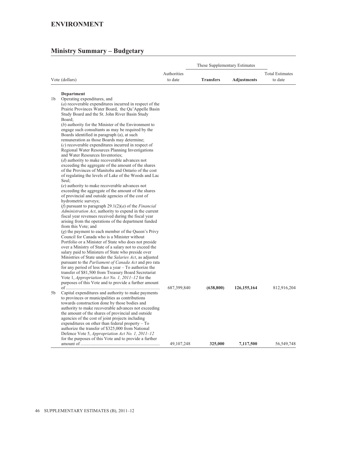|                |                                                                                                                 |              | These Supplementary Estimates |                    |                        |
|----------------|-----------------------------------------------------------------------------------------------------------------|--------------|-------------------------------|--------------------|------------------------|
|                |                                                                                                                 | Authorities  |                               |                    | <b>Total Estimates</b> |
|                | Vote (dollars)                                                                                                  | to date      | <b>Transfers</b>              | <b>Adjustments</b> | to date                |
|                |                                                                                                                 |              |                               |                    |                        |
|                | Department                                                                                                      |              |                               |                    |                        |
| 1 <sub>b</sub> | Operating expenditures, and<br>( <i>a</i> ) recoverable expenditures incurred in respect of the                 |              |                               |                    |                        |
|                | Prairie Provinces Water Board, the Qu'Appelle Basin                                                             |              |                               |                    |                        |
|                | Study Board and the St. John River Basin Study                                                                  |              |                               |                    |                        |
|                | Board:                                                                                                          |              |                               |                    |                        |
|                | $(b)$ authority for the Minister of the Environment to                                                          |              |                               |                    |                        |
|                | engage such consultants as may be required by the                                                               |              |                               |                    |                        |
|                | Boards identified in paragraph (a), at such                                                                     |              |                               |                    |                        |
|                | remuneration as those Boards may determine;                                                                     |              |                               |                    |                        |
|                | $(c)$ recoverable expenditures incurred in respect of<br>Regional Water Resources Planning Investigations       |              |                               |                    |                        |
|                | and Water Resources Inventories;                                                                                |              |                               |                    |                        |
|                | (d) authority to make recoverable advances not                                                                  |              |                               |                    |                        |
|                | exceeding the aggregate of the amount of the shares                                                             |              |                               |                    |                        |
|                | of the Provinces of Manitoba and Ontario of the cost                                                            |              |                               |                    |                        |
|                | of regulating the levels of Lake of the Woods and Lac                                                           |              |                               |                    |                        |
|                | Seul:                                                                                                           |              |                               |                    |                        |
|                | (e) authority to make recoverable advances not<br>exceeding the aggregate of the amount of the shares           |              |                               |                    |                        |
|                | of provincial and outside agencies of the cost of                                                               |              |                               |                    |                        |
|                | hydrometric surveys;                                                                                            |              |                               |                    |                        |
|                | (f) pursuant to paragraph $29.1(2)(a)$ of the <i>Financial</i>                                                  |              |                               |                    |                        |
|                | Administration Act, authority to expend in the current                                                          |              |                               |                    |                        |
|                | fiscal year revenues received during the fiscal year                                                            |              |                               |                    |                        |
|                | arising from the operations of the department funded<br>from this Vote; and                                     |              |                               |                    |                        |
|                | $(g)$ the payment to each member of the Queen's Privy                                                           |              |                               |                    |                        |
|                | Council for Canada who is a Minister without                                                                    |              |                               |                    |                        |
|                | Portfolio or a Minister of State who does not preside                                                           |              |                               |                    |                        |
|                | over a Ministry of State of a salary not to exceed the                                                          |              |                               |                    |                        |
|                | salary paid to Ministers of State who preside over                                                              |              |                               |                    |                        |
|                | Ministries of State under the Salaries Act, as adjusted                                                         |              |                               |                    |                        |
|                | pursuant to the Parliament of Canada Act and pro rata                                                           |              |                               |                    |                        |
|                | for any period of less than a year $-$ To authorize the<br>transfer of \$81,500 from Treasury Board Secretariat |              |                               |                    |                        |
|                | Vote 1, <i>Appropriation Act No. 1, 2011–12</i> for the                                                         |              |                               |                    |                        |
|                | purposes of this Vote and to provide a further amount                                                           |              |                               |                    |                        |
|                |                                                                                                                 | 687,399,840  | (638, 800)                    | 126, 155, 164      | 812,916,204            |
| 5b             | Capital expenditures and authority to make payments                                                             |              |                               |                    |                        |
|                | to provinces or municipalities as contributions                                                                 |              |                               |                    |                        |
|                | towards construction done by those bodies and<br>authority to make recoverable advances not exceeding           |              |                               |                    |                        |
|                | the amount of the shares of provincial and outside                                                              |              |                               |                    |                        |
|                | agencies of the cost of joint projects including                                                                |              |                               |                    |                        |
|                | expenditures on other than federal property $-$ To                                                              |              |                               |                    |                        |
|                | authorize the transfer of \$325,000 from National                                                               |              |                               |                    |                        |
|                | Defence Vote 5, <i>Appropriation Act No. 1, 2011–12</i>                                                         |              |                               |                    |                        |
|                | for the purposes of this Vote and to provide a further                                                          |              |                               |                    |                        |
|                |                                                                                                                 | 49, 107, 248 | 325,000                       | 7,117,500          | 56,549,748             |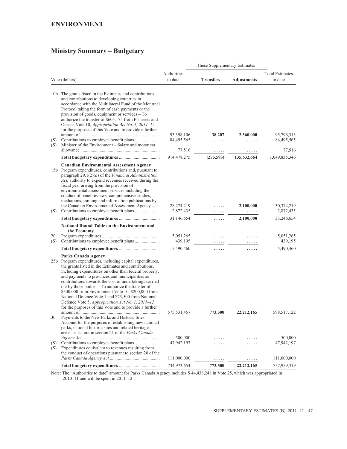### **ENVIRONMENT**

|  | <b>Ministry Summary - Budgetary</b> |  |
|--|-------------------------------------|--|
|--|-------------------------------------|--|

|                  |                                                                                                                                                                                                                                                                                                                                                                                                                                                                                                                                                                                                                                                                                                                                                                                                                                                                                                                                                                                     |                                                     | These Supplementary Estimates |                    |                                                     |  |
|------------------|-------------------------------------------------------------------------------------------------------------------------------------------------------------------------------------------------------------------------------------------------------------------------------------------------------------------------------------------------------------------------------------------------------------------------------------------------------------------------------------------------------------------------------------------------------------------------------------------------------------------------------------------------------------------------------------------------------------------------------------------------------------------------------------------------------------------------------------------------------------------------------------------------------------------------------------------------------------------------------------|-----------------------------------------------------|-------------------------------|--------------------|-----------------------------------------------------|--|
|                  |                                                                                                                                                                                                                                                                                                                                                                                                                                                                                                                                                                                                                                                                                                                                                                                                                                                                                                                                                                                     | Authorities                                         |                               |                    | <b>Total Estimates</b>                              |  |
|                  | Vote (dollars)                                                                                                                                                                                                                                                                                                                                                                                                                                                                                                                                                                                                                                                                                                                                                                                                                                                                                                                                                                      | to date                                             | <b>Transfers</b>              | <b>Adjustments</b> | to date                                             |  |
|                  | 10b The grants listed in the Estimates and contributions,<br>and contributions to developing countries in<br>accordance with the Multilateral Fund of the Montreal<br>Protocol taking the form of cash payments or the<br>provision of goods, equipment or services – To<br>authorize the transfer of \$605,175 from Fisheries and<br>Oceans Vote 10, Appropriation Act No. 1, 2011-12<br>for the purposes of this Vote and to provide a further                                                                                                                                                                                                                                                                                                                                                                                                                                                                                                                                    | 93,398,106                                          | 38,207                        | 2,360,000          | 95,796,313                                          |  |
| (S)<br>(S)       | Minister of the Environment – Salary and motor car                                                                                                                                                                                                                                                                                                                                                                                                                                                                                                                                                                                                                                                                                                                                                                                                                                                                                                                                  | 84,495,565<br>77,516                                |                               |                    | 84,495,565<br>77,516                                |  |
|                  |                                                                                                                                                                                                                                                                                                                                                                                                                                                                                                                                                                                                                                                                                                                                                                                                                                                                                                                                                                                     | 914,478,275                                         | .<br>(275, 593)               | .<br>135,632,664   | 1,049,835,346                                       |  |
|                  | <b>Canadian Environmental Assessment Agency</b><br>15b Program expenditures, contributions and, pursuant to<br>paragraph $29.1(2)(a)$ of the Financial Administration<br>Act, authority to expend revenues received during the<br>fiscal year arising from the provision of<br>environmental assessment services including the<br>conduct of panel reviews, comprehensive studies,<br>mediations, training and information publications by<br>the Canadian Environmental Assessment Agency                                                                                                                                                                                                                                                                                                                                                                                                                                                                                          | 28,274,219                                          |                               | 2,100,000          | 30, 374, 219                                        |  |
| (S)              |                                                                                                                                                                                                                                                                                                                                                                                                                                                                                                                                                                                                                                                                                                                                                                                                                                                                                                                                                                                     | 2,872,435                                           |                               | .                  | 2,872,435                                           |  |
|                  |                                                                                                                                                                                                                                                                                                                                                                                                                                                                                                                                                                                                                                                                                                                                                                                                                                                                                                                                                                                     | 31,146,654                                          | .                             | 2,100,000          | 33,246,654                                          |  |
|                  | <b>National Round Table on the Environment and</b>                                                                                                                                                                                                                                                                                                                                                                                                                                                                                                                                                                                                                                                                                                                                                                                                                                                                                                                                  |                                                     |                               |                    |                                                     |  |
| 20<br>(S)        | the Economy<br>Contributions to employee benefit plans                                                                                                                                                                                                                                                                                                                                                                                                                                                                                                                                                                                                                                                                                                                                                                                                                                                                                                                              | 5,051,265<br>439,195                                | .                             | .<br>.             | 5,051,265<br>439,195                                |  |
|                  |                                                                                                                                                                                                                                                                                                                                                                                                                                                                                                                                                                                                                                                                                                                                                                                                                                                                                                                                                                                     | 5,490,460                                           | .                             | .                  | 5,490,460                                           |  |
| 30<br>(S)<br>(S) | Parks Canada Agency<br>25b Program expenditures, including capital expenditures,<br>the grants listed in the Estimates and contributions,<br>including expenditures on other than federal property,<br>and payments to provinces and municipalities as<br>contributions towards the cost of undertakings carried<br>out by those bodies - To authorize the transfer of<br>\$500,000 from Environment Vote 10, \$200,000 from<br>National Defence Vote 1 and \$73,500 from National<br>Defence Vote 5, Appropriation Act No. 1, 2011-12<br>for the purposes of this Vote and to provide a further<br>Payments to the New Parks and Historic Sites<br>Account for the purposes of establishing new national<br>parks, national historic sites and related heritage<br>areas, as set out in section 21 of the Parks Canada<br>Contributions to employee benefit plans<br>Expenditures equivalent to revenues resulting from<br>the conduct of operations pursuant to section 20 of the | 575,531,457<br>500,000<br>47,942,197<br>111,000,000 | 773,500                       | 22, 212, 165       | 598,517,122<br>500,000<br>47,942,197<br>111,000,000 |  |
|                  |                                                                                                                                                                                                                                                                                                                                                                                                                                                                                                                                                                                                                                                                                                                                                                                                                                                                                                                                                                                     |                                                     | 773,500                       |                    |                                                     |  |
|                  |                                                                                                                                                                                                                                                                                                                                                                                                                                                                                                                                                                                                                                                                                                                                                                                                                                                                                                                                                                                     | 734,973,654                                         |                               | 22, 212, 165       | 757,959,319                                         |  |

Note: The "Authorities to date" amount for Parks Canada Agency includes \$ 44,438,248 in Vote 25, which was appropriated in 2010–11 and will be spent in 2011–12.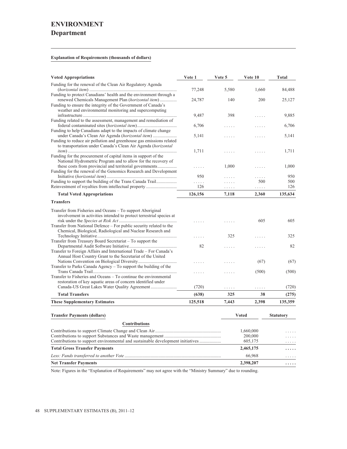# **ENVIRONMENT**

## **Department**

### **Explanation of Requirements (thousands of dollars)**

| <b>Voted Appropriations</b>                                                                                                           | Vote 1                                     | Vote 5 | Vote 10  | Total            |
|---------------------------------------------------------------------------------------------------------------------------------------|--------------------------------------------|--------|----------|------------------|
| Funding for the renewal of the Clean Air Regulatory Agenda                                                                            | 77,248                                     | 5,580  | 1.660    | 84,488           |
| Funding to protect Canadians' health and the environment through a<br>renewed Chemicals Management Plan ( <i>horizontal item</i> )    | 24,787                                     | 140    | 200      | 25,127           |
| Funding to ensure the integrity of the Government of Canada's<br>weather and environmental monitoring and supercomputing              |                                            |        |          |                  |
|                                                                                                                                       | 9,487                                      | 398    | .        | 9,885            |
| Funding related to the assessment, management and remediation of<br>Funding to help Canadians adapt to the impacts of climate change  | 6,706                                      | .      | .        | 6,706            |
| under Canada's Clean Air Agenda (horizontal item)                                                                                     | 5,141                                      | .      | .        | 5,141            |
| Funding to reduce air pollution and greenhouse gas emissions related<br>to transportation under Canada's Clean Air Agenda (horizontal |                                            |        |          |                  |
|                                                                                                                                       | 1,711                                      | .      | .        | 1,711            |
| Funding for the procurement of capital items in support of the<br>National Hydrometric Program and to allow for the recovery of       | $\mathbb{Z}^2$ . The set of $\mathbb{Z}^2$ | 1,000  | .        | 1,000            |
| Funding for the renewal of the Genomics Research and Development                                                                      | 950                                        | .      | .        | 950              |
|                                                                                                                                       | .                                          |        | 500      | 500              |
| Reinvestment of royalties from intellectual property                                                                                  | 126                                        | .      | .        | 126              |
| <b>Total Voted Appropriations</b>                                                                                                     | 126,156                                    | 7,118  | 2,360    | 135,634          |
| <b>Transfers</b>                                                                                                                      |                                            |        |          |                  |
| Transfer from Fisheries and Oceans – To support Aboriginal<br>involvement in activities intended to protect terrestrial species at    |                                            |        | 605      | 605              |
| Transfer from National Defence - For public security related to the<br>Chemical, Biological, Radiological and Nuclear Research and    |                                            |        |          |                  |
|                                                                                                                                       |                                            | 325    | .        | 325              |
| Transfer from Treasury Board Secretariat – To support the                                                                             | 82                                         |        |          | 82               |
| Transfer to Foreign Affairs and International Trade - For Canada's<br>Annual Host Country Grant to the Secretariat of the United      |                                            | .      | $\cdots$ |                  |
| Transfer to Parks Canada Agency – To support the building of the                                                                      |                                            | .      | (67)     | (67)             |
|                                                                                                                                       | .                                          | .      | (500)    | (500)            |
| Transfer to Fisheries and Oceans – To continue the environmental<br>restoration of key aquatic areas of concern identified under      |                                            |        |          |                  |
|                                                                                                                                       | (720)                                      | .      | $\cdots$ | (720)            |
| <b>Total Transfers</b>                                                                                                                | (638)                                      | 325    | 38       | (275)            |
| <b>These Supplementary Estimates</b>                                                                                                  | 125,518                                    | 7,443  | 2,398    | 135,359          |
| <b>Transfer Payments (dollars)</b>                                                                                                    |                                            |        | Voted    | <b>Statutory</b> |
| <b>Contributions</b>                                                                                                                  |                                            |        |          |                  |

| Contributions                                                                  |           |   |
|--------------------------------------------------------------------------------|-----------|---|
|                                                                                | 1,660,000 | . |
|                                                                                | 200,000   | . |
| Contributions to support environmental and sustainable development initiatives | 605,175   | . |
| <b>Total Gross Transfer Payments</b>                                           | 2,465,175 | . |
|                                                                                | 66.968    | . |
| <b>Net Transfer Payments</b>                                                   | 2,398,207 | . |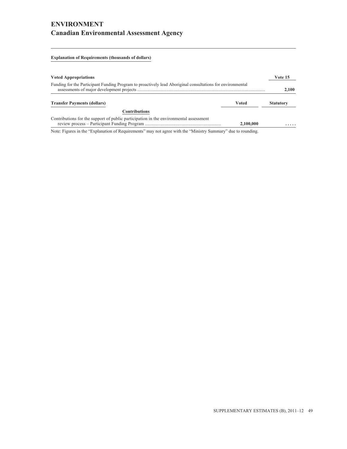# **ENVIRONMENT Canadian Environmental Assessment Agency**

### **Explanation of Requirements (thousands of dollars)**

| <b>Voted Appropriations</b>                                                                                |           | Vote 15          |  |  |
|------------------------------------------------------------------------------------------------------------|-----------|------------------|--|--|
| Funding for the Participant Funding Program to proactively lead Aboriginal consultations for environmental |           |                  |  |  |
| <b>Transfer Payments (dollars)</b>                                                                         | Voted     | <b>Statutory</b> |  |  |
| <b>Contributions</b>                                                                                       |           |                  |  |  |
| Contributions for the support of public participation in the environmental assessment                      | 2.100.000 | .                |  |  |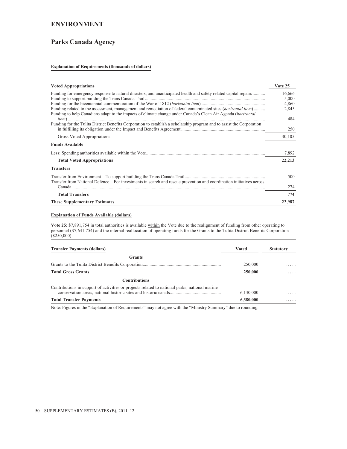### **ENVIRONMENT**

### **Parks Canada Agency**

### **Explanation of Requirements (thousands of dollars)**

| <b>Voted Appropriations</b>                                                                                                                                                                                                   | Vote 25 |
|-------------------------------------------------------------------------------------------------------------------------------------------------------------------------------------------------------------------------------|---------|
| Funding for emergency response to natural disasters, and unanticipated health and safety related capital repairs                                                                                                              | 16,666  |
|                                                                                                                                                                                                                               | 5,000   |
|                                                                                                                                                                                                                               | 4,860   |
| Funding related to the assessment, management and remediation of federal contaminated sites (horizontal item)<br>Funding to help Canadians adapt to the impacts of climate change under Canada's Clean Air Agenda (horizontal | 2,845   |
|                                                                                                                                                                                                                               | 484     |
| Funding for the Tulita District Benefits Corporation to establish a scholarship program and to assist the Corporation                                                                                                         | 250     |
| Gross Voted Appropriations                                                                                                                                                                                                    | 30,105  |
| <b>Funds Available</b>                                                                                                                                                                                                        |         |
|                                                                                                                                                                                                                               | 7,892   |
| <b>Total Voted Appropriations</b>                                                                                                                                                                                             | 22,213  |
| <b>Transfers</b>                                                                                                                                                                                                              |         |
|                                                                                                                                                                                                                               | 500     |
| Transfer from National Defence – For investments in search and rescue prevention and coordination initiatives across                                                                                                          |         |
|                                                                                                                                                                                                                               | 274     |
| <b>Total Transfers</b>                                                                                                                                                                                                        | 774     |
| <b>These Supplementary Estimates</b>                                                                                                                                                                                          | 22,987  |

#### **Explanation of Funds Available (dollars)**

**Vote 25**: \$7,891,754 in total authorities is available within the Vote due to the realignment of funding from other operating to personnel (\$7,641,754) and the internal reallocation of operating funds for the Grants to the Tulita District Benefits Corporation (\$250,000).

| <b>Transfer Payments (dollars)</b>                                                            | <b>Voted</b> | <b>Statutory</b> |
|-----------------------------------------------------------------------------------------------|--------------|------------------|
| Grants                                                                                        |              |                  |
|                                                                                               | 250,000      | .                |
| <b>Total Gross Grants</b>                                                                     | 250,000      | .                |
| <b>Contributions</b>                                                                          |              |                  |
| Contributions in support of activities or projects related to national parks, national marine | 6,130,000    | .                |
| <b>Total Transfer Payments</b>                                                                | 6.380,000    | .                |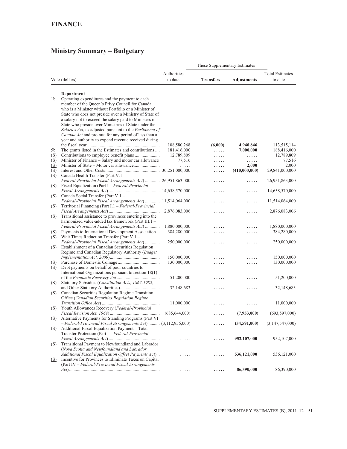|     |                                                                                                                   |                 | These Supplementary Estimates |                    |                        |
|-----|-------------------------------------------------------------------------------------------------------------------|-----------------|-------------------------------|--------------------|------------------------|
|     |                                                                                                                   | Authorities     |                               |                    | <b>Total Estimates</b> |
|     | Vote (dollars)                                                                                                    | to date         | <b>Transfers</b>              | <b>Adjustments</b> | to date                |
|     |                                                                                                                   |                 |                               |                    |                        |
| 1b  | Department<br>Operating expenditures and the payment to each                                                      |                 |                               |                    |                        |
|     | member of the Queen's Privy Council for Canada                                                                    |                 |                               |                    |                        |
|     | who is a Minister without Portfolio or a Minister of                                                              |                 |                               |                    |                        |
|     | State who does not preside over a Ministry of State of                                                            |                 |                               |                    |                        |
|     | a salary not to exceed the salary paid to Ministers of                                                            |                 |                               |                    |                        |
|     | State who preside over Ministries of State under the                                                              |                 |                               |                    |                        |
|     | Salaries Act, as adjusted pursuant to the Parliament of                                                           |                 |                               |                    |                        |
|     | Canada Act and pro rata for any period of less than a                                                             |                 |                               |                    |                        |
|     | year and authority to expend revenue received during                                                              |                 |                               |                    |                        |
|     |                                                                                                                   | 108,580,268     | (6,000)                       | 4,940,846          | 113,515,114            |
| 5b  | The grants listed in the Estimates and contributions                                                              | 181,416,000     | .                             | 7,000,000          | 188,416,000            |
| (S) | Contributions to employee benefit plans                                                                           | 12,789,809      | .                             | .                  | 12,789,809             |
| (S) | Minister of Finance – Salary and motor car allowance                                                              | 77,516          | .                             | .                  | 77,516                 |
| (S) |                                                                                                                   | $\ldots$        | .                             | 2,000              | 2,000                  |
| (S) |                                                                                                                   |                 | .                             | (410,000,000)      | 29,841,000,000         |
| (S) | Canada Health Transfer (Part V.1 -                                                                                |                 |                               |                    |                        |
| (S) | Federal-Provincial Fiscal Arrangements Act)  26,951,863,000<br>Fiscal Equalization (Part $I$ – Federal-Provincial |                 |                               | .                  | 26,951,863,000         |
|     |                                                                                                                   |                 |                               | .                  | 14,658,570,000         |
| (S) | Canada Social Transfer (Part V.1 -                                                                                |                 |                               |                    |                        |
|     | Federal-Provincial Fiscal Arrangements Act)  11,514,064,000                                                       |                 |                               | .                  | 11,514,064,000         |
| (S) | Territorial Financing (Part I.1 - Federal-Provincial                                                              |                 |                               |                    |                        |
|     |                                                                                                                   | 2,876,083,006   | .                             | .                  | 2,876,083,006          |
| (S) | Transitional assistance to provinces entering into the                                                            |                 |                               |                    |                        |
|     | harmonized value-added tax framework (Part III.1 -                                                                |                 |                               |                    |                        |
|     | Federal-Provincial Fiscal Arrangements Act)                                                                       | 1,880,000,000   |                               |                    | 1,880,000,000          |
| (S) | Payments to International Development Association                                                                 | 384,280,000     |                               |                    | 384,280,000            |
| (S) | Wait Times Reduction Transfer (Part V.1 –                                                                         |                 |                               |                    |                        |
|     | Federal-Provincial Fiscal Arrangements Act)                                                                       | 250,000,000     |                               |                    | 250,000,000            |
| (S) | Establishment of a Canadian Securities Regulation                                                                 |                 |                               |                    |                        |
|     | Regime and Canadian Regulatory Authority (Budget                                                                  |                 |                               |                    |                        |
|     |                                                                                                                   | 150,000,000     |                               |                    | 150,000,000            |
| (S) |                                                                                                                   | 130,000,000     |                               |                    | 130,000,000            |
| (S) | Debt payments on behalf of poor countries to                                                                      |                 |                               |                    |                        |
|     | International Organizations pursuant to section 18(1)                                                             |                 |                               |                    |                        |
|     |                                                                                                                   | 51,200,000      |                               |                    | 51,200,000             |
| (S) | Statutory Subsidies (Constitution Acts, 1867-1982,                                                                |                 |                               |                    | 32,148,683             |
| (S) | Canadian Securities Regulation Regime Transition                                                                  | 32,148,683      |                               |                    |                        |
|     | Office (Canadian Securities Regulation Regime                                                                     |                 |                               |                    |                        |
|     |                                                                                                                   | 11,000,000      |                               |                    | 11,000,000             |
| (S) | Youth Allowances Recovery (Federal-Provincial                                                                     |                 |                               |                    |                        |
|     |                                                                                                                   | (685, 644, 000) |                               | (7,953,000)        | (693, 597, 000)        |
| (S) | Alternative Payments for Standing Programs (Part VI                                                               |                 |                               |                    |                        |
|     | - Federal-Provincial Fiscal Arrangements Act)  (3,112,956,000)                                                    |                 | .                             | (34,591,000)       | (3,147,547,000)        |
| (S) | Additional Fiscal Equalization Payment - Total                                                                    |                 |                               |                    |                        |
|     | Transfer Protection (Part I – Federal-Provincial                                                                  |                 |                               |                    |                        |
|     |                                                                                                                   | .               |                               | 952,107,000        | 952,107,000            |
| (S) | Transitional Payment to Newfoundland and Labrador                                                                 |                 |                               |                    |                        |
|     | (Nova Scotia and Newfoundland and Labrador                                                                        |                 |                               |                    |                        |
|     | Additional Fiscal Equalization Offset Payments Act)                                                               | .               |                               | 536,121,000        | 536,121,000            |
| (S) | Incentive for Provinces to Eliminate Taxes on Capital                                                             |                 |                               |                    |                        |
|     | (Part IV – Federal-Provincial Fiscal Arrangements                                                                 |                 |                               |                    |                        |
|     |                                                                                                                   | .               | .                             | 86,390,000         | 86,390,000             |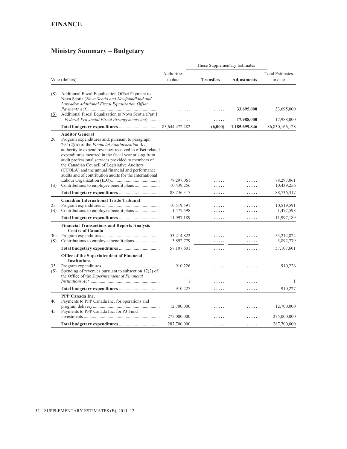# **FINANCE**

| Authorities<br><b>Total Estimates</b><br><b>Transfers</b><br>Vote (dollars)<br>to date<br><b>Adjustments</b><br>to date<br>Additional Fiscal Equalization Offset Payment to<br>(S)<br>Nova Scotia (Nova Scotia and Newfoundland and<br>Labrador Additional Fiscal Equalization Offset<br>33,695,000<br>33,695,000<br>.<br>(S) Additional Fiscal Equalization to Nova Scotia (Part I)<br>- Federal-Provincial Fiscal Arrangements Act)<br>17,988,000<br>17,988,000<br>.<br>(6,000)<br>1,185,699,846<br>86, 830, 166, 128<br><b>Auditor General</b><br>20<br>Program expenditures and, pursuant to paragraph<br>$29.1(2)(a)$ of the Financial Administration Act,<br>authority to expend revenues received to offset related<br>expenditures incurred in the fiscal year arising from<br>audit professional services provided to members of<br>the Canadian Council of Legislative Auditors<br>(CCOLA) and the annual financial and performance<br>audits and of contribution audits for the International<br>78,297,061<br>.<br>Contributions to employee benefit plans<br>10,439,256<br>(S)<br>10,439,256<br>.<br>.<br>88,736,317<br>88,736,317<br>.<br>.<br><b>Canadian International Trade Tribunal</b><br>25<br>10,519,591<br>.<br>.<br>1,477,598<br>(S)<br>.<br>.<br>11,997,189<br>11,997,189<br>.<br>.<br><b>Financial Transactions and Reports Analysis</b><br><b>Centre of Canada</b><br>53,214,822<br>.<br>.<br>3,892,779<br>(S)<br>.<br>.<br>57,107,601<br>57,107,601<br>.<br>.<br><b>Office of the Superintendent of Financial</b><br><b>Institutions</b><br>910,226<br>35<br>(S)<br>Spending of revenues pursuant to subsection $17(2)$ of<br>the Office of the Superintendent of Financial<br>$\mathbf{1}$<br>910,227<br>.<br>.<br>PPP Canada Inc.<br>Payments to PPP Canada Inc. for operations and<br>40<br>12,700,000<br>Payments to PPP Canada Inc. for P3 Fund<br>45<br>275,000,000<br>275,000,000<br>.<br>. |  | These Supplementary Estimates |   |   |                         |  |
|-------------------------------------------------------------------------------------------------------------------------------------------------------------------------------------------------------------------------------------------------------------------------------------------------------------------------------------------------------------------------------------------------------------------------------------------------------------------------------------------------------------------------------------------------------------------------------------------------------------------------------------------------------------------------------------------------------------------------------------------------------------------------------------------------------------------------------------------------------------------------------------------------------------------------------------------------------------------------------------------------------------------------------------------------------------------------------------------------------------------------------------------------------------------------------------------------------------------------------------------------------------------------------------------------------------------------------------------------------------------------------------------------------------------------------------------------------------------------------------------------------------------------------------------------------------------------------------------------------------------------------------------------------------------------------------------------------------------------------------------------------------------------------------------------------------------------------------------------------------------------------------------------------------------------------|--|-------------------------------|---|---|-------------------------|--|
|                                                                                                                                                                                                                                                                                                                                                                                                                                                                                                                                                                                                                                                                                                                                                                                                                                                                                                                                                                                                                                                                                                                                                                                                                                                                                                                                                                                                                                                                                                                                                                                                                                                                                                                                                                                                                                                                                                                               |  |                               |   |   |                         |  |
|                                                                                                                                                                                                                                                                                                                                                                                                                                                                                                                                                                                                                                                                                                                                                                                                                                                                                                                                                                                                                                                                                                                                                                                                                                                                                                                                                                                                                                                                                                                                                                                                                                                                                                                                                                                                                                                                                                                               |  |                               |   |   |                         |  |
|                                                                                                                                                                                                                                                                                                                                                                                                                                                                                                                                                                                                                                                                                                                                                                                                                                                                                                                                                                                                                                                                                                                                                                                                                                                                                                                                                                                                                                                                                                                                                                                                                                                                                                                                                                                                                                                                                                                               |  |                               |   |   |                         |  |
|                                                                                                                                                                                                                                                                                                                                                                                                                                                                                                                                                                                                                                                                                                                                                                                                                                                                                                                                                                                                                                                                                                                                                                                                                                                                                                                                                                                                                                                                                                                                                                                                                                                                                                                                                                                                                                                                                                                               |  |                               |   |   |                         |  |
|                                                                                                                                                                                                                                                                                                                                                                                                                                                                                                                                                                                                                                                                                                                                                                                                                                                                                                                                                                                                                                                                                                                                                                                                                                                                                                                                                                                                                                                                                                                                                                                                                                                                                                                                                                                                                                                                                                                               |  |                               |   |   | 78,297,061              |  |
|                                                                                                                                                                                                                                                                                                                                                                                                                                                                                                                                                                                                                                                                                                                                                                                                                                                                                                                                                                                                                                                                                                                                                                                                                                                                                                                                                                                                                                                                                                                                                                                                                                                                                                                                                                                                                                                                                                                               |  |                               |   |   |                         |  |
|                                                                                                                                                                                                                                                                                                                                                                                                                                                                                                                                                                                                                                                                                                                                                                                                                                                                                                                                                                                                                                                                                                                                                                                                                                                                                                                                                                                                                                                                                                                                                                                                                                                                                                                                                                                                                                                                                                                               |  |                               |   |   | 10,519,591<br>1,477,598 |  |
|                                                                                                                                                                                                                                                                                                                                                                                                                                                                                                                                                                                                                                                                                                                                                                                                                                                                                                                                                                                                                                                                                                                                                                                                                                                                                                                                                                                                                                                                                                                                                                                                                                                                                                                                                                                                                                                                                                                               |  |                               |   |   |                         |  |
|                                                                                                                                                                                                                                                                                                                                                                                                                                                                                                                                                                                                                                                                                                                                                                                                                                                                                                                                                                                                                                                                                                                                                                                                                                                                                                                                                                                                                                                                                                                                                                                                                                                                                                                                                                                                                                                                                                                               |  |                               |   |   | 53,214,822<br>3,892,779 |  |
|                                                                                                                                                                                                                                                                                                                                                                                                                                                                                                                                                                                                                                                                                                                                                                                                                                                                                                                                                                                                                                                                                                                                                                                                                                                                                                                                                                                                                                                                                                                                                                                                                                                                                                                                                                                                                                                                                                                               |  |                               |   |   |                         |  |
|                                                                                                                                                                                                                                                                                                                                                                                                                                                                                                                                                                                                                                                                                                                                                                                                                                                                                                                                                                                                                                                                                                                                                                                                                                                                                                                                                                                                                                                                                                                                                                                                                                                                                                                                                                                                                                                                                                                               |  |                               |   |   | 910,226                 |  |
|                                                                                                                                                                                                                                                                                                                                                                                                                                                                                                                                                                                                                                                                                                                                                                                                                                                                                                                                                                                                                                                                                                                                                                                                                                                                                                                                                                                                                                                                                                                                                                                                                                                                                                                                                                                                                                                                                                                               |  |                               |   |   | 1                       |  |
|                                                                                                                                                                                                                                                                                                                                                                                                                                                                                                                                                                                                                                                                                                                                                                                                                                                                                                                                                                                                                                                                                                                                                                                                                                                                                                                                                                                                                                                                                                                                                                                                                                                                                                                                                                                                                                                                                                                               |  |                               |   |   | 910,227                 |  |
|                                                                                                                                                                                                                                                                                                                                                                                                                                                                                                                                                                                                                                                                                                                                                                                                                                                                                                                                                                                                                                                                                                                                                                                                                                                                                                                                                                                                                                                                                                                                                                                                                                                                                                                                                                                                                                                                                                                               |  |                               |   |   | 12,700,000              |  |
|                                                                                                                                                                                                                                                                                                                                                                                                                                                                                                                                                                                                                                                                                                                                                                                                                                                                                                                                                                                                                                                                                                                                                                                                                                                                                                                                                                                                                                                                                                                                                                                                                                                                                                                                                                                                                                                                                                                               |  | 287,700,000                   | . | . | 287,700,000             |  |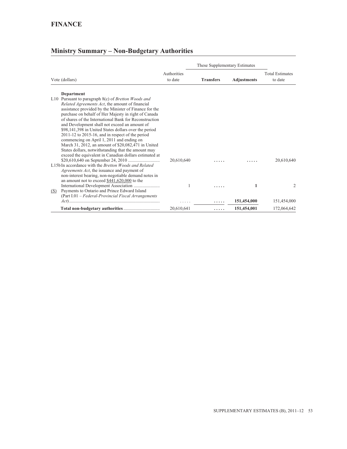|            |                                                                                                                                                                                                                                                                                                                                                                                                                                                                                                                                                                                     |                        | These Supplementary Estimates |                    |                                   |
|------------|-------------------------------------------------------------------------------------------------------------------------------------------------------------------------------------------------------------------------------------------------------------------------------------------------------------------------------------------------------------------------------------------------------------------------------------------------------------------------------------------------------------------------------------------------------------------------------------|------------------------|-------------------------------|--------------------|-----------------------------------|
|            | Vote (dollars)                                                                                                                                                                                                                                                                                                                                                                                                                                                                                                                                                                      | Authorities<br>to date | <b>Transfers</b>              | <b>Adjustments</b> | <b>Total Estimates</b><br>to date |
|            | Department<br>L10 Pursuant to paragraph 8(c) of Bretton Woods and<br><i>Related Agreements Act</i> , the amount of financial<br>assistance provided by the Minister of Finance for the<br>purchase on behalf of Her Majesty in right of Canada<br>of shares of the International Bank for Reconstruction<br>and Development shall not exceed an amount of<br>\$98,141,398 in United States dollars over the period<br>$2011 - 12$ to $2015 - 16$ , and in respect of the period<br>commencing on April 1, 2011 and ending on<br>March 31, 2012, an amount of \$20,082,471 in United |                        |                               |                    |                                   |
|            | States dollars, notwithstanding that the amount may<br>exceed the equivalent in Canadian dollars estimated at<br>L15b In accordance with the <i>Bretton Woods and Related</i><br><i>Agreements Act</i> , the issuance and payment of                                                                                                                                                                                                                                                                                                                                                | 20,610,640             |                               |                    | 20,610,640                        |
| <u>(S)</u> | non-interest bearing, non-negotiable demand notes in<br>an amount not to exceed \$441,620,000 to the<br>Payments to Ontario and Prince Edward Island<br>(Part I.01 – Federal-Provincial Fiscal Arrangements                                                                                                                                                                                                                                                                                                                                                                         | 1                      |                               | 1<br>151,454,000   | 2<br>151,454,000                  |
|            |                                                                                                                                                                                                                                                                                                                                                                                                                                                                                                                                                                                     | 20,610,641             |                               | 151,454,001        | 172,064,642                       |

# **Ministry Summary – Non-Budgetary Authorities**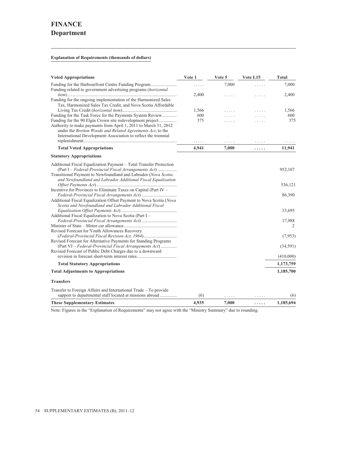### **Explanation of Requirements (thousands of dollars)**

| <b>Voted Appropriations</b>                                                                                                                                                                     | Vote 1 | Vote 5 | Vote L15 | <b>Total</b> |
|-------------------------------------------------------------------------------------------------------------------------------------------------------------------------------------------------|--------|--------|----------|--------------|
| Funding related to government advertising programs (horizontal                                                                                                                                  |        | 7,000  |          | 7,000        |
|                                                                                                                                                                                                 | 2,400  | .      |          | 2,400        |
| Funding for the ongoing implementation of the Harmonized Sales<br>Tax, Harmonized Sales Tax Credit, and Nova Scotia Affordable                                                                  |        |        |          |              |
|                                                                                                                                                                                                 | 1,566  |        |          | 1,566        |
| Funding for the Task Force for the Payments System Review                                                                                                                                       | 600    |        |          | 600          |
| Authority to make payments from April 1, 2011 to March 31, 2012<br>under the Bretton Woods and Related Agreements Act, to the<br>International Development Association to reflect the triennial | 375    |        |          | 375          |
|                                                                                                                                                                                                 |        |        |          |              |
| <b>Total Voted Appropriations</b>                                                                                                                                                               | 4.941  | 7,000  | .        | 11,941       |
| <b>Statutory Appropriations</b>                                                                                                                                                                 |        |        |          |              |
| Additional Fiscal Equalization Payment – Total Transfer Protection<br>(Part I – Federal-Provincial Fiscal Arrangements Act)<br>Transitional Payment to Newfoundland and Labrador (Nova Scotia   |        |        |          | 952,107      |
| and Newfoundland and Labrador Additional Fiscal Equalization                                                                                                                                    |        |        |          | 536,121      |
| Incentive for Provinces to Eliminate Taxes on Capital (Part IV –                                                                                                                                |        |        |          | 86,390       |
| Additional Fiscal Equalization Offset Payment to Nova Scotia (Nova<br>Scotia and Newfoundland and Labrador Additional Fiscal                                                                    |        |        |          |              |
|                                                                                                                                                                                                 |        |        |          | 33,695       |
| Additional Fiscal Equalization to Nova Scotia (Part I –                                                                                                                                         |        |        |          | 17,988       |
| Revised Forecast for Youth Allowances Recovery                                                                                                                                                  |        |        |          | 2            |
| (Federal-Provincial Fiscal Revision Act, 1964)<br>Revised Forecast for Alternative Payments for Standing Programs                                                                               |        |        |          | (7,953)      |
| (Part VI – Federal-Provincial Fiscal Arrangements Act)<br>Revised Forecast of Public Debt Charges due to a downward                                                                             |        |        |          | (34, 591)    |
| revision in forecast short-term interest rates                                                                                                                                                  |        |        |          | (410,000)    |
| <b>Total Statutory Appropriations</b>                                                                                                                                                           |        |        |          | 1,173,759    |
| <b>Total Adjustments to Appropriations</b>                                                                                                                                                      |        |        |          | 1,185,700    |
| <b>Transfers</b>                                                                                                                                                                                |        |        |          |              |
| Transfer to Foreign Affairs and International Trade - To provide<br>support to departmental staff located at missions abroad                                                                    | (6)    | .      |          | (6)          |
| <b>These Supplementary Estimates</b>                                                                                                                                                            | 4,935  | 7,000  | .        | 1,185,694    |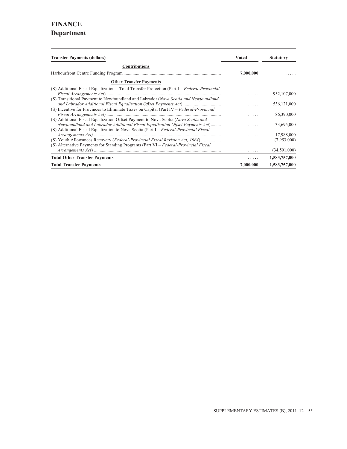# **FINANCE Department**

| <b>Transfer Payments (dollars)</b>                                                            | <b>Voted</b> | <b>Statutory</b> |
|-----------------------------------------------------------------------------------------------|--------------|------------------|
| <b>Contributions</b>                                                                          |              |                  |
|                                                                                               | 7,000,000    |                  |
| <b>Other Transfer Payments</b>                                                                |              |                  |
| (S) Additional Fiscal Equalization – Total Transfer Protection (Part $I$ – Federal-Provincial |              |                  |
|                                                                                               |              | 952,107,000      |
| (S) Transitional Payment to Newfoundland and Labrador (Nova Scotia and Newfoundland           |              |                  |
| and Labrador Additional Fiscal Equalization Offset Payments Act)                              |              | 536,121,000      |
| (S) Incentive for Provinces to Eliminate Taxes on Capital (Part IV – Federal-Provincial       |              |                  |
|                                                                                               |              | 86,390,000       |
| (S) Additional Fiscal Equalization Offset Payment to Nova Scotia (Nova Scotia and             |              |                  |
| Newfoundland and Labrador Additional Fiscal Equalization Offset Payments Act)                 |              | 33,695,000       |
| (S) Additional Fiscal Equalization to Nova Scotia (Part I – Federal-Provincial Fiscal         |              |                  |
|                                                                                               | .            | 17,988,000       |
|                                                                                               |              | (7,953,000)      |
| (S) Alternative Payments for Standing Programs (Part VI – Federal-Provincial Fiscal           |              |                  |
|                                                                                               | .            | (34,591,000)     |
| <b>Total Other Transfer Payments</b>                                                          | .            | 1,583,757,000    |
| <b>Total Transfer Payments</b>                                                                | 7,000,000    | 1,583,757,000    |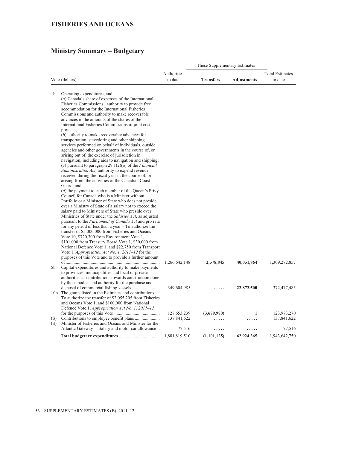## **FISHERIES AND OCEANS**

|     |                                                                                                                                                                                                                                                                                                                                                                                                                                                                                                                                                                                                                                                                                                                                                                                                                                                                                                                                                                                                                                                                                                                                                                                                                                                                                              |               | These Supplementary Estimates |                    |                        |
|-----|----------------------------------------------------------------------------------------------------------------------------------------------------------------------------------------------------------------------------------------------------------------------------------------------------------------------------------------------------------------------------------------------------------------------------------------------------------------------------------------------------------------------------------------------------------------------------------------------------------------------------------------------------------------------------------------------------------------------------------------------------------------------------------------------------------------------------------------------------------------------------------------------------------------------------------------------------------------------------------------------------------------------------------------------------------------------------------------------------------------------------------------------------------------------------------------------------------------------------------------------------------------------------------------------|---------------|-------------------------------|--------------------|------------------------|
|     |                                                                                                                                                                                                                                                                                                                                                                                                                                                                                                                                                                                                                                                                                                                                                                                                                                                                                                                                                                                                                                                                                                                                                                                                                                                                                              | Authorities   |                               |                    | <b>Total Estimates</b> |
|     | Vote (dollars)                                                                                                                                                                                                                                                                                                                                                                                                                                                                                                                                                                                                                                                                                                                                                                                                                                                                                                                                                                                                                                                                                                                                                                                                                                                                               | to date       | <b>Transfers</b>              | <b>Adjustments</b> | to date                |
|     |                                                                                                                                                                                                                                                                                                                                                                                                                                                                                                                                                                                                                                                                                                                                                                                                                                                                                                                                                                                                                                                                                                                                                                                                                                                                                              |               |                               |                    |                        |
| 1b  | Operating expenditures, and<br>$(a)$ Canada's share of expenses of the International<br>Fisheries Commissions, authority to provide free<br>accommodation for the International Fisheries<br>Commissions and authority to make recoverable<br>advances in the amounts of the shares of the<br>International Fisheries Commissions of joint cost<br>projects:<br>$(b)$ authority to make recoverable advances for<br>transportation, stevedoring and other shipping<br>services performed on behalf of individuals, outside<br>agencies and other governments in the course of, or<br>arising out of, the exercise of jurisdiction in<br>navigation, including aids to navigation and shipping;<br>(c) pursuant to paragraph $29.1(2)(a)$ of the <i>Financial</i><br>Administration Act, authority to expend revenue<br>received during the fiscal year in the course of, or<br>arising from, the activities of the Canadian Coast<br>Guard; and<br>$(d)$ the payment to each member of the Queen's Privy<br>Council for Canada who is a Minister without<br>Portfolio or a Minister of State who does not preside<br>over a Ministry of State of a salary not to exceed the<br>salary paid to Ministers of State who preside over<br>Ministries of State under the Salaries Act, as adjusted |               |                               |                    |                        |
|     | pursuant to the <i>Parliament of Canada Act</i> and pro rata<br>for any period of less than a year $-$ To authorize the<br>transfer of \$5,000,000 from Fisheries and Oceans<br>Vote 10, \$720,300 from Environment Vote 1,<br>\$101,000 from Treasury Board Vote 1, \$30,000 from<br>National Defence Vote 1, and \$22,750 from Transport<br>Vote 1, Appropriation Act No. 1, 2011-12 for the<br>purposes of this Vote and to provide a further amount                                                                                                                                                                                                                                                                                                                                                                                                                                                                                                                                                                                                                                                                                                                                                                                                                                      |               |                               |                    |                        |
| 5b  | Capital expenditures and authority to make payments<br>to provinces, municipalities and local or private<br>authorities as contributions towards construction done<br>by those bodies and authority for the purchase and                                                                                                                                                                                                                                                                                                                                                                                                                                                                                                                                                                                                                                                                                                                                                                                                                                                                                                                                                                                                                                                                     | 1,266,642,148 | 2,578,845                     | 40,051,864         | 1,309,272,857          |
|     | 10b The grants listed in the Estimates and contributions –<br>To authorize the transfer of \$2,055,205 from Fisheries<br>and Oceans Vote 1, and \$100,000 from National<br>Defence Vote 1, <i>Appropriation Act No. 1, 2011–12</i>                                                                                                                                                                                                                                                                                                                                                                                                                                                                                                                                                                                                                                                                                                                                                                                                                                                                                                                                                                                                                                                           | 349,604,985   |                               | 22,872,500         | 372,477,485            |
|     |                                                                                                                                                                                                                                                                                                                                                                                                                                                                                                                                                                                                                                                                                                                                                                                                                                                                                                                                                                                                                                                                                                                                                                                                                                                                                              | 127,653,239   | (3,679,970)                   | 1                  | 123,973,270            |
| (S) |                                                                                                                                                                                                                                                                                                                                                                                                                                                                                                                                                                                                                                                                                                                                                                                                                                                                                                                                                                                                                                                                                                                                                                                                                                                                                              | 137,841,622   | .                             | .                  | 137,841,622            |
| (S) | Minister of Fisheries and Oceans and Minister for the                                                                                                                                                                                                                                                                                                                                                                                                                                                                                                                                                                                                                                                                                                                                                                                                                                                                                                                                                                                                                                                                                                                                                                                                                                        |               |                               |                    |                        |
|     | Atlantic Gateway – Salary and motor car allowance                                                                                                                                                                                                                                                                                                                                                                                                                                                                                                                                                                                                                                                                                                                                                                                                                                                                                                                                                                                                                                                                                                                                                                                                                                            | 77,516        | .                             | .                  | 77,516                 |
|     |                                                                                                                                                                                                                                                                                                                                                                                                                                                                                                                                                                                                                                                                                                                                                                                                                                                                                                                                                                                                                                                                                                                                                                                                                                                                                              | 1,881,819,510 | (1,101,125)                   | 62,924,365         | 1,943,642,750          |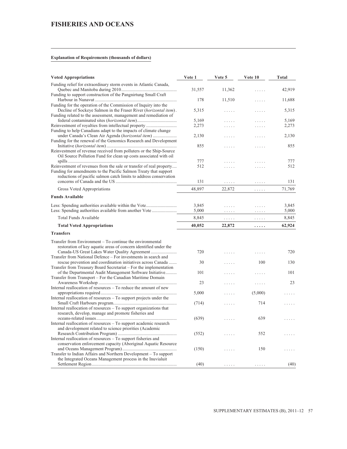## **FISHERIES AND OCEANS**

### **Explanation of Requirements (thousands of dollars)**

| <b>Voted Appropriations</b>                                                                                                                                                                                  | Vote 1         | Vote 5   | Vote 10                                   | <b>Total</b>                   |
|--------------------------------------------------------------------------------------------------------------------------------------------------------------------------------------------------------------|----------------|----------|-------------------------------------------|--------------------------------|
| Funding relief for extraordinary storm events in Atlantic Canada,<br>Funding to support construction of the Pangnirtung Small Craft                                                                          | 31,557         | 11,362   | .                                         | 42,919                         |
|                                                                                                                                                                                                              | 178            | 11,510   | .                                         | 11,688                         |
| Funding for the operation of the Commission of Inquiry into the<br>Decline of Sockeye Salmon in the Fraser River (horizontal item).<br>Funding related to the assessment, management and remediation of      | 5,315          | .        | .                                         | 5,315                          |
|                                                                                                                                                                                                              | 5,169          |          | .                                         | 5,169                          |
| Reinvestment of royalties from intellectual property<br>Funding to help Canadians adapt to the impacts of climate change                                                                                     | 2,273          | .        | $\cdots$                                  | 2,273                          |
| Funding for the renewal of the Genomics Research and Development                                                                                                                                             | 2,130          | .        | .                                         | 2,130                          |
| Reinvestment of revenue received from polluters or the Ship-Source<br>Oil Source Pollution Fund for clean up costs associated with oil                                                                       | 855            | .        | .                                         | 855                            |
|                                                                                                                                                                                                              | 777            |          | $\cdots$                                  | 777                            |
| Reinvestment of revenues from the sale or transfer of real property<br>Funding for amendments to the Pacific Salmon Treaty that support<br>reductions of pacific salmon catch limits to address conservation | 512            | .        | .                                         | 512                            |
|                                                                                                                                                                                                              | 131            | .        | .                                         | 131                            |
| Gross Voted Appropriations                                                                                                                                                                                   | 48,897         | 22,872   | $\alpha$ , $\alpha$ , $\alpha$ , $\alpha$ | 71,769                         |
| <b>Funds Available</b>                                                                                                                                                                                       |                |          |                                           |                                |
| Less: Spending authorities available from another Vote                                                                                                                                                       | 3,845<br>5,000 | .        | .<br>.                                    | 3,845<br>5,000                 |
| Total Funds Available                                                                                                                                                                                        | 8,845          | $\ldots$ | .                                         | 8,845                          |
| <b>Total Voted Appropriations</b>                                                                                                                                                                            | 40,052         | 22,872   | .                                         | 62,924                         |
| <b>Transfers</b>                                                                                                                                                                                             |                |          |                                           |                                |
| Transfer from Environment - To continue the environmental<br>restoration of key aquatic areas of concern identified under the                                                                                | 720            | .        | .                                         | 720                            |
| Transfer from National Defence - For investments in search and                                                                                                                                               |                |          |                                           |                                |
| rescue prevention and coordination initiatives across Canada<br>Transfer from Treasury Board Secretariat – For the implementation                                                                            | 30             | .        | 100                                       | 130                            |
| of the Departmental Audit Management Software Initiative<br>Transfer from Transport – For the Canadian Maritime Domain                                                                                       | 101            |          |                                           | 101                            |
| Internal reallocation of resources – To reduce the amount of new                                                                                                                                             | 23             | .        | .                                         | 23                             |
| Internal reallocation of resources – To support projects under the                                                                                                                                           | 5,000          | .        | (5,000)                                   |                                |
| Internal reallocation of resources – To support organizations that<br>research, develop, manage and promote fisheries and                                                                                    | (714)          | .        | 714                                       | $\alpha$ , $\alpha$ , $\alpha$ |
| Internal reallocation of resources - To support academic research                                                                                                                                            | (639)          | .        | 639                                       |                                |
| and development related to science priorities (Academic<br>Internal reallocation of resources - To support fisheries and                                                                                     | (552)          |          | 552                                       |                                |
| conservation enforcement capacity (Aboriginal Aquatic Resource<br>Transfer to Indian Affairs and Northern Development - To support                                                                           | (150)          | .        | 150                                       |                                |
| the Integrated Oceans Management process in the Inuvialuit                                                                                                                                                   | (40)           | .        |                                           | (40)                           |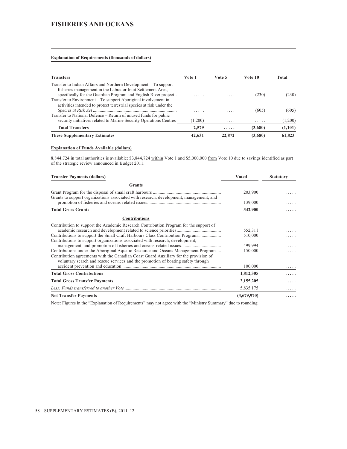### **FISHERIES AND OCEANS**

### **Explanation of Requirements (thousands of dollars)**

| <b>Transfers</b>                                                                                                                                                                                                                                                                                                                             | Vote 1  | Vote 5 | Vote 10 | Total   |
|----------------------------------------------------------------------------------------------------------------------------------------------------------------------------------------------------------------------------------------------------------------------------------------------------------------------------------------------|---------|--------|---------|---------|
| Transfer to Indian Affairs and Northern Development – To support<br>fisheries management in the Labrador Inuit Settlement Area,<br>specifically for the Guardian Program and English River project<br>Transfer to Environment - To support Aboriginal involvement in<br>activities intended to protect terrestrial species at risk under the |         | .      | (230)   | (230)   |
|                                                                                                                                                                                                                                                                                                                                              |         |        | (605)   | (605)   |
| Transfer to National Defence – Return of unused funds for public<br>security initiatives related to Marine Security Operations Centres                                                                                                                                                                                                       | (1,200) | .      | .       | (1,200) |
| <b>Total Transfers</b>                                                                                                                                                                                                                                                                                                                       | 2,579   | .      | (3,680) | (1,101) |
| <b>These Supplementary Estimates</b>                                                                                                                                                                                                                                                                                                         | 42,631  | 22,872 | (3,680) | 61,823  |

### **Explanation of Funds Available (dollars)**

8,844,724 in total authorities is available: \$3,844,724 within Vote 1 and \$5,000,000 from Vote 10 due to savings identified as part of the strategic review announced in Budget 2011.

| <b>Transfer Payments (dollars)</b>                                                                                                                                       | <b>Voted</b> | <b>Statutory</b> |
|--------------------------------------------------------------------------------------------------------------------------------------------------------------------------|--------------|------------------|
| Grants                                                                                                                                                                   |              |                  |
| Grants to support organizations associated with research, development, management, and                                                                                   | 203,900      |                  |
|                                                                                                                                                                          | 139,000      | .                |
| <b>Total Gross Grants</b>                                                                                                                                                | 342,900      |                  |
| <b>Contributions</b>                                                                                                                                                     |              |                  |
| Contribution to support the Academic Research Contribution Program for the support of                                                                                    |              |                  |
|                                                                                                                                                                          | 552,311      |                  |
| Contributions to support the Small Craft Harbours Class Contribution Program                                                                                             | 510,000      |                  |
| Contributions to support organizations associated with research, development,                                                                                            |              |                  |
|                                                                                                                                                                          | 499,994      |                  |
| Contributions under the Aboriginal Aquatic Resource and Oceans Management Program                                                                                        | 150,000      |                  |
| Contribution agreements with the Canadian Coast Guard Auxiliary for the provision of<br>voluntary search and rescue services and the promotion of boating safety through |              |                  |
|                                                                                                                                                                          | 100,000      |                  |
| <b>Total Gross Contributions</b>                                                                                                                                         | 1,812,305    |                  |
| <b>Total Gross Transfer Payments</b>                                                                                                                                     | 2,155,205    |                  |
|                                                                                                                                                                          | 5,835,175    |                  |
| <b>Net Transfer Payments</b>                                                                                                                                             | (3,679,970)  |                  |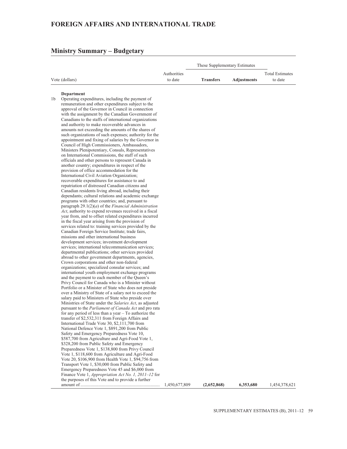| Authorities      |                    | <b>Total Estimates</b> |
|------------------|--------------------|------------------------|
| <b>Transfers</b> | <b>Adjustments</b> | to date                |
|                  | to date            |                        |

### **Department**

| 1b | Operating expenditures, including the payment of              |             |           |               |
|----|---------------------------------------------------------------|-------------|-----------|---------------|
|    | remuneration and other expenditures subject to the            |             |           |               |
|    | approval of the Governor in Council in connection             |             |           |               |
|    | with the assignment by the Canadian Government of             |             |           |               |
|    | Canadians to the staffs of international organizations        |             |           |               |
|    | and authority to make recoverable advances in                 |             |           |               |
|    | amounts not exceeding the amounts of the shares of            |             |           |               |
|    | such organizations of such expenses; authority for the        |             |           |               |
|    | appointment and fixing of salaries by the Governor in         |             |           |               |
|    | Council of High Commissioners, Ambassadors,                   |             |           |               |
|    | Ministers Plenipotentiary, Consuls, Representatives           |             |           |               |
|    | on International Commissions, the staff of such               |             |           |               |
|    | officials and other persons to represent Canada in            |             |           |               |
|    | another country; expenditures in respect of the               |             |           |               |
|    | provision of office accommodation for the                     |             |           |               |
|    | International Civil Aviation Organization;                    |             |           |               |
|    | recoverable expenditures for assistance to and                |             |           |               |
|    | repatriation of distressed Canadian citizens and              |             |           |               |
|    | Canadian residents living abroad, including their             |             |           |               |
|    | dependants; cultural relations and academic exchange          |             |           |               |
|    | programs with other countries; and, pursuant to               |             |           |               |
|    | paragraph $29.1(2)(a)$ of the <i>Financial Administration</i> |             |           |               |
|    | Act, authority to expend revenues received in a fiscal        |             |           |               |
|    | year from, and to offset related expenditures incurred        |             |           |               |
|    | in the fiscal year arising from the provision of              |             |           |               |
|    | services related to: training services provided by the        |             |           |               |
|    | Canadian Foreign Service Institute; trade fairs,              |             |           |               |
|    | missions and other international business                     |             |           |               |
|    | development services; investment development                  |             |           |               |
|    | services; international telecommunication services;           |             |           |               |
|    | departmental publications; other services provided            |             |           |               |
|    | abroad to other government departments, agencies,             |             |           |               |
|    | Crown corporations and other non-federal                      |             |           |               |
|    | organizations; specialized consular services; and             |             |           |               |
|    | international youth employment exchange programs              |             |           |               |
|    | and the payment to each member of the Queen's                 |             |           |               |
|    | Privy Council for Canada who is a Minister without            |             |           |               |
|    | Portfolio or a Minister of State who does not preside         |             |           |               |
|    | over a Ministry of State of a salary not to exceed the        |             |           |               |
|    | salary paid to Ministers of State who preside over            |             |           |               |
|    | Ministries of State under the Salaries Act, as adjusted       |             |           |               |
|    | pursuant to the <i>Parliament of Canada Act</i> and pro rata  |             |           |               |
|    | for any period of less than a year $-$ To authorize the       |             |           |               |
|    | transfer of \$2,532,311 from Foreign Affairs and              |             |           |               |
|    | International Trade Vote 30, \$2,111,700 from                 |             |           |               |
|    | National Defence Vote 1, \$891,200 from Public                |             |           |               |
|    | Safety and Emergency Preparedness Vote 10,                    |             |           |               |
|    | \$587,700 from Agriculture and Agri-Food Vote 1,              |             |           |               |
|    | \$328,200 from Public Safety and Emergency                    |             |           |               |
|    | Preparedness Vote 1, \$138,800 from Privy Council             |             |           |               |
|    | Vote 1, \$118,600 from Agriculture and Agri-Food              |             |           |               |
|    | Vote 20, \$106,900 from Health Vote 1, \$94,756 from          |             |           |               |
|    | Transport Vote 1, \$30,000 from Public Safety and             |             |           |               |
|    | Emergency Preparedness Vote 45 and \$6,000 from               |             |           |               |
|    | Finance Vote 1, Appropriation Act No. 1, 2011-12 for          |             |           |               |
|    | the purposes of this Vote and to provide a further            |             |           |               |
|    |                                                               | (2,652,868) | 6,353,680 | 1,454,378,621 |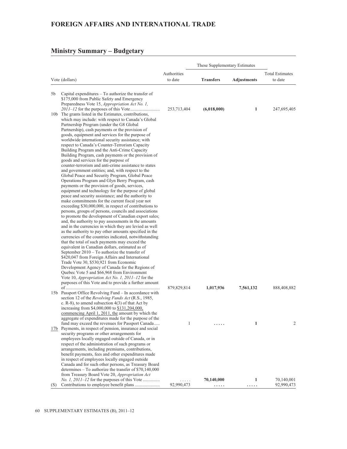|                                                                                                                                                                                                                                                                                                                                                                                                                                                                                                                                                                                                                                                                                                                                                                                                                                                                                                                                                                                                                                                                                                                                                                                                                                                                                                                                                                                                                                                                                                                                                                                                                                                                                                                                                                                                   |                 | These Supplementary Estimates |                    |                          |
|---------------------------------------------------------------------------------------------------------------------------------------------------------------------------------------------------------------------------------------------------------------------------------------------------------------------------------------------------------------------------------------------------------------------------------------------------------------------------------------------------------------------------------------------------------------------------------------------------------------------------------------------------------------------------------------------------------------------------------------------------------------------------------------------------------------------------------------------------------------------------------------------------------------------------------------------------------------------------------------------------------------------------------------------------------------------------------------------------------------------------------------------------------------------------------------------------------------------------------------------------------------------------------------------------------------------------------------------------------------------------------------------------------------------------------------------------------------------------------------------------------------------------------------------------------------------------------------------------------------------------------------------------------------------------------------------------------------------------------------------------------------------------------------------------|-----------------|-------------------------------|--------------------|--------------------------|
|                                                                                                                                                                                                                                                                                                                                                                                                                                                                                                                                                                                                                                                                                                                                                                                                                                                                                                                                                                                                                                                                                                                                                                                                                                                                                                                                                                                                                                                                                                                                                                                                                                                                                                                                                                                                   | Authorities     |                               |                    | <b>Total Estimates</b>   |
| Vote (dollars)                                                                                                                                                                                                                                                                                                                                                                                                                                                                                                                                                                                                                                                                                                                                                                                                                                                                                                                                                                                                                                                                                                                                                                                                                                                                                                                                                                                                                                                                                                                                                                                                                                                                                                                                                                                    | to date         | <b>Transfers</b>              | <b>Adjustments</b> | to date                  |
| 5b<br>Capital expenditures $-$ To authorize the transfer of<br>\$175,000 from Public Safety and Emergency<br>Preparedness Vote 15, Appropriation Act No. 1,                                                                                                                                                                                                                                                                                                                                                                                                                                                                                                                                                                                                                                                                                                                                                                                                                                                                                                                                                                                                                                                                                                                                                                                                                                                                                                                                                                                                                                                                                                                                                                                                                                       |                 |                               |                    |                          |
| 10b The grants listed in the Estimates, contributions,<br>which may include: with respect to Canada's Global<br>Partnership Program (under the G8 Global<br>Partnership), cash payments or the provision of<br>goods, equipment and services for the purpose of<br>worldwide international security assistance; with<br>respect to Canada's Counter-Terrorism Capacity<br>Building Program and the Anti-Crime Capacity<br>Building Program, cash payments or the provision of<br>goods and services for the purpose of<br>counter-terrorism and anti-crime assistance to states<br>and government entities; and, with respect to the<br>Global Peace and Security Program, Global Peace<br>Operations Program and Glyn Berry Program, cash<br>payments or the provision of goods, services,<br>equipment and technology for the purpose of global<br>peace and security assistance; and the authority to<br>make commitments for the current fiscal year not<br>exceeding \$30,000,000, in respect of contributions to<br>persons, groups of persons, councils and associations<br>to promote the development of Canadian export sales;<br>and, the authority to pay assessments in the amounts<br>and in the currencies in which they are levied as well<br>as the authority to pay other amounts specified in the<br>currencies of the countries indicated, notwithstanding<br>that the total of such payments may exceed the<br>equivalent in Canadian dollars, estimated as of<br>September $2010 - To$ authorize the transfer of<br>\$420,047 from Foreign Affairs and International<br>Trade Vote 30, \$530,921 from Economic<br>Development Agency of Canada for the Regions of<br>Quebec Vote 5 and \$66,968 from Environment<br>Vote 10, <i>Appropriation Act No. 1, 2011–12</i> for the | 253,713,404     | (6,018,000)                   | $\mathbf{1}$       | 247,695,405              |
| purposes of this Vote and to provide a further amount<br>15b Passport Office Revolving Fund - In accordance with                                                                                                                                                                                                                                                                                                                                                                                                                                                                                                                                                                                                                                                                                                                                                                                                                                                                                                                                                                                                                                                                                                                                                                                                                                                                                                                                                                                                                                                                                                                                                                                                                                                                                  | 879,829,814     | 1,017,936                     | 7,561,132          | 888,408,882              |
| section 12 of the <i>Revolving Funds Act</i> (R.S., 1985,<br>c. R-8), to amend subsection $4(3)$ of that Act by<br>increasing from \$4,000,000 to \$131,204,000,<br>commencing April 1, 2011, the amount by which the<br>aggregate of expenditures made for the purpose of the                                                                                                                                                                                                                                                                                                                                                                                                                                                                                                                                                                                                                                                                                                                                                                                                                                                                                                                                                                                                                                                                                                                                                                                                                                                                                                                                                                                                                                                                                                                    |                 |                               |                    |                          |
| fund may exceed the revenues for Passport Canada<br>17b Payments, in respect of pension, insurance and social<br>security programs or other arrangements for<br>employees locally engaged outside of Canada, or in<br>respect of the administration of such programs or<br>arrangements, including premiums, contributions,<br>benefit payments, fees and other expenditures made<br>in respect of employees locally engaged outside<br>Canada and for such other persons, as Treasury Board<br>determines - To authorize the transfer of \$70,140,000<br>from Treasury Board Vote 20, Appropriation Act                                                                                                                                                                                                                                                                                                                                                                                                                                                                                                                                                                                                                                                                                                                                                                                                                                                                                                                                                                                                                                                                                                                                                                                          | 1               |                               | 1                  | 2                        |
| No. 1, 2011–12 for the purposes of this Vote<br>Contributions to employee benefit plans<br>(S)                                                                                                                                                                                                                                                                                                                                                                                                                                                                                                                                                                                                                                                                                                                                                                                                                                                                                                                                                                                                                                                                                                                                                                                                                                                                                                                                                                                                                                                                                                                                                                                                                                                                                                    | .<br>92,990,473 | 70,140,000<br>.               | $\mathbf{1}$<br>.  | 70,140,001<br>92,990,473 |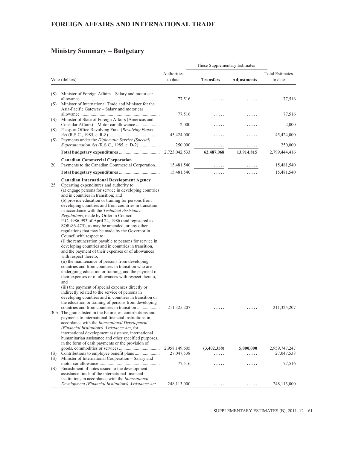|            |                                                                                                                                                                                                                                                                                                                                                                                                                                                                                                                                                                                                                                                                                                                                                                                                                                                                                                                                                                                                                                                                                                                                                                                                                                                                                                      | These Supplementary Estimates |                  |             |                                   |  |
|------------|------------------------------------------------------------------------------------------------------------------------------------------------------------------------------------------------------------------------------------------------------------------------------------------------------------------------------------------------------------------------------------------------------------------------------------------------------------------------------------------------------------------------------------------------------------------------------------------------------------------------------------------------------------------------------------------------------------------------------------------------------------------------------------------------------------------------------------------------------------------------------------------------------------------------------------------------------------------------------------------------------------------------------------------------------------------------------------------------------------------------------------------------------------------------------------------------------------------------------------------------------------------------------------------------------|-------------------------------|------------------|-------------|-----------------------------------|--|
|            | Vote (dollars)                                                                                                                                                                                                                                                                                                                                                                                                                                                                                                                                                                                                                                                                                                                                                                                                                                                                                                                                                                                                                                                                                                                                                                                                                                                                                       | Authorities<br>to date        | <b>Transfers</b> | Adjustments | <b>Total Estimates</b><br>to date |  |
| (S)        | Minister of Foreign Affairs - Salary and motor car                                                                                                                                                                                                                                                                                                                                                                                                                                                                                                                                                                                                                                                                                                                                                                                                                                                                                                                                                                                                                                                                                                                                                                                                                                                   | 77,516                        |                  |             | 77,516                            |  |
| (S)        | Minister of International Trade and Minister for the<br>Asia-Pacific Gateway - Salary and motor car                                                                                                                                                                                                                                                                                                                                                                                                                                                                                                                                                                                                                                                                                                                                                                                                                                                                                                                                                                                                                                                                                                                                                                                                  |                               |                  |             |                                   |  |
| (S)        | Minister of State of Foreign Affairs (Americas and                                                                                                                                                                                                                                                                                                                                                                                                                                                                                                                                                                                                                                                                                                                                                                                                                                                                                                                                                                                                                                                                                                                                                                                                                                                   | 77,516                        |                  |             | 77,516                            |  |
|            |                                                                                                                                                                                                                                                                                                                                                                                                                                                                                                                                                                                                                                                                                                                                                                                                                                                                                                                                                                                                                                                                                                                                                                                                                                                                                                      | 2,000                         |                  |             | 2,000                             |  |
| (S)<br>(S) | Passport Office Revolving Fund (Revolving Funds<br>Payments under the Diplomatic Service (Special)                                                                                                                                                                                                                                                                                                                                                                                                                                                                                                                                                                                                                                                                                                                                                                                                                                                                                                                                                                                                                                                                                                                                                                                                   | 45,424,000                    | .                | .           | 45,424,000                        |  |
|            | <i>Superannuation Act</i> (R.S.C., 1985, c. D-2)                                                                                                                                                                                                                                                                                                                                                                                                                                                                                                                                                                                                                                                                                                                                                                                                                                                                                                                                                                                                                                                                                                                                                                                                                                                     | 250,000                       | .                | .           | 250,000                           |  |
|            |                                                                                                                                                                                                                                                                                                                                                                                                                                                                                                                                                                                                                                                                                                                                                                                                                                                                                                                                                                                                                                                                                                                                                                                                                                                                                                      | 2,723,042,533                 | 62,487,068       | 13,914,815  | 2,799,444,416                     |  |
| 20         | <b>Canadian Commercial Corporation</b><br>Payments to the Canadian Commercial Corporation                                                                                                                                                                                                                                                                                                                                                                                                                                                                                                                                                                                                                                                                                                                                                                                                                                                                                                                                                                                                                                                                                                                                                                                                            | 15,481,540                    |                  | .           | 15,481,540                        |  |
|            |                                                                                                                                                                                                                                                                                                                                                                                                                                                                                                                                                                                                                                                                                                                                                                                                                                                                                                                                                                                                                                                                                                                                                                                                                                                                                                      | 15,481,540                    | .                | .           | 15,481,540                        |  |
| 25         | <b>Canadian International Development Agency</b><br>Operating expenditures and authority to:<br>(a) engage persons for service in developing countries<br>and in countries in transition; and<br>(b) provide education or training for persons from<br>developing countries and from countries in transition,<br>in accordance with the Technical Assistance<br>Regulations, made by Order in Council<br>P.C. 1986-993 of April 24, 1986 (and registered as<br>SOR/86-475), as may be amended, or any other<br>regulations that may be made by the Governor in<br>Council with respect to:<br>(i) the remuneration payable to persons for service in<br>developing countries and in countries in transition,<br>and the payment of their expenses or of allowances<br>with respect thereto,<br>(ii) the maintenance of persons from developing<br>countries and from countries in transition who are<br>undergoing education or training, and the payment of<br>their expenses or of allowances with respect thereto,<br>and<br>(iii) the payment of special expenses directly or<br>indirectly related to the service of persons in<br>developing countries and in countries in transition or<br>the education or training of persons from developing<br>countries and from countries in transition | 211,325,207                   |                  |             | 211,325,207                       |  |
|            | 30b The grants listed in the Estimates, contributions and<br>payments to international financial institutions in<br>accordance with the International Development<br>(Financial Institutions) Assistance Act, for<br>international development assistance, international<br>humanitarian assistance and other specified purposes,<br>in the form of cash payments or the provision of                                                                                                                                                                                                                                                                                                                                                                                                                                                                                                                                                                                                                                                                                                                                                                                                                                                                                                                | 2,958,149,605                 | (3,402,358)      | 5,000,000   | 2,959,747,247                     |  |
| (S)        |                                                                                                                                                                                                                                                                                                                                                                                                                                                                                                                                                                                                                                                                                                                                                                                                                                                                                                                                                                                                                                                                                                                                                                                                                                                                                                      | 27,047,538                    | .                | .           | 27,047,538                        |  |
| (S)<br>(S) | Minister of International Cooperation – Salary and<br>Encashment of notes issued to the development<br>assistance funds of the international financial<br>institutions in accordance with the International                                                                                                                                                                                                                                                                                                                                                                                                                                                                                                                                                                                                                                                                                                                                                                                                                                                                                                                                                                                                                                                                                          | 77,516                        | .                | .           | 77,516                            |  |
|            | Development (Financial Institutions) Assistance Act                                                                                                                                                                                                                                                                                                                                                                                                                                                                                                                                                                                                                                                                                                                                                                                                                                                                                                                                                                                                                                                                                                                                                                                                                                                  | 248,113,000                   |                  |             | 248,113,000                       |  |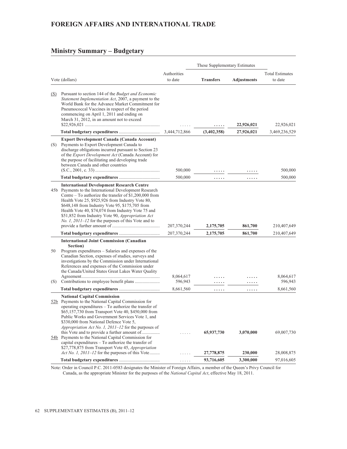|           |                                                                                                                                                                                                                                                                                                                                                                                                                                                                                                                                                                                      |                        | These Supplementary Estimates |                      |                                   |  |
|-----------|--------------------------------------------------------------------------------------------------------------------------------------------------------------------------------------------------------------------------------------------------------------------------------------------------------------------------------------------------------------------------------------------------------------------------------------------------------------------------------------------------------------------------------------------------------------------------------------|------------------------|-------------------------------|----------------------|-----------------------------------|--|
|           | Vote (dollars)                                                                                                                                                                                                                                                                                                                                                                                                                                                                                                                                                                       | Authorities<br>to date | <b>Transfers</b>              | <b>Adjustments</b>   | <b>Total Estimates</b><br>to date |  |
| (S)       | Pursuant to section 144 of the <i>Budget and Economic</i><br>Statement Implementation Act, 2007, a payment to the<br>World Bank for the Advance Market Commitment for<br>Pneumococcal Vaccines in respect of the period<br>commencing on April 1, 2011 and ending on<br>March 31, 2012, in an amount not to exceed                                                                                                                                                                                                                                                                   |                        |                               | 22,926,021           | 22,926,021                        |  |
|           |                                                                                                                                                                                                                                                                                                                                                                                                                                                                                                                                                                                      | 3,444,712,866          | (3,402,358)                   | 27,926,021           | 3,469,236,529                     |  |
| (S)       | Export Development Canada (Canada Account)<br>Payments to Export Development Canada to<br>discharge obligations incurred pursuant to Section 23<br>of the Export Development Act (Canada Account) for<br>the purpose of facilitating and developing trade<br>between Canada and other countries                                                                                                                                                                                                                                                                                      | 500,000                | .                             |                      | 500,000                           |  |
|           | <b>International Development Research Centre</b>                                                                                                                                                                                                                                                                                                                                                                                                                                                                                                                                     | 500,000                | .                             | .                    | 500,000                           |  |
|           | 45b Payments to the International Development Research<br>Centre – To authorize the transfer of $$1,200,000$ from<br>Health Vote 25, \$925,926 from Industry Vote 80,<br>\$648,148 from Industry Vote 95, \$175,705 from<br>Health Vote 40, \$74,074 from Industry Vote 75 and<br>\$51,852 from Industry Vote 90, Appropriation Act<br>No. 1, 2011–12 for the purposes of this Vote and to                                                                                                                                                                                           | 207,370,244            | 2,175,705                     | 861,700              | 210,407,649                       |  |
|           |                                                                                                                                                                                                                                                                                                                                                                                                                                                                                                                                                                                      | 207,370,244            | 2,175,705                     | 861,700              | 210,407,649                       |  |
| 50<br>(S) | <b>International Joint Commission (Canadian</b><br>Section)<br>Program expenditures – Salaries and expenses of the<br>Canadian Section, expenses of studies, surveys and<br>investigations by the Commission under International<br>References and expenses of the Commission under<br>the Canada/United States Great Lakes Water Quality                                                                                                                                                                                                                                            | 8,064,617<br>596,943   | .                             | .                    | 8,064,617<br>596,943              |  |
|           |                                                                                                                                                                                                                                                                                                                                                                                                                                                                                                                                                                                      | 8,661,560              | .                             | .                    | 8,661,560                         |  |
|           | <b>National Capital Commission</b><br>52b Payments to the National Capital Commission for<br>operating expenditures – To authorize the transfer of<br>\$65,157,730 from Transport Vote 40, \$450,000 from<br>Public Works and Government Services Vote 1, and<br>\$330,000 from National Defence Vote 5,<br>Appropriation Act No. 1, 2011–12 for the purposes of<br>this Vote and to provide a further amount of<br>54b Payments to the National Capital Commission for<br>capital expenditures - To authorize the transfer of<br>\$27,778,875 from Transport Vote 45, Appropriation |                        | 65,937,730                    | 3,070,000            | 69,007,730                        |  |
|           | Act No. 1, 2011-12 for the purposes of this Vote                                                                                                                                                                                                                                                                                                                                                                                                                                                                                                                                     |                        | 27,778,875<br>93,716,605      | 230,000<br>3,300,000 | 28,008,875<br>97,016,605          |  |
|           |                                                                                                                                                                                                                                                                                                                                                                                                                                                                                                                                                                                      |                        |                               |                      |                                   |  |

### **Ministry Summary – Budgetary**

Note: Order in Council P.C. 2011-0583 designates the Minister of Foreign Affairs, a member of the Queen's Privy Council for Canada, as the appropriate Minister for the purposes of the *National Capital Act*, effective May 18, 2011.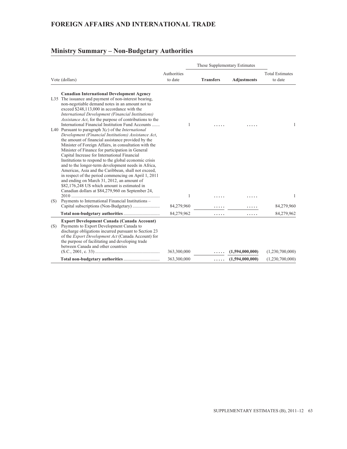|     |                                                                                                                                                                                                                                                                                                                                                                                                                                                                                                                                                                                                                                                                                                                                                                                                                                                                                                                                                                                                                                                                                                                        |                        | These Supplementary Estimates |                    |                                   |
|-----|------------------------------------------------------------------------------------------------------------------------------------------------------------------------------------------------------------------------------------------------------------------------------------------------------------------------------------------------------------------------------------------------------------------------------------------------------------------------------------------------------------------------------------------------------------------------------------------------------------------------------------------------------------------------------------------------------------------------------------------------------------------------------------------------------------------------------------------------------------------------------------------------------------------------------------------------------------------------------------------------------------------------------------------------------------------------------------------------------------------------|------------------------|-------------------------------|--------------------|-----------------------------------|
|     | Vote (dollars)                                                                                                                                                                                                                                                                                                                                                                                                                                                                                                                                                                                                                                                                                                                                                                                                                                                                                                                                                                                                                                                                                                         | Authorities<br>to date | <b>Transfers</b>              | <b>Adjustments</b> | <b>Total Estimates</b><br>to date |
|     | <b>Canadian International Development Agency</b><br>L35 The issuance and payment of non-interest bearing,<br>non-negotiable demand notes in an amount not to<br>exceed \$248,113,000 in accordance with the<br>International Development (Financial Institutions)<br><i>Assistance Act</i> , for the purpose of contributions to the<br>International Financial Institution Fund Accounts<br>L40 Pursuant to paragraph $3(c)$ of the <i>International</i><br>Development (Financial Institutions) Assistance Act,<br>the amount of financial assistance provided by the<br>Minister of Foreign Affairs, in consultation with the<br>Minister of Finance for participation in General<br>Capital Increase for International Financial<br>Institutions to respond to the global economic crisis<br>and to the longer-term development needs in Africa,<br>Americas, Asia and the Caribbean, shall not exceed,<br>in respect of the period commencing on April 1, 2011<br>and ending on March 31, 2012, an amount of<br>\$82,176,248 US which amount is estimated in<br>Canadian dollars at \$84,279,960 on September 24, | 1                      |                               |                    | 1                                 |
| (S) | Payments to International Financial Institutions -                                                                                                                                                                                                                                                                                                                                                                                                                                                                                                                                                                                                                                                                                                                                                                                                                                                                                                                                                                                                                                                                     | 1<br>84,279,960        | .                             | .                  | $\mathbf{1}$<br>84,279,960        |
|     |                                                                                                                                                                                                                                                                                                                                                                                                                                                                                                                                                                                                                                                                                                                                                                                                                                                                                                                                                                                                                                                                                                                        | 84,279,962             | .                             | .                  | 84,279,962                        |
| (S) | <b>Export Development Canada (Canada Account)</b><br>Payments to Export Development Canada to<br>discharge obligations incurred pursuant to Section 23<br>of the <i>Export Development Act</i> (Canada Account) for<br>the purpose of facilitating and developing trade<br>between Canada and other countries                                                                                                                                                                                                                                                                                                                                                                                                                                                                                                                                                                                                                                                                                                                                                                                                          | 363,300,000            |                               | (1,594,000,000)    | (1,230,700,000)                   |
|     |                                                                                                                                                                                                                                                                                                                                                                                                                                                                                                                                                                                                                                                                                                                                                                                                                                                                                                                                                                                                                                                                                                                        | 363,300,000            | .                             | (1,594,000,000)    | (1,230,700,000)                   |

## **Ministry Summary – Non-Budgetary Authorities**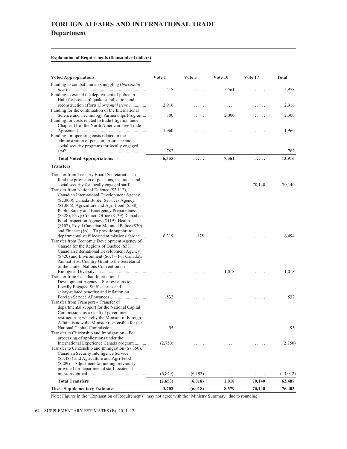# **FOREIGN AFFAIRS AND INTERNATIONAL TRADE Department**

**Explanation of Requirements (thousands of dollars)**

| <b>Voted Appropriations</b>                                                                                                                                                                                                                                                                                                                                                        | Vote 1   | Vote 5  | Vote 10  | Vote 17  | <b>Total</b> |
|------------------------------------------------------------------------------------------------------------------------------------------------------------------------------------------------------------------------------------------------------------------------------------------------------------------------------------------------------------------------------------|----------|---------|----------|----------|--------------|
| Funding to combat human smuggling (horizontal                                                                                                                                                                                                                                                                                                                                      |          |         |          |          |              |
| Funding to extend the deployment of police in                                                                                                                                                                                                                                                                                                                                      | 417      | .       | 5,561    | .        | 5,978        |
| Haiti for post-earthquake stabilization and<br>reconstruction efforts ( <i>horizontal item</i> )<br>Funding for the continuation of the International                                                                                                                                                                                                                              | 2,916    | .       | .        | $\cdots$ | 2,916        |
| Science and Technology Partnerships Program<br>Funding for costs related to trade litigation under<br>Chapter 11 of the North American Free Trade                                                                                                                                                                                                                                  | 300      | .       | 2,000    | .        | 2,300        |
| Funding for operating costs related to the<br>administration of pension, insurance and<br>social security programs for locally engaged                                                                                                                                                                                                                                             | 1,960    | .       | .        | $\cdots$ | 1,960        |
|                                                                                                                                                                                                                                                                                                                                                                                    | 762      | .       | .        | .        | 762          |
| <b>Total Voted Appropriations</b>                                                                                                                                                                                                                                                                                                                                                  | 6,355    | .       | 7,561    | .        | 13,916       |
| <b>Transfers</b>                                                                                                                                                                                                                                                                                                                                                                   |          |         |          |          |              |
| Transfer from Treasury Board Secretariat - To<br>fund the provision of pensions, insurance and<br>social security for locally engaged staff                                                                                                                                                                                                                                        |          |         |          | 70,140   | 70,140       |
| Transfer from National Defence (\$2,112),<br>Canadian International Development Agency<br>(\$2,000), Canada Border Services Agency<br>$(1,066)$ , Agriculture and Agri-Food $(1,066)$ ,<br>Public Safety and Emergency Preparedness<br>(\$328), Privy Council Office (\$139), Canadian<br>Food Inspection Agency (\$119), Health<br>(\$107), Royal Canadian Mounted Police (\$30)  |          |         |          |          |              |
| and Finance $(\$6)$ – To provide support to<br>departmental staff located at missions abroad<br>Transfer from Economic Development Agency of<br>Canada for the Regions of Quebec (\$531),<br>Canadian International Development Agency<br>$(\$420)$ and Environment $(\$67)$ – For Canada's<br>Annual Host Country Grant to the Secretariat<br>of the United Nations Convention on | 6,319    | 175     | .        |          | 6,494        |
| Transfer from Canadian International<br>Development Agency - For revisions to                                                                                                                                                                                                                                                                                                      |          |         | 1,018    |          | 1,018        |
| Locally Engaged Staff salaries and<br>salary-related benefits; and inflation on                                                                                                                                                                                                                                                                                                    | 532      |         |          |          | 532          |
| Transfer from Transport - Transfer of<br>departmental support for the National Capital<br>Commission, as a result of government<br>restructuring whereby the Minister of Foreign<br>Affairs is now the Minister responsible for the                                                                                                                                                |          |         |          |          |              |
| Transfer to Citizenship and Immigration - For<br>processing of applications under the                                                                                                                                                                                                                                                                                              | 95       | .       | .        | .        | 95           |
| International Experience Canada program<br>Transfer to Citizenship and Immigration (\$7,350),<br>Canadian Security Intelligence Service<br>(\$5,483) and Agriculture and Agri-Food<br>$(\$209) -$ Adjustment to funding previously                                                                                                                                                 | (2,750)  | .       | .        | .        | (2,750)      |
| provided for departmental staff located at                                                                                                                                                                                                                                                                                                                                         | (6, 849) | (6,193) | $\ldots$ | $\ldots$ | (13, 042)    |
| <b>Total Transfers</b>                                                                                                                                                                                                                                                                                                                                                             | (2,653)  | (6,018) | 1,018    | 70,140   | 62,487       |
| <b>These Supplementary Estimates</b>                                                                                                                                                                                                                                                                                                                                               | 3,702    | (6,018) | 8,579    | 70,140   | 76,403       |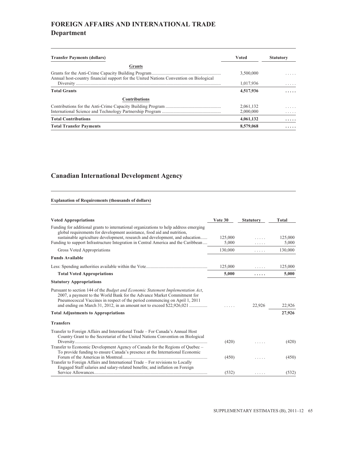# **FOREIGN AFFAIRS AND INTERNATIONAL TRADE Department**

| <b>Transfer Payments (dollars)</b>                                                    | <b>Voted</b> | <b>Statutory</b> |
|---------------------------------------------------------------------------------------|--------------|------------------|
| <b>Grants</b>                                                                         |              |                  |
| Annual host-country financial support for the United Nations Convention on Biological | 3,500,000    | .                |
|                                                                                       | 1.017.936    | .                |
| <b>Total Grants</b>                                                                   | 4,517,936    | .                |
| <b>Contributions</b>                                                                  |              |                  |
|                                                                                       | 2,061,132    | .                |
|                                                                                       | 2,000,000    | .                |
| <b>Total Contributions</b>                                                            | 4,061,132    | .                |
| <b>Total Transfer Payments</b>                                                        | 8,579,068    | .                |

# **Canadian International Development Agency**

### **Explanation of Requirements (thousands of dollars)**

| <b>Voted Appropriations</b>                                                                                                                                                                                                                                                                                                 | Vote 30 | <b>Statutory</b> | <b>Total</b> |
|-----------------------------------------------------------------------------------------------------------------------------------------------------------------------------------------------------------------------------------------------------------------------------------------------------------------------------|---------|------------------|--------------|
| Funding for additional grants to international organizations to help address emerging<br>global requirements for development assistance, food aid and nutrition,                                                                                                                                                            |         |                  |              |
| sustainable agriculture development, research and development, and education                                                                                                                                                                                                                                                | 125,000 | .                | 125,000      |
| Funding to support Infrastructure Integration in Central America and the Caribbean                                                                                                                                                                                                                                          | 5,000   | .                | 5,000        |
| Gross Voted Appropriations                                                                                                                                                                                                                                                                                                  | 130,000 | .                | 130,000      |
| <b>Funds Available</b>                                                                                                                                                                                                                                                                                                      |         |                  |              |
|                                                                                                                                                                                                                                                                                                                             | 125,000 | .                | 125,000      |
| <b>Total Voted Appropriations</b>                                                                                                                                                                                                                                                                                           | 5,000   | .                | 5,000        |
| <b>Statutory Appropriations</b>                                                                                                                                                                                                                                                                                             |         |                  |              |
| Pursuant to section 144 of the <i>Budget and Economic Statement Implementation Act</i> ,<br>2007, a payment to the World Bank for the Advance Market Commitment for<br>Pneumococcal Vaccines in respect of the period commencing on April 1, 2011<br>and ending on March 31, 2012, in an amount not to exceed $$22,926,021$ |         | 22,926           | 22,926       |
| <b>Total Adjustments to Appropriations</b>                                                                                                                                                                                                                                                                                  |         |                  | 27,926       |
| <b>Transfers</b>                                                                                                                                                                                                                                                                                                            |         |                  |              |
| Transfer to Foreign Affairs and International Trade – For Canada's Annual Host<br>Country Grant to the Secretariat of the United Nations Convention on Biological                                                                                                                                                           | (420)   |                  | (420)        |
| Transfer to Economic Development Agency of Canada for the Regions of Quebec –                                                                                                                                                                                                                                               |         |                  |              |
| To provide funding to ensure Canada's presence at the International Economic                                                                                                                                                                                                                                                | (450)   |                  | (450)        |
| Transfer to Foreign Affairs and International Trade – For revisions to Locally<br>Engaged Staff salaries and salary-related benefits; and inflation on Foreign                                                                                                                                                              |         |                  |              |
|                                                                                                                                                                                                                                                                                                                             | (532)   | .                | (532)        |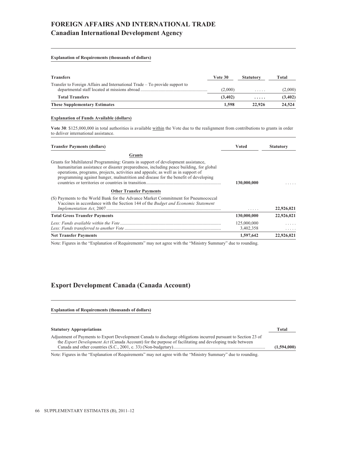# **FOREIGN AFFAIRS AND INTERNATIONAL TRADE Canadian International Development Agency**

### **Explanation of Requirements (thousands of dollars)**

| <b>Transfers</b>                                                              | Vote 30  | <b>Statutory</b> | Total    |  |
|-------------------------------------------------------------------------------|----------|------------------|----------|--|
| Transfer to Foreign Affairs and International Trade $-$ To provide support to |          | .                | (2,000)  |  |
| <b>Total Transfers</b>                                                        | (3, 402) | .                | (3, 402) |  |
| <b>These Supplementary Estimates</b>                                          | 1.598    | 22,926           | 24,524   |  |

#### **Explanation of Funds Available (dollars)**

**Vote 30**: \$125,000,000 in total authorities is available within the Vote due to the realignment from contributions to grants in order to deliver international assistance.

| <b>Transfer Payments (dollars)</b>                                                                                                                                                                                                                                                                                                                    | <b>Voted</b>             | <b>Statutory</b> |
|-------------------------------------------------------------------------------------------------------------------------------------------------------------------------------------------------------------------------------------------------------------------------------------------------------------------------------------------------------|--------------------------|------------------|
| Grants                                                                                                                                                                                                                                                                                                                                                |                          |                  |
| Grants for Multilateral Programming: Grants in support of development assistance,<br>humanitarian assistance or disaster preparedness, including peace building, for global<br>operations, programs, projects, activities and appeals; as well as in support of<br>programming against hunger, malnutrition and disease for the benefit of developing | 130,000,000              |                  |
| <b>Other Transfer Payments</b>                                                                                                                                                                                                                                                                                                                        |                          |                  |
| (S) Payments to the World Bank for the Advance Market Commitment for Pneumococcal<br>Vaccines in accordance with the Section 144 of the Budget and Economic Statement                                                                                                                                                                                 | .                        | 22,926,021       |
| <b>Total Gross Transfer Payments</b>                                                                                                                                                                                                                                                                                                                  | 130,000,000              | 22,926,021       |
|                                                                                                                                                                                                                                                                                                                                                       | 125,000,000<br>3,402,358 | .                |
| <b>Net Transfer Payments</b>                                                                                                                                                                                                                                                                                                                          | 1,597,642                | 22,926,021       |

Note: Figures in the "Explanation of Requirements" may not agree with the "Ministry Summary" due to rounding.

### **Export Development Canada (Canada Account)**

#### **Explanation of Requirements (thousands of dollars)**

| <b>Statutory Appropriations</b>                                                                                                                                                                                                    | Total       |
|------------------------------------------------------------------------------------------------------------------------------------------------------------------------------------------------------------------------------------|-------------|
| Adjustment of Payments to Export Development Canada to discharge obligations incurred pursuant to Section 23 of<br>the <i>Export Development Act</i> (Canada Account) for the purpose of facilitating and developing trade between |             |
|                                                                                                                                                                                                                                    | (1.594.000) |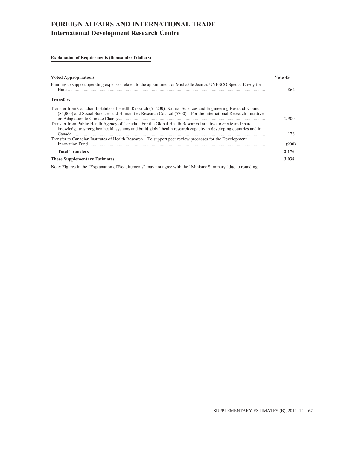# **FOREIGN AFFAIRS AND INTERNATIONAL TRADE International Development Research Centre**

### **Explanation of Requirements (thousands of dollars)**

| <b>Voted Appropriations</b>                                                                                                                                                                                                              | Vote 45 |
|------------------------------------------------------------------------------------------------------------------------------------------------------------------------------------------------------------------------------------------|---------|
| Funding to support operating expenses related to the appointment of Michaëlle Jean as UNESCO Special Envoy for                                                                                                                           | 862     |
| <b>Transfers</b>                                                                                                                                                                                                                         |         |
| Transfer from Canadian Institutes of Health Research (\$1,200), Natural Sciences and Engineering Research Council<br>$(S1,000)$ and Social Sciences and Humanities Research Council $(S700)$ – For the International Research Initiative | 2.900   |
| Transfer from Public Health Agency of Canada – For the Global Health Research Initiative to create and share<br>knowledge to strengthen health systems and build global health research capacity in developing countries and in          |         |
| Transfer to Canadian Institutes of Health Research - To support peer review processes for the Development                                                                                                                                | 176     |
|                                                                                                                                                                                                                                          | (900)   |
| <b>Total Transfers</b>                                                                                                                                                                                                                   | 2,176   |
| <b>These Supplementary Estimates</b>                                                                                                                                                                                                     | 3,038   |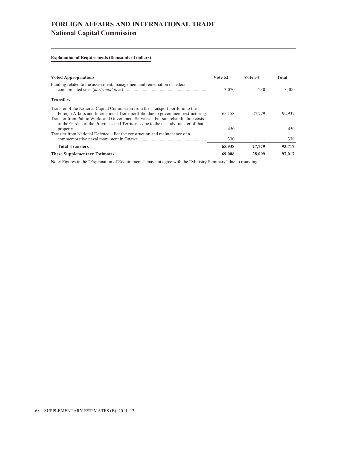# **FOREIGN AFFAIRS AND INTERNATIONAL TRADE National Capital Commission**

**Explanation of Requirements (thousands of dollars)**

| <b>Voted Appropriations</b>                                                                                                                                                                                                                                                                                                                       | Vote 52 | Vote 54 | Total  |
|---------------------------------------------------------------------------------------------------------------------------------------------------------------------------------------------------------------------------------------------------------------------------------------------------------------------------------------------------|---------|---------|--------|
| Funding related to the assessment, management and remediation of federal                                                                                                                                                                                                                                                                          | 3.070   | 230     | 3.300  |
| <b>Transfers</b>                                                                                                                                                                                                                                                                                                                                  |         |         |        |
| Transfer of the National Capital Commission from the Transport portfolio to the<br>Foreign Affairs and International Trade portfolio due to government restructuring.<br>Transfer from Public Works and Government Services – For site rehabilitation costs<br>of the Garden of the Provinces and Territories due to the custody transfer of that | 65.158  | 27,779  | 92.937 |
|                                                                                                                                                                                                                                                                                                                                                   | 450     | .       | 450    |
| Transfer from National Defence – For the construction and maintenance of a                                                                                                                                                                                                                                                                        | 330     | .       | 330    |
| <b>Total Transfers</b>                                                                                                                                                                                                                                                                                                                            | 65,938  | 27,779  | 93,717 |
| <b>These Supplementary Estimates</b>                                                                                                                                                                                                                                                                                                              | 69,008  | 28,009  | 97,017 |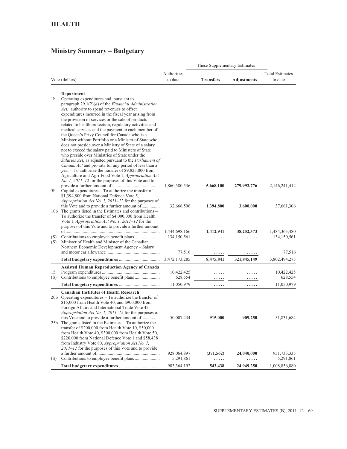|  | <b>Ministry Summary - Budgetary</b> |  |
|--|-------------------------------------|--|
|--|-------------------------------------|--|

|            |                                                                                                                          |                          |                  | These Supplementary Estimates |                          |  |
|------------|--------------------------------------------------------------------------------------------------------------------------|--------------------------|------------------|-------------------------------|--------------------------|--|
|            |                                                                                                                          | Authorities              |                  |                               | <b>Total Estimates</b>   |  |
|            | Vote (dollars)                                                                                                           | to date                  | <b>Transfers</b> | <b>Adjustments</b>            | to date                  |  |
|            | Department                                                                                                               |                          |                  |                               |                          |  |
| 1b         | Operating expenditures and, pursuant to<br>paragraph $29.1(2)(a)$ of the Financial Administration                        |                          |                  |                               |                          |  |
|            | Act, authority to spend revenues to offset<br>expenditures incurred in the fiscal year arising from                      |                          |                  |                               |                          |  |
|            | the provision of services or the sale of products                                                                        |                          |                  |                               |                          |  |
|            | related to health protection, regulatory activities and<br>medical services and the payment to each member of            |                          |                  |                               |                          |  |
|            | the Queen's Privy Council for Canada who is a                                                                            |                          |                  |                               |                          |  |
|            | Minister without Portfolio or a Minister of State who<br>does not preside over a Ministry of State of a salary           |                          |                  |                               |                          |  |
|            | not to exceed the salary paid to Ministers of State                                                                      |                          |                  |                               |                          |  |
|            | who preside over Ministries of State under the<br><i>Salaries Act</i> , as adjusted pursuant to the <i>Parliament of</i> |                          |                  |                               |                          |  |
|            | Canada Act and pro rata for any period of less than a                                                                    |                          |                  |                               |                          |  |
|            | year - To authorize the transfer of \$9,825,000 from<br>Agriculture and Agri-Food Vote 1, Appropriation Act              |                          |                  |                               |                          |  |
|            | No. 1, 2011–12 for the purposes of this Vote and to                                                                      |                          |                  |                               |                          |  |
|            |                                                                                                                          | 1,860,580,536            | 5,668,100        | 279,992,776                   | 2,146,241,412            |  |
| 5b         | Capital expenditures $-$ To authorize the transfer of<br>\$1,394,800 from National Defence Vote 5,                       |                          |                  |                               |                          |  |
|            | <i>Appropriation Act No. 1, 2011–12</i> for the purposes of                                                              |                          |                  |                               |                          |  |
|            | this Vote and to provide a further amount of<br>10b The grants listed in the Estimates and contributions –               | 32,666,506               | 1,394,800        | 3,600,000                     | 37,661,306               |  |
|            | To authorize the transfer of \$4,000,000 from Health                                                                     |                          |                  |                               |                          |  |
|            | Vote 1, <i>Appropriation Act No. 1, 2011–12</i> for the<br>purposes of this Vote and to provide a further amount         |                          |                  |                               |                          |  |
|            |                                                                                                                          | 1,444,698,166            | 1,412,941        | 38, 252, 373                  | 1,484,363,480            |  |
| (S)<br>(S) | Minister of Health and Minister of the Canadian                                                                          | 134,150,561              | .                |                               | 134,150,561              |  |
|            | Northern Economic Development Agency - Salary                                                                            |                          |                  |                               |                          |  |
|            |                                                                                                                          | 77,516<br>3,472,173,285  | 8,475,841        | 321,845,149                   | 77,516<br>3,802,494,275  |  |
|            | <b>Assisted Human Reproduction Agency of Canada</b>                                                                      |                          |                  |                               |                          |  |
| 15         |                                                                                                                          | 10,422,425               |                  |                               | 10,422,425               |  |
| (S)        | Contributions to employee benefit plans                                                                                  | 628,554                  | .                | .                             | 628,554                  |  |
|            |                                                                                                                          | 11,050,979               | .                | .                             | 11,050,979               |  |
|            | <b>Canadian Institutes of Health Research</b><br>20b Operating expenditures – To authorize the transfer of               |                          |                  |                               |                          |  |
|            | \$15,000 from Health Vote 40, and \$900,000 from                                                                         |                          |                  |                               |                          |  |
|            | Foreign Affairs and International Trade Vote 45,<br>Appropriation Act No. 1, 2011-12 for the purposes of                 |                          |                  |                               |                          |  |
|            | this Vote and to provide a further amount of                                                                             | 50,007,434               | 915,000          | 909,250                       | 51,831,684               |  |
|            | 25b The grants listed in the Estimates - To authorize the<br>transfer of \$200,000 from Health Vote 10, \$50,000         |                          |                  |                               |                          |  |
|            | from Health Vote 40, \$300,000 from Health Vote 50,                                                                      |                          |                  |                               |                          |  |
|            | \$220,000 from National Defence Vote 1 and \$58,438<br>from Industry Vote 80, <i>Appropriation Act No. 1</i> ,           |                          |                  |                               |                          |  |
|            | $2011 - 12$ for the purposes of this Vote and to provide                                                                 |                          |                  |                               |                          |  |
| (S)        |                                                                                                                          | 928,064,897<br>5,291,861 | (371, 562)       | 24,040,000                    | 951,733,335<br>5,291,861 |  |
|            |                                                                                                                          | 983, 364, 192            | .<br>543,438     | 24,949,250                    | 1,008,856,880            |  |
|            |                                                                                                                          |                          |                  |                               |                          |  |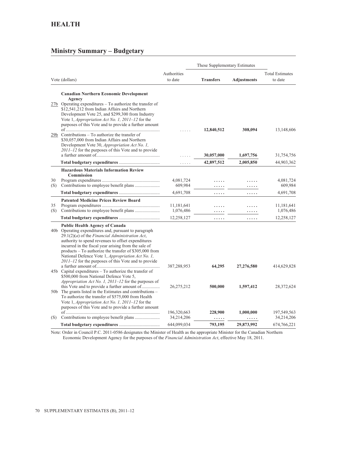| <b>Ministry Summary – Budgetary</b> |  |
|-------------------------------------|--|
|-------------------------------------|--|

|           | Vote (dollars)                                                                                                                                                                                                                                                                                                                                                                                                                                                                                                                                                                                                                                                                                                                                                                        | Authorities<br>to date                   | <b>Transfers</b>         | <b>Adjustments</b>           | <b>Total Estimates</b><br>to date        |
|-----------|---------------------------------------------------------------------------------------------------------------------------------------------------------------------------------------------------------------------------------------------------------------------------------------------------------------------------------------------------------------------------------------------------------------------------------------------------------------------------------------------------------------------------------------------------------------------------------------------------------------------------------------------------------------------------------------------------------------------------------------------------------------------------------------|------------------------------------------|--------------------------|------------------------------|------------------------------------------|
| 27b       | <b>Canadian Northern Economic Development</b><br>Agency<br>Operating expenditures $-$ To authorize the transfer of<br>\$12,541,212 from Indian Affairs and Northern<br>Development Vote 25, and \$299,300 from Industry<br>Vote 1, <i>Appropriation Act No. 1, 2011–12</i> for the<br>purposes of this Vote and to provide a further amount                                                                                                                                                                                                                                                                                                                                                                                                                                           |                                          |                          |                              |                                          |
|           | 29b Contributions - To authorize the transfer of<br>\$30,057,000 from Indian Affairs and Northern<br>Development Vote 30, Appropriation Act No. 1,<br>$2011 - 12$ for the purposes of this Vote and to provide                                                                                                                                                                                                                                                                                                                                                                                                                                                                                                                                                                        | .                                        | 12,840,512<br>30,057,000 | 308,094<br>1,697,756         | 13,148,606<br>31,754,756                 |
|           |                                                                                                                                                                                                                                                                                                                                                                                                                                                                                                                                                                                                                                                                                                                                                                                       | .                                        | 42,897,512               | 2,005,850                    | 44,903,362                               |
| 30<br>(S) | <b>Hazardous Materials Information Review</b><br><b>Commission</b>                                                                                                                                                                                                                                                                                                                                                                                                                                                                                                                                                                                                                                                                                                                    | 4,081,724<br>609,984<br>4,691,708        | .<br>.<br>.              | .<br>.<br>.                  | 4,081,724<br>609,984<br>4,691,708        |
| 35<br>(S) | <b>Patented Medicine Prices Review Board</b>                                                                                                                                                                                                                                                                                                                                                                                                                                                                                                                                                                                                                                                                                                                                          | 11,181,641<br>1,076,486                  | .<br>.                   | .<br>.                       | 11,181,641<br>1,076,486                  |
|           |                                                                                                                                                                                                                                                                                                                                                                                                                                                                                                                                                                                                                                                                                                                                                                                       | 12,258,127                               | .                        | .                            | 12,258,127                               |
|           | <b>Public Health Agency of Canada</b><br>40b Operating expenditures and, pursuant to paragraph<br>$29.1(2)(a)$ of the Financial Administration Act,<br>authority to spend revenues to offset expenditures<br>incurred in the fiscal year arising from the sale of<br>products – To authorize the transfer of \$305,000 from<br>National Defence Vote 1, Appropriation Act No. 1,<br>$2011 - 12$ for the purposes of this Vote and to provide<br>45b Capital expenditures - To authorize the transfer of<br>\$500,000 from National Defence Vote 5,<br><i>Appropriation Act No. 1, 2011–12</i> for the purposes of<br>this Vote and to provide a further amount of<br>50b The grants listed in the Estimates and contributions –<br>To authorize the transfer of \$575,000 from Health | 387,288,953<br>26,275,212                | 64,295<br>500,000        | 27,276,580<br>1,597,412      | 414,629,828<br>28,372,624                |
| (S)       | Vote 1, <i>Appropriation Act No. 1, 2011–12</i> for the<br>purposes of this Vote and to provide a further amount                                                                                                                                                                                                                                                                                                                                                                                                                                                                                                                                                                                                                                                                      | 196,320,663<br>34,214,206<br>644.099.034 | 228,900<br>.<br>793,195  | 1,000,000<br>.<br>29,873,992 | 197,549,563<br>34,214,206<br>674,766,221 |

Note: Order in Council P.C. 2011-0586 designates the Minister of Health as the appropriate Minister for the Canadian Northern Economic Development Agency for the purposes of the *Financial Administration Act*, effective May 18, 2011.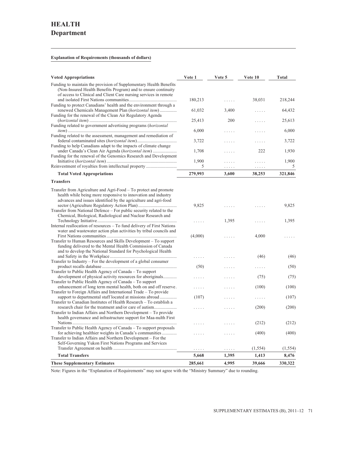**Explanation of Requirements (thousands of dollars)**

| <b>Voted Appropriations</b>                                                                                                                                                                              | Vote 1  | Vote 5 | Vote 10  | Total    |
|----------------------------------------------------------------------------------------------------------------------------------------------------------------------------------------------------------|---------|--------|----------|----------|
| Funding to maintain the provision of Supplementary Health Benefits<br>(Non-Insured Health Benefits Program) and to ensure continuity<br>of access to Clinical and Client Care nursing services in remote |         |        |          |          |
| Funding to protect Canadians' health and the environment through a                                                                                                                                       | 180,213 | .      | 38,031   | 218,244  |
| renewed Chemicals Management Plan (horizontal item)<br>Funding for the renewal of the Clean Air Regulatory Agenda                                                                                        | 61,032  | 3,400  | .        | 64,432   |
| Funding related to government advertising programs (horizontal                                                                                                                                           | 25,413  | 200    | .        | 25,613   |
|                                                                                                                                                                                                          | 6,000   | .      | .        | 6,000    |
| Funding related to the assessment, management and remediation of                                                                                                                                         | 3,722   |        |          | 3,722    |
| Funding to help Canadians adapt to the impacts of climate change                                                                                                                                         | 1,708   | .      | 222      | 1,930    |
| Funding for the renewal of the Genomics Research and Development                                                                                                                                         | 1,900   | .      | .        | 1,900    |
| Reinvestment of royalties from intellectual property                                                                                                                                                     | 5       | .      | .        | 5        |
| <b>Total Voted Appropriations</b>                                                                                                                                                                        | 279,993 | 3,600  | 38,253   | 321,846  |
| <b>Transfers</b>                                                                                                                                                                                         |         |        |          |          |
| Transfer from Agriculture and Agri-Food – To protect and promote<br>health while being more responsive to innovation and industry<br>advances and issues identified by the agriculture and agri-food     | 9,825   |        |          | 9,825    |
| Transfer from National Defence – For public security related to the<br>Chemical, Biological, Radiological and Nuclear Research and                                                                       |         | 1,395  |          | 1,395    |
| Internal reallocation of resources – To fund delivery of First Nations<br>water and wastewater action plan activities by tribal councils and                                                             | .       |        | .        |          |
| Transfer to Human Resources and Skills Development – To support<br>funding delivered to the Mental Health Commission of Canada<br>and to develop the National Standard for Psychological Health          | (4,000) | .      | 4,000    |          |
| Transfer to Industry – For the development of a global consumer                                                                                                                                          |         |        | (46)     | (46)     |
|                                                                                                                                                                                                          | (50)    | .      | .        | (50)     |
| Transfer to Public Health Agency of Canada - To support<br>development of physical activity resources for aboriginals<br>Transfer to Public Health Agency of Canada – To support                         | .       | .      | (75)     | (75)     |
| enhancement of long term mental health, both on and off reserve.<br>Transfer to Foreign Affairs and International Trade - To provide                                                                     | .       |        | (100)    | (100)    |
| support to departmental staff located at missions abroad<br>Transfer to Canadian Institutes of Health Research – To establish a                                                                          | (107)   | .      | .        | (107)    |
| research chair for the treatment and/or care of autism<br>Transfer to Indian Affairs and Northern Development – To provide<br>health governance and infrastructure support for Maa-nulth First           | .       | .      | (200)    | (200)    |
|                                                                                                                                                                                                          |         | .      | (212)    | (212)    |
| Transfer to Public Health Agency of Canada – To support proposals<br>for achieving healthier weights in Canada's communities<br>Transfer to Indian Affairs and Northern Development - For the            | .       | .      | (400)    | (400)    |
| Self-Governing Yukon First Nations Programs and Services                                                                                                                                                 |         | .      | (1, 554) | (1, 554) |
| <b>Total Transfers</b>                                                                                                                                                                                   | 5,668   | 1,395  | 1,413    | 8,476    |
| <b>These Supplementary Estimates</b>                                                                                                                                                                     | 285,661 | 4,995  | 39,666   | 330,322  |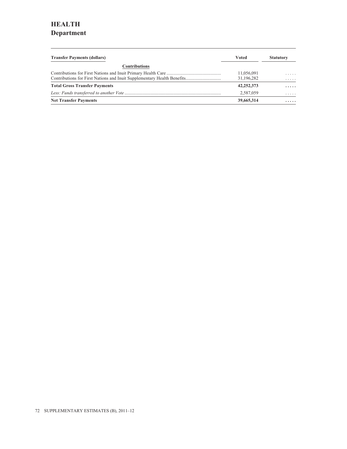# **HEALTH Department**

| <b>Transfer Payments (dollars)</b>   | Voted                    | <b>Statutory</b>     |
|--------------------------------------|--------------------------|----------------------|
| <b>Contributions</b>                 |                          |                      |
|                                      | 11,056,091<br>31,196,282 | .                    |
| <b>Total Gross Transfer Payments</b> | 42,252,373               | .<br>.               |
|                                      | 2,587,059                | $\cdots\cdots\cdots$ |
| <b>Net Transfer Payments</b>         | 39,665,314               | .                    |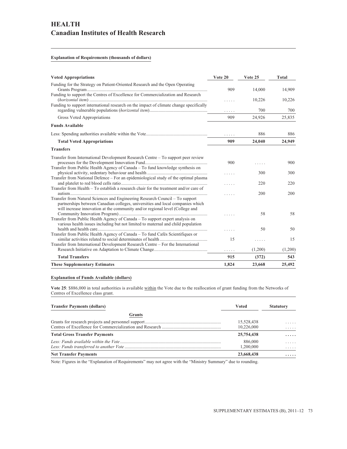## **HEALTH Canadian Institutes of Health Research**

### **Explanation of Requirements (thousands of dollars)**

| <b>Voted Appropriations</b>                                                                                                                                                                                                                                                                                                    | Vote 20 | Vote 25 | <b>Total</b> |
|--------------------------------------------------------------------------------------------------------------------------------------------------------------------------------------------------------------------------------------------------------------------------------------------------------------------------------|---------|---------|--------------|
| Funding for the Strategy on Patient-Oriented Research and the Open Operating                                                                                                                                                                                                                                                   | 909     | 14,000  | 14,909       |
| Funding to support the Centres of Excellence for Commercialization and Research                                                                                                                                                                                                                                                | .       | 10,226  | 10,226       |
| Funding to support international research on the impact of climate change specifically                                                                                                                                                                                                                                         | .       | 700     | 700          |
| Gross Voted Appropriations                                                                                                                                                                                                                                                                                                     | 909     | 24,926  | 25,835       |
| <b>Funds Available</b>                                                                                                                                                                                                                                                                                                         |         |         |              |
|                                                                                                                                                                                                                                                                                                                                |         | 886     | 886          |
| <b>Total Voted Appropriations</b>                                                                                                                                                                                                                                                                                              | 909     | 24,040  | 24,949       |
| <b>Transfers</b>                                                                                                                                                                                                                                                                                                               |         |         |              |
| Transfer from International Development Research Centre - To support peer review                                                                                                                                                                                                                                               | 900     | .       | 900          |
| Transfer from Public Health Agency of Canada – To fund knowledge synthesis on                                                                                                                                                                                                                                                  | .       | 300     | 300          |
| Transfer from National Defence – For an epidemiological study of the optimal plasma                                                                                                                                                                                                                                            | .       | 220     | 220          |
| Transfer from Health - To establish a research chair for the treatment and/or care of                                                                                                                                                                                                                                          | .       | 200     | 200          |
| Transfer from Natural Sciences and Engineering Research Council - To support<br>partnerships between Canadian colleges, universities and local companies which<br>will increase innovation at the community and/or regional level (College and<br>Transfer from Public Health Agency of Canada - To support expert analysis on |         | 58      | 58           |
| various health issues including but not limited to maternal and child population                                                                                                                                                                                                                                               |         | 50      | 50           |
| Transfer from Public Health Agency of Canada – To fund Cafés Scientifiques or<br>Transfer from International Development Research Centre – For the International                                                                                                                                                               | 15      | 1.1.1.1 | 15           |
|                                                                                                                                                                                                                                                                                                                                | .       | (1,200) | (1,200)      |
| <b>Total Transfers</b>                                                                                                                                                                                                                                                                                                         | 915     | (372)   | 543          |
| <b>These Supplementary Estimates</b>                                                                                                                                                                                                                                                                                           | 1,824   | 23,668  | 25,492       |

#### **Explanation of Funds Available (dollars)**

**Vote 25**: \$886,000 in total authorities is available within the Vote due to the reallocation of grant funding from the Networks of Centres of Excellence class grant.

| <b>Transfer Payments (dollars)</b>   | Voted      | <b>Statutory</b> |
|--------------------------------------|------------|------------------|
| <b>Grants</b>                        |            |                  |
|                                      | 15,528,438 | .                |
|                                      | 10.226,000 | .                |
| <b>Total Gross Transfer Payments</b> | 25,754,438 | .                |
|                                      | 886,000    | .                |
|                                      | 1.200.000  | .                |
| <b>Net Transfer Payments</b>         | 23,668,438 | .                |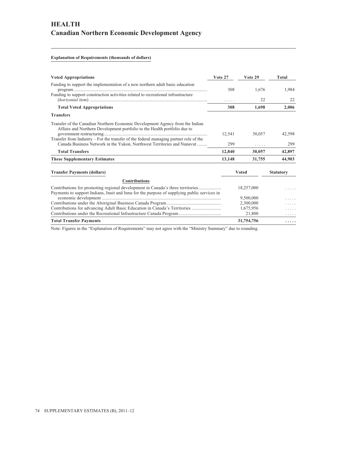# **HEALTH Canadian Northern Economic Development Agency**

### **Explanation of Requirements (thousands of dollars)**

| <b>Voted Appropriations</b>                                                                                                                                                   | Vote 27 | Vote 29      | Total            |
|-------------------------------------------------------------------------------------------------------------------------------------------------------------------------------|---------|--------------|------------------|
| Funding to support the implementation of a new northern adult basic education<br>Funding to support construction activities related to recreational infrastructure            | 308     | 1,676        | 1,984            |
|                                                                                                                                                                               | .       | 22           | 22               |
| <b>Total Voted Appropriations</b>                                                                                                                                             | 308     | 1,698        | 2,006            |
| <b>Transfers</b>                                                                                                                                                              |         |              |                  |
| Transfer of the Canadian Northern Economic Development Agency from the Indian<br>Affairs and Northern Development portfolio to the Health portfolio due to                    | 12,541  | 30,057       | 42,598           |
| Transfer from Industry $-$ For the transfer of the federal managing partner role of the<br>Canada Business Network in the Yukon, Northwest Territories and Nunavut            | 299     | .            | 299              |
| <b>Total Transfers</b>                                                                                                                                                        | 12,840  | 30,057       | 42,897           |
| <b>These Supplementary Estimates</b>                                                                                                                                          | 13,148  | 31,755       | 44,903           |
| <b>Transfer Payments (dollars)</b>                                                                                                                                            |         | <b>Voted</b> | <b>Statutory</b> |
| <b>Contributions</b>                                                                                                                                                          |         |              |                  |
| Contributions for promoting regional development in Canada's three territories<br>Payments to support Indians, Inuit and Innu for the purpose of supplying public services in |         | 18,257,000   |                  |
|                                                                                                                                                                               |         | 9,500,000    |                  |
|                                                                                                                                                                               |         | 2,300,000    |                  |
| Contributions for advancing Adult Basic Education in Canada's Territories                                                                                                     |         | 1,675,956    |                  |
|                                                                                                                                                                               |         | 21,800       |                  |
| <b>Total Transfer Payments</b>                                                                                                                                                |         | 31,754,756   | .                |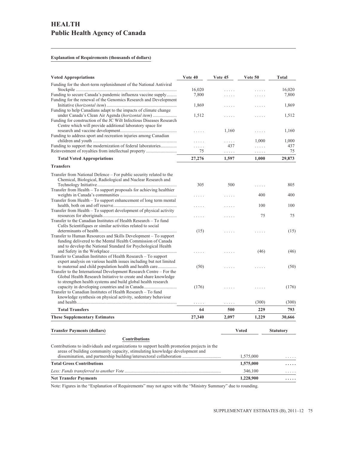### **HEALTH Public Health Agency of Canada**

#### **Explanation of Requirements (thousands of dollars)**

| <b>Voted Appropriations</b>                                                                | Vote 40 | Vote 45 | Vote 50                                | Total            |
|--------------------------------------------------------------------------------------------|---------|---------|----------------------------------------|------------------|
| Funding for the short-term replenishment of the National Antiviral                         |         |         |                                        |                  |
|                                                                                            | 16,020  |         |                                        | 16.020           |
| Funding to secure Canada's pandemic influenza vaccine supply                               | 7,800   |         | .                                      | 7,800            |
| Funding for the renewal of the Genomics Research and Development                           |         |         |                                        |                  |
|                                                                                            | 1,869   | .       |                                        | 1,869            |
| Funding to help Canadians adapt to the impacts of climate change                           |         |         |                                        |                  |
|                                                                                            | 1,512   | .       |                                        | 1,512            |
| Funding for construction of the JC Wilt Infectious Diseases Research                       |         |         |                                        |                  |
| Centre which will provide additional laboratory space for                                  |         |         |                                        |                  |
|                                                                                            |         | 1,160   | .                                      | 1,160            |
| Funding to address sport and recreation injuries among Canadian                            |         |         |                                        |                  |
|                                                                                            |         | .       | 1,000                                  | 1,000            |
| Funding to support the modernization of federal laboratories                               | .       | 437     | $\mathbb{Z}^n$ . In the $\mathbb{Z}^n$ | 437              |
|                                                                                            | 75      | .       | $\ldots$                               | 75               |
| <b>Total Voted Appropriations</b>                                                          | 27,276  | 1,597   | 1,000                                  | 29,873           |
| <b>Transfers</b>                                                                           |         |         |                                        |                  |
|                                                                                            |         |         |                                        |                  |
| Transfer from National Defence – For public security related to the                        |         |         |                                        |                  |
| Chemical, Biological, Radiological and Nuclear Research and                                |         |         |                                        |                  |
|                                                                                            | 305     | 500     |                                        | 805              |
| Transfer from Health – To support proposals for achieving healthier                        |         |         |                                        |                  |
|                                                                                            |         |         | 400                                    | 400              |
| Transfer from Health – To support enhancement of long term mental                          |         |         |                                        |                  |
|                                                                                            |         |         | 100                                    | 100              |
| Transfer from Health – To support development of physical activity                         |         |         |                                        |                  |
|                                                                                            |         | .       | 75                                     | 75               |
| Transfer to the Canadian Institutes of Health Research - To fund                           |         |         |                                        |                  |
| Cafés Scientifiques or similar activities related to social                                |         |         |                                        |                  |
|                                                                                            | (15)    | .       |                                        | (15)             |
| Transfer to Human Resources and Skills Development – To support                            |         |         |                                        |                  |
| funding delivered to the Mental Health Commission of Canada                                |         |         |                                        |                  |
| and to develop the National Standard for Psychological Health                              |         |         |                                        |                  |
|                                                                                            |         |         | (46)                                   | (46)             |
| Transfer to Canadian Institutes of Health Research – To support                            |         |         |                                        |                  |
| expert analysis on various health issues including but not limited                         |         |         |                                        |                  |
| to maternal and child population health and health care                                    | (50)    |         |                                        | (50)             |
| Transfer to the International Development Research Centre – For the                        |         |         |                                        |                  |
| Global Health Research Initiative to create and share knowledge                            |         |         |                                        |                  |
| to strengthen health systems and build global health research                              |         |         |                                        |                  |
|                                                                                            | (176)   |         |                                        | (176)            |
| Transfer to Canadian Institutes of Health Research - To fund                               |         |         |                                        |                  |
| knowledge synthesis on physical activity, sedentary behaviour                              |         |         |                                        |                  |
|                                                                                            | .       | .       | (300)                                  | (300)            |
| <b>Total Transfers</b>                                                                     | 64      | 500     | 229                                    | 793              |
| <b>These Supplementary Estimates</b>                                                       | 27,340  | 2,097   | 1,229                                  | 30,666           |
| <b>Transfer Payments (dollars)</b>                                                         |         |         | <b>Voted</b>                           | <b>Statutory</b> |
|                                                                                            |         |         |                                        |                  |
| <b>Contributions</b>                                                                       |         |         |                                        |                  |
| Contributions to individuals and organizations to support health promotion projects in the |         |         |                                        |                  |
| areas of building community capacity, stimulating knowledge development and                |         |         |                                        |                  |
|                                                                                            |         |         | 1,575,000                              |                  |
| <b>Total Gross Contributions</b>                                                           |         |         | 1,575,000                              |                  |
|                                                                                            |         |         | 346,100                                | .                |
|                                                                                            |         |         |                                        |                  |

**Net Transfer Payments 1,228,900 .....**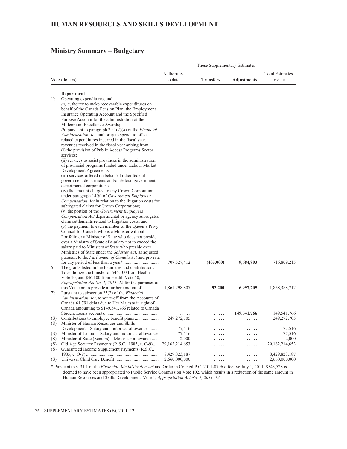|  | <b>Ministry Summary - Budgetary</b> |  |
|--|-------------------------------------|--|
|--|-------------------------------------|--|

|            |                                                                                                          | These Supplementary Estimates      |                  |                    |                            |  |
|------------|----------------------------------------------------------------------------------------------------------|------------------------------------|------------------|--------------------|----------------------------|--|
|            |                                                                                                          | Authorities                        |                  |                    | <b>Total Estimates</b>     |  |
|            | Vote (dollars)                                                                                           | to date                            | <b>Transfers</b> | <b>Adjustments</b> | to date                    |  |
|            |                                                                                                          |                                    |                  |                    |                            |  |
|            | Department                                                                                               |                                    |                  |                    |                            |  |
| 1b         | Operating expenditures, and                                                                              |                                    |                  |                    |                            |  |
|            | $(a)$ authority to make recoverable expenditures on                                                      |                                    |                  |                    |                            |  |
|            | behalf of the Canada Pension Plan, the Employment                                                        |                                    |                  |                    |                            |  |
|            | Insurance Operating Account and the Specified                                                            |                                    |                  |                    |                            |  |
|            | Purpose Account for the administration of the                                                            |                                    |                  |                    |                            |  |
|            | Millennium Excellence Awards;                                                                            |                                    |                  |                    |                            |  |
|            | (b) pursuant to paragraph $29.1(2)(a)$ of the <i>Financial</i>                                           |                                    |                  |                    |                            |  |
|            | Administration Act, authority to spend, to offset                                                        |                                    |                  |                    |                            |  |
|            | related expenditures incurred in the fiscal year,                                                        |                                    |                  |                    |                            |  |
|            | revenues received in the fiscal year arising from:<br>(i) the provision of Public Access Programs Sector |                                    |                  |                    |                            |  |
|            | services;                                                                                                |                                    |                  |                    |                            |  |
|            | (ii) services to assist provinces in the administration                                                  |                                    |                  |                    |                            |  |
|            | of provincial programs funded under Labour Market                                                        |                                    |                  |                    |                            |  |
|            | Development Agreements;                                                                                  |                                    |                  |                    |                            |  |
|            | (iii) services offered on behalf of other federal                                                        |                                    |                  |                    |                            |  |
|            | government departments and/or federal government                                                         |                                    |                  |                    |                            |  |
|            | departmental corporations;                                                                               |                                    |                  |                    |                            |  |
|            | (iv) the amount charged to any Crown Corporation                                                         |                                    |                  |                    |                            |  |
|            | under paragraph $14(b)$ of Government Employees                                                          |                                    |                  |                    |                            |  |
|            | Compensation Act in relation to the litigation costs for                                                 |                                    |                  |                    |                            |  |
|            | subrogated claims for Crown Corporations;                                                                |                                    |                  |                    |                            |  |
|            | (v) the portion of the Government Employees                                                              |                                    |                  |                    |                            |  |
|            | Compensation Act departmental or agency subrogated                                                       |                                    |                  |                    |                            |  |
|            | claim settlements related to litigation costs; and                                                       |                                    |                  |                    |                            |  |
|            | $(c)$ the payment to each member of the Queen's Privy                                                    |                                    |                  |                    |                            |  |
|            | Council for Canada who is a Minister without<br>Portfolio or a Minister of State who does not preside    |                                    |                  |                    |                            |  |
|            | over a Ministry of State of a salary not to exceed the                                                   |                                    |                  |                    |                            |  |
|            | salary paid to Ministers of State who preside over                                                       |                                    |                  |                    |                            |  |
|            | Ministries of State under the Salaries Act, as adjusted                                                  |                                    |                  |                    |                            |  |
|            | pursuant to the Parliament of Canada Act and pro rata                                                    |                                    |                  |                    |                            |  |
|            |                                                                                                          | 707,527,412                        | (403,000)        | 9,684,803          | 716,809,215                |  |
| 5b         | The grants listed in the Estimates and contributions -                                                   |                                    |                  |                    |                            |  |
|            | To authorize the transfer of \$46,100 from Health                                                        |                                    |                  |                    |                            |  |
|            | Vote 10, and \$46,100 from Health Vote 50,                                                               |                                    |                  |                    |                            |  |
|            | Appropriation Act No. 1, $2011-12$ for the purposes of                                                   |                                    |                  |                    |                            |  |
|            | this Vote and to provide a further amount of                                                             | 1,861,298,807                      | 92,200           | 6,997,705          | 1,868,388,712              |  |
| 7b         | Pursuant to subsection 25(2) of the <i>Financial</i>                                                     |                                    |                  |                    |                            |  |
|            | Administration Act, to write-off from the Accounts of                                                    |                                    |                  |                    |                            |  |
|            | Canada 61,791 debts due to Her Majesty in right of                                                       |                                    |                  |                    |                            |  |
|            | Canada amounting to \$149,541,766 related to Canada                                                      |                                    |                  |                    |                            |  |
|            |                                                                                                          | $\sim$ $\sim$ $\sim$ $\sim$ $\sim$ | .                | 149,541,766        | 149,541,766<br>249,272,705 |  |
| (S)<br>(S) | Minister of Human Resources and Skills                                                                   | 249,272,705                        | .                | .                  |                            |  |
|            | Development – Salary and motor car allowance                                                             | 77,516                             |                  |                    | 77,516                     |  |
| (S)        | Minister of Labour - Salary and motor car allowance.                                                     | 77,516                             |                  |                    | 77,516                     |  |
| (S)        | Minister of State (Seniors) – Motor car allowance                                                        | 2,000                              |                  | .                  | 2,000                      |  |
| (S)        | Old Age Security Payments (R.S.C., 1985, c. O-9) 29,162,214,653                                          |                                    |                  | .                  | 29, 162, 214, 653          |  |
| (S)        | Guaranteed Income Supplement Payments (R.S.C.,                                                           |                                    |                  |                    |                            |  |
|            |                                                                                                          | 8,429,823,187                      |                  | .                  | 8,429,823,187              |  |
| (S)        |                                                                                                          | 2,660,000,000                      |                  | .                  | 2,660,000,000              |  |

\* Pursuant to s. 31.1 of the *Financial Administration Act* and Order in Council P.C. 2011-0796 effective July 1, 2011, \$543,528 is deemed to have been appropriated to Public Service Commission Vote 102, which results in a reduction of the same amount in Human Resources and Skills Development, Vote 1, *Appropriation Act No. 1, 2011–12*.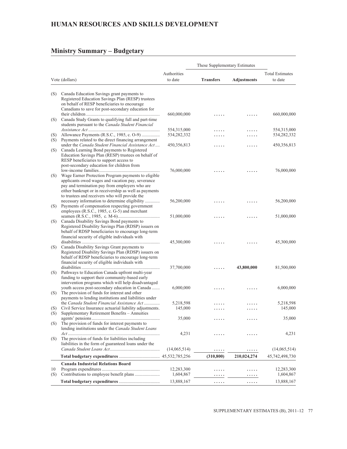### **Ministry Summary – Budgetary**

|           |                                                                                                                                                                                                                                                                        |                         | These Supplementary Estimates |                    |                                   |  |
|-----------|------------------------------------------------------------------------------------------------------------------------------------------------------------------------------------------------------------------------------------------------------------------------|-------------------------|-------------------------------|--------------------|-----------------------------------|--|
|           | Vote (dollars)                                                                                                                                                                                                                                                         | Authorities<br>to date  | <b>Transfers</b>              | <b>Adjustments</b> | <b>Total Estimates</b><br>to date |  |
| (S)       | Canada Education Savings grant payments to<br>Registered Education Savings Plan (RESP) trustees<br>on behalf of RESP beneficiaries to encourage<br>Canadians to save for post-secondary education for                                                                  |                         |                               |                    |                                   |  |
| (S)       | Canada Study Grants to qualifying full and part-time<br>students pursuant to the <i>Canada Student Financial</i>                                                                                                                                                       | 660,000,000             |                               |                    | 660,000,000                       |  |
|           |                                                                                                                                                                                                                                                                        | 554,315,000             |                               |                    | 554,315,000                       |  |
| (S)       | Allowance Payments (R.S.C., 1985, c. O-9)                                                                                                                                                                                                                              | 534,282,332             |                               |                    | 534,282,332                       |  |
| (S)       | Payments related to the direct financing arrangement<br>under the Canada Student Financial Assistance Act                                                                                                                                                              | 450,356,813             |                               |                    | 450, 356, 813                     |  |
| (S)       | Canada Learning Bond payments to Registered<br>Education Savings Plan (RESP) trustees on behalf of<br>RESP beneficiaries to support access to<br>post-secondary education for children from                                                                            |                         |                               |                    |                                   |  |
| (S)       | Wage Earner Protection Program payments to eligible<br>applicants owed wages and vacation pay, severance<br>pay and termination pay from employers who are<br>either bankrupt or in receivership as well as payments<br>to trustees and receivers who will provide the | 76,000,000              |                               |                    | 76,000,000                        |  |
| (S)       | necessary information to determine eligibility<br>Payments of compensation respecting government<br>employees (R.S.C., 1985, c. G-5) and merchant                                                                                                                      | 56,200,000              |                               |                    | 56,200,000                        |  |
| (S)       | Canada Disability Savings Bond payments to<br>Registered Disability Savings Plan (RDSP) issuers on<br>behalf of RDSP beneficiaries to encourage long-term<br>financial security of eligible individuals with                                                           | 51,000,000              |                               |                    | 51,000,000                        |  |
| (S)       | Canada Disability Savings Grant payments to<br>Registered Disability Savings Plan (RDSP) issuers on<br>behalf of RDSP beneficiaries to encourage long-term<br>financial security of eligible individuals with                                                          | 45,300,000              |                               |                    | 45,300,000                        |  |
| (S)       | Pathways to Education Canada upfront multi-year<br>funding to support their community-based early<br>intervention programs which will help disadvantaged                                                                                                               | 37,700,000              |                               | 43,800,000         | 81,500,000                        |  |
| (S)       | youth access post-secondary education in Canada<br>The provision of funds for interest and other<br>payments to lending institutions and liabilities under                                                                                                             | 6,000,000               |                               |                    | 6,000,000                         |  |
|           | the Canada Student Financial Assistance Act                                                                                                                                                                                                                            | 5,218,598               |                               |                    | 5,218,598                         |  |
| (S)       | Civil Service Insurance actuarial liability adjustments.                                                                                                                                                                                                               | 145,000                 | .                             | .                  | 145,000                           |  |
|           | (S) Supplementary Retirement Benefits – Annuities                                                                                                                                                                                                                      | 35,000                  |                               |                    | 35,000                            |  |
| (S)       | The provision of funds for interest payments to<br>lending institutions under the Canada Student Loans                                                                                                                                                                 | 4,231                   |                               |                    | 4,231                             |  |
| (S)       | The provision of funds for liabilities including<br>liabilities in the form of guaranteed loans under the                                                                                                                                                              |                         |                               |                    |                                   |  |
|           |                                                                                                                                                                                                                                                                        | (14,065,514)            | .                             | .                  | (14,065,514)                      |  |
|           |                                                                                                                                                                                                                                                                        |                         | (310, 800)                    | 210,024,274        | 45,742,498,730                    |  |
|           | <b>Canada Industrial Relations Board</b>                                                                                                                                                                                                                               |                         |                               |                    |                                   |  |
| 10<br>(S) |                                                                                                                                                                                                                                                                        | 12,283,300<br>1,604,867 |                               | .                  | 12,283,300<br>1,604,867           |  |
|           |                                                                                                                                                                                                                                                                        | 13,888,167              | .                             | .                  | 13,888,167                        |  |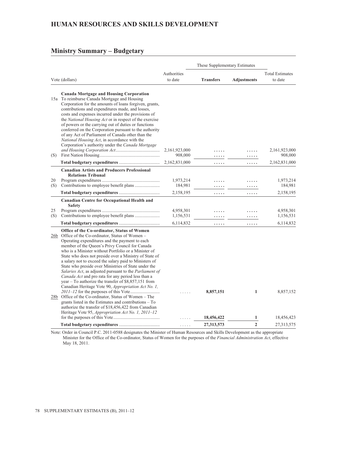|           |                                                                                                                                                                                                                                                                                                                                                                                                                                                                                                                                                                                                                                                                                                                                                                                                                                                                                                                 |                        | These Supplementary Estimates |                    |                        |
|-----------|-----------------------------------------------------------------------------------------------------------------------------------------------------------------------------------------------------------------------------------------------------------------------------------------------------------------------------------------------------------------------------------------------------------------------------------------------------------------------------------------------------------------------------------------------------------------------------------------------------------------------------------------------------------------------------------------------------------------------------------------------------------------------------------------------------------------------------------------------------------------------------------------------------------------|------------------------|-------------------------------|--------------------|------------------------|
|           |                                                                                                                                                                                                                                                                                                                                                                                                                                                                                                                                                                                                                                                                                                                                                                                                                                                                                                                 | Authorities            |                               |                    | <b>Total Estimates</b> |
|           | Vote (dollars)                                                                                                                                                                                                                                                                                                                                                                                                                                                                                                                                                                                                                                                                                                                                                                                                                                                                                                  | to date                | <b>Transfers</b>              | <b>Adjustments</b> | to date                |
|           | <b>Canada Mortgage and Housing Corporation</b><br>15a To reimburse Canada Mortgage and Housing<br>Corporation for the amounts of loans forgiven, grants,<br>contributions and expenditures made, and losses,<br>costs and expenses incurred under the provisions of<br>the <i>National Housing Act</i> or in respect of the exercise<br>of powers or the carrying out of duties or functions<br>conferred on the Corporation pursuant to the authority<br>of any Act of Parliament of Canada other than the<br>National Housing Act, in accordance with the<br>Corporation's authority under the Canada Mortgage                                                                                                                                                                                                                                                                                                | 2,161,923,000          |                               |                    | 2,161,923,000          |
| (S)       |                                                                                                                                                                                                                                                                                                                                                                                                                                                                                                                                                                                                                                                                                                                                                                                                                                                                                                                 | 908,000                | .                             | .                  | 908,000                |
|           |                                                                                                                                                                                                                                                                                                                                                                                                                                                                                                                                                                                                                                                                                                                                                                                                                                                                                                                 | 2,162,831,000          | .                             | .                  | 2,162,831,000          |
|           | <b>Canadian Artists and Producers Professional</b>                                                                                                                                                                                                                                                                                                                                                                                                                                                                                                                                                                                                                                                                                                                                                                                                                                                              |                        |                               |                    |                        |
| 20<br>(S) | <b>Relations Tribunal</b>                                                                                                                                                                                                                                                                                                                                                                                                                                                                                                                                                                                                                                                                                                                                                                                                                                                                                       | 1,973,214<br>184,981   | .                             | .<br>.             | 1,973,214<br>184,981   |
|           |                                                                                                                                                                                                                                                                                                                                                                                                                                                                                                                                                                                                                                                                                                                                                                                                                                                                                                                 | 2,158,195              | .                             | .                  | 2,158,195              |
|           | <b>Canadian Centre for Occupational Health and</b><br><b>Safety</b>                                                                                                                                                                                                                                                                                                                                                                                                                                                                                                                                                                                                                                                                                                                                                                                                                                             |                        |                               |                    |                        |
| 25<br>(S) |                                                                                                                                                                                                                                                                                                                                                                                                                                                                                                                                                                                                                                                                                                                                                                                                                                                                                                                 | 4,958,301<br>1,156,531 |                               | .                  | 4,958,301<br>1,156,531 |
|           |                                                                                                                                                                                                                                                                                                                                                                                                                                                                                                                                                                                                                                                                                                                                                                                                                                                                                                                 | 6,114,832              | .                             | .                  | 6,114,832              |
|           | Office of the Co-ordinator, Status of Women<br>26b Office of the Co-ordinator, Status of Women –<br>Operating expenditures and the payment to each<br>member of the Queen's Privy Council for Canada<br>who is a Minister without Portfolio or a Minister of<br>State who does not preside over a Ministry of State of<br>a salary not to exceed the salary paid to Ministers of<br>State who preside over Ministries of State under the<br>Salaries Act, as adjusted pursuant to the Parliament of<br><i>Canada Act</i> and pro rata for any period less than a<br>year – To authorize the transfer of \$8,857,151 from<br>Canadian Heritage Vote 90, Appropriation Act No. 1,<br>28b Office of the Co-ordinator, Status of Women - The<br>grants listed in the Estimates and contributions – To<br>authorize the transfer of \$18,456,422 from Canadian<br>Heritage Vote 95, Appropriation Act No. 1, 2011-12 |                        | 8,857,151                     | 1                  | 8,857,152              |
|           |                                                                                                                                                                                                                                                                                                                                                                                                                                                                                                                                                                                                                                                                                                                                                                                                                                                                                                                 |                        | 18,456,422                    | 1                  | 18,456,423             |
|           |                                                                                                                                                                                                                                                                                                                                                                                                                                                                                                                                                                                                                                                                                                                                                                                                                                                                                                                 | .                      | 27,313,573                    | $\overline{2}$     | 27,313,575             |

#### **Ministry Summary – Budgetary**

Note: Order in Council P.C. 2011-0588 designates the Minister of Human Resources and Skills Development as the appropriate Minister for the Office of the Co-ordinator, Status of Women for the purposes of the *Financial Administration Act*, effective May 18, 2011.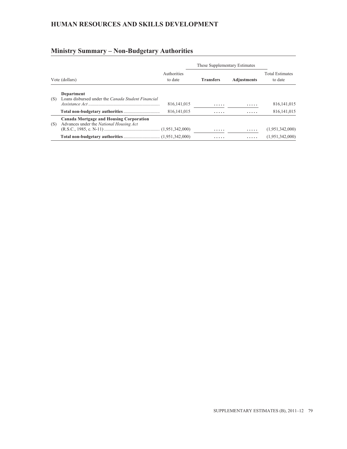|     |                                                                                           |                        | These Supplementary Estimates |                    |                                   |
|-----|-------------------------------------------------------------------------------------------|------------------------|-------------------------------|--------------------|-----------------------------------|
|     | Vote (dollars)                                                                            | Authorities<br>to date | <b>Transfers</b>              | <b>Adjustments</b> | <b>Total Estimates</b><br>to date |
| (S) | Department<br>Loans disbursed under the Canada Student Financial                          | 816, 141, 015          | .                             | .                  | 816, 141, 015                     |
|     |                                                                                           | 816, 141, 015          | .                             | .                  | 816, 141, 015                     |
| (S) | <b>Canada Mortgage and Housing Corporation</b><br>Advances under the National Housing Act |                        | .                             | .                  | (1,951,342,000)                   |
|     |                                                                                           |                        | .                             | .                  | (1,951,342,000)                   |

#### **Ministry Summary – Non-Budgetary Authorities**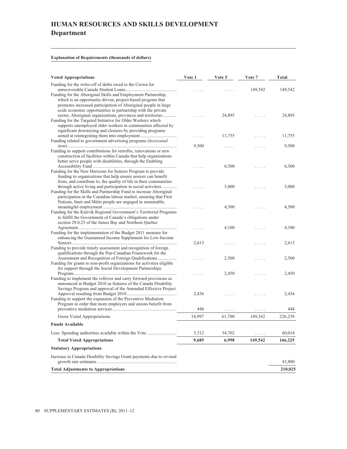## **HUMAN RESOURCES AND SKILLS DEVELOPMENT Department**

**Explanation of Requirements (thousands of dollars)**

| <b>Voted Appropriations</b>                                                                                                            | Vote 1 | Vote 5 | Vote 7  | <b>Total</b> |
|----------------------------------------------------------------------------------------------------------------------------------------|--------|--------|---------|--------------|
| Funding for the write-off of debts owed to the Crown for                                                                               |        |        |         |              |
|                                                                                                                                        |        |        | 149,542 | 149,542      |
| Funding for the Aboriginal Skills and Employment Partnership,<br>which is an opportunity-driven, project-based program that            |        |        |         |              |
| promotes increased participation of Aboriginal people in large                                                                         |        |        |         |              |
| scale economic opportunities in partnership with the private                                                                           |        |        |         |              |
| sector, Aboriginal organizations, provinces and territories                                                                            |        | 24,895 |         | 24,895       |
| Funding for the Targeted Initiative for Older Workers which                                                                            |        |        |         |              |
| supports unemployed older workers in communities affected by                                                                           |        |        |         |              |
| significant downsizing and closures by providing programs                                                                              |        |        |         |              |
|                                                                                                                                        |        | 11,755 |         | 11,755       |
| Funding related to government advertising programs (horizontal                                                                         | 9,500  |        |         | 9,500        |
| Funding to support contributions for retrofits, renovations or new                                                                     |        | .      |         |              |
| construction of facilities within Canada that help organizations                                                                       |        |        |         |              |
| better serve people with disabilities, through the Enabling                                                                            |        |        |         |              |
|                                                                                                                                        |        | 6,500  | .       | 6,500        |
| Funding for the New Horizons for Seniors Program to provide                                                                            |        |        |         |              |
| funding to organizations that help ensure seniors can benefit                                                                          |        |        |         |              |
| from, and contribute to, the quality of life in their communities                                                                      |        |        |         |              |
| through active living and participation in social activities                                                                           |        | 5,000  |         | 5,000        |
| Funding for the Skills and Partnership Fund to increase Aboriginal<br>participation in the Canadian labour market, ensuring that First |        |        |         |              |
| Nations, Inuit and Métis people are engaged in sustainable,                                                                            |        |        |         |              |
|                                                                                                                                        |        | 4,500  |         | 4,500        |
| Funding for the Kativik Regional Government's Territorial Programs                                                                     |        |        |         |              |
| to fulfill the Government of Canada's obligations under                                                                                |        |        |         |              |
| section 29.0.25 of the James Bay and Northern Quebec                                                                                   |        |        |         |              |
|                                                                                                                                        |        | 4,100  |         | 4,100        |
| Funding for the implementation of the Budget 2011 measure for                                                                          |        |        |         |              |
| enhancing the Guaranteed Income Supplement for Low-Income                                                                              |        |        |         |              |
| Funding to provide timely assessment and recognition of foreign                                                                        | 2,613  | .      | .       | 2,613        |
| qualifications through the Pan-Canadian Framework for the                                                                              |        |        |         |              |
| Assessment and Recognition of Foreign Qualifications                                                                                   | .      | 2,500  |         | 2,500        |
| Funding for grants to non-profit organizations for activities eligible                                                                 |        |        |         |              |
| for support through the Social Development Partnerships                                                                                |        |        |         |              |
|                                                                                                                                        |        | 2,450  |         | 2,450        |
| Funding to implement the rollover and carry forward provisions as                                                                      |        |        |         |              |
| announced in Budget 2010 as features of the Canada Disability                                                                          |        |        |         |              |
| Savings Program and approval of the Amended Effective Project                                                                          |        |        |         |              |
| Funding to support the expansion of the Preventive Mediation                                                                           | 2,436  |        |         | 2,436        |
| Program in order that more employers and unions benefit from                                                                           |        |        |         |              |
|                                                                                                                                        | 448    | .      | .       | 448          |
| Gross Voted Appropriations                                                                                                             | 14,997 | 61,700 | 149,542 | 226,239      |
| <b>Funds Available</b>                                                                                                                 |        |        |         |              |
| Less: Spending authorities available within the Vote                                                                                   | 5,312  | 54,702 | .       | 60,014       |
| <b>Total Voted Appropriations</b>                                                                                                      | 9,685  | 6,998  | 149,542 | 166,225      |
| <b>Statutory Appropriations</b>                                                                                                        |        |        |         |              |
| Increase in Canada Disability Savings Grant payments due to revised                                                                    |        |        |         | 43,800       |
| <b>Total Adjustments to Appropriations</b>                                                                                             |        |        |         | 210,025      |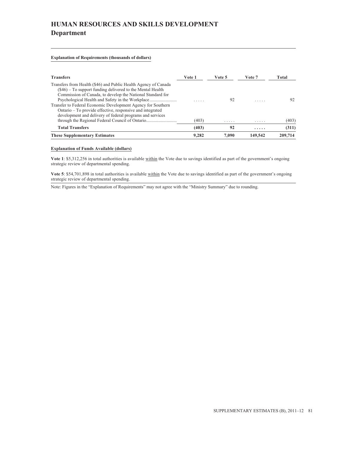### **HUMAN RESOURCES AND SKILLS DEVELOPMENT Department**

**Explanation of Requirements (thousands of dollars)**

| <b>Transfers</b>                                                                                                                                                                                                                                                                                                                                                                        | Vote 1 | Vote 5 | Vote 7  | Total   |
|-----------------------------------------------------------------------------------------------------------------------------------------------------------------------------------------------------------------------------------------------------------------------------------------------------------------------------------------------------------------------------------------|--------|--------|---------|---------|
| Transfers from Health (\$46) and Public Health Agency of Canada<br>$(\$46)$ – To support funding delivered to the Mental Health<br>Commission of Canada, to develop the National Standard for<br>Transfer to Federal Economic Development Agency for Southern<br>Ontario - To provide effective, responsive and integrated<br>development and delivery of federal programs and services |        | 92     | .       | 92      |
|                                                                                                                                                                                                                                                                                                                                                                                         | (403)  | .      | .       | (403)   |
| <b>Total Transfers</b>                                                                                                                                                                                                                                                                                                                                                                  | (403)  | 92     | .       | (311)   |
| <b>These Supplementary Estimates</b>                                                                                                                                                                                                                                                                                                                                                    | 9,282  | 7.090  | 149,542 | 209,714 |

#### **Explanation of Funds Available (dollars)**

**Vote 1**: \$5,312,256 in total authorities is available within the Vote due to savings identified as part of the government's ongoing strategic review of departmental spending.

**Vote 5**: \$54,701,898 in total authorities is available within the Vote due to savings identified as part of the government's ongoing strategic review of departmental spending.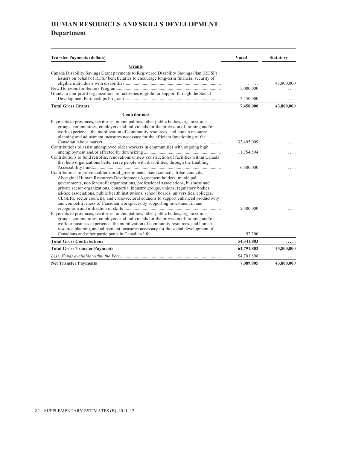# **HUMAN RESOURCES AND SKILLS DEVELOPMENT Department**

| <b>Transfer Payments (dollars)</b>                                                                                                                                                                                                                                                                                                                                                                                                                                                                                                                                                                          | <b>Voted</b>           | <b>Statutory</b> |
|-------------------------------------------------------------------------------------------------------------------------------------------------------------------------------------------------------------------------------------------------------------------------------------------------------------------------------------------------------------------------------------------------------------------------------------------------------------------------------------------------------------------------------------------------------------------------------------------------------------|------------------------|------------------|
| Grants                                                                                                                                                                                                                                                                                                                                                                                                                                                                                                                                                                                                      |                        |                  |
| Canada Disability Savings Grant payments to Registered Disability Savings Plan (RDSP)<br>issuers on behalf of RDSP beneficiaries to encourage long-term financial security of<br>Grants to non-profit organizations for activities eligible for support through the Social                                                                                                                                                                                                                                                                                                                                  | 5,000,000<br>2,450,000 | 43,800,000       |
| <b>Total Gross Grants</b>                                                                                                                                                                                                                                                                                                                                                                                                                                                                                                                                                                                   | 7,450,000              | 43,800,000       |
| <b>Contributions</b>                                                                                                                                                                                                                                                                                                                                                                                                                                                                                                                                                                                        |                        |                  |
| Payments to provinces, territories, municipalities, other public bodies, organizations,<br>groups, communities, employers and individuals for the provision of training and/or<br>work experience, the mobilization of community resources, and human resource<br>planning and adjustment measures necessary for the efficient functioning of the                                                                                                                                                                                                                                                           |                        |                  |
| Contributions to assist unemployed older workers in communities with ongoing high                                                                                                                                                                                                                                                                                                                                                                                                                                                                                                                           | 33,495,009             |                  |
| Contributions to fund retrofits, renovations or new construction of facilities within Canada<br>that help organizations better serve people with disabilities, through the Enabling                                                                                                                                                                                                                                                                                                                                                                                                                         | 11,754,594             |                  |
| Contributions to provincial/territorial governments, band councils, tribal councils,<br>Aboriginal Human Resources Development Agreement holders, municipal<br>governments, not-for-profit organizations, professional associations, business and<br>private sector organizations, consortia, industry groups, unions, regulatory bodies,<br>ad-hoc associations, public health institutions, school boards, universities, colleges,<br>CEGEPs, sector councils, and cross-sectoral councils to support enhanced productivity<br>and competitiveness of Canadian workplaces by supporting investment in and | 6,500,000              |                  |
| Payments to provinces, territories, municipalities, other public bodies, organizations,<br>groups, communities, employers and individuals for the provision of training and/or<br>work or business experience, the mobilization of community resources, and human<br>resource planning and adjustment measures necessary for the social development of                                                                                                                                                                                                                                                      | 2,500,000<br>92,200    |                  |
| <b>Total Gross Contributions</b>                                                                                                                                                                                                                                                                                                                                                                                                                                                                                                                                                                            | 54, 341, 803           | .                |
| <b>Total Gross Transfer Payments</b>                                                                                                                                                                                                                                                                                                                                                                                                                                                                                                                                                                        | 61,791,803             | 43,800,000       |
|                                                                                                                                                                                                                                                                                                                                                                                                                                                                                                                                                                                                             | 54,701,898             |                  |
| <b>Net Transfer Payments</b>                                                                                                                                                                                                                                                                                                                                                                                                                                                                                                                                                                                | 7,089,905              | 43,800,000       |
|                                                                                                                                                                                                                                                                                                                                                                                                                                                                                                                                                                                                             |                        |                  |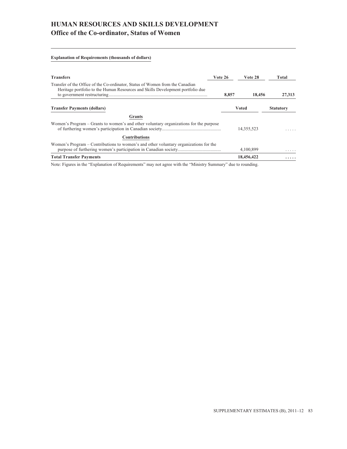# **HUMAN RESOURCES AND SKILLS DEVELOPMENT Office of the Co-ordinator, Status of Women**

#### **Explanation of Requirements (thousands of dollars)**

| <b>Transfers</b>                                                                                                                                                | Vote 26 | Vote 28    | Total            |
|-----------------------------------------------------------------------------------------------------------------------------------------------------------------|---------|------------|------------------|
| Transfer of the Office of the Co-ordinator, Status of Women from the Canadian<br>Heritage portfolio to the Human Resources and Skills Development portfolio due | 8,857   | 18.456     | 27,313           |
| <b>Transfer Payments (dollars)</b>                                                                                                                              |         | Voted      | <b>Statutory</b> |
| Grants                                                                                                                                                          |         |            |                  |
| Women's Program – Grants to women's and other voluntary organizations for the purpose                                                                           |         | 14,355,523 |                  |
| <b>Contributions</b>                                                                                                                                            |         |            |                  |
| Women's Program – Contributions to women's and other voluntary organizations for the                                                                            |         | 4.100.899  | .                |
| <b>Total Transfer Payments</b>                                                                                                                                  |         | 18,456,422 |                  |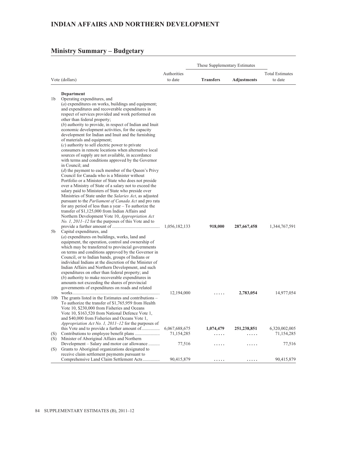#### **INDIAN AFFAIRS AND NORTHERN DEVELOPMENT**

|     |                                                                                                        |               | These Supplementary Estimates |                    |                        |
|-----|--------------------------------------------------------------------------------------------------------|---------------|-------------------------------|--------------------|------------------------|
|     |                                                                                                        | Authorities   |                               |                    | <b>Total Estimates</b> |
|     | Vote (dollars)                                                                                         | to date       | <b>Transfers</b>              | <b>Adjustments</b> | to date                |
|     |                                                                                                        |               |                               |                    |                        |
|     | Department<br>Operating expenditures, and                                                              |               |                               |                    |                        |
| 1b  | $(a)$ expenditures on works, buildings and equipment;                                                  |               |                               |                    |                        |
|     | and expenditures and recoverable expenditures in                                                       |               |                               |                    |                        |
|     | respect of services provided and work performed on                                                     |               |                               |                    |                        |
|     | other than federal property;                                                                           |               |                               |                    |                        |
|     | $(b)$ authority to provide, in respect of Indian and Inuit                                             |               |                               |                    |                        |
|     | economic development activities, for the capacity                                                      |               |                               |                    |                        |
|     | development for Indian and Inuit and the furnishing                                                    |               |                               |                    |                        |
|     | of materials and equipment;                                                                            |               |                               |                    |                        |
|     | $(c)$ authority to sell electric power to private                                                      |               |                               |                    |                        |
|     | consumers in remote locations when alternative local                                                   |               |                               |                    |                        |
|     | sources of supply are not available, in accordance                                                     |               |                               |                    |                        |
|     | with terms and conditions approved by the Governor<br>in Council; and                                  |               |                               |                    |                        |
|     | $(d)$ the payment to each member of the Queen's Privy                                                  |               |                               |                    |                        |
|     | Council for Canada who is a Minister without                                                           |               |                               |                    |                        |
|     | Portfolio or a Minister of State who does not preside                                                  |               |                               |                    |                        |
|     | over a Ministry of State of a salary not to exceed the                                                 |               |                               |                    |                        |
|     | salary paid to Ministers of State who preside over                                                     |               |                               |                    |                        |
|     | Ministries of State under the Salaries Act, as adjusted                                                |               |                               |                    |                        |
|     | pursuant to the Parliament of Canada Act and pro rata                                                  |               |                               |                    |                        |
|     | for any period of less than a year $-$ To authorize the                                                |               |                               |                    |                        |
|     | transfer of \$1,125,000 from Indian Affairs and                                                        |               |                               |                    |                        |
|     | Northern Development Vote 10, Appropriation Act<br>No. 1, 2011–12 for the purposes of this Vote and to |               |                               |                    |                        |
|     |                                                                                                        | 1,056,182,133 | 918,000                       | 287,667,458        | 1,344,767,591          |
| 5b  | Capital expenditures, and                                                                              |               |                               |                    |                        |
|     | $(a)$ expenditures on buildings, works, land and                                                       |               |                               |                    |                        |
|     | equipment, the operation, control and ownership of                                                     |               |                               |                    |                        |
|     | which may be transferred to provincial governments                                                     |               |                               |                    |                        |
|     | on terms and conditions approved by the Governor in                                                    |               |                               |                    |                        |
|     | Council, or to Indian bands, groups of Indians or                                                      |               |                               |                    |                        |
|     | individual Indians at the discretion of the Minister of                                                |               |                               |                    |                        |
|     | Indian Affairs and Northern Development, and such<br>expenditures on other than federal property; and  |               |                               |                    |                        |
|     | $(b)$ authority to make recoverable expenditures in                                                    |               |                               |                    |                        |
|     | amounts not exceeding the shares of provincial                                                         |               |                               |                    |                        |
|     | governments of expenditures on roads and related                                                       |               |                               |                    |                        |
|     |                                                                                                        | 12,194,000    |                               | 2,783,054          | 14,977,054             |
|     | 10b The grants listed in the Estimates and contributions –                                             |               |                               |                    |                        |
|     | To authorize the transfer of \$1,765,959 from Health                                                   |               |                               |                    |                        |
|     | Vote 10, \$230,000 from Fisheries and Oceans                                                           |               |                               |                    |                        |
|     | Vote 10, \$163,520 from National Defence Vote 1,                                                       |               |                               |                    |                        |
|     | and \$40,000 from Fisheries and Oceans Vote 1,<br>Appropriation Act No. 1, 2011–12 for the purposes of |               |                               |                    |                        |
|     | this Vote and to provide a further amount of                                                           | 6,067,688,675 | 1,074,479                     | 251, 238, 851      | 6,320,002,005          |
| (S) |                                                                                                        | 71,154,285    |                               | .                  | 71,154,285             |
| (S) | Minister of Aboriginal Affairs and Northern                                                            |               |                               |                    |                        |
|     | Development – Salary and motor car allowance                                                           | 77,516        | .                             | .                  | 77,516                 |
| (S) | Grants to Aboriginal organizations designated to                                                       |               |                               |                    |                        |
|     | receive claim settlement payments pursuant to                                                          |               |                               |                    |                        |
|     | Comprehensive Land Claim Settlement Acts                                                               | 90,415,879    | .                             | .                  | 90,415,879             |

### **Ministry Summary – Budgetary**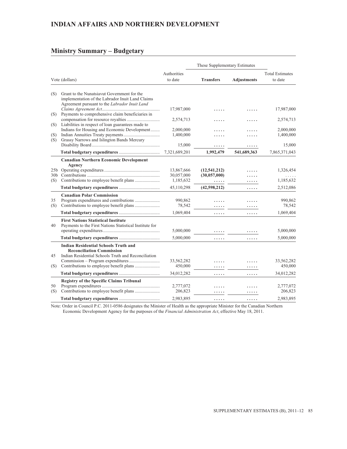#### **INDIAN AFFAIRS AND NORTHERN DEVELOPMENT**

### **Ministry Summary – Budgetary**

|                        |                                                                                                                                                  | These Supplementary Estimates |                   |                    |                                   |
|------------------------|--------------------------------------------------------------------------------------------------------------------------------------------------|-------------------------------|-------------------|--------------------|-----------------------------------|
|                        | Vote (dollars)                                                                                                                                   | Authorities<br>to date        | <b>Transfers</b>  | <b>Adjustments</b> | <b>Total Estimates</b><br>to date |
| (S)                    | Grant to the Nunatsiavut Government for the<br>implementation of the Labrador Inuit Land Claims<br>Agreement pursuant to the Labrador Inuit Land |                               |                   |                    |                                   |
| (S)                    | Payments to comprehensive claim beneficiaries in                                                                                                 | 17,987,000                    |                   |                    | 17,987,000                        |
| (S)                    | Liabilities in respect of loan guarantees made to                                                                                                | 2,574,713                     | .                 | .                  | 2,574,713                         |
| (S)<br>(S)             | Indians for Housing and Economic Development<br>Grassy Narrows and Islington Bands Mercury                                                       | 2,000,000<br>1,400,000        | .<br>.            | .<br>.             | 2,000,000<br>1,400,000            |
|                        |                                                                                                                                                  | 15,000                        | .                 | .                  | 15,000                            |
|                        |                                                                                                                                                  | 7,321,689,201                 | 1,992,479         | 541,689,363        | 7,865,371,043                     |
|                        | <b>Canadian Northern Economic Development</b><br>Agency                                                                                          |                               |                   |                    |                                   |
|                        |                                                                                                                                                  | 13,867,666                    | (12, 541, 212)    |                    | 1,326,454                         |
| 30 <sub>b</sub><br>(S) | Contributions to employee benefit plans                                                                                                          | 30,057,000<br>1,185,632       | (30,057,000)<br>. | .                  | 1,185,632                         |
|                        |                                                                                                                                                  | 45,110,298                    | (42,598,212)      | .                  | 2,512,086                         |
|                        | <b>Canadian Polar Commission</b>                                                                                                                 |                               |                   |                    |                                   |
| 35                     |                                                                                                                                                  | 990,862                       |                   |                    | 990,862                           |
| (S)                    |                                                                                                                                                  | 78,542                        | .                 | .                  | 78,542                            |
|                        |                                                                                                                                                  | 1,069,404                     | .                 | .                  | 1,069,404                         |
| 40                     | <b>First Nations Statistical Institute</b><br>Payments to the First Nations Statistical Institute for                                            |                               |                   |                    |                                   |
|                        |                                                                                                                                                  | 5,000,000                     | .                 | .                  | 5,000,000                         |
|                        |                                                                                                                                                  | 5,000,000                     | .                 | .                  | 5,000,000                         |
|                        | <b>Indian Residential Schools Truth and</b><br><b>Reconciliation Commission</b>                                                                  |                               |                   |                    |                                   |
| 45                     | Indian Residential Schools Truth and Reconciliation                                                                                              | 33,562,282                    |                   |                    | 33,562,282                        |
| (S)                    |                                                                                                                                                  | 450,000                       | .                 | .                  | 450,000                           |
|                        |                                                                                                                                                  | 34,012,282                    | .                 | .                  | 34,012,282                        |
|                        | <b>Registry of the Specific Claims Tribunal</b>                                                                                                  |                               |                   |                    |                                   |
| 50<br>(S)              |                                                                                                                                                  | 2,777,072<br>206,823          | .                 |                    | 2,777,072<br>206,823              |
|                        |                                                                                                                                                  | 2,983,895                     | .                 | .                  | 2,983,895                         |

Note: Order in Council P.C. 2011-0586 designates the Minister of Health as the appropriate Minister for the Canadian Northern Economic Development Agency for the purposes of the *Financial Administration Act*, effective May 18, 2011.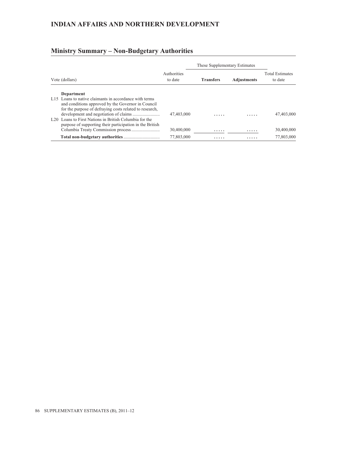#### **INDIAN AFFAIRS AND NORTHERN DEVELOPMENT**

#### **Ministry Summary – Non-Budgetary Authorities**

|                                                                                                                                                                                     |                        | These Supplementary Estimates          | <b>Total Estimates</b><br>to date |            |
|-------------------------------------------------------------------------------------------------------------------------------------------------------------------------------------|------------------------|----------------------------------------|-----------------------------------|------------|
| Vote (dollars)                                                                                                                                                                      | Authorities<br>to date | <b>Transfers</b><br><b>Adjustments</b> |                                   |            |
| Department                                                                                                                                                                          |                        |                                        |                                   |            |
| L <sub>15</sub> Loans to native claimants in accordance with terms<br>and conditions approved by the Governor in Council<br>for the purpose of defraying costs related to research, |                        |                                        |                                   |            |
| L <sub>20</sub> Loans to First Nations in British Columbia for the<br>purpose of supporting their participation in the British                                                      | 47,403,000             |                                        | .                                 | 47,403,000 |
|                                                                                                                                                                                     | 30,400,000             | .                                      | .                                 | 30,400,000 |
|                                                                                                                                                                                     | 77,803,000             | .                                      | .                                 | 77,803,000 |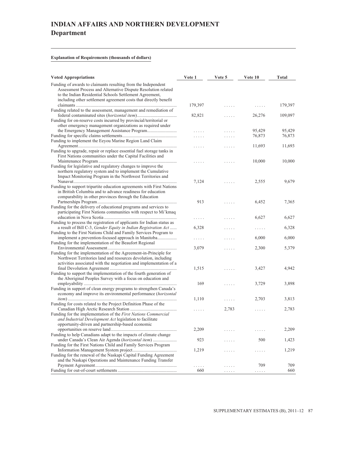# **INDIAN AFFAIRS AND NORTHERN DEVELOPMENT Department**

**Explanation of Requirements (thousands of dollars)**

| <b>Voted Appropriations</b>                                                                                                                                                                                                                                   | Vote 1  | Vote 5 | Vote 10 | <b>Total</b> |
|---------------------------------------------------------------------------------------------------------------------------------------------------------------------------------------------------------------------------------------------------------------|---------|--------|---------|--------------|
| Funding of awards to claimants resulting from the Independent<br>Assessment Process and Alternative Dispute Resolution related<br>to the Indian Residential Schools Settlement Agreement,<br>including other settlement agreement costs that directly benefit |         |        |         |              |
|                                                                                                                                                                                                                                                               | 179,397 |        | .       | 179,397      |
| Funding related to the assessment, management and remediation of                                                                                                                                                                                              | 82,821  | .      | 26,276  | 109,097      |
| Funding for on-reserve costs incurred by provincial/territorial or                                                                                                                                                                                            |         |        |         |              |
| other emergency management organizations as required under                                                                                                                                                                                                    | 1.1.1.1 |        | 95,429  | 95,429       |
|                                                                                                                                                                                                                                                               | .       | .      | 76,873  | 76,873       |
| Funding to implement the Eeyou Marine Region Land Claim                                                                                                                                                                                                       | 1.1.1.1 | .      | 11,693  | 11,693       |
| Funding to upgrade, repair or replace essential fuel storage tanks in<br>First Nations communities under the Capital Facilities and                                                                                                                           |         |        |         |              |
|                                                                                                                                                                                                                                                               | .       | .      | 10,000  | 10,000       |
| Funding for legislative and regulatory changes to improve the                                                                                                                                                                                                 |         |        |         |              |
| northern regulatory system and to implement the Cumulative                                                                                                                                                                                                    |         |        |         |              |
| Impact Monitoring Program in the Northwest Territories and                                                                                                                                                                                                    |         |        |         |              |
|                                                                                                                                                                                                                                                               | 7,124   | .      | 2,555   | 9,679        |
| Funding to support tripartite education agreements with First Nations<br>in British Columbia and to advance readiness for education<br>comparability in other provinces through the Education                                                                 |         |        |         |              |
|                                                                                                                                                                                                                                                               | 913     | .      | 6,452   | 7,365        |
| Funding for the delivery of educational programs and services to<br>participating First Nations communities with respect to Mi'kmaq                                                                                                                           |         |        |         |              |
|                                                                                                                                                                                                                                                               | .       |        | 6,627   | 6,627        |
| Funding to process the registration of applicants for Indian status as                                                                                                                                                                                        |         |        |         |              |
| a result of Bill C-3, Gender Equity in Indian Registration Act<br>Funding to the First Nations Child and Family Services Program to                                                                                                                           | 6,328   |        | .       | 6,328        |
| implement a prevention-focused approach in Manitoba                                                                                                                                                                                                           | .       | .      | 6,000   | 6,000        |
| Funding for the implementation of the Beaufort Regional                                                                                                                                                                                                       |         |        |         |              |
|                                                                                                                                                                                                                                                               | 3,079   | .      | 2,300   | 5,379        |
| Funding for the implementation of the Agreement-in-Principle for<br>Northwest Territories land and resources devolution, including                                                                                                                            |         |        |         |              |
| activities associated with the negotiation and implementation of a                                                                                                                                                                                            |         |        |         |              |
|                                                                                                                                                                                                                                                               | 1,515   | .      | 3,427   | 4,942        |
| Funding to support the implementation of the fourth generation of                                                                                                                                                                                             |         |        |         |              |
| the Aboriginal Peoples Survey with a focus on education and                                                                                                                                                                                                   |         |        |         |              |
|                                                                                                                                                                                                                                                               | 169     | .      | 3,729   | 3,898        |
| Funding in support of clean energy programs to strengthen Canada's                                                                                                                                                                                            |         |        |         |              |
| economy and improve its environmental performance (horizontal                                                                                                                                                                                                 | 1,110   |        | 2,703   | 3,813        |
| Funding for costs related to the Project Definition Phase of the                                                                                                                                                                                              |         | .      |         |              |
|                                                                                                                                                                                                                                                               | .       | 2,783  | .       | 2,783        |
| Funding for the implementation of the First Nations Commercial                                                                                                                                                                                                |         |        |         |              |
| and Industrial Development Act legislation to facilitate                                                                                                                                                                                                      |         |        |         |              |
| opportunity-driven and partnership-based economic                                                                                                                                                                                                             |         |        |         |              |
|                                                                                                                                                                                                                                                               | 2,209   |        | .       | 2,209        |
| Funding to help Canadians adapt to the impacts of climate change                                                                                                                                                                                              | 923     | .      | 500     | 1,423        |
| Funding for the First Nations Child and Family Services Program                                                                                                                                                                                               |         |        |         |              |
|                                                                                                                                                                                                                                                               | 1,219   | .      | .       | 1,219        |
| Funding for the renewal of the Naskapi Capital Funding Agreement                                                                                                                                                                                              |         |        |         |              |
| and the Naskapi Operations and Maintenance Funding Transfer                                                                                                                                                                                                   |         |        |         |              |
|                                                                                                                                                                                                                                                               | .       | .      | 709     | 709          |
|                                                                                                                                                                                                                                                               | 660     | .      | .       | 660          |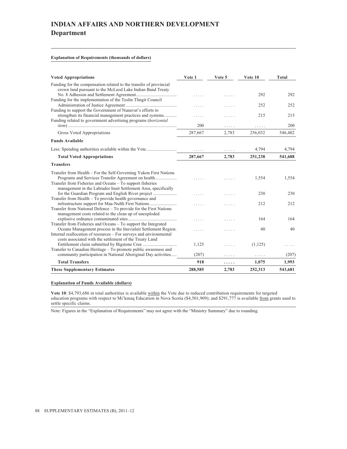### **INDIAN AFFAIRS AND NORTHERN DEVELOPMENT Department**

**Explanation of Requirements (thousands of dollars)**

| <b>Voted Appropriations</b>                                                                                                                                                                            | Vote 1  | Vote 5 | Vote 10  | <b>Total</b> |
|--------------------------------------------------------------------------------------------------------------------------------------------------------------------------------------------------------|---------|--------|----------|--------------|
| Funding for the compensation related to the transfer of provincial<br>crown land pursuant to the McLeod Lake Indian Band Treaty                                                                        |         |        |          |              |
| Funding for the implementation of the Teslin Tlingit Council                                                                                                                                           |         |        | 292      | 292          |
| Funding to support the Government of Nunavut's efforts to                                                                                                                                              |         | .      | 252      | 252          |
| strengthen its financial management practices and systems                                                                                                                                              |         | .      | 215      | 215          |
| Funding related to government advertising programs (horizontal                                                                                                                                         | 200     | .      | .        | 200          |
| Gross Voted Appropriations                                                                                                                                                                             | 287,667 | 2,783  | 256,032  | 546,482      |
| <b>Funds Available</b>                                                                                                                                                                                 |         |        |          |              |
| Less: Spending authorities available within the Vote                                                                                                                                                   |         | .      | 4,794    | 4,794        |
| <b>Total Voted Appropriations</b>                                                                                                                                                                      | 287,667 | 2,783  | 251,238  | 541,688      |
| <b>Transfers</b>                                                                                                                                                                                       |         |        |          |              |
| Transfer from Health – For the Self-Governing Yukon First Nations<br>Transfer from Fisheries and Oceans – To support fisheries                                                                         |         |        | 1,554    | 1,554        |
| management in the Labrador Inuit Settlement Area, specifically                                                                                                                                         |         |        | 230      | 230          |
| Transfer from Health – To provide health governance and<br>Transfer from National Defence – To provide for the First Nations<br>management costs related to the clean up of unexploded                 |         | .      | 212      | 212          |
|                                                                                                                                                                                                        |         | .      | 164      | 164          |
| Transfer from Fisheries and Oceans – To support the Integrated<br>Oceans Management process in the Inuvialuit Settlement Region.<br>Internal reallocation of resources – For surveys and environmental | .       | .      | 40       | 40           |
| costs associated with the settlement of the Treaty Land                                                                                                                                                |         |        |          |              |
| Transfer to Canadian Heritage – To promote public awareness and                                                                                                                                        | 1,125   | .      | (1, 125) |              |
| community participation in National Aboriginal Day activities                                                                                                                                          | (207)   | .      | .        | (207)        |
| <b>Total Transfers</b>                                                                                                                                                                                 | 918     | .      | 1,075    | 1,993        |
| <b>These Supplementary Estimates</b>                                                                                                                                                                   | 288,585 | 2,783  | 252,313  | 543,681      |

#### **Explanation of Funds Available (dollars)**

**Vote 10**: \$4,793,686 in total authorities is available within the Vote due to reduced contribution requirements for targeted education programs with respect to Mi'kmaq Education in Nova Scotia (\$4,501,909); and \$291,777 is available from grants used to settle specific claims.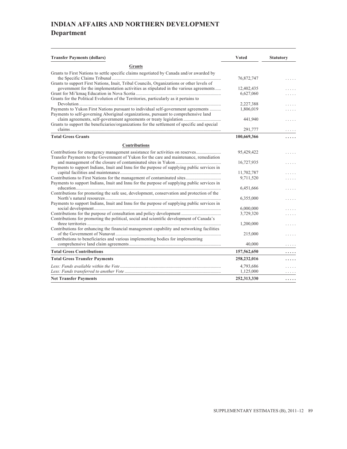# **INDIAN AFFAIRS AND NORTHERN DEVELOPMENT Department**

| <b>Transfer Payments (dollars)</b>                                                                                                                                     | <b>Voted</b> | <b>Statutory</b> |
|------------------------------------------------------------------------------------------------------------------------------------------------------------------------|--------------|------------------|
| Grants                                                                                                                                                                 |              |                  |
| Grants to First Nations to settle specific claims negotiated by Canada and/or awarded by                                                                               | 76,872,747   |                  |
| Grants to support First Nations, Inuit, Tribal Councils, Organizations or other levels of                                                                              |              |                  |
| government for the implementation activities as stipulated in the various agreements                                                                                   | 12,402,435   |                  |
|                                                                                                                                                                        | 6,627,060    |                  |
| Grants for the Political Evolution of the Territories, particularly as it pertains to                                                                                  |              |                  |
|                                                                                                                                                                        | 2,227,388    |                  |
| Payments to Yukon First Nations pursuant to individual self-government agreements                                                                                      | 1,806,019    |                  |
| Payments to self-governing Aboriginal organizations, pursuant to comprehensive land                                                                                    | 441,940      |                  |
| Grants to support the beneficiaries/organizations for the settlement of specific and special                                                                           |              |                  |
|                                                                                                                                                                        | 291,777      | .                |
| <b>Total Gross Grants</b>                                                                                                                                              | 100,669,366  |                  |
|                                                                                                                                                                        |              |                  |
| <b>Contributions</b>                                                                                                                                                   |              |                  |
| Contributions for emergency management assistance for activities on reserves<br>Transfer Payments to the Government of Yukon for the care and maintenance, remediation | 95,429,422   |                  |
| Payments to support Indians, Inuit and Innu for the purpose of supplying public services in                                                                            | 16,727,935   |                  |
|                                                                                                                                                                        | 11,702,787   |                  |
|                                                                                                                                                                        | 9,711,520    |                  |
| Payments to support Indians, Inuit and Innu for the purpose of supplying public services in                                                                            |              |                  |
|                                                                                                                                                                        | 6,451,666    |                  |
| Contributions for promoting the safe use, development, conservation and protection of the                                                                              |              |                  |
| Payments to support Indians, Inuit and Innu for the purpose of supplying public services in                                                                            | 6,355,000    |                  |
|                                                                                                                                                                        | 6,000,000    |                  |
|                                                                                                                                                                        | 3,729,320    |                  |
| Contributions for promoting the political, social and scientific development of Canada's                                                                               |              |                  |
|                                                                                                                                                                        | 1,200,000    |                  |
| Contributions for enhancing the financial management capability and networking facilities                                                                              |              |                  |
|                                                                                                                                                                        | 215,000      |                  |
| Contributions to beneficiaries and various implementing bodies for implementing                                                                                        | 40,000       |                  |
|                                                                                                                                                                        |              | .                |
| <b>Total Gross Contributions</b>                                                                                                                                       | 157,562,650  | .                |
| <b>Total Gross Transfer Payments</b>                                                                                                                                   | 258,232,016  |                  |
|                                                                                                                                                                        | 4,793,686    |                  |
|                                                                                                                                                                        | 1,125,000    |                  |
| <b>Net Transfer Payments</b>                                                                                                                                           | 252,313,330  | .                |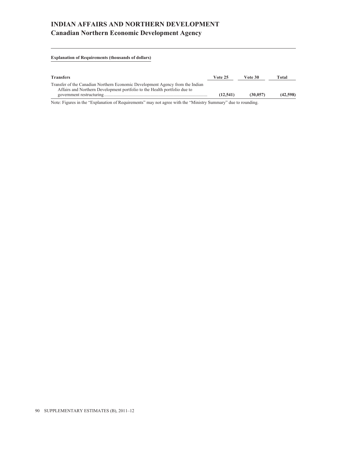## **INDIAN AFFAIRS AND NORTHERN DEVELOPMENT Canadian Northern Economic Development Agency**

#### **Explanation of Requirements (thousands of dollars)**

| <b>Transfers</b>                                                                                                                                           | Vote 25  | Vote 30  | Total    |
|------------------------------------------------------------------------------------------------------------------------------------------------------------|----------|----------|----------|
| Transfer of the Canadian Northern Economic Development Agency from the Indian<br>Affairs and Northern Development portfolio to the Health portfolio due to |          |          |          |
|                                                                                                                                                            | (12.541) | (30.057) | (42.598) |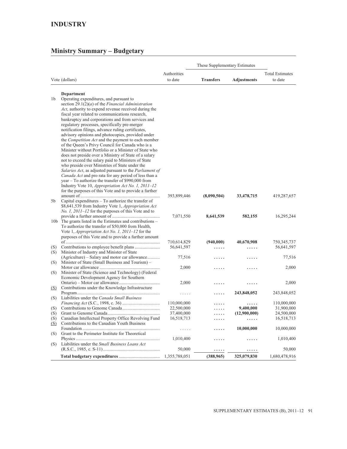|  | <b>Ministry Summary - Budgetary</b> |  |
|--|-------------------------------------|--|
|--|-------------------------------------|--|

|     |                                                                                                                                 |               | These Supplementary Estimates |                    |                        |
|-----|---------------------------------------------------------------------------------------------------------------------------------|---------------|-------------------------------|--------------------|------------------------|
|     |                                                                                                                                 | Authorities   |                               |                    | <b>Total Estimates</b> |
|     | Vote (dollars)                                                                                                                  | to date       | <b>Transfers</b>              | <b>Adjustments</b> | to date                |
|     | Department                                                                                                                      |               |                               |                    |                        |
| 1b  | Operating expenditures, and pursuant to                                                                                         |               |                               |                    |                        |
|     | section 29.1(2)( <i>a</i> ) of the <i>Financial Administration</i>                                                              |               |                               |                    |                        |
|     | Act, authority to expend revenue received during the                                                                            |               |                               |                    |                        |
|     | fiscal year related to communications research,                                                                                 |               |                               |                    |                        |
|     | bankruptcy and corporations and from services and                                                                               |               |                               |                    |                        |
|     | regulatory processes, specifically pre-merger                                                                                   |               |                               |                    |                        |
|     | notification filings, advance ruling certificates,<br>advisory opinions and photocopies, provided under                         |               |                               |                    |                        |
|     | the Competition Act and the payment to each member                                                                              |               |                               |                    |                        |
|     | of the Queen's Privy Council for Canada who is a                                                                                |               |                               |                    |                        |
|     | Minister without Portfolio or a Minister of State who                                                                           |               |                               |                    |                        |
|     | does not preside over a Ministry of State of a salary                                                                           |               |                               |                    |                        |
|     | not to exceed the salary paid to Ministers of State                                                                             |               |                               |                    |                        |
|     | who preside over Ministries of State under the                                                                                  |               |                               |                    |                        |
|     | <i>Salaries Act</i> , as adjusted pursuant to the <i>Parliament of</i><br>Canada Act and pro rata for any period of less than a |               |                               |                    |                        |
|     | year $-$ To authorize the transfer of \$990,000 from                                                                            |               |                               |                    |                        |
|     | Industry Vote 10, Appropriation Act No. 1, 2011-12                                                                              |               |                               |                    |                        |
|     | for the purposes of this Vote and to provide a further                                                                          |               |                               |                    |                        |
|     |                                                                                                                                 | 393,899,446   | (8,090,504)                   | 33,478,715         | 419,287,657            |
| 5b  | Capital expenditures - To authorize the transfer of                                                                             |               |                               |                    |                        |
|     | \$8,641,539 from Industry Vote 1, Appropriation Act                                                                             |               |                               |                    |                        |
|     | <i>No. 1, 2011–12</i> for the purposes of this Vote and to                                                                      |               |                               |                    | 16,295,244             |
|     | 10b The grants listed in the Estimates and contributions –                                                                      | 7,071,550     | 8,641,539                     | 582,155            |                        |
|     | To authorize the transfer of \$50,000 from Health,                                                                              |               |                               |                    |                        |
|     | Vote 1, Appropriation Act No. 1, 2011-12 for the                                                                                |               |                               |                    |                        |
|     | purposes of this Vote and to provide a further amount                                                                           |               |                               |                    |                        |
|     |                                                                                                                                 | 710,614,829   | (940,000)                     | 40,670,908         | 750,345,737            |
| (S) |                                                                                                                                 | 56,641,597    | .                             | .                  | 56,641,597             |
| (S) | Minister of Industry and Minister of State                                                                                      |               |                               |                    |                        |
| (S) | (Agriculture) – Salary and motor car allowance<br>Minister of State (Small Business and Tourism) –                              | 77,516        | .                             | .                  | 77,516                 |
|     |                                                                                                                                 | 2,000         | .                             | .                  | 2,000                  |
| (S) | Minister of State (Science and Technology) (Federal                                                                             |               |                               |                    |                        |
|     | Economic Development Agency for Southern                                                                                        |               |                               |                    |                        |
|     |                                                                                                                                 | 2,000         |                               | .                  | 2,000                  |
| (S) | Contributions under the Knowledge Infrastructure                                                                                |               |                               |                    |                        |
|     | Liabilities under the Canada Small Business                                                                                     | .             | .                             | 243,848,052        | 243,848,052            |
| (S) |                                                                                                                                 | 110,000,000   |                               |                    | 110,000,000            |
| (S) |                                                                                                                                 | 22,500,000    | .                             | 9,400,000          | 31,900,000             |
|     |                                                                                                                                 | 37,400,000    |                               | (12,900,000)       | 24,500,000             |
| (S) | Canadian Intellectual Property Office Revolving Fund                                                                            | 16,518,713    | .                             | .                  | 16,518,713             |
| (S) | Contributions to the Canadian Youth Business                                                                                    |               |                               |                    |                        |
|     |                                                                                                                                 | .             | .                             | 10,000,000         | 10,000,000             |
| (S) | Grant to the Perimeter Institute for Theoretical                                                                                |               |                               |                    |                        |
| (S) | Liabilities under the Small Business Loans Act                                                                                  | 1,010,400     | .                             | .                  | 1,010,400              |
|     |                                                                                                                                 | 50,000        | .                             | .                  | 50,000                 |
|     |                                                                                                                                 | 1,355,788,051 |                               | 325,079,830        | 1,680,478,916          |
|     |                                                                                                                                 |               | (388, 965)                    |                    |                        |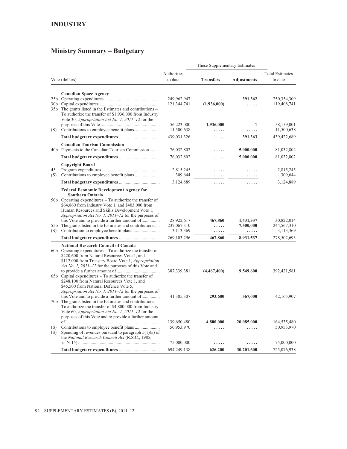### **Ministry Summary – Budgetary**

|            |                                                                                                                                                                                                                                                                                                                                                                                                                                      |                                                         | These Supplementary Estimates |                                          |                                                       |
|------------|--------------------------------------------------------------------------------------------------------------------------------------------------------------------------------------------------------------------------------------------------------------------------------------------------------------------------------------------------------------------------------------------------------------------------------------|---------------------------------------------------------|-------------------------------|------------------------------------------|-------------------------------------------------------|
|            |                                                                                                                                                                                                                                                                                                                                                                                                                                      | Authorities                                             |                               |                                          | <b>Total Estimates</b>                                |
|            | Vote (dollars)                                                                                                                                                                                                                                                                                                                                                                                                                       | to date                                                 | <b>Transfers</b>              | <b>Adjustments</b>                       | to date                                               |
|            | <b>Canadian Space Agency</b><br>35b The grants listed in the Estimates and contributions –<br>To authorize the transfer of \$1,936,000 from Industry                                                                                                                                                                                                                                                                                 | 249,962,947<br>121,344,741                              | .<br>(1,936,000)              | 391,362<br>.                             | 250, 354, 309<br>119,408,741                          |
| (S)        | Vote 30, <i>Appropriation Act No. 1, 2011–12</i> for the                                                                                                                                                                                                                                                                                                                                                                             | 56,223,000<br>11,500,638                                | 1,936,000<br>.                | 1<br>.                                   | 58,159,001<br>11,500,638                              |
|            |                                                                                                                                                                                                                                                                                                                                                                                                                                      | 439,031,326                                             | .                             | 391,363                                  | 439,422,689                                           |
|            | <b>Canadian Tourism Commission</b><br>40b Payments to the Canadian Tourism Commission                                                                                                                                                                                                                                                                                                                                                | 76,032,802                                              | .                             | 5,000,000                                | 81,032,802                                            |
|            |                                                                                                                                                                                                                                                                                                                                                                                                                                      | 76,032,802                                              | .                             | 5,000,000                                | 81,032,802                                            |
| 45<br>(S)  | <b>Copyright Board</b>                                                                                                                                                                                                                                                                                                                                                                                                               | 2,815,245<br>309,644                                    | .<br>.                        | .                                        | 2,815,245<br>309,644                                  |
|            |                                                                                                                                                                                                                                                                                                                                                                                                                                      | 3,124,889                                               | .                             | .                                        | 3,124,889                                             |
| (S)        | 50b Operating expenditures – To authorize the transfer of<br>\$64,860 from Industry Vote 1, and \$403,000 from<br>Human Resources and Skills Development Vote 1,<br>Appropriation Act No. 1, 2011-12 for the purposes of<br>this Vote and to provide a further amount of<br>55b The grants listed in the Estimates and contributions                                                                                                 | 28,922,617<br>237,067,310<br>3,113,369<br>269, 103, 296 | 467,860<br>.<br>.<br>467,860  | 1,431,537<br>7,500,000<br>.<br>8,931,537 | 30,822,014<br>244,567,310<br>3,113,369<br>278,502,693 |
|            | <b>National Research Council of Canada</b><br>60b Operating expenditures – To authorize the transfer of<br>\$220,600 from Natural Resources Vote 1, and<br>\$112,000 from Treasury Board Vote 1, Appropriation<br>Act No. 1, 2011–12 for the purposes of this Vote and<br>65b Capital expenditures – To authorize the transfer of                                                                                                    | 387, 339, 381                                           | (4,467,400)                   | 9,549,600                                | 392,421,581                                           |
|            | \$248,100 from Natural Resources Vote 1, and<br>\$45,500 from National Defence Vote 5,<br>Appropriation Act No. 1, 2011–12 for the purposes of<br>this Vote and to provide a further amount of<br>70b The grants listed in the Estimates and contributions –<br>To authorize the transfer of \$4,800,000 from Industry<br>Vote 60, Appropriation Act No. 1, 2011-12 for the<br>purposes of this Vote and to provide a further amount | 41,305,307                                              | 293,600                       | 567,000                                  | 42,165,907                                            |
| (S)<br>(S) | Spending of revenues pursuant to paragraph $5(1)(e)$ of<br>the National Research Council Act (R.S.C., 1985,                                                                                                                                                                                                                                                                                                                          | 139,650,480<br>50,953,970<br>75,000,000                 | 4,800,000<br>.<br>.           | 20,085,000<br>.<br>.                     | 164,535,480<br>50,953,970<br>75,000,000               |
|            |                                                                                                                                                                                                                                                                                                                                                                                                                                      | 694,249,138                                             | 626,200                       | 30,201,600                               | 725,076,938                                           |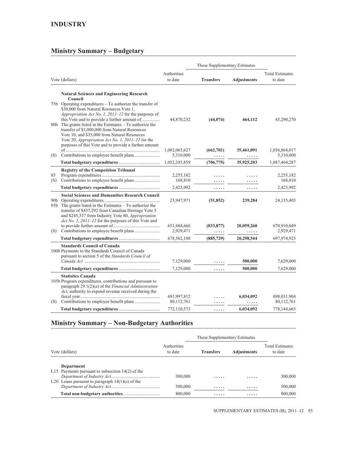|  | <b>Ministry Summary - Budgetary</b> |  |
|--|-------------------------------------|--|
|--|-------------------------------------|--|

|           | Vote (dollars)                                                                                                                                                                                                                                                                           | Authorities<br>to date     | <b>Transfers</b> | <b>Adjustments</b> | <b>Total Estimates</b><br>to date |
|-----------|------------------------------------------------------------------------------------------------------------------------------------------------------------------------------------------------------------------------------------------------------------------------------------------|----------------------------|------------------|--------------------|-----------------------------------|
|           | <b>Natural Sciences and Engineering Research</b><br>Council                                                                                                                                                                                                                              |                            |                  |                    |                                   |
|           | 75b Operating expenditures – To authorize the transfer of<br>\$30,000 from Natural Resources Vote 1,<br><i>Appropriation Act No. 1, 2011–12</i> for the purposes of<br>this Vote and to provide a further amount of                                                                      | 44,870,232                 | (44, 074)        | 464,112            | 45,290,270                        |
|           | 80b The grants listed in the Estimates – To authorize the<br>transfer of \$1,000,000 from Natural Resources<br>Vote 10, and \$35,000 from Natural Resources<br>Vote 20, Appropriation Act No. 1, 2011-12 for the<br>purposes of this Vote and to provide a further amount                |                            |                  |                    |                                   |
|           |                                                                                                                                                                                                                                                                                          | 1,002,065,627              | (662,701)        | 35,461,091         | 1,036,864,017                     |
| (S)       |                                                                                                                                                                                                                                                                                          | 5,310,000<br>1,052,245,859 | .<br>(706, 775)  | .<br>35,925,203    | 5,310,000<br>1,087,464,287        |
|           |                                                                                                                                                                                                                                                                                          |                            |                  |                    |                                   |
| 85<br>(S) | <b>Registry of the Competition Tribunal</b>                                                                                                                                                                                                                                              | 2,255,182<br>168,810       | .<br>.           | .<br>.             | 2,255,182<br>168,810              |
|           |                                                                                                                                                                                                                                                                                          | 2,423,992                  | .                | .                  | 2,423,992                         |
|           | <b>Social Sciences and Humanities Research Council</b><br>95b The grants listed in the Estimates – To authorize the<br>transfer of \$437,292 from Canadian Heritage Vote 5<br>and \$245,337 from Industry Vote 80, Appropriation<br>Act No. 1, 2011-12 for the purposes of this Vote and | 23,947,971                 | (51, 852)        | 239,284            | 24, 135, 403                      |
|           |                                                                                                                                                                                                                                                                                          | 651,684,666                | (833, 877)       | 20,059,260         | 670,910,049                       |
| (S)       |                                                                                                                                                                                                                                                                                          | 2,929,471                  | .                | .                  | 2,929,471                         |
|           |                                                                                                                                                                                                                                                                                          | 678,562,108                | (885, 729)       | 20,298,544         | 697,974,923                       |
|           | <b>Standards Council of Canada</b><br>100b Payments to the Standards Council of Canada<br>pursuant to section 5 of the Standards Council of                                                                                                                                              |                            |                  |                    |                                   |
|           |                                                                                                                                                                                                                                                                                          | 7,129,000                  | .                | 500,000            | 7,629,000                         |
|           |                                                                                                                                                                                                                                                                                          | 7,129,000                  | .                | 500,000            | 7,629,000                         |
|           | <b>Statistics Canada</b><br>105b Program expenditures, contributions and pursuant to<br>paragraph $29.1(2)(a)$ of the <i>Financial Administration</i>                                                                                                                                    |                            |                  |                    |                                   |
| (S)       | Act, authority to expend revenue received during the<br>Contributions to employee benefit plans                                                                                                                                                                                          | 691,997,812<br>80,112,761  | .<br>.           | 6,034,092<br>.     | 698,031,904<br>80,112,761         |
|           |                                                                                                                                                                                                                                                                                          | 772,110,573                | .                | 6,034,092          | 778,144,665                       |

# **Ministry Summary – Non-Budgetary Authorities**

|                                                    |                        | These Supplementary Estimates |                    |                                   |
|----------------------------------------------------|------------------------|-------------------------------|--------------------|-----------------------------------|
| Vote (dollars)                                     | Authorities<br>to date | <b>Transfers</b>              | <b>Adjustments</b> | <b>Total Estimates</b><br>to date |
| Department                                         |                        |                               |                    |                                   |
| L15 Payments pursuant to subsection $14(2)$ of the | 300,000                | .                             | .                  | 300,000                           |
| L20 Loans pursuant to paragraph $14(1)(a)$ of the  | 500,000                | .                             | .                  | 500,000                           |
|                                                    | 800,000                | .                             | .                  | 800,000                           |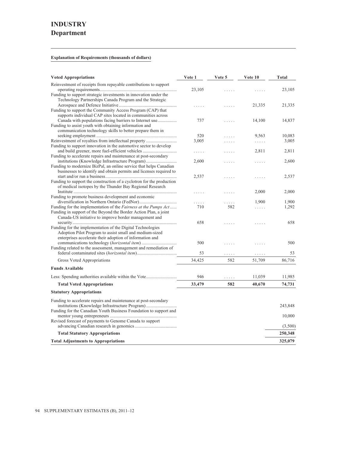### **INDUSTRY Department**

**Explanation of Requirements (thousands of dollars)**

| <b>Voted Appropriations</b>                                                                                                  | Vote 1 | Vote 5 | Vote 10  | <b>Total</b> |
|------------------------------------------------------------------------------------------------------------------------------|--------|--------|----------|--------------|
| Reinvestment of receipts from repayable contributions to support                                                             | 23,105 |        |          | 23,105       |
| Funding to support strategic investments in innovation under the<br>Technology Partnerships Canada Program and the Strategic |        |        |          |              |
|                                                                                                                              | .      | .      | 21,335   | 21,335       |
| Funding to support the Community Access Program (CAP) that                                                                   |        |        |          |              |
| supports individual CAP sites located in communities across                                                                  |        |        |          |              |
|                                                                                                                              | 737    | .      | 14,100   | 14,837       |
| Funding to assist youth with obtaining information and<br>communication technology skills to better prepare them in          |        |        |          |              |
|                                                                                                                              | 520    |        | 9,563    | 10,083       |
| Reinvestment of royalties from intellectual property                                                                         | 3,005  | .      | .        | 3,005        |
| Funding to support innovation in the automotive sector to develop                                                            |        |        |          |              |
|                                                                                                                              | .      | .      | 2,811    | 2,811        |
| Funding to accelerate repairs and maintenance at post-secondary                                                              |        |        |          |              |
| institutions (Knowledge Infrastructure Program)                                                                              | 2,600  | .      | .        | 2,600        |
| Funding to modernize BizPal, an online service that helps Canadian                                                           |        |        |          |              |
| businesses to identify and obtain permits and licenses required to                                                           |        |        |          |              |
|                                                                                                                              | 2,537  | .      | .        | 2,537        |
| Funding to support the construction of a cyclotron for the production                                                        |        |        |          |              |
| of medical isotopes by the Thunder Bay Regional Research                                                                     |        |        |          |              |
|                                                                                                                              | .      | .      | 2,000    | 2,000        |
| Funding to promote business development and economic                                                                         |        |        |          |              |
|                                                                                                                              | .      | .      | 1,900    | 1,900        |
| Funding for the implementation of the Fairness at the Pumps Act                                                              | 710    | 582    | .        | 1,292        |
| Funding in support of the Beyond the Border Action Plan, a joint                                                             |        |        |          |              |
| Canada-US initiative to improve border management and                                                                        | 658    | .      | .        | 658          |
| Funding for the implementation of the Digital Technologies                                                                   |        |        |          |              |
| Adoption Pilot Program to assist small and medium-sized                                                                      |        |        |          |              |
| enterprises accelerate their adoption of information and                                                                     |        |        |          |              |
|                                                                                                                              | 500    |        | $\cdots$ | 500          |
| Funding related to the assessment, management and remediation of                                                             |        |        |          |              |
|                                                                                                                              | 53     | .      | .        | 53           |
| Gross Voted Appropriations                                                                                                   | 34,425 | 582    | 51,709   | 86,716       |
| <b>Funds Available</b>                                                                                                       |        |        |          |              |
| Less: Spending authorities available within the Vote                                                                         | 946    | .      | 11,039   | 11,985       |
| <b>Total Voted Appropriations</b>                                                                                            | 33,479 | 582    | 40,670   | 74,731       |
| <b>Statutory Appropriations</b>                                                                                              |        |        |          |              |
|                                                                                                                              |        |        |          |              |
| Funding to accelerate repairs and maintenance at post-secondary                                                              |        |        |          |              |
| institutions (Knowledge Infrastructure Program)                                                                              |        |        |          | 243,848      |
| Funding for the Canadian Youth Business Foundation to support and                                                            |        |        |          |              |
|                                                                                                                              |        |        |          | 10,000       |
| Revised forecast of payments to Genome Canada to support                                                                     |        |        |          | (3,500)      |
| <b>Total Statutory Appropriations</b>                                                                                        |        |        |          | 250,348      |
| <b>Total Adjustments to Appropriations</b>                                                                                   |        |        |          | 325,079      |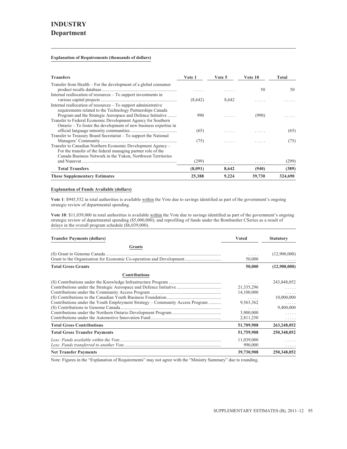### **INDUSTRY Department**

#### **Explanation of Requirements (thousands of dollars)**

| <b>Transfers</b>                                                 | Vote 1  | Vote 5 | Vote 10 | Total   |
|------------------------------------------------------------------|---------|--------|---------|---------|
| Transfer from Health – For the development of a global consumer  |         |        | 50      | 50      |
| Internal reallocation of resources – To support investments in   |         |        |         |         |
|                                                                  | (8,642) | 8,642  |         |         |
| Internal reallocation of resources – To support administrative   |         |        |         |         |
| requirements related to the Technology Partnerships Canada       |         |        |         |         |
| Program and the Strategic Aerospace and Defence Initiative       | 990     | .      | (990)   |         |
| Transfer to Federal Economic Development Agency for Southern     |         |        |         |         |
| Ontario – To foster the development of new business expertise in |         |        |         |         |
|                                                                  | (65)    |        |         | (65)    |
| Transfer to Treasury Board Secretariat – To support the National |         |        |         |         |
|                                                                  | (75)    |        |         | (75)    |
| Transfer to Canadian Northern Economic Development Agency -      |         |        |         |         |
| For the transfer of the federal managing partner role of the     |         |        |         |         |
| Canada Business Network in the Yukon, Northwest Territories      |         |        |         |         |
|                                                                  | (299)   | .      | .       | (299)   |
| <b>Total Transfers</b>                                           | (8,091) | 8,642  | (940)   | (389)   |
| <b>These Supplementary Estimates</b>                             | 25,388  | 9,224  | 39,730  | 324,690 |

#### **Explanation of Funds Available (dollars)**

Vote 1: \$945,532 in total authorities is available within the Vote due to savings identified as part of the government's ongoing strategic review of departmental spending.

**Vote 10**: \$11,039,000 in total authorities is available within the Vote due to savings identified as part of the government's ongoing strategic review of departmental spending (\$5,000,000); and reprofiling of funds under the Bombardier CSeries as a result of delays in the overall program schedule (\$6,039,000).

| <b>Transfer Payments (dollars)</b>                                           | <b>Voted</b>                                                                         | <b>Statutory</b>                                 |
|------------------------------------------------------------------------------|--------------------------------------------------------------------------------------|--------------------------------------------------|
| Grants                                                                       |                                                                                      |                                                  |
| Grant to the Organisation for Economic Co-operation and Development          | .<br>50,000                                                                          | (12,900,000)                                     |
| <b>Total Gross Grants</b>                                                    | 50,000                                                                               | (12,900,000)                                     |
| <b>Contributions</b>                                                         |                                                                                      |                                                  |
| Contributions under the Youth Employment Strategy – Community Access Program | .<br>21,335,296<br>14,100,000<br>1.1.1.1<br>9,563,362<br>.<br>3,900,000<br>2,811,250 | 243,848,052<br>.<br>10,000,000<br>9,400,000<br>. |
| <b>Total Gross Contributions</b>                                             | 51,709,908                                                                           | 263,248,052                                      |
| <b>Total Gross Transfer Payments</b>                                         | 51,759,908                                                                           | 250,348,052                                      |
|                                                                              | 11,039,000<br>990,000                                                                | .<br>.                                           |
| <b>Net Transfer Payments</b>                                                 | 39,730,908                                                                           | 250,348,052                                      |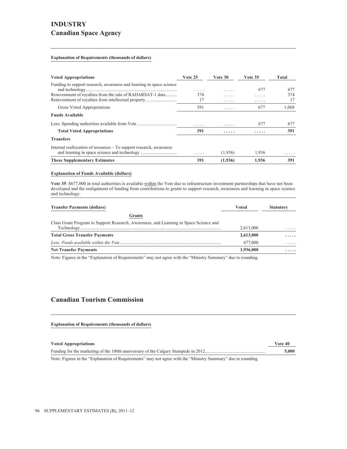### **INDUSTRY Canadian Space Agency**

#### **Explanation of Requirements (thousands of dollars)**

| <b>Voted Appropriations</b>                                          | Vote 25 | Vote 30 | Vote 35 | Total |
|----------------------------------------------------------------------|---------|---------|---------|-------|
| Funding to support research, awareness and learning in space science | .       | .       | 677     | 677   |
| Reinvestment of royalties from the sale of RADARSAT-1 data           | 374     | .       | .       | 374   |
|                                                                      | 17      | .       | .       | 17    |
| Gross Voted Appropriations                                           | 391     | .       | 677     | 1.068 |
| <b>Funds Available</b>                                               |         |         |         |       |
|                                                                      | .       | .       | 677     | 677   |
| <b>Total Voted Appropriations</b>                                    | 391     | .       | .       | 391   |
| <b>Transfers</b>                                                     |         |         |         |       |
| Internal reallocation of resources – To support research, awareness  | .       | (1,936) | 1.936   | .     |
| <b>These Supplementary Estimates</b>                                 | 391     | (1,936) | 1.936   | 391   |

#### **Explanation of Funds Available (dollars)**

**Vote 35**: \$677,000 in total authorities is available within the Vote due to infrastructure investment partnerships that have not been developed and the realignment of funding from contributions to grants to support research, awareness and learning in space science and technology.

| <b>Transfer Payments (dollars)</b>                                                    | Voted     | <b>Statutory</b> |
|---------------------------------------------------------------------------------------|-----------|------------------|
| <b>Grants</b>                                                                         |           |                  |
| Class Grant Program to Support Research, Awareness, and Learning in Space Science and | 2.613,000 | .                |
| <b>Total Gross Transfer Payments</b>                                                  | 2,613,000 | .                |
|                                                                                       | 677,000   | .                |
| <b>Net Transfer Payments</b>                                                          | 1,936,000 | .                |

Note: Figures in the "Explanation of Requirements" may not agree with the "Ministry Summary" due to rounding.

#### **Canadian Tourism Commission**

#### **Explanation of Requirements (thousands of dollars)**

| <b>Voted Appropriations</b> | Vote 40 |
|-----------------------------|---------|
|                             | 5.000   |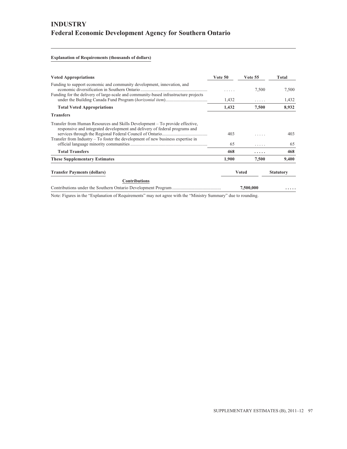### **INDUSTRY Federal Economic Development Agency for Southern Ontario**

**Explanation of Requirements (thousands of dollars)**

| <b>Voted Appropriations</b>                                                                                                                                | Vote 50   | <b>Vote 55</b> | Total            |
|------------------------------------------------------------------------------------------------------------------------------------------------------------|-----------|----------------|------------------|
| Funding to support economic and community development, innovation, and                                                                                     |           | 7,500          | 7,500            |
| Funding for the delivery of large-scale and community-based infrastructure projects                                                                        | 1,432     | .              | 1,432            |
| <b>Total Voted Appropriations</b>                                                                                                                          | 1,432     | 7,500          | 8,932            |
| <b>Transfers</b>                                                                                                                                           |           |                |                  |
| Transfer from Human Resources and Skills Development - To provide effective,<br>responsive and integrated development and delivery of federal programs and |           |                |                  |
| Transfer from Industry $-$ To foster the development of new business expertise in                                                                          | 403<br>65 | .<br>.         | 403<br>65        |
| <b>Total Transfers</b>                                                                                                                                     | 468       | .              | 468              |
| <b>These Supplementary Estimates</b>                                                                                                                       | 1,900     | 7,500          | 9,400            |
| <b>Transfer Payments (dollars)</b>                                                                                                                         |           | <b>Voted</b>   | <b>Statutory</b> |
| <b>Contributions</b>                                                                                                                                       |           |                |                  |
|                                                                                                                                                            |           | 7,500,000      | .                |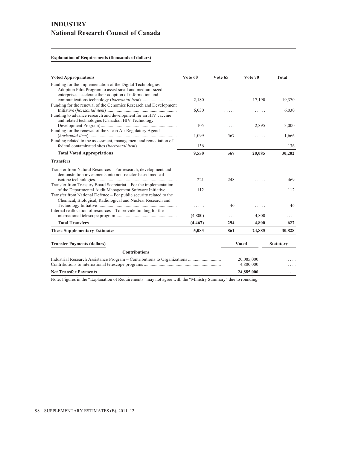### **INDUSTRY National Research Council of Canada**

#### **Explanation of Requirements (thousands of dollars)**

| <b>Voted Appropriations</b>                                                                                                                                                                    | Vote 60                                   | Vote 65 | Vote 70                 | Total            |
|------------------------------------------------------------------------------------------------------------------------------------------------------------------------------------------------|-------------------------------------------|---------|-------------------------|------------------|
| Funding for the implementation of the Digital Technologies<br>Adoption Pilot Program to assist small and medium-sized<br>enterprises accelerate their adoption of information and              |                                           |         |                         |                  |
| Funding for the renewal of the Genomics Research and Development                                                                                                                               | 2,180                                     | .       | 17,190                  | 19,370           |
|                                                                                                                                                                                                | 6,030                                     | .       | .                       | 6,030            |
| Funding to advance research and development for an HIV vaccine<br>and related technologies (Canadian HIV Technology                                                                            |                                           |         |                         |                  |
| Funding for the renewal of the Clean Air Regulatory Agenda                                                                                                                                     | 105                                       | .       | 2,895                   | 3,000            |
| Funding related to the assessment, management and remediation of                                                                                                                               | 1,099                                     | 567     | .                       | 1,666            |
|                                                                                                                                                                                                | 136                                       | .       | .                       | 136              |
| <b>Total Voted Appropriations</b>                                                                                                                                                              | 9,550                                     | 567     | 20,085                  | 30,202           |
| <b>Transfers</b>                                                                                                                                                                               |                                           |         |                         |                  |
| Transfer from Natural Resources – For research, development and<br>demonstration investments into non-reactor-based medical                                                                    |                                           |         |                         |                  |
| Transfer from Treasury Board Secretariat – For the implementation                                                                                                                              | 221                                       | 248     |                         | 469              |
| of the Departmental Audit Management Software Initiative<br>Transfer from National Defence – For public security related to the<br>Chemical, Biological, Radiological and Nuclear Research and | 112                                       | .       |                         | 112              |
| Internal reallocation of resources – To provide funding for the                                                                                                                                |                                           | 46      | .                       | 46               |
|                                                                                                                                                                                                | (4,800)                                   | .       | 4,800                   | .                |
| <b>Total Transfers</b>                                                                                                                                                                         | (4, 467)                                  | 294     | 4,800                   | 627              |
| <b>These Supplementary Estimates</b>                                                                                                                                                           | 5,083                                     | 861     | 24,885                  | 30,828           |
| <b>Transfer Payments (dollars)</b>                                                                                                                                                             |                                           |         | <b>Voted</b>            | <b>Statutory</b> |
| <b>Contributions</b>                                                                                                                                                                           |                                           |         |                         |                  |
|                                                                                                                                                                                                |                                           |         | 20,085,000<br>4,800,000 |                  |
| <b>Net Transfer Payments</b>                                                                                                                                                                   |                                           |         | 24,885,000              | .                |
| $\sim$ $\sim$<br>$\sim$                                                                                                                                                                        | the company's company's company's and the |         |                         |                  |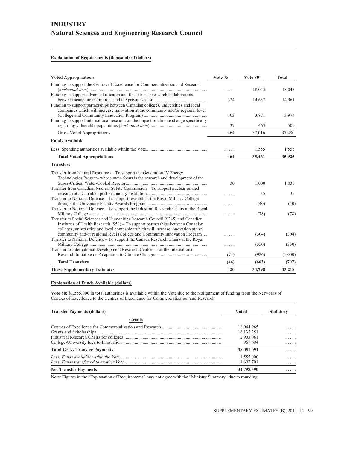### **INDUSTRY Natural Sciences and Engineering Research Council**

#### **Explanation of Requirements (thousands of dollars)**

| <b>Voted Appropriations</b>                                                                                                                                     | Vote 75 | Vote 80 | <b>Total</b> |
|-----------------------------------------------------------------------------------------------------------------------------------------------------------------|---------|---------|--------------|
| Funding to support the Centres of Excellence for Commercialization and Research                                                                                 |         |         |              |
|                                                                                                                                                                 | .       | 18,045  | 18,045       |
| Funding to support advanced research and foster closer research collaborations                                                                                  | 324     | 14,637  | 14,961       |
| Funding to support partnerships between Canadian colleges, universities and local                                                                               |         |         |              |
| companies which will increase innovation at the community and/or regional level                                                                                 |         |         |              |
| Funding to support international research on the impact of climate change specifically                                                                          | 103     | 3,871   | 3,974        |
|                                                                                                                                                                 | 37      | 463     | 500          |
| Gross Voted Appropriations                                                                                                                                      | 464     | 37,016  | 37,480       |
| <b>Funds Available</b>                                                                                                                                          |         |         |              |
|                                                                                                                                                                 | .       | 1,555   | 1,555        |
| <b>Total Voted Appropriations</b>                                                                                                                               | 464     | 35,461  | 35,925       |
| <b>Transfers</b>                                                                                                                                                |         |         |              |
| Transfer from Natural Resources – To support the Generation IV Energy                                                                                           |         |         |              |
| Technologies Program whose main focus is the research and development of the                                                                                    |         |         |              |
| Transfer from Canadian Nuclear Safety Commission - To support nuclear related                                                                                   | 30      | 1,000   | 1,030        |
|                                                                                                                                                                 |         | 35      | 35           |
| Transfer to National Defence – To support research at the Royal Military College                                                                                |         |         |              |
|                                                                                                                                                                 |         | (40)    | (40)         |
| Transfer to National Defence – To support the Industrial Research Chairs at the Royal                                                                           | .       | (78)    | (78)         |
| Transfer to Social Sciences and Humanities Research Council (\$245) and Canadian                                                                                |         |         |              |
| Institutes of Health Research (\$58) – To support partnerships between Canadian                                                                                 |         |         |              |
| colleges, universities and local companies which will increase innovation at the                                                                                |         |         |              |
| community and/or regional level (College and Community Innovation Program)<br>Transfer to National Defence – To support the Canada Research Chairs at the Royal |         | (304)   | (304)        |
|                                                                                                                                                                 | .       | (350)   | (350)        |
| Transfer to International Development Research Centre – For the International                                                                                   |         |         |              |
|                                                                                                                                                                 | (74)    | (926)   | (1,000)      |
| <b>Total Transfers</b>                                                                                                                                          | (44)    | (663)   | (707)        |
| <b>These Supplementary Estimates</b>                                                                                                                            | 420     | 34,798  | 35,218       |

#### **Explanation of Funds Available (dollars)**

**Vote 80**: \$1,555,000 in total authorities is available within the Vote due to the realignment of funding from the Networks of Centres of Excellence to the Centres of Excellence for Commercialization and Research.

| <b>Transfer Payments (dollars)</b>   | <b>Voted</b> | <b>Statutory</b> |
|--------------------------------------|--------------|------------------|
| <b>Grants</b>                        |              |                  |
|                                      | 18,044,965   | .                |
|                                      | 16, 135, 351 | .                |
|                                      | 2.903.081    | .                |
|                                      | 967,694      | .                |
| <b>Total Gross Transfer Payments</b> | 38,051,091   | $\cdots$         |
|                                      | 1,555,000    | .                |
|                                      | 1.697.701    | .                |
| <b>Net Transfer Payments</b>         | 34,798,390   | .                |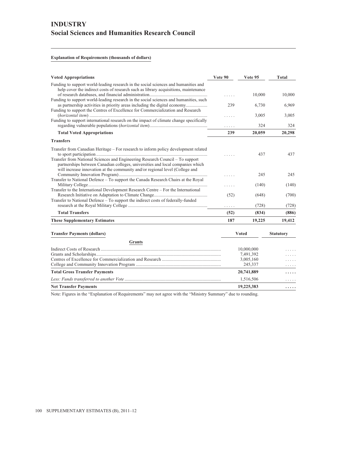### **INDUSTRY Social Sciences and Humanities Research Council**

#### **Explanation of Requirements (thousands of dollars)**

| <b>Voted Appropriations</b>                                                                                                                                                                                                                            | Vote 90   | Vote 95              | <b>Total</b>     |
|--------------------------------------------------------------------------------------------------------------------------------------------------------------------------------------------------------------------------------------------------------|-----------|----------------------|------------------|
| Funding to support world-leading research in the social sciences and humanities and<br>help cover the indirect costs of research such as library acquisitions, maintenance                                                                             | .         | 10,000               | 10,000           |
| Funding to support world-leading research in the social sciences and humanities, such<br>as partnership activities in priority areas including the digital economy<br>Funding to support the Centres of Excellence for Commercialization and Research  | 239       | 6,730                | 6,969            |
|                                                                                                                                                                                                                                                        | .         | 3,005                | 3,005            |
| Funding to support international research on the impact of climate change specifically                                                                                                                                                                 | .         | 324                  | 324              |
| <b>Total Voted Appropriations</b>                                                                                                                                                                                                                      | 239       | 20,059               | 20,298           |
| <b>Transfers</b>                                                                                                                                                                                                                                       |           |                      |                  |
| Transfer from Canadian Heritage – For research to inform policy development related<br>Transfer from National Sciences and Engineering Research Council – To support<br>partnerships between Canadian colleges, universities and local companies which |           | 437                  | 437              |
| will increase innovation at the community and/or regional level (College and<br>Transfer to National Defence – To support the Canada Research Chairs at the Royal                                                                                      | .         | 245                  | 245              |
| Transfer to the International Development Research Centre – For the International<br>Transfer to National Defence – To support the indirect costs of federally-funded                                                                                  | .<br>(52) | (140)<br>(648)       | (140)<br>(700)   |
| <b>Total Transfers</b>                                                                                                                                                                                                                                 | .         | (728)                | (728)            |
|                                                                                                                                                                                                                                                        | (52)      | (834)                | (886)            |
| <b>These Supplementary Estimates</b>                                                                                                                                                                                                                   | 187       | 19,225               | 19,412           |
| <b>Transfer Payments (dollars)</b>                                                                                                                                                                                                                     |           | <b>Voted</b>         | <b>Statutory</b> |
| Grants                                                                                                                                                                                                                                                 |           |                      |                  |
|                                                                                                                                                                                                                                                        |           | 10,000,000           |                  |
|                                                                                                                                                                                                                                                        |           | 7,491,392            |                  |
|                                                                                                                                                                                                                                                        |           | 3,005,160<br>245,337 | .                |
| <b>Total Gross Transfer Payments</b>                                                                                                                                                                                                                   |           | 20,741,889           | .                |
|                                                                                                                                                                                                                                                        |           | 1,516,506            | .                |
| <b>Net Transfer Payments</b>                                                                                                                                                                                                                           |           | 19,225,383           | .                |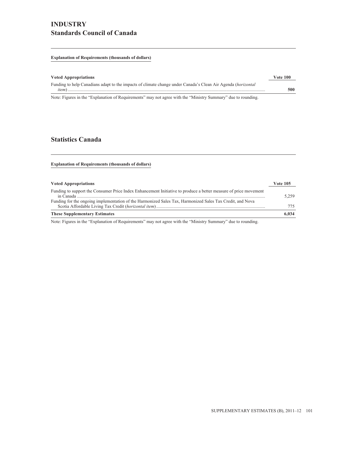### **INDUSTRY Standards Council of Canada**

#### **Explanation of Requirements (thousands of dollars)**

| <b>Voted Appropriations</b>                                                                                           | <b>Vote 100</b> |
|-----------------------------------------------------------------------------------------------------------------------|-----------------|
| Funding to help Canadians adapt to the impacts of climate change under Canada's Clean Air Agenda <i>(horizontal</i> ) |                 |
|                                                                                                                       | 500             |

Note: Figures in the "Explanation of Requirements" may not agree with the "Ministry Summary" due to rounding.

#### **Statistics Canada**

#### **Explanation of Requirements (thousands of dollars)**

| <b>Voted Appropriations</b>                                                                                      | <b>Vote 105</b> |
|------------------------------------------------------------------------------------------------------------------|-----------------|
| Funding to support the Consumer Price Index Enhancement Initiative to produce a better measure of price movement | 5.259           |
| Funding for the ongoing implementation of the Harmonized Sales Tax, Harmonized Sales Tax Credit, and Nova        | 775.            |
| <b>These Supplementary Estimates</b>                                                                             | 6.034           |
| Note: Figures in the "Evalenction of Dequirements" may not gave with the "Ministry Cummers" due to reunding      |                 |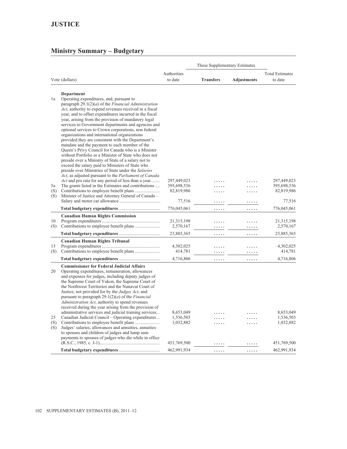|  | <b>Ministry Summary - Budgetary</b> |  |
|--|-------------------------------------|--|
|--|-------------------------------------|--|

|            |                                                                                                                                                                          |              | These Supplementary Estimates |                    |                        |
|------------|--------------------------------------------------------------------------------------------------------------------------------------------------------------------------|--------------|-------------------------------|--------------------|------------------------|
|            |                                                                                                                                                                          | Authorities  |                               |                    | <b>Total Estimates</b> |
|            | Vote (dollars)                                                                                                                                                           | to date      | <b>Transfers</b>              | <b>Adjustments</b> | to date                |
|            |                                                                                                                                                                          |              |                               |                    |                        |
| 1a         | Department<br>Operating expenditures, and, pursuant to<br>paragraph $29.1(2)(a)$ of the <i>Financial Administration</i>                                                  |              |                               |                    |                        |
|            | Act, authority to expend revenues received in a fiscal<br>year, and to offset expenditures incurred in the fiscal<br>year, arising from the provision of mandatory legal |              |                               |                    |                        |
|            | services to Government departments and agencies and<br>optional services to Crown corporations, non federal                                                              |              |                               |                    |                        |
|            | organizations and international organizations<br>provided they are consistent with the Department's                                                                      |              |                               |                    |                        |
|            | mandate and the payment to each member of the<br>Queen's Privy Council for Canada who is a Minister                                                                      |              |                               |                    |                        |
|            | without Portfolio or a Minister of State who does not<br>preside over a Ministry of State of a salary not to<br>exceed the salary paid to Ministers of State who         |              |                               |                    |                        |
|            | preside over Ministries of State under the Salaries<br>Act, as adjusted pursuant to the Parliament of Canada                                                             |              |                               |                    |                        |
|            | <i>Act</i> and pro rata for any period of less than a year                                                                                                               | 297,449,023  |                               |                    | 297,449,023            |
| 5a         | The grants listed in the Estimates and contributions                                                                                                                     | 395,698,536  | .                             | .                  | 395,698,536            |
| (S)<br>(S) | Minister of Justice and Attorney General of Canada –                                                                                                                     | 82,819,986   | .                             |                    | 82,819,986             |
|            |                                                                                                                                                                          | 77,516       | .                             | .                  | 77,516                 |
|            |                                                                                                                                                                          | 776,045,061  | .                             | .                  | 776,045,061            |
|            | <b>Canadian Human Rights Commission</b>                                                                                                                                  |              |                               |                    |                        |
| 10         |                                                                                                                                                                          | 21, 315, 198 | .                             | .                  | 21, 315, 198           |
| (S)        |                                                                                                                                                                          | 2,570,167    | .                             | .                  | 2,570,167              |
|            |                                                                                                                                                                          | 23,885,365   | .                             | .                  | 23,885,365             |
| 15         | <b>Canadian Human Rights Tribunal</b>                                                                                                                                    | 4,302,025    |                               |                    | 4,302,025              |
| (S)        |                                                                                                                                                                          | 414,781      | .<br>.                        | .                  | 414,781                |
|            |                                                                                                                                                                          | 4,716,806    | .                             | .                  | 4,716,806              |
|            | <b>Commissioner for Federal Judicial Affairs</b>                                                                                                                         |              |                               |                    |                        |
| 20         | Operating expenditures, remuneration, allowances                                                                                                                         |              |                               |                    |                        |
|            | and expenses for judges, including deputy judges of                                                                                                                      |              |                               |                    |                        |
|            | the Supreme Court of Yukon, the Supreme Court of<br>the Northwest Territories and the Nunavut Court of                                                                   |              |                               |                    |                        |
|            | Justice, not provided for by the <i>Judges Act</i> , and                                                                                                                 |              |                               |                    |                        |
|            | pursuant to paragraph $29.1(2)(a)$ of the <i>Financial</i>                                                                                                               |              |                               |                    |                        |
|            | Administration Act, authority to spend revenues                                                                                                                          |              |                               |                    |                        |
|            | received during the year arising from the provision of<br>administrative services and judicial training services                                                         | 8,653,049    |                               |                    | 8,653,049              |
| 25         | Canadian Judicial Council - Operating expenditures                                                                                                                       | 1,536,503    |                               |                    | 1,536,503              |
| (S)        |                                                                                                                                                                          | 1,032,882    |                               |                    | 1,032,882              |
| (S)        | Judges' salaries, allowances and annuities, annuities<br>to spouses and children of judges and lump sum                                                                  |              |                               |                    |                        |
|            | payments to spouses of judges who die while in office                                                                                                                    |              |                               |                    |                        |
|            |                                                                                                                                                                          | 451,769,500  |                               |                    | 451,769,500            |
|            |                                                                                                                                                                          | 462,991,934  | .                             | .                  | 462,991,934            |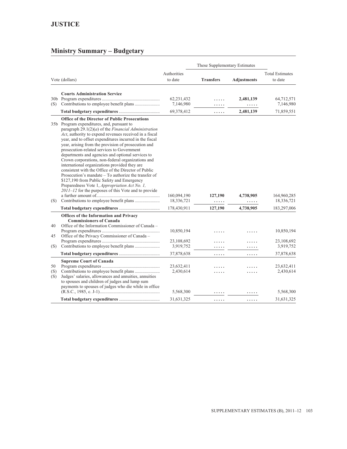### **JUSTICE**

### **Ministry Summary – Budgetary**

|                  |                                                                                                                                                                                                                                                                                                                                                                                                                                                                                                                                                                                                                                                                                                                                                                                                                                     |                                      | These Supplementary Estimates |                    |                                      |
|------------------|-------------------------------------------------------------------------------------------------------------------------------------------------------------------------------------------------------------------------------------------------------------------------------------------------------------------------------------------------------------------------------------------------------------------------------------------------------------------------------------------------------------------------------------------------------------------------------------------------------------------------------------------------------------------------------------------------------------------------------------------------------------------------------------------------------------------------------------|--------------------------------------|-------------------------------|--------------------|--------------------------------------|
|                  | Vote (dollars)                                                                                                                                                                                                                                                                                                                                                                                                                                                                                                                                                                                                                                                                                                                                                                                                                      | Authorities<br>to date               | <b>Transfers</b>              | <b>Adjustments</b> | <b>Total Estimates</b><br>to date    |
|                  | <b>Courts Administration Service</b>                                                                                                                                                                                                                                                                                                                                                                                                                                                                                                                                                                                                                                                                                                                                                                                                |                                      |                               |                    |                                      |
| (S)              |                                                                                                                                                                                                                                                                                                                                                                                                                                                                                                                                                                                                                                                                                                                                                                                                                                     | 62,231,432<br>7,146,980              | .                             | 2,481,139<br>.     | 64,712,571<br>7,146,980              |
|                  |                                                                                                                                                                                                                                                                                                                                                                                                                                                                                                                                                                                                                                                                                                                                                                                                                                     | 69,378,412                           | .                             | 2,481,139          | 71,859,551                           |
|                  | <b>Office of the Director of Public Prosecutions</b><br>35b Program expenditures, and, pursuant to<br>paragraph $29.1(2)(a)$ of the <i>Financial Administration</i><br>Act, authority to expend revenues received in a fiscal<br>year, and to offset expenditures incurred in the fiscal<br>year, arising from the provision of prosecution and<br>prosecution-related services to Government<br>departments and agencies and optional services to<br>Crown corporations, non-federal organizations and<br>international organizations provided they are<br>consistent with the Office of the Director of Public<br>Prosecution's mandate – To authorize the transfer of<br>\$127,190 from Public Safety and Emergency<br>Preparedness Vote 1, Appropriation Act No. 1,<br>$2011 - 12$ for the purposes of this Vote and to provide | 160,094,190                          | 127,190                       | 4,738,905          | 164,960,285                          |
| (S)              |                                                                                                                                                                                                                                                                                                                                                                                                                                                                                                                                                                                                                                                                                                                                                                                                                                     | 18,336,721                           | .                             | .                  | 18,336,721                           |
|                  |                                                                                                                                                                                                                                                                                                                                                                                                                                                                                                                                                                                                                                                                                                                                                                                                                                     | 178,430,911                          | 127,190                       | 4,738,905          | 183,297,006                          |
| 40<br>45         | Offices of the Information and Privacy<br><b>Commissioners of Canada</b><br>Office of the Information Commissioner of Canada -<br>Office of the Privacy Commissioner of Canada -                                                                                                                                                                                                                                                                                                                                                                                                                                                                                                                                                                                                                                                    | 10,850,194<br>23,108,692             | .<br>.                        | .<br>.             | 10,850,194<br>23,108,692             |
| (S)              |                                                                                                                                                                                                                                                                                                                                                                                                                                                                                                                                                                                                                                                                                                                                                                                                                                     | 3,919,752                            | .                             | .                  | 3,919,752                            |
|                  |                                                                                                                                                                                                                                                                                                                                                                                                                                                                                                                                                                                                                                                                                                                                                                                                                                     | 37,878,638                           | .                             | .                  | 37,878,638                           |
| 50<br>(S)<br>(S) | <b>Supreme Court of Canada</b><br>Judges' salaries, allowances and annuities, annuities<br>to spouses and children of judges and lump sum<br>payments to spouses of judges who die while in office                                                                                                                                                                                                                                                                                                                                                                                                                                                                                                                                                                                                                                  | 23,632,411<br>2,430,614<br>5,568,300 | .                             | .                  | 23,632,411<br>2,430,614<br>5,568,300 |
|                  |                                                                                                                                                                                                                                                                                                                                                                                                                                                                                                                                                                                                                                                                                                                                                                                                                                     | 31,631,325                           | .                             | .                  | 31,631,325                           |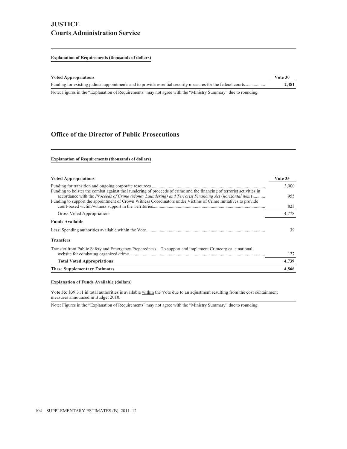### **JUSTICE Courts Administration Service**

#### **Explanation of Requirements (thousands of dollars)**

| <b>Voted Appropriations</b>                                                                                   | Vote 30 |
|---------------------------------------------------------------------------------------------------------------|---------|
| Funding for existing judicial appointments and to provide essential security measures for the federal courts  | 2.481   |
| Note: Figures in the "Explanation of Requirements" may not agree with the "Ministry Summary" due to rounding. |         |

#### **Office of the Director of Public Prosecutions**

#### **Explanation of Requirements (thousands of dollars)**

| <b>Voted Appropriations</b>                                                                                            | <b>Vote 35</b> |
|------------------------------------------------------------------------------------------------------------------------|----------------|
| Funding to bolster the combat against the laundering of proceeds of crime and the financing of terrorist activities in | 3,000          |
| accordance with the Proceeds of Crime (Money Laundering) and Terrorist Financing Act (horizontal item)                 | 955            |
| Funding to support the appointment of Crown Witness Coordinators under Victims of Crime Initiatives to provide         | 823            |
| Gross Voted Appropriations                                                                                             | 4.778          |
| <b>Funds Available</b>                                                                                                 |                |
|                                                                                                                        | 39             |
| <b>Transfers</b>                                                                                                       |                |
| Transfer from Public Safety and Emergency Preparedness – To support and implement Crimeorg.ca, a national              | 127            |
| <b>Total Voted Appropriations</b>                                                                                      | 4,739          |
| <b>These Supplementary Estimates</b>                                                                                   | 4.866          |

#### **Explanation of Funds Available (dollars)**

Vote 35: \$39,311 in total authorities is available within the Vote due to an adjustment resulting from the cost containment measures announced in Budget 2010.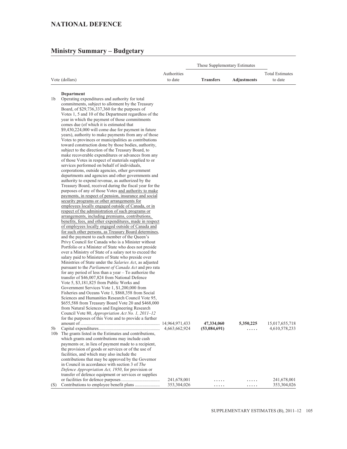### **Ministry Summary – Budgetary**

|    |                                                                                                                                                                                                                                                                                                                                                                                                                                                                                                                                                                                                                                                                                                                                                                                                                                                                                                                                                                                                                                                                                                                                                                                                                                                                                                                                                                                                                                                                                                                                                                                                                                                                                                                                                                                                                                                                                                                                                                                                                                                                                                                                                                                                                                                                                                                                                             |                        | These Supplementary Estimates |                    |                                   |
|----|-------------------------------------------------------------------------------------------------------------------------------------------------------------------------------------------------------------------------------------------------------------------------------------------------------------------------------------------------------------------------------------------------------------------------------------------------------------------------------------------------------------------------------------------------------------------------------------------------------------------------------------------------------------------------------------------------------------------------------------------------------------------------------------------------------------------------------------------------------------------------------------------------------------------------------------------------------------------------------------------------------------------------------------------------------------------------------------------------------------------------------------------------------------------------------------------------------------------------------------------------------------------------------------------------------------------------------------------------------------------------------------------------------------------------------------------------------------------------------------------------------------------------------------------------------------------------------------------------------------------------------------------------------------------------------------------------------------------------------------------------------------------------------------------------------------------------------------------------------------------------------------------------------------------------------------------------------------------------------------------------------------------------------------------------------------------------------------------------------------------------------------------------------------------------------------------------------------------------------------------------------------------------------------------------------------------------------------------------------------|------------------------|-------------------------------|--------------------|-----------------------------------|
|    | Vote (dollars)                                                                                                                                                                                                                                                                                                                                                                                                                                                                                                                                                                                                                                                                                                                                                                                                                                                                                                                                                                                                                                                                                                                                                                                                                                                                                                                                                                                                                                                                                                                                                                                                                                                                                                                                                                                                                                                                                                                                                                                                                                                                                                                                                                                                                                                                                                                                              | Authorities<br>to date | <b>Transfers</b>              | <b>Adjustments</b> | <b>Total Estimates</b><br>to date |
|    |                                                                                                                                                                                                                                                                                                                                                                                                                                                                                                                                                                                                                                                                                                                                                                                                                                                                                                                                                                                                                                                                                                                                                                                                                                                                                                                                                                                                                                                                                                                                                                                                                                                                                                                                                                                                                                                                                                                                                                                                                                                                                                                                                                                                                                                                                                                                                             |                        |                               |                    |                                   |
| 1b | Department<br>Operating expenditures and authority for total<br>commitments, subject to allotment by the Treasury<br>Board, of \$29,736,337,360 for the purposes of<br>Votes 1, 5 and 10 of the Department regardless of the<br>year in which the payment of those commitments<br>comes due (of which it is estimated that<br>\$9,430,224,000 will come due for payment in future<br>years), authority to make payments from any of those<br>Votes to provinces or municipalities as contributions<br>toward construction done by those bodies, authority,<br>subject to the direction of the Treasury Board, to<br>make recoverable expenditures or advances from any<br>of those Votes in respect of materials supplied to or<br>services performed on behalf of individuals,<br>corporations, outside agencies, other government<br>departments and agencies and other governments and<br>authority to expend revenue, as authorized by the<br>Treasury Board, received during the fiscal year for the<br>purposes of any of those Votes and authority to make<br>payments, in respect of pension, insurance and social<br>security programs or other arrangements for<br>employees locally engaged outside of Canada, or in<br>respect of the administration of such programs or<br>arrangements, including premiums, contributions,<br>benefits, fees, and other expenditures, made in respect<br>of employees locally engaged outside of Canada and<br>for such other persons, as Treasury Board determines,<br>and the payment to each member of the Queen's<br>Privy Council for Canada who is a Minister without<br>Portfolio or a Minister of State who does not preside<br>over a Ministry of State of a salary not to exceed the<br>salary paid to Ministers of State who preside over<br>Ministries of State under the Salaries Act, as adjusted<br>pursuant to the <i>Parliament of Canada Act</i> and pro rata<br>for any period of less than a year $-$ To authorize the<br>transfer of \$46,007,824 from National Defence<br>Vote 5, \$3,181,825 from Public Works and<br>Government Services Vote 1, \$1,200,000 from<br>Fisheries and Oceans Vote 1, \$868,358 from Social<br>Sciences and Humanities Research Council Vote 95,<br>\$655,588 from Treasury Board Vote 20 and \$468,000<br>from Natural Sciences and Engineering Research |                        |                               |                    |                                   |
| 5b | Council Vote 80, Appropriation Act No. 1, 2011-12<br>for the purposes of this Vote and to provide a further<br>10b The grants listed in the Estimates and contributions,<br>which grants and contributions may include cash<br>payments or, in lieu of payment made to a recipient,<br>the provision of goods or services or of the use of<br>facilities, and which may also include the<br>contributions that may be approved by the Governor                                                                                                                                                                                                                                                                                                                                                                                                                                                                                                                                                                                                                                                                                                                                                                                                                                                                                                                                                                                                                                                                                                                                                                                                                                                                                                                                                                                                                                                                                                                                                                                                                                                                                                                                                                                                                                                                                                              | 4,663,662,924          | 47,334,060<br>(53,084,691)    | 5,350,225<br>.     | 15,017,655,718<br>4,610,578,233   |
|    | in Council in accordance with section 3 of The<br>Defence Appropriation Act, 1950, for provision or<br>transfer of defence equipment or services or supplies                                                                                                                                                                                                                                                                                                                                                                                                                                                                                                                                                                                                                                                                                                                                                                                                                                                                                                                                                                                                                                                                                                                                                                                                                                                                                                                                                                                                                                                                                                                                                                                                                                                                                                                                                                                                                                                                                                                                                                                                                                                                                                                                                                                                | 241,678,001            |                               |                    | 241,678,001                       |

(S) Contributions to employee benefit plans ...................... 353,304,026 **..... .....** 353,304,026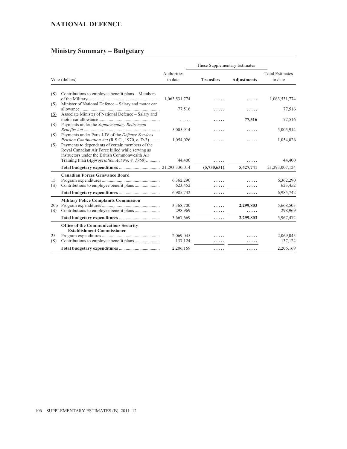### **Ministry Summary – Budgetary**

|                 |                                                                                                                                                          |                        | These Supplementary Estimates |                    |                                   |
|-----------------|----------------------------------------------------------------------------------------------------------------------------------------------------------|------------------------|-------------------------------|--------------------|-----------------------------------|
|                 | Vote (dollars)                                                                                                                                           | Authorities<br>to date | <b>Transfers</b>              | <b>Adjustments</b> | <b>Total Estimates</b><br>to date |
|                 |                                                                                                                                                          |                        |                               |                    |                                   |
| (S)             | Contributions to employee benefit plans – Members                                                                                                        | 1,063,531,774          |                               |                    | 1,063,531,774                     |
| (S)             | Minister of National Defence - Salary and motor car                                                                                                      | 77,516                 |                               |                    | 77,516                            |
| (S)             | Associate Minister of National Defence - Salary and                                                                                                      |                        |                               | 77,516             | 77,516                            |
| (S)             | Payments under the Supplementary Retirement                                                                                                              | 5,005,914              |                               |                    | 5,005,914                         |
| (S)             | Payments under Parts I-IV of the Defence Services<br>Pension Continuation Act (R.S.C., 1970, c. D-3)<br>Payments to dependants of certain members of the | 1,054,026              |                               |                    | 1,054,026                         |
| (S)             | Royal Canadian Air Force killed while serving as<br>instructors under the British Commonwealth Air                                                       |                        |                               |                    |                                   |
|                 | Training Plan ( <i>Appropriation Act No. 4, 1968</i> )                                                                                                   | 44,400                 | .                             | .                  | 44,400                            |
|                 |                                                                                                                                                          |                        | (5,750,631)                   | 5,427,741          | 21,293,007,124                    |
|                 | <b>Canadian Forces Grievance Board</b>                                                                                                                   |                        |                               |                    |                                   |
| 15              |                                                                                                                                                          | 6,362,290              |                               |                    | 6,362,290                         |
| (S)             |                                                                                                                                                          | 623,452                |                               |                    | 623,452                           |
|                 |                                                                                                                                                          | 6,985,742              | .                             | .                  | 6,985,742                         |
|                 | <b>Military Police Complaints Commission</b>                                                                                                             |                        |                               |                    |                                   |
| 20 <sub>b</sub> |                                                                                                                                                          | 3,368,700              |                               | 2,299,803          | 5,668,503                         |
| (S)             |                                                                                                                                                          | 298,969                | .                             | .                  | 298,969                           |
|                 |                                                                                                                                                          | 3,667,669              | .                             | 2,299,803          | 5,967,472                         |
|                 | <b>Office of the Communications Security</b><br><b>Establishment Commissioner</b>                                                                        |                        |                               |                    |                                   |
| 25              |                                                                                                                                                          | 2,069,045              |                               |                    | 2,069,045                         |
| (S)             |                                                                                                                                                          | 137,124                |                               |                    | 137,124                           |
|                 |                                                                                                                                                          | 2,206,169              | .                             | .                  | 2,206,169                         |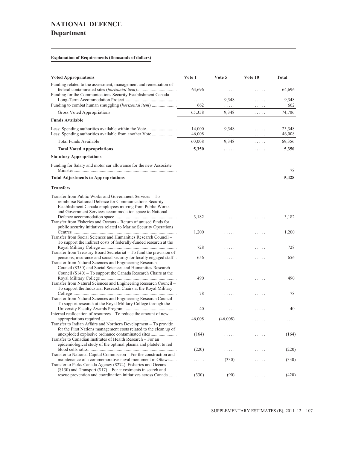# **Department**

#### **Explanation of Requirements (thousands of dollars)**

| <b>Voted Appropriations</b>                                                                                                                                                                                                                                        | Vote 1           | Vote 5            | Vote 10 | <b>Total</b>     |
|--------------------------------------------------------------------------------------------------------------------------------------------------------------------------------------------------------------------------------------------------------------------|------------------|-------------------|---------|------------------|
| Funding related to the assessment, management and remediation of<br>Funding for the Communications Security Establishment Canada                                                                                                                                   | 64,696           | .                 | .       | 64,696           |
| Funding to combat human smuggling (horizontal item)                                                                                                                                                                                                                | 1.1.1.1<br>662   | 9,348<br>$\ldots$ | .<br>.  | 9,348<br>662     |
| Gross Voted Appropriations                                                                                                                                                                                                                                         | 65,358           | 9,348             | .       | 74,706           |
| <b>Funds Available</b>                                                                                                                                                                                                                                             |                  |                   |         |                  |
| Less: Spending authorities available from another Vote                                                                                                                                                                                                             | 14,000<br>46,008 | 9,348<br>.        | .<br>.  | 23,348<br>46,008 |
| Total Funds Available                                                                                                                                                                                                                                              | 60,008           | 9,348             | .       | 69,356           |
| <b>Total Voted Appropriations</b>                                                                                                                                                                                                                                  | 5,350            | .                 | .       | 5,350            |
| <b>Statutory Appropriations</b>                                                                                                                                                                                                                                    |                  |                   |         |                  |
| Funding for Salary and motor car allowance for the new Associate                                                                                                                                                                                                   |                  |                   |         | 78               |
| <b>Total Adjustments to Appropriations</b>                                                                                                                                                                                                                         |                  |                   |         | 5,428            |
| <b>Transfers</b>                                                                                                                                                                                                                                                   |                  |                   |         |                  |
| Transfer from Public Works and Government Services – To<br>reimburse National Defence for Communications Security<br>Establishment Canada employees moving from Public Works<br>and Government Services accommodation space to National                            |                  |                   |         |                  |
| Transfer from Fisheries and Oceans – Return of unused funds for<br>public security initiatives related to Marine Security Operations                                                                                                                               | 3,182            | .                 |         | 3,182            |
| Transfer from Social Sciences and Humanities Research Council –<br>To support the indirect costs of federally-funded research at the                                                                                                                               | 1,200            |                   |         | 1,200            |
|                                                                                                                                                                                                                                                                    | 728              |                   |         | 728              |
| Transfer from Treasury Board Secretariat - To fund the provision of<br>pensions, insurance and social security for locally engaged staff<br>Transfer from Natural Sciences and Engineering Research<br>Council (\$350) and Social Sciences and Humanities Research | 656              | .                 |         | 656              |
| Council $(\$140)$ – To support the Canada Research Chairs at the<br>Transfer from Natural Sciences and Engineering Research Council -<br>To support the Industrial Research Chairs at the Royal Military                                                           | 490              | .                 |         | 490              |
| Transfer from Natural Sciences and Engineering Research Council –<br>To support research at the Royal Military College through the                                                                                                                                 | 78               |                   |         | 78               |
| Internal reallocation of resources – To reduce the amount of new                                                                                                                                                                                                   | 40               | .                 |         | 40               |
| Transfer to Indian Affairs and Northern Development - To provide<br>for the First Nations management costs related to the clean up of                                                                                                                              | 46,008           | (46,008)          |         |                  |
| unexploded explosive ordnance contaminated sites<br>Transfer to Canadian Institutes of Health Research - For an<br>epidemiological study of the optimal plasma and platelet to red                                                                                 | (164)            |                   |         | (164)            |
|                                                                                                                                                                                                                                                                    | (220)            |                   |         | (220)            |
| Transfer to National Capital Commission – For the construction and<br>maintenance of a commemorative naval monument in Ottawa<br>Transfer to Parks Canada Agency (\$274), Fisheries and Oceans                                                                     | .                | (330)             | .       | (330)            |
| $($130)$ and Transport $($17)$ – For investments in search and<br>rescue prevention and coordination initiatives across Canada                                                                                                                                     | (330)            | (90)              | .       | (420)            |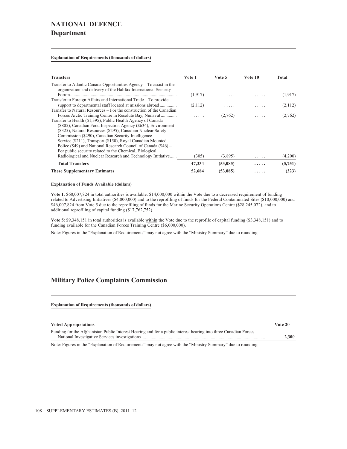#### **Department**

#### **Explanation of Requirements (thousands of dollars)**

| <b>Transfers</b>                                                                                                                       | Vote 1  | Vote 5   | Vote 10 | Total   |
|----------------------------------------------------------------------------------------------------------------------------------------|---------|----------|---------|---------|
| Transfer to Atlantic Canada Opportunities Agency – To assist in the<br>organization and delivery of the Halifax International Security |         |          |         |         |
|                                                                                                                                        | (1,917) | 1.1.1.1  | .       | (1,917) |
| Transfer to Foreign Affairs and International Trade – To provide                                                                       |         |          |         |         |
| support to departmental staff located at missions abroad                                                                               | (2,112) | .        | .       | (2,112) |
| Transfer to Natural Resources – For the construction of the Canadian                                                                   |         |          |         |         |
|                                                                                                                                        |         | (2,762)  |         | (2,762) |
| Transfer to Health (\$1,395), Public Health Agency of Canada                                                                           |         |          |         |         |
| (\$805), Canadian Food Inspection Agency (\$634), Environment                                                                          |         |          |         |         |
| (\$325), Natural Resources (\$295), Canadian Nuclear Safety                                                                            |         |          |         |         |
| Commission (\$290), Canadian Security Intelligence<br>Service (\$211), Transport (\$150), Royal Canadian Mounted                       |         |          |         |         |
| Police (\$49) and National Research Council of Canada (\$46) –                                                                         |         |          |         |         |
| For public security related to the Chemical, Biological,                                                                               |         |          |         |         |
| Radiological and Nuclear Research and Technology Initiative                                                                            | (305)   | (3,895)  |         | (4,200) |
|                                                                                                                                        |         |          | .       |         |
| <b>Total Transfers</b>                                                                                                                 | 47,334  | (53,085) | .       | (5,751) |
| <b>These Supplementary Estimates</b>                                                                                                   | 52,684  | (53,085) | .       | (323)   |

#### **Explanation of Funds Available (dollars)**

**Vote 1**: \$60,007,824 in total authorities is available: \$14,000,000 within the Vote due to a decreased requirement of funding related to Advertising Initiatives (\$4,000,000) and to the reprofiling of funds for the Federal Contaminated Sites (\$10,000,000) and \$46,007,824 from Vote 5 due to the reprofiling of funds for the Marine Security Operations Centre (\$28,245,072), and to additional reprofiling of capital funding (\$17,762,752).

**Vote 5**: \$9,348,151 in total authorities is available within the Vote due to the reprofile of capital funding (\$3,348,151) and to funding available for the Canadian Forces Training Centre (\$6,000,000).

Note: Figures in the "Explanation of Requirements" may not agree with the "Ministry Summary" due to rounding.

#### **Military Police Complaints Commission**

**Explanation of Requirements (thousands of dollars)**

| <b>Voted Appropriations</b>                                                                                      | Vote 20 |
|------------------------------------------------------------------------------------------------------------------|---------|
| Funding for the Afghanistan Public Interest Hearing and for a public interest hearing into three Canadian Forces |         |
|                                                                                                                  | 2.300   |
|                                                                                                                  |         |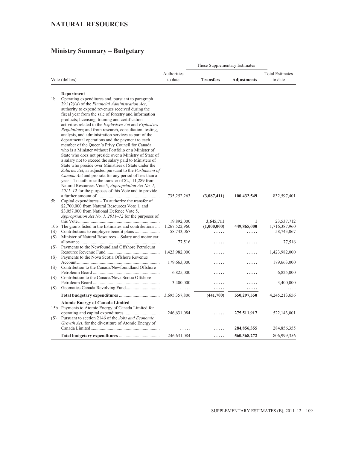#### **NATURAL RESOURCES**

|  | <b>Ministry Summary - Budgetary</b> |  |
|--|-------------------------------------|--|
|--|-------------------------------------|--|

|                |                                                                                                                                                                                                                                                                                                                                                                                                                  | These Supplementary Estimates |                  |                    |                        |  |
|----------------|------------------------------------------------------------------------------------------------------------------------------------------------------------------------------------------------------------------------------------------------------------------------------------------------------------------------------------------------------------------------------------------------------------------|-------------------------------|------------------|--------------------|------------------------|--|
|                |                                                                                                                                                                                                                                                                                                                                                                                                                  | Authorities                   |                  |                    | <b>Total Estimates</b> |  |
|                | Vote (dollars)                                                                                                                                                                                                                                                                                                                                                                                                   | to date                       | <b>Transfers</b> | <b>Adjustments</b> | to date                |  |
|                |                                                                                                                                                                                                                                                                                                                                                                                                                  |                               |                  |                    |                        |  |
| 1 <sub>b</sub> | <b>Department</b><br>Operating expenditures and, pursuant to paragraph<br>$29.1(2)(a)$ of the Financial Administration Act,<br>authority to expend revenues received during the<br>fiscal year from the sale of forestry and information<br>products; licensing, training and certification<br>activities related to the Explosives Act and Explosives<br>Regulations; and from research, consultation, testing, |                               |                  |                    |                        |  |
|                | analysis, and administration services as part of the<br>departmental operations and the payment to each<br>member of the Queen's Privy Council for Canada<br>who is a Minister without Portfolio or a Minister of                                                                                                                                                                                                |                               |                  |                    |                        |  |
|                | State who does not preside over a Ministry of State of<br>a salary not to exceed the salary paid to Ministers of<br>State who preside over Ministries of State under the<br>Salaries Act, as adjusted pursuant to the Parliament of<br>Canada Act and pro rata for any period of less than a                                                                                                                     |                               |                  |                    |                        |  |
|                | year $-$ To authorize the transfer of \$2,111,289 from<br>Natural Resources Vote 5, Appropriation Act No. 1,<br>$2011 - 12$ for the purposes of this Vote and to provide                                                                                                                                                                                                                                         |                               |                  |                    |                        |  |
| 5b             | Capital expenditures $-$ To authorize the transfer of<br>\$2,700,000 from Natural Resources Vote 1, and<br>\$3,057,000 from National Defence Vote 5,                                                                                                                                                                                                                                                             | 735,252,263                   | (3,087,411)      | 100,432,549        | 832,597,401            |  |
|                | Appropriation Act No. 1, 2011–12 for the purposes of                                                                                                                                                                                                                                                                                                                                                             | 19,892,000                    | 3,645,711        | 1                  | 23,537,712             |  |
|                | 10b The grants listed in the Estimates and contributions                                                                                                                                                                                                                                                                                                                                                         | 1,267,522,960                 | (1,000,000)      | 449,865,000        | 1,716,387,960          |  |
| (S)            |                                                                                                                                                                                                                                                                                                                                                                                                                  | 58,743,067                    | .                | .                  | 58,743,067             |  |
| (S)            | Minister of Natural Resources - Salary and motor car                                                                                                                                                                                                                                                                                                                                                             | 77,516                        |                  |                    | 77,516                 |  |
| (S)            | Payments to the Newfoundland Offshore Petroleum                                                                                                                                                                                                                                                                                                                                                                  | 1,423,982,000                 |                  |                    | 1,423,982,000          |  |
| (S)            | Payments to the Nova Scotia Offshore Revenue<br>Contribution to the Canada/Newfoundland Offshore                                                                                                                                                                                                                                                                                                                 | 179,663,000                   | .                | .                  | 179,663,000            |  |
| (S)            |                                                                                                                                                                                                                                                                                                                                                                                                                  | 6,825,000                     | .                |                    | 6,825,000              |  |
| (S)            | Contribution to the Canada/Nova Scotia Offshore                                                                                                                                                                                                                                                                                                                                                                  | 3,400,000                     |                  |                    | 3,400,000              |  |
| (S)            |                                                                                                                                                                                                                                                                                                                                                                                                                  |                               | .                | .                  |                        |  |
|                |                                                                                                                                                                                                                                                                                                                                                                                                                  | 3,695,357,806                 | (441,700)        | 550,297,550        | 4,245,213,656          |  |
|                | <b>Atomic Energy of Canada Limited</b>                                                                                                                                                                                                                                                                                                                                                                           |                               |                  |                    |                        |  |
| (S)            | 15b Payments to Atomic Energy of Canada Limited for<br>Pursuant to section 2146 of the Jobs and Economic                                                                                                                                                                                                                                                                                                         | 246,631,084                   |                  | 275,511,917        | 522,143,001            |  |
|                | Growth Act, for the divestiture of Atomic Energy of                                                                                                                                                                                                                                                                                                                                                              |                               | .                | 284,856,355        | 284,856,355            |  |
|                |                                                                                                                                                                                                                                                                                                                                                                                                                  |                               |                  |                    |                        |  |
|                |                                                                                                                                                                                                                                                                                                                                                                                                                  | 246,631,084                   | .                | 560,368,272        | 806,999,356            |  |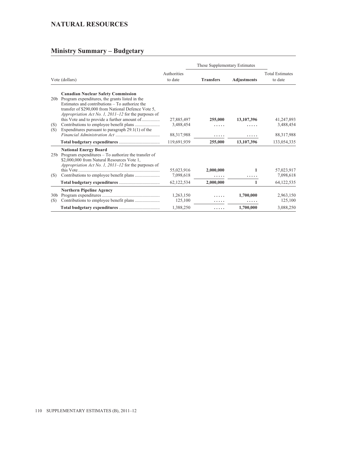### **NATURAL RESOURCES**

### **Ministry Summary – Budgetary**

|                        |                                                                                                                                                                                                                                                                                                                         |                         | These Supplementary Estimates |                    |                                   |
|------------------------|-------------------------------------------------------------------------------------------------------------------------------------------------------------------------------------------------------------------------------------------------------------------------------------------------------------------------|-------------------------|-------------------------------|--------------------|-----------------------------------|
|                        | Vote (dollars)                                                                                                                                                                                                                                                                                                          | Authorities<br>to date  | <b>Transfers</b>              | <b>Adjustments</b> | <b>Total Estimates</b><br>to date |
| (S)                    | <b>Canadian Nuclear Safety Commission</b><br>20b Program expenditures, the grants listed in the<br>Estimates and contributions – To authorize the<br>transfer of \$290,000 from National Defence Vote 5,<br><i>Appropriation Act No. 1, 2011–12</i> for the purposes of<br>this Vote and to provide a further amount of | 27,885,497<br>3,488,454 | 255,000                       | 13,107,396         | 41,247,893<br>3,488,454           |
| (S)                    | Expenditures pursuant to paragraph $29.1(1)$ of the                                                                                                                                                                                                                                                                     | 88,317,988              | .                             | .                  | 88,317,988                        |
|                        |                                                                                                                                                                                                                                                                                                                         | 119,691,939             | 255,000                       | 13,107,396         | 133,054,335                       |
| 25 <sub>b</sub><br>(S) | <b>National Energy Board</b><br>Program expenditures – To authorize the transfer of<br>\$2,000,000 from Natural Resources Vote 1,<br><i>Appropriation Act No. 1, 2011–12</i> for the purposes of                                                                                                                        | 55,023,916<br>7,098,618 | 2,000,000<br>.                | 1                  | 57,023,917<br>7,098,618           |
|                        |                                                                                                                                                                                                                                                                                                                         | 62,122,534              | 2,000,000                     | 1                  | 64,122,535                        |
|                        | <b>Northern Pipeline Agency</b>                                                                                                                                                                                                                                                                                         |                         |                               |                    |                                   |
| 30 <sub>b</sub><br>(S) |                                                                                                                                                                                                                                                                                                                         | 1,263,150<br>125,100    | .                             | 1,700,000          | 2,963,150<br>125,100              |
|                        |                                                                                                                                                                                                                                                                                                                         | 1,388,250               | .                             | 1,700,000          | 3,088,250                         |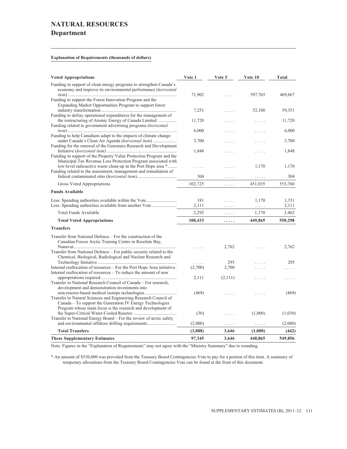### **NATURAL RESOURCES Department**

#### **Explanation of Requirements (thousands of dollars)**

| <b>Voted Appropriations</b>                                                                                                          | Vote 1       | Vote 5  | Vote 10  | Total   |
|--------------------------------------------------------------------------------------------------------------------------------------|--------------|---------|----------|---------|
| Funding in support of clean energy programs to strengthen Canada's<br>economy and improve its environmental performance (horizontal  | 71,902       |         | 397,765  | 469,667 |
| Funding to support the Forest Innovation Program and the                                                                             |              | .       |          |         |
| Expanding Market Opportunities Program to support forest                                                                             |              |         |          |         |
|                                                                                                                                      | 7,251        | .       | 52,100   | 59,351  |
| Funding to defray operational expenditures for the management of                                                                     |              |         |          |         |
| Funding related to government advertising programs (horizontal                                                                       | 11,720       | .       | .        | 11,720  |
|                                                                                                                                      | 6,000        | .       | .        | 6,000   |
| Funding to help Canadians adapt to the impacts of climate change                                                                     |              |         |          |         |
|                                                                                                                                      | 3,700        | .       | .        | 3,700   |
| Funding for the renewal of the Genomics Research and Development                                                                     |              |         |          |         |
|                                                                                                                                      | 1,848        | .       | .        | 1,848   |
| Funding in support of the Property Value Protection Program and the<br>Municipal Tax Revenue Loss Protection Program associated with |              |         |          |         |
| low-level radioactive waste clean-up in the Port Hope area *                                                                         | .            | .       | 1,170    | 1,170   |
| Funding related to the assessment, management and remediation of                                                                     |              |         |          |         |
|                                                                                                                                      | 304          | .       | .        | 304     |
| Gross Voted Appropriations                                                                                                           | 102,725      | .       | 451,035  | 553,760 |
| <b>Funds Available</b>                                                                                                               |              |         |          |         |
|                                                                                                                                      | 181          | .       | 1,170    | 1,351   |
| Less: Spending authorities available from another Vote                                                                               | 2,111        | .       | .        | 2,111   |
| <b>Total Funds Available</b>                                                                                                         | 2,292        | .       | 1,170    | 3,462   |
| <b>Total Voted Appropriations</b>                                                                                                    | 100,433      | .       | 449,865  | 550,298 |
| <b>Transfers</b>                                                                                                                     |              |         |          |         |
| Transfer from National Defence – For the construction of the                                                                         |              |         |          |         |
| Canadian Forces Arctic Training Centre in Resolute Bay,                                                                              |              |         |          |         |
|                                                                                                                                      |              | 2,762   | $\cdots$ | 2,762   |
| Transfer from National Defence – For public security related to the                                                                  |              |         |          |         |
| Chemical, Biological, Radiological and Nuclear Research and                                                                          |              | 295     |          | 295     |
| Internal reallocation of resources - For the Port Hope Area initiative.                                                              | .<br>(2,700) | 2,700   |          |         |
| Internal reallocation of resources – To reduce the amount of new                                                                     |              |         |          |         |
|                                                                                                                                      | 2,111        | (2,111) | .        |         |
| Transfer to National Research Council of Canada - For research,                                                                      |              |         |          |         |
| development and demonstration investments into                                                                                       |              |         |          |         |
| non-reactor-based medical isotope technologies                                                                                       | (469)        | .       | 1.1.1    | (469)   |
| Transfer to Natural Sciences and Engineering Research Council of                                                                     |              |         |          |         |
| Canada – To support the Generation IV Energy Technologies<br>Program whose main focus is the research and development of             |              |         |          |         |
|                                                                                                                                      | (30)         | .       | (1,000)  | (1,030) |
| Transfer to National Energy Board – For the review of arctic safety                                                                  |              |         |          |         |
|                                                                                                                                      | (2,000)      | .       | .        | (2,000) |
| <b>Total Transfers</b>                                                                                                               | (3,088)      | 3,646   | (1,000)  | (442)   |
| <b>These Supplementary Estimates</b>                                                                                                 | 97,345       | 3,646   | 448,865  | 549,856 |

Note: Figures in the "Explanation of Requirements" may not agree with the "Ministry Summary" due to rounding.

\* An amount of \$530,000 was provided from the Treasury Board Contingencies Vote to pay for a portion of this item. A summary of temporary allocations from the Treasury Board Contingencies Vote can be found at the front of this document.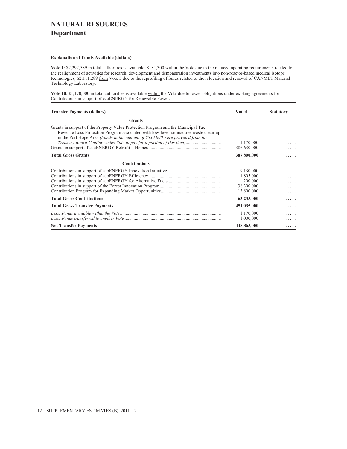## **NATURAL RESOURCES Department**

### **Explanation of Funds Available (dollars)**

**Vote 1**: \$2,292,589 in total authorities is available: \$181,300 within the Vote due to the reduced operating requirements related to the realignment of activities for research, development and demonstration investments into non-reactor-based medical isotope technologies; \$2,111,289 from Vote 5 due to the reprofiling of funds related to the relocation and renewal of CANMET Material Technology Laboratory.

**Vote 10**: \$1,170,000 in total authorities is available within the Vote due to lower obligations under existing agreements for Contributions in support of ecoENERGY for Renewable Power.

| <b>Transfer Payments (dollars)</b>                                                   | <b>Voted</b> | <b>Statutory</b> |
|--------------------------------------------------------------------------------------|--------------|------------------|
| <b>Grants</b>                                                                        |              |                  |
| Grants in support of the Property Value Protection Program and the Municipal Tax     |              |                  |
| Revenue Loss Protection Program associated with low-level radioactive waste clean-up |              |                  |
| in the Port Hope Area (Funds in the amount of \$530,000 were provided from the       |              |                  |
| Treasury Board Contingencies Vote to pay for a portion of this item)                 | 1,170,000    |                  |
|                                                                                      | 386,630,000  |                  |
| <b>Total Gross Grants</b>                                                            | 387,800,000  |                  |
| <b>Contributions</b>                                                                 |              |                  |
|                                                                                      | 9,130,000    |                  |
|                                                                                      | 1,805,000    |                  |
|                                                                                      | 200,000      |                  |
|                                                                                      | 38,300,000   |                  |
|                                                                                      | 13,800,000   |                  |
| <b>Total Gross Contributions</b>                                                     | 63,235,000   | .                |
| <b>Total Gross Transfer Payments</b>                                                 | 451,035,000  |                  |
|                                                                                      | 1,170,000    |                  |
|                                                                                      | 1,000,000    |                  |
| <b>Net Transfer Payments</b>                                                         | 448,865,000  | .                |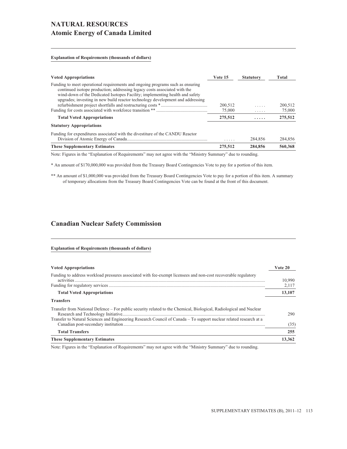### **NATURAL RESOURCES Atomic Energy of Canada Limited**

#### **Explanation of Requirements (thousands of dollars)**

| <b>Voted Appropriations</b>                                                                                                                                                                                                                                                                                                   | Vote 15 | <b>Statutory</b> | Total   |
|-------------------------------------------------------------------------------------------------------------------------------------------------------------------------------------------------------------------------------------------------------------------------------------------------------------------------------|---------|------------------|---------|
| Funding to meet operational requirements and ongoing programs such as ensuring<br>continued isotope production; addressing legacy costs associated with the<br>wind-down of the Dedicated Isotopes Facility; implementing health and safety<br>upgrades; investing in new build reactor technology development and addressing |         |                  |         |
|                                                                                                                                                                                                                                                                                                                               | 200,512 | .                | 200,512 |
|                                                                                                                                                                                                                                                                                                                               | 75,000  | .                | 75,000  |
| <b>Total Voted Appropriations</b>                                                                                                                                                                                                                                                                                             | 275,512 | .                | 275,512 |
| <b>Statutory Appropriations</b>                                                                                                                                                                                                                                                                                               |         |                  |         |
| Funding for expenditures associated with the divestiture of the CANDU Reactor                                                                                                                                                                                                                                                 |         | 284,856          | 284,856 |
| <b>These Supplementary Estimates</b>                                                                                                                                                                                                                                                                                          | 275,512 | 284,856          | 560,368 |
|                                                                                                                                                                                                                                                                                                                               |         |                  |         |

Note: Figures in the "Explanation of Requirements" may not agree with the "Ministry Summary" due to rounding.

\* An amount of \$170,000,000 was provided from the Treasury Board Contingencies Vote to pay for a portion of this item.

\*\* An amount of \$1,000,000 was provided from the Treasury Board Contingencies Vote to pay for a portion of this item. A summary of temporary allocations from the Treasury Board Contingencies Vote can be found at the front of this document.

### **Canadian Nuclear Safety Commission**

#### **Explanation of Requirements (thousands of dollars)**

| <b>Voted Appropriations</b>                                                                                                                                                                                                              | Vote 20         |
|------------------------------------------------------------------------------------------------------------------------------------------------------------------------------------------------------------------------------------------|-----------------|
| Funding to address workload pressures associated with fee-exempt licensees and non-cost recoverable regulatory                                                                                                                           | 10.990<br>2.117 |
| <b>Total Voted Appropriations</b>                                                                                                                                                                                                        | 13,107          |
| <b>Transfers</b>                                                                                                                                                                                                                         |                 |
| Transfer from National Defence – For public security related to the Chemical, Biological, Radiological and Nuclear<br>Transfer to Natural Sciences and Engineering Research Council of Canada – To support nuclear related research at a | 290<br>(35)     |
| <b>Total Transfers</b>                                                                                                                                                                                                                   | 255             |
| <b>These Supplementary Estimates</b>                                                                                                                                                                                                     | 13.362          |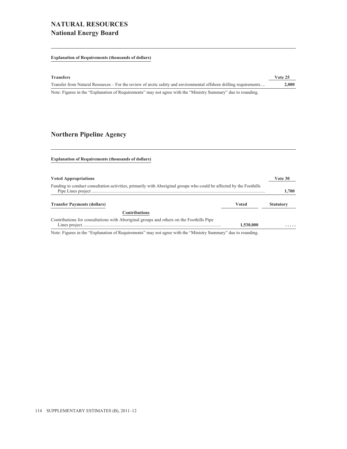## **NATURAL RESOURCES National Energy Board**

### **Explanation of Requirements (thousands of dollars)**

| <b>Transfers</b>                                                                                                   | Vote 25 |
|--------------------------------------------------------------------------------------------------------------------|---------|
| Transfer from Natural Resources – For the review of arctic safety and environmental offshore drilling requirements | 2.000   |
| Note: Figures in the "Explanation of Requirements" may not agree with the "Ministry Summary" due to rounding.      |         |

### **Northern Pipeline Agency**

#### **Explanation of Requirements (thousands of dollars)**

| <b>Voted Appropriations</b>                                                                                         |           | Vote 30          |
|---------------------------------------------------------------------------------------------------------------------|-----------|------------------|
| Funding to conduct consultation activities, primarily with Aboriginal groups who could be affected by the Foothills |           |                  |
| <b>Transfer Payments (dollars)</b>                                                                                  | Voted     | <b>Statutory</b> |
| <b>Contributions</b>                                                                                                |           |                  |
| Contributions for consultations with Aboriginal groups and others on the Foothills Pipe                             | 1.530.000 | .                |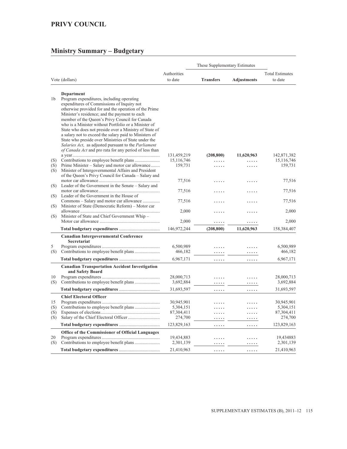## **PRIVY COUNCIL**

|  | <b>Ministry Summary - Budgetary</b> |  |
|--|-------------------------------------|--|
|--|-------------------------------------|--|

|            |                                                                                                                                                                                                                                                                                                                                                                                                                                                                                                                                                                                                                         |                           | These Supplementary Estimates |                    |                           |
|------------|-------------------------------------------------------------------------------------------------------------------------------------------------------------------------------------------------------------------------------------------------------------------------------------------------------------------------------------------------------------------------------------------------------------------------------------------------------------------------------------------------------------------------------------------------------------------------------------------------------------------------|---------------------------|-------------------------------|--------------------|---------------------------|
|            |                                                                                                                                                                                                                                                                                                                                                                                                                                                                                                                                                                                                                         | Authorities               |                               |                    | <b>Total Estimates</b>    |
|            | Vote (dollars)                                                                                                                                                                                                                                                                                                                                                                                                                                                                                                                                                                                                          | to date                   | <b>Transfers</b>              | <b>Adjustments</b> | to date                   |
|            |                                                                                                                                                                                                                                                                                                                                                                                                                                                                                                                                                                                                                         |                           |                               |                    |                           |
| 1b         | Department<br>Program expenditures, including operating<br>expenditures of Commissions of Inquiry not<br>otherwise provided for and the operation of the Prime<br>Minister's residence; and the payment to each<br>member of the Queen's Privy Council for Canada<br>who is a Minister without Portfolio or a Minister of<br>State who does not preside over a Ministry of State of<br>a salary not to exceed the salary paid to Ministers of<br>State who preside over Ministries of State under the<br>Salaries Act, as adjusted pursuant to the Parliament<br>of Canada Act and pro rata for any period of less than |                           |                               |                    |                           |
| (S)        |                                                                                                                                                                                                                                                                                                                                                                                                                                                                                                                                                                                                                         | 131,459,219<br>15,116,746 | (208, 800)<br>.               | 11,620,963<br>.    | 142,871,382<br>15,116,746 |
| (S)<br>(S) | Prime Minister – Salary and motor car allowance<br>Minister of Intergovernmental Affairs and President<br>of the Queen's Privy Council for Canada - Salary and                                                                                                                                                                                                                                                                                                                                                                                                                                                          | 159,731                   | .                             | .                  | 159,731                   |
| (S)        | Leader of the Government in the Senate - Salary and                                                                                                                                                                                                                                                                                                                                                                                                                                                                                                                                                                     | 77,516                    | .                             | .                  | 77,516                    |
| (S)        | Leader of the Government in the House of                                                                                                                                                                                                                                                                                                                                                                                                                                                                                                                                                                                | 77,516                    | .                             | .                  | 77,516                    |
| (S)        | Commons – Salary and motor car allowance<br>Minister of State (Democratic Reform) – Motor car                                                                                                                                                                                                                                                                                                                                                                                                                                                                                                                           | 77,516                    | .                             | .                  | 77,516                    |
| (S)        | Minister of State and Chief Government Whip –                                                                                                                                                                                                                                                                                                                                                                                                                                                                                                                                                                           | 2,000                     | .                             | .                  | 2,000                     |
|            |                                                                                                                                                                                                                                                                                                                                                                                                                                                                                                                                                                                                                         | 2,000                     | .                             | .                  | 2,000                     |
|            |                                                                                                                                                                                                                                                                                                                                                                                                                                                                                                                                                                                                                         | 146,972,244               | (208, 800)                    | 11,620,963         | 158,384,407               |
|            | Canadian Intergovernmental Conference<br>Secretariat                                                                                                                                                                                                                                                                                                                                                                                                                                                                                                                                                                    |                           |                               |                    |                           |
| 5          |                                                                                                                                                                                                                                                                                                                                                                                                                                                                                                                                                                                                                         | 6,500,989                 | .                             | .                  | 6,500,989                 |
| (S)        |                                                                                                                                                                                                                                                                                                                                                                                                                                                                                                                                                                                                                         | 466,182                   | .                             | .                  | 466,182                   |
|            |                                                                                                                                                                                                                                                                                                                                                                                                                                                                                                                                                                                                                         | 6,967,171                 | .                             | .                  | 6,967,171                 |
|            | <b>Canadian Transportation Accident Investigation</b><br>and Safety Board                                                                                                                                                                                                                                                                                                                                                                                                                                                                                                                                               |                           |                               |                    |                           |
| 10         |                                                                                                                                                                                                                                                                                                                                                                                                                                                                                                                                                                                                                         | 28,000,713                | .                             | .                  | 28,000,713                |
| (S)        | Contributions to employee benefit plans                                                                                                                                                                                                                                                                                                                                                                                                                                                                                                                                                                                 | 3,692,884                 | .                             | .                  | 3,692,884                 |
|            |                                                                                                                                                                                                                                                                                                                                                                                                                                                                                                                                                                                                                         | 31,693,597                | .                             | .                  | 31,693,597                |
|            | <b>Chief Electoral Officer</b>                                                                                                                                                                                                                                                                                                                                                                                                                                                                                                                                                                                          |                           |                               |                    |                           |
| 15         |                                                                                                                                                                                                                                                                                                                                                                                                                                                                                                                                                                                                                         | 30,945,901                | .                             | .                  | 30,945,901                |
| (S)        |                                                                                                                                                                                                                                                                                                                                                                                                                                                                                                                                                                                                                         | 5,304,151                 | .                             | .                  | 5,304,151                 |
| (S)<br>(S) |                                                                                                                                                                                                                                                                                                                                                                                                                                                                                                                                                                                                                         | 87,304,411<br>274,700     | .<br>.                        | .<br>.             | 87,304,411<br>274,700     |
|            |                                                                                                                                                                                                                                                                                                                                                                                                                                                                                                                                                                                                                         | 123,829,163               | .                             | .                  | 123,829,163               |
|            | Office of the Commissioner of Official Languages                                                                                                                                                                                                                                                                                                                                                                                                                                                                                                                                                                        |                           |                               |                    |                           |
| 20         |                                                                                                                                                                                                                                                                                                                                                                                                                                                                                                                                                                                                                         | 19,434,883                | .                             | .                  | 19,434883                 |
| (S)        |                                                                                                                                                                                                                                                                                                                                                                                                                                                                                                                                                                                                                         | 2,301,139                 | .                             | .                  | 2,301,139                 |
|            |                                                                                                                                                                                                                                                                                                                                                                                                                                                                                                                                                                                                                         | 21,410,963                | .                             | .                  | 21,410,963                |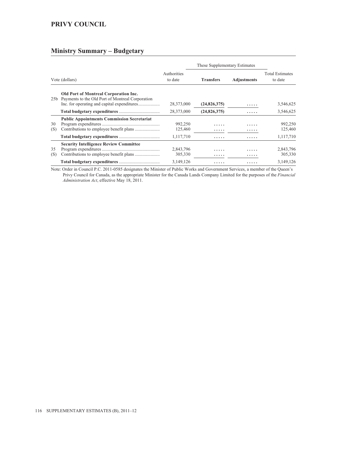## **PRIVY COUNCIL**

### **Ministry Summary – Budgetary**

| Vote (dollars) |                                                                                                      |                        | These Supplementary Estimates |                    |                                   |
|----------------|------------------------------------------------------------------------------------------------------|------------------------|-------------------------------|--------------------|-----------------------------------|
|                |                                                                                                      | Authorities<br>to date | <b>Transfers</b>              | <b>Adjustments</b> | <b>Total Estimates</b><br>to date |
|                | <b>Old Port of Montreal Corporation Inc.</b><br>25b Payments to the Old Port of Montreal Corporation | 28,373,000             | (24,826,375)                  | .                  | 3,546,625                         |
|                |                                                                                                      | 28,373,000             | (24,826,375)                  | .                  | 3,546,625                         |
|                | <b>Public Appointments Commission Secretariat</b>                                                    |                        |                               |                    |                                   |
| 30             |                                                                                                      | 992,250                | .                             | .                  | 992,250                           |
| (S)            |                                                                                                      | 125,460                | .                             |                    | 125,460                           |
|                |                                                                                                      | 1,117,710              | .                             | .                  | 1,117,710                         |
|                | <b>Security Intelligence Review Committee</b>                                                        |                        |                               |                    |                                   |
| 35             |                                                                                                      | 2,843,796              | .                             | .                  | 2,843,796                         |
| (S)            |                                                                                                      | 305,330                | .                             | .                  | 305,330                           |
|                |                                                                                                      | 3.149.126              | .                             |                    | 3,149,126                         |

Note: Order in Council P.C. 2011-0585 designates the Minister of Public Works and Government Services, a member of the Queen's Privy Council for Canada, as the appropriate Minister for the Canada Lands Company Limited for the purposes of the *Financial Administration Act*, effective May 18, 2011.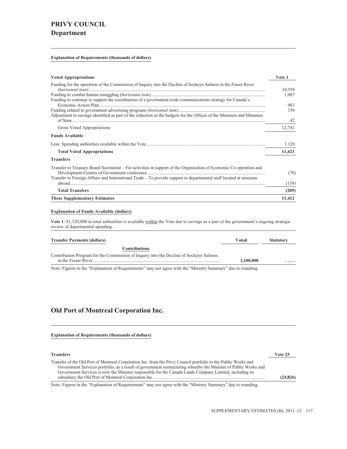### **PRIVY COUNCIL Department**

#### **Explanation of Requirements (thousands of dollars)**

| <b>Voted Appropriations</b>                                                                                                                                                                                                | Vote 1          |
|----------------------------------------------------------------------------------------------------------------------------------------------------------------------------------------------------------------------------|-----------------|
| Funding for the operation of the Commission of Inquiry into the Decline of Sockeye Salmon in the Fraser River<br>Funding to continue to support the coordination of a government-wide communications strategy for Canada's | 10,559<br>1,007 |
|                                                                                                                                                                                                                            | 983<br>150      |
| Adjustment to savings identified as part of the reduction in the budgets for the Offices of the Ministers and Ministers                                                                                                    | 42              |
| Gross Voted Appropriations                                                                                                                                                                                                 | 12,741          |
| <b>Funds Available</b>                                                                                                                                                                                                     |                 |
|                                                                                                                                                                                                                            | 1,120           |
| <b>Total Voted Appropriations</b>                                                                                                                                                                                          | 11,621          |
| <b>Transfers</b>                                                                                                                                                                                                           |                 |
| Transfer to Treasury Board Secretariat – For activities in support of the Organisation of Economic Co-operation and                                                                                                        | (70)            |
| Transfer to Foreign Affairs and International Trade – To provide support to departmental staff located at missions                                                                                                         | (139)           |
| <b>Total Transfers</b>                                                                                                                                                                                                     | (209)           |
| <b>These Supplementary Estimates</b>                                                                                                                                                                                       | 11,412          |

#### **Explanation of Funds Available (dollars)**

**Vote 1**: \$1,120,000 in total authorities is available within the Vote due to savings as a part of the government's ongoing strategic review of departmental spending.

| <b>Transfer Payments (dollars)</b>                                                    | Voted     | <b>Statutory</b> |
|---------------------------------------------------------------------------------------|-----------|------------------|
| <b>Contributions</b>                                                                  |           |                  |
| Contribution Program for the Commission of Inquiry into the Decline of Sockeye Salmon |           |                  |
|                                                                                       | 3,100,000 | .                |

Note: Figures in the "Explanation of Requirements" may not agree with the "Ministry Summary" due to rounding.

### **Old Port of Montreal Corporation Inc.**

#### **Explanation of Requirements (thousands of dollars)**

#### **Transfers Vote 25**

.

Transfer of the Old Port of Montreal Corporation Inc. from the Privy Council portfolio to the Public Works and Government Services portfolio, as a result of government restructuring whereby the Minister of Public Works and Government Services is now the Minister responsible for the Canada Lands Company Limited, including its subsidiary the Old Port of Montreal Corporation Inc. .................................................................................................. **(24,826)**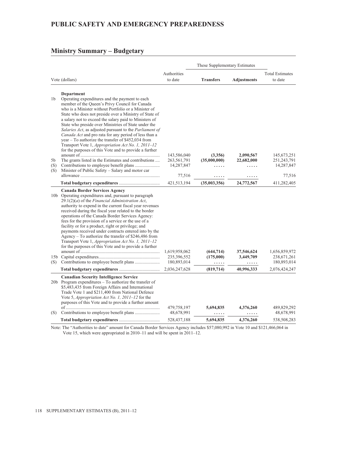### **PUBLIC SAFETY AND EMERGENCY PREPAREDNESS**

|                |                                                                                                                                                                                                                                                                                                                                                                                                                                                                                                                                                                                                                                                                          |                                             | These Supplementary Estimates |                                            |                                             |
|----------------|--------------------------------------------------------------------------------------------------------------------------------------------------------------------------------------------------------------------------------------------------------------------------------------------------------------------------------------------------------------------------------------------------------------------------------------------------------------------------------------------------------------------------------------------------------------------------------------------------------------------------------------------------------------------------|---------------------------------------------|-------------------------------|--------------------------------------------|---------------------------------------------|
|                |                                                                                                                                                                                                                                                                                                                                                                                                                                                                                                                                                                                                                                                                          | Authorities                                 |                               |                                            | <b>Total Estimates</b>                      |
|                | Vote (dollars)                                                                                                                                                                                                                                                                                                                                                                                                                                                                                                                                                                                                                                                           | to date                                     | <b>Transfers</b>              | <b>Adjustments</b>                         | to date                                     |
| 1 <sub>b</sub> | Department<br>Operating expenditures and the payment to each<br>member of the Queen's Privy Council for Canada<br>who is a Minister without Portfolio or a Minister of<br>State who does not preside over a Ministry of State of<br>a salary not to exceed the salary paid to Ministers of<br>State who preside over Ministries of State under the<br><i>Salaries Act</i> , as adjusted pursuant to the <i>Parliament of</i><br>Canada Act and pro rata for any period of less than a<br>year - To authorize the transfer of \$452,034 from<br>Transport Vote 1, Appropriation Act No. 1, 2011-12<br>for the purposes of this Vote and to provide a further              |                                             |                               |                                            |                                             |
| 5b<br>(S)      | The grants listed in the Estimates and contributions                                                                                                                                                                                                                                                                                                                                                                                                                                                                                                                                                                                                                     | 143,586,040<br>263,561,791<br>14,287,847    | (3,356)<br>(35,000,000)<br>.  | 2,090,567<br>22,682,000<br>.               | 145,673,251<br>251, 243, 791<br>14,287,847  |
| (S)            | Minister of Public Safety – Salary and motor car                                                                                                                                                                                                                                                                                                                                                                                                                                                                                                                                                                                                                         | 77,516                                      | .                             | .                                          | 77,516                                      |
|                |                                                                                                                                                                                                                                                                                                                                                                                                                                                                                                                                                                                                                                                                          | 421,513,194                                 | (35,003,356)                  | 24,772,567                                 | 411,282,405                                 |
| (S)            | <b>Canada Border Services Agency</b><br>10b Operating expenditures and, pursuant to paragraph<br>$29.1(2)(a)$ of the Financial Administration Act,<br>authority to expend in the current fiscal year revenues<br>received during the fiscal year related to the border<br>operations of the Canada Border Services Agency:<br>fees for the provision of a service or the use of a<br>facility or for a product, right or privilege; and<br>payments received under contracts entered into by the<br>Agency – To authorize the transfer of \$246,486 from<br>Transport Vote 1, Appropriation Act No. 1, 2011-12<br>for the purposes of this Vote and to provide a further | 1,619,958,062<br>235,396,552<br>180,893,014 | (644, 714)<br>(175,000)<br>.  | 37,546,624<br>3,449,709<br>.<br>40,996,333 | 1,656,859,972<br>238,671,261<br>180,893,014 |
|                |                                                                                                                                                                                                                                                                                                                                                                                                                                                                                                                                                                                                                                                                          | 2,036,247,628                               | (819,714)                     |                                            | 2,076,424,247                               |
| (S)            | <b>Canadian Security Intelligence Service</b><br>20b Program expenditures – To authorize the transfer of<br>\$5,483,435 from Foreign Affairs and International<br>Trade Vote 1 and \$211,400 from National Defence<br>Vote 5, <i>Appropriation Act No. 1, 2011–12</i> for the<br>purposes of this Vote and to provide a further amount                                                                                                                                                                                                                                                                                                                                   | 479,758,197<br>48,678,991                   | 5,694,835<br>.                | 4,376,260<br>.                             | 489,829,292<br>48,678,991                   |
|                |                                                                                                                                                                                                                                                                                                                                                                                                                                                                                                                                                                                                                                                                          | 528, 437, 188                               | 5,694,835                     | 4,376,260                                  | 538,508,283                                 |

## **Ministry Summary – Budgetary**

Note: The "Authorities to date" amount for Canada Border Services Agency includes \$57,080,992 in Vote 10 and \$121,466,064 in Vote 15, which were appropriated in 2010–11 and will be spent in 2011–12.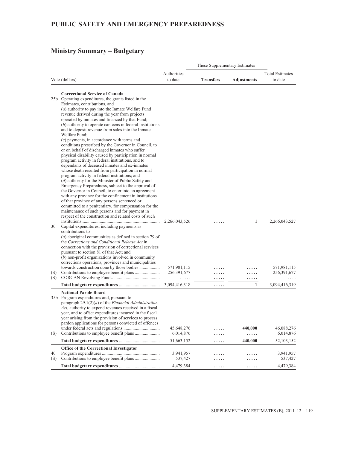### **PUBLIC SAFETY AND EMERGENCY PREPAREDNESS**

|  | <b>Ministry Summary - Budgetary</b> |  |
|--|-------------------------------------|--|
|--|-------------------------------------|--|

|           |                                                                                                                                                                                                                                                                                                                                                                                                                                                                                                                                                                                                                                                                                                                                                                                                                                                                                                                                                                                                                                                                                                                                                                                                |                            | These Supplementary Estimates |                    |                            |
|-----------|------------------------------------------------------------------------------------------------------------------------------------------------------------------------------------------------------------------------------------------------------------------------------------------------------------------------------------------------------------------------------------------------------------------------------------------------------------------------------------------------------------------------------------------------------------------------------------------------------------------------------------------------------------------------------------------------------------------------------------------------------------------------------------------------------------------------------------------------------------------------------------------------------------------------------------------------------------------------------------------------------------------------------------------------------------------------------------------------------------------------------------------------------------------------------------------------|----------------------------|-------------------------------|--------------------|----------------------------|
|           |                                                                                                                                                                                                                                                                                                                                                                                                                                                                                                                                                                                                                                                                                                                                                                                                                                                                                                                                                                                                                                                                                                                                                                                                | Authorities                |                               |                    | <b>Total Estimates</b>     |
|           | Vote (dollars)                                                                                                                                                                                                                                                                                                                                                                                                                                                                                                                                                                                                                                                                                                                                                                                                                                                                                                                                                                                                                                                                                                                                                                                 | to date                    | <b>Transfers</b>              | <b>Adjustments</b> | to date                    |
|           | <b>Correctional Service of Canada</b><br>25b Operating expenditures, the grants listed in the<br>Estimates, contributions, and<br>(a) authority to pay into the Inmate Welfare Fund<br>revenue derived during the year from projects<br>operated by inmates and financed by that Fund;<br>$(b)$ authority to operate canteens in federal institutions<br>and to deposit revenue from sales into the Inmate<br>Welfare Fund:<br>$(c)$ payments, in accordance with terms and<br>conditions prescribed by the Governor in Council, to<br>or on behalf of discharged inmates who suffer<br>physical disability caused by participation in normal<br>program activity in federal institutions, and to<br>dependants of deceased inmates and ex-inmates<br>whose death resulted from participation in normal<br>program activity in federal institutions; and<br>(d) authority for the Minister of Public Safety and<br>Emergency Preparedness, subject to the approval of<br>the Governor in Council, to enter into an agreement<br>with any province for the confinement in institutions<br>of that province of any persons sentenced or<br>committed to a penitentiary, for compensation for the |                            |                               |                    |                            |
| 30        | maintenance of such persons and for payment in<br>respect of the construction and related costs of such<br>Capital expenditures, including payments as<br>contributions to<br>$(a)$ aboriginal communities as defined in section 79 of<br>the Corrections and Conditional Release Act in<br>connection with the provision of correctional services<br>pursuant to section 81 of that Act; and                                                                                                                                                                                                                                                                                                                                                                                                                                                                                                                                                                                                                                                                                                                                                                                                  | 2,266,043,526              |                               | $\mathbf{1}$       | 2,266,043,527              |
| (S)       | $(b)$ non-profit organizations involved in community<br>corrections operations, provinces and municipalities<br>towards construction done by those bodies                                                                                                                                                                                                                                                                                                                                                                                                                                                                                                                                                                                                                                                                                                                                                                                                                                                                                                                                                                                                                                      | 571,981,115<br>256,391,677 | .                             |                    | 571,981,115<br>256,391,677 |
| (S)       |                                                                                                                                                                                                                                                                                                                                                                                                                                                                                                                                                                                                                                                                                                                                                                                                                                                                                                                                                                                                                                                                                                                                                                                                | .                          | .                             | .                  |                            |
|           |                                                                                                                                                                                                                                                                                                                                                                                                                                                                                                                                                                                                                                                                                                                                                                                                                                                                                                                                                                                                                                                                                                                                                                                                | 3,094,416,318              | .                             | 1                  | 3,094,416,319              |
| (S)       | <b>National Parole Board</b><br>35b Program expenditures and, pursuant to<br>paragraph $29.1(2)(a)$ of the <i>Financial Administration</i><br>Act, authority to expend revenues received in a fiscal<br>year, and to offset expenditures incurred in the fiscal<br>year arising from the provision of services to process<br>pardon applications for persons convicted of offences                                                                                                                                                                                                                                                                                                                                                                                                                                                                                                                                                                                                                                                                                                                                                                                                             | 45,648,276<br>6,014,876    | .<br>.                        | 440,000<br>.       | 46,088,276<br>6,014,876    |
|           |                                                                                                                                                                                                                                                                                                                                                                                                                                                                                                                                                                                                                                                                                                                                                                                                                                                                                                                                                                                                                                                                                                                                                                                                | 51,663,152                 | .                             | 440,000            | 52, 103, 152               |
| 40<br>(S) | Office of the Correctional Investigator                                                                                                                                                                                                                                                                                                                                                                                                                                                                                                                                                                                                                                                                                                                                                                                                                                                                                                                                                                                                                                                                                                                                                        | 3,941,957<br>537,427       | .<br>.                        | .                  | 3,941,957<br>537,427       |
|           |                                                                                                                                                                                                                                                                                                                                                                                                                                                                                                                                                                                                                                                                                                                                                                                                                                                                                                                                                                                                                                                                                                                                                                                                | 4,479,384                  | .                             | .                  | 4,479,384                  |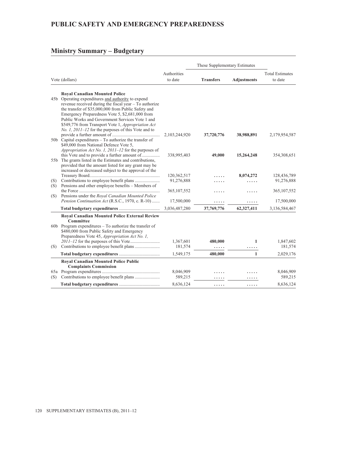### **PUBLIC SAFETY AND EMERGENCY PREPAREDNESS**

## **Ministry Summary – Budgetary**

|            |                                                                                                                                                                       |                        |                  | These Supplementary Estimates |                                   |  |  |
|------------|-----------------------------------------------------------------------------------------------------------------------------------------------------------------------|------------------------|------------------|-------------------------------|-----------------------------------|--|--|
|            | Vote (dollars)                                                                                                                                                        | Authorities<br>to date | <b>Transfers</b> | <b>Adjustments</b>            | <b>Total Estimates</b><br>to date |  |  |
|            | <b>Royal Canadian Mounted Police</b>                                                                                                                                  |                        |                  |                               |                                   |  |  |
|            | 45b Operating expenditures and authority to expend<br>revenue received during the fiscal year $-$ To authorize<br>the transfer of \$35,000,000 from Public Safety and |                        |                  |                               |                                   |  |  |
|            | Emergency Preparedness Vote 5, \$2,681,000 from<br>Public Works and Government Services Vote 1 and<br>\$549,776 from Transport Vote 1, Appropriation Act              |                        |                  |                               |                                   |  |  |
|            | No. 1, 2011–12 for the purposes of this Vote and to<br>50b Capital expenditures – To authorize the transfer of                                                        | 2,103,244,920          | 37,720,776       | 38,988,891                    | 2,179,954,587                     |  |  |
|            | \$49,000 from National Defence Vote 5,<br>Appropriation Act No. 1, 2011-12 for the purposes of                                                                        |                        |                  |                               |                                   |  |  |
|            | this Vote and to provide a further amount of<br>55b The grants listed in the Estimates and contributions,<br>provided that the amount listed for any grant may be     | 338,995,403            | 49,000           | 15,264,248                    | 354,308,651                       |  |  |
|            | increased or decreased subject to the approval of the                                                                                                                 | 120,362,517            |                  | 8,074,272                     | 128,436,789                       |  |  |
| (S)<br>(S) | Pensions and other employee benefits – Members of                                                                                                                     | 91,276,888             |                  |                               | 91,276,888                        |  |  |
| (S)        | Pensions under the Royal Canadian Mounted Police                                                                                                                      | 365, 107, 552          |                  | .                             | 365, 107, 552                     |  |  |
|            | Pension Continuation Act (R.S.C., 1970, c. R-10)                                                                                                                      | 17,500,000             |                  |                               | 17,500,000                        |  |  |
|            |                                                                                                                                                                       | 3,036,487,280          | 37,769,776       | 62,327,411                    | 3,136,584,467                     |  |  |
|            | Royal Canadian Mounted Police External Review<br>Committee                                                                                                            |                        |                  |                               |                                   |  |  |
|            | 60b Program expenditures $-$ To authorize the transfer of<br>\$480,000 from Public Safety and Emergency<br>Preparedness Vote 45, Appropriation Act No. 1,             |                        |                  |                               |                                   |  |  |
|            |                                                                                                                                                                       | 1,367,601              | 480,000          | 1                             | 1,847,602                         |  |  |
| (S)        |                                                                                                                                                                       | 181,574                | .                | .                             | 181,574                           |  |  |
|            |                                                                                                                                                                       | 1,549,175              | 480,000          | $\mathbf{1}$                  | 2,029,176                         |  |  |
|            | <b>Royal Canadian Mounted Police Public</b><br><b>Complaints Commission</b>                                                                                           |                        |                  |                               |                                   |  |  |
|            |                                                                                                                                                                       | 8,046,909              |                  |                               | 8,046,909                         |  |  |
| (S)        |                                                                                                                                                                       | 589,215                | .                |                               | 589,215                           |  |  |
|            |                                                                                                                                                                       | 8,636,124              | .                | .                             | 8,636,124                         |  |  |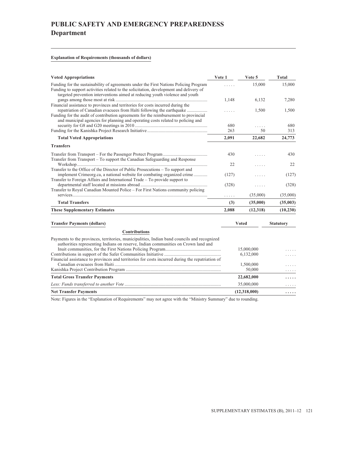## **PUBLIC SAFETY AND EMERGENCY PREPAREDNESS Department**

### **Explanation of Requirements (thousands of dollars)**

| <b>Voted Appropriations</b>                                                                                                                                                                                                                                     | Vote 1 | Vote 5       | <b>Total</b>     |
|-----------------------------------------------------------------------------------------------------------------------------------------------------------------------------------------------------------------------------------------------------------------|--------|--------------|------------------|
| Funding for the sustainability of agreements under the First Nations Policing Program<br>Funding to support activities related to the solicitation, development and delivery of<br>targeted prevention interventions aimed at reducing youth violence and youth | .      | 15,000       | 15,000           |
| Financial assistance to provinces and territories for costs incurred during the                                                                                                                                                                                 | 1,148  | 6,132        | 7,280            |
| Funding for the audit of contribution agreements for the reimbursement to provincial<br>and municipal agencies for planning and operating costs related to policing and                                                                                         |        | 1,500        | 1,500            |
|                                                                                                                                                                                                                                                                 | 680    | .            | 680              |
|                                                                                                                                                                                                                                                                 | 263    | 50           | 313              |
| <b>Total Voted Appropriations</b>                                                                                                                                                                                                                               | 2,091  | 22,682       | 24,773           |
| <b>Transfers</b>                                                                                                                                                                                                                                                |        |              |                  |
| Transfer from Transport – To support the Canadian Safeguarding and Response                                                                                                                                                                                     | 430    | .            | 430              |
|                                                                                                                                                                                                                                                                 | 22     |              | 22               |
| Transfer to the Office of the Director of Public Prosecutions – To support and<br>implement Crimeorg.ca, a national website for combating organized crime<br>Transfer to Foreign Affairs and International Trade – To provide support to                        | (127)  | .            | (127)            |
| Transfer to Royal Canadian Mounted Police – For First Nations community policing                                                                                                                                                                                | (328)  | .            | (328)            |
|                                                                                                                                                                                                                                                                 | .      | (35,000)     | (35,000)         |
| <b>Total Transfers</b>                                                                                                                                                                                                                                          | (3)    | (35,000)     | (35,003)         |
| <b>These Supplementary Estimates</b>                                                                                                                                                                                                                            | 2,088  | (12,318)     | (10, 230)        |
| <b>Transfer Payments (dollars)</b>                                                                                                                                                                                                                              |        | <b>Voted</b> | <b>Statutory</b> |
| <b>Contributions</b>                                                                                                                                                                                                                                            |        |              |                  |
| Payments to the provinces, territories, municipalities, Indian band councils and recognized<br>authorities representing Indians on reserve, Indian communities on Crown land and                                                                                |        |              |                  |
|                                                                                                                                                                                                                                                                 |        | 15,000,000   |                  |
| Financial assistance to provinces and territories for costs incurred during the repatriation of                                                                                                                                                                 |        | 6,132,000    |                  |
|                                                                                                                                                                                                                                                                 |        | 1,500,000    |                  |
|                                                                                                                                                                                                                                                                 |        | 50,000       | .                |
| <b>Total Gross Transfer Payments</b>                                                                                                                                                                                                                            |        | 22,682,000   | .                |
|                                                                                                                                                                                                                                                                 |        | 35,000,000   | .                |
| <b>Net Transfer Payments</b>                                                                                                                                                                                                                                    |        | (12,318,000) | .                |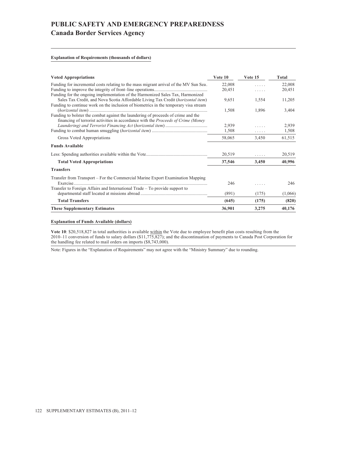## **PUBLIC SAFETY AND EMERGENCY PREPAREDNESS Canada Border Services Agency**

#### **Explanation of Requirements (thousands of dollars)**

| <b>Voted Appropriations</b>                                                                                                                                            | Vote 10 | Vote 15 | Total   |
|------------------------------------------------------------------------------------------------------------------------------------------------------------------------|---------|---------|---------|
| Funding for incremental costs relating to the mass migrant arrival of the MV Sun Sea.                                                                                  | 22,008  | .       | 22,008  |
|                                                                                                                                                                        | 20,451  | .       | 20,451  |
| Funding for the ongoing implementation of the Harmonized Sales Tax, Harmonized<br>Sales Tax Credit, and Nova Scotia Affordable Living Tax Credit (horizontal item)     | 9,651   | 1.554   | 11,205  |
| Funding to continue work on the inclusion of biometrics in the temporary visa stream                                                                                   | 1,508   | 1.896   | 3,404   |
| Funding to bolster the combat against the laundering of proceeds of crime and the<br>financing of terrorist activities in accordance with the Proceeds of Crime (Money |         |         |         |
|                                                                                                                                                                        | 2,939   | .       | 2,939   |
|                                                                                                                                                                        | 1,508   | .       | 1,508   |
| Gross Voted Appropriations                                                                                                                                             | 58,065  | 3.450   | 61,515  |
| <b>Funds Available</b>                                                                                                                                                 |         |         |         |
|                                                                                                                                                                        | 20,519  | .       | 20,519  |
| <b>Total Voted Appropriations</b>                                                                                                                                      | 37,546  | 3,450   | 40,996  |
| <b>Transfers</b>                                                                                                                                                       |         |         |         |
| Transfer from Transport – For the Commercial Marine Export Examination Mapping                                                                                         | 246     |         | 246     |
| Transfer to Foreign Affairs and International Trade – To provide support to                                                                                            |         |         |         |
|                                                                                                                                                                        | (891)   | (175)   | (1,066) |
| <b>Total Transfers</b>                                                                                                                                                 | (645)   | (175)   | (820)   |
| <b>These Supplementary Estimates</b>                                                                                                                                   | 36,901  | 3.275   | 40,176  |

#### **Explanation of Funds Available (dollars)**

Vote 10: \$20,518,827 in total authorities is available within the Vote due to employee benefit plan costs resulting from the 2010–11 conversion of funds to salary dollars (\$11,775,827); and the discontinuation of payments to Canada Post Corporation for the handling fee related to mail orders on imports (\$8,743,000).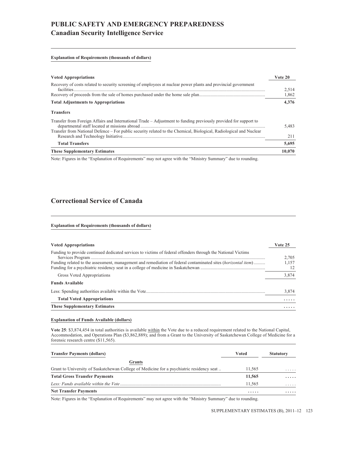## **PUBLIC SAFETY AND EMERGENCY PREPAREDNESS Canadian Security Intelligence Service**

#### **Explanation of Requirements (thousands of dollars)**

| <b>Voted Appropriations</b>                                                                                                                                                                                                            | Vote 20        |
|----------------------------------------------------------------------------------------------------------------------------------------------------------------------------------------------------------------------------------------|----------------|
| Recovery of costs related to security screening of employees at nuclear power plants and provincial government                                                                                                                         | 2.514<br>1,862 |
| <b>Total Adjustments to Appropriations</b>                                                                                                                                                                                             | 4.376          |
| <b>Transfers</b>                                                                                                                                                                                                                       |                |
| Transfer from Foreign Affairs and International Trade – Adjustment to funding previously provided for support to<br>Transfer from National Defence – For public security related to the Chemical, Biological, Radiological and Nuclear | 5.483<br>211   |
| <b>Total Transfers</b>                                                                                                                                                                                                                 | 5,695          |
| <b>These Supplementary Estimates</b>                                                                                                                                                                                                   | 10,070         |

Note: Figures in the "Explanation of Requirements" may not agree with the "Ministry Summary" due to rounding.

### **Correctional Service of Canada**

#### **Explanation of Requirements (thousands of dollars)**

| <b>Voted Appropriations</b>                                                                                                                                                                                                            | Vote 25              |
|----------------------------------------------------------------------------------------------------------------------------------------------------------------------------------------------------------------------------------------|----------------------|
| Funding to provide continued dedicated services to victims of federal offenders through the National Victims<br>Funding related to the assessment, management and remediation of federal contaminated sites ( <i>horizontal item</i> ) | 2.705<br>1.157<br>12 |
| Gross Voted Appropriations                                                                                                                                                                                                             | 3.874                |
| <b>Funds Available</b>                                                                                                                                                                                                                 |                      |
|                                                                                                                                                                                                                                        | 3.874                |
| <b>Total Voted Appropriations</b>                                                                                                                                                                                                      | .                    |
| <b>These Supplementary Estimates</b>                                                                                                                                                                                                   | .                    |

#### **Explanation of Funds Available (dollars)**

**Vote 25**: \$3,874,454 in total authorities is available within the Vote due to a reduced requirement related to the National Capital, Accommodation, and Operations Plan (\$3,862,889); and from a Grant to the University of Saskatchewan College of Medicine for a forensic research centre (\$11,565).

| <b>Transfer Payments (dollars)</b>                                                       | Voted  | <b>Statutory</b> |
|------------------------------------------------------------------------------------------|--------|------------------|
| Grants                                                                                   |        |                  |
| Grant to University of Saskatchewan College of Medicine for a psychiatric residency seat | 11.565 | .                |
| <b>Total Gross Transfer Payments</b>                                                     | 11,565 | .                |
|                                                                                          | 11.565 | .                |
| <b>Net Transfer Payments</b>                                                             | .      | .                |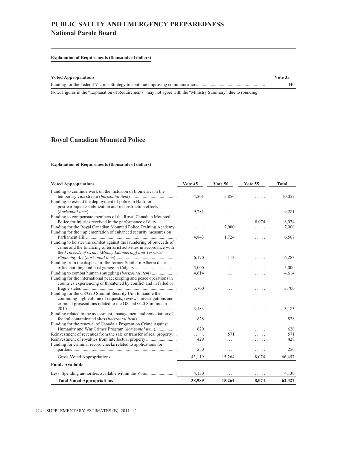## **PUBLIC SAFETY AND EMERGENCY PREPAREDNESS National Parole Board**

#### **Explanation of Requirements (thousands of dollars)**

| <b>Voted Appropriations</b>                                                                                   | Vote 35 |
|---------------------------------------------------------------------------------------------------------------|---------|
|                                                                                                               | 440     |
| Note: Figures in the "Explanation of Requirements" may not agree with the "Ministry Summary" due to rounding. |         |

### **Royal Canadian Mounted Police**

#### **Explanation of Requirements (thousands of dollars)**

| <b>Voted Appropriations</b>                                         | Vote 45 | Vote 50 | Vote 55 | <b>Total</b> |
|---------------------------------------------------------------------|---------|---------|---------|--------------|
| Funding to continue work on the inclusion of biometrics in the      |         |         |         |              |
|                                                                     | 4,201   | 5,856   | .       | 10,057       |
| Funding to extend the deployment of police in Haiti for             |         |         |         |              |
| post-earthquake stabilization and reconstruction efforts            |         |         |         |              |
|                                                                     | 9,281   | .       | .       | 9,281        |
| Funding to compensate members of the Royal Canadian Mounted         |         |         |         |              |
|                                                                     | .       | .       | 8,074   | 8,074        |
| Funding for the Royal Canadian Mounted Police Training Academy.     | .       | 7,000   | .       | 7,000        |
| Funding for the implementation of enhanced security measures on     |         |         |         |              |
|                                                                     | 4,843   | 1,724   | .       | 6,567        |
| Funding to bolster the combat against the laundering of proceeds of |         |         |         |              |
| crime and the financing of terrorist activities in accordance with  |         |         |         |              |
| the Proceeds of Crime (Money Laundering) and Terrorist              |         |         |         |              |
|                                                                     | 6,170   | 113     | .       | 6,283        |
| Funding from the disposal of the former Southern Alberta district   |         |         |         |              |
|                                                                     | 5,000   | .       |         | 5,000        |
| Funding to combat human smuggling (horizontal item)                 | 4,614   |         | .       | 4,614        |
| Funding for the international peace keeping and peace operations in |         |         |         |              |
| countries experiencing or threatened by conflict and in failed or   |         |         |         |              |
|                                                                     | 3,700   |         | .       | 3,700        |
| Funding for the G8/G20 Summit Security Unit to handle the           |         |         |         |              |
| continuing high volume of requests, reviews, investigations and     |         |         |         |              |
| criminal prosecutions related to the G8 and G20 Summits in          |         |         |         |              |
|                                                                     | 3,183   | .       | .       | 3,183        |
| Funding related to the assessment, management and remediation of    |         |         |         |              |
|                                                                     | 828     | .       | .       | 828          |
| Funding for the renewal of Canada's Program on Crime Against        |         |         |         |              |
|                                                                     | 620     | .       |         | 620          |
| Reinvestment of revenues from the sale or transfer of real property | .       | 571     | .<br>.  | 571          |
| Reinvestment of royalties from intellectual property                | 429     |         |         | 429          |
| Funding for criminal record checks related to applications for      |         | .       | .       |              |
|                                                                     | 250     |         |         | 250          |
|                                                                     |         | .       | .       |              |
| Gross Voted Appropriations                                          | 43,119  | 15,264  | 8,074   | 66,457       |
| <b>Funds Available</b>                                              |         |         |         |              |
| Less: Spending authorities available within the Vote                | 4,130   | .       | .       | 4,130        |
| <b>Total Voted Appropriations</b>                                   | 38,989  | 15,264  | 8,074   | 62,327       |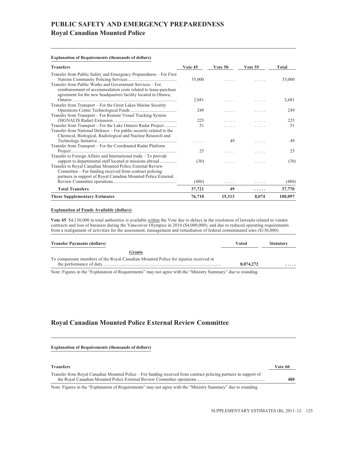## **PUBLIC SAFETY AND EMERGENCY PREPAREDNESS Royal Canadian Mounted Police**

#### **Explanation of Requirements (thousands of dollars)**

| <b>Transfers</b>                                                                                                                                                                                 | Vote 45 | Vote 50 | Vote 55 | Total   |
|--------------------------------------------------------------------------------------------------------------------------------------------------------------------------------------------------|---------|---------|---------|---------|
| Transfer from Public Safety and Emergency Preparedness – For First<br>Transfer from Public Works and Government Services – For<br>reimbursement of accommodation costs related to lease-purchase | 35,000  |         |         | 35,000  |
| agreement for the new headquarters facility located in Ottawa,                                                                                                                                   | 2,681   |         |         | 2,681   |
| Transfer from Transport – For the Great Lakes Marine Security                                                                                                                                    |         | .       | .       |         |
|                                                                                                                                                                                                  | 249     | .       | .       | 249     |
| Transfer from Transport – For Remote Vessel Tracking System                                                                                                                                      |         |         |         |         |
|                                                                                                                                                                                                  | 225     |         |         | 225     |
| Transfer from Transport - For the Lake Ontario Radar Project                                                                                                                                     | 51      | .       |         | 51      |
| Transfer from National Defence – For public security related to the                                                                                                                              |         |         |         |         |
| Chemical, Biological, Radiological and Nuclear Research and                                                                                                                                      |         |         |         |         |
|                                                                                                                                                                                                  |         | 49      | .       | 49      |
| Transfer from Transport – For the Coordinated Radar Platform                                                                                                                                     | 25      |         |         | 25      |
| Transfer to Foreign Affairs and International trade – To provide                                                                                                                                 |         | .       | .       |         |
|                                                                                                                                                                                                  | (30)    | .       | .       | (30)    |
| Transfer to Royal Canadian Mounted Police External Review                                                                                                                                        |         |         |         |         |
| Committee – For funding received from contract policing                                                                                                                                          |         |         |         |         |
| partners in support of Royal Canadian Mounted Police External                                                                                                                                    |         |         |         |         |
|                                                                                                                                                                                                  | (480)   | .       | .       | (480)   |
| <b>Total Transfers</b>                                                                                                                                                                           | 37,721  | 49      | .       | 37,770  |
| <b>These Supplementary Estimates</b>                                                                                                                                                             | 76,710  | 15,313  | 8,074   | 100,097 |

#### **Explanation of Funds Available (dollars)**

**Vote 45**: \$4,130,000 in total authorities is available within the Vote due to delays in the resolution of lawsuits related to vendor contracts and loss of business during the Vancouver Olympics in 2010 (\$4,000,000); and due to reduced operating requirements from a realignment of activities for the assessment, management and remediation of federal contaminated sites (\$130,000).

| <b>Transfer Payments (dollars)</b>                                                  | Voted     | <b>Statutory</b> |
|-------------------------------------------------------------------------------------|-----------|------------------|
| <b>Grants</b>                                                                       |           |                  |
| To compensate members of the Royal Canadian Mounted Police for injuries received in |           |                  |
|                                                                                     | 8,074,272 | .                |

Note: Figures in the "Explanation of Requirements" may not agree with the "Ministry Summary" due to rounding.

### **Royal Canadian Mounted Police External Review Committee**

| <b>Explanation of Requirements (thousands of dollars)</b>                                                        |         |
|------------------------------------------------------------------------------------------------------------------|---------|
|                                                                                                                  |         |
| <b>Transfers</b>                                                                                                 | Vote 60 |
| Transfer from Royal Canadian Mounted Police – For funding received from contract policing partners in support of | 480     |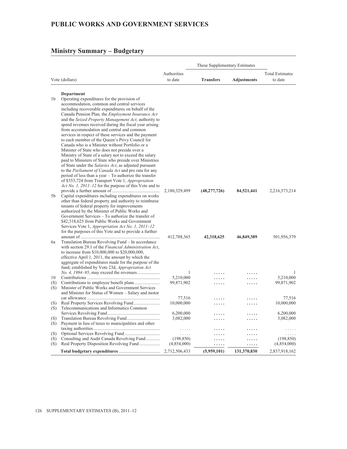### **PUBLIC WORKS AND GOVERNMENT SERVICES**

|            |                                                                                                                                                                                                                                                                                                                                                                                           |                         | These Supplementary Estimates |                    |                         |  |
|------------|-------------------------------------------------------------------------------------------------------------------------------------------------------------------------------------------------------------------------------------------------------------------------------------------------------------------------------------------------------------------------------------------|-------------------------|-------------------------------|--------------------|-------------------------|--|
|            |                                                                                                                                                                                                                                                                                                                                                                                           | Authorities             |                               |                    | <b>Total Estimates</b>  |  |
|            | Vote (dollars)                                                                                                                                                                                                                                                                                                                                                                            | to date                 | <b>Transfers</b>              | <b>Adjustments</b> | to date                 |  |
|            |                                                                                                                                                                                                                                                                                                                                                                                           |                         |                               |                    |                         |  |
| 1b         | Department<br>Operating expenditures for the provision of<br>accommodation, common and central services<br>including recoverable expenditures on behalf of the<br>Canada Pension Plan, the <i>Employment Insurance Act</i><br>and the Seized Property Management Act; authority to<br>spend revenues received during the fiscal year arising<br>from accommodation and central and common |                         |                               |                    |                         |  |
|            | services in respect of these services and the payment<br>to each member of the Queen's Privy Council for<br>Canada who is a Minister without Portfolio or a<br>Minister of State who does not preside over a<br>Ministry of State of a salary not to exceed the salary                                                                                                                    |                         |                               |                    |                         |  |
|            | paid to Ministers of State who preside over Ministries<br>of State under the <i>Salaries Act</i> , as adjusted pursuant<br>to the Parliament of Canada Act and pro rata for any<br>period of less than a year – To authorize the transfer<br>of \$353,724 from Transport Vote 1, Appropriation<br><i>Act No. 1, 2011–12</i> for the purpose of this Vote and to                           |                         |                               |                    |                         |  |
| 5b         | Capital expenditures including expenditures on works<br>other than federal property and authority to reimburse<br>tenants of federal property for improvements<br>authorized by the Minister of Public Works and<br>Government Services – To authorize the transfer of<br>\$42,318,625 from Public Works and Government<br>Services Vote 1, Appropriation Act No. 1, 2011-12              | 2,180,329,499           | (48, 277, 726)                | 84,521,441         | 2,216,573,214           |  |
| 6a         | for the purposes of this Vote and to provide a further<br>Translation Bureau Revolving Fund - In accordance<br>with section 29.1 of the Financial Administration Act,<br>to increase from \$10,000,000 to \$20,000,000,<br>effective April 1, 2011, the amount by which the<br>aggregate of expenditures made for the purpose of the<br>fund, established by Vote 23d, Appropriation Act  | 412,788,365             | 42,318,625                    | 46,849,389         | 501,956,379             |  |
|            |                                                                                                                                                                                                                                                                                                                                                                                           | 1                       |                               |                    | 1                       |  |
| 10<br>(S)  |                                                                                                                                                                                                                                                                                                                                                                                           | 5,210,000<br>99,871,902 |                               |                    | 5,210,000<br>99,871,902 |  |
| (S)        | Minister of Public Works and Government Services<br>and Minister for Status of Women – Salary and motor                                                                                                                                                                                                                                                                                   |                         |                               |                    |                         |  |
|            |                                                                                                                                                                                                                                                                                                                                                                                           | 77,516                  |                               |                    | 77,516                  |  |
| (S)<br>(S) | Telecommunications and Informatics Common                                                                                                                                                                                                                                                                                                                                                 | 10,000,000              | .                             | .                  | 10,000,000              |  |
|            |                                                                                                                                                                                                                                                                                                                                                                                           | 6,200,000               | .                             | .                  | 6,200,000               |  |
| (S)<br>(S) | Payment in lieu of taxes to municipalities and other                                                                                                                                                                                                                                                                                                                                      | 3,082,000               | .                             | .                  | 3,082,000               |  |
| (S)        |                                                                                                                                                                                                                                                                                                                                                                                           | .<br>1.1.1.1            |                               |                    | .<br>.                  |  |
| (S)        | Consulting and Audit Canada Revolving Fund                                                                                                                                                                                                                                                                                                                                                | (198, 850)              | .                             | .                  | (198, 850)              |  |
| (S)        |                                                                                                                                                                                                                                                                                                                                                                                           | (4,854,000)             | .                             | .                  | (4,854,000)             |  |
|            |                                                                                                                                                                                                                                                                                                                                                                                           | 2,712,506,433           | (5,959,101)                   | 131,370,830        | 2,837,918,162           |  |

## **Ministry Summary – Budgetary**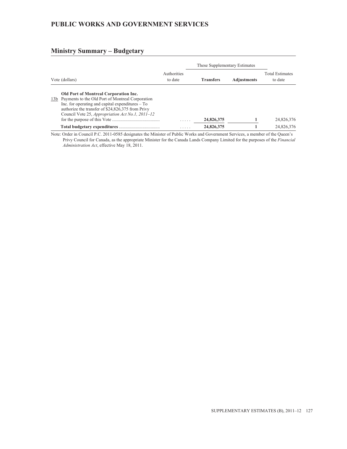### **PUBLIC WORKS AND GOVERNMENT SERVICES**

|                                                                                                                                                                                                                                                                             |                        | These Supplementary Estimates |                    |                                   |
|-----------------------------------------------------------------------------------------------------------------------------------------------------------------------------------------------------------------------------------------------------------------------------|------------------------|-------------------------------|--------------------|-----------------------------------|
| Vote (dollars)                                                                                                                                                                                                                                                              | Authorities<br>to date | <b>Transfers</b>              | <b>Adjustments</b> | <b>Total Estimates</b><br>to date |
| <b>Old Port of Montreal Corporation Inc.</b><br>13b Payments to the Old Port of Montreal Corporation<br>Inc. for operating and capital expenditures $-$ To<br>authorize the transfer of \$24,826,375 from Privy<br>Council Vote 25, <i>Appropriation Act No.1</i> , 2011–12 | .                      | 24,826,375                    |                    | 24,826,376                        |
|                                                                                                                                                                                                                                                                             | .                      | 24,826,375                    |                    | 24,826,376                        |

### **Ministry Summary – Budgetary**

Note: Order in Council P.C. 2011-0585 designates the Minister of Public Works and Government Services, a member of the Queen's Privy Council for Canada, as the appropriate Minister for the Canada Lands Company Limited for the purposes of the *Financial Administration Act*, effective May 18, 2011.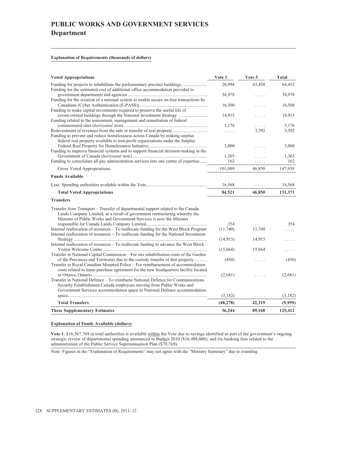## **PUBLIC WORKS AND GOVERNMENT SERVICES Department**

**Explanation of Requirements (thousands of dollars)**

| <b>Voted Appropriations</b>                                                                                                                                                                                                            | Vote 1       | Vote 5     | <b>Total</b>   |
|----------------------------------------------------------------------------------------------------------------------------------------------------------------------------------------------------------------------------------------|--------------|------------|----------------|
| Funding for projects to rehabilitate the parliamentary precinct buildings<br>Funding for the estimated cost of additional office accommodation provided to                                                                             | 20,994       | 43,458     | 64,452         |
| Funding for the creation of a national system to enable secure on-line transactions by                                                                                                                                                 | 38,978       |            | 38,978         |
| Funding to make capital investments required to preserve the useful life of                                                                                                                                                            | 16,500       | .          | 16,500         |
| Funding related to the assessment, management and remediation of federal                                                                                                                                                               | 14,915       |            | 14,915         |
|                                                                                                                                                                                                                                        | 5,176<br>.   | .<br>3,392 | 5.176<br>3,392 |
| Funding to prevent and reduce homelessness across Canada by making surplus<br>federal real property available to non-profit organizations under the Surplus                                                                            |              |            |                |
| Funding to improve financial systems and to support financial decision-making in the                                                                                                                                                   | 3,000        | .          | 3,000          |
| Funding to consolidate all pay administration services into one centre of expertise                                                                                                                                                    | 1,365<br>162 | .<br>.     | 1,365<br>162   |
| Gross Voted Appropriations                                                                                                                                                                                                             | 101,089      | 46,850     | 147,939        |
| <b>Funds Available</b>                                                                                                                                                                                                                 |              |            |                |
|                                                                                                                                                                                                                                        |              |            |                |
|                                                                                                                                                                                                                                        | 16,568       | 1.1.1.1    | 16,568         |
| <b>Total Voted Appropriations</b>                                                                                                                                                                                                      | 84,521       | 46,850     | 131,371        |
| <b>Transfers</b>                                                                                                                                                                                                                       |              |            |                |
| Transfer from Transport – Transfer of departmental support related to the Canada<br>Lands Company Limited, as a result of government restructuring whereby the<br>Minister of Public Works and Government Services is now the Minister |              |            |                |
|                                                                                                                                                                                                                                        | 354          |            | 354            |
| Internal reallocation of resources – To reallocate funding for the West Block Program<br>Internal reallocation of resources – To reallocate funding for the National Investment                                                        | (11,740)     | 11,740     |                |
| Internal reallocation of resources – To reallocate funding to advance the West Block                                                                                                                                                   | (14,915)     | 14,915     |                |
|                                                                                                                                                                                                                                        | (15,664)     | 15,664     | .              |
| Transfer to National Capital Commission – For site rehabilitation costs of the Garden<br>of the Provinces and Territories due to the custody transfer of that property                                                                 | (450)        | 1.1.1.1    | (450)          |
| Transfer to Royal Canadian Mounted Police – For reimbursement of accommodation<br>costs related to lease-purchase agreement for the new headquarters facility located                                                                  |              |            |                |
| Transfer to National Defence – To reimburse National Defence for Communications                                                                                                                                                        | (2,681)      |            | (2,681)        |
| Security Establishment Canada employees moving from Public Works and<br>Government Services accommodation space to National Defence accommodation                                                                                      |              |            |                |
|                                                                                                                                                                                                                                        | (3,182)      | .          | (3,182)        |
| <b>Total Transfers</b>                                                                                                                                                                                                                 | (48, 278)    | 42,319     | (5,959)        |
| <b>These Supplementary Estimates</b>                                                                                                                                                                                                   | 36,244       | 89,168     | 125,412        |

#### **Explanation of Funds Available (dollars)**

**Vote 1**: \$16,567,769 in total authorities is available within the Vote due to savings identified as part of the government's ongoing strategic review of departmental spending announced in Budget 2010 (\$16,488,000); and for banking fees related to the administration of the Public Service Superannuation Plan (\$79,769).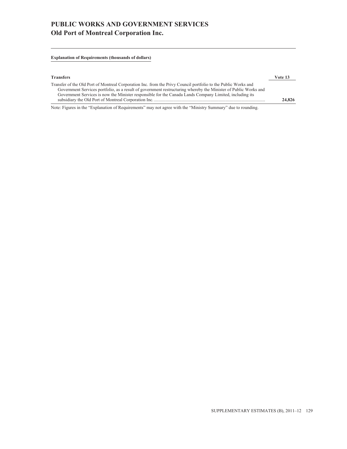## **PUBLIC WORKS AND GOVERNMENT SERVICES Old Port of Montreal Corporation Inc.**

### **Explanation of Requirements (thousands of dollars)**

| <b>Transfers</b>                                                                                                | Vote 13 |
|-----------------------------------------------------------------------------------------------------------------|---------|
| Transfer of the Old Port of Montreal Corporation Inc. from the Privy Council portfolio to the Public Works and  |         |
| Government Services portfolio, as a result of government restructuring whereby the Minister of Public Works and |         |
| Government Services is now the Minister responsible for the Canada Lands Company Limited, including its         |         |
|                                                                                                                 | 24,826  |
|                                                                                                                 |         |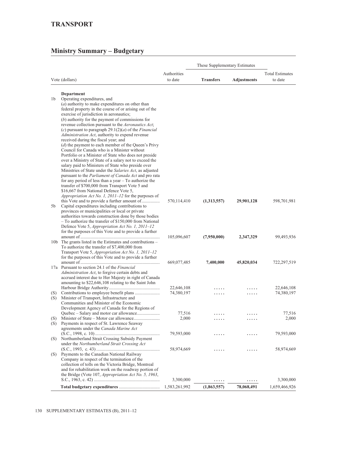|     |                                                                                                                         |                        | These Supplementary Estimates |             |                                   |
|-----|-------------------------------------------------------------------------------------------------------------------------|------------------------|-------------------------------|-------------|-----------------------------------|
|     | Vote (dollars)                                                                                                          | Authorities<br>to date | <b>Transfers</b>              | Adjustments | <b>Total Estimates</b><br>to date |
|     | Department                                                                                                              |                        |                               |             |                                   |
| 1b  | Operating expenditures, and                                                                                             |                        |                               |             |                                   |
|     | $(a)$ authority to make expenditures on other than                                                                      |                        |                               |             |                                   |
|     | federal property in the course of or arising out of the                                                                 |                        |                               |             |                                   |
|     | exercise of jurisdiction in aeronautics;<br>$(b)$ authority for the payment of commissions for                          |                        |                               |             |                                   |
|     | revenue collection pursuant to the Aeronautics Act;                                                                     |                        |                               |             |                                   |
|     | (c) pursuant to paragraph 29.1(2)( <i>a</i> ) of the <i>Financial</i>                                                   |                        |                               |             |                                   |
|     | Administration Act, authority to expend revenue                                                                         |                        |                               |             |                                   |
|     | received during the fiscal year; and                                                                                    |                        |                               |             |                                   |
|     | $(d)$ the payment to each member of the Queen's Privy                                                                   |                        |                               |             |                                   |
|     | Council for Canada who is a Minister without                                                                            |                        |                               |             |                                   |
|     | Portfolio or a Minister of State who does not preside                                                                   |                        |                               |             |                                   |
|     | over a Ministry of State of a salary not to exceed the                                                                  |                        |                               |             |                                   |
|     | salary paid to Ministers of State who preside over                                                                      |                        |                               |             |                                   |
|     | Ministries of State under the Salaries Act, as adjusted<br>pursuant to the <i>Parliament of Canada Act</i> and pro rata |                        |                               |             |                                   |
|     | for any period of less than a year $-$ To authorize the                                                                 |                        |                               |             |                                   |
|     | transfer of \$700,000 from Transport Vote 5 and                                                                         |                        |                               |             |                                   |
|     | \$16,667 from National Defence Vote 5,                                                                                  |                        |                               |             |                                   |
|     | <i>Appropriation Act No. 1, 2011–12</i> for the purposes of                                                             |                        |                               |             |                                   |
|     | this Vote and to provide a further amount of                                                                            | 570,114,410            | (1,313,557)                   | 29,901,128  | 598,701,981                       |
| 5b  | Capital expenditures including contributions to                                                                         |                        |                               |             |                                   |
|     | provinces or municipalities or local or private                                                                         |                        |                               |             |                                   |
|     | authorities towards construction done by those bodies                                                                   |                        |                               |             |                                   |
|     | - To authorize the transfer of \$150,000 from National<br>Defence Vote 5, Appropriation Act No. 1, 2011-12              |                        |                               |             |                                   |
|     | for the purposes of this Vote and to provide a further                                                                  |                        |                               |             |                                   |
|     |                                                                                                                         | 105,096,607            | (7,950,000)                   | 2,347,329   | 99,493,936                        |
|     | 10b The grants listed in the Estimates and contributions –                                                              |                        |                               |             |                                   |
|     | To authorize the transfer of \$7,400,000 from                                                                           |                        |                               |             |                                   |
|     | Transport Vote 5, Appropriation Act No. 1, 2011–12                                                                      |                        |                               |             |                                   |
|     | for the purposes of this Vote and to provide a further                                                                  |                        |                               |             |                                   |
|     |                                                                                                                         | 669,077,485            | 7,400,000                     | 45,820,034  | 722,297,519                       |
|     | 17a Pursuant to section 24.1 of the <i>Financial</i>                                                                    |                        |                               |             |                                   |
|     | <i>Administration Act</i> , to forgive certain debts and                                                                |                        |                               |             |                                   |
|     | accrued interest due to Her Majesty in right of Canada<br>amounting to \$22,646,108 relating to the Saint John          |                        |                               |             |                                   |
|     |                                                                                                                         | 22,646,108             |                               |             | 22,646,108                        |
| (S) |                                                                                                                         | 74,380,197             |                               |             | 74,380,197                        |
| (S) | Minister of Transport, Infrastructure and                                                                               |                        |                               |             |                                   |
|     | Communities and Minister of the Economic                                                                                |                        |                               |             |                                   |
|     | Development Agency of Canada for the Regions of                                                                         |                        |                               |             |                                   |
|     | Quebec - Salary and motor car allowance                                                                                 | 77,516                 |                               |             | 77,516                            |
| (S) |                                                                                                                         | 2,000                  | .                             | .           | 2,000                             |
| (S) | Payments in respect of St. Lawrence Seaway                                                                              |                        |                               |             |                                   |
|     | agreements under the Canada Marine Act                                                                                  |                        |                               |             | 79,593,000                        |
| (S) | Northumberland Strait Crossing Subsidy Payment                                                                          | 79,593,000             |                               |             |                                   |
|     | under the Northumberland Strait Crossing Act                                                                            |                        |                               |             |                                   |
|     |                                                                                                                         | 58,974,669             |                               |             | 58,974,669                        |
| (S) | Payments to the Canadian National Railway                                                                               |                        |                               |             |                                   |
|     | Company in respect of the termination of the                                                                            |                        |                               |             |                                   |
|     | collection of tolls on the Victoria Bridge, Montreal                                                                    |                        |                               |             |                                   |
|     | and for rehabilitation work on the roadway portion of                                                                   |                        |                               |             |                                   |
|     | the Bridge (Vote 107, <i>Appropriation Act No. 5, 1963</i> ,                                                            |                        |                               |             |                                   |
|     |                                                                                                                         | 3,300,000              | .                             | .           | 3,300,000                         |
|     |                                                                                                                         | 1,583,261,992          | (1,863,557)                   | 78,068,491  | 1,659,466,926                     |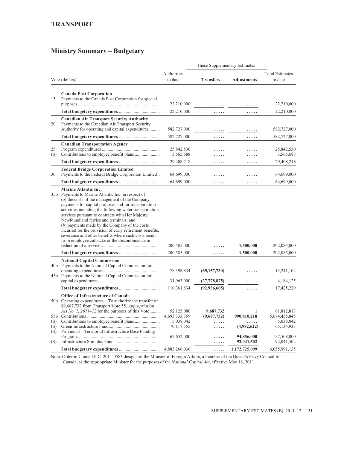### **Ministry Summary – Budgetary**

|            |                                                                                                                                                                                                                                                                                                                                                                                                                                                                                                                                                 |                                | These Supplementary Estimates |                    |                             |
|------------|-------------------------------------------------------------------------------------------------------------------------------------------------------------------------------------------------------------------------------------------------------------------------------------------------------------------------------------------------------------------------------------------------------------------------------------------------------------------------------------------------------------------------------------------------|--------------------------------|-------------------------------|--------------------|-----------------------------|
|            |                                                                                                                                                                                                                                                                                                                                                                                                                                                                                                                                                 | Authorities                    |                               |                    | <b>Total Estimates</b>      |
|            | Vote (dollars)                                                                                                                                                                                                                                                                                                                                                                                                                                                                                                                                  | to date                        | <b>Transfers</b>              | <b>Adjustments</b> | to date                     |
|            | <b>Canada Post Corporation</b>                                                                                                                                                                                                                                                                                                                                                                                                                                                                                                                  |                                |                               |                    |                             |
| 15         | Payments to the Canada Post Corporation for special                                                                                                                                                                                                                                                                                                                                                                                                                                                                                             |                                |                               |                    |                             |
|            |                                                                                                                                                                                                                                                                                                                                                                                                                                                                                                                                                 | 22,210,000                     | .                             |                    | 22,210,000                  |
|            |                                                                                                                                                                                                                                                                                                                                                                                                                                                                                                                                                 | 22,210,000                     | .                             | .                  | 22,210,000                  |
| 20         | <b>Canadian Air Transport Security Authority</b><br>Payments to the Canadian Air Transport Security<br>Authority for operating and capital expenditures                                                                                                                                                                                                                                                                                                                                                                                         | 582,727,000                    |                               |                    | 582,727,000                 |
|            |                                                                                                                                                                                                                                                                                                                                                                                                                                                                                                                                                 | 582,727,000                    | .                             | .                  | 582,727,000                 |
|            |                                                                                                                                                                                                                                                                                                                                                                                                                                                                                                                                                 |                                | .                             | .                  |                             |
| 25<br>(S)  | <b>Canadian Transportation Agency</b>                                                                                                                                                                                                                                                                                                                                                                                                                                                                                                           | 25,842,530<br>3,565,688        | .<br>.                        | .<br>.             | 25,842,530<br>3,565,688     |
|            |                                                                                                                                                                                                                                                                                                                                                                                                                                                                                                                                                 | 29,408,218                     | .                             | .                  | 29,408,218                  |
| 30         | <b>Federal Bridge Corporation Limited</b><br>Payments to the Federal Bridge Corporation Limited                                                                                                                                                                                                                                                                                                                                                                                                                                                 | 64,699,000                     | .                             | .                  | 64,699,000                  |
|            |                                                                                                                                                                                                                                                                                                                                                                                                                                                                                                                                                 | 64,699,000                     |                               |                    | 64,699,000                  |
|            | Marine Atlantic Inc.                                                                                                                                                                                                                                                                                                                                                                                                                                                                                                                            |                                | .                             | .                  |                             |
|            | 35b Payments to Marine Atlantic Inc. in respect of<br>(a) the costs of the management of the Company,<br>payments for capital purposes and for transportation<br>activities including the following water transportation<br>services pursuant to contracts with Her Majesty:<br>Newfoundland ferries and terminals; and<br>(b) payments made by the Company of the costs<br>incurred for the provision of early retirement benefits,<br>severance and other benefits where such costs result<br>from employee cutbacks or the discontinuance or | 200,585,000                    |                               | 1,500,000          | 202,085,000                 |
|            |                                                                                                                                                                                                                                                                                                                                                                                                                                                                                                                                                 | 200,585,000                    | .                             | 1,500,000          | 202,085,000                 |
|            | <b>National Capital Commission</b><br>40b Payments to the National Capital Commission for<br>45b Payments to the National Capital Commission for                                                                                                                                                                                                                                                                                                                                                                                                | 78,398,834                     | (65, 157, 730)                | .                  | 13,241,104                  |
|            |                                                                                                                                                                                                                                                                                                                                                                                                                                                                                                                                                 | 31,963,000                     | (27, 778, 875)                | .                  | 4,184,125                   |
|            |                                                                                                                                                                                                                                                                                                                                                                                                                                                                                                                                                 | 110,361,834                    | (92, 936, 605)                | .                  | 17,425,229                  |
|            | <b>Office of Infrastructure of Canada</b><br>50b Operating expenditures – To authorize the transfer of<br>\$9,687,732 from Transport Vote 55, Appropriation                                                                                                                                                                                                                                                                                                                                                                                     |                                |                               |                    |                             |
|            | <i>Act No. 1, 2011–12</i> for the purposes of this Vote                                                                                                                                                                                                                                                                                                                                                                                                                                                                                         | 52,125,080<br>4,693,333,359    | 9,687,732<br>(9,687,732)      | 1<br>990,810,218   | 61,812,813<br>5,674,455,845 |
| (S)        |                                                                                                                                                                                                                                                                                                                                                                                                                                                                                                                                                 | 5,038,042                      | .                             | .                  | 5,038,042                   |
| (S)        |                                                                                                                                                                                                                                                                                                                                                                                                                                                                                                                                                 | 70,117,555                     | .                             | (4,982,622)        | 65, 134, 933                |
| (S)        | Provincial – Territorial Infrastructure Base Funding                                                                                                                                                                                                                                                                                                                                                                                                                                                                                            | 62,652,000                     | .                             | 94,856,000         | 157,508,000                 |
| <u>(S)</u> |                                                                                                                                                                                                                                                                                                                                                                                                                                                                                                                                                 | $\alpha$ , $\alpha$ , $\alpha$ | .                             | 92,041,502         | 92,041,502                  |
|            |                                                                                                                                                                                                                                                                                                                                                                                                                                                                                                                                                 | 4,883,266,036                  | .                             | 1,172,725,099      | 6,055,991,135               |

Note: Order in Council P.C. 2011-0583 designates the Minister of Foreign Affairs, a member of the Queen's Privy Council for Canada, as the appriopriate Minister for the purposes of the *National Capital Act*, effective May 18, 2011.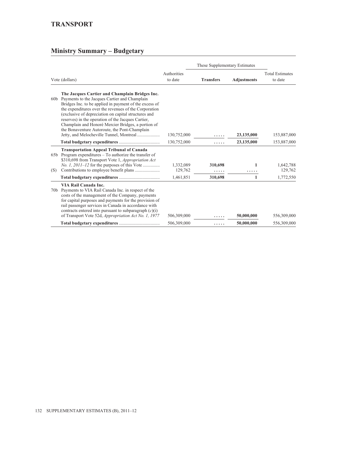## **Ministry Summary – Budgetary**

|                 |                                                                                                                                                                                                                                                                                                                                                                                                                                         |                        | These Supplementary Estimates |                    |                                   |
|-----------------|-----------------------------------------------------------------------------------------------------------------------------------------------------------------------------------------------------------------------------------------------------------------------------------------------------------------------------------------------------------------------------------------------------------------------------------------|------------------------|-------------------------------|--------------------|-----------------------------------|
|                 | Vote (dollars)                                                                                                                                                                                                                                                                                                                                                                                                                          | Authorities<br>to date | <b>Transfers</b>              | <b>Adjustments</b> | <b>Total Estimates</b><br>to date |
| 60 <sub>b</sub> | The Jacques Cartier and Champlain Bridges Inc.<br>Payments to the Jacques Cartier and Champlain<br>Bridges Inc. to be applied in payment of the excess of<br>the expenditures over the revenues of the Corporation<br>(exclusive of depreciation on capital structures and<br>reserves) in the operation of the Jacques Cartier,<br>Champlain and Honoré Mercier Bridges, a portion of<br>the Bonaventure Autoroute, the Pont-Champlain | 130,752,000            |                               | 23,135,000         | 153,887,000                       |
|                 |                                                                                                                                                                                                                                                                                                                                                                                                                                         | 130,752,000            | .                             | 23,135,000         | 153,887,000                       |
| (S)             | <b>Transportation Appeal Tribunal of Canada</b><br>65b Program expenditures – To authorize the transfer of<br>\$310,698 from Transport Vote 1, Appropriation Act<br><i>No. 1, 2011–12</i> for the purposes of this Vote                                                                                                                                                                                                                 | 1,332,089<br>129,762   | 310,698<br>.                  | 1                  | 1,642,788<br>129,762              |
|                 |                                                                                                                                                                                                                                                                                                                                                                                                                                         | 1,461,851              | 310,698                       | 1                  | 1,772,550                         |
|                 | VIA Rail Canada Inc.<br>70b Payments to VIA Rail Canada Inc. in respect of the<br>costs of the management of the Company, payments<br>for capital purposes and payments for the provision of<br>rail passenger services in Canada in accordance with<br>contracts entered into pursuant to subparagraph $(c)(i)$<br>of Transport Vote 52d, <i>Appropriation Act No. 1, 1977</i>                                                         | 506,309,000            |                               | 50,000,000         | 556,309,000                       |
|                 |                                                                                                                                                                                                                                                                                                                                                                                                                                         | 506,309,000            | .                             | 50,000,000         | 556,309,000                       |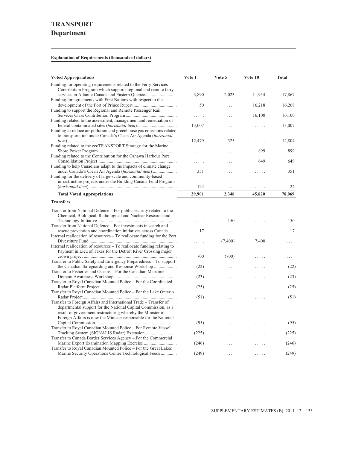## **TRANSPORT Department**

### **Explanation of Requirements (thousands of dollars)**

| <b>Voted Appropriations</b>                                                                                                             | Vote 1 | Vote 5  | Vote 10 | Total  |
|-----------------------------------------------------------------------------------------------------------------------------------------|--------|---------|---------|--------|
| Funding for operating requirements related to the Ferry Services<br>Contribution Program which supports regional and remote ferry       | 3,890  | 2,023   | 11,954  | 17,867 |
| Funding for agreements with First Nations with respect to the                                                                           |        |         |         |        |
|                                                                                                                                         | 50     | .       | 16,218  | 16,268 |
| Funding to support the Regional and Remote Passenger Rail                                                                               | .      | .       | 16,100  | 16,100 |
| Funding related to the assessment, management and remediation of                                                                        |        |         |         |        |
| Funding to reduce air pollution and greenhouse gas emissions related                                                                    | 13,007 | .       | .       | 13,007 |
| to transportation under Canada's Clean Air Agenda (horizontal                                                                           | 12,479 | 325     | .       | 12,804 |
| Funding related to the ecoTRANSPORT Strategy for the Marine                                                                             | .      | .       | 899     | 899    |
| Funding related to the Contribution for the Oshawa Harbour Port                                                                         |        |         |         |        |
|                                                                                                                                         | .      | .       | 649     | 649    |
| Funding to help Canadians adapt to the impacts of climate change                                                                        |        |         |         |        |
|                                                                                                                                         | 351    | .       | .       | 351    |
| Funding for the delivery of large-scale and community-based                                                                             |        |         |         |        |
| infrastructure projects under the Building Canada Fund Program                                                                          |        |         |         |        |
|                                                                                                                                         | 124    | .       | .       | 124    |
| <b>Total Voted Appropriations</b>                                                                                                       | 29,901 | 2,348   | 45,820  | 78,069 |
| <b>Transfers</b>                                                                                                                        |        |         |         |        |
| Transfer from National Defence – For public security related to the<br>Chemical, Biological, Radiological and Nuclear Research and      |        |         |         |        |
|                                                                                                                                         | .      | 150     | .       | 150    |
| Transfer from National Defence - For investments in search and                                                                          | 17     |         |         | 17     |
| rescue prevention and coordination initiatives across Canada<br>Internal reallocation of resources – To reallocate funding for the Port |        | .       | .       |        |
|                                                                                                                                         |        | (7,400) | 7,400   |        |
| Internal reallocation of resources – To reallocate funding relating to<br>Payment in Lieu of Taxes for the Detroit River Crossing major | .      |         |         | .      |
|                                                                                                                                         | 700    | (700)   | .       |        |
| Transfer to Public Safety and Emergency Preparedness – To support                                                                       |        |         |         |        |
|                                                                                                                                         | (22)   | .       | .       | (22)   |
| Transfer to Fisheries and Oceans - For the Canadian Maritime                                                                            |        |         |         |        |
|                                                                                                                                         | (23)   | .       | .       | (23)   |
| Transfer to Royal Canadian Mounted Police – For the Coordinated                                                                         |        |         |         |        |
|                                                                                                                                         | (25)   | .       | .       | (25)   |
| Transfer to Royal Canadian Mounted Police - For the Lake Ontario                                                                        |        |         |         |        |
| Transfer to Foreign Affairs and International Trade - Transfer of                                                                       | (51)   | .       | .       | (51)   |
| departmental support for the National Capital Commission, as a                                                                          |        |         |         |        |
| result of government restructuring whereby the Minister of<br>Foreign Affairs is now the Minister responsible for the National          |        |         |         |        |
|                                                                                                                                         | (95)   | .       | .       | (95)   |
| Transfer to Royal Canadian Mounted Police – For Remote Vessel                                                                           |        |         |         |        |
|                                                                                                                                         | (225)  | .       | .       | (225)  |
| Transfer to Canada Border Services Agency - For the Commercial                                                                          |        |         |         |        |
|                                                                                                                                         | (246)  |         |         | (246)  |
| Transfer to Royal Canadian Mounted Police – For the Great Lakes                                                                         |        |         |         |        |
| Marine Security Operations Centre Technological Feeds                                                                                   | (249)  | 1.1.1.1 | 1.1.1.1 | (249)  |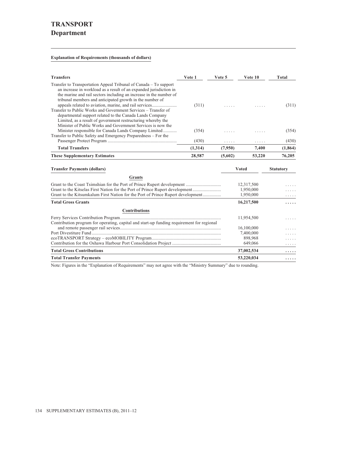## **TRANSPORT Department**

### **Explanation of Requirements (thousands of dollars)**

| <b>Transfers</b>                                                                                                                                                                                                                                                                                                                                                                                                                                                        | Vote 1  | Vote 5  | Vote 10                              | <b>Total</b>     |
|-------------------------------------------------------------------------------------------------------------------------------------------------------------------------------------------------------------------------------------------------------------------------------------------------------------------------------------------------------------------------------------------------------------------------------------------------------------------------|---------|---------|--------------------------------------|------------------|
| Transfer to Transportation Appeal Tribunal of Canada – To support<br>an increase in workload as a result of an expanded jurisdiction in<br>the marine and rail sectors including an increase in the number of<br>tribunal members and anticipated growth in the number of<br>Transfer to Public Works and Government Services – Transfer of<br>departmental support related to the Canada Lands Company<br>Limited, as a result of government restructuring whereby the | (311)   |         |                                      | (311)            |
| Minister of Public Works and Government Services is now the<br>Minister responsible for Canada Lands Company Limited<br>Transfer to Public Safety and Emergency Preparedness – For the                                                                                                                                                                                                                                                                                  | (354)   | .       | .                                    | (354)            |
|                                                                                                                                                                                                                                                                                                                                                                                                                                                                         | (430)   | .       | .                                    | (430)            |
| <b>Total Transfers</b>                                                                                                                                                                                                                                                                                                                                                                                                                                                  | (1,314) | (7,950) | 7,400                                | (1, 864)         |
| <b>These Supplementary Estimates</b>                                                                                                                                                                                                                                                                                                                                                                                                                                    | 28,587  | (5,602) | 53,220                               | 76,205           |
| <b>Transfer Payments (dollars)</b>                                                                                                                                                                                                                                                                                                                                                                                                                                      |         |         | <b>Voted</b>                         | <b>Statutory</b> |
| <b>Grants</b>                                                                                                                                                                                                                                                                                                                                                                                                                                                           |         |         |                                      |                  |
| Grant to the Kitselas First Nation for the Port of Prince Rupert development<br>Grant to the Kitsumkalum First Nation for the Port of Prince Rupert development                                                                                                                                                                                                                                                                                                         |         |         | 12,317,500<br>1,950,000<br>1,950,000 |                  |
| <b>Total Gross Grants</b>                                                                                                                                                                                                                                                                                                                                                                                                                                               |         |         | 16,217,500                           | .                |
| <b>Contributions</b>                                                                                                                                                                                                                                                                                                                                                                                                                                                    |         |         |                                      |                  |
| Contribution program for operating, capital and start-up funding requirement for regional                                                                                                                                                                                                                                                                                                                                                                               |         |         | 11,954,500                           |                  |
|                                                                                                                                                                                                                                                                                                                                                                                                                                                                         |         |         | 16,100,000                           |                  |
|                                                                                                                                                                                                                                                                                                                                                                                                                                                                         |         |         | 7,400,000                            |                  |
|                                                                                                                                                                                                                                                                                                                                                                                                                                                                         |         |         | 898,968                              |                  |
|                                                                                                                                                                                                                                                                                                                                                                                                                                                                         |         |         | 649,066                              | .                |
| <b>Total Gross Contributions</b>                                                                                                                                                                                                                                                                                                                                                                                                                                        |         |         | 37,002,534                           | .                |
| <b>Total Transfer Payments</b>                                                                                                                                                                                                                                                                                                                                                                                                                                          |         |         | 53,220,034                           | .                |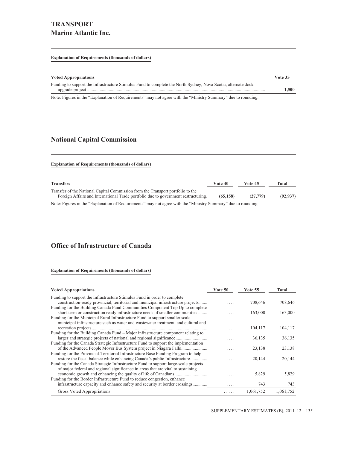#### **Explanation of Requirements (thousands of dollars)**

| <b>Voted Appropriations</b>                                                                                   | Vote 35 |
|---------------------------------------------------------------------------------------------------------------|---------|
| Funding to support the Infrastructure Stimulus Fund to complete the North Sydney, Nova Scotia, alternate dock |         |
|                                                                                                               | 1.500   |
|                                                                                                               |         |

Note: Figures in the "Explanation of Requirements" may not agree with the "Ministry Summary" due to rounding.

### **National Capital Commission**

#### **Explanation of Requirements (thousands of dollars)**

| <b>Transfers</b>                                                                                                                                                      | Vote 40   | Vote 45  | Total     |
|-----------------------------------------------------------------------------------------------------------------------------------------------------------------------|-----------|----------|-----------|
| Transfer of the National Capital Commission from the Transport portfolio to the<br>Foreign Affairs and International Trade portfolio due to government restructuring. | (65, 158) | (27,779) | (92, 937) |
| Note: Figures in the "Evaluption of Dequirements" may not garee with the "Ministry Summary" due to rounding                                                           |           |          |           |

Note: Figures in the "Explanation of Requirements" may not agree with the "Ministry Summary" due to rounding.

### **Office of Infrastructure of Canada**

#### **Explanation of Requirements (thousands of dollars)**

| <b>Voted Appropriations</b>                                                                                                                                              | Vote 50 | <b>Vote 55</b> | Total     |
|--------------------------------------------------------------------------------------------------------------------------------------------------------------------------|---------|----------------|-----------|
| Funding to support the Infrastructure Stimulus Fund in order to complete<br>construction-ready provincial, territorial and municipal infrastructure projects             |         | 708,646        | 708,646   |
| Funding for the Building Canada Fund Communities Component Top Up to complete<br>short-term or construction ready infrastructure needs of smaller communities            | .       | 163,000        | 163,000   |
| Funding for the Municipal Rural Infrastructure Fund to support smaller scale<br>municipal infrastructure such as water and wastewater treatment, and cultural and        |         |                |           |
| Funding for the Building Canada Fund - Major infrastructure component relating to                                                                                        |         | 104,117        | 104,117   |
| larger and strategic projects of national and regional significance<br>Funding for the Canada Strategic Infrastructure Fund to support the implementation                | .       | 36,135         | 36,135    |
|                                                                                                                                                                          | .       | 23,138         | 23,138    |
| Funding for the Provincial-Territorial Infrastructure Base Funding Program to help<br>restore the fiscal balance while enhancing Canada's public Infrastructure          | .       | 20,144         | 20,144    |
| Funding for the Canada Strategic Infrastructure Fund to support large-scale projects<br>of major federal and regional significance in areas that are vital to sustaining |         | 5,829          | 5,829     |
| Funding for the Border Infrastructure Fund to reduce congestion, enhance<br>infrastructure capacity and enhance safety and security at border crossings                  | .       | 743            | 743       |
| Gross Voted Appropriations                                                                                                                                               | .       | 1,061,752      | 1,061,752 |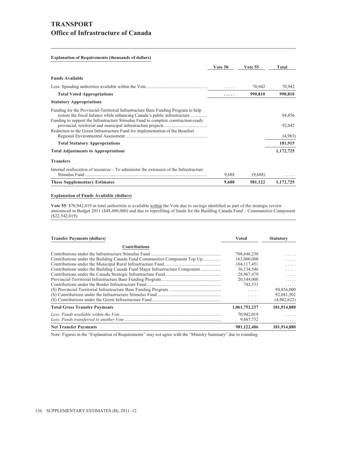### **TRANSPORT Office of Infrastructure of Canada**

#### **Explanation of Requirements (thousands of dollars)**

|                                                                                                                                                                     | Vote 50 | Vote 55 | <b>Total</b> |
|---------------------------------------------------------------------------------------------------------------------------------------------------------------------|---------|---------|--------------|
| <b>Funds Available</b>                                                                                                                                              |         |         |              |
|                                                                                                                                                                     |         | 70,942  | 70,942       |
| <b>Total Voted Appropriations</b>                                                                                                                                   | .       | 990,810 | 990,810      |
| <b>Statutory Appropriations</b>                                                                                                                                     |         |         |              |
| Funding for the Provincial-Territorial Infrastructure Base Funding Program to help<br>restore the fiscal balance while enhancing Canada's public infrastructure     |         |         | 94,856       |
| Funding to support the Infrastructure Stimulus Fund to complete construction-ready<br>Reduction to the Green Infrastructure Fund for implementation of the Beaufort |         |         | 92,042       |
|                                                                                                                                                                     |         |         | (4,983)      |
| <b>Total Statutory Appropriations</b>                                                                                                                               |         |         | 181,915      |
| <b>Total Adjustments to Appropriations</b>                                                                                                                          |         |         | 1,172,725    |
| <b>Transfers</b>                                                                                                                                                    |         |         |              |
| Internal reallocation of resources – To administer the extension of the Infrastructure                                                                              | 9,688   | (9,688) |              |
| <b>These Supplementary Estimates</b>                                                                                                                                | 9,688   | 981,122 | 1,172,725    |

#### **Explanation of Funds Available (dollars)**

**Vote 55**: \$70,942,019 in total authorities is available within the Vote due to savings identified as part of the strategic review announced in Budget 2011 (\$48,400,000) and due to reprofiling of funds for the Building Canada Fund – Communities Component (\$22,542,019).

| <b>Transfer Payments (dollars)</b>                                          | <b>Voted</b>  | <b>Statutory</b> |
|-----------------------------------------------------------------------------|---------------|------------------|
| <b>Contributions</b>                                                        |               |                  |
|                                                                             | 708,646,230   | .                |
| Contributions under the Building Canada Fund Communities Component Top Up   | 163,000,000   |                  |
|                                                                             | 104, 117, 451 |                  |
| Contributions under the Building Canada Fund Major Infrastructure Component | 36,134,546    | .                |
|                                                                             | 28,967,479    | .                |
|                                                                             | 20,144,000    | .                |
|                                                                             | 742.531       | .                |
|                                                                             |               | 94,856,000       |
|                                                                             | .             | 92,041,502       |
|                                                                             | .             | (4,982,622)      |
| <b>Total Gross Transfer Payments</b>                                        | 1,061,752,237 | 181,914,880      |
|                                                                             | 70,942,019    |                  |
|                                                                             | 9,687,732     | .                |
| <b>Net Transfer Payments</b>                                                | 981,122,486   | 181,914,880      |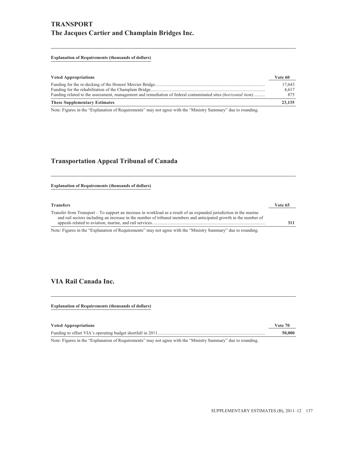### **TRANSPORT The Jacques Cartier and Champlain Bridges Inc.**

#### **Explanation of Requirements (thousands of dollars)**

| <b>Voted Appropriations</b>                                                                                   | Vote 60 |
|---------------------------------------------------------------------------------------------------------------|---------|
|                                                                                                               | 17.643  |
|                                                                                                               | 4.617   |
| Funding related to the assessment, management and remediation of federal contaminated sites (horizontal item) | 875     |
| <b>These Supplementary Estimates</b>                                                                          | 23,135  |

Note: Figures in the "Explanation of Requirements" may not agree with the "Ministry Summary" due to rounding.

### **Transportation Appeal Tribunal of Canada**

#### **Explanation of Requirements (thousands of dollars)**

| <b>Transfers</b>                                                                                                                                                                                                                       | Vote 65 |
|----------------------------------------------------------------------------------------------------------------------------------------------------------------------------------------------------------------------------------------|---------|
| Transfer from Transport – To support an increase in workload as a result of an expanded jurisdiction in the marine<br>and rail sectors including an increase in the number of tribunal members and anticipated growth in the number of | 311     |
| Note: Figures in the "Evalenction of Dequirements" may not gave with the "Ministry Cummers" due to reunding                                                                                                                            |         |

Note: Figures in the "Explanation of Requirements" may not agree with the "Ministry Summary" due to rounding.

### **VIA Rail Canada Inc.**

**Explanation of Requirements (thousands of dollars)**

| <b>Voted Appropriations</b> | Vote 70 |
|-----------------------------|---------|
|                             | 50,000  |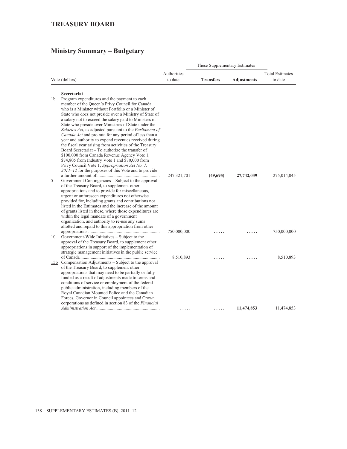### **TREASURY BOARD**

| <b>Ministry Summary - Budgetary</b> |  |
|-------------------------------------|--|
|                                     |  |

|                |                                                                                                                                                                                                                                                                                                                                                                                                                                                                                                                                                                                                                                                                                |             | These Supplementary Estimates |                    |                        |
|----------------|--------------------------------------------------------------------------------------------------------------------------------------------------------------------------------------------------------------------------------------------------------------------------------------------------------------------------------------------------------------------------------------------------------------------------------------------------------------------------------------------------------------------------------------------------------------------------------------------------------------------------------------------------------------------------------|-------------|-------------------------------|--------------------|------------------------|
|                |                                                                                                                                                                                                                                                                                                                                                                                                                                                                                                                                                                                                                                                                                | Authorities |                               |                    | <b>Total Estimates</b> |
|                | Vote (dollars)                                                                                                                                                                                                                                                                                                                                                                                                                                                                                                                                                                                                                                                                 | to date     | <b>Transfers</b>              | <b>Adjustments</b> | to date                |
|                | Secretariat                                                                                                                                                                                                                                                                                                                                                                                                                                                                                                                                                                                                                                                                    |             |                               |                    |                        |
| 1 <sub>b</sub> | Program expenditures and the payment to each<br>member of the Queen's Privy Council for Canada<br>who is a Minister without Portfolio or a Minister of<br>State who does not preside over a Ministry of State of<br>a salary not to exceed the salary paid to Ministers of<br>State who preside over Ministries of State under the<br>Salaries Act, as adjusted pursuant to the Parliament of<br>Canada Act and pro rata for any period of less than a<br>year and authority to expend revenues received during<br>the fiscal year arising from activities of the Treasury<br>Board Secretariat - To authorize the transfer of<br>\$100,000 from Canada Revenue Agency Vote 1, |             |                               |                    |                        |
|                | \$74,805 from Industry Vote 1 and \$70,000 from<br>Privy Council Vote 1, Appropriation Act No. 1,<br>$2011 - 12$ for the purposes of this Vote and to provide                                                                                                                                                                                                                                                                                                                                                                                                                                                                                                                  | 247,321,701 | (49,695)                      | 27,742,039         | 275,014,045            |
| 5              | Government Contingencies - Subject to the approval<br>of the Treasury Board, to supplement other<br>appropriations and to provide for miscellaneous,<br>urgent or unforeseen expenditures not otherwise<br>provided for, including grants and contributions not<br>listed in the Estimates and the increase of the amount<br>of grants listed in these, where those expenditures are<br>within the legal mandate of a government<br>organization, and authority to re-use any sums<br>allotted and repaid to this appropriation from other                                                                                                                                     |             |                               |                    |                        |
| 10             | Government-Wide Initiatives - Subject to the<br>approval of the Treasury Board, to supplement other<br>appropriations in support of the implementation of<br>strategic management initiatives in the public service                                                                                                                                                                                                                                                                                                                                                                                                                                                            | 750,000,000 |                               |                    | 750,000,000            |
|                | 15b Compensation Adjustments – Subject to the approval<br>of the Treasury Board, to supplement other<br>appropriations that may need to be partially or fully<br>funded as a result of adjustments made to terms and<br>conditions of service or employment of the federal<br>public administration, including members of the<br>Royal Canadian Mounted Police and the Canadian<br>Forces, Governor in Council appointees and Crown<br>corporations as defined in section 83 of the <i>Financial</i>                                                                                                                                                                           | 8,510,893   |                               |                    | 8,510,893              |
|                |                                                                                                                                                                                                                                                                                                                                                                                                                                                                                                                                                                                                                                                                                | 1.1.1.1     | .                             | 11,474,853         | 11,474,853             |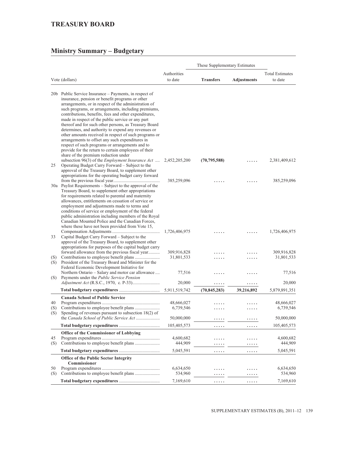### **TREASURY BOARD**

|  | <b>Ministry Summary - Budgetary</b> |  |
|--|-------------------------------------|--|
|--|-------------------------------------|--|

|                  |                                                                                                                                                                                                                                                                                                                                                                                                                                                                                                                                                                                                                                                                                                                                                                                  |                                       | These Supplementary Estimates |                    |                                       |  |  |
|------------------|----------------------------------------------------------------------------------------------------------------------------------------------------------------------------------------------------------------------------------------------------------------------------------------------------------------------------------------------------------------------------------------------------------------------------------------------------------------------------------------------------------------------------------------------------------------------------------------------------------------------------------------------------------------------------------------------------------------------------------------------------------------------------------|---------------------------------------|-------------------------------|--------------------|---------------------------------------|--|--|
|                  | Vote (dollars)                                                                                                                                                                                                                                                                                                                                                                                                                                                                                                                                                                                                                                                                                                                                                                   | Authorities<br>to date                | <b>Transfers</b>              | <b>Adjustments</b> | <b>Total Estimates</b><br>to date     |  |  |
|                  | 20b Public Service Insurance – Payments, in respect of<br>insurance, pension or benefit programs or other<br>arrangements, or in respect of the administration of<br>such programs, or arrangements, including premiums,<br>contributions, benefits, fees and other expenditures,<br>made in respect of the public service or any part<br>thereof and for such other persons, as Treasury Board<br>determines, and authority to expend any revenues or<br>other amounts received in respect of such programs or<br>arrangements to offset any such expenditures in<br>respect of such programs or arrangements and to<br>provide for the return to certain employees of their<br>share of the premium reduction under<br>subsection 96(3) of the <i>Employment Insurance Act</i> | 2,452,205,200                         | (70, 795, 588)                |                    | 2,381,409,612                         |  |  |
| 25               | Operating Budget Carry Forward – Subject to the<br>approval of the Treasury Board, to supplement other<br>appropriations for the operating budget carry forward                                                                                                                                                                                                                                                                                                                                                                                                                                                                                                                                                                                                                  |                                       |                               |                    |                                       |  |  |
|                  | 30a Paylist Requirements – Subject to the approval of the<br>Treasury Board, to supplement other appropriations<br>for requirements related to parental and maternity<br>allowances, entitlements on cessation of service or<br>employment and adjustments made to terms and<br>conditions of service or employment of the federal<br>public administration including members of the Royal<br>Canadian Mounted Police and the Canadian Forces,<br>where these have not been provided from Vote 15,                                                                                                                                                                                                                                                                               | 385,259,096                           |                               |                    | 385,259,096                           |  |  |
| 33               | Capital Budget Carry Forward - Subject to the<br>approval of the Treasury Board, to supplement other<br>appropriations for purposes of the capital budget carry                                                                                                                                                                                                                                                                                                                                                                                                                                                                                                                                                                                                                  | 1,726,406,975                         |                               |                    | 1,726,406,975                         |  |  |
| (S)<br>(S)       | forward allowance from the previous fiscal year<br>President of the Treasury Board and Minister for the<br>Federal Economic Development Initiative for                                                                                                                                                                                                                                                                                                                                                                                                                                                                                                                                                                                                                           | 309,916,828<br>31,801,533             |                               |                    | 309,916,828<br>31,801,533             |  |  |
|                  | Northern Ontario - Salary and motor car allowance<br>(S) Payments under the <i>Public Service Pension</i>                                                                                                                                                                                                                                                                                                                                                                                                                                                                                                                                                                                                                                                                        | 77,516<br>20,000                      | .                             | .                  | 77,516<br>20,000                      |  |  |
|                  |                                                                                                                                                                                                                                                                                                                                                                                                                                                                                                                                                                                                                                                                                                                                                                                  | 5,911,519,742                         | (70, 845, 283)                | 39,216,892         | 5,879,891,351                         |  |  |
| 40<br>(S)<br>(S) | <b>Canada School of Public Service</b><br>Spending of revenues pursuant to subsection $18(2)$ of                                                                                                                                                                                                                                                                                                                                                                                                                                                                                                                                                                                                                                                                                 | 48,666,027<br>6,739,546<br>50,000,000 | .<br>.                        | .<br>.             | 48,666,027<br>6,739,546<br>50,000,000 |  |  |
|                  |                                                                                                                                                                                                                                                                                                                                                                                                                                                                                                                                                                                                                                                                                                                                                                                  | 105,405,573                           | .                             | .                  | 105,405,573                           |  |  |
|                  | <b>Office of the Commissioner of Lobbying</b>                                                                                                                                                                                                                                                                                                                                                                                                                                                                                                                                                                                                                                                                                                                                    |                                       |                               |                    |                                       |  |  |
| 45<br>(S)        |                                                                                                                                                                                                                                                                                                                                                                                                                                                                                                                                                                                                                                                                                                                                                                                  | 4,600,682<br>444,909                  | .                             | .                  | 4,600,682<br>444,909                  |  |  |
|                  |                                                                                                                                                                                                                                                                                                                                                                                                                                                                                                                                                                                                                                                                                                                                                                                  | 5,045,591                             | .                             | .                  | 5,045,591                             |  |  |
|                  | <b>Office of the Public Sector Integrity</b>                                                                                                                                                                                                                                                                                                                                                                                                                                                                                                                                                                                                                                                                                                                                     |                                       |                               |                    |                                       |  |  |
| 50<br>(S)        | Commissioner                                                                                                                                                                                                                                                                                                                                                                                                                                                                                                                                                                                                                                                                                                                                                                     | 6,634,650<br>534,960                  | .<br>.                        | .<br>.             | 6,634,650<br>534,960                  |  |  |
|                  |                                                                                                                                                                                                                                                                                                                                                                                                                                                                                                                                                                                                                                                                                                                                                                                  | 7,169,610                             | .                             | .                  | 7,169,610                             |  |  |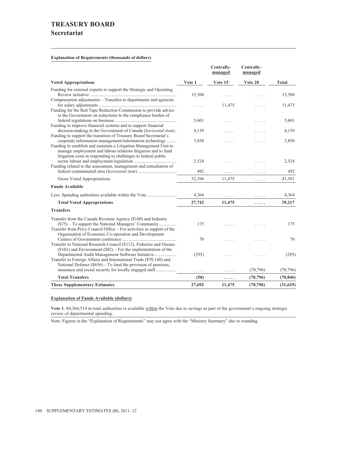# **TREASURY BOARD**

## **Secretariat**

#### **Explanation of Requirements (thousands of dollars)**

|                                                                                                                                                                                                                                                                 |        | Centrally-<br>managed | Centrally-<br>managed |              |
|-----------------------------------------------------------------------------------------------------------------------------------------------------------------------------------------------------------------------------------------------------------------|--------|-----------------------|-----------------------|--------------|
| <b>Voted Appropriations</b>                                                                                                                                                                                                                                     | Vote 1 | Vote 15               | Vote 20               | <b>Total</b> |
| Funding for external experts to support the Strategic and Operating                                                                                                                                                                                             | 15,500 | .                     | .                     | 15,500       |
| Compensation adjustments - Transfers to departments and agencies<br>Funding for the Red Tape Reduction Commission to provide advice                                                                                                                             | .      | 11,475                |                       | 11,475       |
| to the Government on reductions to the compliance burden of<br>Funding to improve financial systems and to support financial                                                                                                                                    | 5,601  | .                     | .                     | 5,601        |
| decision-making in the Government of Canada (horizontal item)<br>Funding to support the transition of Treasury Board Secretariat's                                                                                                                              | 4,139  | .                     | .                     | 4,139        |
| corporate information management/information technology<br>Funding to establish and maintain a Litigation Management Unit to<br>manage employment and labour relations litigation and to fund<br>litigation costs in responding to challenges to federal public | 3,850  | .                     |                       | 3,850        |
| Funding related to the assessment, management and remediation of                                                                                                                                                                                                | 2,524  | .                     | .                     | 2,524        |
|                                                                                                                                                                                                                                                                 | 492    | .                     | .                     | 492          |
| Gross Voted Appropriations                                                                                                                                                                                                                                      | 32,106 | 11,475                | .                     | 43,581       |
| <b>Funds Available</b>                                                                                                                                                                                                                                          |        |                       |                       |              |
|                                                                                                                                                                                                                                                                 | 4,364  | .                     | .                     | 4,364        |
| <b>Total Voted Appropriations</b>                                                                                                                                                                                                                               | 27,742 | 11,475                | .                     | 39,217       |
| <b>Transfers</b>                                                                                                                                                                                                                                                |        |                       |                       |              |
| Transfer from the Canada Revenue Agency (\$100) and Industry<br>$(\$75)$ – To support the National Managers' Community<br>Transfer from Privy Council Office - For activities in support of the<br>Organisation of Economic Co-operation and Development        | 175    |                       |                       | 175          |
| Transfer to National Research Council (\$112), Fisheries and Oceans                                                                                                                                                                                             | 70     | .                     | .                     | 70           |
| $($101)$ and Environment $($2)$ – For the implementation of the<br>Departmental Audit Management Software Initiative<br>Transfer to Foreign Affairs and International Trade (\$70,140) and<br>National Defence $(\$656) - To$ fund the provision of pensions,   | (295)  |                       |                       | (295)        |
| insurance and social security for locally engaged staff                                                                                                                                                                                                         | .      | .                     | (70, 796)             | (70, 796)    |
| <b>Total Transfers</b>                                                                                                                                                                                                                                          | (50)   | .                     | (70, 796)             | (70, 846)    |
| <b>These Supplementary Estimates</b>                                                                                                                                                                                                                            | 27,692 | 11,475                | (70, 796)             | (31,629)     |

### **Explanation of Funds Available (dollars)**

Vote 1: \$4,364,514 in total authorities is available within the Vote due to savings as part of the government's ongoing strategic review of departmental spending.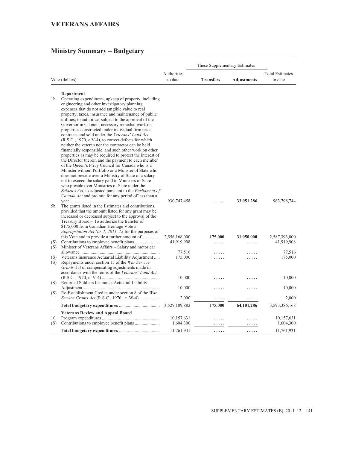# **VETERANS AFFAIRS**

|                |                                                                                                                                                                                                                                                                                                                                                                                                                                                                                                                                                                                                                                                                                                                                                                                                                                                                    | These Supplementary Estimates |                  |                    |                         |
|----------------|--------------------------------------------------------------------------------------------------------------------------------------------------------------------------------------------------------------------------------------------------------------------------------------------------------------------------------------------------------------------------------------------------------------------------------------------------------------------------------------------------------------------------------------------------------------------------------------------------------------------------------------------------------------------------------------------------------------------------------------------------------------------------------------------------------------------------------------------------------------------|-------------------------------|------------------|--------------------|-------------------------|
|                |                                                                                                                                                                                                                                                                                                                                                                                                                                                                                                                                                                                                                                                                                                                                                                                                                                                                    | Authorities                   |                  |                    | <b>Total Estimates</b>  |
|                | Vote (dollars)                                                                                                                                                                                                                                                                                                                                                                                                                                                                                                                                                                                                                                                                                                                                                                                                                                                     | to date                       | <b>Transfers</b> | <b>Adjustments</b> | to date                 |
| 1 <sub>b</sub> | <b>Department</b><br>Operating expenditures, upkeep of property, including<br>engineering and other investigatory planning<br>expenses that do not add tangible value to real<br>property, taxes, insurance and maintenance of public<br>utilities; to authorize, subject to the approval of the<br>Governor in Council, necessary remedial work on<br>properties constructed under individual firm price<br>contracts and sold under the Veterans' Land Act<br>(R.S.C., 1970, c.V-4), to correct defects for which<br>neither the veteran nor the contractor can be held<br>financially responsible, and such other work on other<br>properties as may be required to protect the interest of<br>the Director therein and the payment to each member<br>of the Queen's Privy Council for Canada who is a<br>Minister without Portfolio or a Minister of State who |                               |                  |                    |                         |
|                | does not preside over a Ministry of State of a salary<br>not to exceed the salary paid to Ministers of State<br>who preside over Ministries of State under the<br>Salaries Act, as adjusted pursuant to the Parliament of<br>Canada Act and pro rata for any period of less than a                                                                                                                                                                                                                                                                                                                                                                                                                                                                                                                                                                                 |                               |                  |                    |                         |
| 5b             | The grants listed in the Estimates and contributions,<br>provided that the amount listed for any grant may be<br>increased or decreased subject to the approval of the<br>Treasury Board – To authorize the transfer of<br>\$175,000 from Canadian Heritage Vote 5,<br><i>Appropriation Act No. 1, 2011–12</i> for the purposes of                                                                                                                                                                                                                                                                                                                                                                                                                                                                                                                                 | 930, 747, 458                 |                  | 33,051,286         | 963,798,744             |
|                |                                                                                                                                                                                                                                                                                                                                                                                                                                                                                                                                                                                                                                                                                                                                                                                                                                                                    | 2,556,168,000                 | 175,000          | 31,050,000         | 2,587,393,000           |
| (S)<br>(S)     | Minister of Veterans Affairs - Salary and motor car                                                                                                                                                                                                                                                                                                                                                                                                                                                                                                                                                                                                                                                                                                                                                                                                                | 41,919,908                    |                  | .                  | 41,919,908              |
|                |                                                                                                                                                                                                                                                                                                                                                                                                                                                                                                                                                                                                                                                                                                                                                                                                                                                                    | 77,516                        |                  |                    | 77,516                  |
| (S)<br>(S)     | Veterans Insurance Actuarial Liability Adjustment<br>Repayments under section 15 of the War Service<br><i>Grants Act</i> of compensating adjustments made in<br>accordance with the terms of the Veterans' Land Act                                                                                                                                                                                                                                                                                                                                                                                                                                                                                                                                                                                                                                                | 175,000                       | .                | .                  | 175,000                 |
| (S)            | Returned Soldiers Insurance Actuarial Liability                                                                                                                                                                                                                                                                                                                                                                                                                                                                                                                                                                                                                                                                                                                                                                                                                    | 10,000                        |                  |                    | 10,000                  |
| (S)            | Re-Establishment Credits under section 8 of the War                                                                                                                                                                                                                                                                                                                                                                                                                                                                                                                                                                                                                                                                                                                                                                                                                | 10,000                        |                  | .                  | 10,000                  |
|                |                                                                                                                                                                                                                                                                                                                                                                                                                                                                                                                                                                                                                                                                                                                                                                                                                                                                    | 2,000                         | .                | .                  | 2,000                   |
|                |                                                                                                                                                                                                                                                                                                                                                                                                                                                                                                                                                                                                                                                                                                                                                                                                                                                                    | 3,529,109,882                 | 175,000          | 64, 101, 286       | 3,593,386,168           |
|                | <b>Veterans Review and Appeal Board</b>                                                                                                                                                                                                                                                                                                                                                                                                                                                                                                                                                                                                                                                                                                                                                                                                                            |                               |                  |                    |                         |
| 10<br>(S)      |                                                                                                                                                                                                                                                                                                                                                                                                                                                                                                                                                                                                                                                                                                                                                                                                                                                                    | 10,157,631<br>1,604,300       | .                |                    | 10,157,631<br>1,604,300 |
|                |                                                                                                                                                                                                                                                                                                                                                                                                                                                                                                                                                                                                                                                                                                                                                                                                                                                                    | 11,761,931                    | .                | .                  | 11,761,931              |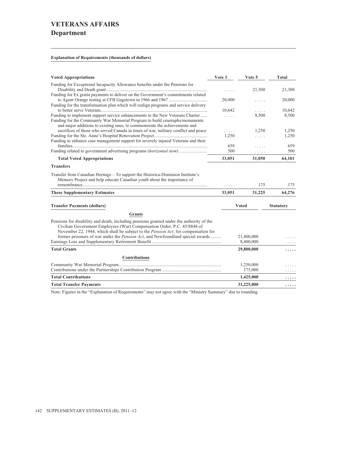# **VETERANS AFFAIRS**

### **Department**

### **Explanation of Requirements (thousands of dollars)**

| <b>Voted Appropriations</b>                                                                | Vote 1 | Vote 5       | <b>Total</b>     |
|--------------------------------------------------------------------------------------------|--------|--------------|------------------|
| Funding for Exceptional Incapacity Allowance benefits under the Pensions for               |        |              |                  |
|                                                                                            | .      | 21,300       | 21,300           |
| Funding for Ex gratia payments to deliver on the Government's commitments related          |        |              |                  |
| Funding for the transformation plan which will realign programs and service delivery       | 20,000 | .            | 20,000           |
|                                                                                            | 10,642 | .            | 10,642           |
| Funding to implement support service enhancements to the New Veterans Charter              | .      | 8,500        | 8,500            |
| Funding for the Community War Memorial Program to build cenotaphs/monuments                |        |              |                  |
| and major additions to existing ones, to commemorate the achievements and                  |        |              |                  |
| sacrifices of those who served Canada in times of war, military conflict and peace         | .      | 1,250        | 1,250            |
|                                                                                            | 1,250  | .            | 1,250            |
| Funding to enhance case management support for severely injured Veterans and their         | 659    |              | 659              |
|                                                                                            | 500    | .<br>.       | 500              |
| <b>Total Voted Appropriations</b>                                                          | 33,051 | 31,050       | 64,101           |
|                                                                                            |        |              |                  |
| <b>Transfers</b>                                                                           |        |              |                  |
| Transfer from Canadian Heritage – To support the Historica-Dominion Institute's            |        |              |                  |
| Memory Project and help educate Canadian youth about the importance of                     |        |              |                  |
|                                                                                            | .      | 175          | 175              |
| <b>These Supplementary Estimates</b>                                                       | 33,051 | 31,225       | 64,276           |
| <b>Transfer Payments (dollars)</b>                                                         |        | <b>Voted</b> | <b>Statutory</b> |
| Grants                                                                                     |        |              |                  |
| Pensions for disability and death, including pensions granted under the authority of the   |        |              |                  |
| Civilian Government Employees (War) Compensation Order, P.C. 45/8848 of                    |        |              |                  |
| November 22, 1944, which shall be subject to the <i>Pension Act</i> ; for compensation for |        |              |                  |
| former prisoners of war under the <i>Pension Act</i> , and Newfoundland special awards     |        | 21,400,000   |                  |
|                                                                                            |        | 8,400,000    |                  |
| <b>Total Grants</b>                                                                        |        | 29,800,000   | .                |
| <b>Contributions</b>                                                                       |        |              |                  |
|                                                                                            |        | 1,250,000    |                  |
|                                                                                            |        | 175,000      | .                |
| <b>Total Contributions</b>                                                                 |        | 1,425,000    | .                |
| <b>Total Transfer Payments</b>                                                             |        | 31,225,000   | .                |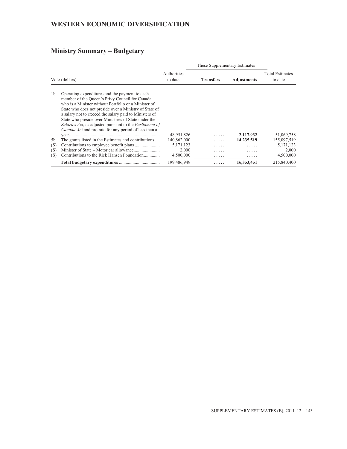## **WESTERN ECONOMIC DIVERSIFICATION**

|                |                                                                                                                                                                                                                                                                                                                                                                                                                                                                 |                        | These Supplementary Estimates          |            |                                   |
|----------------|-----------------------------------------------------------------------------------------------------------------------------------------------------------------------------------------------------------------------------------------------------------------------------------------------------------------------------------------------------------------------------------------------------------------------------------------------------------------|------------------------|----------------------------------------|------------|-----------------------------------|
| Vote (dollars) |                                                                                                                                                                                                                                                                                                                                                                                                                                                                 | Authorities<br>to date | <b>Transfers</b><br><b>Adjustments</b> |            | <b>Total Estimates</b><br>to date |
| 1 <sub>b</sub> | Operating expenditures and the payment to each<br>member of the Queen's Privy Council for Canada<br>who is a Minister without Portfolio or a Minister of<br>State who does not preside over a Ministry of State of<br>a salary not to exceed the salary paid to Ministers of<br>State who preside over Ministries of State under the<br>Salaries Act, as adjusted pursuant to the Parliament of<br><i>Canada Act</i> and pro rata for any period of less than a | 48,951,826             |                                        | 2,117,932  | 51,069,758                        |
| 5b             | The grants listed in the Estimates and contributions                                                                                                                                                                                                                                                                                                                                                                                                            | 140,862,000            | .                                      | 14,235,519 | 155,097,519                       |
| (S)            |                                                                                                                                                                                                                                                                                                                                                                                                                                                                 | 5, 171, 123            | .                                      | .          | 5, 171, 123                       |
| (S)            |                                                                                                                                                                                                                                                                                                                                                                                                                                                                 | 2,000                  | .                                      | .          | 2,000                             |
| (S)            | Contributions to the Rick Hansen Foundation                                                                                                                                                                                                                                                                                                                                                                                                                     | 4,500,000              | .                                      | .          | 4,500,000                         |
|                |                                                                                                                                                                                                                                                                                                                                                                                                                                                                 | 199,486,949            | .                                      | 16,353,451 | 215,840,400                       |

## **Ministry Summary – Budgetary**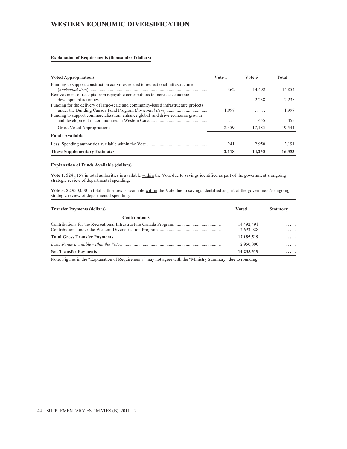### **WESTERN ECONOMIC DIVERSIFICATION**

#### **Explanation of Requirements (thousands of dollars)**

| <b>Voted Appropriations</b>                                                                                                                                           | Vote 1 | Vote 5 | Total  |
|-----------------------------------------------------------------------------------------------------------------------------------------------------------------------|--------|--------|--------|
| Funding to support construction activities related to recreational infrastructure<br>$\label{th:1} (horizontal\ item)\ {}$                                            | 362    | 14.492 | 14,854 |
| Reinvestment of receipts from repayable contributions to increase economic                                                                                            |        | 2,238  | 2.238  |
| Funding for the delivery of large-scale and community-based infrastructure projects<br>Funding to support commercialization, enhance global and drive economic growth | 1.997  | .      | 1.997  |
|                                                                                                                                                                       | .      | 455    | 455    |
| Gross Voted Appropriations                                                                                                                                            | 2,359  | 17.185 | 19.544 |
| <b>Funds Available</b>                                                                                                                                                |        |        |        |
|                                                                                                                                                                       | 241    | 2.950  | 3,191  |
| <b>These Supplementary Estimates</b>                                                                                                                                  | 2.118  | 14.235 | 16.353 |

### **Explanation of Funds Available (dollars)**

**Vote 1**: \$241,157 in total authorities is available within the Vote due to savings identified as part of the government's ongoing strategic review of departmental spending.

**Vote 5**: \$2,950,000 in total authorities is available within the Vote due to savings identified as part of the government's ongoing strategic review of departmental spending.

| <b>Transfer Payments (dollars)</b>   | Voted                   | <b>Statutory</b> |  |
|--------------------------------------|-------------------------|------------------|--|
| <b>Contributions</b>                 |                         |                  |  |
|                                      | 14,492,491<br>2.693.028 | .<br>.           |  |
| <b>Total Gross Transfer Payments</b> | 17,185,519              | .                |  |
|                                      | 2.950,000               | .                |  |
| <b>Net Transfer Payments</b>         | 14,235,519              | .                |  |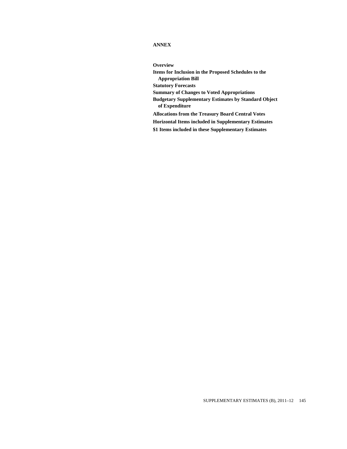### **ANNEX**

**Overview** 

**Items for Inclusion in the Proposed Schedules to the Appropriation Bill Statutory Forecasts Summary of Changes to Voted Appropriations Budgetary Supplementary Estimates by Standard Object of Expenditure Allocations from the Treasury Board Central Votes Horizontal Items included in Supplementary Estimates \$1 Items included in these Supplementary Estimates**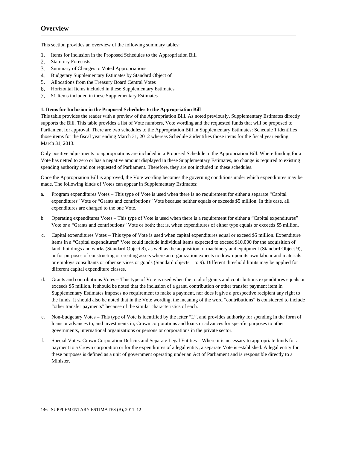### **Overview**

This section provides an overview of the following summary tables:

- 1. Items for Inclusion in the Proposed Schedules to the Appropriation Bill
- 2. Statutory Forecasts
- 3. Summary of Changes to Voted Appropriations
- 4. Budgetary Supplementary Estimates by Standard Object of
- 5. Allocations from the Treasury Board Central Votes
- 6. Horizontal Items included in these Supplementary Estimates
- 7. \$1 Items included in these Supplementary Estimates

#### **1. Items for Inclusion in the Proposed Schedules to the Appropriation Bill**

This table provides the reader with a preview of the Appropriation Bill. As noted previously, Supplementary Estimates directly supports the Bill. This table provides a list of Vote numbers, Vote wording and the requested funds that will be proposed to Parliament for approval. There are two schedules to the Appropriation Bill in Supplementary Estimates: Schedule 1 identifies those items for the fiscal year ending March 31, 2012 whereas Schedule 2 identifies those items for the fiscal year ending March 31, 2013.

Only positive adjustments to appropriations are included in a Proposed Schedule to the Appropriation Bill. Where funding for a Vote has netted to zero or has a negative amount displayed in these Supplementary Estimates, no change is required to existing spending authority and not requested of Parliament. Therefore, they are not included in these schedules.

Once the Appropriation Bill is approved, the Vote wording becomes the governing conditions under which expenditures may be made. The following kinds of Votes can appear in Supplementary Estimates:

- a. Program expenditures Votes This type of Vote is used when there is no requirement for either a separate "Capital expenditures" Vote or "Grants and contributions" Vote because neither equals or exceeds \$5 million. In this case, all expenditures are charged to the one Vote.
- b. Operating expenditures Votes This type of Vote is used when there is a requirement for either a "Capital expenditures" Vote or a "Grants and contributions" Vote or both; that is, when expenditures of either type equals or exceeds \$5 million.
- c. Capital expenditures Votes This type of Vote is used when capital expenditures equal or exceed \$5 million. Expenditure items in a "Capital expenditures" Vote could include individual items expected to exceed \$10,000 for the acquisition of land, buildings and works (Standard Object 8), as well as the acquisition of machinery and equipment (Standard Object 9), or for purposes of constructing or creating assets where an organization expects to draw upon its own labour and materials or employs consultants or other services or goods (Standard objects 1 to 9). Different threshold limits may be applied for different capital expenditure classes.
- d. Grants and contributions Votes This type of Vote is used when the total of grants and contributions expenditures equals or exceeds \$5 million. It should be noted that the inclusion of a grant, contribution or other transfer payment item in Supplementary Estimates imposes no requirement to make a payment, nor does it give a prospective recipient any right to the funds. It should also be noted that in the Vote wording, the meaning of the word "contributions" is considered to include "other transfer payments" because of the similar characteristics of each.
- e. Non-budgetary Votes This type of Vote is identified by the letter "L", and provides authority for spending in the form of loans or advances to, and investments in, Crown corporations and loans or advances for specific purposes to other governments, international organizations or persons or corporations in the private sector.
- f. Special Votes: Crown Corporation Deficits and Separate Legal Entities Where it is necessary to appropriate funds for a payment to a Crown corporation or for the expenditures of a legal entity, a separate Vote is established. A legal entity for these purposes is defined as a unit of government operating under an Act of Parliament and is responsible directly to a Minister.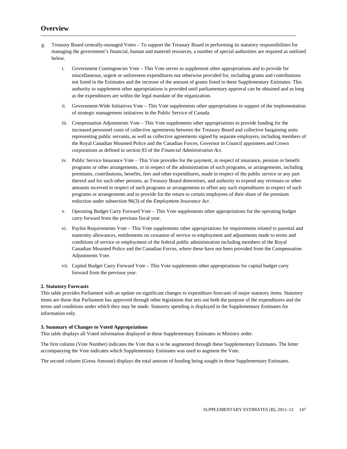#### **Overview**

- g. Treasury Board centrally-managed Votes To support the Treasury Board in performing its statutory responsibilities for managing the government's financial, human and materiel resources, a number of special authorities are required as outlined below.
	- i. Government Contingencies Vote This Vote serves to supplement other appropriations and to provide for miscellaneous, urgent or unforeseen expenditures not otherwise provided for, including grants and contributions not listed in the Estimates and the increase of the amount of grants listed in these Supplementary Estimates. This authority to supplement other appropriations is provided until parliamentary approval can be obtained and as long as the expenditures are within the legal mandate of the organization.
	- ii. Government-Wide Initiatives Vote This Vote supplements other appropriations in support of the implementation of strategic management initiatives in the Public Service of Canada.
	- iii. Compensation Adjustments Vote This Vote supplements other appropriations to provide funding for the increased personnel costs of collective agreements between the Treasury Board and collective bargaining units representing public servants, as well as collective agreements signed by separate employers, including members of the Royal Canadian Mounted Police and the Canadian Forces, Governor in Council appointees and Crown corporations as defined in section 83 of the *Financial Administration Act*.
	- iv. Public Service Insurance Vote This Vote provides for the payment, in respect of insurance, pension or benefit programs or other arrangements, or in respect of the administration of such programs, or arrangements, including premiums, contributions, benefits, fees and other expenditures, made in respect of the public service or any part thereof and for such other persons, as Treasury Board determines, and authority to expend any revenues or other amounts received in respect of such programs or arrangements to offset any such expenditures in respect of such programs or arrangements and to provide for the return to certain employees of their share of the premium reduction under subsection 96(3) of the *Employment Insurance Act* .
	- v. Operating Budget Carry Forward Vote This Vote supplements other appropriations for the operating budget carry forward from the previous fiscal year.
	- vi. Paylist Requirements Vote This Vote supplements other appropriations for requirements related to parental and maternity allowances, entitlements on cessation of service or employment and adjustments made to terms and conditions of service or employment of the federal public administration including members of the Royal Canadian Mounted Police and the Canadian Forces, where these have not been provided from the Compensation Adjustments Vote.
	- vii. Capital Budget Carry Forward Vote This Vote supplements other appropriations for capital budget carry forward from the previous year.

#### **2. Statutory Forecasts**

This table provides Parliament with an update on significant changes to expenditure forecasts of major statutory items. Statutory items are those that Parliament has approved through other legislation that sets out both the purpose of the expenditures and the terms and conditions under which they may be made. Statutory spending is displayed in the Supplementary Estimates for information only.

#### **3. Summary of Changes to Voted Appropriations**

This table displays all Voted information displayed in these Supplementary Estimates in Ministry order.

The first column (Vote Number) indicates the Vote that is to be augmented through these Supplementary Estimates. The letter accompanying the Vote indicates which Supplementary Estimates was used to augment the Vote.

The second column (Gross Amount) displays the total amount of funding being sought in these Supplementary Estimates.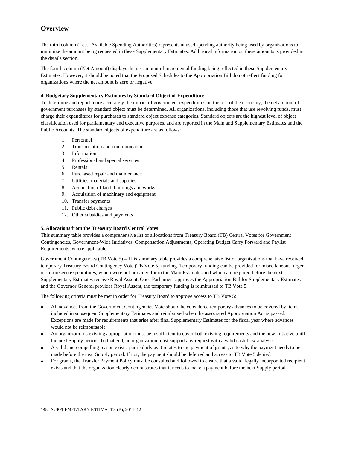#### **Overview**

The third column (Less: Available Spending Authorities) represents unused spending authority being used by organizations to minimize the amount being requested in these Supplementary Estimates. Additional information on these amounts is provided in the details section.

The fourth column (Net Amount) displays the net amount of incremental funding being reflected in these Supplementary Estimates. However, it should be noted that the Proposed Schedules to the Appropriation Bill do not reflect funding for organizations where the net amount is zero or negative.

#### **4. Budgetary Supplementary Estimates by Standard Object of Expenditure**

To determine and report more accurately the impact of government expenditures on the rest of the economy, the net amount of government purchases by standard object must be determined. All organizations, including those that use revolving funds, must charge their expenditures for purchases to standard object expense categories. Standard objects are the highest level of object classification used for parliamentary and executive purposes, and are reported in the Main and Supplementary Estimates and the Public Accounts. The standard objects of expenditure are as follows:

- 1. Personnel
- 2. Transportation and communications
- 3. Information
- 4. Professional and special services
- 5. Rentals
- 6. Purchased repair and maintenance
- 7. Utilities, materials and supplies
- 8. Acquisition of land, buildings and works
- 9. Acquisition of machinery and equipment
- 10. Transfer payments
- 11. Public debt charges
- 12. Other subsidies and payments

#### **5. Allocations from the Treasury Board Central Votes**

This summary table provides a comprehensive list of allocations from Treasury Board (TB) Central Votes for Government Contingencies, Government-Wide Initiatives, Compensation Adjustments, Operating Budget Carry Forward and Paylist Requirements, where applicable.

Government Contingencies (TB Vote 5) – This summary table provides a comprehensive list of organizations that have received temporary Treasury Board Contingency Vote (TB Vote 5) funding. Temporary funding can be provided for miscellaneous, urgent or unforeseen expenditures, which were not provided for in the Main Estimates and which are required before the next Supplementary Estimates receive Royal Assent. Once Parliament approves the Appropriation Bill for Supplementary Estimates and the Governor General provides Royal Assent, the temporary funding is reimbursed to TB Vote 5.

The following criteria must be met in order for Treasury Board to approve access to TB Vote 5:

- All advances from the Government Contingencies Vote should be considered temporary advances to be covered by items included in subsequent Supplementary Estimates and reimbursed when the associated Appropriation Act is passed. Exceptions are made for requirements that arise after final Supplementary Estimates for the fiscal year where advances would not be reimbursable.
- An organization's existing appropriation must be insufficient to cover both existing requirements and the new initiative until the next Supply period. To that end, an organization must support any request with a valid cash flow analysis.
- A valid and compelling reason exists, particularly as it relates to the payment of grants, as to why the payment needs to be made before the next Supply period. If not, the payment should be deferred and access to TB Vote 5 denied.
- For grants, the Transfer Payment Policy must be consulted and followed to ensure that a valid, legally incorporated recipient exists and that the organization clearly demonstrates that it needs to make a payment before the next Supply period.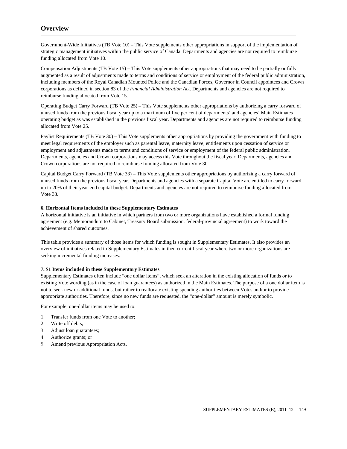#### **Overview**

Government-Wide Initiatives (TB Vote 10) – This Vote supplements other appropriations in support of the implementation of strategic management initiatives within the public service of Canada. Departments and agencies are not required to reimburse funding allocated from Vote 10.

Compensation Adjustments (TB Vote 15) – This Vote supplements other appropriations that may need to be partially or fully augmented as a result of adjustments made to terms and conditions of service or employment of the federal public administration, including members of the Royal Canadian Mounted Police and the Canadian Forces, Governor in Council appointees and Crown corporations as defined in section 83 of the *Financial Administration Act*. Departments and agencies are not required to reimburse funding allocated from Vote 15.

Operating Budget Carry Forward (TB Vote 25) – This Vote supplements other appropriations by authorizing a carry forward of unused funds from the previous fiscal year up to a maximum of five per cent of departments' and agencies' Main Estimates operating budget as was established in the previous fiscal year. Departments and agencies are not required to reimburse funding allocated from Vote 25.

Paylist Requirements (TB Vote 30) – This Vote supplements other appropriations by providing the government with funding to meet legal requirements of the employer such as parental leave, maternity leave, entitlements upon cessation of service or employment and adjustments made to terms and conditions of service or employment of the federal public administration. Departments, agencies and Crown corporations may access this Vote throughout the fiscal year. Departments, agencies and Crown corporations are not required to reimburse funding allocated from Vote 30.

Capital Budget Carry Forward (TB Vote 33) – This Vote supplements other appropriations by authorizing a carry forward of unused funds from the previous fiscal year. Departments and agencies with a separate Capital Vote are entitled to carry forward up to 20% of their year-end capital budget. Departments and agencies are not required to reimburse funding allocated from Vote 33.

#### **6. Horizontal Items included in these Supplementary Estimates**

A horizontal initiative is an initiative in which partners from two or more organizations have established a formal funding agreement (e.g. Memorandum to Cabinet, Treasury Board submission, federal-provincial agreement) to work toward the achievement of shared outcomes.

This table provides a summary of those items for which funding is sought in Supplementary Estimates. It also provides an overview of initiatives related to Supplementary Estimates in then current fiscal year where two or more organizations are seeking incremental funding increases.

#### **7. \$1 Items included in these Supplementary Estimates**

Supplementary Estimates often include "one dollar items", which seek an alteration in the existing allocation of funds or to existing Vote wording (as in the case of loan guarantees) as authorized in the Main Estimates. The purpose of a one dollar item is not to seek new or additional funds, but rather to reallocate existing spending authorities between Votes and/or to provide appropriate authorities. Therefore, since no new funds are requested, the "one-dollar" amount is merely symbolic.

For example, one-dollar items may be used to:

- 1. Transfer funds from one Vote to another;
- 2. Write off debts;
- 3. Adjust loan guarantees;
- 4. Authorize grants; or
- 5. Amend previous Appropriation Acts.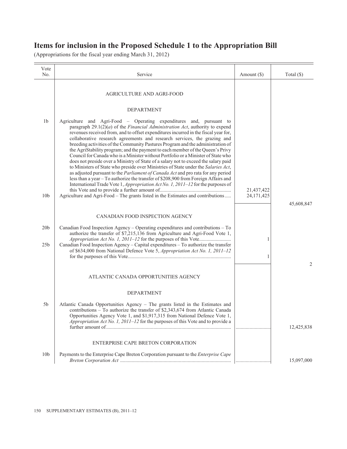| Vote<br>No.                        | Service                                                                                                                                                                                                                                                                                                                                                                                                                                                                                                                                                                                                                                                                                                                                                                                                                                                                                                                                                                                                                                       | Amount $(\$)$              | Total $(\$)$ |
|------------------------------------|-----------------------------------------------------------------------------------------------------------------------------------------------------------------------------------------------------------------------------------------------------------------------------------------------------------------------------------------------------------------------------------------------------------------------------------------------------------------------------------------------------------------------------------------------------------------------------------------------------------------------------------------------------------------------------------------------------------------------------------------------------------------------------------------------------------------------------------------------------------------------------------------------------------------------------------------------------------------------------------------------------------------------------------------------|----------------------------|--------------|
|                                    | AGRICULTURE AND AGRI-FOOD                                                                                                                                                                                                                                                                                                                                                                                                                                                                                                                                                                                                                                                                                                                                                                                                                                                                                                                                                                                                                     |                            |              |
|                                    | <b>DEPARTMENT</b>                                                                                                                                                                                                                                                                                                                                                                                                                                                                                                                                                                                                                                                                                                                                                                                                                                                                                                                                                                                                                             |                            |              |
| 1 <sub>b</sub>                     | Agriculture and Agri-Food - Operating expenditures and, pursuant to<br>paragraph $29.1(2)(a)$ of the <i>Financial Administration Act</i> , authority to expend<br>revenues received from, and to offset expenditures incurred in the fiscal year for,<br>collaborative research agreements and research services, the grazing and<br>breeding activities of the Community Pastures Program and the administration of<br>the AgriStability program; and the payment to each member of the Queen's Privy<br>Council for Canada who is a Minister without Portfolio or a Minister of State who<br>does not preside over a Ministry of State of a salary not to exceed the salary paid<br>to Ministers of State who preside over Ministries of State under the Salaries Act,<br>as adjusted pursuant to the <i>Parliament of Canada Act</i> and pro rata for any period<br>less than a year - To authorize the transfer of \$208,900 from Foreign Affairs and<br>International Trade Vote 1, Appropriation Act No. 1, 2011-12 for the purposes of |                            |              |
| 10 <sub>b</sub>                    | Agriculture and Agri-Food - The grants listed in the Estimates and contributions                                                                                                                                                                                                                                                                                                                                                                                                                                                                                                                                                                                                                                                                                                                                                                                                                                                                                                                                                              | 21,437,422<br>24, 171, 425 |              |
|                                    |                                                                                                                                                                                                                                                                                                                                                                                                                                                                                                                                                                                                                                                                                                                                                                                                                                                                                                                                                                                                                                               |                            | 45,608,847   |
|                                    | CANADIAN FOOD INSPECTION AGENCY                                                                                                                                                                                                                                                                                                                                                                                                                                                                                                                                                                                                                                                                                                                                                                                                                                                                                                                                                                                                               |                            |              |
| 20 <sub>b</sub><br>25 <sub>b</sub> | Canadian Food Inspection Agency - Operating expenditures and contributions - To<br>authorize the transfer of \$7,215,136 from Agriculture and Agri-Food Vote 1,<br>Canadian Food Inspection Agency - Capital expenditures - To authorize the transfer<br>of \$634,000 from National Defence Vote 5, Appropriation Act No. 1, 2011-12                                                                                                                                                                                                                                                                                                                                                                                                                                                                                                                                                                                                                                                                                                          | 1                          |              |
|                                    |                                                                                                                                                                                                                                                                                                                                                                                                                                                                                                                                                                                                                                                                                                                                                                                                                                                                                                                                                                                                                                               | 1                          | 2            |
|                                    | ATLANTIC CANADA OPPORTUNITIES AGENCY                                                                                                                                                                                                                                                                                                                                                                                                                                                                                                                                                                                                                                                                                                                                                                                                                                                                                                                                                                                                          |                            |              |
|                                    | DEPARTMENT                                                                                                                                                                                                                                                                                                                                                                                                                                                                                                                                                                                                                                                                                                                                                                                                                                                                                                                                                                                                                                    |                            |              |
| 5 <sub>b</sub>                     | Atlantic Canada Opportunities Agency - The grants listed in the Estimates and<br>contributions - To authorize the transfer of \$2,343,674 from Atlantic Canada<br>Opportunities Agency Vote 1, and \$1,917,315 from National Defence Vote 1,<br>Appropriation Act No. 1, 2011-12 for the purposes of this Vote and to provide a                                                                                                                                                                                                                                                                                                                                                                                                                                                                                                                                                                                                                                                                                                               |                            | 12,425,838   |
|                                    | ENTERPRISE CAPE BRETON CORPORATION                                                                                                                                                                                                                                                                                                                                                                                                                                                                                                                                                                                                                                                                                                                                                                                                                                                                                                                                                                                                            |                            |              |
| 10 <sub>b</sub>                    | Payments to the Enterprise Cape Breton Corporation pursuant to the Enterprise Cape                                                                                                                                                                                                                                                                                                                                                                                                                                                                                                                                                                                                                                                                                                                                                                                                                                                                                                                                                            |                            | 15,097,000   |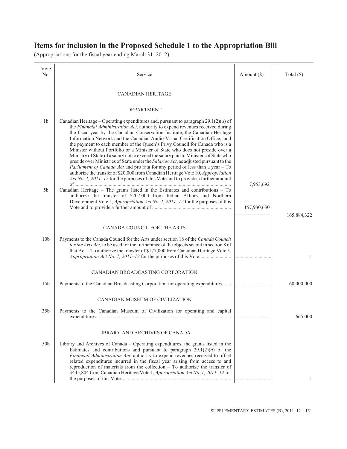| Vote            |                                                                                                                                                                                                                                                                                                                                                                                                                                                                                                                                                                                                                                                                                                                                                                                                                                                                                                                                                   |             |              |
|-----------------|---------------------------------------------------------------------------------------------------------------------------------------------------------------------------------------------------------------------------------------------------------------------------------------------------------------------------------------------------------------------------------------------------------------------------------------------------------------------------------------------------------------------------------------------------------------------------------------------------------------------------------------------------------------------------------------------------------------------------------------------------------------------------------------------------------------------------------------------------------------------------------------------------------------------------------------------------|-------------|--------------|
| No.             | Service                                                                                                                                                                                                                                                                                                                                                                                                                                                                                                                                                                                                                                                                                                                                                                                                                                                                                                                                           | Amount (\$) | Total $(\$)$ |
|                 | <b>CANADIAN HERITAGE</b>                                                                                                                                                                                                                                                                                                                                                                                                                                                                                                                                                                                                                                                                                                                                                                                                                                                                                                                          |             |              |
|                 | <b>DEPARTMENT</b>                                                                                                                                                                                                                                                                                                                                                                                                                                                                                                                                                                                                                                                                                                                                                                                                                                                                                                                                 |             |              |
| 1 <sub>b</sub>  | Canadian Heritage – Operating expenditures and, pursuant to paragraph $29.1(2)(a)$ of<br>the Financial Administration Act, authority to expend revenues received during<br>the fiscal year by the Canadian Conservation Institute, the Canadian Heritage<br>Information Network and the Canadian Audio-Visual Certification Office, and<br>the payment to each member of the Queen's Privy Council for Canada who is a<br>Minister without Portfolio or a Minister of State who does not preside over a<br>Ministry of State of a salary not to exceed the salary paid to Ministers of State who<br>preside over Ministries of State under the Salaries Act, as adjusted pursuant to the<br>Parliament of Canada Act and pro rata for any period of less than a year - To<br>authorize the transfer of \$20,000 from Canadian Heritage Vote 10, Appropriation<br>Act No. 1, 2011-12 for the purposes of this Vote and to provide a further amount |             |              |
| 5 <sub>b</sub>  | Canadian Heritage - The grants listed in the Estimates and contributions - To                                                                                                                                                                                                                                                                                                                                                                                                                                                                                                                                                                                                                                                                                                                                                                                                                                                                     | 7,953,692   |              |
|                 | authorize the transfer of \$207,000 from Indian Affairs and Northern<br>Development Vote 5, <i>Appropriation Act No. 1, 2011–12</i> for the purposes of this                                                                                                                                                                                                                                                                                                                                                                                                                                                                                                                                                                                                                                                                                                                                                                                      | 157,930,630 |              |
|                 |                                                                                                                                                                                                                                                                                                                                                                                                                                                                                                                                                                                                                                                                                                                                                                                                                                                                                                                                                   |             | 165,884,322  |
|                 | CANADA COUNCIL FOR THE ARTS                                                                                                                                                                                                                                                                                                                                                                                                                                                                                                                                                                                                                                                                                                                                                                                                                                                                                                                       |             |              |
| 10 <sub>b</sub> | Payments to the Canada Council for the Arts under section 18 of the Canada Council<br>for the Arts Act, to be used for the furtherance of the objects set out in section 8 of<br>that Act - To authorize the transfer of \$177,000 from Canadian Heritage Vote 5,                                                                                                                                                                                                                                                                                                                                                                                                                                                                                                                                                                                                                                                                                 |             | 1            |
|                 | CANADIAN BROADCASTING CORPORATION                                                                                                                                                                                                                                                                                                                                                                                                                                                                                                                                                                                                                                                                                                                                                                                                                                                                                                                 |             |              |
| 15 <sub>b</sub> | Payments to the Canadian Broadcasting Corporation for operating expenditures                                                                                                                                                                                                                                                                                                                                                                                                                                                                                                                                                                                                                                                                                                                                                                                                                                                                      |             | 60,000,000   |
|                 | CANADIAN MUSEUM OF CIVILIZATION                                                                                                                                                                                                                                                                                                                                                                                                                                                                                                                                                                                                                                                                                                                                                                                                                                                                                                                   |             |              |
| 35 <sub>b</sub> | Payments to the Canadian Museum of Civilization for operating and capital                                                                                                                                                                                                                                                                                                                                                                                                                                                                                                                                                                                                                                                                                                                                                                                                                                                                         |             | 665,000      |
|                 | LIBRARY AND ARCHIVES OF CANADA                                                                                                                                                                                                                                                                                                                                                                                                                                                                                                                                                                                                                                                                                                                                                                                                                                                                                                                    |             |              |
| 50 <sub>b</sub> | Library and Archives of Canada – Operating expenditures, the grants listed in the<br>Estimates and contributions and pursuant to paragraph $29.1(2)(a)$ of the<br>Financial Administration Act, authority to expend revenues received to offset<br>related expenditures incurred in the fiscal year arising from access to and<br>reproduction of materials from the collection $-$ To authorize the transfer of<br>\$445,804 from Canadian Heritage Vote 1, Appropriation Act No. 1, 2011-12 for                                                                                                                                                                                                                                                                                                                                                                                                                                                 |             | 1            |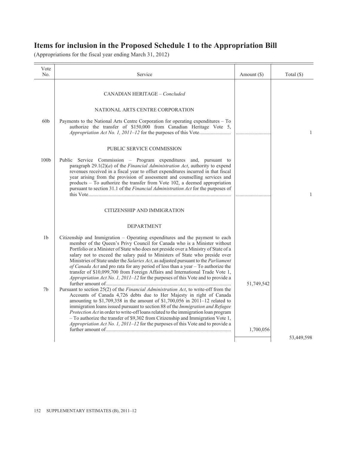| Vote<br>N <sub>0</sub>           | Service                                                                                                                                                                                                                                                                                                                                                                                                                                                                                                                                                                                                                                                                                                                                                                                                                                                                                                                                                                                                         | Amount $(\$)$ | Total $(\$)$ |
|----------------------------------|-----------------------------------------------------------------------------------------------------------------------------------------------------------------------------------------------------------------------------------------------------------------------------------------------------------------------------------------------------------------------------------------------------------------------------------------------------------------------------------------------------------------------------------------------------------------------------------------------------------------------------------------------------------------------------------------------------------------------------------------------------------------------------------------------------------------------------------------------------------------------------------------------------------------------------------------------------------------------------------------------------------------|---------------|--------------|
|                                  | CANADIAN HERITAGE - Concluded                                                                                                                                                                                                                                                                                                                                                                                                                                                                                                                                                                                                                                                                                                                                                                                                                                                                                                                                                                                   |               |              |
|                                  | NATIONAL ARTS CENTRE CORPORATION                                                                                                                                                                                                                                                                                                                                                                                                                                                                                                                                                                                                                                                                                                                                                                                                                                                                                                                                                                                |               |              |
| 60 <sub>b</sub>                  | Payments to the National Arts Centre Corporation for operating expenditures - To<br>authorize the transfer of \$150,000 from Canadian Heritage Vote 5,                                                                                                                                                                                                                                                                                                                                                                                                                                                                                                                                                                                                                                                                                                                                                                                                                                                          |               | $\mathbf{1}$ |
|                                  | PUBLIC SERVICE COMMISSION                                                                                                                                                                                                                                                                                                                                                                                                                                                                                                                                                                                                                                                                                                                                                                                                                                                                                                                                                                                       |               |              |
| 100 <sub>b</sub>                 | Public Service Commission - Program expenditures and, pursuant to<br>paragraph $29.1(2)(a)$ of the <i>Financial Administration Act</i> , authority to expend<br>revenues received in a fiscal year to offset expenditures incurred in that fiscal<br>year arising from the provision of assessment and counselling services and<br>products - To authorize the transfer from Vote 102, a deemed appropriation<br>pursuant to section 31.1 of the Financial Administration Act for the purposes of                                                                                                                                                                                                                                                                                                                                                                                                                                                                                                               |               | $\mathbf{1}$ |
|                                  | CITIZENSHIP AND IMMIGRATION                                                                                                                                                                                                                                                                                                                                                                                                                                                                                                                                                                                                                                                                                                                                                                                                                                                                                                                                                                                     |               |              |
|                                  | <b>DEPARTMENT</b>                                                                                                                                                                                                                                                                                                                                                                                                                                                                                                                                                                                                                                                                                                                                                                                                                                                                                                                                                                                               |               |              |
| 1 <sub>b</sub><br>7 <sub>b</sub> | Citizenship and Immigration – Operating expenditures and the payment to each<br>member of the Queen's Privy Council for Canada who is a Minister without<br>Portfolio or a Minister of State who does not preside over a Ministry of State of a<br>salary not to exceed the salary paid to Ministers of State who preside over<br>Ministries of State under the Salaries Act, as adjusted pursuant to the Parliament<br>of Canada Act and pro rata for any period of less than a year - To authorize the<br>transfer of \$10,099,700 from Foreign Affairs and International Trade Vote 1,<br>Appropriation Act No. 1, 2011-12 for the purposes of this Vote and to provide a<br>Pursuant to section 25(2) of the Financial Administration Act, to write-off from the<br>Accounts of Canada 4,726 debts due to Her Majesty in right of Canada<br>amounting to $$1,709,358$ in the amount of $$1,700,056$ in 2011-12 related to<br>immigration loans issued pursuant to section 88 of the Immigration and Refugee | 51,749,542    |              |
|                                  | Protection Act in order to write-off loans related to the immigration loan program<br>- To authorize the transfer of \$9,302 from Citizenship and Immigration Vote 1,<br>Appropriation Act No. 1, 2011-12 for the purposes of this Vote and to provide a                                                                                                                                                                                                                                                                                                                                                                                                                                                                                                                                                                                                                                                                                                                                                        | 1,700,056     | 53,449,598   |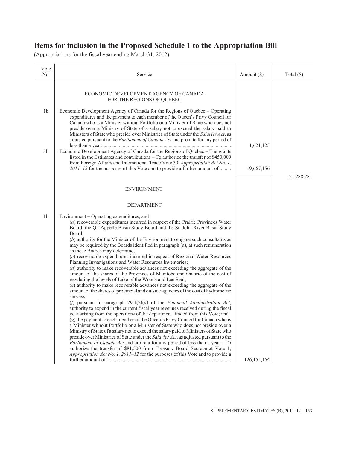| Vote<br>No.    | Service                                                                                                                                                                                                                                                                                                                                                                                                                                                                                                                                                                                                                                                                                                                                                                                                                                                                                                                                                                                                                                                                                                                                                                                                                                                                                                                                                                                                                                                                                                                                                                                                                                                                                                                                                                                                                                                       | Amount (\$)             | Total $(\$)$ |
|----------------|---------------------------------------------------------------------------------------------------------------------------------------------------------------------------------------------------------------------------------------------------------------------------------------------------------------------------------------------------------------------------------------------------------------------------------------------------------------------------------------------------------------------------------------------------------------------------------------------------------------------------------------------------------------------------------------------------------------------------------------------------------------------------------------------------------------------------------------------------------------------------------------------------------------------------------------------------------------------------------------------------------------------------------------------------------------------------------------------------------------------------------------------------------------------------------------------------------------------------------------------------------------------------------------------------------------------------------------------------------------------------------------------------------------------------------------------------------------------------------------------------------------------------------------------------------------------------------------------------------------------------------------------------------------------------------------------------------------------------------------------------------------------------------------------------------------------------------------------------------------|-------------------------|--------------|
| 1 <sub>b</sub> | ECONOMIC DEVELOPMENT AGENCY OF CANADA<br>FOR THE REGIONS OF QUEBEC<br>Economic Development Agency of Canada for the Regions of Quebec - Operating<br>expenditures and the payment to each member of the Queen's Privy Council for<br>Canada who is a Minister without Portfolio or a Minister of State who does not<br>preside over a Ministry of State of a salary not to exceed the salary paid to<br>Ministers of State who preside over Ministries of State under the Salaries Act, as<br>adjusted pursuant to the Parliament of Canada Act and pro rata for any period of                                                                                                                                                                                                                                                                                                                                                                                                                                                                                                                                                                                                                                                                                                                                                                                                                                                                                                                                                                                                                                                                                                                                                                                                                                                                                |                         |              |
| 5 <sub>b</sub> | Economic Development Agency of Canada for the Regions of Quebec - The grants<br>listed in the Estimates and contributions - To authorize the transfer of \$450,000<br>from Foreign Affairs and International Trade Vote 30, Appropriation Act No. 1,<br>2011–12 for the purposes of this Vote and to provide a further amount of                                                                                                                                                                                                                                                                                                                                                                                                                                                                                                                                                                                                                                                                                                                                                                                                                                                                                                                                                                                                                                                                                                                                                                                                                                                                                                                                                                                                                                                                                                                              | 1,621,125<br>19,667,156 | 21,288,281   |
|                | <b>ENVIRONMENT</b>                                                                                                                                                                                                                                                                                                                                                                                                                                                                                                                                                                                                                                                                                                                                                                                                                                                                                                                                                                                                                                                                                                                                                                                                                                                                                                                                                                                                                                                                                                                                                                                                                                                                                                                                                                                                                                            |                         |              |
|                | <b>DEPARTMENT</b>                                                                                                                                                                                                                                                                                                                                                                                                                                                                                                                                                                                                                                                                                                                                                                                                                                                                                                                                                                                                                                                                                                                                                                                                                                                                                                                                                                                                                                                                                                                                                                                                                                                                                                                                                                                                                                             |                         |              |
| 1 <sub>b</sub> | Environment – Operating expenditures, and<br>$(a)$ recoverable expenditures incurred in respect of the Prairie Provinces Water<br>Board, the Qu'Appelle Basin Study Board and the St. John River Basin Study<br>Board;<br>$(b)$ authority for the Minister of the Environment to engage such consultants as<br>may be required by the Boards identified in paragraph (a), at such remuneration<br>as those Boards may determine;<br>(c) recoverable expenditures incurred in respect of Regional Water Resources<br>Planning Investigations and Water Resources Inventories;<br>$(d)$ authority to make recoverable advances not exceeding the aggregate of the<br>amount of the shares of the Provinces of Manitoba and Ontario of the cost of<br>regulating the levels of Lake of the Woods and Lac Seul;<br>(e) authority to make recoverable advances not exceeding the aggregate of the<br>amount of the shares of provincial and outside agencies of the cost of hydrometric<br>surveys;<br>(f) pursuant to paragraph $29.1(2)(a)$ of the Financial Administration Act,<br>authority to expend in the current fiscal year revenues received during the fiscal<br>year arising from the operations of the department funded from this Vote; and<br>$(g)$ the payment to each member of the Queen's Privy Council for Canada who is<br>a Minister without Portfolio or a Minister of State who does not preside over a<br>Ministry of State of a salary not to exceed the salary paid to Ministers of State who<br>preside over Ministries of State under the Salaries Act, as adjusted pursuant to the<br>Parliament of Canada Act and pro rata for any period of less than a year - To<br>authorize the transfer of \$81,500 from Treasury Board Secretariat Vote 1,<br>Appropriation Act No. 1, 2011–12 for the purposes of this Vote and to provide a | 126, 155, 164           |              |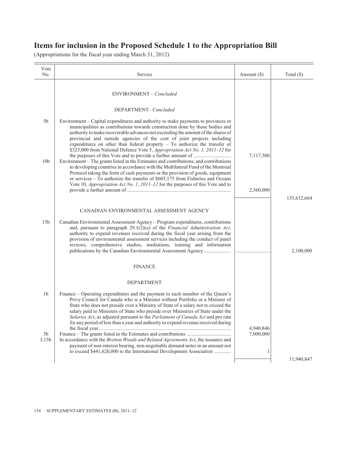| Vote<br>No.            | Service                                                                                                                                                                                                                                                                                                                                                                                                                                                                                                           | Amount (\$)    | Total $(\$)$ |
|------------------------|-------------------------------------------------------------------------------------------------------------------------------------------------------------------------------------------------------------------------------------------------------------------------------------------------------------------------------------------------------------------------------------------------------------------------------------------------------------------------------------------------------------------|----------------|--------------|
|                        | ENVIRONMENT - Concluded                                                                                                                                                                                                                                                                                                                                                                                                                                                                                           |                |              |
|                        | DEPARTMENT- Concluded                                                                                                                                                                                                                                                                                                                                                                                                                                                                                             |                |              |
| 5 <sub>b</sub>         | Environment - Capital expenditures and authority to make payments to provinces or<br>municipalities as contributions towards construction done by those bodies and<br>authority to make recoverable advances not exceeding the amount of the shares of<br>provincial and outside agencies of the cost of joint projects including<br>expenditures on other than federal property $-$ To authorize the transfer of<br>\$325,000 from National Defence Vote 5, Appropriation Act No. 1, 2011-12 for                 | 7,117,500      |              |
| 10 <sub>b</sub>        | Environment - The grants listed in the Estimates and contributions, and contributions<br>to developing countries in accordance with the Multilateral Fund of the Montreal<br>Protocol taking the form of cash payments or the provision of goods, equipment<br>or services – To authorize the transfer of \$605,175 from Fisheries and Oceans<br>Vote 10, Appropriation Act No. 1, 2011-12 for the purposes of this Vote and to                                                                                   | 2,360,000      |              |
|                        |                                                                                                                                                                                                                                                                                                                                                                                                                                                                                                                   |                | 135,632,664  |
|                        | CANADIAN ENVIRONMENTAL ASSESSMENT AGENCY                                                                                                                                                                                                                                                                                                                                                                                                                                                                          |                |              |
| 15 <sub>b</sub>        | Canadian Environmental Assessment Agency – Program expenditures, contributions<br>and, pursuant to paragraph $29.1(2)(a)$ of the <i>Financial Administration Act</i> ,<br>authority to expend revenues received during the fiscal year arising from the<br>provision of environmental assessment services including the conduct of panel<br>reviews, comprehensive studies, mediations, training and information                                                                                                  |                | 2,100,000    |
|                        |                                                                                                                                                                                                                                                                                                                                                                                                                                                                                                                   |                |              |
|                        | <b>FINANCE</b>                                                                                                                                                                                                                                                                                                                                                                                                                                                                                                    |                |              |
|                        | <b>DEPARTMENT</b>                                                                                                                                                                                                                                                                                                                                                                                                                                                                                                 |                |              |
| 1 <sub>b</sub>         | Finance – Operating expenditures and the payment to each member of the Queen's<br>Privy Council for Canada who is a Minister without Portfolio or a Minister of<br>State who does not preside over a Ministry of State of a salary not to exceed the<br>salary paid to Ministers of State who preside over Ministries of State under the<br>Salaries Act, as adjusted pursuant to the Parliament of Canada Act and pro rata<br>for any period of less than a year and authority to expend revenue received during | 4,940,846      |              |
| 5 <sub>b</sub><br>L15b | In accordance with the Bretton Woods and Related Agreements Act, the issuance and<br>payment of non-interest bearing, non-negotiable demand notes in an amount not<br>to exceed \$441,620,000 to the International Development Association                                                                                                                                                                                                                                                                        | 7,000,000<br>1 |              |
|                        |                                                                                                                                                                                                                                                                                                                                                                                                                                                                                                                   |                | 11,940,847   |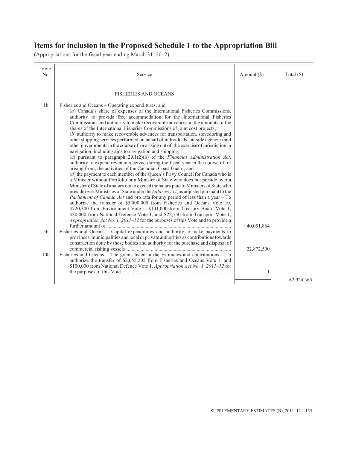| Vote<br>No.     | Service                                                                                                                                                                                                                                                                                                                                                                                                                                                                                                                                                                                                                                                                                                                                                                                                                                                                                                                                                                                                                                                                                                                                                                                                                                                                                                                                                                                                                                                                                          | Amount (\$)     | Total $($ ) |
|-----------------|--------------------------------------------------------------------------------------------------------------------------------------------------------------------------------------------------------------------------------------------------------------------------------------------------------------------------------------------------------------------------------------------------------------------------------------------------------------------------------------------------------------------------------------------------------------------------------------------------------------------------------------------------------------------------------------------------------------------------------------------------------------------------------------------------------------------------------------------------------------------------------------------------------------------------------------------------------------------------------------------------------------------------------------------------------------------------------------------------------------------------------------------------------------------------------------------------------------------------------------------------------------------------------------------------------------------------------------------------------------------------------------------------------------------------------------------------------------------------------------------------|-----------------|-------------|
| 1 <sub>b</sub>  | <b>FISHERIES AND OCEANS</b><br>Fisheries and Oceans – Operating expenditures, and<br>(a) Canada's share of expenses of the International Fisheries Commissions,<br>authority to provide free accommodation for the International Fisheries                                                                                                                                                                                                                                                                                                                                                                                                                                                                                                                                                                                                                                                                                                                                                                                                                                                                                                                                                                                                                                                                                                                                                                                                                                                       |                 |             |
|                 | Commissions and authority to make recoverable advances in the amounts of the<br>shares of the International Fisheries Commissions of joint cost projects;<br>(b) authority to make recoverable advances for transportation, stevedoring and<br>other shipping services performed on behalf of individuals, outside agencies and<br>other governments in the course of, or arising out of, the exercise of jurisdiction in<br>navigation, including aids to navigation and shipping;<br>(c) pursuant to paragraph $29.1(2)(a)$ of the <i>Financial Administration Act</i> ,<br>authority to expend revenue received during the fiscal year in the course of, or<br>arising from, the activities of the Canadian Coast Guard; and<br>$(d)$ the payment to each member of the Queen's Privy Council for Canada who is<br>a Minister without Portfolio or a Minister of State who does not preside over a<br>Ministry of State of a salary not to exceed the salary paid to Ministers of State who<br>preside over Ministries of State under the Salaries Act, as adjusted pursuant to the<br>Parliament of Canada Act and pro rata for any period of less than a year - To<br>authorize the transfer of \$5,000,000 from Fisheries and Oceans Vote 10,<br>\$720,300 from Environment Vote 1, \$101,000 from Treasury Board Vote 1,<br>\$30,000 from National Defence Vote 1, and \$22,750 from Transport Vote 1,<br>Appropriation Act No. 1, 2011-12 for the purposes of this Vote and to provide a |                 |             |
| 5 <sub>b</sub>  | Fisheries and Oceans – Capital expenditures and authority to make payments to<br>provinces, municipalities and local or private authorities as contributions towards<br>construction done by those bodies and authority for the purchase and disposal of                                                                                                                                                                                                                                                                                                                                                                                                                                                                                                                                                                                                                                                                                                                                                                                                                                                                                                                                                                                                                                                                                                                                                                                                                                         | 40,051,864      |             |
| 10 <sub>b</sub> | Fisheries and Oceans $-$ The grants listed in the Estimates and contributions $-$ To<br>authorize the transfer of \$2,055,205 from Fisheries and Oceans Vote 1, and<br>\$100,000 from National Defence Vote 1, Appropriation Act No. 1, 2011-12 for                                                                                                                                                                                                                                                                                                                                                                                                                                                                                                                                                                                                                                                                                                                                                                                                                                                                                                                                                                                                                                                                                                                                                                                                                                              | 22,872,500<br>1 | 62.924.365  |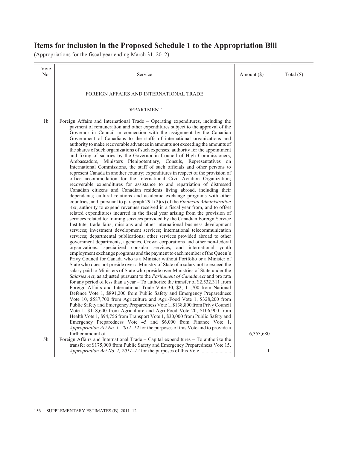| Vote<br>No.    | Service                                                                                                                                                                                                                                                                                                                                                                                                                                                                                                                                                                                                                                                                                                                                                                                                                                                                                                                                                                                                                                                                                                                                                                                                                                                                                                                                                                                                                                                                                                                                                                                                                                                                                                                                                                                                                                                                                                                                                                                                                                                                                                                                                                                                                                                                                                                                                                                                                                                                                                                                                                                                                                                                                                                                                                                                                                                                                                  | Amount $(\$)$ | Total $(\$)$ |
|----------------|----------------------------------------------------------------------------------------------------------------------------------------------------------------------------------------------------------------------------------------------------------------------------------------------------------------------------------------------------------------------------------------------------------------------------------------------------------------------------------------------------------------------------------------------------------------------------------------------------------------------------------------------------------------------------------------------------------------------------------------------------------------------------------------------------------------------------------------------------------------------------------------------------------------------------------------------------------------------------------------------------------------------------------------------------------------------------------------------------------------------------------------------------------------------------------------------------------------------------------------------------------------------------------------------------------------------------------------------------------------------------------------------------------------------------------------------------------------------------------------------------------------------------------------------------------------------------------------------------------------------------------------------------------------------------------------------------------------------------------------------------------------------------------------------------------------------------------------------------------------------------------------------------------------------------------------------------------------------------------------------------------------------------------------------------------------------------------------------------------------------------------------------------------------------------------------------------------------------------------------------------------------------------------------------------------------------------------------------------------------------------------------------------------------------------------------------------------------------------------------------------------------------------------------------------------------------------------------------------------------------------------------------------------------------------------------------------------------------------------------------------------------------------------------------------------------------------------------------------------------------------------------------------------|---------------|--------------|
|                | FOREIGN AFFAIRS AND INTERNATIONAL TRADE                                                                                                                                                                                                                                                                                                                                                                                                                                                                                                                                                                                                                                                                                                                                                                                                                                                                                                                                                                                                                                                                                                                                                                                                                                                                                                                                                                                                                                                                                                                                                                                                                                                                                                                                                                                                                                                                                                                                                                                                                                                                                                                                                                                                                                                                                                                                                                                                                                                                                                                                                                                                                                                                                                                                                                                                                                                                  |               |              |
|                | <b>DEPARTMENT</b>                                                                                                                                                                                                                                                                                                                                                                                                                                                                                                                                                                                                                                                                                                                                                                                                                                                                                                                                                                                                                                                                                                                                                                                                                                                                                                                                                                                                                                                                                                                                                                                                                                                                                                                                                                                                                                                                                                                                                                                                                                                                                                                                                                                                                                                                                                                                                                                                                                                                                                                                                                                                                                                                                                                                                                                                                                                                                        |               |              |
| 1 <sub>b</sub> | Foreign Affairs and International Trade – Operating expenditures, including the<br>payment of remuneration and other expenditures subject to the approval of the<br>Governor in Council in connection with the assignment by the Canadian<br>Government of Canadians to the staffs of international organizations and<br>authority to make recoverable advances in amounts not exceeding the amounts of<br>the shares of such organizations of such expenses; authority for the appointment<br>and fixing of salaries by the Governor in Council of High Commissioners,<br>Ambassadors, Ministers Plenipotentiary, Consuls, Representatives on<br>International Commissions, the staff of such officials and other persons to<br>represent Canada in another country; expenditures in respect of the provision of<br>office accommodation for the International Civil Aviation Organization;<br>recoverable expenditures for assistance to and repatriation of distressed<br>Canadian citizens and Canadian residents living abroad, including their<br>dependants; cultural relations and academic exchange programs with other<br>countries; and, pursuant to paragraph $29.1(2)(a)$ of the Financial Administration<br>Act, authority to expend revenues received in a fiscal year from, and to offset<br>related expenditures incurred in the fiscal year arising from the provision of<br>services related to: training services provided by the Canadian Foreign Service<br>Institute; trade fairs, missions and other international business development<br>services; investment development services; international telecommunication<br>services; departmental publications; other services provided abroad to other<br>government departments, agencies, Crown corporations and other non-federal<br>organizations; specialized consular services; and international youth<br>employment exchange programs and the payment to each member of the Queen's<br>Privy Council for Canada who is a Minister without Portfolio or a Minister of<br>State who does not preside over a Ministry of State of a salary not to exceed the<br>salary paid to Ministers of State who preside over Ministries of State under the<br><i>Salaries Act</i> , as adjusted pursuant to the <i>Parliament of Canada Act</i> and pro rata<br>for any period of less than a year – To authorize the transfer of \$2,532,311 from<br>Foreign Affairs and International Trade Vote 30, \$2,111,700 from National<br>Defence Vote 1, \$891,200 from Public Safety and Emergency Preparedness<br>Vote 10, \$587,700 from Agriculture and Agri-Food Vote 1, \$328,200 from<br>Public Safety and Emergency Preparedness Vote 1, \$138,800 from Privy Council<br>Vote 1, \$118,600 from Agriculture and Agri-Food Vote 20, \$106,900 from<br>Health Vote 1, \$94,756 from Transport Vote 1, \$30,000 from Public Safety and |               |              |
| .5b            | Emergency Preparedness Vote 45 and \$6,000 from Finance Vote 1,<br>Appropriation Act No. 1, 2011-12 for the purposes of this Vote and to provide a                                                                                                                                                                                                                                                                                                                                                                                                                                                                                                                                                                                                                                                                                                                                                                                                                                                                                                                                                                                                                                                                                                                                                                                                                                                                                                                                                                                                                                                                                                                                                                                                                                                                                                                                                                                                                                                                                                                                                                                                                                                                                                                                                                                                                                                                                                                                                                                                                                                                                                                                                                                                                                                                                                                                                       | 6,353,680     |              |
|                | Foreign Affairs and International Trade – Capital expenditures – To authorize the<br>transfer of \$175,000 from Public Safety and Emergency Preparedness Vote 15,                                                                                                                                                                                                                                                                                                                                                                                                                                                                                                                                                                                                                                                                                                                                                                                                                                                                                                                                                                                                                                                                                                                                                                                                                                                                                                                                                                                                                                                                                                                                                                                                                                                                                                                                                                                                                                                                                                                                                                                                                                                                                                                                                                                                                                                                                                                                                                                                                                                                                                                                                                                                                                                                                                                                        | 1             |              |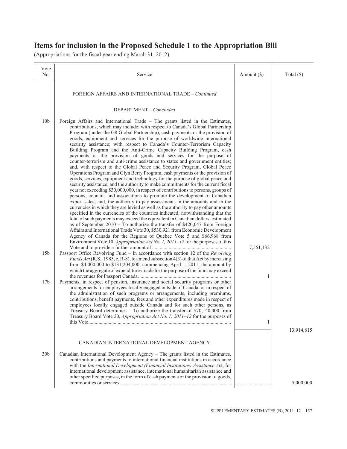| Vote<br>No.     | Service                                                                                                                                                                                                                                                                                                                                                                                                                                                                                                                                                                                                                                                                                                                                                                                                                                                                                                                                                                                                                                                                                                                                                                                                                                                                                                                                                                                                                                                                                                                                                                                                                                                                                                                                                                                                          | Amount $(\$)$ | Total $(\$)$ |
|-----------------|------------------------------------------------------------------------------------------------------------------------------------------------------------------------------------------------------------------------------------------------------------------------------------------------------------------------------------------------------------------------------------------------------------------------------------------------------------------------------------------------------------------------------------------------------------------------------------------------------------------------------------------------------------------------------------------------------------------------------------------------------------------------------------------------------------------------------------------------------------------------------------------------------------------------------------------------------------------------------------------------------------------------------------------------------------------------------------------------------------------------------------------------------------------------------------------------------------------------------------------------------------------------------------------------------------------------------------------------------------------------------------------------------------------------------------------------------------------------------------------------------------------------------------------------------------------------------------------------------------------------------------------------------------------------------------------------------------------------------------------------------------------------------------------------------------------|---------------|--------------|
|                 |                                                                                                                                                                                                                                                                                                                                                                                                                                                                                                                                                                                                                                                                                                                                                                                                                                                                                                                                                                                                                                                                                                                                                                                                                                                                                                                                                                                                                                                                                                                                                                                                                                                                                                                                                                                                                  |               |              |
|                 | <b>FOREIGN AFFAIRS AND INTERNATIONAL TRADE – Continued</b>                                                                                                                                                                                                                                                                                                                                                                                                                                                                                                                                                                                                                                                                                                                                                                                                                                                                                                                                                                                                                                                                                                                                                                                                                                                                                                                                                                                                                                                                                                                                                                                                                                                                                                                                                       |               |              |
|                 | DEPARTMENT - Concluded                                                                                                                                                                                                                                                                                                                                                                                                                                                                                                                                                                                                                                                                                                                                                                                                                                                                                                                                                                                                                                                                                                                                                                                                                                                                                                                                                                                                                                                                                                                                                                                                                                                                                                                                                                                           |               |              |
| 10 <sub>b</sub> | Foreign Affairs and International Trade – The grants listed in the Estimates,<br>contributions, which may include: with respect to Canada's Global Partnership<br>Program (under the G8 Global Partnership), cash payments or the provision of<br>goods, equipment and services for the purpose of worldwide international<br>security assistance; with respect to Canada's Counter-Terrorism Capacity<br>Building Program and the Anti-Crime Capacity Building Program, cash<br>payments or the provision of goods and services for the purpose of<br>counter-terrorism and anti-crime assistance to states and government entities;<br>and, with respect to the Global Peace and Security Program, Global Peace<br>Operations Program and Glyn Berry Program, cash payments or the provision of<br>goods, services, equipment and technology for the purpose of global peace and<br>security assistance; and the authority to make commitments for the current fiscal<br>year not exceeding \$30,000,000, in respect of contributions to persons, groups of<br>persons, councils and associations to promote the development of Canadian<br>export sales; and, the authority to pay assessments in the amounts and in the<br>currencies in which they are levied as well as the authority to pay other amounts<br>specified in the currencies of the countries indicated, notwithstanding that the<br>total of such payments may exceed the equivalent in Canadian dollars, estimated<br>as of September $2010 - To$ authorize the transfer of \$420,047 from Foreign<br>Affairs and International Trade Vote 30, \$530,921 from Economic Development<br>Agency of Canada for the Regions of Quebec Vote 5 and \$66,968 from<br>Environment Vote 10, Appropriation Act No. 1, 2011-12 for the purposes of this |               |              |
| 15 <sub>b</sub> | Passport Office Revolving Fund – In accordance with section 12 of the Revolving<br><i>Funds Act</i> (R.S., 1985, c. R-8), to amend subsection 4(3) of that Act by increasing<br>from \$4,000,000 to \$131,204,000, commencing April 1, 2011, the amount by<br>which the aggregate of expenditures made for the purpose of the fund may exceed                                                                                                                                                                                                                                                                                                                                                                                                                                                                                                                                                                                                                                                                                                                                                                                                                                                                                                                                                                                                                                                                                                                                                                                                                                                                                                                                                                                                                                                                    | 7,561,132     |              |
| 17 <sub>b</sub> | Payments, in respect of pension, insurance and social security programs or other<br>arrangements for employees locally engaged outside of Canada, or in respect of<br>the administration of such programs or arrangements, including premiums,<br>contributions, benefit payments, fees and other expenditures made in respect of<br>employees locally engaged outside Canada and for such other persons, as<br>Treasury Board determines - To authorize the transfer of \$70,140,000 from<br>Treasury Board Vote 20, <i>Appropriation Act No. 1, 2011–12</i> for the purposes of                                                                                                                                                                                                                                                                                                                                                                                                                                                                                                                                                                                                                                                                                                                                                                                                                                                                                                                                                                                                                                                                                                                                                                                                                                | 1<br>1        | 13,914,815   |
|                 | CANADIAN INTERNATIONAL DEVELOPMENT AGENCY                                                                                                                                                                                                                                                                                                                                                                                                                                                                                                                                                                                                                                                                                                                                                                                                                                                                                                                                                                                                                                                                                                                                                                                                                                                                                                                                                                                                                                                                                                                                                                                                                                                                                                                                                                        |               |              |
| 30 <sub>b</sub> | Canadian International Development Agency – The grants listed in the Estimates,<br>contributions and payments to international financial institutions in accordance<br>with the International Development (Financial Institutions) Assistance Act, for<br>international development assistance, international humanitarian assistance and<br>other specified purposes, in the form of cash payments or the provision of goods,                                                                                                                                                                                                                                                                                                                                                                                                                                                                                                                                                                                                                                                                                                                                                                                                                                                                                                                                                                                                                                                                                                                                                                                                                                                                                                                                                                                   |               | 5,000,000    |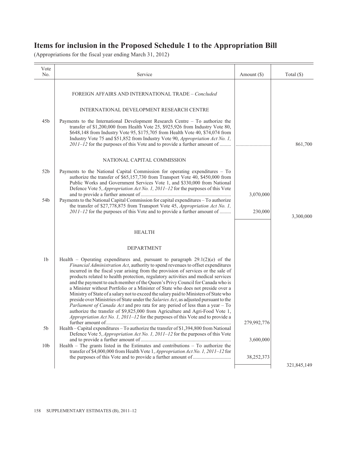| Vote<br>No.     | Service                                                                                                                                                                                                                                                                                                                                                                                                                                                                                                                                                                                                                                                                                                                                                                                                                                                            | Amount (\$) | Total $(\$)$ |
|-----------------|--------------------------------------------------------------------------------------------------------------------------------------------------------------------------------------------------------------------------------------------------------------------------------------------------------------------------------------------------------------------------------------------------------------------------------------------------------------------------------------------------------------------------------------------------------------------------------------------------------------------------------------------------------------------------------------------------------------------------------------------------------------------------------------------------------------------------------------------------------------------|-------------|--------------|
|                 | FOREIGN AFFAIRS AND INTERNATIONAL TRADE - Concluded                                                                                                                                                                                                                                                                                                                                                                                                                                                                                                                                                                                                                                                                                                                                                                                                                |             |              |
|                 | INTERNATIONAL DEVELOPMENT RESEARCH CENTRE                                                                                                                                                                                                                                                                                                                                                                                                                                                                                                                                                                                                                                                                                                                                                                                                                          |             |              |
| 45 <sub>b</sub> | Payments to the International Development Research Centre $-$ To authorize the<br>transfer of \$1,200,000 from Health Vote 25, \$925,926 from Industry Vote 80,<br>\$648,148 from Industry Vote 95, \$175,705 from Health Vote 40, \$74,074 from<br>Industry Vote 75 and \$51,852 from Industry Vote 90, <i>Appropriation Act No. 1</i> ,<br>2011–12 for the purposes of this Vote and to provide a further amount of                                                                                                                                                                                                                                                                                                                                                                                                                                              |             | 861,700      |
|                 | NATIONAL CAPITAL COMMISSION                                                                                                                                                                                                                                                                                                                                                                                                                                                                                                                                                                                                                                                                                                                                                                                                                                        |             |              |
| 52 <sub>b</sub> | Payments to the National Capital Commission for operating expenditures – To<br>authorize the transfer of \$65,157,730 from Transport Vote 40, \$450,000 from<br>Public Works and Government Services Vote 1, and \$330,000 from National<br>Defence Vote 5, Appropriation Act No. 1, 2011-12 for the purposes of this Vote                                                                                                                                                                                                                                                                                                                                                                                                                                                                                                                                         |             |              |
| 54b             | Payments to the National Capital Commission for capital expenditures - To authorize                                                                                                                                                                                                                                                                                                                                                                                                                                                                                                                                                                                                                                                                                                                                                                                | 3,070,000   |              |
|                 | the transfer of \$27,778,875 from Transport Vote 45, Appropriation Act No. 1,<br>$2011 - 12$ for the purposes of this Vote and to provide a further amount of                                                                                                                                                                                                                                                                                                                                                                                                                                                                                                                                                                                                                                                                                                      | 230,000     | 3,300,000    |
|                 | <b>HEALTH</b>                                                                                                                                                                                                                                                                                                                                                                                                                                                                                                                                                                                                                                                                                                                                                                                                                                                      |             |              |
|                 | DEPARTMENT                                                                                                                                                                                                                                                                                                                                                                                                                                                                                                                                                                                                                                                                                                                                                                                                                                                         |             |              |
| 1 <sub>b</sub>  | Health – Operating expenditures and, pursuant to paragraph $29.1(2)(a)$ of the<br>Financial Administration Act, authority to spend revenues to offset expenditures<br>incurred in the fiscal year arising from the provision of services or the sale of<br>products related to health protection, regulatory activities and medical services<br>and the payment to each member of the Queen's Privy Council for Canada who is<br>a Minister without Portfolio or a Minister of State who does not preside over a<br>Ministry of State of a salary not to exceed the salary paid to Ministers of State who<br>preside over Ministries of State under the Salaries Act, as adjusted pursuant to the<br>Parliament of Canada Act and pro rata for any period of less than a year - To<br>authorize the transfer of \$9,825,000 from Agriculture and Agri-Food Vote 1, |             |              |
|                 | Appropriation Act No. 1, 2011-12 for the purposes of this Vote and to provide a                                                                                                                                                                                                                                                                                                                                                                                                                                                                                                                                                                                                                                                                                                                                                                                    | 279,992,776 |              |
| 5 <sub>b</sub>  | Health - Capital expenditures - To authorize the transfer of \$1,394,800 from National<br>Defence Vote 5, Appropriation Act No. 1, 2011-12 for the purposes of this Vote                                                                                                                                                                                                                                                                                                                                                                                                                                                                                                                                                                                                                                                                                           | 3,600,000   |              |
| 10 <sub>b</sub> | Health $-$ The grants listed in the Estimates and contributions $-$ To authorize the<br>transfer of \$4,000,000 from Health Vote 1, Appropriation Act No. 1, 2011-12 for                                                                                                                                                                                                                                                                                                                                                                                                                                                                                                                                                                                                                                                                                           |             |              |
|                 |                                                                                                                                                                                                                                                                                                                                                                                                                                                                                                                                                                                                                                                                                                                                                                                                                                                                    | 38,252,373  | 321,845,149  |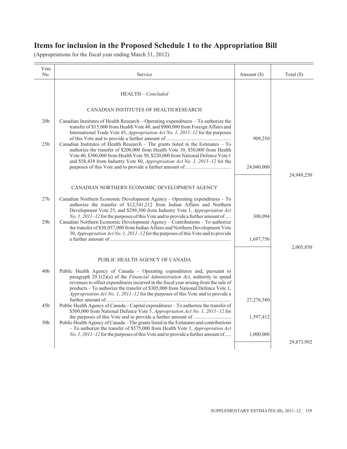| Vote<br>No.     | Service                                                                                                                                                                                                                                                                                                                                                                                                                          | Amount $(\$)$ | Total $(\$)$ |
|-----------------|----------------------------------------------------------------------------------------------------------------------------------------------------------------------------------------------------------------------------------------------------------------------------------------------------------------------------------------------------------------------------------------------------------------------------------|---------------|--------------|
|                 | HEALTH - Concluded                                                                                                                                                                                                                                                                                                                                                                                                               |               |              |
|                 | CANADIAN INSTITUTES OF HEALTH RESEARCH                                                                                                                                                                                                                                                                                                                                                                                           |               |              |
| 20 <sub>b</sub> | Canadian Institutes of Health Research - Operating expenditures - To authorize the<br>transfer of \$15,000 from Health Vote 40, and \$900,000 from Foreign Affairs and<br>International Trade Vote 45, Appropriation Act No. 1, 2011-12 for the purposes                                                                                                                                                                         | 909,250       |              |
| 25 <sub>b</sub> | Canadian Institutes of Health Research - The grants listed in the Estimates - To<br>authorize the transfer of \$200,000 from Health Vote 10, \$50,000 from Health<br>Vote 40, \$300,000 from Health Vote 50, \$220,000 from National Defence Vote 1<br>and \$58,438 from Industry Vote 80, <i>Appropriation Act No. 1, 2011–12</i> for the                                                                                       |               |              |
|                 |                                                                                                                                                                                                                                                                                                                                                                                                                                  | 24,040,000    | 24,949,250   |
|                 | CANADIAN NORTHERN ECONOMIC DEVELOPMENT AGENCY                                                                                                                                                                                                                                                                                                                                                                                    |               |              |
| 27 <sub>b</sub> | Canadian Northern Economic Development Agency – Operating expenditures – To<br>authorize the transfer of \$12,541,212 from Indian Affairs and Northern<br>Development Vote 25, and \$299,300 from Industry Vote 1, Appropriation Act                                                                                                                                                                                             |               |              |
| 29 <sub>b</sub> | No. 1, 2011–12 for the purposes of this Vote and to provide a further amount of<br>Canadian Northern Economic Development Agency - Contributions - To authorize<br>the transfer of \$30,057,000 from Indian Affairs and Northern Development Vote                                                                                                                                                                                | 308,094       |              |
|                 | 30, <i>Appropriation Act No. 1, 2011–12</i> for the purposes of this Vote and to provide                                                                                                                                                                                                                                                                                                                                         | 1,697,756     |              |
|                 |                                                                                                                                                                                                                                                                                                                                                                                                                                  |               | 2,005,850    |
|                 | PUBLIC HEALTH AGENCY OF CANADA                                                                                                                                                                                                                                                                                                                                                                                                   |               |              |
| 40 <sub>b</sub> | Public Health Agency of Canada – Operating expenditures and, pursuant to<br>paragraph $29.1(2)(a)$ of the <i>Financial Administration Act</i> , authority to spend<br>revenues to offset expenditures incurred in the fiscal year arising from the sale of<br>products – To authorize the transfer of \$305,000 from National Defence Vote 1,<br>Appropriation Act No. 1, 2011–12 for the purposes of this Vote and to provide a |               |              |
| 45 <sub>b</sub> | Public Health Agency of Canada - Capital expenditures - To authorize the transfer of                                                                                                                                                                                                                                                                                                                                             | 27,276,580    |              |
|                 | \$500,000 from National Defence Vote 5, Appropriation Act No. 1, 2011-12 for                                                                                                                                                                                                                                                                                                                                                     | 1,597,412     |              |
| 50 <sub>b</sub> | Public Health Agency of Canada - The grants listed in the Estimates and contributions<br>- To authorize the transfer of \$575,000 from Health Vote 1, Appropriation Act                                                                                                                                                                                                                                                          |               |              |
|                 | No. 1, 2011–12 for the purposes of this Vote and to provide a further amount of                                                                                                                                                                                                                                                                                                                                                  | 1,000,000     |              |
|                 |                                                                                                                                                                                                                                                                                                                                                                                                                                  |               | 29,873,992   |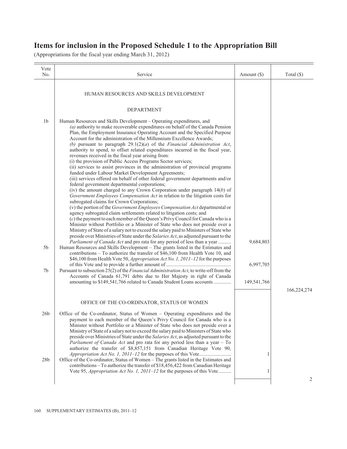| Vote<br>No.     | Service                                                                                                                                                                                                                                                                                                                                                                                                                                                                                                                                                                                                                                                                                                                                                                                                                                                                                                                                                                                                                                                                                                                                                                                                                                                                                                                                                                                                                                                                                                                                                                                                                                                                                   | Amount $(\$)$ | Total (\$)  |
|-----------------|-------------------------------------------------------------------------------------------------------------------------------------------------------------------------------------------------------------------------------------------------------------------------------------------------------------------------------------------------------------------------------------------------------------------------------------------------------------------------------------------------------------------------------------------------------------------------------------------------------------------------------------------------------------------------------------------------------------------------------------------------------------------------------------------------------------------------------------------------------------------------------------------------------------------------------------------------------------------------------------------------------------------------------------------------------------------------------------------------------------------------------------------------------------------------------------------------------------------------------------------------------------------------------------------------------------------------------------------------------------------------------------------------------------------------------------------------------------------------------------------------------------------------------------------------------------------------------------------------------------------------------------------------------------------------------------------|---------------|-------------|
|                 | HUMAN RESOURCES AND SKILLS DEVELOPMENT                                                                                                                                                                                                                                                                                                                                                                                                                                                                                                                                                                                                                                                                                                                                                                                                                                                                                                                                                                                                                                                                                                                                                                                                                                                                                                                                                                                                                                                                                                                                                                                                                                                    |               |             |
|                 | <b>DEPARTMENT</b>                                                                                                                                                                                                                                                                                                                                                                                                                                                                                                                                                                                                                                                                                                                                                                                                                                                                                                                                                                                                                                                                                                                                                                                                                                                                                                                                                                                                                                                                                                                                                                                                                                                                         |               |             |
| 1 <sub>b</sub>  | Human Resources and Skills Development – Operating expenditures, and<br>$(a)$ authority to make recoverable expenditures on behalf of the Canada Pension<br>Plan, the Employment Insurance Operating Account and the Specified Purpose<br>Account for the administration of the Millennium Excellence Awards;<br>(b) pursuant to paragraph $29.1(2)(a)$ of the Financial Administration Act,<br>authority to spend, to offset related expenditures incurred in the fiscal year,<br>revenues received in the fiscal year arising from:<br>(i) the provision of Public Access Programs Sector services;<br>(ii) services to assist provinces in the administration of provincial programs<br>funded under Labour Market Development Agreements;<br>(iii) services offered on behalf of other federal government departments and/or<br>federal government departmental corporations;<br>(iv) the amount charged to any Crown Corporation under paragraph $14(b)$ of<br>Government Employees Compensation Act in relation to the litigation costs for<br>subrogated claims for Crown Corporations;<br>(v) the portion of the Government Employees Compensation Act departmental or<br>agency subrogated claim settlements related to litigation costs; and<br>$(c)$ the payment to each member of the Queen's Privy Council for Canada who is a<br>Minister without Portfolio or a Minister of State who does not preside over a<br>Ministry of State of a salary not to exceed the salary paid to Ministers of State who<br>preside over Ministries of State under the Salaries Act, as adjusted pursuant to the<br>Parliament of Canada Act and pro rata for any period of less than a year | 9,684,803     |             |
| 5b              | Human Resources and Skills Development - The grants listed in the Estimates and<br>contributions - To authorize the transfer of \$46,100 from Health Vote 10, and<br>\$46,100 from Health Vote 50, <i>Appropriation Act No. 1, 2011–12</i> for the purposes                                                                                                                                                                                                                                                                                                                                                                                                                                                                                                                                                                                                                                                                                                                                                                                                                                                                                                                                                                                                                                                                                                                                                                                                                                                                                                                                                                                                                               | 6,997,705     |             |
| 7b              | Pursuant to subsection 25(2) of the <i>Financial Administration Act</i> , to write-off from the<br>Accounts of Canada 61,791 debts due to Her Majesty in right of Canada<br>amounting to \$149,541,766 related to Canada Student Loans accounts                                                                                                                                                                                                                                                                                                                                                                                                                                                                                                                                                                                                                                                                                                                                                                                                                                                                                                                                                                                                                                                                                                                                                                                                                                                                                                                                                                                                                                           | 149,541,766   | 166,224,274 |
|                 | OFFICE OF THE CO-ORDINATOR, STATUS OF WOMEN                                                                                                                                                                                                                                                                                                                                                                                                                                                                                                                                                                                                                                                                                                                                                                                                                                                                                                                                                                                                                                                                                                                                                                                                                                                                                                                                                                                                                                                                                                                                                                                                                                               |               |             |
| 26 <sub>b</sub> | Office of the Co-ordinator, Status of Women – Operating expenditures and the<br>payment to each member of the Queen's Privy Council for Canada who is a<br>Minister without Portfolio or a Minister of State who does not preside over a<br>Ministry of State of a salary not to exceed the salary paid to Ministers of State who<br>preside over Ministries of State under the Salaries Act, as adjusted pursuant to the<br><i>Parliament of Canada Act</i> and pro rata for any period less than a year $-$ To<br>authorize the transfer of \$8,857,151 from Canadian Heritage Vote 90,                                                                                                                                                                                                                                                                                                                                                                                                                                                                                                                                                                                                                                                                                                                                                                                                                                                                                                                                                                                                                                                                                                 | 1             |             |
| 28 <sub>b</sub> | Office of the Co-ordinator, Status of Women - The grants listed in the Estimates and<br>contributions - To authorize the transfer of \$18,456,422 from Canadian Heritage<br>Vote 95, <i>Appropriation Act No. 1, 2011–12</i> for the purposes of this Vote                                                                                                                                                                                                                                                                                                                                                                                                                                                                                                                                                                                                                                                                                                                                                                                                                                                                                                                                                                                                                                                                                                                                                                                                                                                                                                                                                                                                                                | 1             | 2           |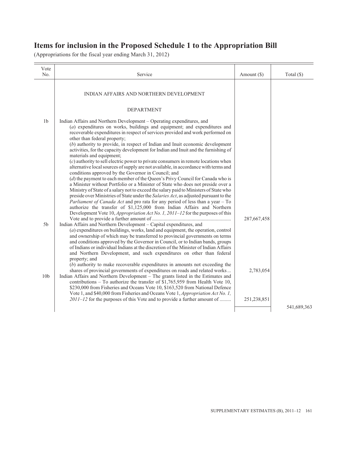| Vote<br>No.     | Service                                                                                                                                                                                                                                                                                                                                                                                                                                                                                                                                                                                                                                                                                                                                                                                                                                                                                                                                                                                                                                                                                                                                                                                                                                                                                                                    | Amount $(\$)$            | Total $(\$)$ |
|-----------------|----------------------------------------------------------------------------------------------------------------------------------------------------------------------------------------------------------------------------------------------------------------------------------------------------------------------------------------------------------------------------------------------------------------------------------------------------------------------------------------------------------------------------------------------------------------------------------------------------------------------------------------------------------------------------------------------------------------------------------------------------------------------------------------------------------------------------------------------------------------------------------------------------------------------------------------------------------------------------------------------------------------------------------------------------------------------------------------------------------------------------------------------------------------------------------------------------------------------------------------------------------------------------------------------------------------------------|--------------------------|--------------|
|                 | INDIAN AFFAIRS AND NORTHERN DEVELOPMENT                                                                                                                                                                                                                                                                                                                                                                                                                                                                                                                                                                                                                                                                                                                                                                                                                                                                                                                                                                                                                                                                                                                                                                                                                                                                                    |                          |              |
|                 | <b>DEPARTMENT</b>                                                                                                                                                                                                                                                                                                                                                                                                                                                                                                                                                                                                                                                                                                                                                                                                                                                                                                                                                                                                                                                                                                                                                                                                                                                                                                          |                          |              |
| 1b              | Indian Affairs and Northern Development – Operating expenditures, and<br>(a) expenditures on works, buildings and equipment; and expenditures and<br>recoverable expenditures in respect of services provided and work performed on<br>other than federal property;<br>$(b)$ authority to provide, in respect of Indian and Inuit economic development<br>activities, for the capacity development for Indian and Inuit and the furnishing of<br>materials and equipment;<br>$(c)$ authority to sell electric power to private consumers in remote locations when<br>alternative local sources of supply are not available, in accordance with terms and<br>conditions approved by the Governor in Council; and<br>$(d)$ the payment to each member of the Queen's Privy Council for Canada who is<br>a Minister without Portfolio or a Minister of State who does not preside over a<br>Ministry of State of a salary not to exceed the salary paid to Ministers of State who<br>preside over Ministries of State under the Salaries Act, as adjusted pursuant to the<br>Parliament of Canada Act and pro rata for any period of less than a year - To<br>authorize the transfer of \$1,125,000 from Indian Affairs and Northern<br>Development Vote 10, <i>Appropriation Act No. 1, 2011–12</i> for the purposes of this | 287,667,458              |              |
| 5b              | Indian Affairs and Northern Development - Capital expenditures, and<br>$(a)$ expenditures on buildings, works, land and equipment, the operation, control<br>and ownership of which may be transferred to provincial governments on terms<br>and conditions approved by the Governor in Council, or to Indian bands, groups<br>of Indians or individual Indians at the discretion of the Minister of Indian Affairs<br>and Northern Development, and such expenditures on other than federal<br>property; and                                                                                                                                                                                                                                                                                                                                                                                                                                                                                                                                                                                                                                                                                                                                                                                                              |                          |              |
| 10 <sub>b</sub> | (b) authority to make recoverable expenditures in amounts not exceeding the<br>shares of provincial governments of expenditures on roads and related works<br>Indian Affairs and Northern Development - The grants listed in the Estimates and<br>contributions - To authorize the transfer of $$1,765,959$ from Health Vote 10,<br>\$230,000 from Fisheries and Oceans Vote 10, \$163,520 from National Defence<br>Vote 1, and \$40,000 from Fisheries and Oceans Vote 1, Appropriation Act No. 1,<br>2011–12 for the purposes of this Vote and to provide a further amount of                                                                                                                                                                                                                                                                                                                                                                                                                                                                                                                                                                                                                                                                                                                                            | 2,783,054<br>251,238,851 | 541,689,363  |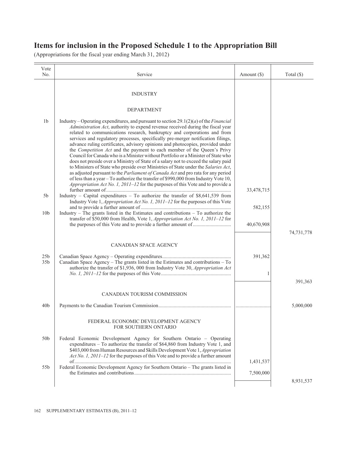| Vote<br>No.                        | Service                                                                                                                                                                                                                                                                                                                                                                                                                                                                                                                                                                                                                                                                                                                                                                                                                                                                                                                                                                                                                                                | Amount $(\$)$ | Total $(\$)$ |
|------------------------------------|--------------------------------------------------------------------------------------------------------------------------------------------------------------------------------------------------------------------------------------------------------------------------------------------------------------------------------------------------------------------------------------------------------------------------------------------------------------------------------------------------------------------------------------------------------------------------------------------------------------------------------------------------------------------------------------------------------------------------------------------------------------------------------------------------------------------------------------------------------------------------------------------------------------------------------------------------------------------------------------------------------------------------------------------------------|---------------|--------------|
|                                    | <b>INDUSTRY</b>                                                                                                                                                                                                                                                                                                                                                                                                                                                                                                                                                                                                                                                                                                                                                                                                                                                                                                                                                                                                                                        |               |              |
|                                    | <b>DEPARTMENT</b>                                                                                                                                                                                                                                                                                                                                                                                                                                                                                                                                                                                                                                                                                                                                                                                                                                                                                                                                                                                                                                      |               |              |
| 1 <sub>b</sub>                     | Industry – Operating expenditures, and pursuant to section $29.1(2)(a)$ of the <i>Financial</i><br>Administration Act, authority to expend revenue received during the fiscal year<br>related to communications research, bankruptcy and corporations and from<br>services and regulatory processes, specifically pre-merger notification filings,<br>advance ruling certificates, advisory opinions and photocopies, provided under<br>the Competition Act and the payment to each member of the Queen's Privy<br>Council for Canada who is a Minister without Portfolio or a Minister of State who<br>does not preside over a Ministry of State of a salary not to exceed the salary paid<br>to Ministers of State who preside over Ministries of State under the Salaries Act,<br>as adjusted pursuant to the <i>Parliament of Canada Act</i> and pro rata for any period<br>of less than a year - To authorize the transfer of \$990,000 from Industry Vote 10,<br>Appropriation Act No. 1, 2011-12 for the purposes of this Vote and to provide a |               |              |
| 5b                                 | Industry – Capital expenditures – To authorize the transfer of $$8,641,539$ from                                                                                                                                                                                                                                                                                                                                                                                                                                                                                                                                                                                                                                                                                                                                                                                                                                                                                                                                                                       | 33,478,715    |              |
|                                    | Industry Vote 1, <i>Appropriation Act No. 1, 2011–12</i> for the purposes of this Vote                                                                                                                                                                                                                                                                                                                                                                                                                                                                                                                                                                                                                                                                                                                                                                                                                                                                                                                                                                 | 582,155       |              |
| 10 <sub>b</sub>                    | Industry - The grants listed in the Estimates and contributions - To authorize the<br>transfer of \$50,000 from Health, Vote 1, Appropriation Act No. 1, 2011-12 for                                                                                                                                                                                                                                                                                                                                                                                                                                                                                                                                                                                                                                                                                                                                                                                                                                                                                   |               |              |
|                                    |                                                                                                                                                                                                                                                                                                                                                                                                                                                                                                                                                                                                                                                                                                                                                                                                                                                                                                                                                                                                                                                        | 40,670,908    | 74,731,778   |
|                                    | CANADIAN SPACE AGENCY                                                                                                                                                                                                                                                                                                                                                                                                                                                                                                                                                                                                                                                                                                                                                                                                                                                                                                                                                                                                                                  |               |              |
| 25 <sub>b</sub><br>35 <sub>b</sub> | Canadian Space Agency - The grants listed in the Estimates and contributions - To<br>authorize the transfer of \$1,936, 000 from Industry Vote 30, Appropriation Act                                                                                                                                                                                                                                                                                                                                                                                                                                                                                                                                                                                                                                                                                                                                                                                                                                                                                   | 391,362<br>1  | 391,363      |
|                                    | CANADIAN TOURISM COMMISSION                                                                                                                                                                                                                                                                                                                                                                                                                                                                                                                                                                                                                                                                                                                                                                                                                                                                                                                                                                                                                            |               |              |
| 40 <sub>b</sub>                    |                                                                                                                                                                                                                                                                                                                                                                                                                                                                                                                                                                                                                                                                                                                                                                                                                                                                                                                                                                                                                                                        |               | 5,000,000    |
|                                    | FEDERAL ECONOMIC DEVELOPMENT AGENCY<br>FOR SOUTHERN ONTARIO                                                                                                                                                                                                                                                                                                                                                                                                                                                                                                                                                                                                                                                                                                                                                                                                                                                                                                                                                                                            |               |              |
| 50 <sub>b</sub>                    | Federal Economic Development Agency for Southern Ontario - Operating<br>expenditures - To authorize the transfer of \$64,860 from Industry Vote 1, and<br>\$403,000 from Human Resources and Skills Development Vote 1, Appropriation<br>Act No. 1, 2011-12 for the purposes of this Vote and to provide a further amount                                                                                                                                                                                                                                                                                                                                                                                                                                                                                                                                                                                                                                                                                                                              |               |              |
| 55b                                | Federal Economic Development Agency for Southern Ontario - The grants listed in                                                                                                                                                                                                                                                                                                                                                                                                                                                                                                                                                                                                                                                                                                                                                                                                                                                                                                                                                                        | 1,431,537     |              |
|                                    |                                                                                                                                                                                                                                                                                                                                                                                                                                                                                                                                                                                                                                                                                                                                                                                                                                                                                                                                                                                                                                                        | 7,500,000     | 8,931,537    |
|                                    |                                                                                                                                                                                                                                                                                                                                                                                                                                                                                                                                                                                                                                                                                                                                                                                                                                                                                                                                                                                                                                                        |               |              |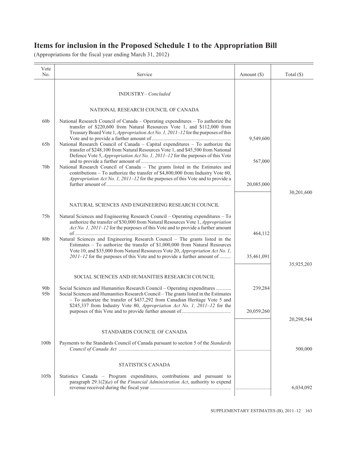| Vote                               |                                                                                                                                                                                                                                                        |               |              |
|------------------------------------|--------------------------------------------------------------------------------------------------------------------------------------------------------------------------------------------------------------------------------------------------------|---------------|--------------|
| No.                                | Service                                                                                                                                                                                                                                                | Amount $(\$)$ | Total $(\$)$ |
|                                    | INDUSTRY-Concluded                                                                                                                                                                                                                                     |               |              |
|                                    | NATIONAL RESEARCH COUNCIL OF CANADA                                                                                                                                                                                                                    |               |              |
| 60 <sub>b</sub>                    | National Research Council of Canada - Operating expenditures - To authorize the<br>transfer of \$220,600 from Natural Resources Vote 1, and \$112,000 from<br>Treasury Board Vote 1, Appropriation Act No. 1, 2011-12 for the purposes of this         | 9,549,600     |              |
| 65b                                | National Research Council of Canada - Capital expenditures - To authorize the<br>transfer of \$248,100 from Natural Resources Vote 1, and \$45,500 from National<br>Defence Vote 5, Appropriation Act No. 1, 2011-12 for the purposes of this Vote     |               |              |
| 70 <sub>b</sub>                    | National Research Council of Canada - The grants listed in the Estimates and<br>contributions - To authorize the transfer of \$4,800,000 from Industry Vote 60,                                                                                        | 567,000       |              |
|                                    | Appropriation Act No. 1, 2011-12 for the purposes of this Vote and to provide a                                                                                                                                                                        | 20,085,000    | 30,201,600   |
|                                    | NATURAL SCIENCES AND ENGINEERING RESEARCH COUNCIL                                                                                                                                                                                                      |               |              |
| 75b                                | Natural Sciences and Engineering Research Council - Operating expenditures - To<br>authorize the transfer of \$30,000 from Natural Resources Vote 1, Appropriation<br>Act No. 1, 2011-12 for the purposes of this Vote and to provide a further amount |               |              |
| 80b                                | Natural Sciences and Engineering Research Council - The grants listed in the<br>Estimates $-$ To authorize the transfer of \$1,000,000 from Natural Resources<br>Vote 10, and \$35,000 from Natural Resources Vote 20, Appropriation Act No. 1,        | 464,112       |              |
|                                    | 2011–12 for the purposes of this Vote and to provide a further amount of                                                                                                                                                                               | 35,461,091    | 35,925,203   |
|                                    | SOCIAL SCIENCES AND HUMANITIES RESEARCH COUNCIL                                                                                                                                                                                                        |               |              |
| 90 <sub>b</sub><br>95 <sub>b</sub> | Social Sciences and Humanities Research Council – Operating expenditures<br>Social Sciences and Humanities Research Council - The grants listed in the Estimates<br>- To authorize the transfer of \$437,292 from Canadian Heritage Vote 5 and         | 239,284       |              |
|                                    | \$245,337 from Industry Vote 80, Appropriation Act No. 1, 2011-12 for the                                                                                                                                                                              | 20,059,260    | 20,298,544   |
|                                    | STANDARDS COUNCIL OF CANADA                                                                                                                                                                                                                            |               |              |
| 100 <sub>b</sub>                   | Payments to the Standards Council of Canada pursuant to section 5 of the Standards                                                                                                                                                                     |               | 500,000      |
|                                    | <b>STATISTICS CANADA</b>                                                                                                                                                                                                                               |               |              |
| 105 <sub>b</sub>                   | Statistics Canada - Program expenditures, contributions and pursuant to<br>paragraph $29.1(2)(a)$ of the <i>Financial Administration Act</i> , authority to expend                                                                                     |               | 6,034,092    |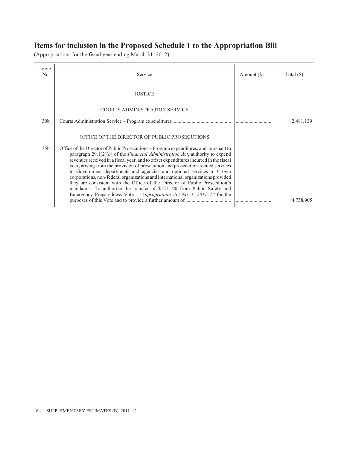| Vote<br>No.     | Service                                                                                                                                                                                                                                                                                                                                                                                                                                                                                                                                                                                                                                                                                                                                                            | Amount $(\$)$ | Total $(\$)$ |
|-----------------|--------------------------------------------------------------------------------------------------------------------------------------------------------------------------------------------------------------------------------------------------------------------------------------------------------------------------------------------------------------------------------------------------------------------------------------------------------------------------------------------------------------------------------------------------------------------------------------------------------------------------------------------------------------------------------------------------------------------------------------------------------------------|---------------|--------------|
|                 | <b>JUSTICE</b>                                                                                                                                                                                                                                                                                                                                                                                                                                                                                                                                                                                                                                                                                                                                                     |               |              |
|                 | COURTS ADMINISTRATION SERVICE                                                                                                                                                                                                                                                                                                                                                                                                                                                                                                                                                                                                                                                                                                                                      |               |              |
| 30 <sub>b</sub> |                                                                                                                                                                                                                                                                                                                                                                                                                                                                                                                                                                                                                                                                                                                                                                    |               | 2,481,139    |
|                 | OFFICE OF THE DIRECTOR OF PUBLIC PROSECUTIONS                                                                                                                                                                                                                                                                                                                                                                                                                                                                                                                                                                                                                                                                                                                      |               |              |
| 35 <sub>b</sub> | Office of the Director of Public Prosecutions – Program expenditures, and, pursuant to<br>paragraph $29.1(2)(a)$ of the <i>Financial Administration Act</i> , authority to expend<br>revenues received in a fiscal year, and to offset expenditures incurred in the fiscal<br>year, arising from the provision of prosecution and prosecution-related services<br>to Government departments and agencies and optional services to Crown<br>corporations, non-federal organizations and international organizations provided<br>they are consistent with the Office of the Director of Public Prosecution's<br>mandate $-$ To authorize the transfer of \$127,190 from Public Safety and<br>Emergency Preparedness Vote 1, Appropriation Act No. 1, 2011-12 for the | <br>          | 4.738.905    |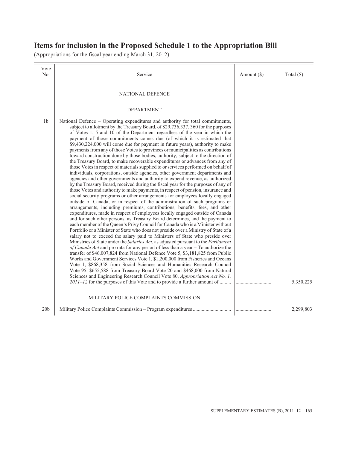| Vote<br>No.     | Service                                                                                                                                                                                                                                                                                                                                                                                                                                                                                                                                                                                                                                                                                                                                                                                                                                                                                                                                                                                                                                                                                                                                                                                                                                                                                                                                                                                                                                                                                                                                                                                                                                                                                                                                                                                                                                                                                                                                                                                                                                                                                                                                                                                                                                                                                                                                                                                                                                | Amount $(\$)$ | Total $(\$)$ |
|-----------------|----------------------------------------------------------------------------------------------------------------------------------------------------------------------------------------------------------------------------------------------------------------------------------------------------------------------------------------------------------------------------------------------------------------------------------------------------------------------------------------------------------------------------------------------------------------------------------------------------------------------------------------------------------------------------------------------------------------------------------------------------------------------------------------------------------------------------------------------------------------------------------------------------------------------------------------------------------------------------------------------------------------------------------------------------------------------------------------------------------------------------------------------------------------------------------------------------------------------------------------------------------------------------------------------------------------------------------------------------------------------------------------------------------------------------------------------------------------------------------------------------------------------------------------------------------------------------------------------------------------------------------------------------------------------------------------------------------------------------------------------------------------------------------------------------------------------------------------------------------------------------------------------------------------------------------------------------------------------------------------------------------------------------------------------------------------------------------------------------------------------------------------------------------------------------------------------------------------------------------------------------------------------------------------------------------------------------------------------------------------------------------------------------------------------------------------|---------------|--------------|
|                 | NATIONAL DEFENCE                                                                                                                                                                                                                                                                                                                                                                                                                                                                                                                                                                                                                                                                                                                                                                                                                                                                                                                                                                                                                                                                                                                                                                                                                                                                                                                                                                                                                                                                                                                                                                                                                                                                                                                                                                                                                                                                                                                                                                                                                                                                                                                                                                                                                                                                                                                                                                                                                       |               |              |
|                 | <b>DEPARTMENT</b>                                                                                                                                                                                                                                                                                                                                                                                                                                                                                                                                                                                                                                                                                                                                                                                                                                                                                                                                                                                                                                                                                                                                                                                                                                                                                                                                                                                                                                                                                                                                                                                                                                                                                                                                                                                                                                                                                                                                                                                                                                                                                                                                                                                                                                                                                                                                                                                                                      |               |              |
| 1 <sub>b</sub>  | National Defence – Operating expenditures and authority for total commitments,<br>subject to allotment by the Treasury Board, of \$29,736,337, 360 for the purposes<br>of Votes 1, 5 and 10 of the Department regardless of the year in which the<br>payment of those commitments comes due (of which it is estimated that<br>\$9,430,224,000 will come due for payment in future years), authority to make<br>payments from any of those Votes to provinces or municipalities as contributions<br>toward construction done by those bodies, authority, subject to the direction of<br>the Treasury Board, to make recoverable expenditures or advances from any of<br>those Votes in respect of materials supplied to or services performed on behalf of<br>individuals, corporations, outside agencies, other government departments and<br>agencies and other governments and authority to expend revenue, as authorized<br>by the Treasury Board, received during the fiscal year for the purposes of any of<br>those Votes and authority to make payments, in respect of pension, insurance and<br>social security programs or other arrangements for employees locally engaged<br>outside of Canada, or in respect of the administration of such programs or<br>arrangements, including premiums, contributions, benefits, fees, and other<br>expenditures, made in respect of employees locally engaged outside of Canada<br>and for such other persons, as Treasury Board determines, and the payment to<br>each member of the Queen's Privy Council for Canada who is a Minister without<br>Portfolio or a Minister of State who does not preside over a Ministry of State of a<br>salary not to exceed the salary paid to Ministers of State who preside over<br>Ministries of State under the Salaries Act, as adjusted pursuant to the Parliament<br>of Canada Act and pro rata for any period of less than a year $-$ To authorize the<br>transfer of \$46,007,824 from National Defence Vote 5, \$3,181,825 from Public<br>Works and Government Services Vote 1, \$1,200,000 from Fisheries and Oceans<br>Vote 1, \$868,358 from Social Sciences and Humanities Research Council<br>Vote 95, \$655,588 from Treasury Board Vote 20 and \$468,000 from Natural<br>Sciences and Engineering Research Council Vote 80, Appropriation Act No. 1,<br>2011–12 for the purposes of this Vote and to provide a further amount of |               | 5,350,225    |
|                 | MILITARY POLICE COMPLAINTS COMMISSION                                                                                                                                                                                                                                                                                                                                                                                                                                                                                                                                                                                                                                                                                                                                                                                                                                                                                                                                                                                                                                                                                                                                                                                                                                                                                                                                                                                                                                                                                                                                                                                                                                                                                                                                                                                                                                                                                                                                                                                                                                                                                                                                                                                                                                                                                                                                                                                                  |               |              |
| 20 <sub>b</sub> |                                                                                                                                                                                                                                                                                                                                                                                                                                                                                                                                                                                                                                                                                                                                                                                                                                                                                                                                                                                                                                                                                                                                                                                                                                                                                                                                                                                                                                                                                                                                                                                                                                                                                                                                                                                                                                                                                                                                                                                                                                                                                                                                                                                                                                                                                                                                                                                                                                        |               | 2,299,803    |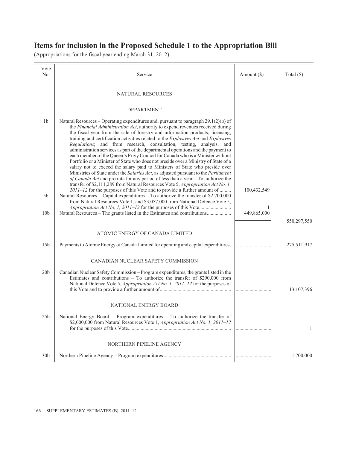| Vote<br>No.                      | Service                                                                                                                                                                                                                                                                                                                                                                                                                                                                                                                                                                                                                                                                                                                                                                                                                                                                                                                                                                                                                                                                                                                                                                                                                                                                               | Amount (\$) | Total $(\$)$ |
|----------------------------------|---------------------------------------------------------------------------------------------------------------------------------------------------------------------------------------------------------------------------------------------------------------------------------------------------------------------------------------------------------------------------------------------------------------------------------------------------------------------------------------------------------------------------------------------------------------------------------------------------------------------------------------------------------------------------------------------------------------------------------------------------------------------------------------------------------------------------------------------------------------------------------------------------------------------------------------------------------------------------------------------------------------------------------------------------------------------------------------------------------------------------------------------------------------------------------------------------------------------------------------------------------------------------------------|-------------|--------------|
|                                  | NATURAL RESOURCES                                                                                                                                                                                                                                                                                                                                                                                                                                                                                                                                                                                                                                                                                                                                                                                                                                                                                                                                                                                                                                                                                                                                                                                                                                                                     |             |              |
|                                  | <b>DEPARTMENT</b>                                                                                                                                                                                                                                                                                                                                                                                                                                                                                                                                                                                                                                                                                                                                                                                                                                                                                                                                                                                                                                                                                                                                                                                                                                                                     |             |              |
| 1 <sub>b</sub><br>5 <sub>b</sub> | Natural Resources – Operating expenditures and, pursuant to paragraph $29.1(2)(a)$ of<br>the Financial Administration Act, authority to expend revenues received during<br>the fiscal year from the sale of forestry and information products; licensing,<br>training and certification activities related to the Explosives Act and Explosives<br>Regulations; and from research, consultation, testing, analysis, and<br>administration services as part of the departmental operations and the payment to<br>each member of the Queen's Privy Council for Canada who is a Minister without<br>Portfolio or a Minister of State who does not preside over a Ministry of State of a<br>salary not to exceed the salary paid to Ministers of State who preside over<br>Ministries of State under the Salaries Act, as adjusted pursuant to the Parliament<br>of Canada Act and pro rata for any period of less than a year $-$ To authorize the<br>transfer of \$2,111,289 from Natural Resources Vote 5, Appropriation Act No. 1,<br>2011-12 for the purposes of this Vote and to provide a further amount of<br>Natural Resources - Capital expenditures - To authorize the transfer of \$2,700,000<br>from Natural Resources Vote 1, and \$3,057,000 from National Defence Vote 5, | 100,432,549 |              |
| 10 <sub>b</sub>                  | Natural Resources – The grants listed in the Estimates and contributions                                                                                                                                                                                                                                                                                                                                                                                                                                                                                                                                                                                                                                                                                                                                                                                                                                                                                                                                                                                                                                                                                                                                                                                                              | 449,865,000 |              |
|                                  | ATOMIC ENERGY OF CANADA LIMITED                                                                                                                                                                                                                                                                                                                                                                                                                                                                                                                                                                                                                                                                                                                                                                                                                                                                                                                                                                                                                                                                                                                                                                                                                                                       |             | 550,297,550  |
| 15 <sub>b</sub>                  | Payments to Atomic Energy of Canada Limited for operating and capital expenditures.                                                                                                                                                                                                                                                                                                                                                                                                                                                                                                                                                                                                                                                                                                                                                                                                                                                                                                                                                                                                                                                                                                                                                                                                   |             | 275,511,917  |
|                                  | CANADIAN NUCLEAR SAFETY COMMISSION                                                                                                                                                                                                                                                                                                                                                                                                                                                                                                                                                                                                                                                                                                                                                                                                                                                                                                                                                                                                                                                                                                                                                                                                                                                    |             |              |
| 20 <sub>b</sub>                  | Canadian Nuclear Safety Commission – Program expenditures, the grants listed in the<br>Estimates and contributions $-$ To authorize the transfer of \$290,000 from<br>National Defence Vote 5, Appropriation Act No. 1, 2011-12 for the purposes of                                                                                                                                                                                                                                                                                                                                                                                                                                                                                                                                                                                                                                                                                                                                                                                                                                                                                                                                                                                                                                   |             | 13, 107, 396 |
|                                  | NATIONAL ENERGY BOARD                                                                                                                                                                                                                                                                                                                                                                                                                                                                                                                                                                                                                                                                                                                                                                                                                                                                                                                                                                                                                                                                                                                                                                                                                                                                 |             |              |
| 25b                              | National Energy Board - Program expenditures - To authorize the transfer of<br>\$2,000,000 from Natural Resources Vote 1, Appropriation Act No. 1, 2011-12                                                                                                                                                                                                                                                                                                                                                                                                                                                                                                                                                                                                                                                                                                                                                                                                                                                                                                                                                                                                                                                                                                                            |             | 1            |
|                                  | NORTHERN PIPELINE AGENCY                                                                                                                                                                                                                                                                                                                                                                                                                                                                                                                                                                                                                                                                                                                                                                                                                                                                                                                                                                                                                                                                                                                                                                                                                                                              |             |              |
| 30 <sub>b</sub>                  |                                                                                                                                                                                                                                                                                                                                                                                                                                                                                                                                                                                                                                                                                                                                                                                                                                                                                                                                                                                                                                                                                                                                                                                                                                                                                       |             | 1,700,000    |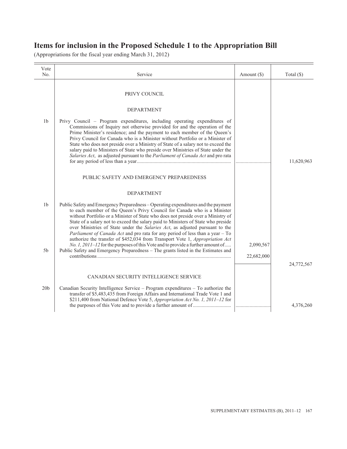| Vote<br>No.     | Service                                                                                                                                                                                                                                                                                                                                                                                                                                                                                                                                                                           | Amount $(\$)$ | Total $(\$)$ |
|-----------------|-----------------------------------------------------------------------------------------------------------------------------------------------------------------------------------------------------------------------------------------------------------------------------------------------------------------------------------------------------------------------------------------------------------------------------------------------------------------------------------------------------------------------------------------------------------------------------------|---------------|--------------|
|                 | PRIVY COUNCIL                                                                                                                                                                                                                                                                                                                                                                                                                                                                                                                                                                     |               |              |
|                 | <b>DEPARTMENT</b>                                                                                                                                                                                                                                                                                                                                                                                                                                                                                                                                                                 |               |              |
| 1 <sub>b</sub>  | Privy Council - Program expenditures, including operating expenditures of<br>Commissions of Inquiry not otherwise provided for and the operation of the<br>Prime Minister's residence; and the payment to each member of the Queen's<br>Privy Council for Canada who is a Minister without Portfolio or a Minister of<br>State who does not preside over a Ministry of State of a salary not to exceed the<br>salary paid to Ministers of State who preside over Ministries of State under the<br>Salaries Act, as adjusted pursuant to the Parliament of Canada Act and pro rata |               | 11,620,963   |
|                 | PUBLIC SAFETY AND EMERGENCY PREPAREDNESS                                                                                                                                                                                                                                                                                                                                                                                                                                                                                                                                          |               |              |
|                 | <b>DEPARTMENT</b>                                                                                                                                                                                                                                                                                                                                                                                                                                                                                                                                                                 |               |              |
| 1 <sub>b</sub>  | Public Safety and Emergency Preparedness – Operating expenditures and the payment<br>to each member of the Queen's Privy Council for Canada who is a Minister<br>without Portfolio or a Minister of State who does not preside over a Ministry of<br>State of a salary not to exceed the salary paid to Ministers of State who preside<br>over Ministries of State under the Salaries Act, as adjusted pursuant to the<br><i>Parliament of Canada Act</i> and pro rata for any period of less than a year – To                                                                    |               |              |
|                 | authorize the transfer of \$452,034 from Transport Vote 1, Appropriation Act<br>No. 1, 2011–12 for the purposes of this Vote and to provide a further amount of                                                                                                                                                                                                                                                                                                                                                                                                                   | 2,090,567     |              |
| 5b              | Public Safety and Emergency Preparedness - The grants listed in the Estimates and                                                                                                                                                                                                                                                                                                                                                                                                                                                                                                 | 22,682,000    | 24,772,567   |
|                 | CANADIAN SECURITY INTELLIGENCE SERVICE                                                                                                                                                                                                                                                                                                                                                                                                                                                                                                                                            |               |              |
| 20 <sub>b</sub> | Canadian Security Intelligence Service - Program expenditures - To authorize the<br>transfer of \$5,483,435 from Foreign Affairs and International Trade Vote 1 and<br>\$211,400 from National Defence Vote 5, Appropriation Act No. 1, 2011-12 for                                                                                                                                                                                                                                                                                                                               |               |              |
|                 |                                                                                                                                                                                                                                                                                                                                                                                                                                                                                                                                                                                   |               | 4,376,260    |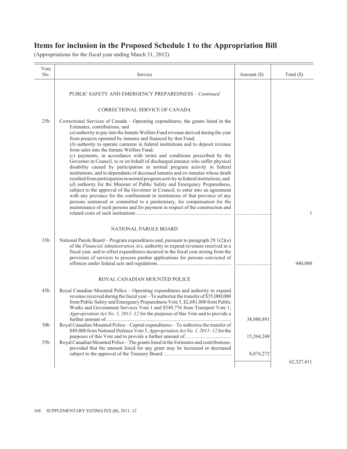| Vote<br>No.     | Service                                                                                                                                                                                                                                                                                                                                                                                                                                                                                                                                                                                                                                                                                                                                                                                                                                                                                                                                                                                                                                                                                                                                                                                                                                            | Amount $(\$)$ | Total $(\$)$ |
|-----------------|----------------------------------------------------------------------------------------------------------------------------------------------------------------------------------------------------------------------------------------------------------------------------------------------------------------------------------------------------------------------------------------------------------------------------------------------------------------------------------------------------------------------------------------------------------------------------------------------------------------------------------------------------------------------------------------------------------------------------------------------------------------------------------------------------------------------------------------------------------------------------------------------------------------------------------------------------------------------------------------------------------------------------------------------------------------------------------------------------------------------------------------------------------------------------------------------------------------------------------------------------|---------------|--------------|
|                 | PUBLIC SAFETY AND EMERGENCY PREPAREDNESS - Continued                                                                                                                                                                                                                                                                                                                                                                                                                                                                                                                                                                                                                                                                                                                                                                                                                                                                                                                                                                                                                                                                                                                                                                                               |               |              |
|                 | CORRECTIONAL SERVICE OF CANADA                                                                                                                                                                                                                                                                                                                                                                                                                                                                                                                                                                                                                                                                                                                                                                                                                                                                                                                                                                                                                                                                                                                                                                                                                     |               |              |
| 25 <sub>b</sub> | Correctional Services of Canada – Operating expenditures, the grants listed in the<br>Estimates, contributions, and<br>$(a)$ authority to pay into the Inmate Welfare Fund revenue derived during the year<br>from projects operated by inmates and financed by that Fund;<br>$(b)$ authority to operate canteens in federal institutions and to deposit revenue<br>from sales into the Inmate Welfare Fund;<br>$(c)$ payments, in accordance with terms and conditions prescribed by the<br>Governor in Council, to or on behalf of discharged inmates who suffer physical<br>disability caused by participation in normal program activity in federal<br>institutions, and to dependants of deceased inmates and ex-inmates whose death<br>resulted from participation in normal program activity in federal institutions; and<br>(d) authority for the Minister of Public Safety and Emergency Preparedness,<br>subject to the approval of the Governor in Council, to enter into an agreement<br>with any province for the confinement in institutions of that province of any<br>persons sentenced or committed to a penitentiary, for compensation for the<br>maintenance of such persons and for payment in respect of the construction and |               | -1           |
|                 | NATIONAL PAROLE BOARD                                                                                                                                                                                                                                                                                                                                                                                                                                                                                                                                                                                                                                                                                                                                                                                                                                                                                                                                                                                                                                                                                                                                                                                                                              |               |              |
| 35 <sub>b</sub> | National Parole Board – Program expenditures and, pursuant to paragraph $29.1(2)(a)$<br>of the Financial Administration Act, authority to expend revenues received in a<br>fiscal year, and to offset expenditures incurred in the fiscal year arising from the<br>provision of services to process pardon applications for persons convicted of                                                                                                                                                                                                                                                                                                                                                                                                                                                                                                                                                                                                                                                                                                                                                                                                                                                                                                   |               | 440,000      |
|                 | ROYAL CANADIAN MOUNTED POLICE                                                                                                                                                                                                                                                                                                                                                                                                                                                                                                                                                                                                                                                                                                                                                                                                                                                                                                                                                                                                                                                                                                                                                                                                                      |               |              |
| 45 <sub>b</sub> | Royal Canadian Mounted Police - Operating expenditures and authority to expend<br>revenue received during the fiscal year - To authorize the transfer of \$35,000,000<br>from Public Safety and Emergency Preparedness Vote 5, \$2,681,000 from Public<br>Works and Government Services Vote 1 and \$549,776 from Transport Vote 1,<br>Appropriation Act No. 1, 2011–12 for the purposes of this Vote and to provide a                                                                                                                                                                                                                                                                                                                                                                                                                                                                                                                                                                                                                                                                                                                                                                                                                             |               |              |
| 50 <sub>b</sub> | Royal Canadian Mounted Police - Capital expenditures - To authorize the transfer of                                                                                                                                                                                                                                                                                                                                                                                                                                                                                                                                                                                                                                                                                                                                                                                                                                                                                                                                                                                                                                                                                                                                                                | 38,988,891    |              |
| 55b             | \$49,000 from National Defence Vote 5, <i>Appropriation Act No. 1, 2011–12</i> for the<br>Royal Canadian Mounted Police - The grants listed in the Estimates and contributions,                                                                                                                                                                                                                                                                                                                                                                                                                                                                                                                                                                                                                                                                                                                                                                                                                                                                                                                                                                                                                                                                    | 15,264,248    |              |
|                 | provided that the amount listed for any grant may be increased or decreased                                                                                                                                                                                                                                                                                                                                                                                                                                                                                                                                                                                                                                                                                                                                                                                                                                                                                                                                                                                                                                                                                                                                                                        | 8,074,272     |              |
|                 |                                                                                                                                                                                                                                                                                                                                                                                                                                                                                                                                                                                                                                                                                                                                                                                                                                                                                                                                                                                                                                                                                                                                                                                                                                                    |               | 62,327,411   |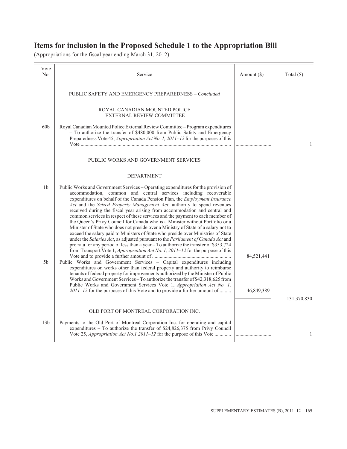| Vote<br>No.                      | Service                                                                                                                                                                                                                                                                                                                                                                                                                                                                                                                                                                                                                                                                                                                                                                                                                                                                                                                                                                                                                                                                                                                                                                     | Amount $(\$)$ | Total $(\$)$ |
|----------------------------------|-----------------------------------------------------------------------------------------------------------------------------------------------------------------------------------------------------------------------------------------------------------------------------------------------------------------------------------------------------------------------------------------------------------------------------------------------------------------------------------------------------------------------------------------------------------------------------------------------------------------------------------------------------------------------------------------------------------------------------------------------------------------------------------------------------------------------------------------------------------------------------------------------------------------------------------------------------------------------------------------------------------------------------------------------------------------------------------------------------------------------------------------------------------------------------|---------------|--------------|
|                                  | <b>PUBLIC SAFETY AND EMERGENCY PREPAREDNESS - Concluded</b>                                                                                                                                                                                                                                                                                                                                                                                                                                                                                                                                                                                                                                                                                                                                                                                                                                                                                                                                                                                                                                                                                                                 |               |              |
|                                  | ROYAL CANADIAN MOUNTED POLICE<br>EXTERNAL REVIEW COMMITTEE                                                                                                                                                                                                                                                                                                                                                                                                                                                                                                                                                                                                                                                                                                                                                                                                                                                                                                                                                                                                                                                                                                                  |               |              |
| 60 <sub>b</sub>                  | Royal Canadian Mounted Police External Review Committee – Program expenditures<br>- To authorize the transfer of \$480,000 from Public Safety and Emergency<br>Preparedness Vote 45, <i>Appropriation Act No. 1, 2011–12</i> for the purposes of this                                                                                                                                                                                                                                                                                                                                                                                                                                                                                                                                                                                                                                                                                                                                                                                                                                                                                                                       |               |              |
|                                  |                                                                                                                                                                                                                                                                                                                                                                                                                                                                                                                                                                                                                                                                                                                                                                                                                                                                                                                                                                                                                                                                                                                                                                             |               | $\mathbf{1}$ |
|                                  | PUBLIC WORKS AND GOVERNMENT SERVICES                                                                                                                                                                                                                                                                                                                                                                                                                                                                                                                                                                                                                                                                                                                                                                                                                                                                                                                                                                                                                                                                                                                                        |               |              |
|                                  | <b>DEPARTMENT</b>                                                                                                                                                                                                                                                                                                                                                                                                                                                                                                                                                                                                                                                                                                                                                                                                                                                                                                                                                                                                                                                                                                                                                           |               |              |
| 1 <sub>b</sub><br>5 <sub>b</sub> | Public Works and Government Services - Operating expenditures for the provision of<br>accommodation, common and central services including recoverable<br>expenditures on behalf of the Canada Pension Plan, the Employment Insurance<br>Act and the Seized Property Management Act; authority to spend revenues<br>received during the fiscal year arising from accommodation and central and<br>common services in respect of these services and the payment to each member of<br>the Queen's Privy Council for Canada who is a Minister without Portfolio or a<br>Minister of State who does not preside over a Ministry of State of a salary not to<br>exceed the salary paid to Ministers of State who preside over Ministries of State<br>under the Salaries Act, as adjusted pursuant to the Parliament of Canada Act and<br>pro rata for any period of less than a year - To authorize the transfer of \$353,724<br>from Transport Vote 1, <i>Appropriation Act No. 1, 2011–12</i> for the purpose of this<br>Public Works and Government Services - Capital expenditures including<br>expenditures on works other than federal property and authority to reimburse | 84,521,441    |              |
|                                  | tenants of federal property for improvements authorized by the Minister of Public<br>Works and Government Services - To authorize the transfer of \$42,318,625 from<br>Public Works and Government Services Vote 1, Appropriation Act No. 1,<br>$2011 - 12$ for the purposes of this Vote and to provide a further amount of                                                                                                                                                                                                                                                                                                                                                                                                                                                                                                                                                                                                                                                                                                                                                                                                                                                | 46,849,389    | 131,370,830  |
|                                  | OLD PORT OF MONTREAL CORPORATION INC.                                                                                                                                                                                                                                                                                                                                                                                                                                                                                                                                                                                                                                                                                                                                                                                                                                                                                                                                                                                                                                                                                                                                       |               |              |
| 13 <sub>b</sub>                  | Payments to the Old Port of Montreal Corporation Inc. for operating and capital<br>expenditures $-$ To authorize the transfer of \$24,826,375 from Privy Council<br>Vote 25, Appropriation Act No.1 2011-12 for the purpose of this Vote                                                                                                                                                                                                                                                                                                                                                                                                                                                                                                                                                                                                                                                                                                                                                                                                                                                                                                                                    |               | $\mathbf{1}$ |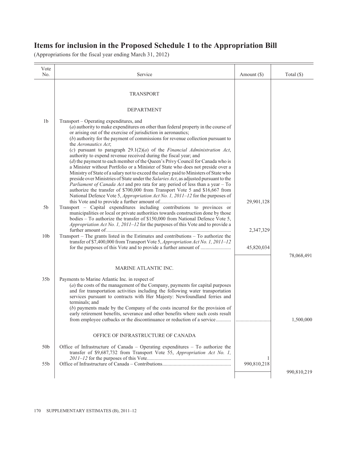| Vote<br>No.     | Service                                                                                                                                                                                                                                                                                                                                                                                                                                                                                                                                                                                                                                                                                                                                                                                                                                                                                                                                                                                         | Amount $(\$)$    | Total $(\$)$ |
|-----------------|-------------------------------------------------------------------------------------------------------------------------------------------------------------------------------------------------------------------------------------------------------------------------------------------------------------------------------------------------------------------------------------------------------------------------------------------------------------------------------------------------------------------------------------------------------------------------------------------------------------------------------------------------------------------------------------------------------------------------------------------------------------------------------------------------------------------------------------------------------------------------------------------------------------------------------------------------------------------------------------------------|------------------|--------------|
|                 | <b>TRANSPORT</b>                                                                                                                                                                                                                                                                                                                                                                                                                                                                                                                                                                                                                                                                                                                                                                                                                                                                                                                                                                                |                  |              |
|                 | DEPARTMENT                                                                                                                                                                                                                                                                                                                                                                                                                                                                                                                                                                                                                                                                                                                                                                                                                                                                                                                                                                                      |                  |              |
| 1 <sub>b</sub>  | Transport – Operating expenditures, and<br>$(a)$ authority to make expenditures on other than federal property in the course of<br>or arising out of the exercise of jurisdiction in aeronautics;<br>$(b)$ authority for the payment of commissions for revenue collection pursuant to<br>the Aeronautics Act;<br>(c) pursuant to paragraph $29.1(2)(a)$ of the Financial Administration Act,<br>authority to expend revenue received during the fiscal year; and<br>$(d)$ the payment to each member of the Queen's Privy Council for Canada who is<br>a Minister without Portfolio or a Minister of State who does not preside over a<br>Ministry of State of a salary not to exceed the salary paid to Ministers of State who<br>preside over Ministries of State under the Salaries Act, as adjusted pursuant to the<br><i>Parliament of Canada Act</i> and pro rata for any period of less than a year – To<br>authorize the transfer of \$700,000 from Transport Vote 5 and \$16,667 from |                  |              |
| 5b              | National Defence Vote 5, Appropriation Act No. 1, 2011-12 for the purposes of<br>Transport - Capital expenditures including contributions to provinces or<br>municipalities or local or private authorities towards construction done by those<br>bodies – To authorize the transfer of \$150,000 from National Defence Vote 5,                                                                                                                                                                                                                                                                                                                                                                                                                                                                                                                                                                                                                                                                 | 29,901,128       |              |
| 10 <sub>b</sub> | Appropriation Act No. 1, 2011-12 for the purposes of this Vote and to provide a<br>Transport – The grants listed in the Estimates and contributions – To authorize the<br>transfer of \$7,400,000 from Transport Vote 5, Appropriation Act No. 1, 2011-12                                                                                                                                                                                                                                                                                                                                                                                                                                                                                                                                                                                                                                                                                                                                       | 2,347,329        |              |
|                 |                                                                                                                                                                                                                                                                                                                                                                                                                                                                                                                                                                                                                                                                                                                                                                                                                                                                                                                                                                                                 | 45,820,034       | 78,068,491   |
|                 | MARINE ATLANTIC INC.                                                                                                                                                                                                                                                                                                                                                                                                                                                                                                                                                                                                                                                                                                                                                                                                                                                                                                                                                                            |                  |              |
| 35 <sub>b</sub> | Payments to Marine Atlantic Inc. in respect of<br>(a) the costs of the management of the Company, payments for capital purposes<br>and for transportation activities including the following water transportation<br>services pursuant to contracts with Her Majesty: Newfoundland ferries and<br>terminals; and<br>$(b)$ payments made by the Company of the costs incurred for the provision of<br>early retirement benefits, severance and other benefits where such costs result                                                                                                                                                                                                                                                                                                                                                                                                                                                                                                            |                  | 1,500,000    |
|                 | OFFICE OF INFRASTRUCTURE OF CANADA                                                                                                                                                                                                                                                                                                                                                                                                                                                                                                                                                                                                                                                                                                                                                                                                                                                                                                                                                              |                  |              |
| 50 <sub>b</sub> | Office of Infrastructure of Canada – Operating expenditures – To authorize the<br>transfer of \$9,687,732 from Transport Vote 55, Appropriation Act No. 1,                                                                                                                                                                                                                                                                                                                                                                                                                                                                                                                                                                                                                                                                                                                                                                                                                                      |                  |              |
| 55b             |                                                                                                                                                                                                                                                                                                                                                                                                                                                                                                                                                                                                                                                                                                                                                                                                                                                                                                                                                                                                 | 1<br>990,810,218 | 990,810,219  |
|                 |                                                                                                                                                                                                                                                                                                                                                                                                                                                                                                                                                                                                                                                                                                                                                                                                                                                                                                                                                                                                 |                  |              |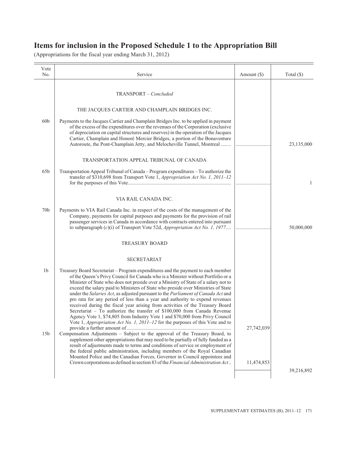| Vote<br>No.     | Service                                                                                                                                                                                                                                                                                                                                                                                                                                                                                                                                                                                                                                                                                                                                                          | Amount $(\$)$ | Total $(\$)$ |
|-----------------|------------------------------------------------------------------------------------------------------------------------------------------------------------------------------------------------------------------------------------------------------------------------------------------------------------------------------------------------------------------------------------------------------------------------------------------------------------------------------------------------------------------------------------------------------------------------------------------------------------------------------------------------------------------------------------------------------------------------------------------------------------------|---------------|--------------|
|                 | TRANSPORT – Concluded                                                                                                                                                                                                                                                                                                                                                                                                                                                                                                                                                                                                                                                                                                                                            |               |              |
|                 | THE JACQUES CARTIER AND CHAMPLAIN BRIDGES INC.                                                                                                                                                                                                                                                                                                                                                                                                                                                                                                                                                                                                                                                                                                                   |               |              |
| 60 <sub>b</sub> | Payments to the Jacques Cartier and Champlain Bridges Inc. to be applied in payment<br>of the excess of the expenditures over the revenues of the Corporation (exclusive<br>of depreciation on capital structures and reserves) in the operation of the Jacques<br>Cartier, Champlain and Honoré Mercier Bridges, a portion of the Bonaventure<br>Autoroute, the Pont-Champlain Jetty, and Melocheville Tunnel, Montreal                                                                                                                                                                                                                                                                                                                                         |               | 23,135,000   |
|                 | TRANSPORTATION APPEAL TRIBUNAL OF CANADA                                                                                                                                                                                                                                                                                                                                                                                                                                                                                                                                                                                                                                                                                                                         |               |              |
| 65b             | Transportation Appeal Tribunal of Canada – Program expenditures – To authorize the<br>transfer of \$310,698 from Transport Vote 1, Appropriation Act No. 1, 2011-12                                                                                                                                                                                                                                                                                                                                                                                                                                                                                                                                                                                              |               | 1            |
|                 | VIA RAIL CANADA INC.                                                                                                                                                                                                                                                                                                                                                                                                                                                                                                                                                                                                                                                                                                                                             |               |              |
| 70 <sub>b</sub> | Payments to VIA Rail Canada Inc. in respect of the costs of the management of the<br>Company, payments for capital purposes and payments for the provision of rail<br>passenger services in Canada in accordance with contracts entered into pursuant<br>to subparagraph $(c)(i)$ of Transport Vote 52d, <i>Appropriation Act No. 1, 1977</i>                                                                                                                                                                                                                                                                                                                                                                                                                    |               | 50,000,000   |
|                 | <b>TREASURY BOARD</b>                                                                                                                                                                                                                                                                                                                                                                                                                                                                                                                                                                                                                                                                                                                                            |               |              |
|                 | <b>SECRETARIAT</b>                                                                                                                                                                                                                                                                                                                                                                                                                                                                                                                                                                                                                                                                                                                                               |               |              |
| 1 <sub>b</sub>  | Treasury Board Secretariat – Program expenditures and the payment to each member<br>of the Queen's Privy Council for Canada who is a Minister without Portfolio or a<br>Minister of State who does not preside over a Ministry of State of a salary not to<br>exceed the salary paid to Ministers of State who preside over Ministries of State<br>under the Salaries Act, as adjusted pursuant to the Parliament of Canada Act and<br>pro rata for any period of less than a year and authority to expend revenues<br>received during the fiscal year arising from activities of the Treasury Board<br>Secretariat - To authorize the transfer of \$100,000 from Canada Revenue<br>Agency Vote 1, \$74,805 from Industry Vote 1 and \$70,000 from Privy Council |               |              |
| 15 <sub>b</sub> | Vote 1, <i>Appropriation Act No. 1, 2011–12</i> for the purposes of this Vote and to<br>Compensation Adjustments - Subject to the approval of the Treasury Board, to<br>supplement other appropriations that may need to be partially of fully funded as a<br>result of adjustments made to terms and conditions of service or employment of<br>the federal public administration, including members of the Royal Canadian                                                                                                                                                                                                                                                                                                                                       | 27,742,039    |              |
|                 | Mounted Police and the Canadian Forces, Governor in Council appointees and<br>Crown corporations as defined in section 83 of the Financial Administration Act                                                                                                                                                                                                                                                                                                                                                                                                                                                                                                                                                                                                    | 11,474,853    |              |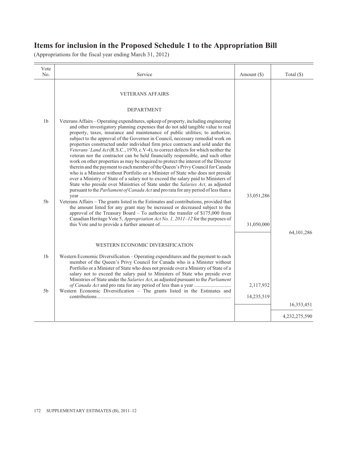| Vote<br>No.           | Service                                                                                                                                                                                                                                                                                                                                                                                                                                                                                                                                                                                                                                                                                                                                                                                                                                                                                                                                                                                                                                                                                                                                                                                                                                                                                                                                                                                              | Amount (\$)             | Total (\$)    |
|-----------------------|------------------------------------------------------------------------------------------------------------------------------------------------------------------------------------------------------------------------------------------------------------------------------------------------------------------------------------------------------------------------------------------------------------------------------------------------------------------------------------------------------------------------------------------------------------------------------------------------------------------------------------------------------------------------------------------------------------------------------------------------------------------------------------------------------------------------------------------------------------------------------------------------------------------------------------------------------------------------------------------------------------------------------------------------------------------------------------------------------------------------------------------------------------------------------------------------------------------------------------------------------------------------------------------------------------------------------------------------------------------------------------------------------|-------------------------|---------------|
|                       | <b>VETERANS AFFAIRS</b>                                                                                                                                                                                                                                                                                                                                                                                                                                                                                                                                                                                                                                                                                                                                                                                                                                                                                                                                                                                                                                                                                                                                                                                                                                                                                                                                                                              |                         |               |
|                       | <b>DEPARTMENT</b>                                                                                                                                                                                                                                                                                                                                                                                                                                                                                                                                                                                                                                                                                                                                                                                                                                                                                                                                                                                                                                                                                                                                                                                                                                                                                                                                                                                    |                         |               |
| 1 <sub>b</sub><br>.5b | Veterans Affairs - Operating expenditures, upkeep of property, including engineering<br>and other investigatory planning expenses that do not add tangible value to real<br>property, taxes, insurance and maintenance of public utilities; to authorize,<br>subject to the approval of the Governor in Council, necessary remedial work on<br>properties constructed under individual firm price contracts and sold under the<br>Veterans' Land Act (R.S.C., 1970, c.V-4), to correct defects for which neither the<br>veteran nor the contractor can be held financially responsible, and such other<br>work on other properties as may be required to protect the interest of the Director<br>therein and the payment to each member of the Queen's Privy Council for Canada<br>who is a Minister without Portfolio or a Minister of State who does not preside<br>over a Ministry of State of a salary not to exceed the salary paid to Ministers of<br>State who preside over Ministries of State under the Salaries Act, as adjusted<br>pursuant to the <i>Parliament of Canada Act</i> and pro rata for any period of less than a<br>Veterans Affairs – The grants listed in the Estimates and contributions, provided that<br>the amount listed for any grant may be increased or decreased subject to the<br>approval of the Treasury Board $-$ To authorize the transfer of \$175,000 from | 33,051,286              |               |
|                       | Canadian Heritage Vote 5, Appropriation Act No. 1, 2011-12 for the purposes of                                                                                                                                                                                                                                                                                                                                                                                                                                                                                                                                                                                                                                                                                                                                                                                                                                                                                                                                                                                                                                                                                                                                                                                                                                                                                                                       | 31,050,000              | 64, 101, 286  |
|                       | WESTERN ECONOMIC DIVERSIFICATION                                                                                                                                                                                                                                                                                                                                                                                                                                                                                                                                                                                                                                                                                                                                                                                                                                                                                                                                                                                                                                                                                                                                                                                                                                                                                                                                                                     |                         |               |
| 1 <sub>b</sub><br>5b  | Western Economic Diversification - Operating expenditures and the payment to each<br>member of the Queen's Privy Council for Canada who is a Minister without<br>Portfolio or a Minister of State who does not preside over a Ministry of State of a<br>salary not to exceed the salary paid to Ministers of State who preside over<br>Ministries of State under the Salaries Act, as adjusted pursuant to the Parliament<br>Western Economic Diversification - The grants listed in the Estimates and                                                                                                                                                                                                                                                                                                                                                                                                                                                                                                                                                                                                                                                                                                                                                                                                                                                                                               | 2,117,932<br>14,235,519 |               |
|                       |                                                                                                                                                                                                                                                                                                                                                                                                                                                                                                                                                                                                                                                                                                                                                                                                                                                                                                                                                                                                                                                                                                                                                                                                                                                                                                                                                                                                      |                         | 16,353,451    |
|                       |                                                                                                                                                                                                                                                                                                                                                                                                                                                                                                                                                                                                                                                                                                                                                                                                                                                                                                                                                                                                                                                                                                                                                                                                                                                                                                                                                                                                      |                         | 4,232,275,590 |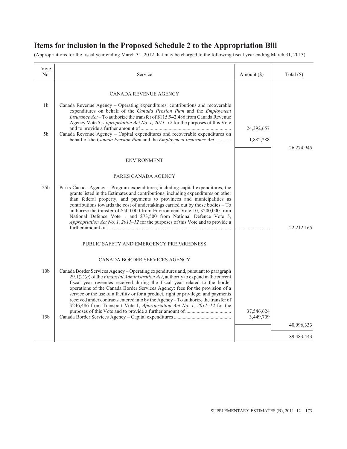(Appropriations for the fiscal year ending March 31, 2012 that may be charged to the following fiscal year ending March 31, 2013)

| Vote                               |                                                                                                                                                                                                                                                                                                                                                                                                                                                                                                                                                                                                           |                         |              |
|------------------------------------|-----------------------------------------------------------------------------------------------------------------------------------------------------------------------------------------------------------------------------------------------------------------------------------------------------------------------------------------------------------------------------------------------------------------------------------------------------------------------------------------------------------------------------------------------------------------------------------------------------------|-------------------------|--------------|
| No.                                | Service                                                                                                                                                                                                                                                                                                                                                                                                                                                                                                                                                                                                   | Amount (\$)             | Total $(\$)$ |
| 1 <sub>b</sub><br>5 <sub>b</sub>   | <b>CANADA REVENUE AGENCY</b><br>Canada Revenue Agency – Operating expenditures, contributions and recoverable<br>expenditures on behalf of the Canada Pension Plan and the Employment<br>Insurance Act - To authorize the transfer of \$115,942,486 from Canada Revenue<br>Agency Vote 5, <i>Appropriation Act No. 1, 2011–12</i> for the purposes of this Vote<br>Canada Revenue Agency - Capital expenditures and recoverable expenditures on<br>behalf of the Canada Pension Plan and the Employment Insurance Act                                                                                     | 24,392,657<br>1,882,288 | 26,274,945   |
|                                    | <b>ENVIRONMENT</b>                                                                                                                                                                                                                                                                                                                                                                                                                                                                                                                                                                                        |                         |              |
|                                    | PARKS CANADA AGENCY                                                                                                                                                                                                                                                                                                                                                                                                                                                                                                                                                                                       |                         |              |
| 25 <sub>b</sub>                    | Parks Canada Agency - Program expenditures, including capital expenditures, the<br>grants listed in the Estimates and contributions, including expenditures on other<br>than federal property, and payments to provinces and municipalities as<br>contributions towards the cost of undertakings carried out by those bodies - To<br>authorize the transfer of \$500,000 from Environment Vote 10, \$200,000 from<br>National Defence Vote 1 and \$73,500 from National Defence Vote 5,<br>Appropriation Act No. 1, 2011-12 for the purposes of this Vote and to provide a                                |                         | 22, 212, 165 |
|                                    | PUBLIC SAFETY AND EMERGENCY PREPAREDNESS                                                                                                                                                                                                                                                                                                                                                                                                                                                                                                                                                                  |                         |              |
|                                    | CANADA BORDER SERVICES AGENCY                                                                                                                                                                                                                                                                                                                                                                                                                                                                                                                                                                             |                         |              |
| 10 <sub>b</sub><br>15 <sub>b</sub> | Canada Border Services Agency – Operating expenditures and, pursuant to paragraph<br>$29.1(2)(a)$ of the <i>Financial Administration Act</i> , authority to expend in the current<br>fiscal year revenues received during the fiscal year related to the border<br>operations of the Canada Border Services Agency: fees for the provision of a<br>service or the use of a facility or for a product, right or privilege; and payments<br>received under contracts entered into by the Agency - To authorize the transfer of<br>\$246,486 from Transport Vote 1, Appropriation Act No. 1, 2011-12 for the | 37,546,624<br>3,449,709 |              |
|                                    |                                                                                                                                                                                                                                                                                                                                                                                                                                                                                                                                                                                                           |                         | 40,996,333   |
|                                    |                                                                                                                                                                                                                                                                                                                                                                                                                                                                                                                                                                                                           |                         | 89,483,443   |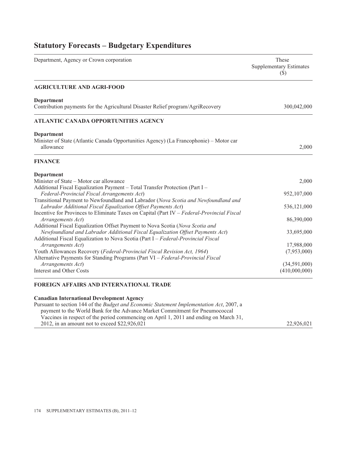# **Statutory Forecasts – Budgetary Expenditures**

| 300,042,000  |
|--------------|
|              |
|              |
|              |
| 2,000        |
|              |
|              |
| 2,000        |
|              |
| 952,107,000  |
| 536,121,000  |
|              |
| 86,390,000   |
|              |
| 33,695,000   |
|              |
| 17,988,000   |
| (7,953,000)  |
|              |
| (34,591,000) |
|              |

#### **Canadian International Development Agency**

| Pursuant to section 144 of the <i>Budget and Economic Statement Implementation Act</i> , 2007, a |            |
|--------------------------------------------------------------------------------------------------|------------|
| payment to the World Bank for the Advance Market Commitment for Pneumococcal                     |            |
| Vaccines in respect of the period commencing on April 1, 2011 and ending on March 31,            |            |
| 2012, in an amount not to exceed $$22,926,021$                                                   | 22,926,021 |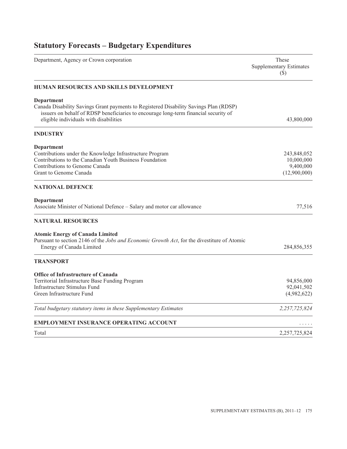# **Statutory Forecasts – Budgetary Expenditures**

| Department, Agency or Crown corporation                                                                                                                                                                                               | These<br><b>Supplementary Estimates</b><br>$(\$\)$     |  |  |
|---------------------------------------------------------------------------------------------------------------------------------------------------------------------------------------------------------------------------------------|--------------------------------------------------------|--|--|
| HUMAN RESOURCES AND SKILLS DEVELOPMENT                                                                                                                                                                                                |                                                        |  |  |
| Department<br>Canada Disability Savings Grant payments to Registered Disability Savings Plan (RDSP)<br>issuers on behalf of RDSP beneficiaries to encourage long-term financial security of<br>eligible individuals with disabilities | 43,800,000                                             |  |  |
| <b>INDUSTRY</b>                                                                                                                                                                                                                       |                                                        |  |  |
| <b>Department</b><br>Contributions under the Knowledge Infrastructure Program<br>Contributions to the Canadian Youth Business Foundation<br>Contributions to Genome Canada<br>Grant to Genome Canada                                  | 243,848,052<br>10,000,000<br>9,400,000<br>(12,900,000) |  |  |
| <b>NATIONAL DEFENCE</b>                                                                                                                                                                                                               |                                                        |  |  |
| <b>Department</b><br>Associate Minister of National Defence - Salary and motor car allowance                                                                                                                                          | 77,516                                                 |  |  |
| <b>NATURAL RESOURCES</b>                                                                                                                                                                                                              |                                                        |  |  |
| <b>Atomic Energy of Canada Limited</b><br>Pursuant to section 2146 of the Jobs and Economic Growth Act, for the divestiture of Atomic<br>Energy of Canada Limited                                                                     | 284,856,355                                            |  |  |
| <b>TRANSPORT</b>                                                                                                                                                                                                                      |                                                        |  |  |
| Office of Infrastructure of Canada<br>Territorial Infrastructure Base Funding Program<br><b>Infrastructure Stimulus Fund</b><br>Green Infrastructure Fund                                                                             | 94,856,000<br>92,041,502<br>(4,982,622)                |  |  |
| Total budgetary statutory items in these Supplementary Estimates                                                                                                                                                                      | 2,257,725,824                                          |  |  |
| <b>EMPLOYMENT INSURANCE OPERATING ACCOUNT</b>                                                                                                                                                                                         |                                                        |  |  |
| Total                                                                                                                                                                                                                                 | 2,257,725,824                                          |  |  |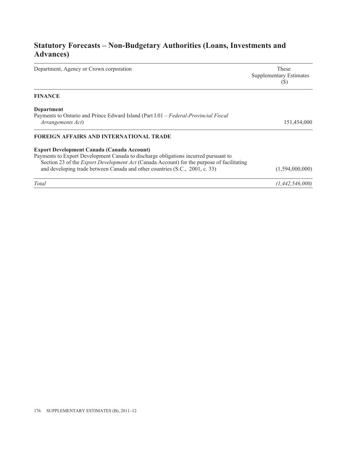#### **Statutory Forecasts – Non-Budgetary Authorities (Loans, Investments and Advances)**

| Department, Agency or Crown corporation                                                                                                                                                 | These<br>Supplementary Estimates<br>(S) |
|-----------------------------------------------------------------------------------------------------------------------------------------------------------------------------------------|-----------------------------------------|
| <b>FINANCE</b>                                                                                                                                                                          |                                         |
| Department                                                                                                                                                                              |                                         |
| Payments to Ontario and Prince Edward Island (Part I.01 - Federal-Provincial Fiscal<br>Arrangements Act)                                                                                | 151,454,000                             |
| <b>FOREIGN AFFAIRS AND INTERNATIONAL TRADE</b>                                                                                                                                          |                                         |
| <b>Export Development Canada (Canada Account)</b>                                                                                                                                       |                                         |
| Payments to Export Development Canada to discharge obligations incurred pursuant to<br>Section 23 of the <i>Export Development Act</i> (Canada Account) for the purpose of facilitating |                                         |
| and developing trade between Canada and other countries (S.C., 2001, c. 33)                                                                                                             | (1,594,000,000)                         |
| Total                                                                                                                                                                                   | (1, 442, 546, 000)                      |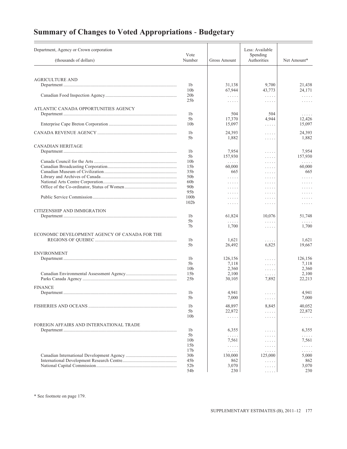# **Summary of Changes to Voted Appropriations** - **Budgetary**

| Department, Agency or Crown corporation       | Vote                               |                                                                                  | Less: Available<br>Spending                                                 |                                                  |
|-----------------------------------------------|------------------------------------|----------------------------------------------------------------------------------|-----------------------------------------------------------------------------|--------------------------------------------------|
| (thousands of dollars)                        | Number                             | Gross Amount                                                                     | Authorities                                                                 | Net Amount*                                      |
| <b>AGRICULTURE AND</b>                        |                                    |                                                                                  |                                                                             |                                                  |
|                                               | 1b                                 | 31,138                                                                           | 9,700                                                                       | 21,438                                           |
|                                               | 10 <sub>b</sub>                    | 67,944                                                                           | 43,773                                                                      | 24,171                                           |
|                                               | 20 <sub>b</sub><br>25 <sub>b</sub> | $\mathbb{R}^n$ . In the $\mathbb{R}^n$<br>$\mathbb{Z}^n$ . In the $\mathbb{Z}^n$ | $\alpha$ , $\alpha$ , $\alpha$<br>$\alpha$ , $\alpha$ , $\alpha$ , $\alpha$ | .<br>$\mathbb{Z}^n$ . In the $\mathbb{Z}^n$      |
|                                               |                                    |                                                                                  |                                                                             |                                                  |
| ATLANTIC CANADA OPPORTUNITIES AGENCY          | 1b                                 | 504                                                                              | 504                                                                         |                                                  |
|                                               | 5b                                 | 17,370                                                                           | 4,944                                                                       | $\mathbb{Z}^n$ . In the $\mathbb{Z}^n$<br>12,426 |
|                                               | 10 <sub>b</sub>                    | 15,097                                                                           | .                                                                           | 15,097                                           |
|                                               | 1b                                 | 24,393                                                                           | .                                                                           | 24,393                                           |
|                                               | 5b                                 | 1,882                                                                            | $\alpha$ , $\alpha$ , $\alpha$ , $\alpha$                                   | 1,882                                            |
| <b>CANADIAN HERITAGE</b>                      |                                    |                                                                                  |                                                                             |                                                  |
|                                               | 1b                                 | 7,954                                                                            | 1.1.1.1                                                                     | 7,954                                            |
|                                               | 5b                                 | 157,930                                                                          | .                                                                           | 157,930                                          |
|                                               | 10 <sub>b</sub>                    | $\ldots$                                                                         | $\alpha$ , $\alpha$ , $\alpha$ , $\alpha$                                   | .                                                |
|                                               | 15 <sub>b</sub>                    | 60,000                                                                           | .                                                                           | 60,000                                           |
|                                               | 35 <sub>b</sub><br>50 <sub>b</sub> | 665                                                                              | $\alpha$ , $\alpha$ , $\alpha$ , $\alpha$                                   | 665                                              |
|                                               | 60 <sub>b</sub>                    | $\mathbb{Z}^n$ . In the $\mathbb{Z}^n$                                           | $\alpha$ , $\alpha$ , $\alpha$ , $\alpha$                                   | .<br>.                                           |
|                                               | 90 <sub>b</sub>                    | $\mathbb{Z}^n$ . In the $\mathbb{Z}^n$<br>$\mathbb{Z}^n$ . In the $\mathbb{Z}^n$ | $\alpha$ , $\alpha$ , $\alpha$ , $\alpha$<br>1.1.1.1                        | .                                                |
|                                               | 95b                                | $\mathbb{Z}^n$ . In the $\mathbb{Z}^n$                                           | $\alpha$ , $\alpha$ , $\alpha$ , $\alpha$                                   | .                                                |
|                                               | 100 <sub>b</sub>                   | $\mathbb{Z}^n$ . In the $\mathbb{Z}^n$                                           | $\alpha$ , $\alpha$ , $\alpha$ , $\alpha$                                   | .                                                |
|                                               | 102 <sub>b</sub>                   | $\mathbb{Z}^n$ . In the $\mathbb{Z}^n$                                           | 1.1.1.1                                                                     | $\mathbb{Z}^n$ . In the $\mathbb{Z}^n$           |
| CITIZENSHIP AND IMMIGRATION                   |                                    |                                                                                  |                                                                             |                                                  |
|                                               | 1b                                 | 61,824                                                                           | 10,076                                                                      | 51,748                                           |
|                                               | 5b<br>7b                           | .                                                                                | $\alpha$ , $\alpha$ , $\alpha$                                              | .                                                |
|                                               |                                    | 1,700                                                                            | $\alpha$ , $\alpha$ , $\alpha$ , $\alpha$                                   | 1,700                                            |
| ECONOMIC DEVELOPMENT AGENCY OF CANADA FOR THE |                                    |                                                                                  |                                                                             |                                                  |
|                                               | 1b<br>5b                           | 1,621<br>26,492                                                                  | $\cdots$<br>6,825                                                           | 1,621<br>19,667                                  |
|                                               |                                    |                                                                                  |                                                                             |                                                  |
| <b>ENVIRONMENT</b>                            |                                    |                                                                                  |                                                                             |                                                  |
|                                               | 1b                                 | 126,156                                                                          | $\alpha$ , $\alpha$ , $\alpha$ , $\alpha$                                   | 126,156                                          |
|                                               | 5b<br>10 <sub>b</sub>              | 7,118<br>2,360                                                                   | .                                                                           | 7,118<br>2,360                                   |
|                                               | 15 <sub>b</sub>                    | 2,100                                                                            | $\alpha$ , $\alpha$ , $\alpha$<br>.                                         | 2,100                                            |
|                                               | 25 <sub>b</sub>                    | 30,105                                                                           | 7,892                                                                       | 22,213                                           |
| <b>FINANCE</b>                                |                                    |                                                                                  |                                                                             |                                                  |
|                                               | 1 <sub>b</sub>                     | 4,941                                                                            | $\mathbb{Z}^n$ . In the $\mathbb{Z}^n$                                      | 4,941                                            |
|                                               | 5b                                 | 7,000                                                                            | $\ldots$                                                                    | 7,000                                            |
|                                               | 1b                                 | 48,897                                                                           | 8,845                                                                       | 40,052                                           |
|                                               | 5b                                 | 22,872                                                                           | .                                                                           | 22,872                                           |
|                                               | 10 <sub>b</sub>                    | $\alpha$ is a second .                                                           | $\ldots$                                                                    | .                                                |
| FOREIGN AFFAIRS AND INTERNATIONAL TRADE       |                                    |                                                                                  |                                                                             |                                                  |
|                                               | 1b                                 | 6,355                                                                            | 1.1.1.1                                                                     | 6,355                                            |
|                                               | 5b                                 | .                                                                                | $\alpha$ , $\alpha$ , $\alpha$ , $\alpha$                                   | .                                                |
|                                               | 10 <sub>b</sub>                    | 7,561                                                                            | $\alpha$ , $\alpha$ , $\alpha$ , $\alpha$                                   | 7,561                                            |
|                                               | 15 <sub>b</sub>                    | .                                                                                | $\alpha$ , $\alpha$ , $\alpha$ , $\alpha$                                   | .                                                |
|                                               | 17 <sub>b</sub>                    | .                                                                                | $\ldots$                                                                    | .                                                |
|                                               | 30 <sub>b</sub><br>45 <sub>b</sub> | 130,000<br>862                                                                   | 125,000                                                                     | 5,000<br>862                                     |
|                                               | 52 <sub>b</sub>                    | 3,070                                                                            | $\ldots$ .<br>.                                                             | 3,070                                            |
|                                               | 54b                                | 230                                                                              | .                                                                           | 230                                              |

\* See footnote on page 179.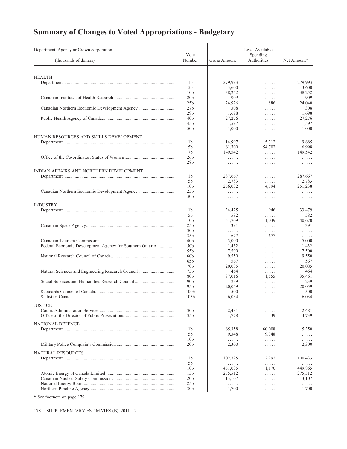| Department, Agency or Crown corporation                  | Vote                               |                                        | Less: Available                           |                                                    |
|----------------------------------------------------------|------------------------------------|----------------------------------------|-------------------------------------------|----------------------------------------------------|
| (thousands of dollars)                                   | Number                             | Gross Amount                           | Spending<br>Authorities                   | Net Amount*                                        |
| <b>HEALTH</b>                                            |                                    |                                        |                                           |                                                    |
|                                                          | 1b                                 | 279,993                                | .                                         | 279,993                                            |
|                                                          | 5b                                 | 3,600                                  | .                                         | 3,600                                              |
|                                                          | 10 <sub>b</sub>                    | 38,252                                 | .                                         | 38,252                                             |
|                                                          | 20 <sub>b</sub>                    | 909                                    | $\alpha$ , $\alpha$ , $\alpha$ , $\alpha$ | 909                                                |
|                                                          | 25 <sub>b</sub>                    | 24,926                                 | 886                                       | 24,040                                             |
|                                                          | 27 <sub>b</sub>                    | 308                                    | 1.1.1.1                                   | 308                                                |
|                                                          | 29 <sub>b</sub>                    | 1,698                                  | .                                         | 1,698                                              |
|                                                          | 40 <sub>b</sub>                    | 27,276                                 | .                                         | 27,276                                             |
|                                                          | 45b<br>50 <sub>b</sub>             | 1,597                                  | .                                         | 1,597<br>1,000                                     |
|                                                          |                                    | 1,000                                  | .                                         |                                                    |
| HUMAN RESOURCES AND SKILLS DEVELOPMENT                   |                                    |                                        |                                           |                                                    |
|                                                          | 1b<br>5b                           | 14,997                                 | 5,312                                     | 9,685                                              |
|                                                          | 7b                                 | 61,700<br>149,542                      | 54,702                                    | 6,998<br>149,542                                   |
|                                                          | 26 <sub>b</sub>                    |                                        | $\ldots$                                  |                                                    |
|                                                          | 28 <sub>b</sub>                    | $\alpha$ is a second .<br>.            | $\alpha$ is a second<br>.                 | $\mathbb{Z}^n$ . In the $\mathbb{Z}^n$<br>$\cdots$ |
|                                                          |                                    |                                        |                                           |                                                    |
| INDIAN AFFAIRS AND NORTHERN DEVELOPMENT                  | 1 <sub>b</sub>                     | 287,667                                |                                           | 287,667                                            |
|                                                          | 5b                                 | 2,783                                  | .                                         | 2,783                                              |
|                                                          | 10 <sub>b</sub>                    | 256,032                                | .<br>4,794                                | 251,238                                            |
|                                                          | 25 <sub>b</sub>                    | $\mathbb{R}^n$ . In the $\mathbb{R}^n$ | .                                         | $\mathbb{Z}^n$ . In the $\mathbb{Z}^n$             |
|                                                          | 30 <sub>b</sub>                    | .                                      | .                                         | $\cdots$                                           |
| <b>INDUSTRY</b>                                          |                                    |                                        |                                           |                                                    |
|                                                          | 1 <sub>b</sub>                     | 34,425                                 | 946                                       | 33,479                                             |
|                                                          | 5b                                 | 582                                    | .                                         | 582                                                |
|                                                          | 10 <sub>b</sub>                    | 51,709                                 | 11,039                                    | 40,670                                             |
|                                                          | 25 <sub>b</sub>                    | 391                                    | $\ldots$                                  | 391                                                |
|                                                          | 30 <sub>b</sub>                    | .                                      | .                                         | $\ldots$                                           |
|                                                          | 35 <sub>b</sub>                    | 677                                    | 677                                       | .                                                  |
|                                                          | 40 <sub>b</sub>                    | 5,000                                  | .                                         | 5,000                                              |
| Federal Economic Development Agency for Southern Ontario | 50 <sub>b</sub>                    | 1,432                                  | .                                         | 1,432                                              |
|                                                          | 55b                                | 7,500                                  | .                                         | 7,500                                              |
|                                                          | 60 <sub>b</sub>                    | 9,550                                  | .                                         | 9,550                                              |
|                                                          | 65b                                | 567                                    | .                                         | 567                                                |
|                                                          | 70 <sub>b</sub><br>75 <sub>b</sub> | 20,085<br>464                          | .                                         | 20,085<br>464                                      |
|                                                          | 80 <sub>b</sub>                    | 37,016                                 | .<br>1,555                                | 35,461                                             |
|                                                          | 90 <sub>b</sub>                    | 239                                    | .                                         | 239                                                |
|                                                          | 95 <sub>b</sub>                    | 20,059                                 | .                                         | 20,059                                             |
|                                                          | 100 <sub>b</sub>                   | 500                                    | .                                         | 500                                                |
|                                                          | 105b                               | 6,034                                  | .                                         | 6,034                                              |
| <b>JUSTICE</b>                                           |                                    |                                        |                                           |                                                    |
|                                                          | 30 <sub>b</sub>                    | 2,481                                  | .                                         | 2,481                                              |
|                                                          | 35 <sub>b</sub>                    | 4,778                                  | 39                                        | 4,739                                              |
| <b>NATIONAL DEFENCE</b>                                  |                                    |                                        |                                           |                                                    |
|                                                          | 1b                                 | 65,358                                 | 60,008                                    | 5,350                                              |
|                                                          | 5b                                 | 9,348                                  | 9,348                                     | .                                                  |
|                                                          | 10 <sub>b</sub>                    | .                                      | .                                         | .                                                  |
|                                                          | 20 <sub>b</sub>                    | 2,300                                  | .                                         | 2,300                                              |
| NATURAL RESOURCES                                        |                                    |                                        |                                           |                                                    |
|                                                          | 1 <sub>b</sub>                     | 102,725                                | 2,292                                     | 100,433                                            |
|                                                          | 5b                                 | $\ldots$                               | .                                         |                                                    |
|                                                          | 10 <sub>b</sub>                    | 451,035                                | 1,170                                     | 449,865                                            |
|                                                          | 15 <sub>b</sub>                    | 275,512                                | .                                         | 275,512                                            |
|                                                          | 20 <sub>b</sub>                    | 13,107                                 | .                                         | 13,107                                             |
|                                                          | 25 <sub>b</sub><br>30 <sub>b</sub> | .<br>1,700                             | .                                         | .<br>1,700                                         |
|                                                          |                                    |                                        | .                                         |                                                    |

# **Summary of Changes to Voted Appropriations** - **Budgetary**

\* See footnote on page 179.

178 SUPPLEMENTARY ESTIMATES (B), 2011–12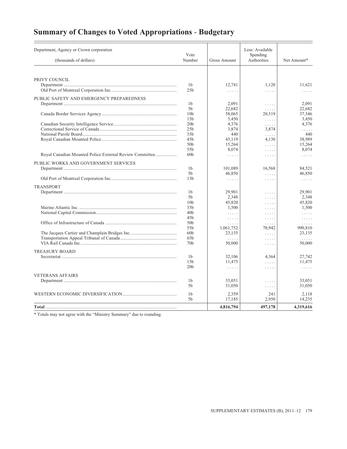|  | <b>Summary of Changes to Voted Appropriations - Budgetary</b> |  |
|--|---------------------------------------------------------------|--|
|  |                                                               |  |

| Department, Agency or Crown corporation                 |                 |                     | Less: Available                        |             |
|---------------------------------------------------------|-----------------|---------------------|----------------------------------------|-------------|
| (thousands of dollars)                                  | Vote<br>Number  | Gross Amount        | Spending<br>Authorities                | Net Amount* |
|                                                         |                 |                     |                                        |             |
| PRIVY COUNCIL                                           |                 |                     |                                        |             |
|                                                         | 1 <sub>b</sub>  | 12,741              | 1,120                                  | 11,621      |
|                                                         | 25 <sub>b</sub> | .                   | .                                      | .           |
| PUBLIC SAFETY AND EMERGENCY PREPAREDNESS                |                 |                     |                                        |             |
|                                                         | 1 <sub>b</sub>  | 2,091               | 1.1.1.1                                | 2,091       |
|                                                         | 5b              | 22,682              | .                                      | 22,682      |
|                                                         | 10 <sub>b</sub> | 58,065              | 20,519                                 | 37,546      |
|                                                         | 15 <sub>b</sub> | 3,450               | $\ldots$ .                             | 3,450       |
|                                                         | 20 <sub>b</sub> | 4,376               | .                                      | 4,376       |
|                                                         | 25 <sub>b</sub> | 3,874               | 3,874                                  | .           |
|                                                         | 35 <sub>b</sub> | 440                 | .                                      | 440         |
|                                                         | 45b             | 43,119              | 4,130                                  | 38,989      |
|                                                         | 50 <sub>b</sub> | 15,264              | $\ldots$                               | 15,264      |
|                                                         | 55b             | 8,074               | $\ldots$                               | 8,074       |
| Royal Canadian Mounted Police External Review Committee | 60 <sub>b</sub> | .                   | $\ldots$                               | .           |
| PUBLIC WORKS AND GOVERNMENT SERVICES                    |                 |                     |                                        |             |
|                                                         | 1 <sub>b</sub>  | 101,089             | 16,568                                 | 84.521      |
|                                                         | 5b              | 46,850              | .                                      | 46,850      |
|                                                         | 13 <sub>b</sub> | $\ldots$            | .                                      | $\ldots$    |
| <b>TRANSPORT</b>                                        |                 |                     |                                        |             |
|                                                         | 1 <sub>b</sub>  | 29,901              |                                        | 29,901      |
|                                                         | 5b              | 2,348               | .<br>.                                 | 2,348       |
|                                                         | 10 <sub>b</sub> | 45,820              | .                                      | 45,820      |
|                                                         | 35 <sub>b</sub> | 1,500               | .                                      | 1.500       |
|                                                         | 40 <sub>b</sub> | $\ldots$ .          | .                                      | .           |
|                                                         | 45 <sub>b</sub> | $\ldots$            | $\ldots$                               | .           |
|                                                         | 50 <sub>b</sub> | $\ldots$            | $\alpha$ , $\alpha$ , $\alpha$         | 1.1.1.1     |
|                                                         | 55b             | 1,061,752           | 70,942                                 | 990,810     |
|                                                         | 60 <sub>b</sub> | 23,135              | $\ldots$ .                             | 23,135      |
|                                                         | 65 <sub>b</sub> | $\sim 1.1$ , $\sim$ | $\ldots$                               | $\ldots$    |
|                                                         | 70 <sub>b</sub> | 50,000              | $\ldots \ldots$                        | 50,000      |
| <b>TREASURY BOARD</b>                                   |                 |                     |                                        |             |
|                                                         | 1b              | 32,106              | 4,364                                  | 27,742      |
|                                                         | 15 <sub>b</sub> | 11,475              | .                                      | 11,475      |
|                                                         | 20 <sub>b</sub> | $\ldots$            | .                                      | $\ldots$    |
|                                                         |                 |                     |                                        |             |
| <b>VETERANS AFFAIRS</b>                                 |                 |                     |                                        |             |
|                                                         | 1 <sub>b</sub>  | 33,051              | $\mathbb{Z}^n$ . In the $\mathbb{Z}^n$ | 33,051      |
|                                                         | 5 <sub>b</sub>  | 31,050              | $\ldots$                               | 31,050      |
|                                                         | 1b              | 2,359               | 241                                    | 2,118       |
|                                                         | 5 <sub>b</sub>  | 17,185              | 2,950                                  | 14,235      |
|                                                         |                 |                     |                                        |             |
|                                                         |                 | 4,816,794           | 497,178                                | 4,319,616   |

\* Totals may not agree with the "Ministry Summary" due to rounding.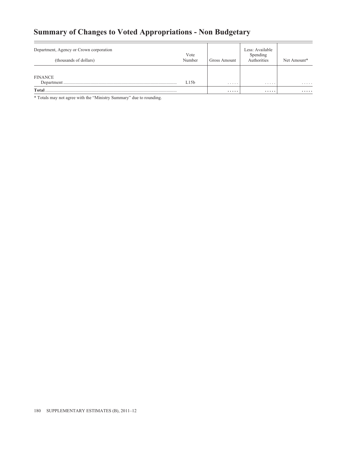# **Summary of Changes to Voted Appropriations - Non Budgetary**

| Department, Agency or Crown corporation |                |              | Less: Available         |             |
|-----------------------------------------|----------------|--------------|-------------------------|-------------|
| (thousands of dollars)                  | Vote<br>Number | Gross Amount | Spending<br>Authorities | Net Amount* |
|                                         |                |              |                         |             |
| <b>FINANCE</b>                          |                |              |                         |             |
|                                         | L15b           | .            | .                       | .           |
| Total                                   |                | .            | .                       | .           |

\* Totals may not agree with the "Ministry Summary" due to rounding.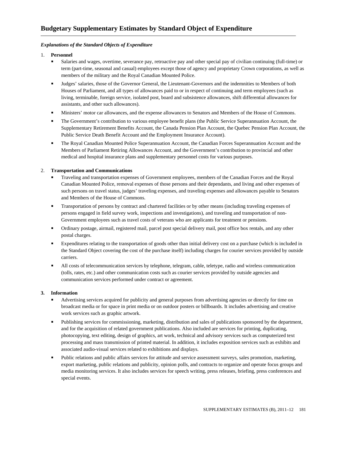#### *Explanations of the Standard Objects of Expenditure*

#### 1. **Personnel**

- Salaries and wages, overtime, severance pay, retroactive pay and other special pay of civilian continuing (full-time) or term (part-time, seasonal and casual) employees except those of agency and proprietary Crown corporations, as well as members of the military and the Royal Canadian Mounted Police.
- Judges' salaries, those of the Governor General, the Lieutenant-Governors and the indemnities to Members of both Houses of Parliament, and all types of allowances paid to or in respect of continuing and term employees (such as living, terminable, foreign service, isolated post, board and subsistence allowances, shift differential allowances for assistants, and other such allowances).
- Ministers' motor car allowances, and the expense allowances to Senators and Members of the House of Commons.
- The Government's contribution to various employee benefit plans (the Public Service Superannuation Account, the Supplementary Retirement Benefits Account, the Canada Pension Plan Account, the Quebec Pension Plan Account, the Public Service Death Benefit Account and the Employment Insurance Account).
- The Royal Canadian Mounted Police Superannuation Account, the Canadian Forces Superannuation Account and the Members of Parliament Retiring Allowances Account, and the Government's contribution to provincial and other medical and hospital insurance plans and supplementary personnel costs for various purposes.

#### 2. **Transportation and Communications**

- Traveling and transportation expenses of Government employees, members of the Canadian Forces and the Royal Canadian Mounted Police, removal expenses of those persons and their dependants, and living and other expenses of such persons on travel status, judges' traveling expenses, and traveling expenses and allowances payable to Senators and Members of the House of Commons.
- Transportation of persons by contract and chartered facilities or by other means (including traveling expenses of persons engaged in field survey work, inspections and investigations), and traveling and transportation of non-Government employees such as travel costs of veterans who are applicants for treatment or pensions.
- Ordinary postage, airmail, registered mail, parcel post special delivery mail, post office box rentals, and any other postal charges.
- Expenditures relating to the transportation of goods other than initial delivery cost on a purchase (which is included in the Standard Object covering the cost of the purchase itself) including charges for courier services provided by outside carriers.
- All costs of telecommunication services by telephone, telegram, cable, teletype, radio and wireless communication (tolls, rates, etc.) and other communication costs such as courier services provided by outside agencies and communication services performed under contract or agreement.

#### **3. Information**

- Advertising services acquired for publicity and general purposes from advertising agencies or directly for time on broadcast media or for space in print media or on outdoor posters or billboards. It includes advertising and creative work services such as graphic artwork.
- Publishing services for commissioning, marketing, distribution and sales of publications sponsored by the department, and for the acquisition of related government publications. Also included are services for printing, duplicating, photocopying, text editing, design of graphics, art work, technical and advisory services such as computerized text processing and mass transmission of printed material. In addition, it includes exposition services such as exhibits and associated audio-visual services related to exhibitions and displays.
- Public relations and public affairs services for attitude and service assessment surveys, sales promotion, marketing, export marketing, public relations and publicity, opinion polls, and contracts to organize and operate focus groups and media monitoring services. It also includes services for speech writing, press releases, briefing, press conferences and special events.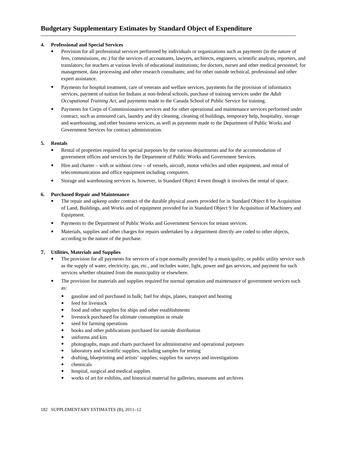#### **4. Professional and Special Services**

- Provision for all professional services performed by individuals or organizations such as payments (in the nature of fees, commissions, etc.) for the services of accountants, lawyers, architects, engineers, scientific analysts, reporters, and translators; for teachers at various levels of educational institutions; for doctors, nurses and other medical personnel; for management, data processing and other research consultants; and for other outside technical, professional and other expert assistance.
- Payments for hospital treatment, care of veterans and welfare services, payments for the provision of informatics services, payment of tuition for Indians at non-federal schools, purchase of training services under the *Adult Occupational Training Act*, and payments made to the Canada School of Public Service for training.
- **Payments for Corps of Commissionaires services and for other operational and maintenance services performed under** contract, such as armoured cars, laundry and dry cleaning, cleaning of buildings, temporary help, hospitality, storage and warehousing, and other business services, as well as payments made to the Department of Public Works and Government Services for contract administration.

#### **5. Rentals**

- **Rental of properties required for special purposes by the various departments and for the accommodation of** government offices and services by the Department of Public Works and Government Services.
- Hire and charter with or without crew of vessels, aircraft, motor vehicles and other equipment, and rental of telecommunication and office equipment including computers.
- Storage and warehousing services is, however, in Standard Object 4 even though it involves the rental of space.

#### **6. Purchased Repair and Maintenance**

- The repair and upkeep under contract of the durable physical assets provided for in Standard Object 8 for Acquisition of Land, Buildings, and Works and of equipment provided for in Standard Object 9 for Acquisition of Machinery and Equipment.
- Payments to the Department of Public Works and Government Services for tenant services.
- Materials, supplies and other charges for repairs undertaken by a department directly are coded to other objects, according to the nature of the purchase.

#### **7. Utilities, Materials and Supplies**

- The provision for all payments for services of a type normally provided by a municipality, or public utility service such as the supply of water, electricity, gas, etc., and includes water, light, power and gas services, and payment for such services whether obtained from the municipality or elsewhere.
- The provision for materials and supplies required for normal operation and maintenance of government services such as:
	- gasoline and oil purchased in bulk; fuel for ships, planes, transport and heating
	- **feed for livestock**
	- food and other supplies for ships and other establishments
	- **I** livestock purchased for ultimate consumption or resale
	- seed for farming operations
	- **books** and other publications purchased for outside distribution
	- uniforms and kits
	- photographs, maps and charts purchased for administrative and operational purposes
	- laboratory and scientific supplies, including samples for testing
	- drafting, blueprinting and artists' supplies; supplies for surveys and investigations
	- **n** chemicals
	- hospital, surgical and medical supplies
	- works of art for exhibits, and historical material for galleries, museums and archives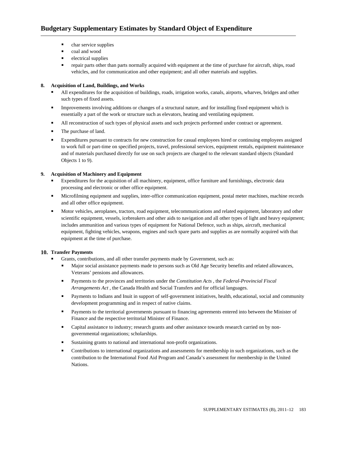- char service supplies
- coal and wood
- $\blacksquare$  electrical supplies
- repair parts other than parts normally acquired with equipment at the time of purchase for aircraft, ships, road vehicles, and for communication and other equipment; and all other materials and supplies.

#### **8. Acquisition of Land, Buildings, and Works**

- All expenditures for the acquisition of buildings, roads, irrigation works, canals, airports, wharves, bridges and other such types of fixed assets.
- Improvements involving additions or changes of a structural nature, and for installing fixed equipment which is essentially a part of the work or structure such as elevators, heating and ventilating equipment.
- In All reconstruction of such types of physical assets and such projects performed under contract or agreement.
- The purchase of land.
- Expenditures pursuant to contracts for new construction for casual employees hired or continuing employees assigned to work full or part-time on specified projects, travel, professional services, equipment rentals, equipment maintenance and of materials purchased directly for use on such projects are charged to the relevant standard objects (Standard Objects 1 to 9).

#### **9. Acquisition of Machinery and Equipment**

- Expenditures for the acquisition of all machinery, equipment, office furniture and furnishings, electronic data processing and electronic or other office equipment.
- Microfilming equipment and supplies, inter-office communication equipment, postal meter machines, machine records and all other office equipment.
- Motor vehicles, aeroplanes, tractors, road equipment, telecommunications and related equipment, laboratory and other scientific equipment, vessels, icebreakers and other aids to navigation and all other types of light and heavy equipment; includes ammunition and various types of equipment for National Defence, such as ships, aircraft, mechanical equipment, fighting vehicles, weapons, engines and such spare parts and supplies as are normally acquired with that equipment at the time of purchase.

#### **10. Transfer Payments**

- Grants, contributions, and all other transfer payments made by Government, such as:
	- Major social assistance payments made to persons such as Old Age Security benefits and related allowances, Veterans' pensions and allowances.
	- Payments to the provinces and territories under the *Constitution Acts* , the *Federal-Provincial Fiscal Arrangements Act* , the Canada Health and Social Transfers and for official languages.
	- Payments to Indians and Inuit in support of self-government initiatives, health, educational, social and community development programming and in respect of native claims.
	- **Payments to the territorial governments pursuant to financing agreements entered into between the Minister of** Finance and the respective territorial Minister of Finance.
	- Capital assistance to industry; research grants and other assistance towards research carried on by nongovernmental organizations; scholarships.
	- Sustaining grants to national and international non-profit organizations.
	- Contributions to international organizations and assessments for membership in such organizations, such as the contribution to the International Food Aid Program and Canada's assessment for membership in the United Nations.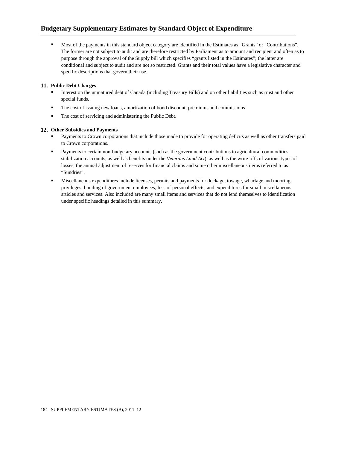Most of the payments in this standard object category are identified in the Estimates as "Grants" or "Contributions". The former are not subject to audit and are therefore restricted by Parliament as to amount and recipient and often as to purpose through the approval of the Supply bill which specifies "grants listed in the Estimates"; the latter are conditional and subject to audit and are not so restricted. Grants and their total values have a legislative character and specific descriptions that govern their use.

#### **11. Public Debt Charges**

- Interest on the unmatured debt of Canada (including Treasury Bills) and on other liabilities such as trust and other special funds.
- The cost of issuing new loans, amortization of bond discount, premiums and commissions.
- The cost of servicing and administering the Public Debt.

#### **12. Other Subsidies and Payments**

- Payments to Crown corporations that include those made to provide for operating deficits as well as other transfers paid to Crown corporations.
- Payments to certain non-budgetary accounts (such as the government contributions to agricultural commodities stabilization accounts, as well as benefits under the *Veterans Land Act*), as well as the write-offs of various types of losses, the annual adjustment of reserves for financial claims and some other miscellaneous items referred to as "Sundries".
- Miscellaneous expenditures include licenses, permits and payments for dockage, towage, wharfage and mooring privileges; bonding of government employees, loss of personal effects, and expenditures for small miscellaneous articles and services. Also included are many small items and services that do not lend themselves to identification under specific headings detailed in this summary.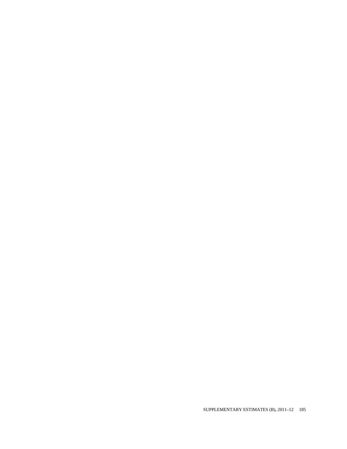SUPPLEMENTARY ESTIMATES (B), 2011–12 185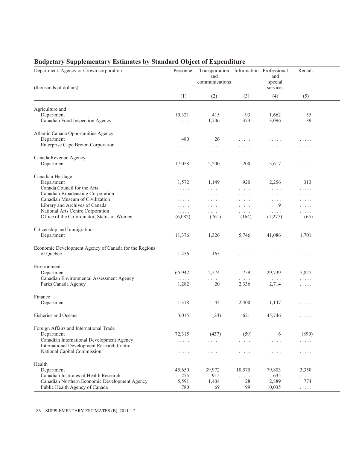| Department, Agency or Crown corporation                                                                                                                                                                                                                     | Personnel                                        | Transportation Information Professional<br>and<br>communications                |                                                                                                                            | and<br>special                                                                                                                                      | Rentals                                                                                         |
|-------------------------------------------------------------------------------------------------------------------------------------------------------------------------------------------------------------------------------------------------------------|--------------------------------------------------|---------------------------------------------------------------------------------|----------------------------------------------------------------------------------------------------------------------------|-----------------------------------------------------------------------------------------------------------------------------------------------------|-------------------------------------------------------------------------------------------------|
| (thousands of dollars)                                                                                                                                                                                                                                      |                                                  |                                                                                 |                                                                                                                            | services                                                                                                                                            |                                                                                                 |
|                                                                                                                                                                                                                                                             | (1)                                              | (2)                                                                             | (3)                                                                                                                        | (4)                                                                                                                                                 | (5)                                                                                             |
| Agriculture and<br>Department<br>Canadian Food Inspection Agency                                                                                                                                                                                            | 10,321<br>.                                      | 415<br>1,706                                                                    | 93<br>373                                                                                                                  | 1,662<br>3,096                                                                                                                                      | 55<br>39                                                                                        |
| Atlantic Canada Opportunities Agency<br>Department<br>Enterprise Cape Breton Corporation                                                                                                                                                                    | 480<br>.                                         | 26<br>.                                                                         | $\cdots$<br>$\cdots\cdots\cdots$                                                                                           | .<br>.                                                                                                                                              | .<br>.                                                                                          |
| Canada Revenue Agency<br>Department                                                                                                                                                                                                                         | 17,058                                           | 2,200                                                                           | 200                                                                                                                        | 3,617                                                                                                                                               | 1.1.1.1                                                                                         |
| Canadian Heritage<br>Department<br>Canada Council for the Arts<br>Canadian Broadcasting Corporation<br>Canadian Museum of Civilization<br>Library and Archives of Canada<br>National Arts Centre Corporation<br>Office of the Co-ordinator, Status of Women | 1,572<br>.<br>.<br>.<br>.<br>$\cdots$<br>(6,082) | 1,149<br>$\ldots$<br>$\sim$ $\sim$ $\sim$ $\sim$ $\sim$<br>.<br>.<br>.<br>(761) | 920<br>$\cdots\cdots\cdots$<br>$\sim$ $\sim$ $\sim$ $\sim$ $\sim$<br>$\cdots$<br>$\cdots\cdots\cdots$<br>$\ldots$<br>(164) | 2,256<br>$\sim$ $\sim$ $\sim$ $\sim$ $\sim$<br>$\sim$ $\sim$ $\sim$ $\sim$ $\sim$<br>$\ldots$<br>9<br>$\sim$ $\sim$ $\sim$ $\sim$ $\sim$<br>(1,277) | 313<br>$\cdots$<br>1.1.1.1<br>$\cdots$<br>.<br>$\cdots$<br>(65)                                 |
| Citizenship and Immigration<br>Department                                                                                                                                                                                                                   | 11,376                                           | 1,326                                                                           | 5,746                                                                                                                      | 41,086                                                                                                                                              | 1,701                                                                                           |
| Economic Development Agency of Canada for the Regions<br>of Quebec                                                                                                                                                                                          | 1,456                                            | 165                                                                             | $\cdots$                                                                                                                   | .                                                                                                                                                   | .                                                                                               |
| Environment<br>Department<br>Canadian Environmental Assessment Agency<br>Parks Canada Agency                                                                                                                                                                | 65,942<br>$\cdots$<br>1,282                      | 12,574<br>$\cdots$<br>20                                                        | 759<br>.<br>2,336                                                                                                          | 29,739<br>$\sim$ $\sim$ $\sim$ $\sim$ $\sim$<br>2,714                                                                                               | 5,827<br>$\mathbb{R}^2$ , $\mathbb{R}^2$ , $\mathbb{R}^2$<br>$\sim$ $\sim$ $\sim$ $\sim$ $\sim$ |
| Finance<br>Department                                                                                                                                                                                                                                       | 1,318                                            | 44                                                                              | 2,400                                                                                                                      | 1,147                                                                                                                                               | $\cdots$                                                                                        |
| <b>Fisheries and Oceans</b>                                                                                                                                                                                                                                 | 3,015                                            | (24)                                                                            | 621                                                                                                                        | 45,746                                                                                                                                              | $\cdots$                                                                                        |
| Foreign Affairs and International Trade<br>Department<br>Canadian International Development Agency<br>International Development Research Centre<br>National Capital Commission                                                                              | 72,315<br>$\ldots$<br>1.1.1.1<br>.               | (437)<br>$\mathcal{L} \times \mathcal{L} \times \mathcal{L}$<br>.<br>.          | (59)<br>$\mathcal{L} \times \mathcal{L} \times \mathcal{L}$<br>$\ldots$<br>$\cdots\cdots\cdots$                            | 6<br>.<br>$\sim$ $\sim$ $\sim$ $\sim$ $\sim$<br>.                                                                                                   | (890)<br>1.1.1.1<br>.<br>.                                                                      |
| Health<br>Department<br>Canadian Institutes of Health Research<br>Canadian Northern Economic Development Agency<br>Public Health Agency of Canada                                                                                                           | 45,650<br>275<br>5,591<br>780                    | 39,972<br>915<br>1,404<br>69                                                    | 10,575<br>$\ldots$<br>28<br>99                                                                                             | 79,803<br>635<br>2,889<br>10,035                                                                                                                    | 3,350<br>.<br>774<br>.                                                                          |

## **Budgetary Supplementary Estimates by Standard Object of Expenditure**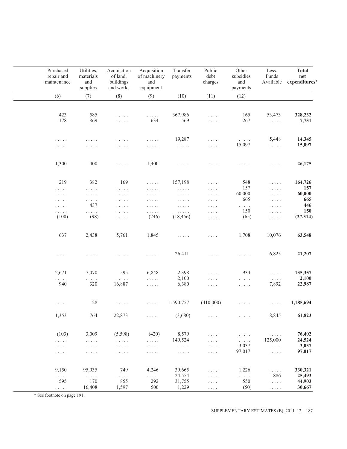| Purchased<br>repair and<br>maintenance                                   | Utilities,<br>materials<br>and<br>supplies       | Acquisition<br>of land,<br>buildings<br>and works | Acquisition<br>of machinery<br>and<br>equipment | Transfer<br>payments               | Public<br>debt<br>charges                                                    | Other<br>subsidies<br>and<br>payments | Less:<br>Funds<br>Available        | <b>Total</b><br>net<br>expenditures* |
|--------------------------------------------------------------------------|--------------------------------------------------|---------------------------------------------------|-------------------------------------------------|------------------------------------|------------------------------------------------------------------------------|---------------------------------------|------------------------------------|--------------------------------------|
| (6)                                                                      | (7)                                              | (8)                                               | (9)                                             | (10)                               | (11)                                                                         | (12)                                  |                                    |                                      |
|                                                                          |                                                  |                                                   |                                                 |                                    |                                                                              |                                       |                                    |                                      |
| 423<br>178                                                               | 585<br>869                                       | $\mathbb{Z}^2$ . The set of $\mathbb{Z}^2$<br>.   | .<br>634                                        | 367,986<br>569                     | $\ldots$<br>$\ldots$                                                         | 165<br>267                            | 53,473<br>.                        | 328,232<br>7,731                     |
|                                                                          | .                                                | .                                                 | $\ldots$                                        | 19,287                             | $\sim$ $\sim$ $\sim$ $\sim$ $\sim$                                           | $\alpha$ , $\beta$ , $\alpha$         | 5,448                              | 14,345                               |
| $\sim$ $\sim$ $\sim$ $\sim$ $\sim$<br>$\sim$ $\sim$ $\sim$ $\sim$ $\sim$ | $\dots$                                          | $\ldots$                                          | $\ldots$                                        | $\sim$ $\sim$ $\sim$ $\sim$        | $\ldots$                                                                     | 15,097                                | .                                  | 15,097                               |
| 1,300                                                                    | 400                                              | $\ldots$                                          | 1,400                                           | $\sim$ $\sim$ $\sim$ $\sim$ $\sim$ | .                                                                            | .                                     | .                                  | 26,175                               |
| 219                                                                      | 382                                              | 169                                               |                                                 | 157,198                            |                                                                              | 548                                   |                                    | 164,726                              |
| $\cdots$                                                                 | $\sim$ $\sim$ $\sim$ $\sim$ $\sim$               | $\cdots$                                          | .<br>.                                          | $\ldots$                           | $\sim$ $\sim$ $\sim$ $\sim$ $\sim$<br>$\mathbb{Z}^n$ . In the $\mathbb{Z}^n$ | 157                                   | .<br>.                             | 157                                  |
| $\sim$ $\sim$ $\sim$ $\sim$ $\sim$                                       | $\sim$ $\sim$ $\sim$ $\sim$ $\sim$               | $\sim$ $\sim$ $\sim$ $\sim$ $\sim$                | $\sim$ $\sim$ $\sim$ $\sim$ $\sim$              | $\sim$ $\sim$ $\sim$ $\sim$ $\sim$ | $\sim$ $\sim$ $\sim$ $\sim$ $\sim$                                           | 60,000                                | .                                  | 60,000                               |
| $\sim$ $\sim$ $\sim$ $\sim$ $\sim$                                       | $\ldots$                                         | $\sim$ $\sim$ $\sim$ $\sim$ $\sim$                | $\dots$                                         | $\sim$ $\sim$ $\sim$ $\sim$ $\sim$ | $\ldots$                                                                     | 665                                   | .                                  | 665                                  |
| $\sim$ $\sim$ $\sim$ $\sim$ $\sim$                                       | 437                                              | $\sim$ $\sim$ $\sim$ $\sim$ $\sim$                | $\sim$ $\sim$ $\sim$ $\sim$ $\sim$              | .                                  | .                                                                            | .                                     | .                                  | 446                                  |
| $\cdots$                                                                 | $\ldots$                                         | .                                                 | .                                               | $\sim$ $\sim$ $\sim$ $\sim$ $\sim$ | $\mathbb{Z}^n$ . In the $\mathbb{Z}^n$                                       | 150                                   | .                                  | 150                                  |
| (100)                                                                    | (98)                                             | $\ldots$                                          | (246)                                           | (18, 456)                          | $\ldots$                                                                     | (65)                                  | .                                  | (27, 314)                            |
| 637                                                                      | 2,438                                            | 5,761                                             | 1,845                                           | $\sim$ $\sim$ $\sim$ $\sim$ $\sim$ | $\sim$ $\sim$ $\sim$ $\sim$ $\sim$                                           | 1,708                                 | 10,076                             | 63,548                               |
| $\sim$ $\sim$ $\sim$ $\sim$ $\sim$                                       | .                                                | .                                                 | $\sim$ $\sim$ $\sim$ $\sim$ $\sim$              | 26,411                             | .                                                                            | $\cdots$                              | 6,825                              | 21,207                               |
| 2,671                                                                    | 7,070                                            | 595                                               | 6,848                                           | 2,398                              | 1.1.1.1                                                                      | 934                                   | .                                  | 135,357                              |
| .                                                                        | .                                                | $\ldots$                                          | $\ldots$                                        | 2,100                              | $\ldots$                                                                     | $\ldots$                              | $\alpha$ is a set of               | 2,100                                |
| 940                                                                      | 320                                              | 16,887                                            | $\ldots$                                        | 6,380                              | $\sim$ $\sim$ $\sim$ $\sim$ $\sim$                                           | $\ldots$                              | 7,892                              | 22,987                               |
| $\sim$ $\sim$ $\sim$ $\sim$ $\sim$                                       | $28\,$                                           | $\sim$ $\sim$ $\sim$ $\sim$ $\sim$                | $\alpha$ , $\alpha$ , $\alpha$                  | 1,590,757                          | (410,000)                                                                    | $\sim$ $\sim$ $\sim$ $\sim$ $\sim$    | $\sim$ $\sim$ $\sim$ $\sim$ $\sim$ | 1,185,694                            |
| 1,353                                                                    | 764                                              | 22,873                                            | $\ldots$                                        | (3,680)                            | $\sim$ $\sim$ $\sim$ $\sim$ $\sim$                                           | $\ldots$                              | 8,845                              | 61,823                               |
| (103)                                                                    | 3,009                                            | (5, 598)                                          | (420)                                           | 8,579                              | $\ldots$                                                                     | $\sim$ $\sim$ $\sim$ $\sim$ $\sim$    | $\ldots$                           | 76,402                               |
| $\sim$ $\sim$ $\sim$ $\sim$ $\sim$                                       | $\sim$ $\sim$ $\sim$ $\sim$ $\sim$               | $\mathbb{Z}^n$ . In the $\mathbb{Z}^n$            | $\ldots$                                        | 149,524                            | $\cdots$                                                                     | $\sim$ $\sim$ $\sim$ $\sim$ $\sim$    | 125,000                            | 24,524                               |
| $\sim$ $\sim$ $\sim$ $\sim$ $\sim$                                       | $\sim$ $\sim$ $\sim$ $\sim$ $\sim$               | $\sim$ $\sim$ $\sim$ $\sim$ $\sim$                | $\ldots$                                        | $\alpha$ , $\alpha$ , $\alpha$     | $\sim$ $\sim$ $\sim$ $\sim$ $\sim$                                           | 3,037                                 | $\sim$ $\sim$ $\sim$ $\sim$ $\sim$ | 3,037                                |
| $\sim$ $\sim$ $\sim$ $\sim$ $\sim$                                       | $\ldots$                                         | $\sim$ $\sim$ $\sim$ $\sim$ $\sim$                | $\ldots$                                        | $\ldots$                           | $\sim$ $\sim$ $\sim$ $\sim$ $\sim$                                           | 97,017                                | $\sim$ $\sim$ $\sim$ $\sim$ $\sim$ | 97,017                               |
| 9,150                                                                    | 95,935                                           | 749                                               | 4,246                                           | 39,665                             | 1.1.1.1                                                                      | 1,226                                 | $\ldots$                           | 330,321                              |
| $\sim$ $\sim$ $\sim$ $\sim$ $\sim$                                       | $\mathbb{Z}^2$ . $\mathbb{Z}^2$ , $\mathbb{Z}^2$ | $\ldots$                                          | $\ldots$                                        | 24,554                             | .                                                                            | .                                     | 886                                | 25,493                               |
| 595                                                                      | 170                                              | 855                                               | 292                                             | 31,755                             | $\cdots$                                                                     | 550                                   | $\ldots$                           | 44,903                               |
| $\alpha$ is a set of                                                     | 16,408                                           | 1,597                                             | 500                                             | 1,229                              | $\sim$ $\sim$ $\sim$ $\sim$ $\sim$                                           | (50)                                  | $\alpha$ , $\alpha$ , $\alpha$     | 30,667                               |

\* See footnote on page 191.

SUPPLEMENTARY ESTIMATES (B), 2011–12 187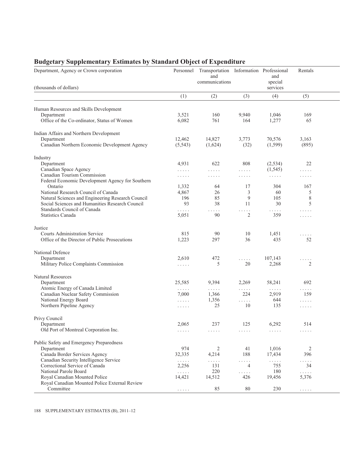| Department, Agency or Crown corporation<br>(thousands of dollars)                                    | Personnel                                          | Transportation Information Professional<br>and<br>communications |                    | and<br>special<br>services         | Rentals                                   |  |
|------------------------------------------------------------------------------------------------------|----------------------------------------------------|------------------------------------------------------------------|--------------------|------------------------------------|-------------------------------------------|--|
|                                                                                                      | (1)                                                | (2)                                                              | (3)                | (4)                                | (5)                                       |  |
| Human Resources and Skills Development                                                               |                                                    |                                                                  |                    |                                    |                                           |  |
| Department                                                                                           | 3,521                                              | 160                                                              | 9,940              | 1,046                              | 169                                       |  |
| Office of the Co-ordinator, Status of Women                                                          | 6,082                                              | 761                                                              | 164                | 1,277                              | 65                                        |  |
| Indian Affairs and Northern Development                                                              |                                                    |                                                                  |                    |                                    |                                           |  |
| Department                                                                                           | 12,462                                             | 14,827                                                           | 3,773              | 70,576                             | 3,163                                     |  |
| Canadian Northern Economic Development Agency                                                        | (5, 543)                                           | (1,624)                                                          | (32)               | (1, 599)                           | (895)                                     |  |
| Industry                                                                                             |                                                    |                                                                  |                    |                                    |                                           |  |
| Department                                                                                           | 4,931                                              | 622                                                              | 808                | (2, 534)                           | 22                                        |  |
| Canadian Space Agency                                                                                | .                                                  | .                                                                | .                  | (1, 545)                           | .                                         |  |
| Canadian Tourism Commission                                                                          | $\sim$ $\sim$ $\sim$ $\sim$ $\sim$                 | $\ldots$                                                         | $\cdots$           | $\cdots$                           | .                                         |  |
| Federal Economic Development Agency for Southern                                                     |                                                    |                                                                  |                    |                                    |                                           |  |
| Ontario                                                                                              | 1,332                                              | 64                                                               | 17                 | 304                                | 167                                       |  |
| National Research Council of Canada                                                                  | 4,867                                              | 26                                                               | 3                  | 60                                 | 5                                         |  |
| Natural Sciences and Engineering Research Council<br>Social Sciences and Humanities Research Council | 196<br>93                                          | 85<br>38                                                         | $\mathbf{9}$<br>11 | 105<br>30                          | $\,$ $\,$<br>5                            |  |
| Standards Council of Canada                                                                          |                                                    |                                                                  |                    |                                    |                                           |  |
| <b>Statistics Canada</b>                                                                             | .<br>5,051                                         | .<br>90                                                          | $\ldots$<br>2      | .<br>359                           | .<br>.                                    |  |
| Justice                                                                                              |                                                    |                                                                  |                    |                                    |                                           |  |
| <b>Courts Administration Service</b>                                                                 | 815                                                | 90                                                               | 10                 | 1,451                              | .                                         |  |
| Office of the Director of Public Prosecutions                                                        | 1,223                                              | 297                                                              | 36                 | 435                                | 52                                        |  |
| National Defence                                                                                     |                                                    |                                                                  |                    |                                    |                                           |  |
| Department                                                                                           | 2,610                                              | 472                                                              | $\ldots$           | 107,143                            | .                                         |  |
| Military Police Complaints Commission                                                                | $\sim$ $\sim$ $\sim$ $\sim$ $\sim$                 | 5                                                                | 20                 | 2,268                              | 2                                         |  |
| Natural Resources                                                                                    |                                                    |                                                                  |                    |                                    |                                           |  |
| Department                                                                                           | 25,585                                             | 9,394                                                            | 2,269              | 58,241                             | 692                                       |  |
| Atomic Energy of Canada Limited<br>Canadian Nuclear Safety Commission                                | $\mathbb{Z}^n$ . $\mathbb{Z}^n$ , $\mathbb{Z}^n$ , | $\mathbb{Z}^2$ . The set of $\mathbb{Z}^2$                       | $\cdots$<br>224    | $\sim$ $\sim$ $\sim$ $\sim$ $\sim$ | $\sim$ $\sim$ $\sim$ $\sim$ $\sim$<br>159 |  |
| National Energy Board                                                                                | 7,000                                              | 1,366<br>1,356                                                   |                    | 2,919<br>644                       |                                           |  |
| Northern Pipeline Agency                                                                             | $\sim$ $\sim$ $\sim$ $\sim$ $\sim$<br>$\cdots$     | 25                                                               | 1.1.1.1<br>10      | 135                                | .<br>.                                    |  |
| Privy Council                                                                                        |                                                    |                                                                  |                    |                                    |                                           |  |
| Department                                                                                           | 2,065                                              | 237                                                              | 125                | 6,292                              | 514                                       |  |
| Old Port of Montreal Corporation Inc.                                                                | .                                                  | $\cdots$                                                         | $\cdots$           | $\sim$ $\sim$ $\sim$ $\sim$ $\sim$ | .                                         |  |
| Public Safety and Emergency Preparedness                                                             |                                                    |                                                                  |                    |                                    |                                           |  |
| Department                                                                                           | 974                                                | 2                                                                | 41                 | 1,016                              | 2                                         |  |
| Canada Border Services Agency                                                                        | 32,335                                             | 4,214                                                            | 188                | 17,434                             | 396                                       |  |
| Canadian Security Intelligence Service                                                               | .                                                  | $\ldots$                                                         | $\ldots$           | $\ldots$                           | $\sim$ $\sim$ $\sim$ $\sim$ $\sim$        |  |
| Correctional Service of Canada                                                                       | 2,256                                              | 131                                                              | $\overline{4}$     | 755                                | 34                                        |  |
| National Parole Board<br>Royal Canadian Mounted Police                                               | $\ldots$<br>14,421                                 | 220                                                              | $\ldots$<br>426    | 180<br>19,456                      | .<br>5,376                                |  |
| Royal Canadian Mounted Police External Review                                                        |                                                    | 14,512                                                           |                    |                                    |                                           |  |
| Committee                                                                                            | $\alpha$ is a set of                               | 85                                                               | 80                 | 230                                | $\sim$ $\sim$ $\sim$ $\sim$ $\sim$        |  |
|                                                                                                      |                                                    |                                                                  |                    |                                    |                                           |  |

## **Budgetary Supplementary Estimates by Standard Object of Expenditure**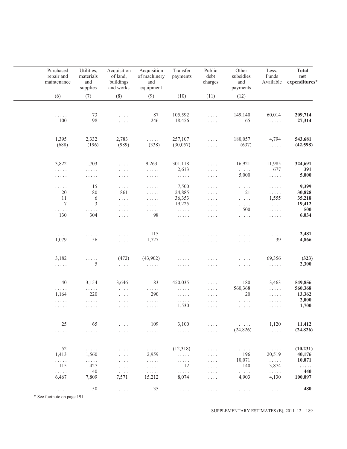| Purchased<br>repair and<br>maintenance | Utilities,<br>materials<br>and<br>supplies                      | Acquisition<br>of land,<br>buildings<br>and works               | Acquisition<br>of machinery<br>and<br>equipment  | Transfer<br>payments               | Public<br>debt<br>charges                  | Other<br>subsidies<br>and<br>payments            | Less:<br>Funds<br>Available        | <b>Total</b><br>net<br>expenditures* |
|----------------------------------------|-----------------------------------------------------------------|-----------------------------------------------------------------|--------------------------------------------------|------------------------------------|--------------------------------------------|--------------------------------------------------|------------------------------------|--------------------------------------|
| (6)                                    | (7)                                                             | (8)                                                             | (9)                                              | (10)                               | (11)                                       | (12)                                             |                                    |                                      |
|                                        |                                                                 |                                                                 |                                                  |                                    |                                            |                                                  |                                    |                                      |
| $\ldots$                               | 73                                                              | $\mathbb{Z}^2$ . $\mathbb{Z}^2$ , $\mathbb{Z}^2$                | 87                                               | 105,592                            | $\ldots$                                   | 149,140                                          | 60,014                             | 209,714                              |
| 100                                    | 98                                                              | .                                                               | 246                                              | 18,456                             | .                                          | 65                                               | .                                  | 27,314                               |
|                                        |                                                                 |                                                                 |                                                  |                                    |                                            |                                                  |                                    |                                      |
| 1,395<br>(688)                         | 2,332<br>(196)                                                  | 2,783<br>(989)                                                  | .<br>(338)                                       | 257,107<br>(30,057)                | 1.1.1.1<br>.                               | 180,057<br>(637)                                 | 4,794<br>.                         | 543,681<br>(42,598)                  |
|                                        |                                                                 |                                                                 |                                                  |                                    |                                            |                                                  |                                    |                                      |
| 3,822                                  | 1,703                                                           | $\ldots$                                                        | 9,263                                            | 301,118                            | .                                          | 16,921                                           | 11,985                             | 324,691                              |
| $\sim$ $\sim$ $\sim$ $\sim$ $\sim$     | $\mathcal{L}(\mathcal{L}(\mathcal{L},\mathcal{L},\mathcal{L}))$ | $\mathbb{Z}^n$ . In the $\mathbb{Z}^n$                          | $\alpha$ , $\alpha$ , $\alpha$                   | 2,613                              | $\ldots$                                   | .                                                | 677                                | 391                                  |
| $\sim$ $\sim$ $\sim$ $\sim$ $\sim$     | $\ldots$                                                        | .                                                               | .                                                | .                                  | $\ldots$                                   | 5,000                                            | .                                  | 5,000                                |
| $\cdots$                               | 15                                                              | .                                                               | .                                                | 7,500                              | $\ldots$                                   | .                                                | .                                  | 9,399                                |
| 20                                     | 80                                                              | 861                                                             | .                                                | 24,885                             | $\cdots\cdots\cdots$                       | 21                                               | .                                  | 30,828                               |
| 11                                     | 6                                                               | .                                                               | .                                                | 36,353                             | $\cdots\cdots\cdots$                       | .                                                | 1,555                              | 35,218                               |
| 7                                      | 3                                                               | .                                                               | .                                                | 19,225                             | $\cdots\cdots\cdots$                       | .                                                | .                                  | 19,412                               |
| $\sim$ $\sim$ $\sim$ $\sim$            | .                                                               | .                                                               | .                                                | .                                  | $\cdots\cdots\cdots$                       | 500                                              | .                                  | 500                                  |
| 130                                    | 304                                                             | .                                                               | 98                                               | $\cdots$                           | $\ldots$                                   | .                                                | .                                  | 6,034                                |
|                                        |                                                                 |                                                                 | 115                                              |                                    |                                            |                                                  |                                    | 2,481                                |
| .<br>1,079                             | .<br>56                                                         | .<br>.                                                          | 1,727                                            | .<br>.                             | .<br>$\ldots$                              | .<br>.                                           | .<br>39                            | 4,866                                |
|                                        |                                                                 |                                                                 |                                                  |                                    |                                            |                                                  |                                    |                                      |
| 3,182                                  | .                                                               | (472)                                                           | (43,902)                                         | .                                  | .                                          | .                                                | 69,356                             | (323)                                |
| $\alpha$ is a set of                   | 5                                                               | $\mathcal{L}(\mathcal{L}(\mathcal{L},\mathcal{L},\mathcal{L}))$ | $\mathbb{Z}^2$ . $\mathbb{Z}^2$ , $\mathbb{Z}^2$ | .                                  | .                                          | .                                                | .                                  | 2,300                                |
| 40                                     | 3,154                                                           | 3,646                                                           | 83                                               | 450,035                            | .                                          | 180                                              | 3,463                              | 549,856                              |
| .                                      | $\mathbb{Z}^2$ . $\mathbb{Z}^2$ , $\mathbb{Z}^2$                | $\mathbb{Z}^2$ . $\mathbb{Z}^2$ , $\mathbb{Z}^2$                | $\cdots$                                         | .                                  | $\ldots$                                   | 560,368                                          | $\ldots$                           | 560,368                              |
| 1,164                                  | 220                                                             | $\mathbb{Z}^n$ . In the $\mathbb{Z}^n$                          | 290                                              | $\alpha$ , $\alpha$ , $\alpha$     | $\ldots$                                   | 20                                               | $\ldots$                           | 13,362                               |
| $\sim$ $\sim$ $\sim$ $\sim$ $\sim$     | $\sim$ $\sim$ $\sim$ $\sim$ $\sim$                              | $\ldots$                                                        | $\sim$ $\sim$ $\sim$ $\sim$ $\sim$               | $\sim$ $\sim$ $\sim$ $\sim$ $\sim$ | $\cdots$                                   | $\sim$ $\sim$ $\sim$ $\sim$ $\sim$               | $\ldots$                           | 2,000                                |
| $\sim$ $\sim$ $\sim$ $\sim$ $\sim$     | $\cdots$                                                        | $\cdots$                                                        | $\sim$ $\sim$ $\sim$ $\sim$ $\sim$               | 1,530                              | $\mathbb{Z}^n$ . In the $\mathbb{Z}^n$     | $\sim$ $\sim$ $\sim$ $\sim$ $\sim$               | $\sim$ $\sim$ $\sim$ $\sim$ $\sim$ | 1,700                                |
|                                        |                                                                 |                                                                 |                                                  |                                    |                                            |                                                  |                                    |                                      |
| 25                                     | 65                                                              | .                                                               | 109                                              | 3,100                              | $\mathbb{Z}^2$ . The set of $\mathbb{Z}^2$ | $\mathbb{Z}^2$ . $\mathbb{Z}^2$ , $\mathbb{Z}^2$ | 1,120                              | 11,412                               |
| $\ldots$                               | $\mathcal{L}(\mathcal{L}(\mathcal{L},\mathcal{L},\mathcal{L}))$ | .                                                               | $\ldots$                                         | $\alpha$ , $\alpha$ , $\alpha$     | $\mathbb{Z}^2$ . The set of $\mathbb{Z}^2$ | (24, 826)                                        | $\bar{z}$ is a set                 | (24, 826)                            |
| 52                                     | $\sim$ $\sim$ $\sim$ $\sim$                                     | .                                                               | $\alpha$ , $\alpha$ , $\alpha$                   | (12,318)                           | $\sim$ $\sim$ $\sim$ $\sim$ $\sim$         | $\alpha$ is a set of                             | $\sim$ $\sim$ $\sim$ $\sim$        | (10, 231)                            |
| 1,413                                  | 1,560                                                           | $\sim$ $\sim$ $\sim$ $\sim$ $\sim$                              | 2,959                                            | $\alpha$ , $\alpha$ , $\alpha$     | $\sim$ $\sim$ $\sim$ $\sim$ $\sim$         | 196                                              | 20,519                             | 40,176                               |
| $\ldots$                               | $\ldots$                                                        | $\ldots$                                                        | $\sim$ $\sim$ $\sim$ $\sim$ $\sim$               | $\alpha$ , $\alpha$ , $\alpha$     | $\sim$ $\sim$ $\sim$ $\sim$ $\sim$         | 10,071                                           | $\ldots$                           | 10,071                               |
| 115                                    | 427                                                             | $\sim$ $\sim$ $\sim$ $\sim$ $\sim$                              | $\alpha$ , $\alpha$ , $\alpha$                   | 12                                 | $\cdots\cdots\cdots$                       | 140                                              | 3,874                              | .                                    |
| $\ldots$                               | 40                                                              | $\ldots$                                                        | $\sim$ $\sim$ $\sim$ $\sim$                      | $\ldots$                           | $\sim$ $\sim$ $\sim$ $\sim$ $\sim$         | $\ldots$                                         | $\ldots$                           | 440                                  |
| 6,467                                  | 7,809                                                           | 7,571                                                           | 15,212                                           | 8,074                              | $\sim$ $\sim$ $\sim$ $\sim$ $\sim$         | 4,903                                            | 4,130                              | 100,097                              |
| $\sim$ $\sim$ $\sim$ $\sim$ $\sim$     | 50                                                              | $\sim$ $\sim$ $\sim$ $\sim$ $\sim$                              | 35                                               | $\sim$ $\sim$ $\sim$ $\sim$ $\sim$ | $\sim$ $\sim$ $\sim$ $\sim$ $\sim$         | $\sim$ $\sim$ $\sim$ $\sim$ $\sim$               | $\sim$ $\sim$ $\sim$ $\sim$ $\sim$ | 480                                  |

\* See footnote on page 191.

SUPPLEMENTARY ESTIMATES (B), 2011–12 189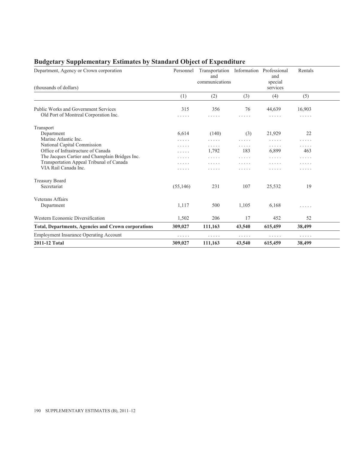| Department, Agency or Crown corporation<br>(thousands of dollars) | Personnel | Transportation Information Professional<br>and<br>communications |        | and<br>special<br>services | Rentals |  |
|-------------------------------------------------------------------|-----------|------------------------------------------------------------------|--------|----------------------------|---------|--|
|                                                                   | (1)       | (2)                                                              | (3)    | (4)                        | (5)     |  |
|                                                                   |           |                                                                  |        |                            |         |  |
| Public Works and Government Services                              | 315       | 356                                                              | 76     | 44,639                     | 16,903  |  |
| Old Port of Montreal Corporation Inc.                             | .         | .                                                                | .      | .                          | .       |  |
| Transport                                                         |           |                                                                  |        |                            |         |  |
| Department                                                        | 6,614     | (140)                                                            | (3)    | 21,929                     | 22      |  |
| Marine Atlantic Inc.                                              | .         | .                                                                | .      | .                          | .       |  |
| National Capital Commission                                       | .         | .                                                                | .      | .                          | .       |  |
| Office of Infrastructure of Canada                                | .         | 1,792                                                            | 183    | 6,899                      | 463     |  |
| The Jacques Cartier and Champlain Bridges Inc.                    | .         | .                                                                | .      | .                          | .       |  |
| Transportation Appeal Tribunal of Canada<br>VIA Rail Canada Inc.  | .         | .                                                                | .      | .                          | .       |  |
|                                                                   | .         | .                                                                | .      | .                          | .       |  |
| <b>Treasury Board</b>                                             |           |                                                                  |        |                            |         |  |
| Secretariat                                                       | (55, 146) | 231                                                              | 107    | 25,532                     | 19      |  |
| Veterans Affairs                                                  |           |                                                                  |        |                            |         |  |
| Department                                                        | 1,117     | 500                                                              | 1,105  | 6,168                      | .       |  |
| Western Economic Diversification                                  | 1,502     | 206                                                              | 17     | 452                        | 52      |  |
| <b>Total, Departments, Agencies and Crown corporations</b>        | 309,027   | 111,163                                                          | 43,540 | 615,459                    | 38,499  |  |
| <b>Employment Insurance Operating Account</b>                     | .         | .                                                                | .      | .                          | .       |  |
| 2011-12 Total                                                     | 309,027   | 111,163                                                          | 43,540 | 615,459                    | 38,499  |  |

## **Budgetary Supplementary Estimates by Standard Object of Expenditure**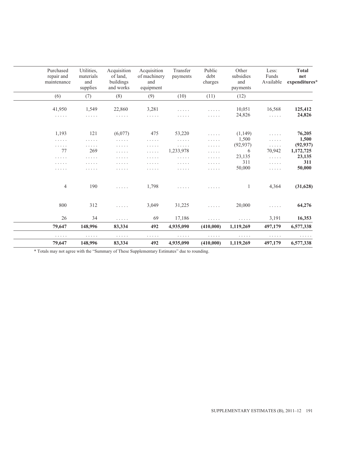| Purchased<br>repair and<br>maintenance | Utilities.<br>materials<br>and<br>supplies | Acquisition<br>of land,<br>buildings<br>and works | Acquisition<br>of machinery<br>and<br>equipment | Transfer<br>payments | Public<br>debt<br>charges               | Other<br>subsidies<br>and<br>payments | Less:<br>Funds<br>Available | <b>Total</b><br>net<br>expenditures* |
|----------------------------------------|--------------------------------------------|---------------------------------------------------|-------------------------------------------------|----------------------|-----------------------------------------|---------------------------------------|-----------------------------|--------------------------------------|
| (6)                                    | (7)                                        | (8)                                               | (9)                                             | (10)                 | (11)                                    | (12)                                  |                             |                                      |
| 41,950<br>.                            | 1,549<br>.                                 | 22,860<br>.                                       | 3,281<br>.                                      | .<br>.               | .<br>.                                  | 10,051<br>24,826                      | 16,568<br>.                 | 125,412<br>24,826                    |
| 1,193<br>.                             | 121<br>.                                   | (6,077)<br>.                                      | 475<br>.                                        | 53,220<br>.          | .<br>$\sim$ $\sim$ $\sim$ $\sim$ $\sim$ | (1,149)<br>1,500                      | .<br>.                      | 76,205<br>1,500                      |
| .<br>77                                | .<br>269                                   | .<br>.                                            | .<br>.                                          | .<br>1,233,978       | .<br>.                                  | (92, 937)<br>6                        | .<br>70,942                 | (92, 937)<br>1,172,725               |
| .<br>.                                 | .<br>.                                     | .<br>.                                            | .<br>.                                          | $\cdots$<br>.        | .<br>.                                  | 23,135<br>311<br>50,000               | .<br>.                      | 23,135<br>311<br>50,000              |
| .                                      | .                                          | .                                                 | .                                               | .                    | .                                       |                                       | .                           |                                      |
| 4                                      | 190                                        | .                                                 | 1,798                                           | .                    | .                                       | 1                                     | 4,364                       | (31, 628)                            |
| 800                                    | 312                                        | .                                                 | 3,049                                           | 31,225               | .                                       | 20,000                                | .                           | 64,276                               |
| 26                                     | 34                                         | $\cdots$                                          | 69                                              | 17,186               | .                                       | .                                     | 3,191                       | 16,353                               |
| 79,647                                 | 148,996                                    | 83,334                                            | 492                                             | 4,935,090            | (410,000)                               | 1,119,269                             | 497,179                     | 6,577,338                            |
| .                                      | .                                          | .                                                 | .                                               | .                    | .                                       | .                                     | .                           | .                                    |
| 79,647                                 | 148,996                                    | 83,334                                            | 492                                             | 4,935,090            | (410,000)                               | 1,119,269                             | 497,179                     | 6,577,338                            |

\* Totals may not agree with the "Summary of These Supplementary Estimates" due to rounding.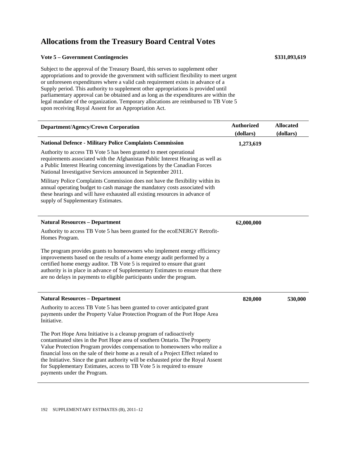#### **Vote 5 – Government Contingencies \$331,093,619**

Subject to the approval of the Treasury Board, this serves to supplement other appropriations and to provide the government with sufficient flexibility to meet urgent or unforeseen expenditures where a valid cash requirement exists in advance of a Supply period. This authority to supplement other appropriations is provided until parliamentary approval can be obtained and as long as the expenditures are within the legal mandate of the organization. Temporary allocations are reimbursed to TB Vote 5 upon receiving Royal Assent for an Appropriation Act.

| <b>Department/Agency/Crown Corporation</b>                                                                                                                                                                                                                                                                                                                                                                                                                                                                            | <b>Authorized</b><br>(dollars) | <b>Allocated</b><br>(dollars) |
|-----------------------------------------------------------------------------------------------------------------------------------------------------------------------------------------------------------------------------------------------------------------------------------------------------------------------------------------------------------------------------------------------------------------------------------------------------------------------------------------------------------------------|--------------------------------|-------------------------------|
| <b>National Defence - Military Police Complaints Commission</b>                                                                                                                                                                                                                                                                                                                                                                                                                                                       | 1,273,619                      |                               |
| Authority to access TB Vote 5 has been granted to meet operational<br>requirements associated with the Afghanistan Public Interest Hearing as well as<br>a Public Interest Hearing concerning investigations by the Canadian Forces<br>National Investigative Services announced in September 2011.                                                                                                                                                                                                                   |                                |                               |
| Military Police Complaints Commission does not have the flexibility within its<br>annual operating budget to cash manage the mandatory costs associated with<br>these hearings and will have exhausted all existing resources in advance of<br>supply of Supplementary Estimates.                                                                                                                                                                                                                                     |                                |                               |
| <b>Natural Resources - Department</b>                                                                                                                                                                                                                                                                                                                                                                                                                                                                                 | 62,000,000                     |                               |
| Authority to access TB Vote 5 has been granted for the ecoENERGY Retrofit-<br>Homes Program.                                                                                                                                                                                                                                                                                                                                                                                                                          |                                |                               |
| The program provides grants to homeowners who implement energy efficiency<br>improvements based on the results of a home energy audit performed by a<br>certified home energy auditor. TB Vote 5 is required to ensure that grant<br>authority is in place in advance of Supplementary Estimates to ensure that there<br>are no delays in payments to eligible participants under the program.                                                                                                                        |                                |                               |
| <b>Natural Resources - Department</b>                                                                                                                                                                                                                                                                                                                                                                                                                                                                                 | 820,000                        | 530,000                       |
| Authority to access TB Vote 5 has been granted to cover anticipated grant<br>payments under the Property Value Protection Program of the Port Hope Area<br>Initiative.                                                                                                                                                                                                                                                                                                                                                |                                |                               |
| The Port Hope Area Initiative is a cleanup program of radioactively<br>contaminated sites in the Port Hope area of southern Ontario. The Property<br>Value Protection Program provides compensation to homeowners who realize a<br>financial loss on the sale of their home as a result of a Project Effect related to<br>the Initiative. Since the grant authority will be exhausted prior the Royal Assent<br>for Supplementary Estimates, access to TB Vote 5 is required to ensure<br>payments under the Program. |                                |                               |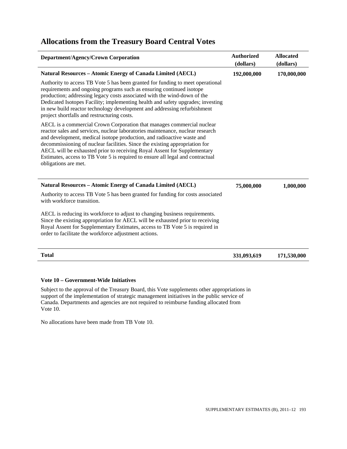| <b>Department/Agency/Crown Corporation</b>                                                                                                                                                                                                                                                                                                                                                                                                                                                              | <b>Authorized</b><br>(dollars) | <b>Allocated</b><br>(dollars) |
|---------------------------------------------------------------------------------------------------------------------------------------------------------------------------------------------------------------------------------------------------------------------------------------------------------------------------------------------------------------------------------------------------------------------------------------------------------------------------------------------------------|--------------------------------|-------------------------------|
| <b>Natural Resources - Atomic Energy of Canada Limited (AECL)</b>                                                                                                                                                                                                                                                                                                                                                                                                                                       | 192,000,000                    | 170,000,000                   |
| Authority to access TB Vote 5 has been granted for funding to meet operational<br>requirements and ongoing programs such as ensuring continued isotope<br>production; addressing legacy costs associated with the wind-down of the<br>Dedicated Isotopes Facility; implementing health and safety upgrades; investing<br>in new build reactor technology development and addressing refurbishment<br>project shortfalls and restructuring costs.                                                        |                                |                               |
| AECL is a commercial Crown Corporation that manages commercial nuclear<br>reactor sales and services, nuclear laboratories maintenance, nuclear research<br>and development, medical isotope production, and radioactive waste and<br>decommissioning of nuclear facilities. Since the existing appropriation for<br>AECL will be exhausted prior to receiving Royal Assent for Supplementary<br>Estimates, access to TB Vote 5 is required to ensure all legal and contractual<br>obligations are met. |                                |                               |
| <b>Natural Resources - Atomic Energy of Canada Limited (AECL)</b>                                                                                                                                                                                                                                                                                                                                                                                                                                       | 75,000,000                     | 1,000,000                     |
| Authority to access TB Vote 5 has been granted for funding for costs associated<br>with workforce transition.                                                                                                                                                                                                                                                                                                                                                                                           |                                |                               |
| AECL is reducing its workforce to adjust to changing business requirements.<br>Since the existing appropriation for AECL will be exhausted prior to receiving<br>Royal Assent for Supplementary Estimates, access to TB Vote 5 is required in<br>order to facilitate the workforce adjustment actions.                                                                                                                                                                                                  |                                |                               |
| <b>Total</b>                                                                                                                                                                                                                                                                                                                                                                                                                                                                                            | 331,093,619                    | 171,530,000                   |

#### **Vote 10 – Government-Wide Initiatives**

Subject to the approval of the Treasury Board, this Vote supplements other appropriations in support of the implementation of strategic management initiatives in the public service of Canada. Departments and agencies are not required to reimburse funding allocated from Vote 10.

No allocations have been made from TB Vote 10.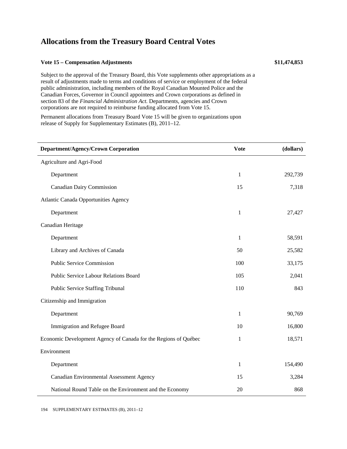#### **Vote 15 – Compensation Adjustments \$11,474,853**

Subject to the approval of the Treasury Board, this Vote supplements other appropriations as a result of adjustments made to terms and conditions of service or employment of the federal public administration, including members of the Royal Canadian Mounted Police and the Canadian Forces, Governor in Council appointees and Crown corporations as defined in section 83 of the *Financial Administration Act*. Departments, agencies and Crown corporations are not required to reimburse funding allocated from Vote 15.

Permanent allocations from Treasury Board Vote 15 will be given to organizations upon release of Supply for Supplementary Estimates (B), 2011–12.

| Department/Agency/Crown Corporation                             | <b>Vote</b>  | (dollars) |
|-----------------------------------------------------------------|--------------|-----------|
| Agriculture and Agri-Food                                       |              |           |
| Department                                                      | $\mathbf{1}$ | 292,739   |
| <b>Canadian Dairy Commission</b>                                | 15           | 7,318     |
| Atlantic Canada Opportunities Agency                            |              |           |
| Department                                                      | $\mathbf{1}$ | 27,427    |
| Canadian Heritage                                               |              |           |
| Department                                                      | $\mathbf{1}$ | 58,591    |
| Library and Archives of Canada                                  | 50           | 25,582    |
| <b>Public Service Commission</b>                                | 100          | 33,175    |
| Public Service Labour Relations Board                           | 105          | 2,041     |
| Public Service Staffing Tribunal                                | 110          | 843       |
| Citizenship and Immigration                                     |              |           |
| Department                                                      | $\mathbf{1}$ | 90,769    |
| Immigration and Refugee Board                                   | 10           | 16,800    |
| Economic Development Agency of Canada for the Regions of Québec | 1            | 18,571    |
| Environment                                                     |              |           |
| Department                                                      | 1            | 154,490   |
| Canadian Environmental Assessment Agency                        | 15           | 3,284     |
| National Round Table on the Environment and the Economy         | 20           | 868       |

194 SUPPLEMENTARY ESTIMATES (B), 2011–12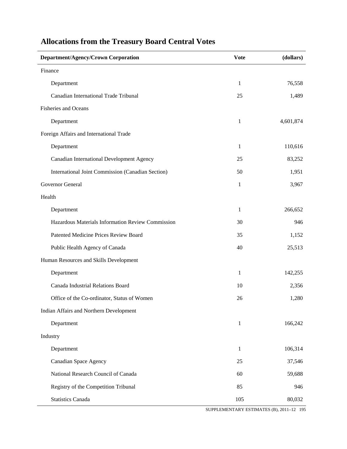| Department/Agency/Crown Corporation               | <b>Vote</b>  | (dollars) |
|---------------------------------------------------|--------------|-----------|
| Finance                                           |              |           |
| Department                                        | $\mathbf{1}$ | 76,558    |
| Canadian International Trade Tribunal             | 25           | 1,489     |
| <b>Fisheries and Oceans</b>                       |              |           |
| Department                                        | $\mathbf{1}$ | 4,601,874 |
| Foreign Affairs and International Trade           |              |           |
| Department                                        | $\mathbf{1}$ | 110,616   |
| Canadian International Development Agency         | 25           | 83,252    |
| International Joint Commission (Canadian Section) | 50           | 1,951     |
| Governor General                                  | 1            | 3,967     |
| Health                                            |              |           |
| Department                                        | $\mathbf{1}$ | 266,652   |
| Hazardous Materials Information Review Commission | 30           | 946       |
| Patented Medicine Prices Review Board             | 35           | 1,152     |
| Public Health Agency of Canada                    | 40           | 25,513    |
| Human Resources and Skills Development            |              |           |
| Department                                        | $\mathbf{1}$ | 142,255   |
| Canada Industrial Relations Board                 | 10           | 2,356     |
| Office of the Co-ordinator, Status of Women       | 26           | 1,280     |
| Indian Affairs and Northern Development           |              |           |
| Department                                        | $\mathbf{1}$ | 166,242   |
| Industry                                          |              |           |
| Department                                        | $\mathbf{1}$ | 106,314   |
| <b>Canadian Space Agency</b>                      | 25           | 37,546    |
| National Research Council of Canada               | 60           | 59,688    |
| Registry of the Competition Tribunal              | 85           | 946       |
| <b>Statistics Canada</b>                          | 105          | 80,032    |

SUPPLEMENTARY ESTIMATES (B), 2011–12 195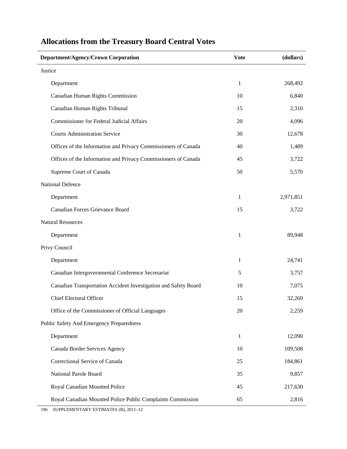| Department/Agency/Crown Corporation                             | <b>Vote</b> | (dollars) |
|-----------------------------------------------------------------|-------------|-----------|
| Justice                                                         |             |           |
| Department                                                      | 1           | 268,492   |
| Canadian Human Rights Commission                                | 10          | 6,840     |
| Canadian Human Rights Tribunal                                  | 15          | 2,310     |
| <b>Commissioner for Federal Judicial Affairs</b>                | 20          | 4,096     |
| <b>Courts Administration Service</b>                            | 30          | 12,678    |
| Offices of the Information and Privacy Commissioners of Canada  | 40          | 1,489     |
| Offices of the Information and Privacy Commissioners of Canada  | 45          | 3,722     |
| Supreme Court of Canada                                         | 50          | 5,570     |
| <b>National Defence</b>                                         |             |           |
| Department                                                      | 1           | 2,971,851 |
| Canadian Forces Grievance Board                                 | 15          | 3,722     |
| <b>Natural Resources</b>                                        |             |           |
| Department                                                      | 1           | 89,948    |
| Privy Council                                                   |             |           |
| Department                                                      | 1           | 24,741    |
| Canadian Intergovernmental Conference Secretariat               | 5           | 3,757     |
| Canadian Transportation Accident Investigation and Safety Board | 10          | 7,075     |
| Chief Electoral Officer                                         | 15          | 32,269    |
| Office of the Commissioner of Official Languages                | 20          | 2,259     |
| Public Safety And Emergency Preparedness                        |             |           |
| Department                                                      | 1           | 12,090    |
| Canada Border Services Agency                                   | 10          | 109,508   |
| Correctional Service of Canada                                  | 25          | 184,861   |
| National Parole Board                                           | 35          | 9,857     |
| Royal Canadian Mounted Police                                   | 45          | 217,630   |
| Royal Canadian Mounted Police Public Complaints Commission      | 65          | 2,816     |

196 SUPPLEMENTARY ESTIMATES (B), 2011–12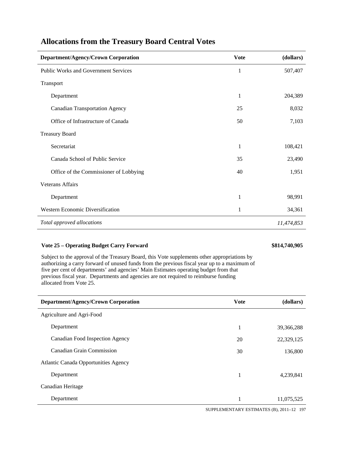| Department/Agency/Crown Corporation         | <b>Vote</b>  | (dollars)  |
|---------------------------------------------|--------------|------------|
| <b>Public Works and Government Services</b> | $\mathbf{1}$ | 507,407    |
| Transport                                   |              |            |
| Department                                  | $\mathbf{1}$ | 204,389    |
| <b>Canadian Transportation Agency</b>       | 25           | 8,032      |
| Office of Infrastructure of Canada          | 50           | 7,103      |
| <b>Treasury Board</b>                       |              |            |
| Secretariat                                 | 1            | 108,421    |
| Canada School of Public Service             | 35           | 23,490     |
| Office of the Commissioner of Lobbying      | 40           | 1,951      |
| <b>Veterans Affairs</b>                     |              |            |
| Department                                  | $\mathbf{1}$ | 98,991     |
| <b>Western Economic Diversification</b>     | 1            | 34,361     |
| Total approved allocations                  |              | 11,474,853 |

### **Vote 25 – Operating Budget Carry Forward \$814,740,905**

Subject to the approval of the Treasury Board, this Vote supplements other appropriations by authorizing a carry forward of unused funds from the previous fiscal year up to a maximum of five per cent of departments' and agencies' Main Estimates operating budget from that previous fiscal year. Departments and agencies are not required to reimburse funding allocated from Vote 25.

| Department/Agency/Crown Corporation         | <b>V</b> ote | (dollars)  |
|---------------------------------------------|--------------|------------|
| Agriculture and Agri-Food                   |              |            |
| Department                                  | 1            | 39,366,288 |
| Canadian Food Inspection Agency             | 20           | 22,329,125 |
| Canadian Grain Commission                   | 30           | 136,800    |
| <b>Atlantic Canada Opportunities Agency</b> |              |            |
| Department                                  |              | 4,239,841  |
| Canadian Heritage                           |              |            |
| Department                                  |              | 11,075,525 |

SUPPLEMENTARY ESTIMATES (B), 2011–12 197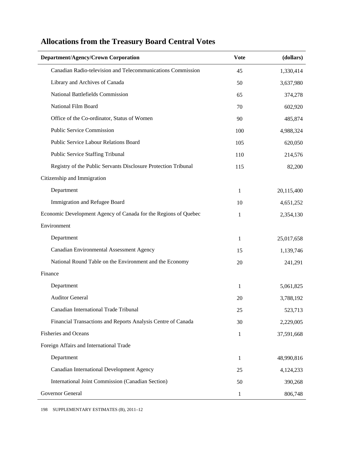| Department/Agency/Crown Corporation                             | <b>Vote</b> | (dollars)  |
|-----------------------------------------------------------------|-------------|------------|
| Canadian Radio-television and Telecommunications Commission     | 45          | 1,330,414  |
| Library and Archives of Canada                                  | 50          | 3,637,980  |
| National Battlefields Commission                                | 65          | 374,278    |
| National Film Board                                             | 70          | 602,920    |
| Office of the Co-ordinator, Status of Women                     | 90          | 485,874    |
| <b>Public Service Commission</b>                                | 100         | 4,988,324  |
| Public Service Labour Relations Board                           | 105         | 620,050    |
| Public Service Staffing Tribunal                                | 110         | 214,576    |
| Registry of the Public Servants Disclosure Protection Tribunal  | 115         | 82,200     |
| Citizenship and Immigration                                     |             |            |
| Department                                                      | 1           | 20,115,400 |
| Immigration and Refugee Board                                   | 10          | 4,651,252  |
| Economic Development Agency of Canada for the Regions of Quebec | 1           | 2,354,130  |
| Environment                                                     |             |            |
| Department                                                      | 1           | 25,017,658 |
| Canadian Environmental Assessment Agency                        | 15          | 1,139,746  |
| National Round Table on the Environment and the Economy         | 20          | 241,291    |
| Finance                                                         |             |            |
| Department                                                      | 1           | 5,061,825  |
| <b>Auditor General</b>                                          | 20          | 3,788,192  |
| Canadian International Trade Tribunal                           | 25          | 523,713    |
| Financial Transactions and Reports Analysis Centre of Canada    | 30          | 2,229,005  |
| <b>Fisheries and Oceans</b>                                     | 1           | 37,591,668 |
| Foreign Affairs and International Trade                         |             |            |
| Department                                                      | 1           | 48,990,816 |
| Canadian International Development Agency                       | 25          | 4,124,233  |
| International Joint Commission (Canadian Section)               | 50          | 390,268    |
| Governor General                                                | 1           | 806,748    |

198 SUPPLEMENTARY ESTIMATES (B), 2011–12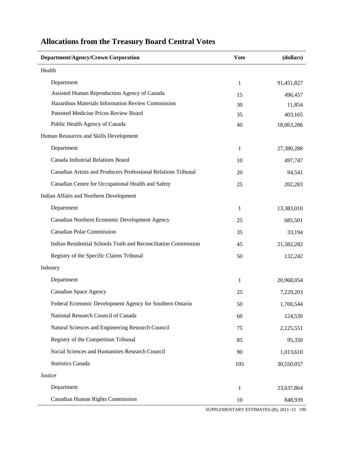| <b>Department/Agency/Crown Corporation</b>                     | <b>Vote</b>  | (dollars)  |
|----------------------------------------------------------------|--------------|------------|
| Health                                                         |              |            |
| Department                                                     | $\mathbf{1}$ | 91,451,827 |
| Assisted Human Reproduction Agency of Canada                   | 15           | 496,457    |
| Hazardous Materials Information Review Commission              | 30           | 11,854     |
| Patented Medicine Prices Review Board                          | 35           | 403,165    |
| Public Health Agency of Canada                                 | 40           | 18,063,286 |
| Human Resources and Skills Development                         |              |            |
| Department                                                     | 1            | 27,380,288 |
| Canada Industrial Relations Board                              | 10           | 497,747    |
| Canadian Artists and Producers Professional Relations Tribunal | 20           | 94,541     |
| Canadian Centre for Occupational Health and Safety             | 25           | 202,283    |
| Indian Affairs and Northern Development                        |              |            |
| Department                                                     | $\mathbf{1}$ | 13,383,010 |
| Canadian Northern Economic Development Agency                  | 25           | 685,501    |
| <b>Canadian Polar Commission</b>                               | 35           | 33,194     |
| Indian Residential Schools Truth and Reconciliation Commission | 45           | 21,582,282 |
| Registry of the Specific Claims Tribunal                       | 50           | 132,242    |
| Industry                                                       |              |            |
| Department                                                     | 1            | 20,968,054 |
| <b>Canadian Space Agency</b>                                   | 25           | 7,229,203  |
| Federal Economic Development Agency for Southern Ontario       | 50           | 1,700,544  |
| National Research Council of Canada                            | 60           | 124,530    |
| Natural Sciences and Engineering Research Council              | 75           | 2,125,551  |
| Registry of the Competition Tribunal                           | 85           | 95,350     |
| Social Sciences and Humanities Research Council                | 90           | 1,013,610  |
| <b>Statistics Canada</b>                                       | 105          | 30,550,057 |
| Justice                                                        |              |            |
| Department                                                     | $\mathbf{1}$ | 23,637,864 |
| Canadian Human Rights Commission                               | 10           | 848,939    |

SUPPLEMENTARY ESTIMATES (B), 2011–12 199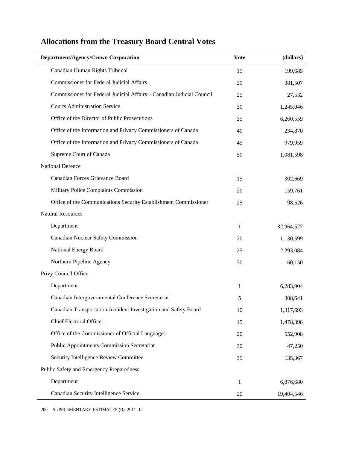| Department/Agency/Crown Corporation                                   | <b>Vote</b> | (dollars)  |
|-----------------------------------------------------------------------|-------------|------------|
| Canadian Human Rights Tribunal                                        | 15          | 199,685    |
| <b>Commissioner for Federal Judicial Affairs</b>                      | 20          | 381,507    |
| Commissioner for Federal Judicial Affairs - Canadian Judicial Council | 25          | 27,532     |
| <b>Courts Administration Service</b>                                  | 30          | 1,245,046  |
| Office of the Director of Public Prosecutions                         | 35          | 6,260,559  |
| Office of the Information and Privacy Commissioners of Canada         | 40          | 234,870    |
| Office of the Information and Privacy Commissioners of Canada         | 45          | 979,959    |
| Supreme Court of Canada                                               | 50          | 1,081,598  |
| <b>National Defence</b>                                               |             |            |
| Canadian Forces Grievance Board                                       | 15          | 302,669    |
| Military Police Complaints Commission                                 | 20          | 159,761    |
| Office of the Communications Security Establishment Commissioner      | 25          | 98,526     |
| <b>Natural Resources</b>                                              |             |            |
| Department                                                            | 1           | 32,964,527 |
| <b>Canadian Nuclear Safety Commission</b>                             | 20          | 1,130,599  |
| National Energy Board                                                 | 25          | 2,293,084  |
| Northern Pipeline Agency                                              | 30          | 60,150     |
| Privy Council Office                                                  |             |            |
| Department                                                            | 1           | 6,283,904  |
| Canadian Intergovernmental Conference Secretariat                     | 5           | 308,641    |
| Canadian Transportation Accident Investigation and Safety Board       | 10          | 1,317,693  |
| <b>Chief Electoral Officer</b>                                        | 15          | 1,478,398  |
| Office of the Commissioner of Official Languages                      | 20          | 552,908    |
| <b>Public Appointments Commission Secretariat</b>                     | 30          | 47,250     |
| Security Intelligence Review Committee                                | 35          | 135,367    |
| Public Safety and Emergency Preparedness                              |             |            |
| Department                                                            | 1           | 6,876,680  |
| Canadian Security Intelligence Service                                | 20          | 19,404,546 |

200 SUPPLEMENTARY ESTIMATES (B), 2011–12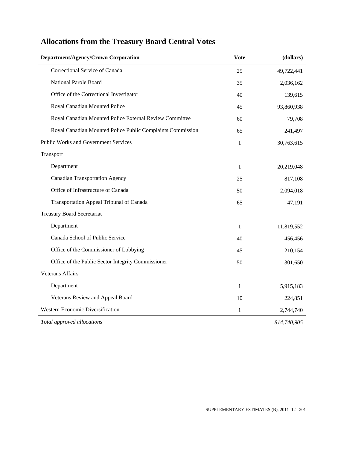| Department/Agency/Crown Corporation                        | <b>Vote</b>  | (dollars)   |
|------------------------------------------------------------|--------------|-------------|
| Correctional Service of Canada                             | 25           | 49,722,441  |
| National Parole Board                                      | 35           | 2,036,162   |
| Office of the Correctional Investigator                    | 40           | 139,615     |
| Royal Canadian Mounted Police                              | 45           | 93,860,938  |
| Royal Canadian Mounted Police External Review Committee    | 60           | 79,708      |
| Royal Canadian Mounted Police Public Complaints Commission | 65           | 241,497     |
| <b>Public Works and Government Services</b>                | 1            | 30,763,615  |
| Transport                                                  |              |             |
| Department                                                 | $\mathbf{1}$ | 20,219,048  |
| <b>Canadian Transportation Agency</b>                      | 25           | 817,108     |
| Office of Infrastructure of Canada                         | 50           | 2,094,018   |
| Transportation Appeal Tribunal of Canada                   | 65           | 47,191      |
| <b>Treasury Board Secretariat</b>                          |              |             |
| Department                                                 | $\mathbf{1}$ | 11,819,552  |
| Canada School of Public Service                            | 40           | 456,456     |
| Office of the Commissioner of Lobbying                     | 45           | 210,154     |
| Office of the Public Sector Integrity Commissioner         | 50           | 301,650     |
| Veterans Affairs                                           |              |             |
| Department                                                 | $\mathbf{1}$ | 5,915,183   |
| Veterans Review and Appeal Board                           | 10           | 224,851     |
| Western Economic Diversification                           | $\mathbf{1}$ | 2,744,740   |
| Total approved allocations                                 |              | 814,740,905 |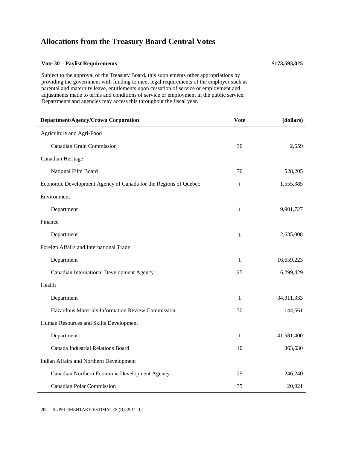#### **Vote 30 – Paylist Requirements \$173,593,025**

Subject to the approval of the Treasury Board, this supplements other appropriations by providing the government with funding to meet legal requirements of the employer such as parental and maternity leave, entitlements upon cessation of service or employment and adjustments made to terms and conditions of service or employment in the public service. Departments and agencies may access this throughout the fiscal year.

| Department/Agency/Crown Corporation                             | <b>Vote</b>  | (dollars)  |
|-----------------------------------------------------------------|--------------|------------|
| Agriculture and Agri-Food                                       |              |            |
| <b>Canadian Grain Commission</b>                                | 30           | 2,659      |
| Canadian Heritage                                               |              |            |
| National Film Board                                             | 70           | 528,205    |
| Economic Development Agency of Canada for the Regions of Quebec | $\mathbf{1}$ | 1,555,385  |
| Environment                                                     |              |            |
| Department                                                      | $\mathbf{1}$ | 9,901,727  |
| Finance                                                         |              |            |
| Department                                                      | $\mathbf{1}$ | 2,635,008  |
| Foreign Affairs and International Trade                         |              |            |
| Department                                                      | $\mathbf{1}$ | 16,659,223 |
| Canadian International Development Agency                       | 25           | 6,299,429  |
| Health                                                          |              |            |
| Department                                                      | $\mathbf{1}$ | 34,311,333 |
| Hazardous Materials Information Review Commission               | 30           | 144,661    |
| Human Resources and Skills Development                          |              |            |
| Department                                                      | $\mathbf{1}$ | 41,581,400 |
| Canada Industrial Relations Board                               | 10           | 363,630    |
| Indian Affairs and Northern Development                         |              |            |
| Canadian Northern Economic Development Agency                   | 25           | 246,240    |
| <b>Canadian Polar Commission</b>                                | 35           | 20,921     |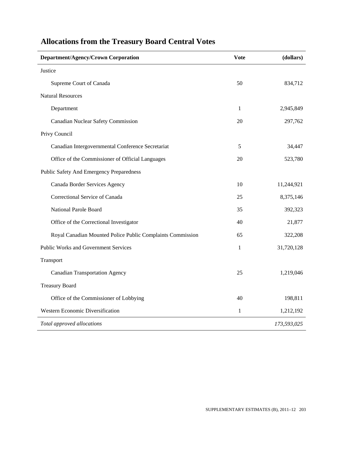| Department/Agency/Crown Corporation                        | <b>Vote</b>  | (dollars)   |
|------------------------------------------------------------|--------------|-------------|
| Justice                                                    |              |             |
| Supreme Court of Canada                                    | 50           | 834,712     |
| <b>Natural Resources</b>                                   |              |             |
| Department                                                 | $\mathbf{1}$ | 2,945,849   |
| Canadian Nuclear Safety Commission                         | 20           | 297,762     |
| Privy Council                                              |              |             |
| Canadian Intergovernmental Conference Secretariat          | 5            | 34,447      |
| Office of the Commissioner of Official Languages           | 20           | 523,780     |
| Public Safety And Emergency Preparedness                   |              |             |
| Canada Border Services Agency                              | 10           | 11,244,921  |
| Correctional Service of Canada                             | 25           | 8,375,146   |
| National Parole Board                                      | 35           | 392,323     |
| Office of the Correctional Investigator                    | 40           | 21,877      |
| Royal Canadian Mounted Police Public Complaints Commission | 65           | 322,208     |
| <b>Public Works and Government Services</b>                | 1            | 31,720,128  |
| Transport                                                  |              |             |
| <b>Canadian Transportation Agency</b>                      | 25           | 1,219,046   |
| <b>Treasury Board</b>                                      |              |             |
| Office of the Commissioner of Lobbying                     | 40           | 198,811     |
| Western Economic Diversification                           | $\mathbf{1}$ | 1,212,192   |
| Total approved allocations                                 |              | 173,593,025 |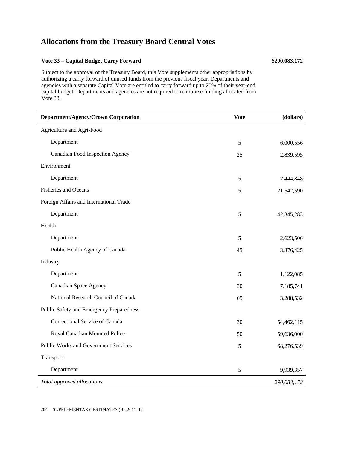#### **Vote 33 – Capital Budget Carry Forward \$290,083,172**

Subject to the approval of the Treasury Board, this Vote supplements other appropriations by authorizing a carry forward of unused funds from the previous fiscal year. Departments and agencies with a separate Capital Vote are entitled to carry forward up to 20% of their year-end capital budget. Departments and agencies are not required to reimburse funding allocated from Vote 33.

| <b>Department/Agency/Crown Corporation</b>  | <b>Vote</b> | (dollars)   |
|---------------------------------------------|-------------|-------------|
| Agriculture and Agri-Food                   |             |             |
| Department                                  | 5           | 6,000,556   |
| <b>Canadian Food Inspection Agency</b>      | 25          | 2,839,595   |
| Environment                                 |             |             |
| Department                                  | 5           | 7,444,848   |
| <b>Fisheries and Oceans</b>                 | 5           | 21,542,590  |
| Foreign Affairs and International Trade     |             |             |
| Department                                  | 5           | 42,345,283  |
| Health                                      |             |             |
| Department                                  | 5           | 2,623,506   |
| Public Health Agency of Canada              | 45          | 3,376,425   |
| Industry                                    |             |             |
| Department                                  | 5           | 1,122,085   |
| <b>Canadian Space Agency</b>                | 30          | 7,185,741   |
| National Research Council of Canada         | 65          | 3,288,532   |
| Public Safety and Emergency Preparedness    |             |             |
| Correctional Service of Canada              | 30          | 54,462,115  |
| Royal Canadian Mounted Police               | 50          | 59,636,000  |
| <b>Public Works and Government Services</b> | 5           | 68,276,539  |
| Transport                                   |             |             |
| Department                                  | 5           | 9,939,357   |
| Total approved allocations                  |             | 290,083,172 |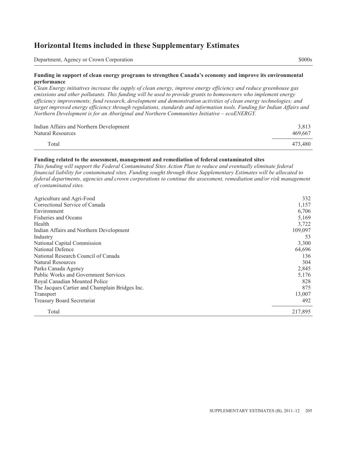Department, Agency or Crown Corporation \$000s

#### **Funding in support of clean energy programs to strengthen Canada's economy and improve its environmental performance**

*Clean Energy initiatives increase the supply of clean energy, improve energy efficiency and reduce greenhouse gas emissions and other pollutants. This funding will be used to provide grants to homeowners who implement energy efficiency improvements; fund research, development and demonstration activities of clean energy technologies; and target improved energy efficiency through regulations, standards and information tools. Funding for Indian Affairs and Northern Development is for an Aboriginal and Northern Communities Initiative – ecoENERGY.*

Indian Affairs and Northern Development 3,813 Natural Resources 469,667

| Total | 473,480 |
|-------|---------|

#### **Funding related to the assessment, management and remediation of federal contaminated sites**

*This funding will support the Federal Contaminated Sites Action Plan to reduce and eventually eliminate federal financial liability for contaminated sites. Funding sought through these Supplementary Estimates will be allocated to federal departments, agencies and crown corporations to continue the assessment, remediation and/or risk management of contaminated sites.*

| Agriculture and Agri-Food                      | 332     |
|------------------------------------------------|---------|
| Correctional Service of Canada                 | 1,157   |
| Environment                                    | 6,706   |
| <b>Fisheries and Oceans</b>                    | 5,169   |
| Health                                         | 3,722   |
| Indian Affairs and Northern Development        | 109,097 |
| Industry                                       | 53      |
| National Capital Commission                    | 3,300   |
| National Defence                               | 64,696  |
| National Research Council of Canada            | 136     |
| Natural Resources                              | 304     |
| Parks Canada Agency                            | 2,845   |
| <b>Public Works and Government Services</b>    | 5,176   |
| Royal Canadian Mounted Police                  | 828     |
| The Jacques Cartier and Champlain Bridges Inc. | 875     |
| Transport                                      | 13,007  |
| <b>Treasury Board Secretariat</b>              | 492     |
| Total                                          | 217,895 |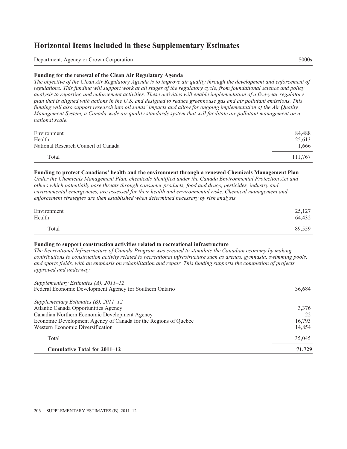Department, Agency or Crown Corporation \$000s

#### **Funding for the renewal of the Clean Air Regulatory Agenda**

*The objective of the Clean Air Regulatory Agenda is to improve air quality through the development and enforcement of regulations. This funding will support work at all stages of the regulatory cycle, from foundational science and policy analysis to reporting and enforcement activities. These activities will enable implementation of a five-year regulatory plan that is aligned with actions in the U.S. and designed to reduce greenhouse gas and air pollutant emissions. This funding will also support research into oil sands' impacts and allow for ongoing implementation of the Air Quality Management System, a Canada-wide air quality standards system that will facilitate air pollutant management on a national scale.*

| Environment<br>Health               | 84.488<br>25,613 |
|-------------------------------------|------------------|
| National Research Council of Canada | 1.666            |
| Total                               | 111,767          |

#### **Funding to protect Canadians' health and the environment through a renewed Chemicals Management Plan**

*Under the Chemicals Management Plan, chemicals identified under the Canada Environmental Protection Act and others which potentially pose threats through consumer products, food and drugs, pesticides, industry and environmental emergencies, are assessed for their health and environmental risks. Chemical management and enforcement strategies are then established when determined necessary by risk analysis.*

| Environment | 25,127 |
|-------------|--------|
| Health      | 64,432 |
| Total       | 89,559 |

#### **Funding to support construction activities related to recreational infrastructure**

*The Recreational Infrastructure of Canada Program was created to stimulate the Canadian economy by making contributions to construction activity related to recreational infrastructure such as arenas, gymnasia, swimming pools, and sports fields, with an emphasis on rehabilitation and repair. This funding supports the completion of projects approved and underway.*

| Supplementary Estimates (A), $2011-12$<br>Federal Economic Development Agency for Southern Ontario | 36.684 |
|----------------------------------------------------------------------------------------------------|--------|
| Supplementary Estimates $(B)$ , 2011–12                                                            |        |
| Atlantic Canada Opportunities Agency                                                               | 3,376  |
| Canadian Northern Economic Development Agency                                                      | 22     |
| Economic Development Agency of Canada for the Regions of Quebec                                    | 16,793 |
| Western Economic Diversification                                                                   | 14,854 |
| Total                                                                                              | 35,045 |
| <b>Cumulative Total for 2011-12</b>                                                                | 71,729 |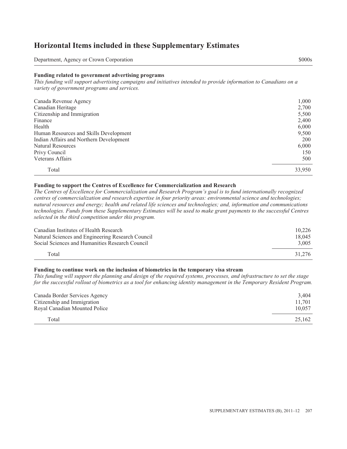| Department, Agency or Crown Corporation | \$000s |
|-----------------------------------------|--------|
|                                         |        |

#### **Funding related to government advertising programs**

*This funding will support advertising campaigns and initiatives intended to provide information to Canadians on a variety of government programs and services.*

| Canada Revenue Agency                   | 1,000      |
|-----------------------------------------|------------|
| Canadian Heritage                       | 2,700      |
| Citizenship and Immigration             | 5,500      |
| Finance                                 | 2,400      |
| Health                                  | 6,000      |
| Human Resources and Skills Development  | 9,500      |
| Indian Affairs and Northern Development | <b>200</b> |
| <b>Natural Resources</b>                | 6,000      |
| Privy Council                           | 150        |
| Veterans Affairs                        | 500        |
| Total                                   | 33.950     |

#### **Funding to support the Centres of Excellence for Commercialization and Research**

*The Centres of Excellence for Commercialization and Research Program's goal is to fund internationally recognized centres of commercialization and research expertise in four priority areas: environmental science and technologies; natural resources and energy; health and related life sciences and technologies; and, information and communications technologies. Funds from these Supplementary Estimates will be used to make grant payments to the successful Centres selected in the third competition under this program.*

| Canadian Institutes of Health Research            | 10.226 |
|---------------------------------------------------|--------|
| Natural Sciences and Engineering Research Council | 18.045 |
| Social Sciences and Humanities Research Council   | 3.005  |
| Total                                             | 31,276 |

#### **Funding to continue work on the inclusion of biometrics in the temporary visa stream**

*This funding will support the planning and design of the required systems, processes, and infrastructure to set the stage for the successful rollout of biometrics as a tool for enhancing identity management in the Temporary Resident Program.*

| Canada Border Services Agency | 3.404  |
|-------------------------------|--------|
| Citizenship and Immigration   | 11.701 |
| Royal Canadian Mounted Police | 10.057 |
| Total                         | 25,162 |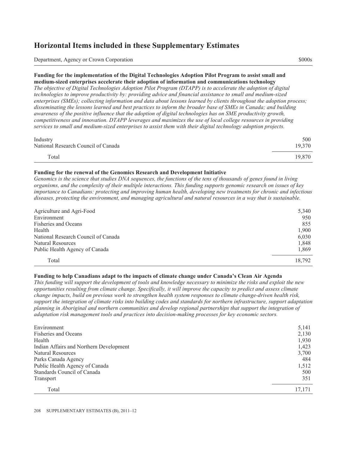Department, Agency or Crown Corporation \$000s

#### **Funding for the implementation of the Digital Technologies Adoption Pilot Program to assist small and medium-sized enterprises accelerate their adoption of information and communications technology**

*The objective of Digital Technologies Adoption Pilot Program (DTAPP) is to accelerate the adoption of digital technologies to improve productivity by: providing advice and financial assistance to small and medium-sized enterprises (SMEs); collecting information and data about lessons learned by clients throughout the adoption process; disseminating the lessons learned and best practices to inform the broader base of SMEs in Canada; and building awareness of the positive influence that the adoption of digital technologies has on SME productivity growth, competitiveness and innovation. DTAPP leverages and maximizes the use of local college resources in providing services to small and medium-sized enterprises to assist them with their digital technology adoption projects.*

| Industry                            | 500    |
|-------------------------------------|--------|
| National Research Council of Canada | 19.370 |
| Total                               | 19,870 |

#### **Funding for the renewal of the Genomics Research and Development Initiative**

*Genomics is the science that studies DNA sequences, the functions of the tens of thousands of genes found in living organisms, and the complexity of their multiple interactions. This funding supports genomic research on issues of key importance to Canadians: protecting and improving human health, developing new treatments for chronic and infectious diseases, protecting the environment, and managing agricultural and natural resources in a way that is sustainable.*

| Agriculture and Agri-Food           | 5,340  |
|-------------------------------------|--------|
| Environment                         | 950    |
| <b>Fisheries and Oceans</b>         | 855    |
| Health                              | 1.900  |
| National Research Council of Canada | 6,030  |
| <b>Natural Resources</b>            | 1,848  |
| Public Health Agency of Canada      | 1.869  |
| Total                               | 18.792 |

### **Funding to help Canadians adapt to the impacts of climate change under Canada's Clean Air Agenda**

*This funding will support the development of tools and knowledge necessary to minimize the risks and exploit the new opportunities resulting from climate change. Specifically, it will improve the capacity to predict and assess climate change impacts, build on previous work to strengthen health system responses to climate change-driven health risk, support the integration of climate risks into building codes and standards for northern infrastructure, support adaptation planning in Aboriginal and northern communities and develop regional partnerships that support the integration of adaptation risk management tools and practices into decision-making processes for key economic sectors.*

| Environment                             | 5,141  |
|-----------------------------------------|--------|
| <b>Fisheries and Oceans</b>             | 2,130  |
| Health                                  | 1,930  |
| Indian Affairs and Northern Development | 1,423  |
| <b>Natural Resources</b>                | 3,700  |
| Parks Canada Agency                     | 484    |
| Public Health Agency of Canada          | 1,512  |
| Standards Council of Canada             | 500    |
| Transport                               | 351    |
| Total                                   | 17.171 |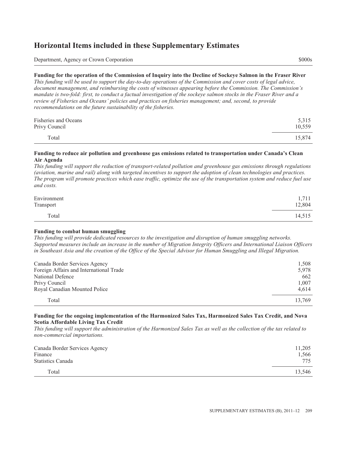Department, Agency or Crown Corporation \$000s

#### **Funding for the operation of the Commission of Inquiry into the Decline of Sockeye Salmon in the Fraser River**

*This funding will be used to support the day-to-day operations of the Commission and cover costs of legal advice, document management, and reimbursing the costs of witnesses appearing before the Commission. The Commission's mandate is two-fold: first, to conduct a factual investigation of the sockeye salmon stocks in the Fraser River and a review of Fisheries and Oceans' policies and practices on fisheries management; and, second, to provide recommendations on the future sustainability of the fisheries.*

| Fisheries and Oceans | 5.315  |
|----------------------|--------|
| Privy Council        | 10,559 |
| Total                | 15,874 |

#### **Funding to reduce air pollution and greenhouse gas emissions related to transportation under Canada's Clean Air Agenda**

*This funding will support the reduction of transport-related pollution and greenhouse gas emissions through regulations (aviation, marine and rail) along with targeted incentives to support the adoption of clean technologies and practices. The program will promote practices which ease traffic, optimize the use of the transportation system and reduce fuel use and costs.*

| Environment | 1,711  |
|-------------|--------|
| Transport   | 12,804 |
| Total       | 14,515 |

#### **Funding to combat human smuggling**

*This funding will provide dedicated resources to the investigation and disruption of human smuggling networks. Supported measures include an increase in the number of Migration Integrity Officers and International Liaison Officers in Southeast Asia and the creation of the Office of the Special Advisor for Human Smuggling and Illegal Migration.*

| Canada Border Services Agency           | 1,508  |
|-----------------------------------------|--------|
| Foreign Affairs and International Trade | 5.978  |
| National Defence                        | 662    |
| Privy Council                           | 1.007  |
| Royal Canadian Mounted Police           | 4.614  |
| Total                                   | 13.769 |

#### **Funding for the ongoing implementation of the Harmonized Sales Tax, Harmonized Sales Tax Credit, and Nova Scotia Affordable Living Tax Credit**

*This funding will support the administration of the Harmonized Sales Tax as well as the collection of the tax related to non-commercial importations.*

| Canada Border Services Agency | 11,205 |
|-------------------------------|--------|
| Finance                       | 1,566  |
| Statistics Canada             | 775    |
| Total                         | 13,546 |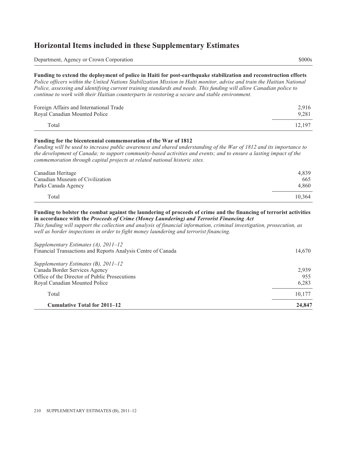Department, Agency or Crown Corporation \$000s

#### **Funding to extend the deployment of police in Haiti for post-earthquake stabilization and reconstruction efforts**

*Police officers within the United Nations Stabilization Mission in Haiti monitor, advise and train the Haitian National Police, assessing and identifying current training standards and needs. This funding will allow Canadian police to continue to work with their Haitian counterparts in restoring a secure and stable environment.*

| Foreign Affairs and International Trade | 2.916<br>9.281 |
|-----------------------------------------|----------------|
| Royal Canadian Mounted Police           |                |
| Total                                   | 12.197         |

#### **Funding for the bicentennial commemoration of the War of 1812**

*Funding will be used to increase public awareness and shared understanding of the War of 1812 and its importance to the development of Canada; to support community-based activities and events; and to ensure a lasting impact of the commemoration through capital projects at related national historic sites.*

| Canadian Heritage               | 4.839  |
|---------------------------------|--------|
| Canadian Museum of Civilization | 665    |
| Parks Canada Agency             | 4.860  |
| Total                           | 10.364 |

#### **Funding to bolster the combat against the laundering of proceeds of crime and the financing of terrorist activities in accordance with the** *Proceeds of Crime (Money Laundering) and Terrorist Financing Act*

*This funding will support the collection and analysis of financial information, criminal investigation, prosecution, as well as border inspections in order to fight money laundering and terrorist financing.*

| Cumulative Total for 2011–12                                 | 24,847 |
|--------------------------------------------------------------|--------|
| Total                                                        | 10,177 |
| Royal Canadian Mounted Police                                | 6.283  |
| Office of the Director of Public Prosecutions                | 955    |
| Canada Border Services Agency                                | 2,939  |
| Supplementary Estimates $(B)$ , 2011–12                      |        |
| Financial Transactions and Reports Analysis Centre of Canada | 14,670 |
| Supplementary Estimates (A), $2011-12$                       |        |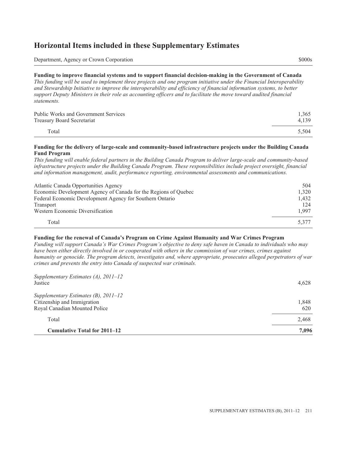Department, Agency or Crown Corporation \$000s

#### **Funding to improve financial systems and to support financial decision-making in the Government of Canada**

*This funding will be used to implement three projects and one program initiative under the Financial Interoperability and Stewardship Initiative to improve the interoperability and efficiency of financial information systems, to better support Deputy Ministers in their role as accounting officers and to facilitate the move toward audited financial statements.*

| <b>Public Works and Government Services</b> | 1.365 |
|---------------------------------------------|-------|
| <b>Treasury Board Secretariat</b>           | 4.139 |
| Total                                       | 5.504 |

#### **Funding for the delivery of large-scale and community-based infrastructure projects under the Building Canada Fund Program**

*This funding will enable federal partners in the Building Canada Program to deliver large-scale and community-based infrastructure projects under the Building Canada Program. These responsibilities include project oversight, financial and information management, audit, performance reporting, environmental assessments and communications.*

| Atlantic Canada Opportunities Agency                            | 504   |
|-----------------------------------------------------------------|-------|
| Economic Development Agency of Canada for the Regions of Quebec | 1.320 |
| Federal Economic Development Agency for Southern Ontario        | 1.432 |
| Transport                                                       | 124   |
| Western Economic Diversification                                | 1.997 |
| Total                                                           | 5.377 |

#### **Funding for the renewal of Canada's Program on Crime Against Humanity and War Crimes Program**

*Funding will support Canada's War Crimes Program's objective to deny safe haven in Canada to individuals who may have been either directly involved in or cooperated with others in the commission of war crimes, crimes against humanity or genocide. The program detects, investigates and, where appropriate, prosecutes alleged perpetrators of war crimes and prevents the entry into Canada of suspected war criminals.*

| Cumulative Total for 2011–12                                                                            | 7.096        |
|---------------------------------------------------------------------------------------------------------|--------------|
| Total                                                                                                   | 2.468        |
| Supplementary Estimates $(B)$ , 2011–12<br>Citizenship and Immigration<br>Royal Canadian Mounted Police | 1,848<br>620 |
| Supplementary Estimates $(A)$ , 2011–12<br>Justice                                                      | 4,628        |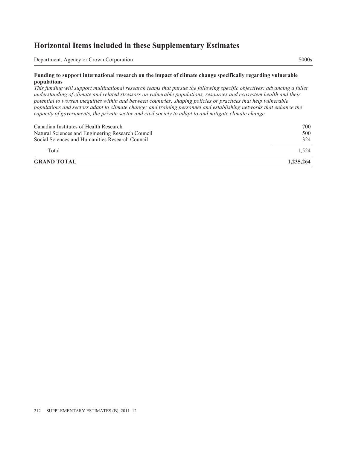Department, Agency or Crown Corporation \$000s

#### **Funding to support international research on the impact of climate change specifically regarding vulnerable populations**

*This funding will support multinational research teams that pursue the following specific objectives: advancing a fuller understanding of climate and related stressors on vulnerable populations, resources and ecosystem health and their potential to worsen inequities within and between countries; shaping policies or practices that help vulnerable populations and sectors adapt to climate change; and training personnel and establishing networks that enhance the capacity of governments, the private sector and civil society to adapt to and mitigate climate change.*

| <b>GRAND TOTAL</b>                                | 1,235,264 |
|---------------------------------------------------|-----------|
| Total                                             | 1.524     |
| Social Sciences and Humanities Research Council   | 324       |
| Natural Sciences and Engineering Research Council | 500       |
| Canadian Institutes of Health Research            | 700       |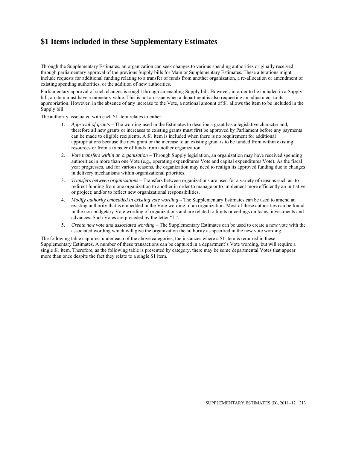Through the Supplementary Estimates, an organization can seek changes to various spending authorities originally received through parliamentary approval of the previous Supply bills for Main or Supplementary Estimates. These alterations might include requests for additional funding relating to a transfer of funds from another organization, a re-allocation or amendment of existing spending authorities, or the addition of new authorities.

Parliamentary approval of such changes is sought through an enabling Supply bill. However, in order to be included in a Supply bill, an item must have a monetary value. This is not an issue when a department is also requesting an adjustment to its appropriation. However, in the absence of any increase to the Vote, a notional amount of \$1 allows the item to be included in the Supply bill.

The authority associated with each \$1 item relates to either:

- 1. *Approval of grants* The wording used in the Estimates to describe a grant has a legislative character and, therefore all new grants or increases to existing grants must first be approved by Parliament before any payments can be made to eligible recipients. A \$1 item is included when there is no requirement for additional appropriations because the new grant or the increase to an existing grant is to be funded from within existing resources or from a transfer of funds from another organization.
- 2. *Vote transfers within an organization* Through Supply legislation, an organization may have received spending authorities in more than one Vote (e.g., operating expenditures Vote and capital expenditures Vote). As the fiscal year progresses, and for various reasons, the organization may need to realign its approved funding due to changes in delivery mechanisms within organizational priorities.
- 3. *Transfers between organizations* Transfers between organizations are used for a variety of reasons such as: to redirect funding from one organization to another in order to manage or to implement more efficiently an initiative or project; and/or to reflect new organizational responsibilities.
- 4. *Modify authority embedded in existing vote wording* The Supplementary Estimates can be used to amend an existing authority that is embedded in the Vote wording of an organization. Most of these authorities can be found in the non-budgetary Vote wording of organizations and are related to limits or ceilings on loans, investments and advances. Such Votes are preceded by the letter "L".
- 5. *Create new vote and associated wording* The Supplementary Estimates can be used to create a new vote with the associated wording which will give the organization the authority as specified in the new vote wording.

The following table captures, under each of the above categories, the instances where a \$1 item is required in these Supplementary Estimates. A number of these transactions can be captured in a department's Vote wording, but will require a single \$1 item. Therefore, as the following table is presented by category, there may be some departmental Votes that appear more than once despite the fact they relate to a single \$1 item.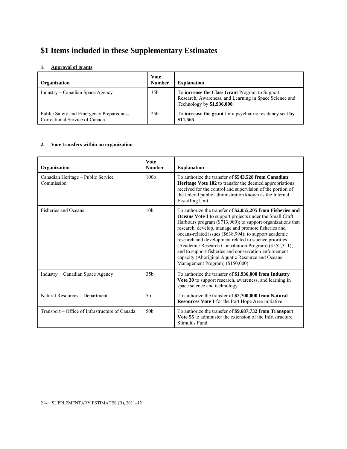### **1. Approval of grants**

| <b>Organization</b>                                                          | <b>V</b> ote<br><b>Number</b> | <b>Explanation</b>                                                                                                                            |
|------------------------------------------------------------------------------|-------------------------------|-----------------------------------------------------------------------------------------------------------------------------------------------|
| Industry – Canadian Space Agency                                             | 35 <sub>b</sub>               | To <b>increase the Class Grant</b> Program to Support<br>Research, Awareness, and Learning in Space Science and<br>Technology by \$1,936,000. |
| Public Safety and Emergency Preparedness –<br>Correctional Service of Canada | 25 <sub>b</sub>               | To <b>increase the grant</b> for a psychiatric residency seat by<br>\$11,565.                                                                 |

### **2. Vote transfers within an organization**

| Organization                                     | <b>Vote</b><br><b>Number</b> | <b>Explanation</b>                                                                                                                                                                                                                                                                                                                                                                                                                                                                                                                                                         |
|--------------------------------------------------|------------------------------|----------------------------------------------------------------------------------------------------------------------------------------------------------------------------------------------------------------------------------------------------------------------------------------------------------------------------------------------------------------------------------------------------------------------------------------------------------------------------------------------------------------------------------------------------------------------------|
| Canadian Heritage - Public Service<br>Commission | 100 <sub>b</sub>             | To authorize the transfer of \$543,528 from Canadian<br>Heritage Vote 102 to transfer the deemed appropriations<br>received for the control and supervision of the portion of<br>the federal public administration known as the Internal<br>E-staffing Unit.                                                                                                                                                                                                                                                                                                               |
| <b>Fisheries and Oceans</b>                      | 10 <sub>b</sub>              | To authorize the transfer of \$2,055,205 from Fisheries and<br>Oceans Vote 1 to support projects under the Small Craft<br>Harbours program (\$713,900); to support organizations that<br>research, develop, manage and promote fisheries and<br>oceans-related issues (\$638,994); to support academic<br>research and development related to science priorities<br>(Academic Research Contribution Program) (\$552,311);<br>and to support fisheries and conservation enforcement<br>capacity (Aboriginal Aquatic Resource and Oceans<br>Management Program) (\$150,000). |
| Industry – Canadian Space Agency                 | 35 <sub>b</sub>              | To authorize the transfer of \$1,936,000 from Industry<br>Vote 30 to support research, awareness, and learning in<br>space science and technology.                                                                                                                                                                                                                                                                                                                                                                                                                         |
| Natural Resources - Department                   | .5b                          | To authorize the transfer of \$2,700,000 from Natural<br>Resources Vote 1 for the Port Hope Area initiative.                                                                                                                                                                                                                                                                                                                                                                                                                                                               |
| Transport – Office of Infrastructure of Canada   | 50 <sub>b</sub>              | To authorize the transfer of \$9,687,732 from Transport<br>Vote 55 to administer the extension of the Infrastructure<br>Stimulus Fund.                                                                                                                                                                                                                                                                                                                                                                                                                                     |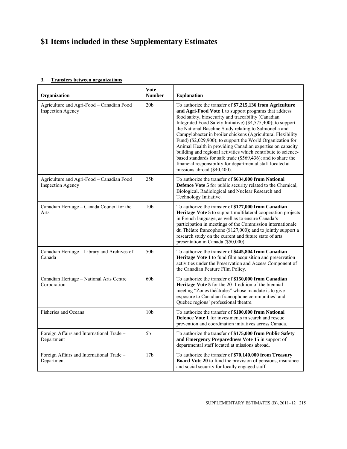#### **3. Transfers between organizations**

| Organization                                                          | <b>Vote</b><br><b>Number</b> | <b>Explanation</b>                                                                                                                                                                                                                                                                                                                                                                                                                                                                                                                                                                                                                                                                                                          |
|-----------------------------------------------------------------------|------------------------------|-----------------------------------------------------------------------------------------------------------------------------------------------------------------------------------------------------------------------------------------------------------------------------------------------------------------------------------------------------------------------------------------------------------------------------------------------------------------------------------------------------------------------------------------------------------------------------------------------------------------------------------------------------------------------------------------------------------------------------|
| Agriculture and Agri-Food - Canadian Food<br><b>Inspection Agency</b> | 20 <sub>b</sub>              | To authorize the transfer of \$7,215,136 from Agriculture<br>and Agri-Food Vote 1 to support programs that address<br>food safety, biosecurity and traceability (Canadian<br>Integrated Food Safety Initiative) (\$4,575,400); to support<br>the National Baseline Study relating to Salmonella and<br>Campylobacter in broiler chickens (Agricultural Flexibility<br>Fund) (\$2,029,900); to support the World Organization for<br>Animal Health in providing Canadian expertise on capacity<br>building and regional activities which contribute to science-<br>based standards for safe trade (\$569,436); and to share the<br>financial responsibility for departmental staff located at<br>missions abroad (\$40,400). |
| Agriculture and Agri-Food - Canadian Food<br><b>Inspection Agency</b> | 25 <sub>b</sub>              | To authorize the transfer of \$634,000 from National<br><b>Defence Vote 5</b> for public security related to the Chemical,<br>Biological, Radiological and Nuclear Research and<br>Technology Initiative.                                                                                                                                                                                                                                                                                                                                                                                                                                                                                                                   |
| Canadian Heritage - Canada Council for the<br>Arts                    | 10 <sub>b</sub>              | To authorize the transfer of \$177,000 from Canadian<br>Heritage Vote 5 to support multilateral cooperation projects<br>in French language, as well as to ensure Canada's<br>participation in meetings of the Commission internationale<br>du Théâtre francophone (\$127,000); and to jointly support a<br>research study on the current and future state of arts<br>presentation in Canada (\$50,000).                                                                                                                                                                                                                                                                                                                     |
| Canadian Heritage - Library and Archives of<br>Canada                 | 50 <sub>b</sub>              | To authorize the transfer of \$445,804 from Canadian<br>Heritage Vote 1 to fund film acquisition and preservation<br>activities under the Preservation and Access Component of<br>the Canadian Feature Film Policy.                                                                                                                                                                                                                                                                                                                                                                                                                                                                                                         |
| Canadian Heritage - National Arts Centre<br>Corporation               | 60 <sub>b</sub>              | To authorize the transfer of \$150,000 from Canadian<br>Heritage Vote 5 for the 2011 edition of the biennial<br>meeting "Zones théâtrales" whose mandate is to give<br>exposure to Canadian francophone communities' and<br>Quebec regions' professional theatre.                                                                                                                                                                                                                                                                                                                                                                                                                                                           |
| Fisheries and Oceans                                                  | 10 <sub>b</sub>              | To authorize the transfer of \$100,000 from National<br>Defence Vote 1 for investments in search and rescue<br>prevention and coordination initiatives across Canada.                                                                                                                                                                                                                                                                                                                                                                                                                                                                                                                                                       |
| Foreign Affairs and International Trade -<br>Department               | 5 <sub>b</sub>               | To authorize the transfer of \$175,000 from Public Safety<br>and Emergency Preparedness Vote 15 in support of<br>departmental staff located at missions abroad.                                                                                                                                                                                                                                                                                                                                                                                                                                                                                                                                                             |
| Foreign Affairs and International Trade -<br>Department               | 17 <sub>b</sub>              | To authorize the transfer of \$70,140,000 from Treasury<br><b>Board Vote 20</b> to fund the provision of pensions, insurance<br>and social security for locally engaged staff.                                                                                                                                                                                                                                                                                                                                                                                                                                                                                                                                              |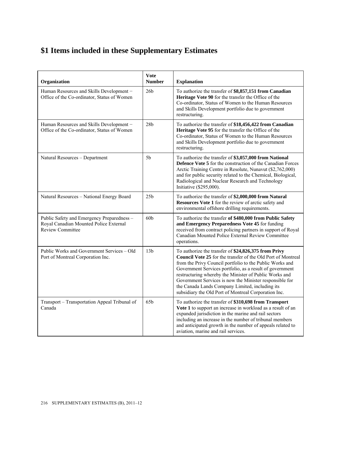| Organization                                                                                                    | <b>Vote</b><br><b>Number</b> | <b>Explanation</b>                                                                                                                                                                                                                                                                                                                                                                                                                                                           |
|-----------------------------------------------------------------------------------------------------------------|------------------------------|------------------------------------------------------------------------------------------------------------------------------------------------------------------------------------------------------------------------------------------------------------------------------------------------------------------------------------------------------------------------------------------------------------------------------------------------------------------------------|
| Human Resources and Skills Development -<br>Office of the Co-ordinator, Status of Women                         | 26 <sub>b</sub>              | To authorize the transfer of \$8,857,151 from Canadian<br>Heritage Vote 90 for the transfer the Office of the<br>Co-ordinator, Status of Women to the Human Resources<br>and Skills Development portfolio due to government<br>restructuring.                                                                                                                                                                                                                                |
| Human Resources and Skills Development -<br>Office of the Co-ordinator, Status of Women                         | 28 <sub>b</sub>              | To authorize the transfer of \$18,456,422 from Canadian<br>Heritage Vote 95 for the transfer the Office of the<br>Co-ordinator, Status of Women to the Human Resources<br>and Skills Development portfolio due to government<br>restructuring.                                                                                                                                                                                                                               |
| Natural Resources - Department                                                                                  | 5 <sub>b</sub>               | To authorize the transfer of \$3,057,000 from National<br><b>Defence Vote 5</b> for the construction of the Canadian Forces<br>Arctic Training Centre in Resolute, Nunavut (\$2,762,000)<br>and for public security related to the Chemical, Biological,<br>Radiological and Nuclear Research and Technology<br>Initiative (\$295,000).                                                                                                                                      |
| Natural Resources - National Energy Board                                                                       | 25 <sub>b</sub>              | To authorize the transfer of \$2,000,000 from Natural<br>Resources Vote 1 for the review of arctic safety and<br>environmental offshore drilling requirements.                                                                                                                                                                                                                                                                                                               |
| Public Safety and Emergency Preparedness -<br>Royal Canadian Mounted Police External<br><b>Review Committee</b> | 60 <sub>b</sub>              | To authorize the transfer of \$480,000 from Public Safety<br>and Emergency Preparedness Vote 45 for funding<br>received from contract policing partners in support of Royal<br>Canadian Mounted Police External Review Committee<br>operations.                                                                                                                                                                                                                              |
| Public Works and Government Services - Old<br>Port of Montreal Corporation Inc.                                 | 13 <sub>b</sub>              | To authorize the transfer of \$24,826,375 from Privy<br>Council Vote 25 for the transfer of the Old Port of Montreal<br>from the Privy Council portfolio to the Public Works and<br>Government Services portfolio, as a result of government<br>restructuring whereby the Minister of Public Works and<br>Government Services is now the Minister responsible for<br>the Canada Lands Company Limited, including its<br>subsidiary the Old Port of Montreal Corporation Inc. |
| Transport - Transportation Appeal Tribunal of<br>Canada                                                         | 65 <sub>b</sub>              | To authorize the transfer of \$310,698 from Transport<br>Vote 1 to support an increase in workload as a result of an<br>expanded jurisdiction in the marine and rail sectors<br>including an increase in the number of tribunal members<br>and anticipated growth in the number of appeals related to<br>aviation, marine and rail services.                                                                                                                                 |